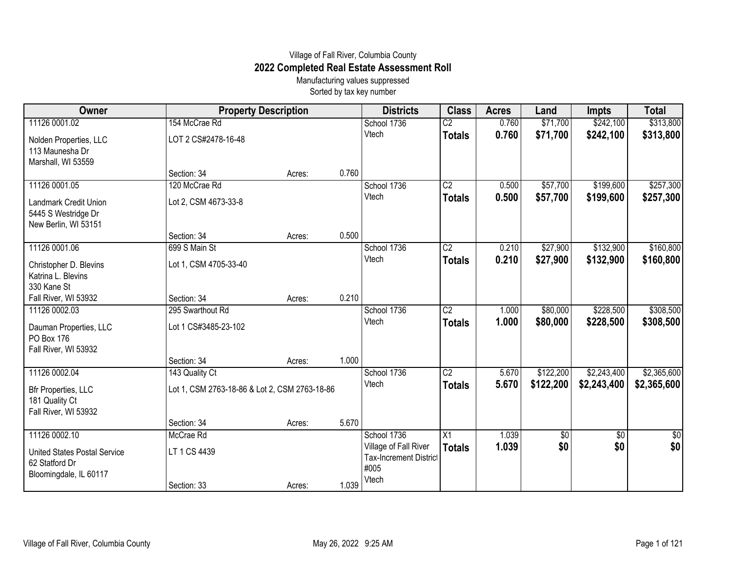## Village of Fall River, Columbia County **2022 Completed Real Estate Assessment Roll**

Manufacturing values suppressed Sorted by tax key number

| Owner                                                                           | <b>Property Description</b>                   |        |       | <b>Districts</b>                                               | <b>Class</b>    | <b>Acres</b> | Land            | <b>Impts</b> | <b>Total</b>    |
|---------------------------------------------------------------------------------|-----------------------------------------------|--------|-------|----------------------------------------------------------------|-----------------|--------------|-----------------|--------------|-----------------|
| 11126 0001.02                                                                   | 154 McCrae Rd                                 |        |       | School 1736                                                    | $\overline{C2}$ | 0.760        | \$71,700        | \$242,100    | \$313,800       |
| Nolden Properties, LLC<br>113 Maunesha Dr<br>Marshall, WI 53559                 | LOT 2 CS#2478-16-48                           |        |       | Vtech                                                          | <b>Totals</b>   | 0.760        | \$71,700        | \$242,100    | \$313,800       |
|                                                                                 | Section: 34                                   | Acres: | 0.760 |                                                                |                 |              |                 |              |                 |
| 11126 0001.05                                                                   | 120 McCrae Rd                                 |        |       | School 1736                                                    | $\overline{C2}$ | 0.500        | \$57,700        | \$199,600    | \$257,300       |
| Landmark Credit Union<br>5445 S Westridge Dr<br>New Berlin, WI 53151            | Lot 2, CSM 4673-33-8                          |        |       | Vtech                                                          | <b>Totals</b>   | 0.500        | \$57,700        | \$199,600    | \$257,300       |
|                                                                                 | Section: 34                                   | Acres: | 0.500 |                                                                |                 |              |                 |              |                 |
| 11126 0001.06                                                                   | 699 S Main St                                 |        |       | School 1736                                                    | $\overline{C2}$ | 0.210        | \$27,900        | \$132,900    | \$160,800       |
| Christopher D. Blevins<br>Katrina L. Blevins<br>330 Kane St                     | Lot 1, CSM 4705-33-40                         |        |       | Vtech                                                          | <b>Totals</b>   | 0.210        | \$27,900        | \$132,900    | \$160,800       |
| Fall River, WI 53932                                                            | Section: 34                                   | Acres: | 0.210 |                                                                |                 |              |                 |              |                 |
| 11126 0002.03                                                                   | 295 Swarthout Rd                              |        |       | School 1736                                                    | $\overline{C2}$ | 1.000        | \$80,000        | \$228,500    | \$308,500       |
| Dauman Properties, LLC<br>PO Box 176<br>Fall River, WI 53932                    | Lot 1 CS#3485-23-102                          |        |       | Vtech                                                          | <b>Totals</b>   | 1.000        | \$80,000        | \$228,500    | \$308,500       |
|                                                                                 | Section: 34                                   | Acres: | 1.000 |                                                                |                 |              |                 |              |                 |
| 11126 0002.04                                                                   | 143 Quality Ct                                |        |       | School 1736                                                    | $\overline{C2}$ | 5.670        | \$122,200       | \$2,243,400  | \$2,365,600     |
| <b>Bfr Properties, LLC</b><br>181 Quality Ct<br>Fall River, WI 53932            | Lot 1, CSM 2763-18-86 & Lot 2, CSM 2763-18-86 |        |       | Vtech                                                          | <b>Totals</b>   | 5.670        | \$122,200       | \$2,243,400  | \$2,365,600     |
|                                                                                 | Section: 34                                   | Acres: | 5.670 |                                                                |                 |              |                 |              |                 |
| 11126 0002.10                                                                   | McCrae Rd                                     |        |       | School 1736                                                    | $\overline{X1}$ | 1.039        | $\overline{50}$ | \$0          | $\overline{50}$ |
| <b>United States Postal Service</b><br>62 Statford Dr<br>Bloomingdale, IL 60117 | LT 1 CS 4439                                  |        |       | Village of Fall River<br><b>Tax-Increment District</b><br>#005 | <b>Totals</b>   | 1.039        | \$0             | \$0          | \$0             |
|                                                                                 | Section: 33                                   | Acres: | 1.039 | Vtech                                                          |                 |              |                 |              |                 |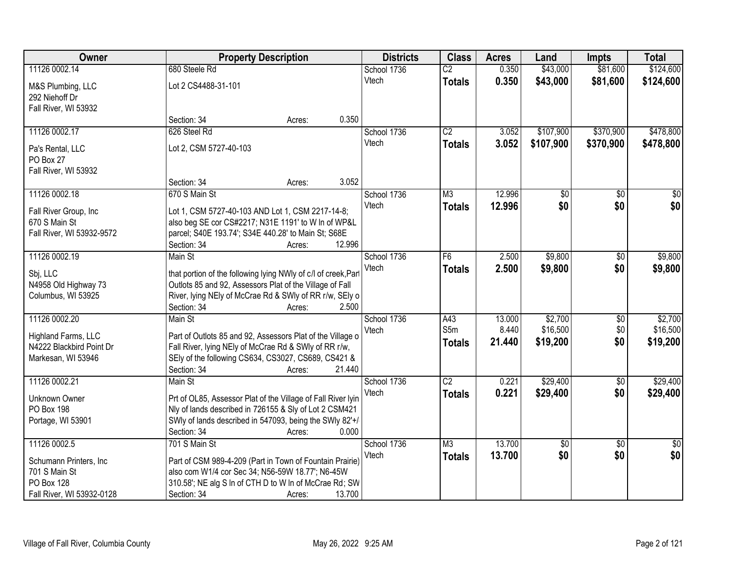| Owner                     | <b>Property Description</b>                                            |                  | <b>Districts</b> | <b>Class</b>    | <b>Acres</b> | Land      | <b>Impts</b>    | <b>Total</b>    |
|---------------------------|------------------------------------------------------------------------|------------------|------------------|-----------------|--------------|-----------|-----------------|-----------------|
| 11126 0002.14             | 680 Steele Rd                                                          |                  | School 1736      | $\overline{C2}$ | 0.350        | \$43,000  | \$81,600        | \$124,600       |
| M&S Plumbing, LLC         | Lot 2 CS4488-31-101                                                    |                  | Vtech            | <b>Totals</b>   | 0.350        | \$43,000  | \$81,600        | \$124,600       |
| 292 Niehoff Dr            |                                                                        |                  |                  |                 |              |           |                 |                 |
| Fall River, WI 53932      |                                                                        |                  |                  |                 |              |           |                 |                 |
|                           | Section: 34                                                            | 0.350<br>Acres:  |                  |                 |              |           |                 |                 |
| 11126 0002.17             | 626 Steel Rd                                                           |                  | School 1736      | $\overline{C2}$ | 3.052        | \$107,900 | \$370,900       | \$478,800       |
| Pa's Rental, LLC          | Lot 2, CSM 5727-40-103                                                 |                  | Vtech            | <b>Totals</b>   | 3.052        | \$107,900 | \$370,900       | \$478,800       |
| PO Box 27                 |                                                                        |                  |                  |                 |              |           |                 |                 |
| Fall River, WI 53932      |                                                                        |                  |                  |                 |              |           |                 |                 |
|                           | Section: 34                                                            | 3.052<br>Acres:  |                  |                 |              |           |                 |                 |
| 11126 0002.18             | 670 S Main St                                                          |                  | School 1736      | M3              | 12.996       | \$0       | \$0             | \$0             |
| Fall River Group, Inc     | Lot 1, CSM 5727-40-103 AND Lot 1, CSM 2217-14-8;                       |                  | Vtech            | <b>Totals</b>   | 12.996       | \$0       | \$0             | \$0             |
| 670 S Main St             | also beg SE cor CS#2217; N31E 1191' to W In of WP&L                    |                  |                  |                 |              |           |                 |                 |
| Fall River, WI 53932-9572 | parcel; S40E 193.74'; S34E 440.28' to Main St; S68E                    |                  |                  |                 |              |           |                 |                 |
|                           | Section: 34                                                            | 12.996<br>Acres: |                  |                 |              |           |                 |                 |
| 11126 0002.19             | Main St                                                                |                  | School 1736      | F6              | 2.500        | \$9,800   | \$0             | \$9,800         |
|                           |                                                                        |                  | Vtech            | <b>Totals</b>   | 2.500        | \$9,800   | \$0             | \$9,800         |
| Sbj, LLC                  | that portion of the following lying NWly of c/l of creek, Parl         |                  |                  |                 |              |           |                 |                 |
| N4958 Old Highway 73      | Outlots 85 and 92, Assessors Plat of the Village of Fall               |                  |                  |                 |              |           |                 |                 |
| Columbus, WI 53925        | River, lying NEly of McCrae Rd & SWly of RR r/w, SEly o<br>Section: 34 | 2.500            |                  |                 |              |           |                 |                 |
| 11126 0002.20             | Main St                                                                | Acres:           | School 1736      | A43             | 13.000       | \$2,700   | \$0             | \$2,700         |
|                           |                                                                        |                  | Vtech            | S <sub>5m</sub> | 8.440        | \$16,500  | \$0             | \$16,500        |
| Highland Farms, LLC       | Part of Outlots 85 and 92, Assessors Plat of the Village o             |                  |                  | <b>Totals</b>   | 21.440       | \$19,200  | \$0             | \$19,200        |
| N4222 Blackbird Point Dr  | Fall River, lying NEly of McCrae Rd & SWly of RR r/w,                  |                  |                  |                 |              |           |                 |                 |
| Markesan, WI 53946        | SEly of the following CS634, CS3027, CS689, CS421 &                    |                  |                  |                 |              |           |                 |                 |
|                           | Section: 34                                                            | 21.440<br>Acres: |                  |                 |              |           |                 |                 |
| 11126 0002.21             | Main St                                                                |                  | School 1736      | $\overline{C2}$ | 0.221        | \$29,400  | $\overline{60}$ | \$29,400        |
| Unknown Owner             | Prt of OL85, Assessor Plat of the Village of Fall River lyin           |                  | Vtech            | <b>Totals</b>   | 0.221        | \$29,400  | \$0             | \$29,400        |
| PO Box 198                | Nly of lands described in 726155 & Sly of Lot 2 CSM421                 |                  |                  |                 |              |           |                 |                 |
| Portage, WI 53901         | SWly of lands described in 547093, being the SWly 82'+/                |                  |                  |                 |              |           |                 |                 |
|                           | Section: 34                                                            | 0.000<br>Acres:  |                  |                 |              |           |                 |                 |
| 11126 0002.5              | 701 S Main St                                                          |                  | School 1736      | M3              | 13.700       | \$0       | $\overline{50}$ | $\overline{50}$ |
| Schumann Printers, Inc.   | Part of CSM 989-4-209 (Part in Town of Fountain Prairie)               |                  | Vtech            | <b>Totals</b>   | 13.700       | \$0       | \$0             | \$0             |
| 701 S Main St             | also com W1/4 cor Sec 34; N56-59W 18.77'; N6-45W                       |                  |                  |                 |              |           |                 |                 |
| PO Box 128                | 310.58'; NE alg S In of CTH D to W In of McCrae Rd; SW                 |                  |                  |                 |              |           |                 |                 |
| Fall River, WI 53932-0128 | Section: 34                                                            | 13.700<br>Acres: |                  |                 |              |           |                 |                 |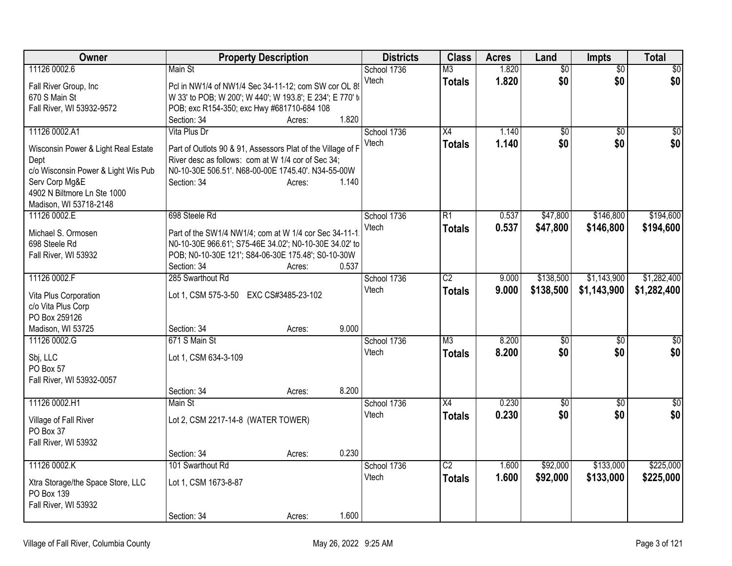| Owner                               | <b>Property Description</b>                                                                                      |        | <b>Districts</b> | <b>Class</b>    | <b>Acres</b> | Land            | <b>Impts</b>    | <b>Total</b>    |
|-------------------------------------|------------------------------------------------------------------------------------------------------------------|--------|------------------|-----------------|--------------|-----------------|-----------------|-----------------|
| 11126 0002.6                        | Main St                                                                                                          |        | School 1736      | M <sub>3</sub>  | 1.820        | $\overline{50}$ | $\overline{50}$ | $\sqrt{30}$     |
| Fall River Group, Inc               | Pcl in NW1/4 of NW1/4 Sec 34-11-12; com SW cor OL 89                                                             |        | Vtech            | <b>Totals</b>   | 1.820        | \$0             | \$0             | \$0             |
| 670 S Main St                       | W 33' to POB; W 200'; W 440'; W 193.8'; E 234'; E 770' to                                                        |        |                  |                 |              |                 |                 |                 |
| Fall River, WI 53932-9572           | POB; exc R154-350; exc Hwy #681710-684 108                                                                       |        |                  |                 |              |                 |                 |                 |
|                                     | Section: 34                                                                                                      | Acres: | 1.820            |                 |              |                 |                 |                 |
| 11126 0002.A1                       | Vita Plus Dr                                                                                                     |        | School 1736      | X4              | 1.140        | $\overline{50}$ | $\overline{50}$ | $\sqrt{50}$     |
| Wisconsin Power & Light Real Estate | Part of Outlots 90 & 91, Assessors Plat of the Village of F                                                      |        | Vtech            | <b>Totals</b>   | 1.140        | \$0             | \$0             | \$0             |
| Dept                                | River desc as follows: com at W 1/4 cor of Sec 34;                                                               |        |                  |                 |              |                 |                 |                 |
| c/o Wisconsin Power & Light Wis Pub | N0-10-30E 506.51'. N68-00-00E 1745.40'. N34-55-00W                                                               |        |                  |                 |              |                 |                 |                 |
| Serv Corp Mg&E                      | Section: 34                                                                                                      | Acres: | 1.140            |                 |              |                 |                 |                 |
| 4902 N Biltmore Ln Ste 1000         |                                                                                                                  |        |                  |                 |              |                 |                 |                 |
| Madison, WI 53718-2148              |                                                                                                                  |        |                  |                 |              |                 |                 |                 |
| 11126 0002.E                        | 698 Steele Rd                                                                                                    |        | School 1736      | R1              | 0.537        | \$47,800        | \$146,800       | \$194,600       |
|                                     |                                                                                                                  |        | Vtech            | <b>Totals</b>   | 0.537        | \$47,800        | \$146,800       | \$194,600       |
| Michael S. Ormosen<br>698 Steele Rd | Part of the SW1/4 NW1/4; com at W 1/4 cor Sec 34-11-1.<br>N0-10-30E 966.61'; S75-46E 34.02'; N0-10-30E 34.02' to |        |                  |                 |              |                 |                 |                 |
| Fall River, WI 53932                | POB; N0-10-30E 121'; S84-06-30E 175.48'; S0-10-30W                                                               |        |                  |                 |              |                 |                 |                 |
|                                     | Section: 34                                                                                                      | Acres: | 0.537            |                 |              |                 |                 |                 |
| 11126 0002.F                        | 285 Swarthout Rd                                                                                                 |        | School 1736      | $\overline{C2}$ | 9.000        | \$138,500       | \$1,143,900     | \$1,282,400     |
|                                     |                                                                                                                  |        | Vtech            | <b>Totals</b>   | 9.000        | \$138,500       | \$1,143,900     | \$1,282,400     |
| Vita Plus Corporation               | Lot 1, CSM 575-3-50 EXC CS#3485-23-102                                                                           |        |                  |                 |              |                 |                 |                 |
| c/o Vita Plus Corp                  |                                                                                                                  |        |                  |                 |              |                 |                 |                 |
| PO Box 259126                       |                                                                                                                  |        | 9.000            |                 |              |                 |                 |                 |
| Madison, WI 53725<br>11126 0002.G   | Section: 34<br>671 S Main St                                                                                     | Acres: | School 1736      | M <sub>3</sub>  | 8.200        | \$0             | \$0             | \$0             |
|                                     |                                                                                                                  |        | Vtech            |                 | 8.200        | \$0             | \$0             | \$0             |
| Sbj, LLC                            | Lot 1, CSM 634-3-109                                                                                             |        |                  | <b>Totals</b>   |              |                 |                 |                 |
| PO Box 57                           |                                                                                                                  |        |                  |                 |              |                 |                 |                 |
| Fall River, WI 53932-0057           |                                                                                                                  |        |                  |                 |              |                 |                 |                 |
|                                     | Section: 34                                                                                                      | Acres: | 8.200            |                 |              |                 |                 |                 |
| 11126 0002.H1                       | Main St                                                                                                          |        | School 1736      | $\overline{X4}$ | 0.230        | $\overline{60}$ | $\overline{50}$ | $\overline{30}$ |
| Village of Fall River               | Lot 2, CSM 2217-14-8 (WATER TOWER)                                                                               |        | Vtech            | <b>Totals</b>   | 0.230        | \$0             | \$0             | \$0             |
| PO Box 37                           |                                                                                                                  |        |                  |                 |              |                 |                 |                 |
| Fall River, WI 53932                |                                                                                                                  |        |                  |                 |              |                 |                 |                 |
|                                     | Section: 34                                                                                                      | Acres: | 0.230            |                 |              |                 |                 |                 |
| 11126 0002.K                        | 101 Swarthout Rd                                                                                                 |        | School 1736      | $\overline{C2}$ | 1.600        | \$92,000        | \$133,000       | \$225,000       |
| Xtra Storage/the Space Store, LLC   | Lot 1, CSM 1673-8-87                                                                                             |        | Vtech            | <b>Totals</b>   | 1.600        | \$92,000        | \$133,000       | \$225,000       |
| PO Box 139                          |                                                                                                                  |        |                  |                 |              |                 |                 |                 |
| Fall River, WI 53932                |                                                                                                                  |        |                  |                 |              |                 |                 |                 |
|                                     | Section: 34                                                                                                      | Acres: | 1.600            |                 |              |                 |                 |                 |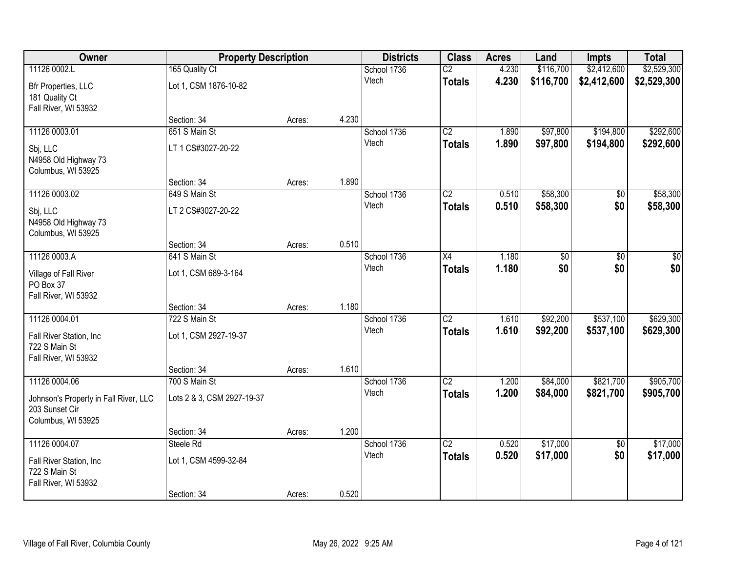| Owner                                                                         | <b>Property Description</b> |        |       | <b>Districts</b> | <b>Class</b>    | <b>Acres</b> | Land      | <b>Impts</b>    | <b>Total</b> |
|-------------------------------------------------------------------------------|-----------------------------|--------|-------|------------------|-----------------|--------------|-----------|-----------------|--------------|
| 11126 0002.L                                                                  | 165 Quality Ct              |        |       | School 1736      | $\overline{C2}$ | 4.230        | \$116,700 | \$2,412,600     | \$2,529,300  |
| Bfr Properties, LLC<br>181 Quality Ct<br>Fall River, WI 53932                 | Lot 1, CSM 1876-10-82       |        |       | Vtech            | <b>Totals</b>   | 4.230        | \$116,700 | \$2,412,600     | \$2,529,300  |
|                                                                               | Section: 34                 | Acres: | 4.230 |                  |                 |              |           |                 |              |
| 11126 0003.01                                                                 | 651 S Main St               |        |       | School 1736      | $\overline{C2}$ | 1.890        | \$97,800  | \$194,800       | \$292,600    |
| Sbj, LLC<br>N4958 Old Highway 73<br>Columbus, WI 53925                        | LT 1 CS#3027-20-22          |        |       | Vtech            | <b>Totals</b>   | 1.890        | \$97,800  | \$194,800       | \$292,600    |
|                                                                               | Section: 34                 | Acres: | 1.890 |                  |                 |              |           |                 |              |
| 11126 0003.02                                                                 | 649 S Main St               |        |       | School 1736      | $\overline{C2}$ | 0.510        | \$58,300  | \$0             | \$58,300     |
| Sbj, LLC<br>N4958 Old Highway 73<br>Columbus, WI 53925                        | LT 2 CS#3027-20-22          |        |       | Vtech            | <b>Totals</b>   | 0.510        | \$58,300  | \$0             | \$58,300     |
|                                                                               | Section: 34                 | Acres: | 0.510 |                  |                 |              |           |                 |              |
| 11126 0003.A                                                                  | 641 S Main St               |        |       | School 1736      | X4              | 1.180        | \$0       | \$0             | \$0          |
| Village of Fall River<br>PO Box 37<br>Fall River, WI 53932                    | Lot 1, CSM 689-3-164        |        |       | Vtech            | <b>Totals</b>   | 1.180        | \$0       | \$0             | \$0          |
|                                                                               | Section: 34                 | Acres: | 1.180 |                  |                 |              |           |                 |              |
| 11126 0004.01                                                                 | 722 S Main St               |        |       | School 1736      | $\overline{C2}$ | 1.610        | \$92,200  | \$537,100       | \$629,300    |
| Fall River Station, Inc<br>722 S Main St<br>Fall River, WI 53932              | Lot 1, CSM 2927-19-37       |        |       | Vtech            | <b>Totals</b>   | 1.610        | \$92,200  | \$537,100       | \$629,300    |
|                                                                               | Section: 34                 | Acres: | 1.610 |                  |                 |              |           |                 |              |
| 11126 0004.06                                                                 | 700 S Main St               |        |       | School 1736      | $\overline{C2}$ | 1.200        | \$84,000  | \$821,700       | \$905,700    |
| Johnson's Property in Fall River, LLC<br>203 Sunset Cir<br>Columbus, WI 53925 | Lots 2 & 3, CSM 2927-19-37  |        |       | Vtech            | <b>Totals</b>   | 1.200        | \$84,000  | \$821,700       | \$905,700    |
|                                                                               | Section: 34                 | Acres: | 1.200 |                  |                 |              |           |                 |              |
| 11126 0004.07                                                                 | Steele Rd                   |        |       | School 1736      | $\overline{C2}$ | 0.520        | \$17,000  | $\overline{50}$ | \$17,000     |
| Fall River Station, Inc.<br>722 S Main St<br>Fall River, WI 53932             | Lot 1, CSM 4599-32-84       |        |       | Vtech            | <b>Totals</b>   | 0.520        | \$17,000  | \$0             | \$17,000     |
|                                                                               | Section: 34                 | Acres: | 0.520 |                  |                 |              |           |                 |              |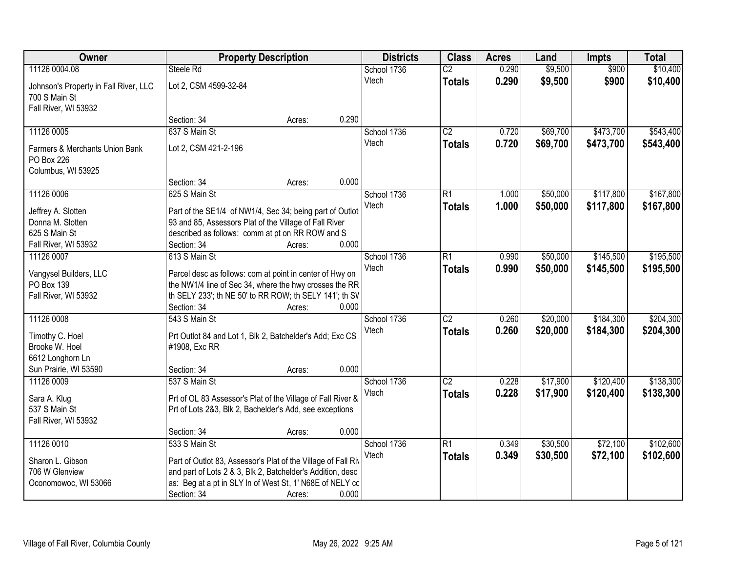| Owner                                  | <b>Property Description</b>                                                                                         |        |       | <b>Districts</b> | <b>Class</b>    | <b>Acres</b> | Land     | <b>Impts</b> | <b>Total</b> |
|----------------------------------------|---------------------------------------------------------------------------------------------------------------------|--------|-------|------------------|-----------------|--------------|----------|--------------|--------------|
| 11126 0004.08                          | Steele Rd                                                                                                           |        |       | School 1736      | $\overline{C2}$ | 0.290        | \$9,500  | \$900        | \$10,400     |
| Johnson's Property in Fall River, LLC  | Lot 2, CSM 4599-32-84                                                                                               |        |       | Vtech            | <b>Totals</b>   | 0.290        | \$9,500  | \$900        | \$10,400     |
| 700 S Main St                          |                                                                                                                     |        |       |                  |                 |              |          |              |              |
| Fall River, WI 53932                   |                                                                                                                     |        |       |                  |                 |              |          |              |              |
|                                        | Section: 34                                                                                                         | Acres: | 0.290 |                  |                 |              |          |              |              |
| 11126 0005                             | 637 S Main St                                                                                                       |        |       | School 1736      | $\overline{C2}$ | 0.720        | \$69,700 | \$473,700    | \$543,400    |
| Farmers & Merchants Union Bank         | Lot 2, CSM 421-2-196                                                                                                |        |       | Vtech            | <b>Totals</b>   | 0.720        | \$69,700 | \$473,700    | \$543,400    |
| PO Box 226                             |                                                                                                                     |        |       |                  |                 |              |          |              |              |
| Columbus, WI 53925                     |                                                                                                                     |        |       |                  |                 |              |          |              |              |
|                                        | Section: 34                                                                                                         | Acres: | 0.000 |                  |                 |              |          |              |              |
| 11126 0006                             | 625 S Main St                                                                                                       |        |       | School 1736      | $\overline{R1}$ | 1.000        | \$50,000 | \$117,800    | \$167,800    |
|                                        |                                                                                                                     |        |       | Vtech            | Totals          | 1.000        | \$50,000 | \$117,800    | \$167,800    |
| Jeffrey A. Slotten<br>Donna M. Slotten | Part of the SE1/4 of NW1/4, Sec 34; being part of Outlot:<br>93 and 85, Assessors Plat of the Village of Fall River |        |       |                  |                 |              |          |              |              |
| 625 S Main St                          | described as follows: comm at pt on RR ROW and S                                                                    |        |       |                  |                 |              |          |              |              |
| Fall River, WI 53932                   | Section: 34                                                                                                         | Acres: | 0.000 |                  |                 |              |          |              |              |
| 11126 0007                             | 613 S Main St                                                                                                       |        |       | School 1736      | $\overline{R1}$ | 0.990        | \$50,000 | \$145,500    | \$195,500    |
|                                        |                                                                                                                     |        |       | Vtech            | <b>Totals</b>   | 0.990        | \$50,000 | \$145,500    | \$195,500    |
| Vangysel Builders, LLC                 | Parcel desc as follows: com at point in center of Hwy on                                                            |        |       |                  |                 |              |          |              |              |
| PO Box 139<br>Fall River, WI 53932     | the NW1/4 line of Sec 34, where the hwy crosses the RR<br>th SELY 233'; th NE 50' to RR ROW; th SELY 141'; th SV    |        |       |                  |                 |              |          |              |              |
|                                        | Section: 34                                                                                                         | Acres: | 0.000 |                  |                 |              |          |              |              |
| 11126 0008                             | 543 S Main St                                                                                                       |        |       | School 1736      | $\overline{C2}$ | 0.260        | \$20,000 | \$184,300    | \$204,300    |
|                                        |                                                                                                                     |        |       | Vtech            | <b>Totals</b>   | 0.260        | \$20,000 | \$184,300    | \$204,300    |
| Timothy C. Hoel                        | Prt Outlot 84 and Lot 1, Blk 2, Batchelder's Add; Exc CS                                                            |        |       |                  |                 |              |          |              |              |
| Brooke W. Hoel                         | #1908, Exc RR                                                                                                       |        |       |                  |                 |              |          |              |              |
| 6612 Longhorn Ln                       |                                                                                                                     |        |       |                  |                 |              |          |              |              |
| Sun Prairie, WI 53590                  | Section: 34                                                                                                         | Acres: | 0.000 |                  |                 |              |          |              |              |
| 11126 0009                             | 537 S Main St                                                                                                       |        |       | School 1736      | $\overline{C2}$ | 0.228        | \$17,900 | \$120,400    | \$138,300    |
| Sara A. Klug                           | Prt of OL 83 Assessor's Plat of the Village of Fall River &                                                         |        |       | Vtech            | <b>Totals</b>   | 0.228        | \$17,900 | \$120,400    | \$138,300    |
| 537 S Main St                          | Prt of Lots 2&3, Blk 2, Bachelder's Add, see exceptions                                                             |        |       |                  |                 |              |          |              |              |
| Fall River, WI 53932                   |                                                                                                                     |        |       |                  |                 |              |          |              |              |
|                                        | Section: 34                                                                                                         | Acres: | 0.000 |                  |                 |              |          |              |              |
| 11126 0010                             | 533 S Main St                                                                                                       |        |       | School 1736      | R1              | 0.349        | \$30,500 | \$72,100     | \$102,600    |
| Sharon L. Gibson                       | Part of Outlot 83, Assessor's Plat of the Village of Fall Riv                                                       |        |       | Vtech            | <b>Totals</b>   | 0.349        | \$30,500 | \$72,100     | \$102,600    |
| 706 W Glenview                         | and part of Lots 2 & 3, Blk 2, Batchelder's Addition, desc                                                          |        |       |                  |                 |              |          |              |              |
| Oconomowoc, WI 53066                   | as: Beg at a pt in SLY In of West St, 1' N68E of NELY co                                                            |        |       |                  |                 |              |          |              |              |
|                                        | Section: 34                                                                                                         | Acres: | 0.000 |                  |                 |              |          |              |              |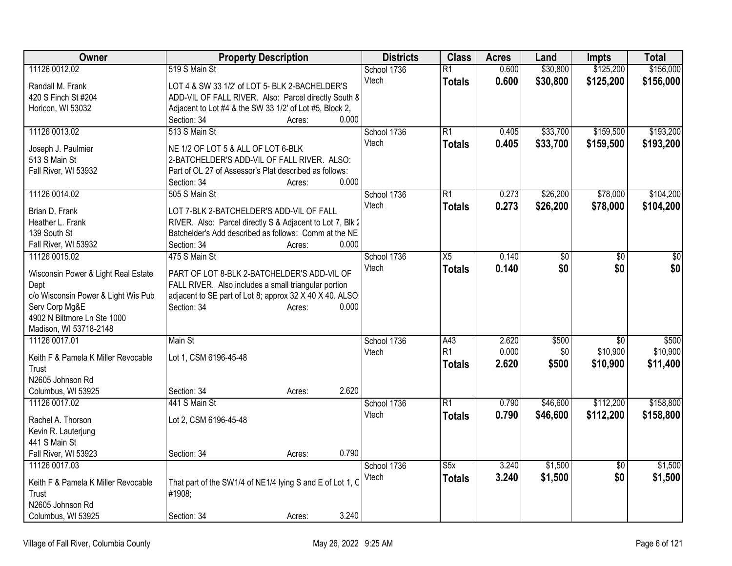| <b>Owner</b>                        | <b>Property Description</b>                               | <b>Districts</b> | <b>Class</b>    | <b>Acres</b> | Land            | <b>Impts</b>    | <b>Total</b>    |
|-------------------------------------|-----------------------------------------------------------|------------------|-----------------|--------------|-----------------|-----------------|-----------------|
| 11126 0012.02                       | 519 S Main St                                             | School 1736      | $\overline{R1}$ | 0.600        | \$30,800        | \$125,200       | \$156,000       |
| Randall M. Frank                    | LOT 4 & SW 33 1/2' of LOT 5- BLK 2-BACHELDER'S            | Vtech            | <b>Totals</b>   | 0.600        | \$30,800        | \$125,200       | \$156,000       |
| 420 S Finch St #204                 | ADD-VIL OF FALL RIVER. Also: Parcel directly South &      |                  |                 |              |                 |                 |                 |
| Horicon, WI 53032                   | Adjacent to Lot #4 & the SW 33 1/2' of Lot #5, Block 2,   |                  |                 |              |                 |                 |                 |
|                                     | 0.000<br>Section: 34<br>Acres:                            |                  |                 |              |                 |                 |                 |
| 11126 0013.02                       | 513 S Main St                                             | School 1736      | $\overline{R1}$ | 0.405        | \$33,700        | \$159,500       | \$193,200       |
|                                     |                                                           | Vtech            | <b>Totals</b>   | 0.405        | \$33,700        | \$159,500       | \$193,200       |
| Joseph J. Paulmier                  | NE 1/2 OF LOT 5 & ALL OF LOT 6-BLK                        |                  |                 |              |                 |                 |                 |
| 513 S Main St                       | 2-BATCHELDER'S ADD-VIL OF FALL RIVER. ALSO:               |                  |                 |              |                 |                 |                 |
| Fall River, WI 53932                | Part of OL 27 of Assessor's Plat described as follows:    |                  |                 |              |                 |                 |                 |
|                                     | 0.000<br>Section: 34<br>Acres:                            |                  |                 |              |                 |                 |                 |
| 11126 0014.02                       | 505 S Main St                                             | School 1736      | $\overline{R1}$ | 0.273        | \$26,200        | \$78,000        | \$104,200       |
| Brian D. Frank                      | LOT 7-BLK 2-BATCHELDER'S ADD-VIL OF FALL                  | Vtech            | <b>Totals</b>   | 0.273        | \$26,200        | \$78,000        | \$104,200       |
| Heather L. Frank                    | RIVER. Also: Parcel directly S & Adjacent to Lot 7, Blk 2 |                  |                 |              |                 |                 |                 |
| 139 South St                        | Batchelder's Add described as follows: Comm at the NE     |                  |                 |              |                 |                 |                 |
| Fall River, WI 53932                | 0.000<br>Section: 34<br>Acres:                            |                  |                 |              |                 |                 |                 |
| 11126 0015.02                       | 475 S Main St                                             | School 1736      | $\overline{X5}$ | 0.140        | $\overline{50}$ | $\overline{50}$ | $\overline{50}$ |
|                                     |                                                           | Vtech            | <b>Totals</b>   | 0.140        | \$0             | \$0             | \$0             |
| Wisconsin Power & Light Real Estate | PART OF LOT 8-BLK 2-BATCHELDER'S ADD-VIL OF               |                  |                 |              |                 |                 |                 |
| Dept                                | FALL RIVER. Also includes a small triangular portion      |                  |                 |              |                 |                 |                 |
| c/o Wisconsin Power & Light Wis Pub | adjacent to SE part of Lot 8; approx 32 X 40 X 40. ALSO:  |                  |                 |              |                 |                 |                 |
| Serv Corp Mg&E                      | Section: 34<br>0.000<br>Acres:                            |                  |                 |              |                 |                 |                 |
| 4902 N Biltmore Ln Ste 1000         |                                                           |                  |                 |              |                 |                 |                 |
| Madison, WI 53718-2148              |                                                           |                  |                 |              |                 |                 |                 |
| 11126 0017.01                       | Main St                                                   | School 1736      | A43             | 2.620        | \$500           | $\overline{30}$ | \$500           |
| Keith F & Pamela K Miller Revocable | Lot 1, CSM 6196-45-48                                     | Vtech            | R <sub>1</sub>  | 0.000        | \$0             | \$10,900        | \$10,900        |
| Trust                               |                                                           |                  | <b>Totals</b>   | 2.620        | \$500           | \$10,900        | \$11,400        |
| N2605 Johnson Rd                    |                                                           |                  |                 |              |                 |                 |                 |
| Columbus, WI 53925                  | 2.620<br>Section: 34<br>Acres:                            |                  |                 |              |                 |                 |                 |
| 11126 0017.02                       | 441 S Main St                                             | School 1736      | $\overline{R1}$ | 0.790        | \$46,600        | \$112,200       | \$158,800       |
|                                     |                                                           | Vtech            | <b>Totals</b>   | 0.790        | \$46,600        | \$112,200       | \$158,800       |
| Rachel A. Thorson                   | Lot 2, CSM 6196-45-48                                     |                  |                 |              |                 |                 |                 |
| Kevin R. Lauterjung                 |                                                           |                  |                 |              |                 |                 |                 |
| 441 S Main St                       |                                                           |                  |                 |              |                 |                 |                 |
| Fall River, WI 53923                | 0.790<br>Section: 34<br>Acres:                            |                  |                 |              |                 |                 |                 |
| 11126 0017.03                       |                                                           | School 1736      | S5x             | 3.240        | \$1,500         | $\overline{50}$ | \$1,500         |
| Keith F & Pamela K Miller Revocable | That part of the SW1/4 of NE1/4 lying S and E of Lot 1, C | Vtech            | <b>Totals</b>   | 3.240        | \$1,500         | \$0             | \$1,500         |
| Trust                               | #1908;                                                    |                  |                 |              |                 |                 |                 |
| N2605 Johnson Rd                    |                                                           |                  |                 |              |                 |                 |                 |
|                                     |                                                           |                  |                 |              |                 |                 |                 |
| Columbus, WI 53925                  | 3.240<br>Section: 34<br>Acres:                            |                  |                 |              |                 |                 |                 |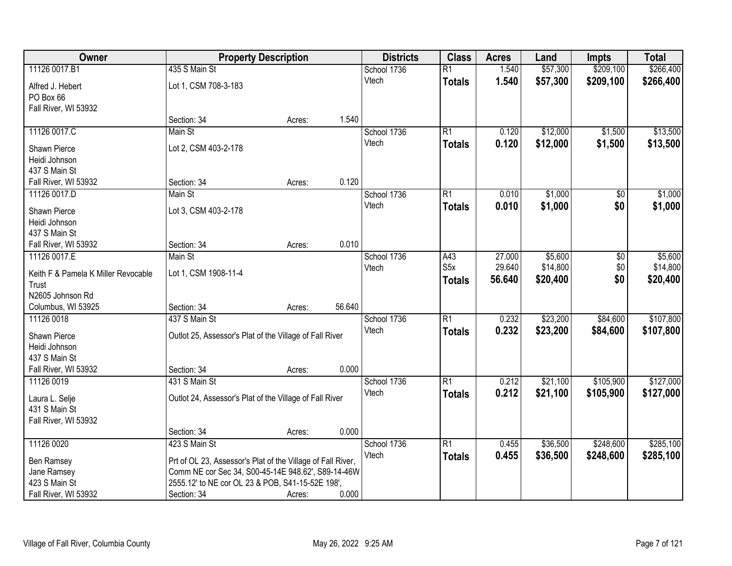| Owner                               |                                                             | <b>Property Description</b> | <b>Districts</b> | <b>Class</b>     | <b>Acres</b> | Land     | <b>Impts</b>    | <b>Total</b> |
|-------------------------------------|-------------------------------------------------------------|-----------------------------|------------------|------------------|--------------|----------|-----------------|--------------|
| 11126 0017.B1                       | 435 S Main St                                               |                             | School 1736      | $\overline{R1}$  | 1.540        | \$57,300 | \$209,100       | \$266,400    |
| Alfred J. Hebert                    | Lot 1, CSM 708-3-183                                        |                             | Vtech            | <b>Totals</b>    | 1.540        | \$57,300 | \$209,100       | \$266,400    |
| PO Box 66                           |                                                             |                             |                  |                  |              |          |                 |              |
| Fall River, WI 53932                |                                                             |                             |                  |                  |              |          |                 |              |
|                                     | Section: 34                                                 | Acres:                      | 1.540            |                  |              |          |                 |              |
| 11126 0017.C                        | Main St                                                     |                             | School 1736      | $\overline{R1}$  | 0.120        | \$12,000 | \$1,500         | \$13,500     |
| Shawn Pierce                        | Lot 2, CSM 403-2-178                                        |                             | Vtech            | <b>Totals</b>    | 0.120        | \$12,000 | \$1,500         | \$13,500     |
| Heidi Johnson                       |                                                             |                             |                  |                  |              |          |                 |              |
| 437 S Main St                       |                                                             |                             |                  |                  |              |          |                 |              |
| Fall River, WI 53932                | Section: 34                                                 | Acres:                      | 0.120            |                  |              |          |                 |              |
| 11126 0017.D                        | Main St                                                     |                             | School 1736      | $\overline{R1}$  | 0.010        | \$1,000  | $\overline{50}$ | \$1,000      |
|                                     |                                                             |                             | Vtech            | <b>Totals</b>    | 0.010        | \$1,000  | \$0             | \$1,000      |
| Shawn Pierce                        | Lot 3, CSM 403-2-178                                        |                             |                  |                  |              |          |                 |              |
| Heidi Johnson                       |                                                             |                             |                  |                  |              |          |                 |              |
| 437 S Main St                       |                                                             |                             |                  |                  |              |          |                 |              |
| Fall River, WI 53932                | Section: 34                                                 | Acres:                      | 0.010            |                  |              |          |                 |              |
| 11126 0017.E                        | Main St                                                     |                             | School 1736      | A43              | 27.000       | \$5,600  | \$0             | \$5,600      |
| Keith F & Pamela K Miller Revocable | Lot 1, CSM 1908-11-4                                        |                             | Vtech            | S <sub>5</sub> x | 29.640       | \$14,800 | \$0             | \$14,800     |
| Trust                               |                                                             |                             |                  | <b>Totals</b>    | 56.640       | \$20,400 | \$0             | \$20,400     |
| N2605 Johnson Rd                    |                                                             |                             |                  |                  |              |          |                 |              |
| Columbus, WI 53925                  | Section: 34                                                 | Acres:                      | 56.640           |                  |              |          |                 |              |
| 11126 0018                          | 437 S Main St                                               |                             | School 1736      | $\overline{R1}$  | 0.232        | \$23,200 | \$84,600        | \$107,800    |
| Shawn Pierce                        | Outlot 25, Assessor's Plat of the Village of Fall River     |                             | Vtech            | <b>Totals</b>    | 0.232        | \$23,200 | \$84,600        | \$107,800    |
| Heidi Johnson                       |                                                             |                             |                  |                  |              |          |                 |              |
| 437 S Main St                       |                                                             |                             |                  |                  |              |          |                 |              |
| Fall River, WI 53932                | Section: 34                                                 | Acres:                      | 0.000            |                  |              |          |                 |              |
| 11126 0019                          | 431 S Main St                                               |                             | School 1736      | $\overline{R1}$  | 0.212        | \$21,100 | \$105,900       | \$127,000    |
|                                     |                                                             |                             | Vtech            | <b>Totals</b>    | 0.212        | \$21,100 | \$105,900       | \$127,000    |
| Laura L. Selje                      | Outlot 24, Assessor's Plat of the Village of Fall River     |                             |                  |                  |              |          |                 |              |
| 431 S Main St                       |                                                             |                             |                  |                  |              |          |                 |              |
| Fall River, WI 53932                | Section: 34                                                 |                             | 0.000            |                  |              |          |                 |              |
| 11126 0020                          | 423 S Main St                                               | Acres:                      | School 1736      | $\overline{R1}$  | 0.455        | \$36,500 | \$248,600       | \$285,100    |
|                                     |                                                             |                             | Vtech            |                  |              |          |                 |              |
| Ben Ramsey                          | Prt of OL 23, Assessor's Plat of the Village of Fall River, |                             |                  | <b>Totals</b>    | 0.455        | \$36,500 | \$248,600       | \$285,100    |
| Jane Ramsey                         | Comm NE cor Sec 34, S00-45-14E 948.62', S89-14-46W          |                             |                  |                  |              |          |                 |              |
| 423 S Main St                       | 2555.12' to NE cor OL 23 & POB, S41-15-52E 198',            |                             |                  |                  |              |          |                 |              |
| Fall River, WI 53932                | Section: 34                                                 | Acres:                      | 0.000            |                  |              |          |                 |              |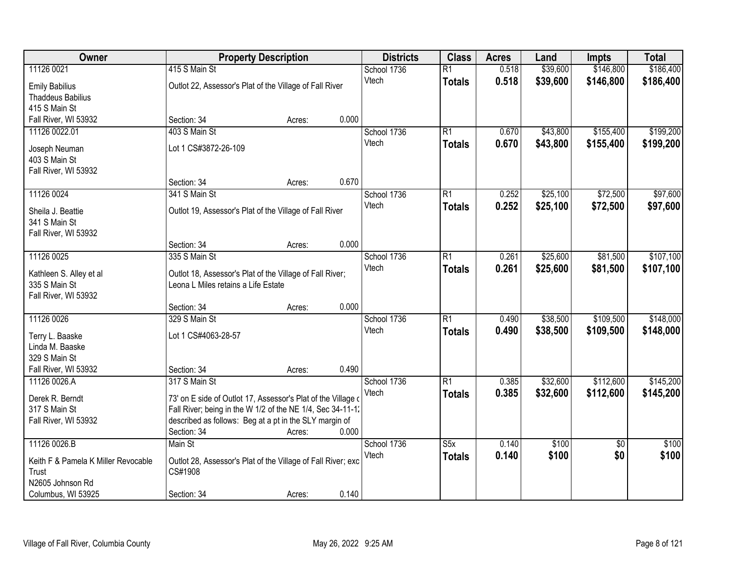| \$39,600<br>\$146,800<br>\$186,400<br>11126 0021<br>415 S Main St<br>School 1736<br>$\overline{R1}$<br>0.518<br>0.518<br>Vtech<br>\$39,600<br>\$146,800<br>\$186,400<br><b>Totals</b><br>Outlot 22, Assessor's Plat of the Village of Fall River<br><b>Emily Babilius</b><br><b>Thaddeus Babilius</b><br>415 S Main St<br>0.000<br>Fall River, WI 53932<br>Section: 34<br>Acres: |
|----------------------------------------------------------------------------------------------------------------------------------------------------------------------------------------------------------------------------------------------------------------------------------------------------------------------------------------------------------------------------------|
|                                                                                                                                                                                                                                                                                                                                                                                  |
|                                                                                                                                                                                                                                                                                                                                                                                  |
|                                                                                                                                                                                                                                                                                                                                                                                  |
|                                                                                                                                                                                                                                                                                                                                                                                  |
|                                                                                                                                                                                                                                                                                                                                                                                  |
| 403 S Main St<br>\$155,400<br>\$199,200<br>11126 0022.01<br>School 1736<br>$\overline{R1}$<br>\$43,800<br>0.670                                                                                                                                                                                                                                                                  |
| 0.670<br>\$43,800<br>\$155,400<br>Vtech<br>\$199,200<br><b>Totals</b><br>Lot 1 CS#3872-26-109                                                                                                                                                                                                                                                                                    |
| Joseph Neuman<br>403 S Main St                                                                                                                                                                                                                                                                                                                                                   |
| Fall River, WI 53932                                                                                                                                                                                                                                                                                                                                                             |
| 0.670<br>Section: 34<br>Acres:                                                                                                                                                                                                                                                                                                                                                   |
| \$25,100<br>\$72,500<br>\$97,600<br>11126 0024<br>341 S Main St<br>R1<br>0.252<br>School 1736                                                                                                                                                                                                                                                                                    |
| 0.252<br>\$25,100<br>Vtech<br>\$72,500<br>\$97,600<br><b>Totals</b>                                                                                                                                                                                                                                                                                                              |
| Outlot 19, Assessor's Plat of the Village of Fall River<br>Sheila J. Beattie                                                                                                                                                                                                                                                                                                     |
| 341 S Main St                                                                                                                                                                                                                                                                                                                                                                    |
| Fall River, WI 53932<br>0.000<br>Section: 34                                                                                                                                                                                                                                                                                                                                     |
| Acres:<br>\$107,100<br>11126 0025<br>335 S Main St<br>School 1736<br>$\overline{R1}$<br>\$25,600<br>\$81,500<br>0.261                                                                                                                                                                                                                                                            |
| Vtech<br>0.261<br>\$25,600<br>\$81,500                                                                                                                                                                                                                                                                                                                                           |
| \$107,100<br><b>Totals</b><br>Kathleen S. Alley et al<br>Outlot 18, Assessor's Plat of the Village of Fall River;                                                                                                                                                                                                                                                                |
| 335 S Main St<br>Leona L Miles retains a Life Estate                                                                                                                                                                                                                                                                                                                             |
| Fall River, WI 53932                                                                                                                                                                                                                                                                                                                                                             |
| 0.000<br>Section: 34<br>Acres:                                                                                                                                                                                                                                                                                                                                                   |
| 329 S Main St<br>\$109,500<br>\$148,000<br>11126 0026<br>$\overline{R1}$<br>\$38,500<br>School 1736<br>0.490                                                                                                                                                                                                                                                                     |
| 0.490<br>\$109,500<br>Vtech<br>\$38,500<br>\$148,000<br><b>Totals</b><br>Lot 1 CS#4063-28-57<br>Terry L. Baaske                                                                                                                                                                                                                                                                  |
| Linda M. Baaske                                                                                                                                                                                                                                                                                                                                                                  |
| 329 S Main St                                                                                                                                                                                                                                                                                                                                                                    |
| 0.490<br>Fall River, WI 53932<br>Section: 34<br>Acres:                                                                                                                                                                                                                                                                                                                           |
| $\overline{R1}$<br>\$32,600<br>\$112,600<br>\$145,200<br>11126 0026.A<br>317 S Main St<br>School 1736<br>0.385                                                                                                                                                                                                                                                                   |
| 0.385<br>\$32,600<br>\$112,600<br>\$145,200<br>Vtech<br><b>Totals</b><br>Derek R. Berndt<br>73' on E side of Outlot 17, Assessor's Plat of the Village of                                                                                                                                                                                                                        |
| Fall River; being in the W 1/2 of the NE 1/4, Sec 34-11-1.<br>317 S Main St                                                                                                                                                                                                                                                                                                      |
| described as follows: Beg at a pt in the SLY margin of<br>Fall River, WI 53932                                                                                                                                                                                                                                                                                                   |
| Section: 34<br>0.000<br>Acres:                                                                                                                                                                                                                                                                                                                                                   |
| 11126 0026.B<br>0.140<br>\$100<br>\$100<br>Main St<br>School 1736<br>$\overline{\text{S5x}}$<br>$\overline{30}$                                                                                                                                                                                                                                                                  |
| \$100<br>Vtech<br>0.140<br>\$100<br>\$0<br><b>Totals</b>                                                                                                                                                                                                                                                                                                                         |
| Keith F & Pamela K Miller Revocable<br>Outlot 28, Assessor's Plat of the Village of Fall River; exc<br>Trust<br>CS#1908                                                                                                                                                                                                                                                          |
| N2605 Johnson Rd                                                                                                                                                                                                                                                                                                                                                                 |
| 0.140<br>Columbus, WI 53925<br>Section: 34<br>Acres:                                                                                                                                                                                                                                                                                                                             |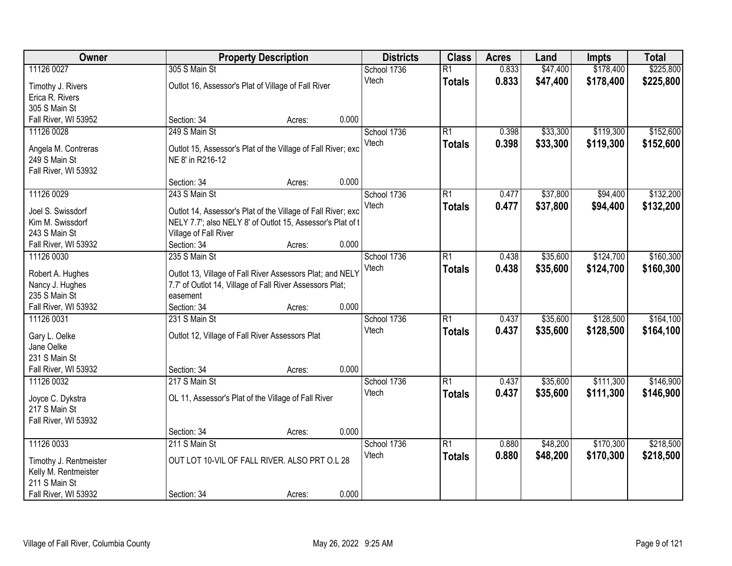| \$225,800<br>11126 0027<br>305 S Main St<br>0.833<br>\$47,400<br>\$178,400<br>School 1736<br>$\overline{R1}$<br>Vtech<br>0.833<br>\$47,400<br>\$178,400<br>\$225,800<br><b>Totals</b><br>Outlot 16, Assessor's Plat of Village of Fall River<br>Timothy J. Rivers<br>Erica R. Rivers<br>305 S Main St<br>0.000<br>Fall River, WI 53952<br>Section: 34<br>Acres:<br>249 S Main St<br>\$119,300<br>\$152,600<br>11126 0028<br>School 1736<br>$\overline{R1}$<br>0.398<br>\$33,300<br>0.398<br>\$33,300<br>\$119,300<br>\$152,600<br>Vtech<br><b>Totals</b> |
|----------------------------------------------------------------------------------------------------------------------------------------------------------------------------------------------------------------------------------------------------------------------------------------------------------------------------------------------------------------------------------------------------------------------------------------------------------------------------------------------------------------------------------------------------------|
|                                                                                                                                                                                                                                                                                                                                                                                                                                                                                                                                                          |
|                                                                                                                                                                                                                                                                                                                                                                                                                                                                                                                                                          |
|                                                                                                                                                                                                                                                                                                                                                                                                                                                                                                                                                          |
|                                                                                                                                                                                                                                                                                                                                                                                                                                                                                                                                                          |
|                                                                                                                                                                                                                                                                                                                                                                                                                                                                                                                                                          |
|                                                                                                                                                                                                                                                                                                                                                                                                                                                                                                                                                          |
|                                                                                                                                                                                                                                                                                                                                                                                                                                                                                                                                                          |
| Angela M. Contreras<br>Outlot 15, Assessor's Plat of the Village of Fall River; exc                                                                                                                                                                                                                                                                                                                                                                                                                                                                      |
| 249 S Main St<br>NE 8' in R216-12                                                                                                                                                                                                                                                                                                                                                                                                                                                                                                                        |
| Fall River, WI 53932                                                                                                                                                                                                                                                                                                                                                                                                                                                                                                                                     |
| 0.000<br>Section: 34<br>Acres:                                                                                                                                                                                                                                                                                                                                                                                                                                                                                                                           |
| \$94,400<br>\$132,200<br>11126 0029<br>243 S Main St<br>R1<br>\$37,800<br>School 1736<br>0.477                                                                                                                                                                                                                                                                                                                                                                                                                                                           |
| \$37,800<br>Vtech<br>0.477<br>\$94,400<br>\$132,200<br><b>Totals</b><br>Outlot 14, Assessor's Plat of the Village of Fall River; exc<br>Joel S. Swissdorf                                                                                                                                                                                                                                                                                                                                                                                                |
| Kim M. Swissdorf<br>NELY 7.7'; also NELY 8' of Outlot 15, Assessor's Plat of t                                                                                                                                                                                                                                                                                                                                                                                                                                                                           |
| 243 S Main St<br>Village of Fall River                                                                                                                                                                                                                                                                                                                                                                                                                                                                                                                   |
| 0.000<br>Fall River, WI 53932<br>Section: 34<br>Acres:                                                                                                                                                                                                                                                                                                                                                                                                                                                                                                   |
| \$35,600<br>\$124,700<br>\$160,300<br>11126 0030<br>235 S Main St<br>School 1736<br>R1<br>0.438                                                                                                                                                                                                                                                                                                                                                                                                                                                          |
| Vtech<br>0.438<br>\$35,600<br>\$124,700<br>\$160,300<br><b>Totals</b><br>Outlot 13, Village of Fall River Assessors Plat; and NELY<br>Robert A. Hughes                                                                                                                                                                                                                                                                                                                                                                                                   |
| 7.7' of Outlot 14, Village of Fall River Assessors Plat;<br>Nancy J. Hughes                                                                                                                                                                                                                                                                                                                                                                                                                                                                              |
| 235 S Main St<br>easement                                                                                                                                                                                                                                                                                                                                                                                                                                                                                                                                |
| 0.000<br>Fall River, WI 53932<br>Section: 34<br>Acres:                                                                                                                                                                                                                                                                                                                                                                                                                                                                                                   |
| \$128,500<br>\$164,100<br>11126 0031<br>231 S Main St<br>$\overline{R1}$<br>0.437<br>\$35,600<br>School 1736                                                                                                                                                                                                                                                                                                                                                                                                                                             |
| 0.437<br>\$35,600<br>\$128,500<br>\$164,100<br>Vtech<br><b>Totals</b>                                                                                                                                                                                                                                                                                                                                                                                                                                                                                    |
| Gary L. Oelke<br>Outlot 12, Village of Fall River Assessors Plat                                                                                                                                                                                                                                                                                                                                                                                                                                                                                         |
| Jane Oelke                                                                                                                                                                                                                                                                                                                                                                                                                                                                                                                                               |
| 231 S Main St                                                                                                                                                                                                                                                                                                                                                                                                                                                                                                                                            |
| 0.000<br>Fall River, WI 53932<br>Section: 34<br>Acres:                                                                                                                                                                                                                                                                                                                                                                                                                                                                                                   |
| $\overline{R1}$<br>\$111,300<br>\$146,900<br>11126 0032<br>217 S Main St<br>School 1736<br>0.437<br>\$35,600                                                                                                                                                                                                                                                                                                                                                                                                                                             |
| 0.437<br>\$35,600<br>\$111,300<br>Vtech<br>\$146,900<br><b>Totals</b><br>OL 11, Assessor's Plat of the Village of Fall River<br>Joyce C. Dykstra                                                                                                                                                                                                                                                                                                                                                                                                         |
| 217 S Main St                                                                                                                                                                                                                                                                                                                                                                                                                                                                                                                                            |
| Fall River, WI 53932                                                                                                                                                                                                                                                                                                                                                                                                                                                                                                                                     |
| 0.000<br>Section: 34<br>Acres:                                                                                                                                                                                                                                                                                                                                                                                                                                                                                                                           |
| 11126 0033<br>211 S Main St<br>$\overline{R1}$<br>\$48,200<br>\$170,300<br>\$218,500<br>School 1736<br>0.880                                                                                                                                                                                                                                                                                                                                                                                                                                             |
| 0.880<br>\$48,200<br>\$170,300<br>Vtech<br>\$218,500<br><b>Totals</b><br>OUT LOT 10-VIL OF FALL RIVER. ALSO PRT O.L 28                                                                                                                                                                                                                                                                                                                                                                                                                                   |
| Timothy J. Rentmeister<br>Kelly M. Rentmeister                                                                                                                                                                                                                                                                                                                                                                                                                                                                                                           |
| 211 S Main St                                                                                                                                                                                                                                                                                                                                                                                                                                                                                                                                            |
| 0.000<br>Fall River, WI 53932<br>Section: 34<br>Acres:                                                                                                                                                                                                                                                                                                                                                                                                                                                                                                   |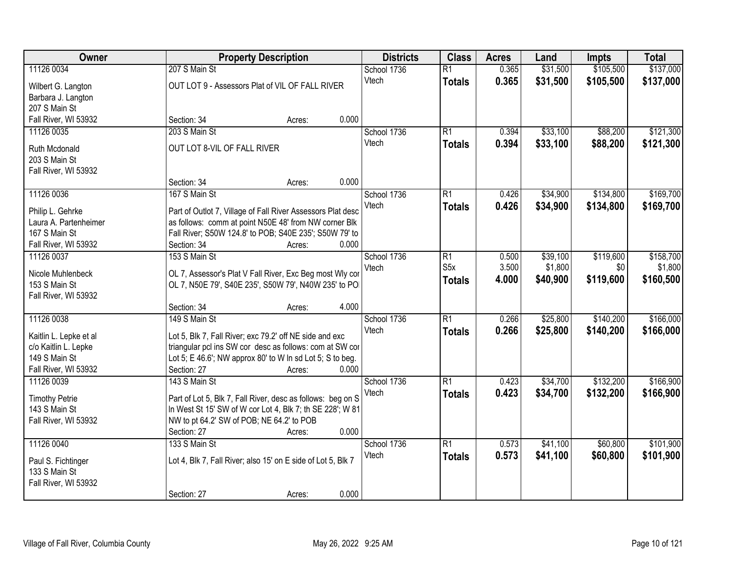| \$137,000<br>11126 0034<br>207 S Main St<br>0.365<br>\$31,500<br>\$105,500<br>School 1736<br>$\overline{R1}$<br>Vtech<br>0.365<br>\$31,500<br>\$105,500<br>\$137,000<br><b>Totals</b><br>OUT LOT 9 - Assessors Plat of VIL OF FALL RIVER<br>Wilbert G. Langton<br>Barbara J. Langton<br>207 S Main St<br>0.000<br>Fall River, WI 53932<br>Section: 34<br>Acres:<br>203 S Main St<br>\$33,100<br>\$88,200<br>11126 0035<br>School 1736<br>$\overline{R1}$<br>0.394<br>0.394<br>\$33,100<br>\$88,200<br>\$121,300<br>Vtech<br><b>Totals</b><br>OUT LOT 8-VIL OF FALL RIVER<br>Ruth Mcdonald<br>203 S Main St<br>Fall River, WI 53932<br>0.000<br>Section: 34<br>Acres:<br>11126 0036<br>167 S Main St<br>$\overline{R1}$<br>\$34,900<br>\$134,800<br>School 1736<br>0.426<br>Vtech<br>0.426<br>\$34,900<br>\$134,800<br><b>Totals</b><br>Part of Outlot 7, Village of Fall River Assessors Plat desc<br>Philip L. Gehrke<br>as follows: comm at point N50E 48' from NW corner Blk<br>Laura A. Partenheimer<br>Fall River; S50W 124.8' to POB; S40E 235'; S50W 79' to<br>167 S Main St<br>Section: 34<br>0.000<br>Fall River, WI 53932<br>Acres:<br>\$119,600<br>153 S Main St<br>$\overline{R1}$<br>\$39,100<br>11126 0037<br>School 1736<br>0.500<br>S <sub>5</sub> x<br>3.500<br>\$1,800<br>Vtech<br>\$0<br>OL 7, Assessor's Plat V Fall River, Exc Beg most Wly cor<br>Nicole Muhlenbeck<br>\$119,600<br>4.000<br>\$40,900<br>\$160,500<br><b>Totals</b><br>153 S Main St<br>OL 7, N50E 79', S40E 235', S50W 79', N40W 235' to PO<br>Fall River, WI 53932<br>4.000<br>Section: 34<br>Acres:<br>11126 0038<br>149 S Main St<br>$\overline{R1}$<br>\$140,200<br>0.266<br>\$25,800<br>School 1736<br>Vtech<br>0.266<br>\$25,800<br>\$140,200<br><b>Totals</b><br>Kaitlin L. Lepke et al<br>Lot 5, Blk 7, Fall River; exc 79.2' off NE side and exc<br>triangular pcl ins SW cor desc as follows: com at SW cor<br>c/o Kaitlin L. Lepke<br>149 S Main St<br>Lot 5; E 46.6'; NW approx 80' to W In sd Lot 5; S to beg.<br>0.000<br>Fall River, WI 53932<br>Section: 27<br>Acres:<br>11126 0039<br>School 1736<br>$\overline{R1}$<br>\$34,700<br>\$132,200<br>143 S Main St<br>0.423<br>\$34,700<br>Vtech<br>0.423<br>\$132,200<br><b>Totals</b><br>Part of Lot 5, Blk 7, Fall River, desc as follows: beg on S<br><b>Timothy Petrie</b><br>143 S Main St<br>In West St 15' SW of W cor Lot 4, Blk 7; th SE 228'; W 81<br>NW to pt 64.2' SW of POB; NE 64.2' to POB<br>Fall River, WI 53932<br>0.000<br>Section: 27<br>Acres:<br>11126 0040<br>133 S Main St<br>$\overline{R1}$<br>\$60,800<br>School 1736<br>0.573<br>\$41,100<br>0.573<br>\$41,100<br>\$60,800<br>\$101,900<br>Vtech<br><b>Totals</b><br>Lot 4, Blk 7, Fall River; also 15' on E side of Lot 5, Blk 7<br>Paul S. Fichtinger<br>133 S Main St<br>Fall River, WI 53932 | Owner | <b>Property Description</b>    | <b>Districts</b> | <b>Class</b> | <b>Acres</b> | Land | Impts | <b>Total</b> |
|-----------------------------------------------------------------------------------------------------------------------------------------------------------------------------------------------------------------------------------------------------------------------------------------------------------------------------------------------------------------------------------------------------------------------------------------------------------------------------------------------------------------------------------------------------------------------------------------------------------------------------------------------------------------------------------------------------------------------------------------------------------------------------------------------------------------------------------------------------------------------------------------------------------------------------------------------------------------------------------------------------------------------------------------------------------------------------------------------------------------------------------------------------------------------------------------------------------------------------------------------------------------------------------------------------------------------------------------------------------------------------------------------------------------------------------------------------------------------------------------------------------------------------------------------------------------------------------------------------------------------------------------------------------------------------------------------------------------------------------------------------------------------------------------------------------------------------------------------------------------------------------------------------------------------------------------------------------------------------------------------------------------------------------------------------------------------------------------------------------------------------------------------------------------------------------------------------------------------------------------------------------------------------------------------------------------------------------------------------------------------------------------------------------------------------------------------------------------------------------------------------------------------------------------------------------------------------------------------------------------------------------------------------------------------------------------------------------------------------------------------------------------------------------------------------------------------------------|-------|--------------------------------|------------------|--------------|--------------|------|-------|--------------|
|                                                                                                                                                                                                                                                                                                                                                                                                                                                                                                                                                                                                                                                                                                                                                                                                                                                                                                                                                                                                                                                                                                                                                                                                                                                                                                                                                                                                                                                                                                                                                                                                                                                                                                                                                                                                                                                                                                                                                                                                                                                                                                                                                                                                                                                                                                                                                                                                                                                                                                                                                                                                                                                                                                                                                                                                                                   |       |                                |                  |              |              |      |       |              |
|                                                                                                                                                                                                                                                                                                                                                                                                                                                                                                                                                                                                                                                                                                                                                                                                                                                                                                                                                                                                                                                                                                                                                                                                                                                                                                                                                                                                                                                                                                                                                                                                                                                                                                                                                                                                                                                                                                                                                                                                                                                                                                                                                                                                                                                                                                                                                                                                                                                                                                                                                                                                                                                                                                                                                                                                                                   |       |                                |                  |              |              |      |       |              |
|                                                                                                                                                                                                                                                                                                                                                                                                                                                                                                                                                                                                                                                                                                                                                                                                                                                                                                                                                                                                                                                                                                                                                                                                                                                                                                                                                                                                                                                                                                                                                                                                                                                                                                                                                                                                                                                                                                                                                                                                                                                                                                                                                                                                                                                                                                                                                                                                                                                                                                                                                                                                                                                                                                                                                                                                                                   |       |                                |                  |              |              |      |       |              |
|                                                                                                                                                                                                                                                                                                                                                                                                                                                                                                                                                                                                                                                                                                                                                                                                                                                                                                                                                                                                                                                                                                                                                                                                                                                                                                                                                                                                                                                                                                                                                                                                                                                                                                                                                                                                                                                                                                                                                                                                                                                                                                                                                                                                                                                                                                                                                                                                                                                                                                                                                                                                                                                                                                                                                                                                                                   |       |                                |                  |              |              |      |       |              |
| \$121,300<br>\$169,700<br>\$169,700<br>\$158,700<br>\$1,800<br>\$166,000<br>\$166,000<br>\$166,900<br>\$166,900<br>\$101,900                                                                                                                                                                                                                                                                                                                                                                                                                                                                                                                                                                                                                                                                                                                                                                                                                                                                                                                                                                                                                                                                                                                                                                                                                                                                                                                                                                                                                                                                                                                                                                                                                                                                                                                                                                                                                                                                                                                                                                                                                                                                                                                                                                                                                                                                                                                                                                                                                                                                                                                                                                                                                                                                                                      |       |                                |                  |              |              |      |       |              |
|                                                                                                                                                                                                                                                                                                                                                                                                                                                                                                                                                                                                                                                                                                                                                                                                                                                                                                                                                                                                                                                                                                                                                                                                                                                                                                                                                                                                                                                                                                                                                                                                                                                                                                                                                                                                                                                                                                                                                                                                                                                                                                                                                                                                                                                                                                                                                                                                                                                                                                                                                                                                                                                                                                                                                                                                                                   |       |                                |                  |              |              |      |       |              |
|                                                                                                                                                                                                                                                                                                                                                                                                                                                                                                                                                                                                                                                                                                                                                                                                                                                                                                                                                                                                                                                                                                                                                                                                                                                                                                                                                                                                                                                                                                                                                                                                                                                                                                                                                                                                                                                                                                                                                                                                                                                                                                                                                                                                                                                                                                                                                                                                                                                                                                                                                                                                                                                                                                                                                                                                                                   |       |                                |                  |              |              |      |       |              |
|                                                                                                                                                                                                                                                                                                                                                                                                                                                                                                                                                                                                                                                                                                                                                                                                                                                                                                                                                                                                                                                                                                                                                                                                                                                                                                                                                                                                                                                                                                                                                                                                                                                                                                                                                                                                                                                                                                                                                                                                                                                                                                                                                                                                                                                                                                                                                                                                                                                                                                                                                                                                                                                                                                                                                                                                                                   |       |                                |                  |              |              |      |       |              |
|                                                                                                                                                                                                                                                                                                                                                                                                                                                                                                                                                                                                                                                                                                                                                                                                                                                                                                                                                                                                                                                                                                                                                                                                                                                                                                                                                                                                                                                                                                                                                                                                                                                                                                                                                                                                                                                                                                                                                                                                                                                                                                                                                                                                                                                                                                                                                                                                                                                                                                                                                                                                                                                                                                                                                                                                                                   |       |                                |                  |              |              |      |       |              |
|                                                                                                                                                                                                                                                                                                                                                                                                                                                                                                                                                                                                                                                                                                                                                                                                                                                                                                                                                                                                                                                                                                                                                                                                                                                                                                                                                                                                                                                                                                                                                                                                                                                                                                                                                                                                                                                                                                                                                                                                                                                                                                                                                                                                                                                                                                                                                                                                                                                                                                                                                                                                                                                                                                                                                                                                                                   |       |                                |                  |              |              |      |       |              |
|                                                                                                                                                                                                                                                                                                                                                                                                                                                                                                                                                                                                                                                                                                                                                                                                                                                                                                                                                                                                                                                                                                                                                                                                                                                                                                                                                                                                                                                                                                                                                                                                                                                                                                                                                                                                                                                                                                                                                                                                                                                                                                                                                                                                                                                                                                                                                                                                                                                                                                                                                                                                                                                                                                                                                                                                                                   |       |                                |                  |              |              |      |       |              |
|                                                                                                                                                                                                                                                                                                                                                                                                                                                                                                                                                                                                                                                                                                                                                                                                                                                                                                                                                                                                                                                                                                                                                                                                                                                                                                                                                                                                                                                                                                                                                                                                                                                                                                                                                                                                                                                                                                                                                                                                                                                                                                                                                                                                                                                                                                                                                                                                                                                                                                                                                                                                                                                                                                                                                                                                                                   |       |                                |                  |              |              |      |       |              |
|                                                                                                                                                                                                                                                                                                                                                                                                                                                                                                                                                                                                                                                                                                                                                                                                                                                                                                                                                                                                                                                                                                                                                                                                                                                                                                                                                                                                                                                                                                                                                                                                                                                                                                                                                                                                                                                                                                                                                                                                                                                                                                                                                                                                                                                                                                                                                                                                                                                                                                                                                                                                                                                                                                                                                                                                                                   |       |                                |                  |              |              |      |       |              |
|                                                                                                                                                                                                                                                                                                                                                                                                                                                                                                                                                                                                                                                                                                                                                                                                                                                                                                                                                                                                                                                                                                                                                                                                                                                                                                                                                                                                                                                                                                                                                                                                                                                                                                                                                                                                                                                                                                                                                                                                                                                                                                                                                                                                                                                                                                                                                                                                                                                                                                                                                                                                                                                                                                                                                                                                                                   |       |                                |                  |              |              |      |       |              |
|                                                                                                                                                                                                                                                                                                                                                                                                                                                                                                                                                                                                                                                                                                                                                                                                                                                                                                                                                                                                                                                                                                                                                                                                                                                                                                                                                                                                                                                                                                                                                                                                                                                                                                                                                                                                                                                                                                                                                                                                                                                                                                                                                                                                                                                                                                                                                                                                                                                                                                                                                                                                                                                                                                                                                                                                                                   |       |                                |                  |              |              |      |       |              |
|                                                                                                                                                                                                                                                                                                                                                                                                                                                                                                                                                                                                                                                                                                                                                                                                                                                                                                                                                                                                                                                                                                                                                                                                                                                                                                                                                                                                                                                                                                                                                                                                                                                                                                                                                                                                                                                                                                                                                                                                                                                                                                                                                                                                                                                                                                                                                                                                                                                                                                                                                                                                                                                                                                                                                                                                                                   |       |                                |                  |              |              |      |       |              |
|                                                                                                                                                                                                                                                                                                                                                                                                                                                                                                                                                                                                                                                                                                                                                                                                                                                                                                                                                                                                                                                                                                                                                                                                                                                                                                                                                                                                                                                                                                                                                                                                                                                                                                                                                                                                                                                                                                                                                                                                                                                                                                                                                                                                                                                                                                                                                                                                                                                                                                                                                                                                                                                                                                                                                                                                                                   |       |                                |                  |              |              |      |       |              |
|                                                                                                                                                                                                                                                                                                                                                                                                                                                                                                                                                                                                                                                                                                                                                                                                                                                                                                                                                                                                                                                                                                                                                                                                                                                                                                                                                                                                                                                                                                                                                                                                                                                                                                                                                                                                                                                                                                                                                                                                                                                                                                                                                                                                                                                                                                                                                                                                                                                                                                                                                                                                                                                                                                                                                                                                                                   |       |                                |                  |              |              |      |       |              |
|                                                                                                                                                                                                                                                                                                                                                                                                                                                                                                                                                                                                                                                                                                                                                                                                                                                                                                                                                                                                                                                                                                                                                                                                                                                                                                                                                                                                                                                                                                                                                                                                                                                                                                                                                                                                                                                                                                                                                                                                                                                                                                                                                                                                                                                                                                                                                                                                                                                                                                                                                                                                                                                                                                                                                                                                                                   |       |                                |                  |              |              |      |       |              |
|                                                                                                                                                                                                                                                                                                                                                                                                                                                                                                                                                                                                                                                                                                                                                                                                                                                                                                                                                                                                                                                                                                                                                                                                                                                                                                                                                                                                                                                                                                                                                                                                                                                                                                                                                                                                                                                                                                                                                                                                                                                                                                                                                                                                                                                                                                                                                                                                                                                                                                                                                                                                                                                                                                                                                                                                                                   |       |                                |                  |              |              |      |       |              |
|                                                                                                                                                                                                                                                                                                                                                                                                                                                                                                                                                                                                                                                                                                                                                                                                                                                                                                                                                                                                                                                                                                                                                                                                                                                                                                                                                                                                                                                                                                                                                                                                                                                                                                                                                                                                                                                                                                                                                                                                                                                                                                                                                                                                                                                                                                                                                                                                                                                                                                                                                                                                                                                                                                                                                                                                                                   |       |                                |                  |              |              |      |       |              |
|                                                                                                                                                                                                                                                                                                                                                                                                                                                                                                                                                                                                                                                                                                                                                                                                                                                                                                                                                                                                                                                                                                                                                                                                                                                                                                                                                                                                                                                                                                                                                                                                                                                                                                                                                                                                                                                                                                                                                                                                                                                                                                                                                                                                                                                                                                                                                                                                                                                                                                                                                                                                                                                                                                                                                                                                                                   |       |                                |                  |              |              |      |       |              |
|                                                                                                                                                                                                                                                                                                                                                                                                                                                                                                                                                                                                                                                                                                                                                                                                                                                                                                                                                                                                                                                                                                                                                                                                                                                                                                                                                                                                                                                                                                                                                                                                                                                                                                                                                                                                                                                                                                                                                                                                                                                                                                                                                                                                                                                                                                                                                                                                                                                                                                                                                                                                                                                                                                                                                                                                                                   |       |                                |                  |              |              |      |       |              |
|                                                                                                                                                                                                                                                                                                                                                                                                                                                                                                                                                                                                                                                                                                                                                                                                                                                                                                                                                                                                                                                                                                                                                                                                                                                                                                                                                                                                                                                                                                                                                                                                                                                                                                                                                                                                                                                                                                                                                                                                                                                                                                                                                                                                                                                                                                                                                                                                                                                                                                                                                                                                                                                                                                                                                                                                                                   |       |                                |                  |              |              |      |       |              |
|                                                                                                                                                                                                                                                                                                                                                                                                                                                                                                                                                                                                                                                                                                                                                                                                                                                                                                                                                                                                                                                                                                                                                                                                                                                                                                                                                                                                                                                                                                                                                                                                                                                                                                                                                                                                                                                                                                                                                                                                                                                                                                                                                                                                                                                                                                                                                                                                                                                                                                                                                                                                                                                                                                                                                                                                                                   |       |                                |                  |              |              |      |       |              |
|                                                                                                                                                                                                                                                                                                                                                                                                                                                                                                                                                                                                                                                                                                                                                                                                                                                                                                                                                                                                                                                                                                                                                                                                                                                                                                                                                                                                                                                                                                                                                                                                                                                                                                                                                                                                                                                                                                                                                                                                                                                                                                                                                                                                                                                                                                                                                                                                                                                                                                                                                                                                                                                                                                                                                                                                                                   |       |                                |                  |              |              |      |       |              |
|                                                                                                                                                                                                                                                                                                                                                                                                                                                                                                                                                                                                                                                                                                                                                                                                                                                                                                                                                                                                                                                                                                                                                                                                                                                                                                                                                                                                                                                                                                                                                                                                                                                                                                                                                                                                                                                                                                                                                                                                                                                                                                                                                                                                                                                                                                                                                                                                                                                                                                                                                                                                                                                                                                                                                                                                                                   |       |                                |                  |              |              |      |       |              |
|                                                                                                                                                                                                                                                                                                                                                                                                                                                                                                                                                                                                                                                                                                                                                                                                                                                                                                                                                                                                                                                                                                                                                                                                                                                                                                                                                                                                                                                                                                                                                                                                                                                                                                                                                                                                                                                                                                                                                                                                                                                                                                                                                                                                                                                                                                                                                                                                                                                                                                                                                                                                                                                                                                                                                                                                                                   |       |                                |                  |              |              |      |       |              |
|                                                                                                                                                                                                                                                                                                                                                                                                                                                                                                                                                                                                                                                                                                                                                                                                                                                                                                                                                                                                                                                                                                                                                                                                                                                                                                                                                                                                                                                                                                                                                                                                                                                                                                                                                                                                                                                                                                                                                                                                                                                                                                                                                                                                                                                                                                                                                                                                                                                                                                                                                                                                                                                                                                                                                                                                                                   |       |                                |                  |              |              |      |       |              |
|                                                                                                                                                                                                                                                                                                                                                                                                                                                                                                                                                                                                                                                                                                                                                                                                                                                                                                                                                                                                                                                                                                                                                                                                                                                                                                                                                                                                                                                                                                                                                                                                                                                                                                                                                                                                                                                                                                                                                                                                                                                                                                                                                                                                                                                                                                                                                                                                                                                                                                                                                                                                                                                                                                                                                                                                                                   |       |                                |                  |              |              |      |       |              |
|                                                                                                                                                                                                                                                                                                                                                                                                                                                                                                                                                                                                                                                                                                                                                                                                                                                                                                                                                                                                                                                                                                                                                                                                                                                                                                                                                                                                                                                                                                                                                                                                                                                                                                                                                                                                                                                                                                                                                                                                                                                                                                                                                                                                                                                                                                                                                                                                                                                                                                                                                                                                                                                                                                                                                                                                                                   |       |                                |                  |              |              |      |       |              |
|                                                                                                                                                                                                                                                                                                                                                                                                                                                                                                                                                                                                                                                                                                                                                                                                                                                                                                                                                                                                                                                                                                                                                                                                                                                                                                                                                                                                                                                                                                                                                                                                                                                                                                                                                                                                                                                                                                                                                                                                                                                                                                                                                                                                                                                                                                                                                                                                                                                                                                                                                                                                                                                                                                                                                                                                                                   |       |                                |                  |              |              |      |       |              |
|                                                                                                                                                                                                                                                                                                                                                                                                                                                                                                                                                                                                                                                                                                                                                                                                                                                                                                                                                                                                                                                                                                                                                                                                                                                                                                                                                                                                                                                                                                                                                                                                                                                                                                                                                                                                                                                                                                                                                                                                                                                                                                                                                                                                                                                                                                                                                                                                                                                                                                                                                                                                                                                                                                                                                                                                                                   |       |                                |                  |              |              |      |       |              |
|                                                                                                                                                                                                                                                                                                                                                                                                                                                                                                                                                                                                                                                                                                                                                                                                                                                                                                                                                                                                                                                                                                                                                                                                                                                                                                                                                                                                                                                                                                                                                                                                                                                                                                                                                                                                                                                                                                                                                                                                                                                                                                                                                                                                                                                                                                                                                                                                                                                                                                                                                                                                                                                                                                                                                                                                                                   |       |                                |                  |              |              |      |       |              |
|                                                                                                                                                                                                                                                                                                                                                                                                                                                                                                                                                                                                                                                                                                                                                                                                                                                                                                                                                                                                                                                                                                                                                                                                                                                                                                                                                                                                                                                                                                                                                                                                                                                                                                                                                                                                                                                                                                                                                                                                                                                                                                                                                                                                                                                                                                                                                                                                                                                                                                                                                                                                                                                                                                                                                                                                                                   |       |                                |                  |              |              |      |       |              |
|                                                                                                                                                                                                                                                                                                                                                                                                                                                                                                                                                                                                                                                                                                                                                                                                                                                                                                                                                                                                                                                                                                                                                                                                                                                                                                                                                                                                                                                                                                                                                                                                                                                                                                                                                                                                                                                                                                                                                                                                                                                                                                                                                                                                                                                                                                                                                                                                                                                                                                                                                                                                                                                                                                                                                                                                                                   |       | 0.000<br>Section: 27<br>Acres: |                  |              |              |      |       |              |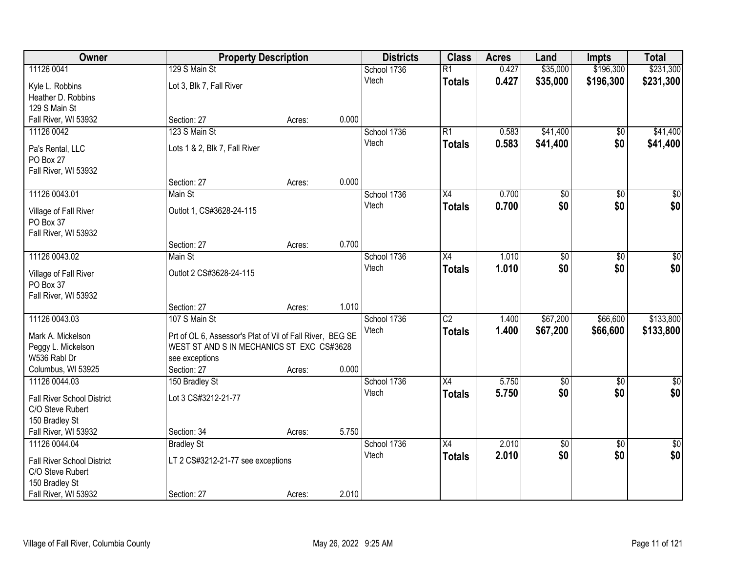| Owner                             |                                                           | <b>Property Description</b> |       | <b>Districts</b> | <b>Class</b>    | <b>Acres</b> | Land            | Impts           | <b>Total</b>    |
|-----------------------------------|-----------------------------------------------------------|-----------------------------|-------|------------------|-----------------|--------------|-----------------|-----------------|-----------------|
| 11126 0041                        | 129 S Main St                                             |                             |       | School 1736      | $\overline{R1}$ | 0.427        | \$35,000        | \$196,300       | \$231,300       |
| Kyle L. Robbins                   | Lot 3, Blk 7, Fall River                                  |                             |       | Vtech            | <b>Totals</b>   | 0.427        | \$35,000        | \$196,300       | \$231,300       |
| Heather D. Robbins                |                                                           |                             |       |                  |                 |              |                 |                 |                 |
| 129 S Main St                     |                                                           |                             |       |                  |                 |              |                 |                 |                 |
| Fall River, WI 53932              | Section: 27                                               | Acres:                      | 0.000 |                  |                 |              |                 |                 |                 |
| 11126 0042                        | 123 S Main St                                             |                             |       | School 1736      | R1              | 0.583        | \$41,400        | \$0             | \$41,400        |
| Pa's Rental, LLC                  | Lots 1 & 2, Blk 7, Fall River                             |                             |       | Vtech            | <b>Totals</b>   | 0.583        | \$41,400        | \$0             | \$41,400        |
| PO Box 27                         |                                                           |                             |       |                  |                 |              |                 |                 |                 |
| Fall River, WI 53932              |                                                           |                             |       |                  |                 |              |                 |                 |                 |
|                                   | Section: 27                                               | Acres:                      | 0.000 |                  |                 |              |                 |                 |                 |
| 11126 0043.01                     | Main St                                                   |                             |       | School 1736      | X4              | 0.700        | $\overline{50}$ | $\overline{50}$ | $\overline{30}$ |
| Village of Fall River             | Outlot 1, CS#3628-24-115                                  |                             |       | Vtech            | Totals          | 0.700        | \$0             | \$0             | \$0             |
| PO Box 37                         |                                                           |                             |       |                  |                 |              |                 |                 |                 |
| Fall River, WI 53932              |                                                           |                             |       |                  |                 |              |                 |                 |                 |
|                                   | Section: 27                                               | Acres:                      | 0.700 |                  |                 |              |                 |                 |                 |
| 11126 0043.02                     | Main St                                                   |                             |       | School 1736      | X4              | 1.010        | \$0             | \$0             | \$0             |
| Village of Fall River             | Outlot 2 CS#3628-24-115                                   |                             |       | Vtech            | <b>Totals</b>   | 1.010        | \$0             | \$0             | \$0             |
| PO Box 37                         |                                                           |                             |       |                  |                 |              |                 |                 |                 |
| Fall River, WI 53932              |                                                           |                             |       |                  |                 |              |                 |                 |                 |
|                                   | Section: 27                                               | Acres:                      | 1.010 |                  |                 |              |                 |                 |                 |
| 11126 0043.03                     | 107 S Main St                                             |                             |       | School 1736      | $\overline{C2}$ | 1.400        | \$67,200        | \$66,600        | \$133,800       |
| Mark A. Mickelson                 | Prt of OL 6, Assessor's Plat of Vil of Fall River, BEG SE |                             |       | Vtech            | <b>Totals</b>   | 1.400        | \$67,200        | \$66,600        | \$133,800       |
| Peggy L. Mickelson                | WEST ST AND S IN MECHANICS ST EXC CS#3628                 |                             |       |                  |                 |              |                 |                 |                 |
| W536 Rabl Dr                      | see exceptions                                            |                             |       |                  |                 |              |                 |                 |                 |
| Columbus, WI 53925                | Section: 27                                               | Acres:                      | 0.000 |                  |                 |              |                 |                 |                 |
| 11126 0044.03                     | 150 Bradley St                                            |                             |       | School 1736      | X4              | 5.750        | $\sqrt{$0}$     | $\sqrt{6}$      | \$0             |
| <b>Fall River School District</b> | Lot 3 CS#3212-21-77                                       |                             |       | Vtech            | <b>Totals</b>   | 5.750        | \$0             | \$0             | \$0             |
| C/O Steve Rubert                  |                                                           |                             |       |                  |                 |              |                 |                 |                 |
| 150 Bradley St                    |                                                           |                             |       |                  |                 |              |                 |                 |                 |
| Fall River, WI 53932              | Section: 34                                               | Acres:                      | 5.750 |                  |                 |              |                 |                 |                 |
| 11126 0044.04                     | <b>Bradley St</b>                                         |                             |       | School 1736      | X4              | 2.010        | $\overline{50}$ | $\overline{50}$ | $\frac{1}{6}$   |
| <b>Fall River School District</b> | LT 2 CS#3212-21-77 see exceptions                         |                             |       | Vtech            | <b>Totals</b>   | 2.010        | \$0             | \$0             | \$0             |
| C/O Steve Rubert                  |                                                           |                             |       |                  |                 |              |                 |                 |                 |
| 150 Bradley St                    |                                                           |                             |       |                  |                 |              |                 |                 |                 |
| Fall River, WI 53932              | Section: 27                                               | Acres:                      | 2.010 |                  |                 |              |                 |                 |                 |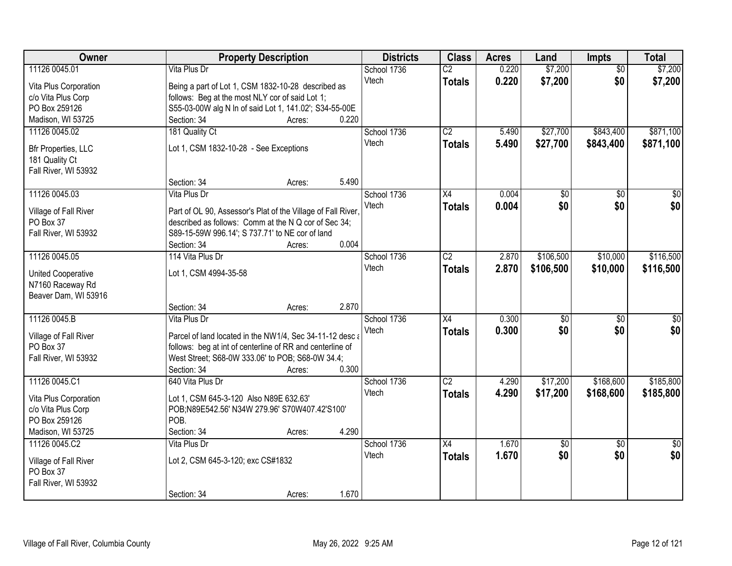| \$7,200<br>11126 0045.01<br>Vita Plus Dr<br>$\overline{C2}$<br>0.220<br>\$7,200<br>School 1736<br>$\overline{50}$<br>\$0<br>Vtech<br>0.220<br>\$7,200<br>\$7,200<br><b>Totals</b><br>Vita Plus Corporation<br>Being a part of Lot 1, CSM 1832-10-28 described as<br>follows: Beg at the most NLY cor of said Lot 1;<br>c/o Vita Plus Corp<br>PO Box 259126<br>S55-03-00W alg N In of said Lot 1, 141.02'; S34-55-00E<br>0.220<br>Madison, WI 53725<br>Section: 34<br>Acres:<br>\$871,100<br>School 1736<br>$\overline{C2}$<br>\$27,700<br>\$843,400<br>11126 0045.02<br>181 Quality Ct<br>5.490<br>5.490<br>\$27,700<br>Vtech<br>\$843,400<br>\$871,100<br><b>Totals</b><br>Lot 1, CSM 1832-10-28 - See Exceptions<br>Bfr Properties, LLC |
|-------------------------------------------------------------------------------------------------------------------------------------------------------------------------------------------------------------------------------------------------------------------------------------------------------------------------------------------------------------------------------------------------------------------------------------------------------------------------------------------------------------------------------------------------------------------------------------------------------------------------------------------------------------------------------------------------------------------------------------------|
|                                                                                                                                                                                                                                                                                                                                                                                                                                                                                                                                                                                                                                                                                                                                           |
|                                                                                                                                                                                                                                                                                                                                                                                                                                                                                                                                                                                                                                                                                                                                           |
|                                                                                                                                                                                                                                                                                                                                                                                                                                                                                                                                                                                                                                                                                                                                           |
|                                                                                                                                                                                                                                                                                                                                                                                                                                                                                                                                                                                                                                                                                                                                           |
|                                                                                                                                                                                                                                                                                                                                                                                                                                                                                                                                                                                                                                                                                                                                           |
|                                                                                                                                                                                                                                                                                                                                                                                                                                                                                                                                                                                                                                                                                                                                           |
|                                                                                                                                                                                                                                                                                                                                                                                                                                                                                                                                                                                                                                                                                                                                           |
|                                                                                                                                                                                                                                                                                                                                                                                                                                                                                                                                                                                                                                                                                                                                           |
| 181 Quality Ct                                                                                                                                                                                                                                                                                                                                                                                                                                                                                                                                                                                                                                                                                                                            |
| Fall River, WI 53932<br>5.490<br>Section: 34                                                                                                                                                                                                                                                                                                                                                                                                                                                                                                                                                                                                                                                                                              |
| Acres:<br>11126 0045.03<br>Vita Plus Dr<br>X4<br>0.004                                                                                                                                                                                                                                                                                                                                                                                                                                                                                                                                                                                                                                                                                    |
| School 1736<br>$\overline{50}$<br>$\overline{50}$                                                                                                                                                                                                                                                                                                                                                                                                                                                                                                                                                                                                                                                                                         |
| \$0<br>\$0 <br>\$0<br>Vtech<br>0.004<br>Totals<br>Village of Fall River<br>Part of OL 90, Assessor's Plat of the Village of Fall River,                                                                                                                                                                                                                                                                                                                                                                                                                                                                                                                                                                                                   |
| described as follows: Comm at the N Q cor of Sec 34;<br>PO Box 37                                                                                                                                                                                                                                                                                                                                                                                                                                                                                                                                                                                                                                                                         |
| S89-15-59W 996.14'; S 737.71' to NE cor of land<br>Fall River, WI 53932                                                                                                                                                                                                                                                                                                                                                                                                                                                                                                                                                                                                                                                                   |
| 0.004<br>Section: 34<br>Acres:                                                                                                                                                                                                                                                                                                                                                                                                                                                                                                                                                                                                                                                                                                            |
| 11126 0045.05<br>114 Vita Plus Dr<br>$\overline{C2}$<br>\$106,500<br>\$10,000<br>\$116,500<br>School 1736<br>2.870                                                                                                                                                                                                                                                                                                                                                                                                                                                                                                                                                                                                                        |
| Vtech<br>2.870<br>\$106,500<br>\$10,000<br>\$116,500<br><b>Totals</b><br>Lot 1, CSM 4994-35-58<br><b>United Cooperative</b>                                                                                                                                                                                                                                                                                                                                                                                                                                                                                                                                                                                                               |
| N7160 Raceway Rd                                                                                                                                                                                                                                                                                                                                                                                                                                                                                                                                                                                                                                                                                                                          |
| Beaver Dam, WI 53916                                                                                                                                                                                                                                                                                                                                                                                                                                                                                                                                                                                                                                                                                                                      |
| 2.870<br>Section: 34<br>Acres:                                                                                                                                                                                                                                                                                                                                                                                                                                                                                                                                                                                                                                                                                                            |
| 11126 0045.B<br>0.300<br>$\overline{X4}$<br>$\overline{30}$<br>$\overline{30}$<br>Vita Plus Dr<br>School 1736                                                                                                                                                                                                                                                                                                                                                                                                                                                                                                                                                                                                                             |
| \$0<br>\$0<br>0.300<br>\$0<br>Vtech<br><b>Totals</b>                                                                                                                                                                                                                                                                                                                                                                                                                                                                                                                                                                                                                                                                                      |
| Village of Fall River<br>Parcel of land located in the NW1/4, Sec 34-11-12 desc a                                                                                                                                                                                                                                                                                                                                                                                                                                                                                                                                                                                                                                                         |
| PO Box 37<br>follows: beg at int of centerline of RR and centerline of                                                                                                                                                                                                                                                                                                                                                                                                                                                                                                                                                                                                                                                                    |
| West Street; S68-0W 333.06' to POB; S68-0W 34.4;<br>Fall River, WI 53932                                                                                                                                                                                                                                                                                                                                                                                                                                                                                                                                                                                                                                                                  |
| 0.300<br>Section: 34<br>Acres:                                                                                                                                                                                                                                                                                                                                                                                                                                                                                                                                                                                                                                                                                                            |
| $\overline{C2}$<br>11126 0045.C1<br>\$17,200<br>\$168,600<br>\$185,800<br>640 Vita Plus Dr<br>School 1736<br>4.290                                                                                                                                                                                                                                                                                                                                                                                                                                                                                                                                                                                                                        |
| \$17,200<br>Vtech<br>4.290<br>\$168,600<br>\$185,800<br><b>Totals</b><br>Vita Plus Corporation<br>Lot 1, CSM 645-3-120 Also N89E 632.63'                                                                                                                                                                                                                                                                                                                                                                                                                                                                                                                                                                                                  |
| POB;N89E542.56' N34W 279.96' S70W407.42'S100'<br>c/o Vita Plus Corp                                                                                                                                                                                                                                                                                                                                                                                                                                                                                                                                                                                                                                                                       |
| PO Box 259126<br>POB.                                                                                                                                                                                                                                                                                                                                                                                                                                                                                                                                                                                                                                                                                                                     |
| 4.290<br>Madison, WI 53725<br>Section: 34<br>Acres:                                                                                                                                                                                                                                                                                                                                                                                                                                                                                                                                                                                                                                                                                       |
| School 1736<br>1.670<br>11126 0045.C2<br>Vita Plus Dr<br>X4<br>$\overline{50}$<br>$\overline{50}$                                                                                                                                                                                                                                                                                                                                                                                                                                                                                                                                                                                                                                         |
| \$0<br>1.670<br>\$0<br>\$0<br>Vtech<br><b>Totals</b><br>Lot 2, CSM 645-3-120; exc CS#1832<br>Village of Fall River                                                                                                                                                                                                                                                                                                                                                                                                                                                                                                                                                                                                                        |
| PO Box 37                                                                                                                                                                                                                                                                                                                                                                                                                                                                                                                                                                                                                                                                                                                                 |
| Fall River, WI 53932                                                                                                                                                                                                                                                                                                                                                                                                                                                                                                                                                                                                                                                                                                                      |
| 1.670<br>Section: 34<br>Acres:                                                                                                                                                                                                                                                                                                                                                                                                                                                                                                                                                                                                                                                                                                            |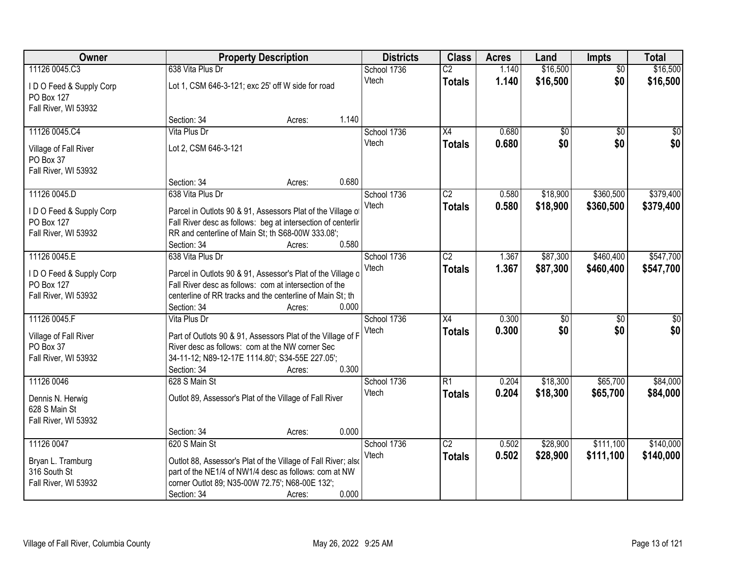| Owner                                                      |                      | <b>Property Description</b>                                   |       |             | <b>Class</b>    | <b>Acres</b> | Land     | <b>Impts</b>    | <b>Total</b> |
|------------------------------------------------------------|----------------------|---------------------------------------------------------------|-------|-------------|-----------------|--------------|----------|-----------------|--------------|
| 11126 0045.C3                                              | 638 Vita Plus Dr     |                                                               |       | School 1736 | $\overline{C2}$ | 1.140        | \$16,500 | $\overline{50}$ | \$16,500     |
| IDO Feed & Supply Corp<br>PO Box 127                       |                      | Lot 1, CSM 646-3-121; exc 25' off W side for road             |       | Vtech       | <b>Totals</b>   | 1.140        | \$16,500 | \$0             | \$16,500     |
| Fall River, WI 53932                                       |                      |                                                               |       |             |                 |              |          |                 |              |
|                                                            | Section: 34          | Acres:                                                        | 1.140 |             |                 |              |          |                 |              |
| 11126 0045.C4                                              | Vita Plus Dr         |                                                               |       | School 1736 | $\overline{X4}$ | 0.680        | \$0      | $\overline{50}$ | \$0          |
| Village of Fall River<br>PO Box 37<br>Fall River, WI 53932 | Lot 2, CSM 646-3-121 |                                                               |       | Vtech       | <b>Totals</b>   | 0.680        | \$0      | \$0             | \$0          |
|                                                            | Section: 34          | Acres:                                                        | 0.680 |             |                 |              |          |                 |              |
| 11126 0045.D                                               | 638 Vita Plus Dr     |                                                               |       | School 1736 | C2              | 0.580        | \$18,900 | \$360,500       | \$379,400    |
|                                                            |                      |                                                               |       | Vtech       | <b>Totals</b>   | 0.580        | \$18,900 | \$360,500       | \$379,400    |
| IDO Feed & Supply Corp                                     |                      | Parcel in Outlots 90 & 91, Assessors Plat of the Village of   |       |             |                 |              |          |                 |              |
| PO Box 127                                                 |                      | Fall River desc as follows: beg at intersection of centerlir  |       |             |                 |              |          |                 |              |
| Fall River, WI 53932                                       | Section: 34          | RR and centerline of Main St; th S68-00W 333.08';<br>Acres:   | 0.580 |             |                 |              |          |                 |              |
| 11126 0045.E                                               | 638 Vita Plus Dr     |                                                               |       | School 1736 | $\overline{C2}$ | 1.367        | \$87,300 | \$460,400       | \$547,700    |
|                                                            |                      |                                                               |       | Vtech       | <b>Totals</b>   | 1.367        | \$87,300 | \$460,400       | \$547,700    |
| IDO Feed & Supply Corp                                     |                      | Parcel in Outlots 90 & 91, Assessor's Plat of the Village o   |       |             |                 |              |          |                 |              |
| PO Box 127                                                 |                      | Fall River desc as follows: com at intersection of the        |       |             |                 |              |          |                 |              |
| Fall River, WI 53932                                       |                      | centerline of RR tracks and the centerline of Main St; th     |       |             |                 |              |          |                 |              |
|                                                            | Section: 34          | Acres:                                                        | 0.000 |             |                 |              |          |                 |              |
| 11126 0045.F                                               | Vita Plus Dr         |                                                               |       | School 1736 | $\overline{X4}$ | 0.300        | \$0      | $\overline{50}$ | \$0          |
| Village of Fall River                                      |                      | Part of Outlots 90 & 91, Assessors Plat of the Village of F   |       | Vtech       | <b>Totals</b>   | 0.300        | \$0      | \$0             | \$0          |
| PO Box 37                                                  |                      | River desc as follows: com at the NW corner Sec               |       |             |                 |              |          |                 |              |
| Fall River, WI 53932                                       |                      | 34-11-12; N89-12-17E 1114.80'; S34-55E 227.05';               |       |             |                 |              |          |                 |              |
|                                                            | Section: 34          | Acres:                                                        | 0.300 |             |                 |              |          |                 |              |
| 11126 0046                                                 | 628 S Main St        |                                                               |       | School 1736 | $\overline{R1}$ | 0.204        | \$18,300 | \$65,700        | \$84,000     |
| Dennis N. Herwig<br>628 S Main St                          |                      | Outlot 89, Assessor's Plat of the Village of Fall River       |       | Vtech       | <b>Totals</b>   | 0.204        | \$18,300 | \$65,700        | \$84,000     |
| Fall River, WI 53932                                       |                      |                                                               |       |             |                 |              |          |                 |              |
|                                                            | Section: 34          | Acres:                                                        | 0.000 |             |                 |              |          |                 |              |
| 11126 0047                                                 | 620 S Main St        |                                                               |       | School 1736 | $\overline{C2}$ | 0.502        | \$28,900 | \$111,100       | \$140,000    |
| Bryan L. Tramburg                                          |                      | Outlot 88, Assessor's Plat of the Village of Fall River; also |       | Vtech       | <b>Totals</b>   | 0.502        | \$28,900 | \$111,100       | \$140,000    |
| 316 South St                                               |                      | part of the NE1/4 of NW1/4 desc as follows: com at NW         |       |             |                 |              |          |                 |              |
| Fall River, WI 53932                                       |                      | corner Outlot 89; N35-00W 72.75'; N68-00E 132';               |       |             |                 |              |          |                 |              |
|                                                            | Section: 34          | Acres:                                                        | 0.000 |             |                 |              |          |                 |              |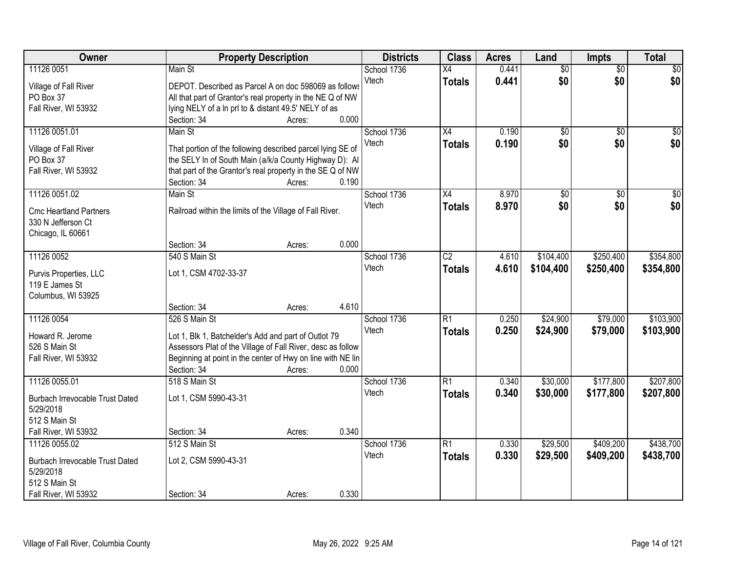| Owner                                  |                                                             | <b>Property Description</b> |       | <b>Districts</b> | <b>Class</b>    | <b>Acres</b> | Land            | <b>Impts</b>    | <b>Total</b>    |
|----------------------------------------|-------------------------------------------------------------|-----------------------------|-------|------------------|-----------------|--------------|-----------------|-----------------|-----------------|
| 11126 0051                             | Main St                                                     |                             |       | School 1736      | $\overline{X4}$ | 0.441        | $\overline{50}$ | $\overline{50}$ | $\sqrt{30}$     |
| Village of Fall River                  | DEPOT. Described as Parcel A on doc 598069 as follows       |                             |       | Vtech            | <b>Totals</b>   | 0.441        | \$0             | \$0             | \$0             |
| PO Box 37                              | All that part of Grantor's real property in the NE Q of NW  |                             |       |                  |                 |              |                 |                 |                 |
| Fall River, WI 53932                   | lying NELY of a ln prl to & distant 49.5' NELY of as        |                             |       |                  |                 |              |                 |                 |                 |
|                                        | Section: 34                                                 | Acres:                      | 0.000 |                  |                 |              |                 |                 |                 |
| 11126 0051.01                          | Main St                                                     |                             |       | School 1736      | $\overline{X4}$ | 0.190        | $\overline{50}$ | $\overline{50}$ | $\sqrt{50}$     |
| Village of Fall River                  | That portion of the following described parcel lying SE of  |                             |       | Vtech            | <b>Totals</b>   | 0.190        | \$0             | \$0             | \$0             |
| PO Box 37                              | the SELY In of South Main (a/k/a County Highway D): Al      |                             |       |                  |                 |              |                 |                 |                 |
| Fall River, WI 53932                   | that part of the Grantor's real property in the SE Q of NW  |                             |       |                  |                 |              |                 |                 |                 |
|                                        | Section: 34                                                 | Acres:                      | 0.190 |                  |                 |              |                 |                 |                 |
| 11126 0051.02                          | Main St                                                     |                             |       | School 1736      | X4              | 8.970        | $\overline{50}$ | $\overline{50}$ | $\overline{30}$ |
| <b>Cmc Heartland Partners</b>          | Railroad within the limits of the Village of Fall River.    |                             |       | Vtech            | <b>Totals</b>   | 8.970        | \$0             | \$0             | \$0             |
| 330 N Jefferson Ct                     |                                                             |                             |       |                  |                 |              |                 |                 |                 |
| Chicago, IL 60661                      |                                                             |                             |       |                  |                 |              |                 |                 |                 |
|                                        | Section: 34                                                 | Acres:                      | 0.000 |                  |                 |              |                 |                 |                 |
| 11126 0052                             | 540 S Main St                                               |                             |       | School 1736      | $\overline{C2}$ | 4.610        | \$104,400       | \$250,400       | \$354,800       |
| Purvis Properties, LLC                 | Lot 1, CSM 4702-33-37                                       |                             |       | Vtech            | <b>Totals</b>   | 4.610        | \$104,400       | \$250,400       | \$354,800       |
| 119 E James St                         |                                                             |                             |       |                  |                 |              |                 |                 |                 |
| Columbus, WI 53925                     |                                                             |                             |       |                  |                 |              |                 |                 |                 |
|                                        | Section: 34                                                 | Acres:                      | 4.610 |                  |                 |              |                 |                 |                 |
| 11126 0054                             | 526 S Main St                                               |                             |       | School 1736      | $\overline{R1}$ | 0.250        | \$24,900        | \$79,000        | \$103,900       |
| Howard R. Jerome                       | Lot 1, Blk 1, Batchelder's Add and part of Outlot 79        |                             |       | Vtech            | <b>Totals</b>   | 0.250        | \$24,900        | \$79,000        | \$103,900       |
| 526 S Main St                          | Assessors Plat of the Village of Fall River, desc as follow |                             |       |                  |                 |              |                 |                 |                 |
| Fall River, WI 53932                   | Beginning at point in the center of Hwy on line with NE lin |                             |       |                  |                 |              |                 |                 |                 |
|                                        | Section: 34                                                 | Acres:                      | 0.000 |                  |                 |              |                 |                 |                 |
| 11126 0055.01                          | 518 S Main St                                               |                             |       | School 1736      | R1              | 0.340        | \$30,000        | \$177,800       | \$207,800       |
| Burbach Irrevocable Trust Dated        | Lot 1, CSM 5990-43-31                                       |                             |       | Vtech            | <b>Totals</b>   | 0.340        | \$30,000        | \$177,800       | \$207,800       |
| 5/29/2018                              |                                                             |                             |       |                  |                 |              |                 |                 |                 |
| 512 S Main St                          |                                                             |                             |       |                  |                 |              |                 |                 |                 |
| Fall River, WI 53932                   | Section: 34                                                 | Acres:                      | 0.340 |                  |                 |              |                 |                 |                 |
| 11126 0055.02                          | 512 S Main St                                               |                             |       | School 1736      | R1              | 0.330        | \$29,500        | \$409,200       | \$438,700       |
| <b>Burbach Irrevocable Trust Dated</b> | Lot 2, CSM 5990-43-31                                       |                             |       | Vtech            | <b>Totals</b>   | 0.330        | \$29,500        | \$409,200       | \$438,700       |
| 5/29/2018                              |                                                             |                             |       |                  |                 |              |                 |                 |                 |
| 512 S Main St                          |                                                             |                             |       |                  |                 |              |                 |                 |                 |
| Fall River, WI 53932                   | Section: 34                                                 | Acres:                      | 0.330 |                  |                 |              |                 |                 |                 |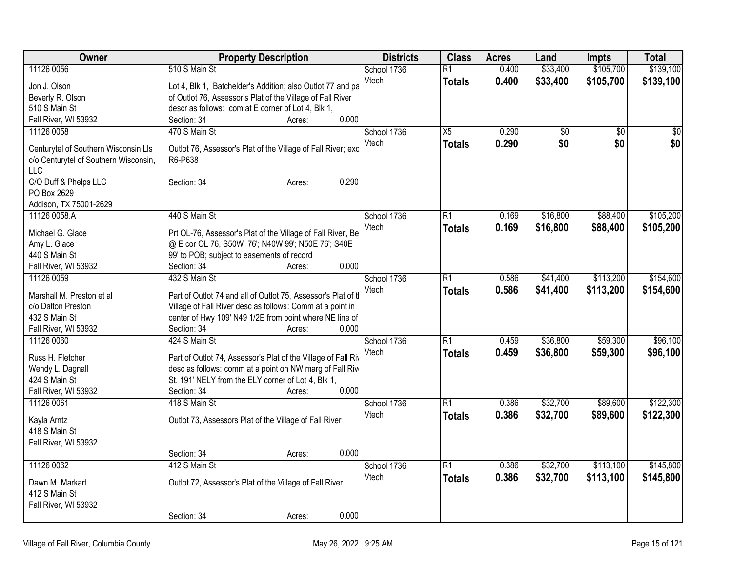| Owner                                 | <b>Property Description</b>                                                                                      | <b>Districts</b> | <b>Class</b>    | <b>Acres</b> | Land            | <b>Impts</b> | <b>Total</b>    |
|---------------------------------------|------------------------------------------------------------------------------------------------------------------|------------------|-----------------|--------------|-----------------|--------------|-----------------|
| 11126 0056                            | 510 S Main St                                                                                                    | School 1736      | $\overline{R1}$ | 0.400        | \$33,400        | \$105,700    | \$139,100       |
| Jon J. Olson                          | Lot 4, Blk 1, Batchelder's Addition; also Outlot 77 and pa                                                       | Vtech            | <b>Totals</b>   | 0.400        | \$33,400        | \$105,700    | \$139,100       |
| Beverly R. Olson                      | of Outlot 76, Assessor's Plat of the Village of Fall River                                                       |                  |                 |              |                 |              |                 |
| 510 S Main St                         | descr as follows: com at E corner of Lot 4, Blk 1,                                                               |                  |                 |              |                 |              |                 |
| Fall River, WI 53932                  | 0.000<br>Section: 34<br>Acres:                                                                                   |                  |                 |              |                 |              |                 |
| 11126 0058                            | 470 S Main St                                                                                                    | School 1736      | X5              | 0.290        | $\overline{50}$ | \$0          | $\overline{50}$ |
| Centurytel of Southern Wisconsin Lls  | Outlot 76, Assessor's Plat of the Village of Fall River; exc                                                     | Vtech            | <b>Totals</b>   | 0.290        | \$0             | \$0          | \$0             |
| c/o Centurytel of Southern Wisconsin, | R6-P638                                                                                                          |                  |                 |              |                 |              |                 |
| <b>LLC</b>                            |                                                                                                                  |                  |                 |              |                 |              |                 |
| C/O Duff & Phelps LLC                 | 0.290<br>Section: 34<br>Acres:                                                                                   |                  |                 |              |                 |              |                 |
| PO Box 2629                           |                                                                                                                  |                  |                 |              |                 |              |                 |
| Addison, TX 75001-2629                |                                                                                                                  |                  |                 |              |                 |              |                 |
| 11126 0058.A                          | 440 S Main St                                                                                                    | School 1736      | R1              | 0.169        | \$16,800        | \$88,400     | \$105,200       |
|                                       |                                                                                                                  | Vtech            | <b>Totals</b>   | 0.169        | \$16,800        | \$88,400     | \$105,200       |
| Michael G. Glace<br>Amy L. Glace      | Prt OL-76, Assessor's Plat of the Village of Fall River, Be<br>@ E cor OL 76, S50W 76'; N40W 99'; N50E 76'; S40E |                  |                 |              |                 |              |                 |
| 440 S Main St                         | 99' to POB; subject to easements of record                                                                       |                  |                 |              |                 |              |                 |
| Fall River, WI 53932                  | 0.000<br>Section: 34<br>Acres:                                                                                   |                  |                 |              |                 |              |                 |
| 11126 0059                            | 432 S Main St                                                                                                    | School 1736      | R1              | 0.586        | \$41,400        | \$113,200    | \$154,600       |
|                                       |                                                                                                                  | Vtech            | <b>Totals</b>   | 0.586        | \$41,400        | \$113,200    | \$154,600       |
| Marshall M. Preston et al             | Part of Outlot 74 and all of Outlot 75, Assessor's Plat of th                                                    |                  |                 |              |                 |              |                 |
| c/o Dalton Preston                    | Village of Fall River desc as follows: Comm at a point in                                                        |                  |                 |              |                 |              |                 |
| 432 S Main St                         | center of Hwy 109' N49 1/2E from point where NE line of                                                          |                  |                 |              |                 |              |                 |
| Fall River, WI 53932                  | 0.000<br>Section: 34<br>Acres:                                                                                   |                  |                 |              |                 |              |                 |
| 11126 0060                            | 424 S Main St                                                                                                    | School 1736      | R1              | 0.459        | \$36,800        | \$59,300     | \$96,100        |
| Russ H. Fletcher                      | Part of Outlot 74, Assessor's Plat of the Village of Fall Riv                                                    | Vtech            | <b>Totals</b>   | 0.459        | \$36,800        | \$59,300     | \$96,100        |
| Wendy L. Dagnall                      | desc as follows: comm at a point on NW marg of Fall Rive                                                         |                  |                 |              |                 |              |                 |
| 424 S Main St                         | St, 191' NELY from the ELY corner of Lot 4, Blk 1,                                                               |                  |                 |              |                 |              |                 |
| Fall River, WI 53932                  | 0.000<br>Section: 34<br>Acres:                                                                                   |                  |                 |              |                 |              |                 |
| 11126 0061                            | 418 S Main St                                                                                                    | School 1736      | $\overline{R1}$ | 0.386        | \$32,700        | \$89,600     | \$122,300       |
| Kayla Arntz                           | Outlot 73, Assessors Plat of the Village of Fall River                                                           | Vtech            | <b>Totals</b>   | 0.386        | \$32,700        | \$89,600     | \$122,300       |
| 418 S Main St                         |                                                                                                                  |                  |                 |              |                 |              |                 |
| Fall River, WI 53932                  |                                                                                                                  |                  |                 |              |                 |              |                 |
|                                       | 0.000<br>Section: 34<br>Acres:                                                                                   |                  |                 |              |                 |              |                 |
| 11126 0062                            | 412 S Main St                                                                                                    | School 1736      | R1              | 0.386        | \$32,700        | \$113,100    | \$145,800       |
|                                       |                                                                                                                  | Vtech            | <b>Totals</b>   | 0.386        | \$32,700        | \$113,100    | \$145,800       |
| Dawn M. Markart                       | Outlot 72, Assessor's Plat of the Village of Fall River                                                          |                  |                 |              |                 |              |                 |
| 412 S Main St                         |                                                                                                                  |                  |                 |              |                 |              |                 |
| Fall River, WI 53932                  | 0.000                                                                                                            |                  |                 |              |                 |              |                 |
|                                       | Section: 34<br>Acres:                                                                                            |                  |                 |              |                 |              |                 |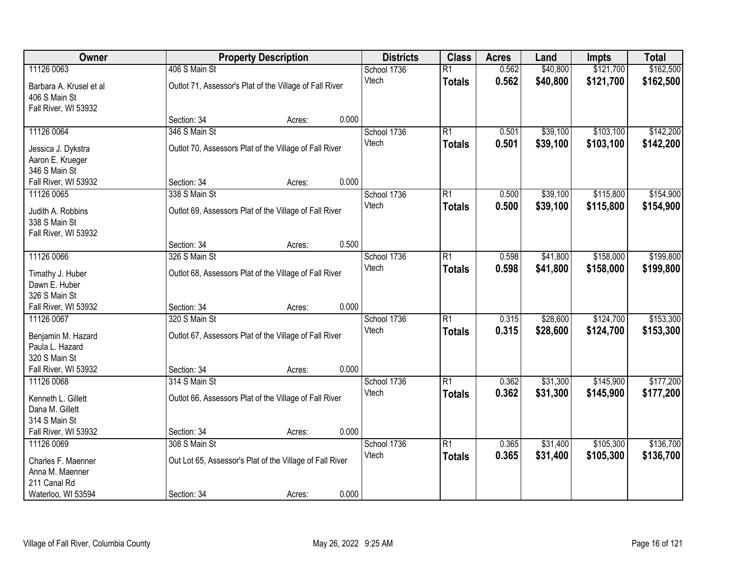| Owner                   | <b>Property Description</b>                              | <b>Districts</b> | <b>Class</b>    | <b>Acres</b> | Land     | <b>Impts</b> | <b>Total</b> |
|-------------------------|----------------------------------------------------------|------------------|-----------------|--------------|----------|--------------|--------------|
| 11126 0063              | 406 S Main St                                            | School 1736      | $\overline{R1}$ | 0.562        | \$40,800 | \$121,700    | \$162,500    |
| Barbara A. Krusel et al | Outlot 71, Assessor's Plat of the Village of Fall River  | Vtech            | <b>Totals</b>   | 0.562        | \$40,800 | \$121,700    | \$162,500    |
| 406 S Main St           |                                                          |                  |                 |              |          |              |              |
| Fall River, WI 53932    |                                                          |                  |                 |              |          |              |              |
|                         | 0.000<br>Section: 34<br>Acres:                           |                  |                 |              |          |              |              |
| 11126 0064              | 346 S Main St                                            | School 1736      | $\overline{R1}$ | 0.501        | \$39,100 | \$103,100    | \$142,200    |
| Jessica J. Dykstra      | Outlot 70, Assessors Plat of the Village of Fall River   | Vtech            | <b>Totals</b>   | 0.501        | \$39,100 | \$103,100    | \$142,200    |
| Aaron E. Krueger        |                                                          |                  |                 |              |          |              |              |
| 346 S Main St           |                                                          |                  |                 |              |          |              |              |
| Fall River, WI 53932    | 0.000<br>Section: 34<br>Acres:                           |                  |                 |              |          |              |              |
| 11126 0065              | 338 S Main St                                            | School 1736      | $\overline{R1}$ | 0.500        | \$39,100 | \$115,800    | \$154,900    |
| Judith A. Robbins       | Outlot 69, Assessors Plat of the Village of Fall River   | Vtech            | <b>Totals</b>   | 0.500        | \$39,100 | \$115,800    | \$154,900    |
| 338 S Main St           |                                                          |                  |                 |              |          |              |              |
| Fall River, WI 53932    |                                                          |                  |                 |              |          |              |              |
|                         | 0.500<br>Section: 34<br>Acres:                           |                  |                 |              |          |              |              |
| 11126 0066              | 326 S Main St                                            | School 1736      | R1              | 0.598        | \$41,800 | \$158,000    | \$199,800    |
| Timathy J. Huber        | Outlot 68, Assessors Plat of the Village of Fall River   | Vtech            | <b>Totals</b>   | 0.598        | \$41,800 | \$158,000    | \$199,800    |
| Dawn E. Huber           |                                                          |                  |                 |              |          |              |              |
| 326 S Main St           |                                                          |                  |                 |              |          |              |              |
| Fall River, WI 53932    | 0.000<br>Section: 34<br>Acres:                           |                  |                 |              |          |              |              |
| 11126 0067              | 320 S Main St                                            | School 1736      | $\overline{R1}$ | 0.315        | \$28,600 | \$124,700    | \$153,300    |
| Benjamin M. Hazard      | Outlot 67, Assessors Plat of the Village of Fall River   | Vtech            | <b>Totals</b>   | 0.315        | \$28,600 | \$124,700    | \$153,300    |
| Paula L. Hazard         |                                                          |                  |                 |              |          |              |              |
| 320 S Main St           |                                                          |                  |                 |              |          |              |              |
| Fall River, WI 53932    | 0.000<br>Section: 34<br>Acres:                           |                  |                 |              |          |              |              |
| 11126 0068              | 314 S Main St                                            | School 1736      | $\overline{R1}$ | 0.362        | \$31,300 | \$145,900    | \$177,200    |
| Kenneth L. Gillett      | Outlot 66, Assessors Plat of the Village of Fall River   | Vtech            | <b>Totals</b>   | 0.362        | \$31,300 | \$145,900    | \$177,200    |
| Dana M. Gillett         |                                                          |                  |                 |              |          |              |              |
| 314 S Main St           |                                                          |                  |                 |              |          |              |              |
| Fall River, WI 53932    | 0.000<br>Section: 34<br>Acres:                           |                  |                 |              |          |              |              |
| 11126 0069              | 308 S Main St                                            | School 1736      | $\overline{R1}$ | 0.365        | \$31,400 | \$105,300    | \$136,700    |
| Charles F. Maenner      | Out Lot 65, Assessor's Plat of the Village of Fall River | Vtech            | <b>Totals</b>   | 0.365        | \$31,400 | \$105,300    | \$136,700    |
| Anna M. Maenner         |                                                          |                  |                 |              |          |              |              |
| 211 Canal Rd            |                                                          |                  |                 |              |          |              |              |
| Waterloo, WI 53594      | 0.000<br>Section: 34<br>Acres:                           |                  |                 |              |          |              |              |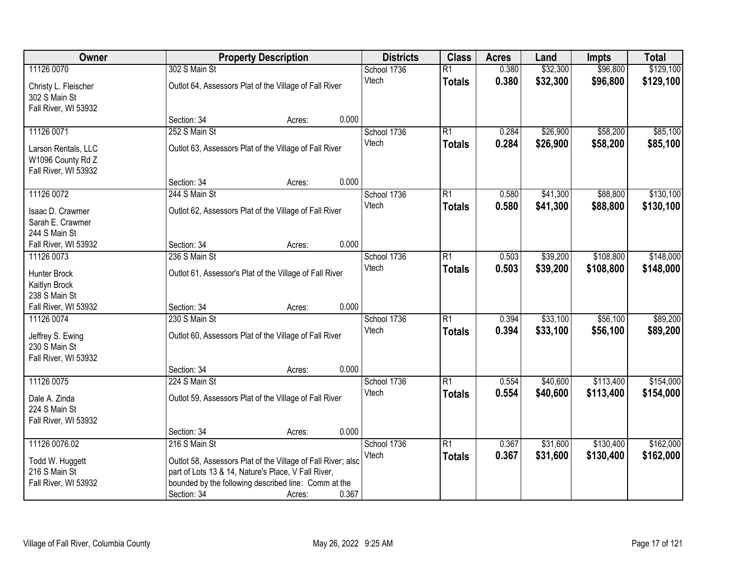| Owner                |                                                              | <b>Property Description</b> |       | <b>Districts</b> | <b>Class</b>    | <b>Acres</b> | Land     | <b>Impts</b> | <b>Total</b> |
|----------------------|--------------------------------------------------------------|-----------------------------|-------|------------------|-----------------|--------------|----------|--------------|--------------|
| 11126 0070           | 302 S Main St                                                |                             |       | School 1736      | $\overline{R1}$ | 0.380        | \$32,300 | \$96,800     | \$129,100    |
| Christy L. Fleischer | Outlot 64, Assessors Plat of the Village of Fall River       |                             |       | Vtech            | <b>Totals</b>   | 0.380        | \$32,300 | \$96,800     | \$129,100    |
| 302 S Main St        |                                                              |                             |       |                  |                 |              |          |              |              |
| Fall River, WI 53932 |                                                              |                             |       |                  |                 |              |          |              |              |
|                      | Section: 34                                                  | Acres:                      | 0.000 |                  |                 |              |          |              |              |
| 11126 0071           | 252 S Main St                                                |                             |       | School 1736      | R1              | 0.284        | \$26,900 | \$58,200     | \$85,100     |
| Larson Rentals, LLC  | Outlot 63, Assessors Plat of the Village of Fall River       |                             |       | Vtech            | <b>Totals</b>   | 0.284        | \$26,900 | \$58,200     | \$85,100     |
| W1096 County Rd Z    |                                                              |                             |       |                  |                 |              |          |              |              |
| Fall River, WI 53932 |                                                              |                             |       |                  |                 |              |          |              |              |
|                      | Section: 34                                                  | Acres:                      | 0.000 |                  |                 |              |          |              |              |
| 11126 0072           | 244 S Main St                                                |                             |       | School 1736      | R1              | 0.580        | \$41,300 | \$88,800     | \$130,100    |
| Isaac D. Crawmer     | Outlot 62, Assessors Plat of the Village of Fall River       |                             |       | Vtech            | <b>Totals</b>   | 0.580        | \$41,300 | \$88,800     | \$130,100    |
| Sarah E. Crawmer     |                                                              |                             |       |                  |                 |              |          |              |              |
| 244 S Main St        |                                                              |                             |       |                  |                 |              |          |              |              |
| Fall River, WI 53932 | Section: 34                                                  | Acres:                      | 0.000 |                  |                 |              |          |              |              |
| 11126 0073           | 236 S Main St                                                |                             |       | School 1736      | $\overline{R1}$ | 0.503        | \$39,200 | \$108,800    | \$148,000    |
| Hunter Brock         | Outlot 61, Assessor's Plat of the Village of Fall River      |                             |       | Vtech            | <b>Totals</b>   | 0.503        | \$39,200 | \$108,800    | \$148,000    |
| Kaitlyn Brock        |                                                              |                             |       |                  |                 |              |          |              |              |
| 238 S Main St        |                                                              |                             |       |                  |                 |              |          |              |              |
| Fall River, WI 53932 | Section: 34                                                  | Acres:                      | 0.000 |                  |                 |              |          |              |              |
| 11126 0074           | 230 S Main St                                                |                             |       | School 1736      | $\overline{R1}$ | 0.394        | \$33,100 | \$56,100     | \$89,200     |
| Jeffrey S. Ewing     | Outlot 60, Assessors Plat of the Village of Fall River       |                             |       | Vtech            | <b>Totals</b>   | 0.394        | \$33,100 | \$56,100     | \$89,200     |
| 230 S Main St        |                                                              |                             |       |                  |                 |              |          |              |              |
| Fall River, WI 53932 |                                                              |                             |       |                  |                 |              |          |              |              |
|                      | Section: 34                                                  | Acres:                      | 0.000 |                  |                 |              |          |              |              |
| 11126 0075           | 224 S Main St                                                |                             |       | School 1736      | $\overline{R1}$ | 0.554        | \$40,600 | \$113,400    | \$154,000    |
| Dale A. Zinda        | Outlot 59, Assessors Plat of the Village of Fall River       |                             |       | Vtech            | <b>Totals</b>   | 0.554        | \$40,600 | \$113,400    | \$154,000    |
| 224 S Main St        |                                                              |                             |       |                  |                 |              |          |              |              |
| Fall River, WI 53932 |                                                              |                             |       |                  |                 |              |          |              |              |
|                      | Section: 34                                                  | Acres:                      | 0.000 |                  |                 |              |          |              |              |
| 11126 0076.02        | 216 S Main St                                                |                             |       | School 1736      | R1              | 0.367        | \$31,600 | \$130,400    | \$162,000    |
| Todd W. Huggett      | Outlot 58, Assessors Plat of the Village of Fall River; also |                             |       | Vtech            | <b>Totals</b>   | 0.367        | \$31,600 | \$130,400    | \$162,000    |
| 216 S Main St        | part of Lots 13 & 14, Nature's Place, V Fall River,          |                             |       |                  |                 |              |          |              |              |
| Fall River, WI 53932 | bounded by the following described line: Comm at the         |                             |       |                  |                 |              |          |              |              |
|                      | Section: 34                                                  | Acres:                      | 0.367 |                  |                 |              |          |              |              |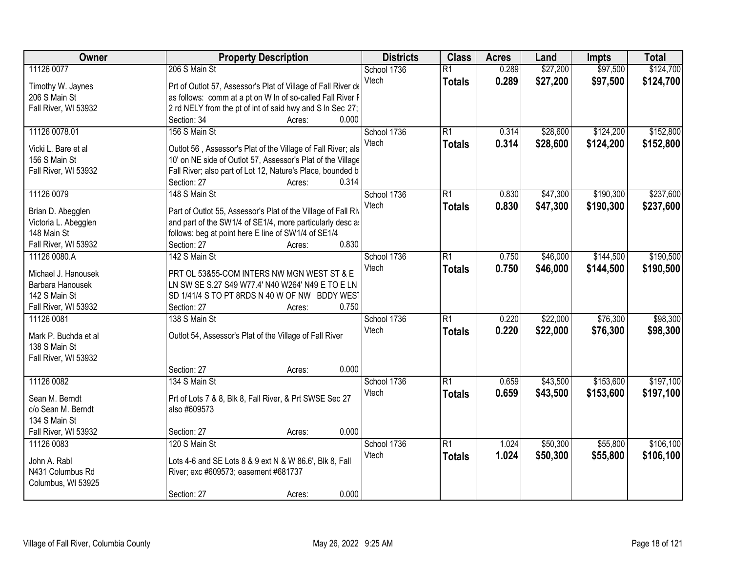| Owner                | <b>Property Description</b>                                   | <b>Districts</b> | <b>Class</b>    | <b>Acres</b> | Land     | <b>Impts</b> | <b>Total</b> |
|----------------------|---------------------------------------------------------------|------------------|-----------------|--------------|----------|--------------|--------------|
| 11126 0077           | 206 S Main St                                                 | School 1736      | $\overline{R1}$ | 0.289        | \$27,200 | \$97,500     | \$124,700    |
| Timothy W. Jaynes    | Prt of Outlot 57, Assessor's Plat of Village of Fall River de | Vtech            | <b>Totals</b>   | 0.289        | \$27,200 | \$97,500     | \$124,700    |
| 206 S Main St        | as follows: comm at a pt on W In of so-called Fall River F    |                  |                 |              |          |              |              |
| Fall River, WI 53932 | 2 rd NELY from the pt of int of said hwy and S In Sec 27;     |                  |                 |              |          |              |              |
|                      | 0.000<br>Section: 34<br>Acres:                                |                  |                 |              |          |              |              |
| 11126 0078.01        | 156 S Main St                                                 | School 1736      | $\overline{R1}$ | 0.314        | \$28,600 | \$124,200    | \$152,800    |
|                      |                                                               | Vtech            | <b>Totals</b>   | 0.314        | \$28,600 | \$124,200    | \$152,800    |
| Vicki L. Bare et al  | Outlot 56, Assessor's Plat of the Village of Fall River; als  |                  |                 |              |          |              |              |
| 156 S Main St        | 10' on NE side of Outlot 57, Assessor's Plat of the Village   |                  |                 |              |          |              |              |
| Fall River, WI 53932 | Fall River; also part of Lot 12, Nature's Place, bounded b    |                  |                 |              |          |              |              |
|                      | 0.314<br>Section: 27<br>Acres:                                |                  |                 |              |          |              |              |
| 11126 0079           | 148 S Main St                                                 | School 1736      | R1              | 0.830        | \$47,300 | \$190,300    | \$237,600    |
| Brian D. Abegglen    | Part of Outlot 55, Assessor's Plat of the Village of Fall Riv | Vtech            | <b>Totals</b>   | 0.830        | \$47,300 | \$190,300    | \$237,600    |
| Victoria L. Abegglen | and part of the SW1/4 of SE1/4, more particularly desc as     |                  |                 |              |          |              |              |
| 148 Main St          | follows: beg at point here E line of SW1/4 of SE1/4           |                  |                 |              |          |              |              |
| Fall River, WI 53932 | 0.830<br>Section: 27<br>Acres:                                |                  |                 |              |          |              |              |
| 11126 0080.A         | 142 S Main St                                                 | School 1736      | $\overline{R1}$ | 0.750        | \$46,000 | \$144,500    | \$190,500    |
|                      |                                                               | Vtech            | <b>Totals</b>   | 0.750        | \$46,000 | \$144,500    | \$190,500    |
| Michael J. Hanousek  | PRT OL 53&55-COM INTERS NW MGN WEST ST & E                    |                  |                 |              |          |              |              |
| Barbara Hanousek     | LN SW SE S.27 S49 W77.4' N40 W264' N49 E TO E LN              |                  |                 |              |          |              |              |
| 142 S Main St        | SD 1/41/4 S TO PT 8RDS N 40 W OF NW BDDY WEST                 |                  |                 |              |          |              |              |
| Fall River, WI 53932 | 0.750<br>Section: 27<br>Acres:                                |                  |                 |              |          |              |              |
| 11126 0081           | 138 S Main St                                                 | School 1736      | $\overline{R1}$ | 0.220        | \$22,000 | \$76,300     | \$98,300     |
| Mark P. Buchda et al | Outlot 54, Assessor's Plat of the Village of Fall River       | Vtech            | <b>Totals</b>   | 0.220        | \$22,000 | \$76,300     | \$98,300     |
| 138 S Main St        |                                                               |                  |                 |              |          |              |              |
| Fall River, WI 53932 |                                                               |                  |                 |              |          |              |              |
|                      | 0.000<br>Section: 27<br>Acres:                                |                  |                 |              |          |              |              |
| 11126 0082           | 134 S Main St                                                 | School 1736      | $\overline{R1}$ | 0.659        | \$43,500 | \$153,600    | \$197,100    |
|                      |                                                               | Vtech            | <b>Totals</b>   | 0.659        | \$43,500 | \$153,600    | \$197,100    |
| Sean M. Berndt       | Prt of Lots 7 & 8, Blk 8, Fall River, & Prt SWSE Sec 27       |                  |                 |              |          |              |              |
| c/o Sean M. Berndt   | also #609573                                                  |                  |                 |              |          |              |              |
| 134 S Main St        |                                                               |                  |                 |              |          |              |              |
| Fall River, WI 53932 | 0.000<br>Section: 27<br>Acres:                                |                  |                 |              |          |              |              |
| 11126 0083           | 120 S Main St                                                 | School 1736      | $\overline{R1}$ | 1.024        | \$50,300 | \$55,800     | \$106,100    |
| John A. Rabl         | Lots 4-6 and SE Lots 8 & 9 ext N & W 86.6', Blk 8, Fall       | Vtech            | <b>Totals</b>   | 1.024        | \$50,300 | \$55,800     | \$106,100    |
| N431 Columbus Rd     | River; exc #609573; easement #681737                          |                  |                 |              |          |              |              |
| Columbus, WI 53925   |                                                               |                  |                 |              |          |              |              |
|                      | 0.000<br>Section: 27<br>Acres:                                |                  |                 |              |          |              |              |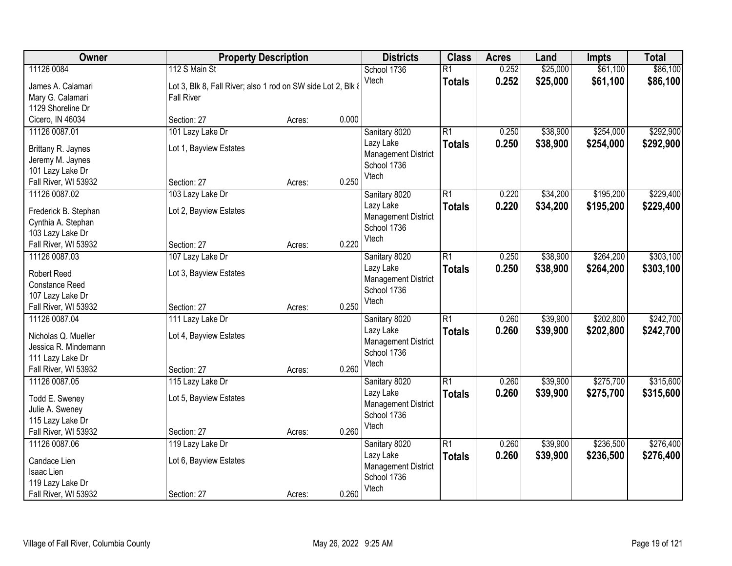| Owner                                                                                                    |                                                                                                    | <b>Property Description</b> |       |                                                                                  | <b>Class</b>                     | <b>Acres</b>   | Land                 | <b>Impts</b>           | <b>Total</b>           |
|----------------------------------------------------------------------------------------------------------|----------------------------------------------------------------------------------------------------|-----------------------------|-------|----------------------------------------------------------------------------------|----------------------------------|----------------|----------------------|------------------------|------------------------|
| 11126 0084<br>James A. Calamari<br>Mary G. Calamari<br>1129 Shoreline Dr                                 | 112 S Main St<br>Lot 3, Blk 8, Fall River; also 1 rod on SW side Lot 2, Blk 8<br><b>Fall River</b> |                             |       | School 1736<br>Vtech                                                             | $\overline{R1}$<br><b>Totals</b> | 0.252<br>0.252 | \$25,000<br>\$25,000 | \$61,100<br>\$61,100   | \$86,100<br>\$86,100   |
| Cicero, IN 46034                                                                                         | Section: 27                                                                                        | Acres:                      | 0.000 |                                                                                  |                                  |                |                      |                        |                        |
| 11126 0087.01<br>Brittany R. Jaynes<br>Jeremy M. Jaynes<br>101 Lazy Lake Dr<br>Fall River, WI 53932      | 101 Lazy Lake Dr<br>Lot 1, Bayview Estates<br>Section: 27                                          | Acres:                      | 0.250 | Sanitary 8020<br>Lazy Lake<br><b>Management District</b><br>School 1736<br>Vtech | $\overline{R1}$<br><b>Totals</b> | 0.250<br>0.250 | \$38,900<br>\$38,900 | \$254,000<br>\$254,000 | \$292,900<br>\$292,900 |
| 11126 0087.02<br>Frederick B. Stephan<br>Cynthia A. Stephan<br>103 Lazy Lake Dr<br>Fall River, WI 53932  | 103 Lazy Lake Dr<br>Lot 2, Bayview Estates<br>Section: 27                                          | Acres:                      | 0.220 | Sanitary 8020<br>Lazy Lake<br><b>Management District</b><br>School 1736<br>Vtech | $\overline{R1}$<br><b>Totals</b> | 0.220<br>0.220 | \$34,200<br>\$34,200 | \$195,200<br>\$195,200 | \$229,400<br>\$229,400 |
| 11126 0087.03<br><b>Robert Reed</b><br><b>Constance Reed</b><br>107 Lazy Lake Dr<br>Fall River, WI 53932 | 107 Lazy Lake Dr<br>Lot 3, Bayview Estates<br>Section: 27                                          | Acres:                      | 0.250 | Sanitary 8020<br>Lazy Lake<br><b>Management District</b><br>School 1736<br>Vtech | $\overline{R1}$<br><b>Totals</b> | 0.250<br>0.250 | \$38,900<br>\$38,900 | \$264,200<br>\$264,200 | \$303,100<br>\$303,100 |
| 11126 0087.04<br>Nicholas Q. Mueller<br>Jessica R. Mindemann<br>111 Lazy Lake Dr<br>Fall River, WI 53932 | 111 Lazy Lake Dr<br>Lot 4, Bayview Estates<br>Section: 27                                          | Acres:                      | 0.260 | Sanitary 8020<br>Lazy Lake<br><b>Management District</b><br>School 1736<br>Vtech | $\overline{R1}$<br><b>Totals</b> | 0.260<br>0.260 | \$39,900<br>\$39,900 | \$202,800<br>\$202,800 | \$242,700<br>\$242,700 |
| 11126 0087.05<br>Todd E. Sweney<br>Julie A. Sweney<br>115 Lazy Lake Dr<br>Fall River, WI 53932           | 115 Lazy Lake Dr<br>Lot 5, Bayview Estates<br>Section: 27                                          | Acres:                      | 0.260 | Sanitary 8020<br>Lazy Lake<br><b>Management District</b><br>School 1736<br>Vtech | R1<br><b>Totals</b>              | 0.260<br>0.260 | \$39,900<br>\$39,900 | \$275,700<br>\$275,700 | \$315,600<br>\$315,600 |
| 11126 0087.06<br>Candace Lien<br>Isaac Lien<br>119 Lazy Lake Dr<br>Fall River, WI 53932                  | 119 Lazy Lake Dr<br>Lot 6, Bayview Estates<br>Section: 27                                          | Acres:                      | 0.260 | Sanitary 8020<br>Lazy Lake<br><b>Management District</b><br>School 1736<br>Vtech | $\overline{R1}$<br><b>Totals</b> | 0.260<br>0.260 | \$39,900<br>\$39,900 | \$236,500<br>\$236,500 | \$276,400<br>\$276,400 |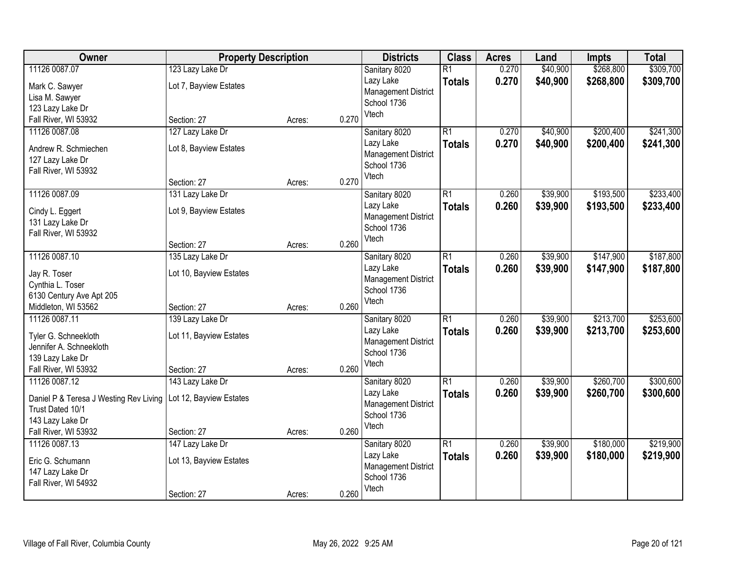| Owner                                                            | <b>Property Description</b> |        | <b>Districts</b> | <b>Class</b>               | <b>Acres</b>    | Land  | <b>Impts</b> | <b>Total</b> |           |
|------------------------------------------------------------------|-----------------------------|--------|------------------|----------------------------|-----------------|-------|--------------|--------------|-----------|
| 11126 0087.07                                                    | 123 Lazy Lake Dr            |        |                  | Sanitary 8020              | $\overline{R1}$ | 0.270 | \$40,900     | \$268,800    | \$309,700 |
| Mark C. Sawyer                                                   | Lot 7, Bayview Estates      |        |                  | Lazy Lake                  | <b>Totals</b>   | 0.270 | \$40,900     | \$268,800    | \$309,700 |
| Lisa M. Sawyer                                                   |                             |        |                  | <b>Management District</b> |                 |       |              |              |           |
| 123 Lazy Lake Dr                                                 |                             |        |                  | School 1736                |                 |       |              |              |           |
| Fall River, WI 53932                                             | Section: 27                 | Acres: | 0.270            | Vtech                      |                 |       |              |              |           |
| 11126 0087.08                                                    | 127 Lazy Lake Dr            |        |                  | Sanitary 8020              | $\overline{R1}$ | 0.270 | \$40,900     | \$200,400    | \$241,300 |
| Andrew R. Schmiechen                                             | Lot 8, Bayview Estates      |        |                  | Lazy Lake                  | <b>Totals</b>   | 0.270 | \$40,900     | \$200,400    | \$241,300 |
| 127 Lazy Lake Dr                                                 |                             |        |                  | <b>Management District</b> |                 |       |              |              |           |
| Fall River, WI 53932                                             |                             |        |                  | School 1736                |                 |       |              |              |           |
|                                                                  | Section: 27                 | Acres: | 0.270            | Vtech                      |                 |       |              |              |           |
| 11126 0087.09                                                    | 131 Lazy Lake Dr            |        |                  | Sanitary 8020              | $\overline{R1}$ | 0.260 | \$39,900     | \$193,500    | \$233,400 |
| Cindy L. Eggert                                                  | Lot 9, Bayview Estates      |        |                  | Lazy Lake                  | <b>Totals</b>   | 0.260 | \$39,900     | \$193,500    | \$233,400 |
| 131 Lazy Lake Dr                                                 |                             |        |                  | <b>Management District</b> |                 |       |              |              |           |
| Fall River, WI 53932                                             |                             |        |                  | School 1736                |                 |       |              |              |           |
|                                                                  | Section: 27                 | Acres: | 0.260            | Vtech                      |                 |       |              |              |           |
| 11126 0087.10                                                    | 135 Lazy Lake Dr            |        |                  | Sanitary 8020              | $\overline{R1}$ | 0.260 | \$39,900     | \$147,900    | \$187,800 |
| Jay R. Toser                                                     | Lot 10, Bayview Estates     |        |                  | Lazy Lake                  | <b>Totals</b>   | 0.260 | \$39,900     | \$147,900    | \$187,800 |
| Cynthia L. Toser                                                 |                             |        |                  | <b>Management District</b> |                 |       |              |              |           |
| 6130 Century Ave Apt 205                                         |                             |        |                  | School 1736                |                 |       |              |              |           |
| Middleton, WI 53562                                              | Section: 27                 | Acres: | 0.260            | Vtech                      |                 |       |              |              |           |
| 11126 0087.11                                                    | 139 Lazy Lake Dr            |        |                  | Sanitary 8020              | $\overline{R1}$ | 0.260 | \$39,900     | \$213,700    | \$253,600 |
|                                                                  |                             |        |                  | Lazy Lake                  | <b>Totals</b>   | 0.260 | \$39,900     | \$213,700    | \$253,600 |
| Tyler G. Schneekloth<br>Jennifer A. Schneekloth                  | Lot 11, Bayview Estates     |        |                  | <b>Management District</b> |                 |       |              |              |           |
| 139 Lazy Lake Dr                                                 |                             |        |                  | School 1736                |                 |       |              |              |           |
| Fall River, WI 53932                                             | Section: 27                 | Acres: | 0.260            | Vtech                      |                 |       |              |              |           |
| 11126 0087.12                                                    | 143 Lazy Lake Dr            |        |                  | Sanitary 8020              | $\overline{R1}$ | 0.260 | \$39,900     | \$260,700    | \$300,600 |
|                                                                  |                             |        |                  | Lazy Lake                  | <b>Totals</b>   | 0.260 | \$39,900     | \$260,700    | \$300,600 |
| Daniel P & Teresa J Westing Rev Living   Lot 12, Bayview Estates |                             |        |                  | <b>Management District</b> |                 |       |              |              |           |
| Trust Dated 10/1                                                 |                             |        |                  | School 1736                |                 |       |              |              |           |
| 143 Lazy Lake Dr<br>Fall River, WI 53932                         | Section: 27                 | Acres: | 0.260            | Vtech                      |                 |       |              |              |           |
| 11126 0087.13                                                    | 147 Lazy Lake Dr            |        |                  | Sanitary 8020              | $\overline{R1}$ | 0.260 | \$39,900     | \$180,000    | \$219,900 |
|                                                                  |                             |        |                  | Lazy Lake                  | <b>Totals</b>   | 0.260 | \$39,900     | \$180,000    | \$219,900 |
| Eric G. Schumann                                                 | Lot 13, Bayview Estates     |        |                  | <b>Management District</b> |                 |       |              |              |           |
| 147 Lazy Lake Dr                                                 |                             |        |                  | School 1736                |                 |       |              |              |           |
| Fall River, WI 54932                                             |                             |        |                  | Vtech                      |                 |       |              |              |           |
|                                                                  | Section: 27                 | Acres: | 0.260            |                            |                 |       |              |              |           |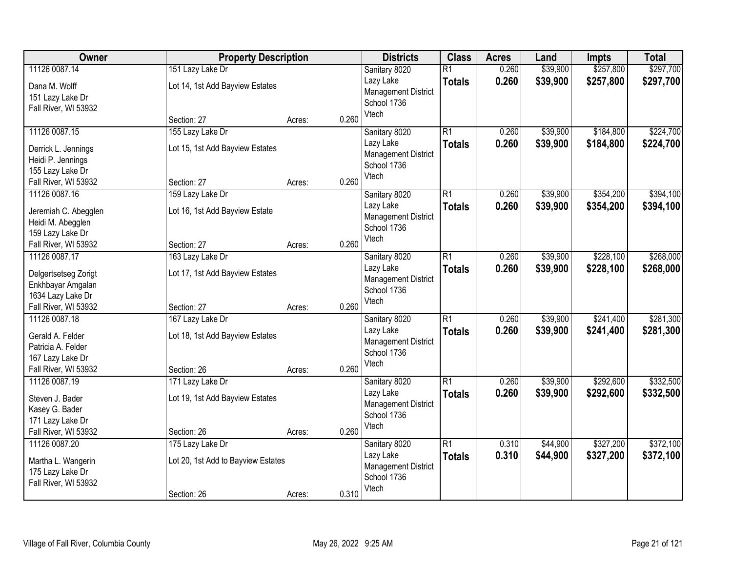| Owner                                     | <b>Property Description</b>        |        |       | <b>Districts</b>                        | <b>Class</b>    | <b>Acres</b> | Land     | <b>Impts</b> | <b>Total</b> |
|-------------------------------------------|------------------------------------|--------|-------|-----------------------------------------|-----------------|--------------|----------|--------------|--------------|
| 11126 0087.14                             | 151 Lazy Lake Dr                   |        |       | Sanitary 8020                           | $\overline{R1}$ | 0.260        | \$39,900 | \$257,800    | \$297,700    |
| Dana M. Wolff                             | Lot 14, 1st Add Bayview Estates    |        |       | Lazy Lake                               | <b>Totals</b>   | 0.260        | \$39,900 | \$257,800    | \$297,700    |
| 151 Lazy Lake Dr                          |                                    |        |       | <b>Management District</b>              |                 |              |          |              |              |
| Fall River, WI 53932                      |                                    |        |       | School 1736                             |                 |              |          |              |              |
|                                           | Section: 27                        | Acres: | 0.260 | Vtech                                   |                 |              |          |              |              |
| 11126 0087.15                             | 155 Lazy Lake Dr                   |        |       | Sanitary 8020                           | $\overline{R1}$ | 0.260        | \$39,900 | \$184,800    | \$224,700    |
| Derrick L. Jennings                       | Lot 15, 1st Add Bayview Estates    |        |       | Lazy Lake                               | <b>Totals</b>   | 0.260        | \$39,900 | \$184,800    | \$224,700    |
| Heidi P. Jennings                         |                                    |        |       | <b>Management District</b>              |                 |              |          |              |              |
| 155 Lazy Lake Dr                          |                                    |        |       | School 1736                             |                 |              |          |              |              |
| Fall River, WI 53932                      | Section: 27                        | Acres: | 0.260 | Vtech                                   |                 |              |          |              |              |
| 11126 0087.16                             | 159 Lazy Lake Dr                   |        |       | Sanitary 8020                           | $\overline{R1}$ | 0.260        | \$39,900 | \$354,200    | \$394,100    |
| Jeremiah C. Abegglen                      | Lot 16, 1st Add Bayview Estate     |        |       | Lazy Lake                               | <b>Totals</b>   | 0.260        | \$39,900 | \$354,200    | \$394,100    |
| Heidi M. Abegglen                         |                                    |        |       | <b>Management District</b>              |                 |              |          |              |              |
| 159 Lazy Lake Dr                          |                                    |        |       | School 1736                             |                 |              |          |              |              |
| Fall River, WI 53932                      | Section: 27                        | Acres: | 0.260 | Vtech                                   |                 |              |          |              |              |
| 11126 0087.17                             | 163 Lazy Lake Dr                   |        |       | Sanitary 8020                           | $\overline{R1}$ | 0.260        | \$39,900 | \$228,100    | \$268,000    |
|                                           |                                    |        |       | Lazy Lake                               | <b>Totals</b>   | 0.260        | \$39,900 | \$228,100    | \$268,000    |
| Delgertsetseg Zorigt<br>Enkhbayar Amgalan | Lot 17, 1st Add Bayview Estates    |        |       | <b>Management District</b>              |                 |              |          |              |              |
| 1634 Lazy Lake Dr                         |                                    |        |       | School 1736                             |                 |              |          |              |              |
| Fall River, WI 53932                      | Section: 27                        | Acres: | 0.260 | Vtech                                   |                 |              |          |              |              |
| 11126 0087.18                             | 167 Lazy Lake Dr                   |        |       | Sanitary 8020                           | $\overline{R1}$ | 0.260        | \$39,900 | \$241,400    | \$281,300    |
|                                           |                                    |        |       | Lazy Lake                               | <b>Totals</b>   | 0.260        | \$39,900 | \$241,400    | \$281,300    |
| Gerald A. Felder                          | Lot 18, 1st Add Bayview Estates    |        |       | <b>Management District</b>              |                 |              |          |              |              |
| Patricia A. Felder                        |                                    |        |       | School 1736                             |                 |              |          |              |              |
| 167 Lazy Lake Dr                          |                                    |        |       | Vtech                                   |                 |              |          |              |              |
| Fall River, WI 53932                      | Section: 26                        | Acres: | 0.260 |                                         |                 |              |          |              |              |
| 11126 0087.19                             | 171 Lazy Lake Dr                   |        |       | Sanitary 8020                           | $\overline{R1}$ | 0.260        | \$39,900 | \$292,600    | \$332,500    |
| Steven J. Bader                           | Lot 19, 1st Add Bayview Estates    |        |       | Lazy Lake<br><b>Management District</b> | <b>Totals</b>   | 0.260        | \$39,900 | \$292,600    | \$332,500    |
| Kasey G. Bader                            |                                    |        |       | School 1736                             |                 |              |          |              |              |
| 171 Lazy Lake Dr                          |                                    |        |       | Vtech                                   |                 |              |          |              |              |
| Fall River, WI 53932                      | Section: 26                        | Acres: | 0.260 |                                         |                 |              |          |              |              |
| 11126 0087.20                             | 175 Lazy Lake Dr                   |        |       | Sanitary 8020                           | $\overline{R1}$ | 0.310        | \$44,900 | \$327,200    | \$372,100    |
| Martha L. Wangerin                        | Lot 20, 1st Add to Bayview Estates |        |       | Lazy Lake                               | <b>Totals</b>   | 0.310        | \$44,900 | \$327,200    | \$372,100    |
| 175 Lazy Lake Dr                          |                                    |        |       | <b>Management District</b>              |                 |              |          |              |              |
| Fall River, WI 53932                      |                                    |        |       | School 1736                             |                 |              |          |              |              |
|                                           | Section: 26                        | Acres: | 0.310 | Vtech                                   |                 |              |          |              |              |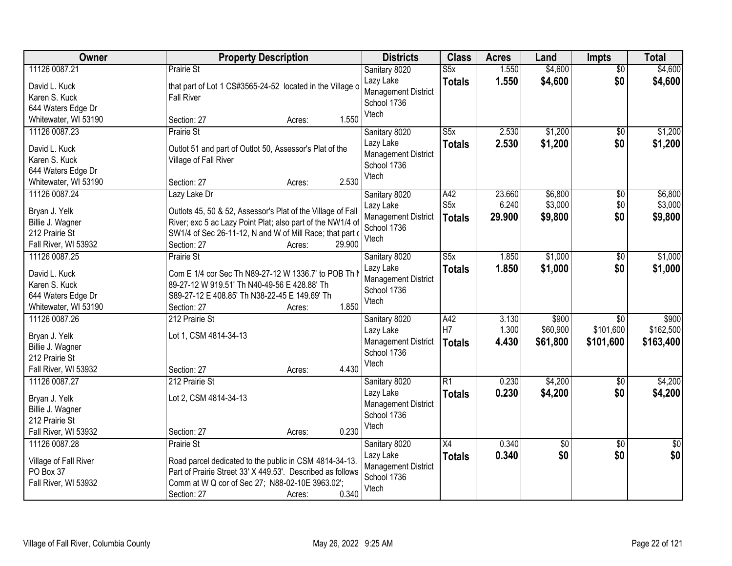| Owner                                                                                         | <b>Property Description</b>                                                                                                                                                                                                              | <b>Districts</b>                                                                 | <b>Class</b>                             | <b>Acres</b>              | Land                          | Impts                                     | <b>Total</b>                    |
|-----------------------------------------------------------------------------------------------|------------------------------------------------------------------------------------------------------------------------------------------------------------------------------------------------------------------------------------------|----------------------------------------------------------------------------------|------------------------------------------|---------------------------|-------------------------------|-------------------------------------------|---------------------------------|
| 11126 0087.21<br>David L. Kuck<br>Karen S. Kuck<br>644 Waters Edge Dr                         | <b>Prairie St</b><br>that part of Lot 1 CS#3565-24-52 located in the Village o<br><b>Fall River</b>                                                                                                                                      | Sanitary 8020<br>Lazy Lake<br>Management District<br>School 1736<br>Vtech        | S5x<br><b>Totals</b>                     | 1.550<br>1.550            | \$4,600<br>\$4,600            | $\overline{50}$<br>\$0                    | \$4,600<br>\$4,600              |
| Whitewater, WI 53190                                                                          | 1.550<br>Section: 27<br>Acres:                                                                                                                                                                                                           |                                                                                  |                                          |                           |                               |                                           |                                 |
| 11126 0087.23<br>David L. Kuck<br>Karen S. Kuck<br>644 Waters Edge Dr<br>Whitewater, WI 53190 | Prairie St<br>Outlot 51 and part of Outlot 50, Assessor's Plat of the<br>Village of Fall River<br>2.530<br>Section: 27<br>Acres:                                                                                                         | Sanitary 8020<br>Lazy Lake<br><b>Management District</b><br>School 1736<br>Vtech | $\overline{\text{S5x}}$<br><b>Totals</b> | 2.530<br>2.530            | \$1,200<br>\$1,200            | $\overline{50}$<br>\$0                    | \$1,200<br>\$1,200              |
| 11126 0087.24<br>Bryan J. Yelk<br>Billie J. Wagner<br>212 Prairie St<br>Fall River, WI 53932  | Lazy Lake Dr<br>Outlots 45, 50 & 52, Assessor's Plat of the Village of Fall<br>River; exc 5 ac Lazy Point Plat; also part of the NW1/4 of<br>SW1/4 of Sec 26-11-12, N and W of Mill Race; that part o<br>29.900<br>Section: 27<br>Acres: | Sanitary 8020<br>Lazy Lake<br><b>Management District</b><br>School 1736<br>Vtech | A42<br>S <sub>5</sub> x<br><b>Totals</b> | 23.660<br>6.240<br>29.900 | \$6,800<br>\$3,000<br>\$9,800 | \$0<br>\$0<br>\$0                         | \$6,800<br>\$3,000<br>\$9,800   |
| 11126 0087.25<br>David L. Kuck<br>Karen S. Kuck<br>644 Waters Edge Dr<br>Whitewater, WI 53190 | Prairie St<br>Com E 1/4 cor Sec Th N89-27-12 W 1336.7' to POB Th I<br>89-27-12 W 919.51' Th N40-49-56 E 428.88' Th<br>S89-27-12 E 408.85' Th N38-22-45 E 149.69' Th<br>1.850<br>Section: 27<br>Acres:                                    | Sanitary 8020<br>Lazy Lake<br><b>Management District</b><br>School 1736<br>Vtech | $\overline{\text{S5x}}$<br><b>Totals</b> | 1.850<br>1.850            | \$1,000<br>\$1,000            | \$0<br>\$0                                | \$1,000<br>\$1,000              |
| 11126 0087.26<br>Bryan J. Yelk<br>Billie J. Wagner<br>212 Prairie St<br>Fall River, WI 53932  | 212 Prairie St<br>Lot 1, CSM 4814-34-13<br>4.430<br>Section: 27<br>Acres:                                                                                                                                                                | Sanitary 8020<br>Lazy Lake<br><b>Management District</b><br>School 1736<br>Vtech | A42<br>H7<br><b>Totals</b>               | 3.130<br>1.300<br>4.430   | \$900<br>\$60,900<br>\$61,800 | $\overline{30}$<br>\$101,600<br>\$101,600 | \$900<br>\$162,500<br>\$163,400 |
| 11126 0087.27<br>Bryan J. Yelk<br>Billie J. Wagner<br>212 Prairie St<br>Fall River, WI 53932  | 212 Prairie St<br>Lot 2, CSM 4814-34-13<br>0.230<br>Section: 27<br>Acres:                                                                                                                                                                | Sanitary 8020<br>Lazy Lake<br><b>Management District</b><br>School 1736<br>Vtech | $\overline{R1}$<br><b>Totals</b>         | 0.230<br>0.230            | \$4,200<br>\$4,200            | $\sqrt{6}$<br>\$0                         | \$4,200<br>\$4,200              |
| 11126 0087.28<br>Village of Fall River<br>PO Box 37<br>Fall River, WI 53932                   | Prairie St<br>Road parcel dedicated to the public in CSM 4814-34-13.<br>Part of Prairie Street 33' X 449.53'. Described as follows<br>Comm at W Q cor of Sec 27; N88-02-10E 3963.02';<br>0.340<br>Section: 27<br>Acres:                  | Sanitary 8020<br>Lazy Lake<br><b>Management District</b><br>School 1736<br>Vtech | $\overline{X4}$<br><b>Totals</b>         | 0.340<br>0.340            | $\overline{50}$<br>\$0        | $\overline{50}$<br>\$0                    | $\overline{50}$<br>\$0          |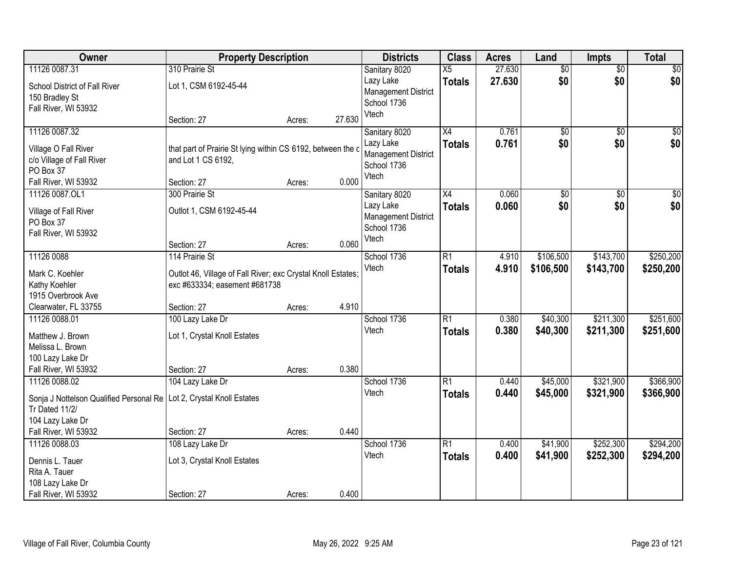| Owner                                                                                                        | <b>Property Description</b>                                                                      |        |        | <b>Districts</b>                                                                 | <b>Class</b>                     | <b>Acres</b>   | Land                   | <b>Impts</b>           | <b>Total</b>           |
|--------------------------------------------------------------------------------------------------------------|--------------------------------------------------------------------------------------------------|--------|--------|----------------------------------------------------------------------------------|----------------------------------|----------------|------------------------|------------------------|------------------------|
| 11126 0087.31                                                                                                | 310 Prairie St                                                                                   |        |        | Sanitary 8020                                                                    | X5                               | 27.630         | $\overline{50}$        | $\overline{50}$        | \$0                    |
| School District of Fall River<br>150 Bradley St<br>Fall River, WI 53932                                      | Lot 1, CSM 6192-45-44                                                                            |        |        | Lazy Lake<br><b>Management District</b><br>School 1736<br>Vtech                  | <b>Totals</b>                    | 27.630         | \$0                    | \$0                    | \$0                    |
|                                                                                                              | Section: 27                                                                                      | Acres: | 27.630 |                                                                                  |                                  |                |                        |                        |                        |
| 11126 0087.32<br>Village O Fall River<br>c/o Village of Fall River<br>PO Box 37<br>Fall River, WI 53932      | that part of Prairie St lying within CS 6192, between the c<br>and Lot 1 CS 6192,<br>Section: 27 | Acres: | 0.000  | Sanitary 8020<br>Lazy Lake<br><b>Management District</b><br>School 1736<br>Vtech | $\overline{X4}$<br><b>Totals</b> | 0.761<br>0.761 | $\overline{50}$<br>\$0 | $\overline{50}$<br>\$0 | \$0<br>\$0             |
| 11126 0087.OL1                                                                                               | 300 Prairie St                                                                                   |        |        | Sanitary 8020                                                                    | X4                               | 0.060          | $\overline{50}$        | \$0                    | $\overline{\$0}$       |
| Village of Fall River<br>PO Box 37<br>Fall River, WI 53932                                                   | Outlot 1, CSM 6192-45-44                                                                         |        |        | Lazy Lake<br><b>Management District</b><br>School 1736<br>Vtech                  | <b>Totals</b>                    | 0.060          | \$0                    | \$0                    | \$0                    |
|                                                                                                              | Section: 27<br>114 Prairie St                                                                    | Acres: | 0.060  |                                                                                  |                                  |                |                        |                        |                        |
| 11126 0088<br>Mark C. Koehler<br>Kathy Koehler<br>1915 Overbrook Ave                                         | Outlot 46, Village of Fall River; exc Crystal Knoll Estates;<br>exc #633334; easement #681738    |        |        | School 1736<br>Vtech                                                             | $\overline{R1}$<br><b>Totals</b> | 4.910<br>4.910 | \$106,500<br>\$106,500 | \$143,700<br>\$143,700 | \$250,200<br>\$250,200 |
| Clearwater, FL 33755                                                                                         | Section: 27                                                                                      | Acres: | 4.910  |                                                                                  |                                  |                |                        |                        |                        |
| 11126 0088.01<br>Matthew J. Brown<br>Melissa L. Brown<br>100 Lazy Lake Dr                                    | 100 Lazy Lake Dr<br>Lot 1, Crystal Knoll Estates                                                 |        |        | School 1736<br>Vtech                                                             | $\overline{R1}$<br>Totals        | 0.380<br>0.380 | \$40,300<br>\$40,300   | \$211,300<br>\$211,300 | \$251,600<br>\$251,600 |
| Fall River, WI 53932<br>11126 0088.02                                                                        | Section: 27                                                                                      | Acres: | 0.380  | School 1736                                                                      | R1                               | 0.440          | \$45,000               | \$321,900              | \$366,900              |
| Sonja J Nottelson Qualified Personal Re   Lot 2, Crystal Knoll Estates<br>Tr Dated 11/2/<br>104 Lazy Lake Dr | 104 Lazy Lake Dr                                                                                 |        |        | Vtech                                                                            | <b>Totals</b>                    | 0.440          | \$45,000               | \$321,900              | \$366,900              |
| Fall River, WI 53932                                                                                         | Section: 27                                                                                      | Acres: | 0.440  |                                                                                  |                                  |                |                        |                        |                        |
| 11126 0088.03<br>Dennis L. Tauer<br>Rita A. Tauer<br>108 Lazy Lake Dr                                        | 108 Lazy Lake Dr<br>Lot 3, Crystal Knoll Estates<br>Section: 27                                  |        | 0.400  | School 1736<br>Vtech                                                             | R1<br><b>Totals</b>              | 0.400<br>0.400 | \$41,900<br>\$41,900   | \$252,300<br>\$252,300 | \$294,200<br>\$294,200 |
| Fall River, WI 53932                                                                                         |                                                                                                  | Acres: |        |                                                                                  |                                  |                |                        |                        |                        |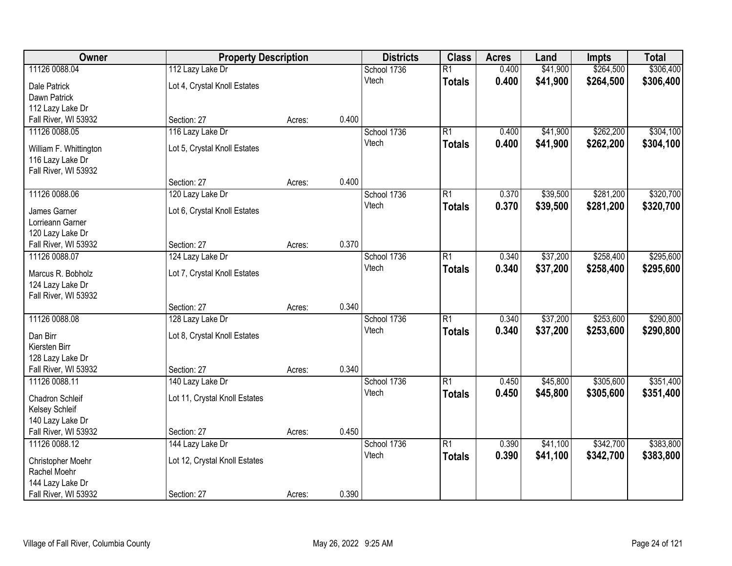| Owner                                    |                               | <b>Property Description</b> |       | <b>Districts</b>     | <b>Class</b>    | <b>Acres</b> | Land     | <b>Impts</b> | <b>Total</b> |
|------------------------------------------|-------------------------------|-----------------------------|-------|----------------------|-----------------|--------------|----------|--------------|--------------|
| 11126 0088.04                            | 112 Lazy Lake Dr              |                             |       | School 1736          | $\overline{R1}$ | 0.400        | \$41,900 | \$264,500    | \$306,400    |
| Dale Patrick                             | Lot 4, Crystal Knoll Estates  |                             |       | Vtech                | <b>Totals</b>   | 0.400        | \$41,900 | \$264,500    | \$306,400    |
| Dawn Patrick                             |                               |                             |       |                      |                 |              |          |              |              |
| 112 Lazy Lake Dr                         |                               |                             |       |                      |                 |              |          |              |              |
| Fall River, WI 53932                     | Section: 27                   | Acres:                      | 0.400 |                      |                 |              |          |              |              |
| 11126 0088.05                            | 116 Lazy Lake Dr              |                             |       | School 1736          | $\overline{R1}$ | 0.400        | \$41,900 | \$262,200    | \$304,100    |
| William F. Whittington                   | Lot 5, Crystal Knoll Estates  |                             |       | Vtech                | <b>Totals</b>   | 0.400        | \$41,900 | \$262,200    | \$304,100    |
| 116 Lazy Lake Dr                         |                               |                             |       |                      |                 |              |          |              |              |
| Fall River, WI 53932                     |                               |                             |       |                      |                 |              |          |              |              |
|                                          | Section: 27                   | Acres:                      | 0.400 |                      |                 |              |          |              |              |
| 11126 0088.06                            | 120 Lazy Lake Dr              |                             |       | School 1736          | $\overline{R1}$ | 0.370        | \$39,500 | \$281,200    | \$320,700    |
| James Garner                             | Lot 6, Crystal Knoll Estates  |                             |       | Vtech                | <b>Totals</b>   | 0.370        | \$39,500 | \$281,200    | \$320,700    |
| Lorrieann Garner                         |                               |                             |       |                      |                 |              |          |              |              |
| 120 Lazy Lake Dr                         |                               |                             |       |                      |                 |              |          |              |              |
| Fall River, WI 53932                     | Section: 27                   | Acres:                      | 0.370 |                      |                 |              |          |              |              |
| 11126 0088.07                            | 124 Lazy Lake Dr              |                             |       | School 1736          | $\overline{R1}$ | 0.340        | \$37,200 | \$258,400    | \$295,600    |
|                                          |                               |                             |       | Vtech                | <b>Totals</b>   | 0.340        | \$37,200 | \$258,400    | \$295,600    |
| Marcus R. Bobholz                        | Lot 7, Crystal Knoll Estates  |                             |       |                      |                 |              |          |              |              |
| 124 Lazy Lake Dr<br>Fall River, WI 53932 |                               |                             |       |                      |                 |              |          |              |              |
|                                          | Section: 27                   | Acres:                      | 0.340 |                      |                 |              |          |              |              |
| 11126 0088.08                            | 128 Lazy Lake Dr              |                             |       | School 1736          | $\overline{R1}$ | 0.340        | \$37,200 | \$253,600    | \$290,800    |
|                                          |                               |                             |       | Vtech                | <b>Totals</b>   | 0.340        | \$37,200 | \$253,600    | \$290,800    |
| Dan Birr                                 | Lot 8, Crystal Knoll Estates  |                             |       |                      |                 |              |          |              |              |
| Kiersten Birr                            |                               |                             |       |                      |                 |              |          |              |              |
| 128 Lazy Lake Dr                         |                               |                             |       |                      |                 |              |          |              |              |
| Fall River, WI 53932                     | Section: 27                   | Acres:                      | 0.340 |                      | $\overline{R1}$ |              |          |              |              |
| 11126 0088.11                            | 140 Lazy Lake Dr              |                             |       | School 1736<br>Vtech |                 | 0.450        | \$45,800 | \$305,600    | \$351,400    |
| Chadron Schleif                          | Lot 11, Crystal Knoll Estates |                             |       |                      | <b>Totals</b>   | 0.450        | \$45,800 | \$305,600    | \$351,400    |
| Kelsey Schleif                           |                               |                             |       |                      |                 |              |          |              |              |
| 140 Lazy Lake Dr                         |                               |                             |       |                      |                 |              |          |              |              |
| Fall River, WI 53932                     | Section: 27                   | Acres:                      | 0.450 |                      |                 |              |          |              |              |
| 11126 0088.12                            | 144 Lazy Lake Dr              |                             |       | School 1736          | $\overline{R1}$ | 0.390        | \$41,100 | \$342,700    | \$383,800    |
| Christopher Moehr                        | Lot 12, Crystal Knoll Estates |                             |       | Vtech                | <b>Totals</b>   | 0.390        | \$41,100 | \$342,700    | \$383,800    |
| Rachel Moehr                             |                               |                             |       |                      |                 |              |          |              |              |
| 144 Lazy Lake Dr                         |                               |                             |       |                      |                 |              |          |              |              |
| Fall River, WI 53932                     | Section: 27                   | Acres:                      | 0.390 |                      |                 |              |          |              |              |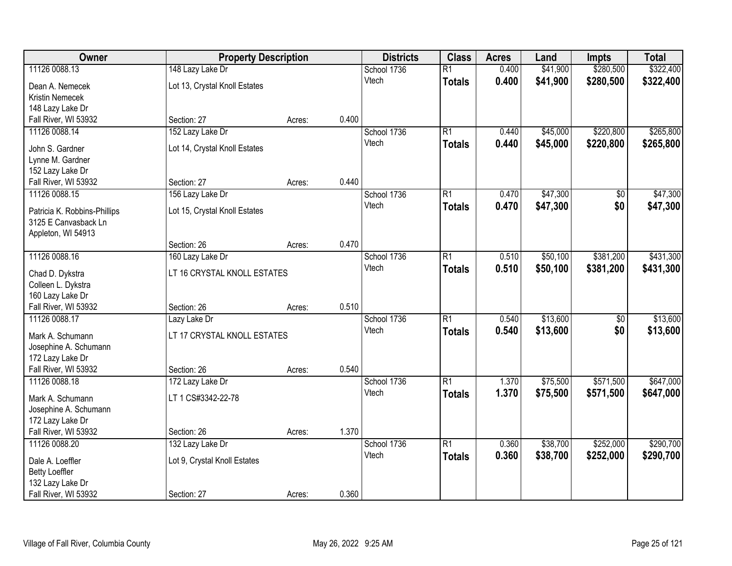| Owner                                                |                               | <b>Property Description</b> |       | <b>Districts</b>     | <b>Class</b>    | <b>Acres</b> | Land     | <b>Impts</b>    | <b>Total</b> |
|------------------------------------------------------|-------------------------------|-----------------------------|-------|----------------------|-----------------|--------------|----------|-----------------|--------------|
| 11126 0088.13                                        | 148 Lazy Lake Dr              |                             |       | School 1736          | $\overline{R1}$ | 0.400        | \$41,900 | \$280,500       | \$322,400    |
| Dean A. Nemecek                                      | Lot 13, Crystal Knoll Estates |                             |       | Vtech                | <b>Totals</b>   | 0.400        | \$41,900 | \$280,500       | \$322,400    |
| Kristin Nemecek                                      |                               |                             |       |                      |                 |              |          |                 |              |
| 148 Lazy Lake Dr                                     |                               |                             |       |                      |                 |              |          |                 |              |
| Fall River, WI 53932                                 | Section: 27                   | Acres:                      | 0.400 |                      |                 |              |          |                 |              |
| 11126 0088.14                                        | 152 Lazy Lake Dr              |                             |       | School 1736          | $\overline{R1}$ | 0.440        | \$45,000 | \$220,800       | \$265,800    |
| John S. Gardner                                      | Lot 14, Crystal Knoll Estates |                             |       | Vtech                | <b>Totals</b>   | 0.440        | \$45,000 | \$220,800       | \$265,800    |
| Lynne M. Gardner                                     |                               |                             |       |                      |                 |              |          |                 |              |
| 152 Lazy Lake Dr                                     |                               |                             |       |                      |                 |              |          |                 |              |
| Fall River, WI 53932                                 | Section: 27                   | Acres:                      | 0.440 |                      |                 |              |          |                 |              |
| 11126 0088.15                                        | 156 Lazy Lake Dr              |                             |       | School 1736          | $\overline{R1}$ | 0.470        | \$47,300 | \$0             | \$47,300     |
|                                                      |                               |                             |       | Vtech                | <b>Totals</b>   | 0.470        | \$47,300 | \$0             | \$47,300     |
| Patricia K. Robbins-Phillips<br>3125 E Canvasback Ln | Lot 15, Crystal Knoll Estates |                             |       |                      |                 |              |          |                 |              |
| Appleton, WI 54913                                   |                               |                             |       |                      |                 |              |          |                 |              |
|                                                      | Section: 26                   | Acres:                      | 0.470 |                      |                 |              |          |                 |              |
| 11126 0088.16                                        | 160 Lazy Lake Dr              |                             |       | School 1736          | $\overline{R1}$ | 0.510        | \$50,100 | \$381,200       | \$431,300    |
|                                                      |                               |                             |       | Vtech                | <b>Totals</b>   | 0.510        | \$50,100 | \$381,200       | \$431,300    |
| Chad D. Dykstra                                      | LT 16 CRYSTAL KNOLL ESTATES   |                             |       |                      |                 |              |          |                 |              |
| Colleen L. Dykstra<br>160 Lazy Lake Dr               |                               |                             |       |                      |                 |              |          |                 |              |
| Fall River, WI 53932                                 | Section: 26                   | Acres:                      | 0.510 |                      |                 |              |          |                 |              |
| 11126 0088.17                                        | Lazy Lake Dr                  |                             |       | School 1736          | $\overline{R1}$ | 0.540        | \$13,600 | $\overline{50}$ | \$13,600     |
|                                                      |                               |                             |       | Vtech                | <b>Totals</b>   | 0.540        | \$13,600 | \$0             | \$13,600     |
| Mark A. Schumann                                     | LT 17 CRYSTAL KNOLL ESTATES   |                             |       |                      |                 |              |          |                 |              |
| Josephine A. Schumann                                |                               |                             |       |                      |                 |              |          |                 |              |
| 172 Lazy Lake Dr                                     |                               |                             |       |                      |                 |              |          |                 |              |
| Fall River, WI 53932                                 | Section: 26                   | Acres:                      | 0.540 |                      | $\overline{R1}$ |              |          |                 |              |
| 11126 0088.18                                        | 172 Lazy Lake Dr              |                             |       | School 1736<br>Vtech |                 | 1.370        | \$75,500 | \$571,500       | \$647,000    |
| Mark A. Schumann                                     | LT 1 CS#3342-22-78            |                             |       |                      | <b>Totals</b>   | 1.370        | \$75,500 | \$571,500       | \$647,000    |
| Josephine A. Schumann                                |                               |                             |       |                      |                 |              |          |                 |              |
| 172 Lazy Lake Dr                                     |                               |                             |       |                      |                 |              |          |                 |              |
| Fall River, WI 53932                                 | Section: 26                   | Acres:                      | 1.370 |                      |                 |              |          |                 |              |
| 11126 0088.20                                        | 132 Lazy Lake Dr              |                             |       | School 1736          | $\overline{R1}$ | 0.360        | \$38,700 | \$252,000       | \$290,700    |
| Dale A. Loeffler                                     | Lot 9, Crystal Knoll Estates  |                             |       | Vtech                | <b>Totals</b>   | 0.360        | \$38,700 | \$252,000       | \$290,700    |
| <b>Betty Loeffler</b>                                |                               |                             |       |                      |                 |              |          |                 |              |
| 132 Lazy Lake Dr                                     |                               |                             |       |                      |                 |              |          |                 |              |
| Fall River, WI 53932                                 | Section: 27                   | Acres:                      | 0.360 |                      |                 |              |          |                 |              |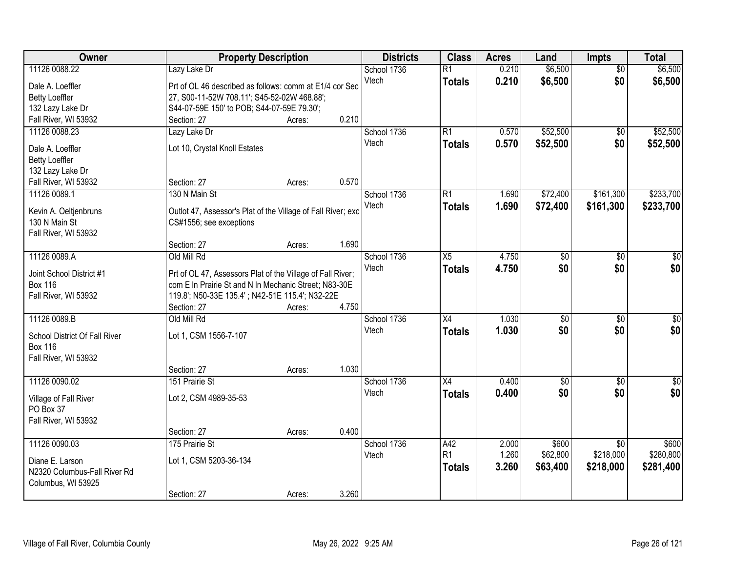| Owner                                    | <b>Property Description</b>                                  |        | <b>Districts</b> | <b>Class</b> | <b>Acres</b>    | Land  | <b>Impts</b>    | <b>Total</b>    |                 |
|------------------------------------------|--------------------------------------------------------------|--------|------------------|--------------|-----------------|-------|-----------------|-----------------|-----------------|
| 11126 0088.22                            | Lazy Lake Dr                                                 |        |                  | School 1736  | $\overline{R1}$ | 0.210 | \$6,500         | $\overline{50}$ | \$6,500         |
| Dale A. Loeffler                         | Prt of OL 46 described as follows: comm at E1/4 cor Sec      |        |                  | Vtech        | <b>Totals</b>   | 0.210 | \$6,500         | \$0             | \$6,500         |
| <b>Betty Loeffler</b>                    | 27, S00-11-52W 708.11'; S45-52-02W 468.88';                  |        |                  |              |                 |       |                 |                 |                 |
| 132 Lazy Lake Dr                         | S44-07-59E 150' to POB; S44-07-59E 79.30';                   |        |                  |              |                 |       |                 |                 |                 |
| Fall River, WI 53932                     | Section: 27                                                  | Acres: | 0.210            |              |                 |       |                 |                 |                 |
| 11126 0088.23                            | Lazy Lake Dr                                                 |        |                  | School 1736  | R1              | 0.570 | \$52,500        | \$0             | \$52,500        |
|                                          |                                                              |        |                  | Vtech        | <b>Totals</b>   | 0.570 | \$52,500        | \$0             | \$52,500        |
| Dale A. Loeffler                         | Lot 10, Crystal Knoll Estates                                |        |                  |              |                 |       |                 |                 |                 |
| <b>Betty Loeffler</b>                    |                                                              |        |                  |              |                 |       |                 |                 |                 |
| 132 Lazy Lake Dr<br>Fall River, WI 53932 | Section: 27                                                  | Acres: | 0.570            |              |                 |       |                 |                 |                 |
| 11126 0089.1                             | 130 N Main St                                                |        |                  | School 1736  | R1              | 1.690 | \$72,400        | \$161,300       | \$233,700       |
|                                          |                                                              |        |                  | Vtech        |                 |       |                 |                 |                 |
| Kevin A. Oeltjenbruns                    | Outlot 47, Assessor's Plat of the Village of Fall River; exc |        |                  |              | <b>Totals</b>   | 1.690 | \$72,400        | \$161,300       | \$233,700       |
| 130 N Main St                            | CS#1556; see exceptions                                      |        |                  |              |                 |       |                 |                 |                 |
| Fall River, WI 53932                     |                                                              |        |                  |              |                 |       |                 |                 |                 |
|                                          | Section: 27                                                  | Acres: | 1.690            |              |                 |       |                 |                 |                 |
| 11126 0089.A                             | Old Mill Rd                                                  |        |                  | School 1736  | $\overline{X5}$ | 4.750 | $\overline{50}$ | $\sqrt[6]{3}$   | $\sqrt{50}$     |
| Joint School District #1                 | Prt of OL 47, Assessors Plat of the Village of Fall River;   |        |                  | Vtech        | <b>Totals</b>   | 4.750 | \$0             | \$0             | \$0             |
| <b>Box 116</b>                           | com E In Prairie St and N In Mechanic Street; N83-30E        |        |                  |              |                 |       |                 |                 |                 |
| Fall River, WI 53932                     | 119.8'; N50-33E 135.4'; N42-51E 115.4'; N32-22E              |        |                  |              |                 |       |                 |                 |                 |
|                                          | Section: 27                                                  | Acres: | 4.750            |              |                 |       |                 |                 |                 |
| 11126 0089.B                             | Old Mill Rd                                                  |        |                  | School 1736  | X4              | 1.030 | \$0             | $\overline{50}$ | $\sqrt{50}$     |
|                                          |                                                              |        |                  | Vtech        | <b>Totals</b>   | 1.030 | \$0             | \$0             | \$0             |
| School District Of Fall River            | Lot 1, CSM 1556-7-107                                        |        |                  |              |                 |       |                 |                 |                 |
| <b>Box 116</b>                           |                                                              |        |                  |              |                 |       |                 |                 |                 |
| Fall River, WI 53932                     |                                                              |        |                  |              |                 |       |                 |                 |                 |
|                                          | Section: 27                                                  | Acres: | 1.030            |              |                 |       |                 |                 |                 |
| 11126 0090.02                            | 151 Prairie St                                               |        |                  | School 1736  | X4              | 0.400 | $\overline{50}$ | $\overline{30}$ | $\overline{50}$ |
| Village of Fall River                    | Lot 2, CSM 4989-35-53                                        |        |                  | Vtech        | <b>Totals</b>   | 0.400 | \$0             | \$0             | \$0             |
| PO Box 37                                |                                                              |        |                  |              |                 |       |                 |                 |                 |
| Fall River, WI 53932                     |                                                              |        |                  |              |                 |       |                 |                 |                 |
|                                          | Section: 27                                                  | Acres: | 0.400            |              |                 |       |                 |                 |                 |
| 11126 0090.03                            | 175 Prairie St                                               |        |                  | School 1736  | A42             | 2.000 | \$600           | $\overline{30}$ | \$600           |
| Diane E. Larson                          | Lot 1, CSM 5203-36-134                                       |        |                  | Vtech        | R <sub>1</sub>  | 1.260 | \$62,800        | \$218,000       | \$280,800       |
| N2320 Columbus-Fall River Rd             |                                                              |        |                  |              | <b>Totals</b>   | 3.260 | \$63,400        | \$218,000       | \$281,400       |
| Columbus, WI 53925                       |                                                              |        |                  |              |                 |       |                 |                 |                 |
|                                          | Section: 27                                                  | Acres: | 3.260            |              |                 |       |                 |                 |                 |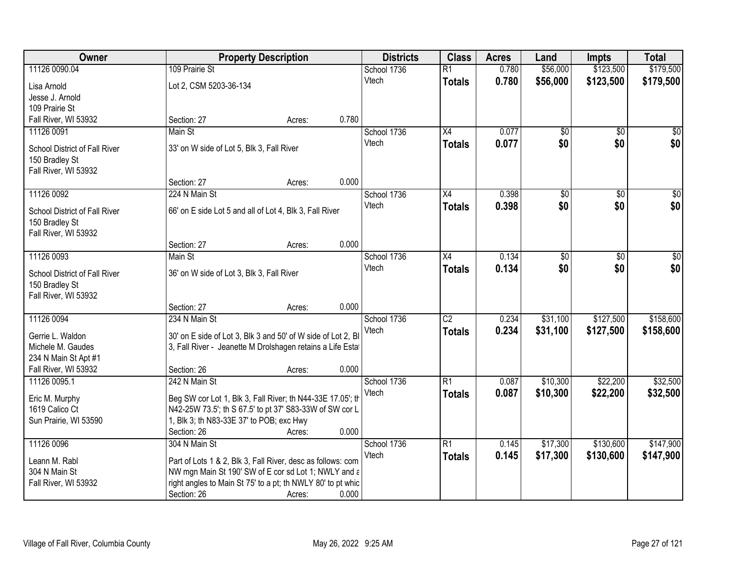| Owner                                           |                                                                                                                            | <b>Property Description</b> |             | <b>Class</b>    | <b>Acres</b> | Land            | <b>Impts</b>  | <b>Total</b>     |
|-------------------------------------------------|----------------------------------------------------------------------------------------------------------------------------|-----------------------------|-------------|-----------------|--------------|-----------------|---------------|------------------|
| 11126 0090.04                                   | 109 Prairie St                                                                                                             |                             | School 1736 | $\overline{R1}$ | 0.780        | \$56,000        | \$123,500     | \$179,500        |
| Lisa Arnold                                     | Lot 2, CSM 5203-36-134                                                                                                     |                             | Vtech       | <b>Totals</b>   | 0.780        | \$56,000        | \$123,500     | \$179,500        |
| Jesse J. Arnold                                 |                                                                                                                            |                             |             |                 |              |                 |               |                  |
| 109 Prairie St                                  |                                                                                                                            |                             |             |                 |              |                 |               |                  |
| Fall River, WI 53932                            | Section: 27                                                                                                                | Acres:                      | 0.780       |                 |              |                 |               |                  |
| 11126 0091                                      | Main St                                                                                                                    |                             | School 1736 | $\overline{X4}$ | 0.077        | \$0             | \$0           | \$0              |
| School District of Fall River                   | 33' on W side of Lot 5, Blk 3, Fall River                                                                                  |                             | Vtech       | <b>Totals</b>   | 0.077        | \$0             | \$0           | \$0              |
| 150 Bradley St                                  |                                                                                                                            |                             |             |                 |              |                 |               |                  |
| Fall River, WI 53932                            |                                                                                                                            |                             |             |                 |              |                 |               |                  |
|                                                 | Section: 27                                                                                                                | Acres:                      | 0.000       |                 |              |                 |               |                  |
| 11126 0092                                      | 224 N Main St                                                                                                              |                             | School 1736 | X4              | 0.398        | $\overline{50}$ | \$0           | $\overline{\$0}$ |
| School District of Fall River                   | 66' on E side Lot 5 and all of Lot 4, Blk 3, Fall River                                                                    |                             | Vtech       | <b>Totals</b>   | 0.398        | \$0             | \$0           | \$0              |
| 150 Bradley St                                  |                                                                                                                            |                             |             |                 |              |                 |               |                  |
| Fall River, WI 53932                            |                                                                                                                            |                             |             |                 |              |                 |               |                  |
|                                                 | Section: 27                                                                                                                | Acres:                      | 0.000       |                 |              |                 |               |                  |
| 11126 0093                                      | Main St                                                                                                                    |                             | School 1736 | X4              | 0.134        | \$0             | $\sqrt[6]{3}$ | $\sqrt{50}$      |
|                                                 |                                                                                                                            |                             | Vtech       | <b>Totals</b>   | 0.134        | \$0             | \$0           | \$0              |
| School District of Fall River<br>150 Bradley St | 36' on W side of Lot 3, Blk 3, Fall River                                                                                  |                             |             |                 |              |                 |               |                  |
| Fall River, WI 53932                            |                                                                                                                            |                             |             |                 |              |                 |               |                  |
|                                                 | Section: 27                                                                                                                | Acres:                      | 0.000       |                 |              |                 |               |                  |
| 11126 0094                                      | 234 N Main St                                                                                                              |                             | School 1736 | $\overline{C2}$ | 0.234        | \$31,100        | \$127,500     | \$158,600        |
|                                                 |                                                                                                                            |                             | Vtech       | <b>Totals</b>   | 0.234        | \$31,100        | \$127,500     | \$158,600        |
| Gerrie L. Waldon<br>Michele M. Gaudes           | 30' on E side of Lot 3, Blk 3 and 50' of W side of Lot 2, Bl<br>3, Fall River - Jeanette M Drolshagen retains a Life Estat |                             |             |                 |              |                 |               |                  |
| 234 N Main St Apt #1                            |                                                                                                                            |                             |             |                 |              |                 |               |                  |
| Fall River, WI 53932                            | Section: 26                                                                                                                | Acres:                      | 0.000       |                 |              |                 |               |                  |
| 11126 0095.1                                    | 242 N Main St                                                                                                              |                             | School 1736 | $\overline{R1}$ | 0.087        | \$10,300        | \$22,200      | \$32,500         |
|                                                 |                                                                                                                            |                             | Vtech       | <b>Totals</b>   | 0.087        | \$10,300        | \$22,200      | \$32,500         |
| Eric M. Murphy<br>1619 Calico Ct                | Beg SW cor Lot 1, Blk 3, Fall River; th N44-33E 17.05'; th<br>N42-25W 73.5'; th S 67.5' to pt 37' S83-33W of SW cor L      |                             |             |                 |              |                 |               |                  |
| Sun Prairie, WI 53590                           | 1, Blk 3; th N83-33E 37' to POB; exc Hwy                                                                                   |                             |             |                 |              |                 |               |                  |
|                                                 | Section: 26                                                                                                                | Acres:                      | 0.000       |                 |              |                 |               |                  |
| 11126 0096                                      | 304 N Main St                                                                                                              |                             | School 1736 | $\overline{R1}$ | 0.145        | \$17,300        | \$130,600     | \$147,900        |
|                                                 |                                                                                                                            |                             | Vtech       | <b>Totals</b>   | 0.145        | \$17,300        | \$130,600     | \$147,900        |
| Leann M. Rabl                                   | Part of Lots 1 & 2, Blk 3, Fall River, desc as follows: com                                                                |                             |             |                 |              |                 |               |                  |
| 304 N Main St<br>Fall River, WI 53932           | NW mgn Main St 190' SW of E cor sd Lot 1; NWLY and a<br>right angles to Main St 75' to a pt; th NWLY 80' to pt whic        |                             |             |                 |              |                 |               |                  |
|                                                 | Section: 26                                                                                                                | Acres:                      | 0.000       |                 |              |                 |               |                  |
|                                                 |                                                                                                                            |                             |             |                 |              |                 |               |                  |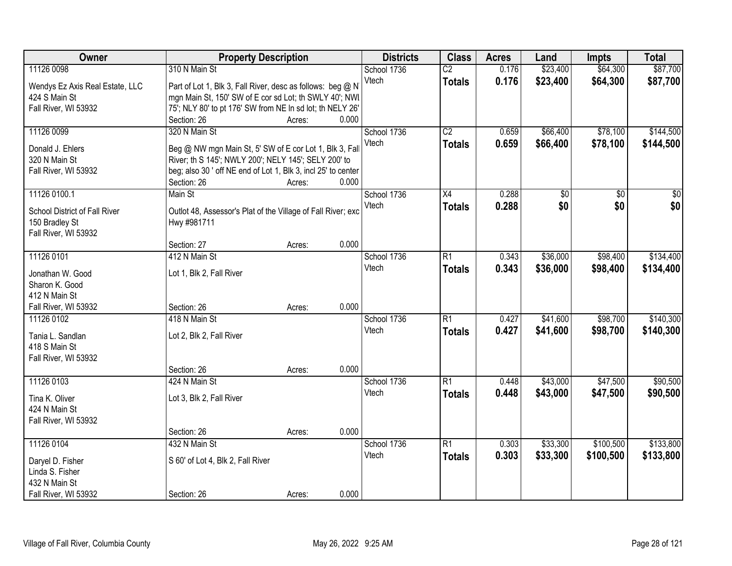| Owner                                 | <b>Property Description</b>                                   |                 | <b>Districts</b> | <b>Class</b>    | <b>Acres</b> | Land            | <b>Impts</b> | <b>Total</b>    |
|---------------------------------------|---------------------------------------------------------------|-----------------|------------------|-----------------|--------------|-----------------|--------------|-----------------|
| 11126 0098                            | 310 N Main St                                                 |                 | School 1736      | $\overline{C2}$ | 0.176        | \$23,400        | \$64,300     | \$87,700        |
| Wendys Ez Axis Real Estate, LLC       | Part of Lot 1, Blk 3, Fall River, desc as follows: beg @ N    |                 | Vtech            | <b>Totals</b>   | 0.176        | \$23,400        | \$64,300     | \$87,700        |
| 424 S Main St                         | mgn Main St, 150' SW of E cor sd Lot; th SWLY 40'; NWI        |                 |                  |                 |              |                 |              |                 |
| Fall River, WI 53932                  | 75'; NLY 80' to pt 176' SW from NE In sd lot; th NELY 26'     |                 |                  |                 |              |                 |              |                 |
|                                       | Section: 26                                                   | 0.000<br>Acres: |                  |                 |              |                 |              |                 |
| 11126 0099                            | 320 N Main St                                                 |                 | School 1736      | $\overline{C2}$ | 0.659        | \$66,400        | \$78,100     | \$144,500       |
| Donald J. Ehlers                      | Beg @ NW mgn Main St, 5' SW of E cor Lot 1, Blk 3, Fall       |                 | Vtech            | <b>Totals</b>   | 0.659        | \$66,400        | \$78,100     | \$144,500       |
| 320 N Main St                         | River; th S 145'; NWLY 200'; NELY 145'; SELY 200' to          |                 |                  |                 |              |                 |              |                 |
| Fall River, WI 53932                  | beg; also 30 ' off NE end of Lot 1, Blk 3, incl 25' to center |                 |                  |                 |              |                 |              |                 |
|                                       | Section: 26                                                   | 0.000<br>Acres: |                  |                 |              |                 |              |                 |
| 11126 0100.1                          | Main St                                                       |                 | School 1736      | X4              | 0.288        | $\overline{50}$ | \$0          | $\overline{30}$ |
| School District of Fall River         | Outlot 48, Assessor's Plat of the Village of Fall River; exc  |                 | Vtech            | <b>Totals</b>   | 0.288        | \$0             | \$0          | \$0             |
| 150 Bradley St                        | Hwy #981711                                                   |                 |                  |                 |              |                 |              |                 |
| Fall River, WI 53932                  |                                                               |                 |                  |                 |              |                 |              |                 |
|                                       | Section: 27                                                   | 0.000<br>Acres: |                  |                 |              |                 |              |                 |
| 11126 0101                            | 412 N Main St                                                 |                 | School 1736      | R1              | 0.343        | \$36,000        | \$98,400     | \$134,400       |
| Jonathan W. Good                      | Lot 1, Blk 2, Fall River                                      |                 | Vtech            | <b>Totals</b>   | 0.343        | \$36,000        | \$98,400     | \$134,400       |
| Sharon K. Good                        |                                                               |                 |                  |                 |              |                 |              |                 |
| 412 N Main St                         |                                                               |                 |                  |                 |              |                 |              |                 |
| Fall River, WI 53932                  | Section: 26                                                   | 0.000<br>Acres: |                  |                 |              |                 |              |                 |
| 11126 0102                            | 418 N Main St                                                 |                 | School 1736      | $\overline{R1}$ | 0.427        | \$41,600        | \$98,700     | \$140,300       |
|                                       |                                                               |                 | Vtech            | <b>Totals</b>   | 0.427        | \$41,600        | \$98,700     | \$140,300       |
| Tania L. Sandlan                      | Lot 2, Blk 2, Fall River                                      |                 |                  |                 |              |                 |              |                 |
| 418 S Main St<br>Fall River, WI 53932 |                                                               |                 |                  |                 |              |                 |              |                 |
|                                       | Section: 26                                                   | 0.000<br>Acres: |                  |                 |              |                 |              |                 |
| 11126 0103                            | 424 N Main St                                                 |                 | School 1736      | R1              | 0.448        | \$43,000        | \$47,500     | \$90,500        |
|                                       |                                                               |                 | Vtech            | <b>Totals</b>   | 0.448        | \$43,000        | \$47,500     | \$90,500        |
| Tina K. Oliver                        | Lot 3, Blk 2, Fall River                                      |                 |                  |                 |              |                 |              |                 |
| 424 N Main St                         |                                                               |                 |                  |                 |              |                 |              |                 |
| Fall River, WI 53932                  |                                                               | 0.000           |                  |                 |              |                 |              |                 |
| 11126 0104                            | Section: 26<br>432 N Main St                                  | Acres:          | School 1736      | R1              | 0.303        | \$33,300        | \$100,500    | \$133,800       |
|                                       |                                                               |                 | Vtech            | <b>Totals</b>   | 0.303        | \$33,300        | \$100,500    | \$133,800       |
| Daryel D. Fisher                      | S 60' of Lot 4, Blk 2, Fall River                             |                 |                  |                 |              |                 |              |                 |
| Linda S. Fisher                       |                                                               |                 |                  |                 |              |                 |              |                 |
| 432 N Main St                         |                                                               |                 |                  |                 |              |                 |              |                 |
| Fall River, WI 53932                  | Section: 26                                                   | 0.000<br>Acres: |                  |                 |              |                 |              |                 |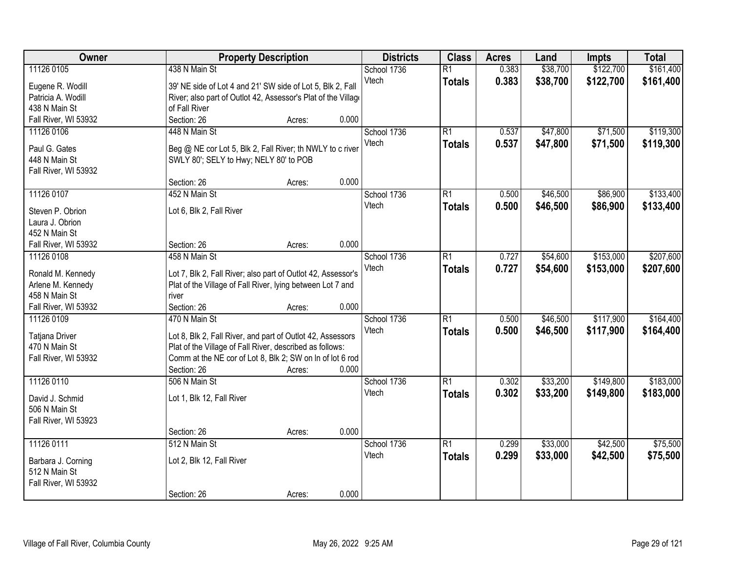| Owner                              |                                                                     | <b>Property Description</b> |       | <b>Districts</b> | <b>Class</b>    | <b>Acres</b> | Land     | <b>Impts</b> | <b>Total</b> |
|------------------------------------|---------------------------------------------------------------------|-----------------------------|-------|------------------|-----------------|--------------|----------|--------------|--------------|
| 11126 0105                         | 438 N Main St                                                       |                             |       | School 1736      | $\overline{R1}$ | 0.383        | \$38,700 | \$122,700    | \$161,400    |
| Eugene R. Wodill                   | 39' NE side of Lot 4 and 21' SW side of Lot 5, Blk 2, Fall          |                             |       | Vtech            | <b>Totals</b>   | 0.383        | \$38,700 | \$122,700    | \$161,400    |
| Patricia A. Wodill                 | River; also part of Outlot 42, Assessor's Plat of the Village       |                             |       |                  |                 |              |          |              |              |
| 438 N Main St                      | of Fall River                                                       |                             |       |                  |                 |              |          |              |              |
| Fall River, WI 53932               | Section: 26                                                         | Acres:                      | 0.000 |                  |                 |              |          |              |              |
| 11126 0106                         | 448 N Main St                                                       |                             |       | School 1736      | $\overline{R1}$ | 0.537        | \$47,800 | \$71,500     | \$119,300    |
|                                    |                                                                     |                             |       | Vtech            | <b>Totals</b>   | 0.537        | \$47,800 | \$71,500     | \$119,300    |
| Paul G. Gates                      | Beg @ NE cor Lot 5, Blk 2, Fall River; th NWLY to c river           |                             |       |                  |                 |              |          |              |              |
| 448 N Main St                      | SWLY 80'; SELY to Hwy; NELY 80' to POB                              |                             |       |                  |                 |              |          |              |              |
| Fall River, WI 53932               |                                                                     |                             |       |                  |                 |              |          |              |              |
|                                    | Section: 26                                                         | Acres:                      | 0.000 |                  |                 |              |          |              |              |
| 11126 0107                         | 452 N Main St                                                       |                             |       | School 1736      | $\overline{R1}$ | 0.500        | \$46,500 | \$86,900     | \$133,400    |
| Steven P. Obrion                   | Lot 6, Blk 2, Fall River                                            |                             |       | Vtech            | <b>Totals</b>   | 0.500        | \$46,500 | \$86,900     | \$133,400    |
| Laura J. Obrion                    |                                                                     |                             |       |                  |                 |              |          |              |              |
| 452 N Main St                      |                                                                     |                             |       |                  |                 |              |          |              |              |
| Fall River, WI 53932               | Section: 26                                                         | Acres:                      | 0.000 |                  |                 |              |          |              |              |
| 11126 0108                         | 458 N Main St                                                       |                             |       | School 1736      | $\overline{R1}$ | 0.727        | \$54,600 | \$153,000    | \$207,600    |
|                                    |                                                                     |                             |       | Vtech            | <b>Totals</b>   | 0.727        | \$54,600 | \$153,000    | \$207,600    |
| Ronald M. Kennedy                  | Lot 7, Blk 2, Fall River; also part of Outlot 42, Assessor's        |                             |       |                  |                 |              |          |              |              |
| Arlene M. Kennedy<br>458 N Main St | Plat of the Village of Fall River, lying between Lot 7 and<br>river |                             |       |                  |                 |              |          |              |              |
| Fall River, WI 53932               | Section: 26                                                         |                             | 0.000 |                  |                 |              |          |              |              |
| 11126 0109                         | 470 N Main St                                                       | Acres:                      |       | School 1736      | $\overline{R1}$ | 0.500        | \$46,500 | \$117,900    | \$164,400    |
|                                    |                                                                     |                             |       | Vtech            |                 | 0.500        |          |              |              |
| Tatjana Driver                     | Lot 8, Blk 2, Fall River, and part of Outlot 42, Assessors          |                             |       |                  | <b>Totals</b>   |              | \$46,500 | \$117,900    | \$164,400    |
| 470 N Main St                      | Plat of the Village of Fall River, described as follows:            |                             |       |                  |                 |              |          |              |              |
| Fall River, WI 53932               | Comm at the NE cor of Lot 8, Blk 2; SW on In of lot 6 rod           |                             |       |                  |                 |              |          |              |              |
|                                    | Section: 26                                                         | Acres:                      | 0.000 |                  |                 |              |          |              |              |
| 11126 0110                         | 506 N Main St                                                       |                             |       | School 1736      | $\overline{R1}$ | 0.302        | \$33,200 | \$149,800    | \$183,000    |
| David J. Schmid                    | Lot 1, Blk 12, Fall River                                           |                             |       | Vtech            | <b>Totals</b>   | 0.302        | \$33,200 | \$149,800    | \$183,000    |
| 506 N Main St                      |                                                                     |                             |       |                  |                 |              |          |              |              |
| Fall River, WI 53923               |                                                                     |                             |       |                  |                 |              |          |              |              |
|                                    | Section: 26                                                         | Acres:                      | 0.000 |                  |                 |              |          |              |              |
| 11126 0111                         | 512 N Main St                                                       |                             |       | School 1736      | $\overline{R1}$ | 0.299        | \$33,000 | \$42,500     | \$75,500     |
|                                    |                                                                     |                             |       | Vtech            | <b>Totals</b>   | 0.299        | \$33,000 | \$42,500     | \$75,500     |
| Barbara J. Corning                 | Lot 2, Blk 12, Fall River                                           |                             |       |                  |                 |              |          |              |              |
| 512 N Main St                      |                                                                     |                             |       |                  |                 |              |          |              |              |
| Fall River, WI 53932               |                                                                     |                             |       |                  |                 |              |          |              |              |
|                                    | Section: 26                                                         | Acres:                      | 0.000 |                  |                 |              |          |              |              |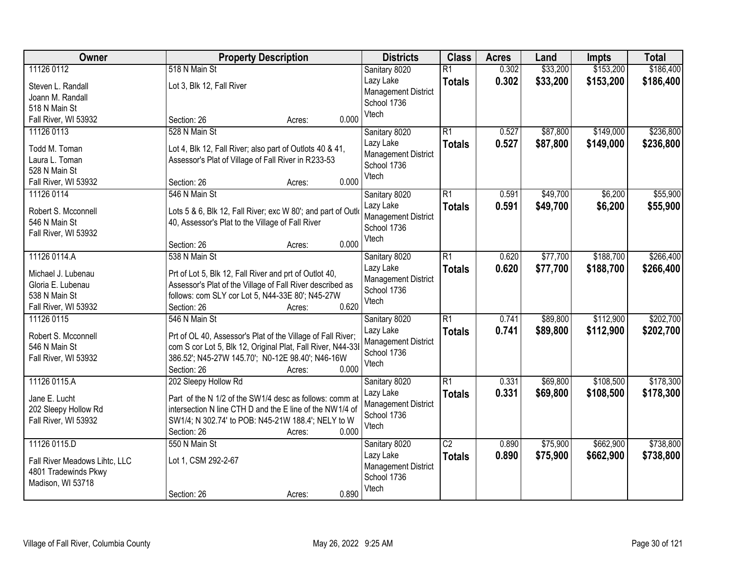| Owner                         | <b>Property Description</b>                                  | <b>Districts</b>           | <b>Class</b>    | <b>Acres</b> | Land     | <b>Impts</b> | <b>Total</b> |
|-------------------------------|--------------------------------------------------------------|----------------------------|-----------------|--------------|----------|--------------|--------------|
| 11126 0112                    | 518 N Main St                                                | Sanitary 8020              | $\overline{R1}$ | 0.302        | \$33,200 | \$153,200    | \$186,400    |
| Steven L. Randall             | Lot 3, Blk 12, Fall River                                    | Lazy Lake                  | <b>Totals</b>   | 0.302        | \$33,200 | \$153,200    | \$186,400    |
| Joann M. Randall              |                                                              | <b>Management District</b> |                 |              |          |              |              |
| 518 N Main St                 |                                                              | School 1736                |                 |              |          |              |              |
| Fall River, WI 53932          | 0.000<br>Section: 26<br>Acres:                               | Vtech                      |                 |              |          |              |              |
| 11126 0113                    | 528 N Main St                                                | Sanitary 8020              | $\overline{R1}$ | 0.527        | \$87,800 | \$149,000    | \$236,800    |
| Todd M. Toman                 | Lot 4, Blk 12, Fall River; also part of Outlots 40 & 41,     | Lazy Lake                  | <b>Totals</b>   | 0.527        | \$87,800 | \$149,000    | \$236,800    |
| Laura L. Toman                | Assessor's Plat of Village of Fall River in R233-53          | <b>Management District</b> |                 |              |          |              |              |
| 528 N Main St                 |                                                              | School 1736                |                 |              |          |              |              |
| Fall River, WI 53932          | 0.000<br>Section: 26<br>Acres:                               | Vtech                      |                 |              |          |              |              |
| 11126 0114                    | 546 N Main St                                                | Sanitary 8020              | $\overline{R1}$ | 0.591        | \$49,700 | \$6,200      | \$55,900     |
|                               |                                                              | Lazy Lake                  |                 | 0.591        | \$49,700 | \$6,200      | \$55,900     |
| Robert S. Mcconnell           | Lots 5 & 6, Blk 12, Fall River; exc W 80'; and part of Outlo | <b>Management District</b> | <b>Totals</b>   |              |          |              |              |
| 546 N Main St                 | 40, Assessor's Plat to the Village of Fall River             | School 1736                |                 |              |          |              |              |
| Fall River, WI 53932          |                                                              | Vtech                      |                 |              |          |              |              |
|                               | 0.000<br>Section: 26<br>Acres:                               |                            |                 |              |          |              |              |
| 11126 0114.A                  | 538 N Main St                                                | Sanitary 8020              | $\overline{R1}$ | 0.620        | \$77,700 | \$188,700    | \$266,400    |
| Michael J. Lubenau            | Prt of Lot 5, Blk 12, Fall River and prt of Outlot 40,       | Lazy Lake                  | <b>Totals</b>   | 0.620        | \$77,700 | \$188,700    | \$266,400    |
| Gloria E. Lubenau             | Assessor's Plat of the Village of Fall River described as    | <b>Management District</b> |                 |              |          |              |              |
| 538 N Main St                 | follows: com SLY cor Lot 5, N44-33E 80'; N45-27W             | School 1736                |                 |              |          |              |              |
| Fall River, WI 53932          | 0.620<br>Section: 26<br>Acres:                               | Vtech                      |                 |              |          |              |              |
| 11126 0115                    | 546 N Main St                                                | Sanitary 8020              | $\overline{R1}$ | 0.741        | \$89,800 | \$112,900    | \$202,700    |
|                               |                                                              | Lazy Lake                  | <b>Totals</b>   | 0.741        | \$89,800 | \$112,900    | \$202,700    |
| Robert S. Mcconnell           | Prt of OL 40, Assessor's Plat of the Village of Fall River;  | <b>Management District</b> |                 |              |          |              |              |
| 546 N Main St                 | com S cor Lot 5, Blk 12, Original Plat, Fall River, N44-331  | School 1736                |                 |              |          |              |              |
| Fall River, WI 53932          | 386.52'; N45-27W 145.70'; N0-12E 98.40'; N46-16W             | Vtech                      |                 |              |          |              |              |
|                               | Section: 26<br>0.000<br>Acres:                               |                            |                 |              |          |              |              |
| 11126 0115.A                  | 202 Sleepy Hollow Rd                                         | Sanitary 8020              | $\overline{R1}$ | 0.331        | \$69,800 | \$108,500    | \$178,300    |
| Jane E. Lucht                 | Part of the N 1/2 of the SW1/4 desc as follows: comm at      | Lazy Lake                  | <b>Totals</b>   | 0.331        | \$69,800 | \$108,500    | \$178,300    |
| 202 Sleepy Hollow Rd          | intersection N line CTH D and the E line of the NW1/4 of     | <b>Management District</b> |                 |              |          |              |              |
| Fall River, WI 53932          | SW1/4; N 302.74' to POB: N45-21W 188.4'; NELY to W           | School 1736                |                 |              |          |              |              |
|                               | 0.000<br>Section: 26<br>Acres:                               | Vtech                      |                 |              |          |              |              |
| 11126 0115.D                  | 550 N Main St                                                | Sanitary 8020              | $\overline{C2}$ | 0.890        | \$75,900 | \$662,900    | \$738,800    |
|                               |                                                              | Lazy Lake                  | <b>Totals</b>   | 0.890        | \$75,900 | \$662,900    | \$738,800    |
| Fall River Meadows Lihtc, LLC | Lot 1, CSM 292-2-67                                          | <b>Management District</b> |                 |              |          |              |              |
| 4801 Tradewinds Pkwy          |                                                              | School 1736                |                 |              |          |              |              |
| Madison, WI 53718             |                                                              | Vtech                      |                 |              |          |              |              |
|                               | 0.890<br>Section: 26<br>Acres:                               |                            |                 |              |          |              |              |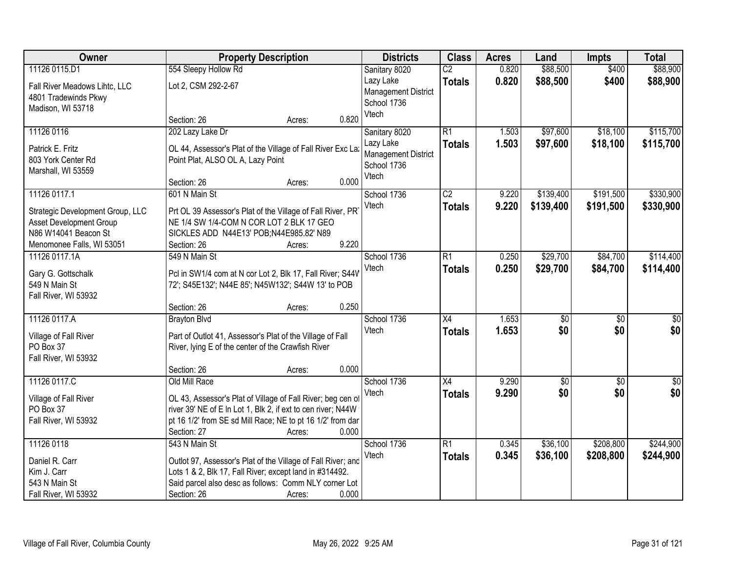| Owner                            | <b>Property Description</b>                                  | <b>Districts</b> | <b>Class</b>               | <b>Acres</b>    | Land  | <b>Impts</b>    | <b>Total</b>    |             |
|----------------------------------|--------------------------------------------------------------|------------------|----------------------------|-----------------|-------|-----------------|-----------------|-------------|
| 11126 0115.D1                    | 554 Sleepy Hollow Rd                                         |                  | Sanitary 8020              | $\overline{C2}$ | 0.820 | \$88,500        | \$400           | \$88,900    |
| Fall River Meadows Lihtc, LLC    | Lot 2, CSM 292-2-67                                          |                  | Lazy Lake                  | <b>Totals</b>   | 0.820 | \$88,500        | \$400           | \$88,900    |
| 4801 Tradewinds Pkwy             |                                                              |                  | <b>Management District</b> |                 |       |                 |                 |             |
| Madison, WI 53718                |                                                              |                  | School 1736<br>Vtech       |                 |       |                 |                 |             |
|                                  | Section: 26                                                  | Acres:           | 0.820                      |                 |       |                 |                 |             |
| 11126 0116                       | 202 Lazy Lake Dr                                             |                  | Sanitary 8020              | R1              | 1.503 | \$97,600        | \$18,100        | \$115,700   |
| Patrick E. Fritz                 | OL 44, Assessor's Plat of the Village of Fall River Exc La:  |                  | Lazy Lake                  | <b>Totals</b>   | 1.503 | \$97,600        | \$18,100        | \$115,700   |
| 803 York Center Rd               | Point Plat, ALSO OL A, Lazy Point                            |                  | <b>Management District</b> |                 |       |                 |                 |             |
| Marshall, WI 53559               |                                                              |                  | School 1736<br>Vtech       |                 |       |                 |                 |             |
|                                  | Section: 26                                                  | Acres:           | 0.000                      |                 |       |                 |                 |             |
| 11126 0117.1                     | 601 N Main St                                                |                  | School 1736                | $\overline{C2}$ | 9.220 | \$139,400       | \$191,500       | \$330,900   |
| Strategic Development Group, LLC | Prt OL 39 Assessor's Plat of the Village of Fall River, PR'  |                  | Vtech                      | <b>Totals</b>   | 9.220 | \$139,400       | \$191,500       | \$330,900   |
| Asset Development Group          | NE 1/4 SW 1/4-COM N COR LOT 2 BLK 17 GEO                     |                  |                            |                 |       |                 |                 |             |
| N86 W14041 Beacon St             | SICKLES ADD N44E13' POB;N44E985.82' N89                      |                  |                            |                 |       |                 |                 |             |
| Menomonee Falls, WI 53051        | Section: 26                                                  | Acres:           | 9.220                      |                 |       |                 |                 |             |
| 11126 0117.1A                    | 549 N Main St                                                |                  | School 1736                | $\overline{R1}$ | 0.250 | \$29,700        | \$84,700        | \$114,400   |
| Gary G. Gottschalk               | Pcl in SW1/4 com at N cor Lot 2, Blk 17, Fall River; S44V    |                  | Vtech                      | <b>Totals</b>   | 0.250 | \$29,700        | \$84,700        | \$114,400   |
| 549 N Main St                    | 72'; S45E132'; N44E 85'; N45W132'; S44W 13' to POB           |                  |                            |                 |       |                 |                 |             |
| Fall River, WI 53932             |                                                              |                  |                            |                 |       |                 |                 |             |
|                                  | Section: 26                                                  | Acres:           | 0.250                      |                 |       |                 |                 |             |
| 11126 0117.A                     | <b>Brayton Blvd</b>                                          |                  | School 1736                | $\overline{X4}$ | 1.653 | \$0             | $\overline{50}$ | \$0         |
| Village of Fall River            | Part of Outlot 41, Assessor's Plat of the Village of Fall    |                  | Vtech                      | <b>Totals</b>   | 1.653 | \$0             | \$0             | \$0         |
| PO Box 37                        | River, lying E of the center of the Crawfish River           |                  |                            |                 |       |                 |                 |             |
| Fall River, WI 53932             |                                                              |                  |                            |                 |       |                 |                 |             |
|                                  | Section: 26                                                  | Acres:           | 0.000                      |                 |       |                 |                 |             |
| 11126 0117.C                     | Old Mill Race                                                |                  | School 1736                | $\overline{X4}$ | 9.290 | $\overline{60}$ | $\overline{60}$ | $\sqrt{50}$ |
| Village of Fall River            | OL 43, Assessor's Plat of Village of Fall River; beg cen of  |                  | Vtech                      | <b>Totals</b>   | 9.290 | \$0             | \$0             | \$0         |
| PO Box 37                        | river 39' NE of E In Lot 1, Blk 2, if ext to cen river; N44W |                  |                            |                 |       |                 |                 |             |
| Fall River, WI 53932             | pt 16 1/2' from SE sd Mill Race; NE to pt 16 1/2' from dar   |                  |                            |                 |       |                 |                 |             |
|                                  | Section: 27                                                  | Acres:           | 0.000                      |                 |       |                 |                 |             |
| 11126 0118                       | 543 N Main St                                                |                  | School 1736                | R1              | 0.345 | \$36,100        | \$208,800       | \$244,900   |
| Daniel R. Carr                   | Outlot 97, Assessor's Plat of the Village of Fall River; and |                  | Vtech                      | <b>Totals</b>   | 0.345 | \$36,100        | \$208,800       | \$244,900   |
| Kim J. Carr                      | Lots 1 & 2, Blk 17, Fall River; except land in #314492.      |                  |                            |                 |       |                 |                 |             |
| 543 N Main St                    | Said parcel also desc as follows: Comm NLY corner Lot        |                  |                            |                 |       |                 |                 |             |
| Fall River, WI 53932             | Section: 26                                                  | Acres:           | 0.000                      |                 |       |                 |                 |             |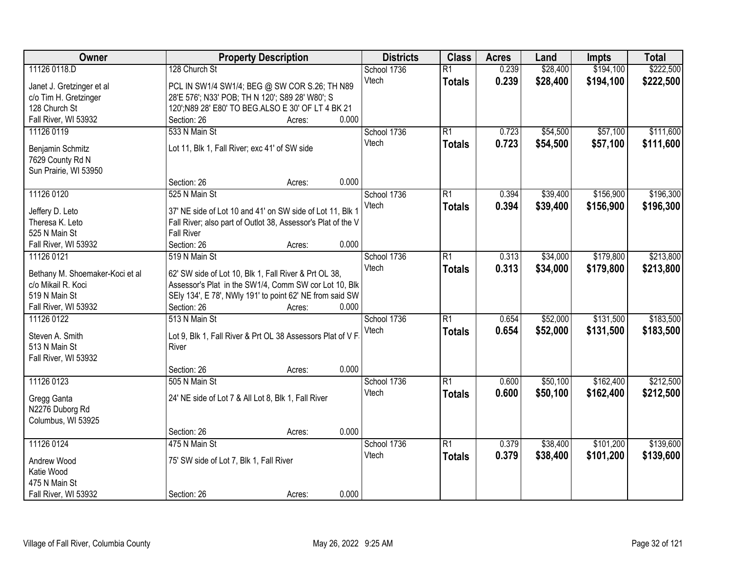| Owner                                                 | <b>Property Description</b>                                                                                       | <b>Districts</b> | <b>Class</b>    | <b>Acres</b> | Land     | <b>Impts</b> | <b>Total</b> |
|-------------------------------------------------------|-------------------------------------------------------------------------------------------------------------------|------------------|-----------------|--------------|----------|--------------|--------------|
| 11126 0118.D                                          | 128 Church St                                                                                                     | School 1736      | $\overline{R1}$ | 0.239        | \$28,400 | \$194,100    | \$222,500    |
| Janet J. Gretzinger et al                             | PCL IN SW1/4 SW1/4; BEG @ SW COR S.26; TH N89                                                                     | Vtech            | <b>Totals</b>   | 0.239        | \$28,400 | \$194,100    | \$222,500    |
| c/o Tim H. Gretzinger                                 | 28'E 576'; N33' POB; TH N 120'; S89 28' W80'; S                                                                   |                  |                 |              |          |              |              |
| 128 Church St                                         | 120'; N89 28' E80' TO BEG.ALSO E 30' OF LT 4 BK 21                                                                |                  |                 |              |          |              |              |
| Fall River, WI 53932                                  | 0.000<br>Section: 26<br>Acres:                                                                                    |                  |                 |              |          |              |              |
| 11126 0119                                            | 533 N Main St                                                                                                     | School 1736      | $\overline{R1}$ | 0.723        | \$54,500 | \$57,100     | \$111,600    |
|                                                       |                                                                                                                   | Vtech            | <b>Totals</b>   | 0.723        | \$54,500 | \$57,100     | \$111,600    |
| Benjamin Schmitz                                      | Lot 11, Blk 1, Fall River; exc 41' of SW side                                                                     |                  |                 |              |          |              |              |
| 7629 County Rd N                                      |                                                                                                                   |                  |                 |              |          |              |              |
| Sun Prairie, WI 53950                                 |                                                                                                                   |                  |                 |              |          |              |              |
|                                                       | 0.000<br>Section: 26<br>Acres:                                                                                    |                  |                 |              |          |              |              |
| 11126 0120                                            | 525 N Main St                                                                                                     | School 1736      | $\overline{R1}$ | 0.394        | \$39,400 | \$156,900    | \$196,300    |
| Jeffery D. Leto                                       | 37' NE side of Lot 10 and 41' on SW side of Lot 11, Blk 1                                                         | Vtech            | <b>Totals</b>   | 0.394        | \$39,400 | \$156,900    | \$196,300    |
| Theresa K. Leto                                       | Fall River; also part of Outlot 38, Assessor's Plat of the V                                                      |                  |                 |              |          |              |              |
| 525 N Main St                                         | <b>Fall River</b>                                                                                                 |                  |                 |              |          |              |              |
| Fall River, WI 53932                                  | Section: 26<br>0.000<br>Acres:                                                                                    |                  |                 |              |          |              |              |
| 11126 0121                                            | 519 N Main St                                                                                                     | School 1736      | $\overline{R1}$ | 0.313        | \$34,000 | \$179,800    | \$213,800    |
|                                                       |                                                                                                                   | Vtech            | <b>Totals</b>   | 0.313        | \$34,000 | \$179,800    | \$213,800    |
| Bethany M. Shoemaker-Koci et al<br>c/o Mikail R. Koci | 62' SW side of Lot 10, Blk 1, Fall River & Prt OL 38,                                                             |                  |                 |              |          |              |              |
| 519 N Main St                                         | Assessor's Plat in the SW1/4, Comm SW cor Lot 10, Blk<br>SEly 134', E 78', NWly 191' to point 62' NE from said SW |                  |                 |              |          |              |              |
| Fall River, WI 53932                                  | Section: 26<br>0.000<br>Acres:                                                                                    |                  |                 |              |          |              |              |
| 11126 0122                                            | 513 N Main St                                                                                                     | School 1736      | $\overline{R1}$ | 0.654        | \$52,000 | \$131,500    | \$183,500    |
|                                                       |                                                                                                                   | Vtech            |                 |              |          |              |              |
| Steven A. Smith                                       | Lot 9, Blk 1, Fall River & Prt OL 38 Assessors Plat of V F                                                        |                  | <b>Totals</b>   | 0.654        | \$52,000 | \$131,500    | \$183,500    |
| 513 N Main St                                         | River                                                                                                             |                  |                 |              |          |              |              |
| Fall River, WI 53932                                  |                                                                                                                   |                  |                 |              |          |              |              |
|                                                       | 0.000<br>Section: 26<br>Acres:                                                                                    |                  |                 |              |          |              |              |
| 11126 0123                                            | 505 N Main St                                                                                                     | School 1736      | $\overline{R1}$ | 0.600        | \$50,100 | \$162,400    | \$212,500    |
| Gregg Ganta                                           | 24' NE side of Lot 7 & All Lot 8, Blk 1, Fall River                                                               | Vtech            | <b>Totals</b>   | 0.600        | \$50,100 | \$162,400    | \$212,500    |
| N2276 Duborg Rd                                       |                                                                                                                   |                  |                 |              |          |              |              |
| Columbus, WI 53925                                    |                                                                                                                   |                  |                 |              |          |              |              |
|                                                       | 0.000<br>Section: 26<br>Acres:                                                                                    |                  |                 |              |          |              |              |
| 11126 0124                                            | 475 N Main St                                                                                                     | School 1736      | $\overline{R1}$ | 0.379        | \$38,400 | \$101,200    | \$139,600    |
|                                                       |                                                                                                                   | Vtech            | <b>Totals</b>   | 0.379        | \$38,400 | \$101,200    | \$139,600    |
| Andrew Wood                                           | 75' SW side of Lot 7, Blk 1, Fall River                                                                           |                  |                 |              |          |              |              |
| Katie Wood                                            |                                                                                                                   |                  |                 |              |          |              |              |
| 475 N Main St                                         |                                                                                                                   |                  |                 |              |          |              |              |
| Fall River, WI 53932                                  | 0.000<br>Section: 26<br>Acres:                                                                                    |                  |                 |              |          |              |              |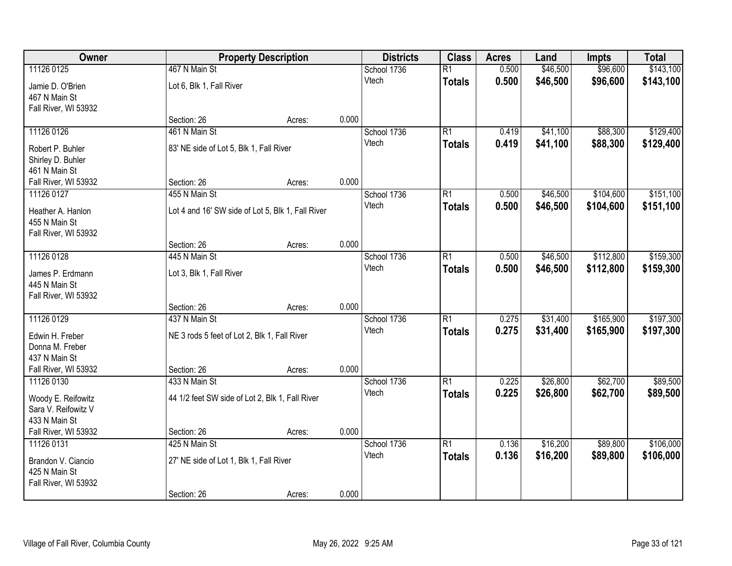| Owner                |                                                   | <b>Property Description</b> |       | <b>Districts</b> | <b>Class</b>    | <b>Acres</b> | Land     | <b>Impts</b> | <b>Total</b> |
|----------------------|---------------------------------------------------|-----------------------------|-------|------------------|-----------------|--------------|----------|--------------|--------------|
| 11126 0125           | 467 N Main St                                     |                             |       | School 1736      | $\overline{R1}$ | 0.500        | \$46,500 | \$96,600     | \$143,100    |
| Jamie D. O'Brien     | Lot 6, Blk 1, Fall River                          |                             |       | Vtech            | <b>Totals</b>   | 0.500        | \$46,500 | \$96,600     | \$143,100    |
| 467 N Main St        |                                                   |                             |       |                  |                 |              |          |              |              |
| Fall River, WI 53932 |                                                   |                             |       |                  |                 |              |          |              |              |
|                      | Section: 26                                       | Acres:                      | 0.000 |                  |                 |              |          |              |              |
| 11126 0126           | 461 N Main St                                     |                             |       | School 1736      | $\overline{R1}$ | 0.419        | \$41,100 | \$88,300     | \$129,400    |
| Robert P. Buhler     | 83' NE side of Lot 5, Blk 1, Fall River           |                             |       | Vtech            | <b>Totals</b>   | 0.419        | \$41,100 | \$88,300     | \$129,400    |
| Shirley D. Buhler    |                                                   |                             |       |                  |                 |              |          |              |              |
| 461 N Main St        |                                                   |                             |       |                  |                 |              |          |              |              |
| Fall River, WI 53932 | Section: 26                                       | Acres:                      | 0.000 |                  |                 |              |          |              |              |
| 11126 0127           | 455 N Main St                                     |                             |       | School 1736      | R1              | 0.500        | \$46,500 | \$104,600    | \$151,100    |
| Heather A. Hanlon    | Lot 4 and 16' SW side of Lot 5, Blk 1, Fall River |                             |       | Vtech            | <b>Totals</b>   | 0.500        | \$46,500 | \$104,600    | \$151,100    |
| 455 N Main St        |                                                   |                             |       |                  |                 |              |          |              |              |
| Fall River, WI 53932 |                                                   |                             |       |                  |                 |              |          |              |              |
|                      | Section: 26                                       | Acres:                      | 0.000 |                  |                 |              |          |              |              |
| 11126 0128           | 445 N Main St                                     |                             |       | School 1736      | R1              | 0.500        | \$46,500 | \$112,800    | \$159,300    |
| James P. Erdmann     | Lot 3, Blk 1, Fall River                          |                             |       | Vtech            | <b>Totals</b>   | 0.500        | \$46,500 | \$112,800    | \$159,300    |
| 445 N Main St        |                                                   |                             |       |                  |                 |              |          |              |              |
| Fall River, WI 53932 |                                                   |                             |       |                  |                 |              |          |              |              |
|                      | Section: 26                                       | Acres:                      | 0.000 |                  |                 |              |          |              |              |
| 11126 0129           | 437 N Main St                                     |                             |       | School 1736      | $\overline{R1}$ | 0.275        | \$31,400 | \$165,900    | \$197,300    |
| Edwin H. Freber      | NE 3 rods 5 feet of Lot 2, Blk 1, Fall River      |                             |       | Vtech            | <b>Totals</b>   | 0.275        | \$31,400 | \$165,900    | \$197,300    |
| Donna M. Freber      |                                                   |                             |       |                  |                 |              |          |              |              |
| 437 N Main St        |                                                   |                             |       |                  |                 |              |          |              |              |
| Fall River, WI 53932 | Section: 26                                       | Acres:                      | 0.000 |                  |                 |              |          |              |              |
| 11126 0130           | 433 N Main St                                     |                             |       | School 1736      | $\overline{R1}$ | 0.225        | \$26,800 | \$62,700     | \$89,500     |
| Woody E. Reifowitz   | 44 1/2 feet SW side of Lot 2, Blk 1, Fall River   |                             |       | Vtech            | <b>Totals</b>   | 0.225        | \$26,800 | \$62,700     | \$89,500     |
| Sara V. Reifowitz V  |                                                   |                             |       |                  |                 |              |          |              |              |
| 433 N Main St        |                                                   |                             |       |                  |                 |              |          |              |              |
| Fall River, WI 53932 | Section: 26                                       | Acres:                      | 0.000 |                  |                 |              |          |              |              |
| 11126 0131           | 425 N Main St                                     |                             |       | School 1736      | $\overline{R1}$ | 0.136        | \$16,200 | \$89,800     | \$106,000    |
| Brandon V. Ciancio   | 27' NE side of Lot 1, Blk 1, Fall River           |                             |       | Vtech            | <b>Totals</b>   | 0.136        | \$16,200 | \$89,800     | \$106,000    |
| 425 N Main St        |                                                   |                             |       |                  |                 |              |          |              |              |
| Fall River, WI 53932 |                                                   |                             |       |                  |                 |              |          |              |              |
|                      | Section: 26                                       | Acres:                      | 0.000 |                  |                 |              |          |              |              |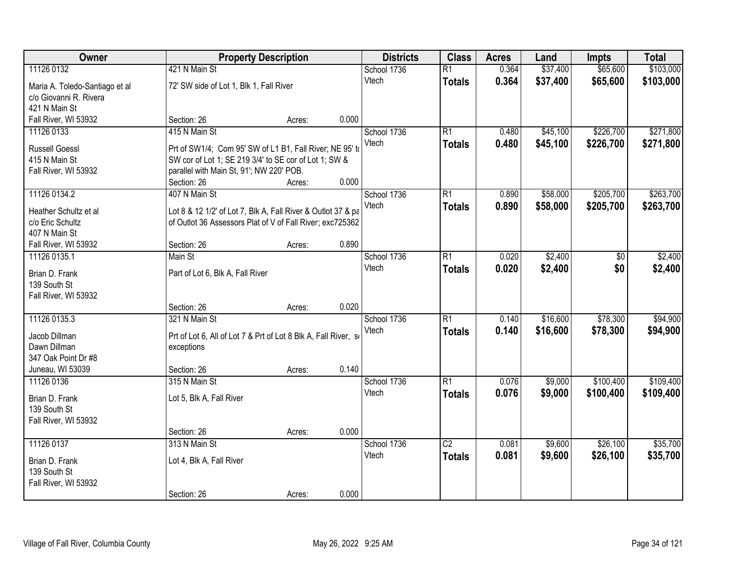| Owner                          | <b>Property Description</b>                                                   |        | <b>Districts</b> | <b>Class</b> | <b>Acres</b>    | Land  | <b>Impts</b> | <b>Total</b> |           |
|--------------------------------|-------------------------------------------------------------------------------|--------|------------------|--------------|-----------------|-------|--------------|--------------|-----------|
| 11126 0132                     | 421 N Main St                                                                 |        |                  | School 1736  | $\overline{R1}$ | 0.364 | \$37,400     | \$65,600     | \$103,000 |
| Maria A. Toledo-Santiago et al | 72' SW side of Lot 1, Blk 1, Fall River                                       |        |                  | Vtech        | <b>Totals</b>   | 0.364 | \$37,400     | \$65,600     | \$103,000 |
| c/o Giovanni R. Rivera         |                                                                               |        |                  |              |                 |       |              |              |           |
| 421 N Main St                  |                                                                               |        |                  |              |                 |       |              |              |           |
| Fall River, WI 53932           | Section: 26                                                                   | Acres: | 0.000            |              |                 |       |              |              |           |
| 11126 0133                     | 415 N Main St                                                                 |        |                  | School 1736  | $\overline{R1}$ | 0.480 | \$45,100     | \$226,700    | \$271,800 |
| <b>Russell Goessl</b>          | Prt of SW1/4; Com 95' SW of L1 B1, Fall River; NE 95' to                      |        |                  | Vtech        | <b>Totals</b>   | 0.480 | \$45,100     | \$226,700    | \$271,800 |
| 415 N Main St                  | SW cor of Lot 1; SE 219 3/4' to SE cor of Lot 1; SW &                         |        |                  |              |                 |       |              |              |           |
| Fall River, WI 53932           | parallel with Main St, 91'; NW 220' POB.                                      |        |                  |              |                 |       |              |              |           |
|                                | Section: 26                                                                   | Acres: | 0.000            |              |                 |       |              |              |           |
| 11126 0134.2                   | 407 N Main St                                                                 |        |                  | School 1736  | $\overline{R1}$ | 0.890 | \$58,000     | \$205,700    | \$263,700 |
| Heather Schultz et al          | Lot 8 & 12 1/2' of Lot 7, Blk A, Fall River & Outlot 37 & pa                  |        |                  | Vtech        | <b>Totals</b>   | 0.890 | \$58,000     | \$205,700    | \$263,700 |
| c/o Eric Schultz               | of Outlot 36 Assessors Plat of V of Fall River; exc725362                     |        |                  |              |                 |       |              |              |           |
| 407 N Main St                  |                                                                               |        |                  |              |                 |       |              |              |           |
| Fall River, WI 53932           | Section: 26                                                                   | Acres: | 0.890            |              |                 |       |              |              |           |
| 11126 0135.1                   | Main St                                                                       |        |                  | School 1736  | $\overline{R1}$ | 0.020 | \$2,400      | \$0          | \$2,400   |
| Brian D. Frank                 |                                                                               |        |                  | Vtech        | <b>Totals</b>   | 0.020 | \$2,400      | \$0          | \$2,400   |
| 139 South St                   | Part of Lot 6, Blk A, Fall River                                              |        |                  |              |                 |       |              |              |           |
| Fall River, WI 53932           |                                                                               |        |                  |              |                 |       |              |              |           |
|                                | Section: 26                                                                   | Acres: | 0.020            |              |                 |       |              |              |           |
| 11126 0135.3                   | 321 N Main St                                                                 |        |                  | School 1736  | $\overline{R1}$ | 0.140 | \$16,600     | \$78,300     | \$94,900  |
|                                |                                                                               |        |                  | Vtech        | <b>Totals</b>   | 0.140 | \$16,600     | \$78,300     | \$94,900  |
| Jacob Dillman<br>Dawn Dillman  | Prt of Lot 6, All of Lot 7 & Prt of Lot 8 Blk A, Fall River, so<br>exceptions |        |                  |              |                 |       |              |              |           |
| 347 Oak Point Dr #8            |                                                                               |        |                  |              |                 |       |              |              |           |
| Juneau, WI 53039               | Section: 26                                                                   | Acres: | 0.140            |              |                 |       |              |              |           |
| 11126 0136                     | 315 N Main St                                                                 |        |                  | School 1736  | $\overline{R1}$ | 0.076 | \$9,000      | \$100,400    | \$109,400 |
|                                |                                                                               |        |                  | Vtech        | <b>Totals</b>   | 0.076 | \$9,000      | \$100,400    | \$109,400 |
| Brian D. Frank                 | Lot 5, Blk A, Fall River                                                      |        |                  |              |                 |       |              |              |           |
| 139 South St                   |                                                                               |        |                  |              |                 |       |              |              |           |
| Fall River, WI 53932           | Section: 26                                                                   | Acres: | 0.000            |              |                 |       |              |              |           |
| 11126 0137                     | 313 N Main St                                                                 |        |                  | School 1736  | $\overline{C2}$ | 0.081 | \$9,600      | \$26,100     | \$35,700  |
|                                |                                                                               |        |                  | Vtech        | <b>Totals</b>   | 0.081 | \$9,600      | \$26,100     | \$35,700  |
| Brian D. Frank                 | Lot 4, Blk A, Fall River                                                      |        |                  |              |                 |       |              |              |           |
| 139 South St                   |                                                                               |        |                  |              |                 |       |              |              |           |
| Fall River, WI 53932           |                                                                               |        |                  |              |                 |       |              |              |           |
|                                | Section: 26                                                                   | Acres: | 0.000            |              |                 |       |              |              |           |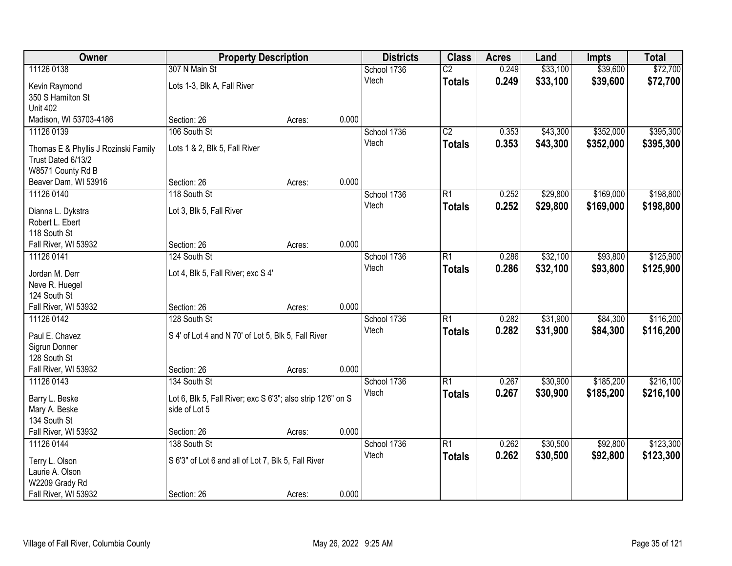| Owner                                                      | <b>Property Description</b>                                 |        |       | <b>Districts</b>     | <b>Class</b>    | <b>Acres</b> | Land     | <b>Impts</b> | <b>Total</b> |
|------------------------------------------------------------|-------------------------------------------------------------|--------|-------|----------------------|-----------------|--------------|----------|--------------|--------------|
| 11126 0138                                                 | 307 N Main St                                               |        |       | School 1736          | $\overline{C2}$ | 0.249        | \$33,100 | \$39,600     | \$72,700     |
| Kevin Raymond                                              | Lots 1-3, Blk A, Fall River                                 |        |       | Vtech                | <b>Totals</b>   | 0.249        | \$33,100 | \$39,600     | \$72,700     |
| 350 S Hamilton St                                          |                                                             |        |       |                      |                 |              |          |              |              |
| <b>Unit 402</b>                                            |                                                             |        |       |                      |                 |              |          |              |              |
| Madison, WI 53703-4186                                     | Section: 26                                                 | Acres: | 0.000 |                      |                 |              |          |              |              |
| 11126 0139                                                 | 106 South St                                                |        |       | School 1736          | $\overline{C2}$ | 0.353        | \$43,300 | \$352,000    | \$395,300    |
|                                                            | Lots 1 & 2, Blk 5, Fall River                               |        |       | Vtech                | <b>Totals</b>   | 0.353        | \$43,300 | \$352,000    | \$395,300    |
| Thomas E & Phyllis J Rozinski Family<br>Trust Dated 6/13/2 |                                                             |        |       |                      |                 |              |          |              |              |
| W8571 County Rd B                                          |                                                             |        |       |                      |                 |              |          |              |              |
| Beaver Dam, WI 53916                                       | Section: 26                                                 | Acres: | 0.000 |                      |                 |              |          |              |              |
| 11126 0140                                                 | 118 South St                                                |        |       | School 1736          | R1              | 0.252        | \$29,800 | \$169,000    | \$198,800    |
|                                                            |                                                             |        |       | Vtech                | <b>Totals</b>   | 0.252        | \$29,800 | \$169,000    | \$198,800    |
| Dianna L. Dykstra                                          | Lot 3, Blk 5, Fall River                                    |        |       |                      |                 |              |          |              |              |
| Robert L. Ebert                                            |                                                             |        |       |                      |                 |              |          |              |              |
| 118 South St                                               |                                                             |        | 0.000 |                      |                 |              |          |              |              |
| Fall River, WI 53932                                       | Section: 26<br>124 South St                                 | Acres: |       |                      |                 |              | \$32,100 | \$93,800     | \$125,900    |
| 11126 0141                                                 |                                                             |        |       | School 1736<br>Vtech | R1              | 0.286        |          |              |              |
| Jordan M. Derr                                             | Lot 4, Blk 5, Fall River; exc S 4'                          |        |       |                      | <b>Totals</b>   | 0.286        | \$32,100 | \$93,800     | \$125,900    |
| Neve R. Huegel                                             |                                                             |        |       |                      |                 |              |          |              |              |
| 124 South St                                               |                                                             |        |       |                      |                 |              |          |              |              |
| Fall River, WI 53932                                       | Section: 26                                                 | Acres: | 0.000 |                      |                 |              |          |              |              |
| 11126 0142                                                 | 128 South St                                                |        |       | School 1736          | $\overline{R1}$ | 0.282        | \$31,900 | \$84,300     | \$116,200    |
| Paul E. Chavez                                             | S 4' of Lot 4 and N 70' of Lot 5, Blk 5, Fall River         |        |       | Vtech                | <b>Totals</b>   | 0.282        | \$31,900 | \$84,300     | \$116,200    |
| Sigrun Donner                                              |                                                             |        |       |                      |                 |              |          |              |              |
| 128 South St                                               |                                                             |        |       |                      |                 |              |          |              |              |
| Fall River, WI 53932                                       | Section: 26                                                 | Acres: | 0.000 |                      |                 |              |          |              |              |
| 11126 0143                                                 | 134 South St                                                |        |       | School 1736          | R1              | 0.267        | \$30,900 | \$185,200    | \$216,100    |
| Barry L. Beske                                             | Lot 6, Blk 5, Fall River; exc S 6'3"; also strip 12'6" on S |        |       | Vtech                | <b>Totals</b>   | 0.267        | \$30,900 | \$185,200    | \$216,100    |
| Mary A. Beske                                              | side of Lot 5                                               |        |       |                      |                 |              |          |              |              |
| 134 South St                                               |                                                             |        |       |                      |                 |              |          |              |              |
| Fall River, WI 53932                                       | Section: 26                                                 | Acres: | 0.000 |                      |                 |              |          |              |              |
| 11126 0144                                                 | 138 South St                                                |        |       | School 1736          | R1              | 0.262        | \$30,500 | \$92,800     | \$123,300    |
|                                                            |                                                             |        |       | Vtech                | <b>Totals</b>   | 0.262        | \$30,500 | \$92,800     | \$123,300    |
| Terry L. Olson                                             | S 6'3" of Lot 6 and all of Lot 7, Blk 5, Fall River         |        |       |                      |                 |              |          |              |              |
| Laurie A. Olson                                            |                                                             |        |       |                      |                 |              |          |              |              |
| W2209 Grady Rd                                             |                                                             |        |       |                      |                 |              |          |              |              |
| Fall River, WI 53932                                       | Section: 26                                                 | Acres: | 0.000 |                      |                 |              |          |              |              |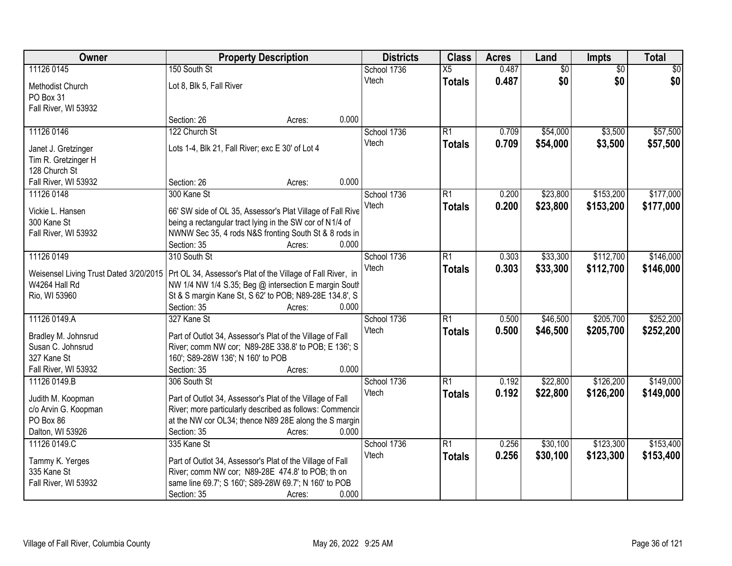| Owner                             | <b>Property Description</b>                                                                                       | <b>Districts</b> | <b>Class</b>    | <b>Acres</b> | Land            | Impts           | <b>Total</b>    |
|-----------------------------------|-------------------------------------------------------------------------------------------------------------------|------------------|-----------------|--------------|-----------------|-----------------|-----------------|
| 11126 0145                        | 150 South St                                                                                                      | School 1736      | $\overline{X5}$ | 0.487        | $\overline{60}$ | $\overline{50}$ | $\overline{50}$ |
| Methodist Church                  | Lot 8, Blk 5, Fall River                                                                                          | Vtech            | <b>Totals</b>   | 0.487        | \$0             | \$0             | \$0             |
| PO Box 31                         |                                                                                                                   |                  |                 |              |                 |                 |                 |
| Fall River, WI 53932              |                                                                                                                   |                  |                 |              |                 |                 |                 |
|                                   | 0.000<br>Section: 26<br>Acres:                                                                                    |                  |                 |              |                 |                 |                 |
| 11126 0146                        | 122 Church St                                                                                                     | School 1736      | $\overline{R1}$ | 0.709        | \$54,000        | \$3,500         | \$57,500        |
| Janet J. Gretzinger               | Lots 1-4, Blk 21, Fall River; exc E 30' of Lot 4                                                                  | Vtech            | <b>Totals</b>   | 0.709        | \$54,000        | \$3,500         | \$57,500        |
| Tim R. Gretzinger H               |                                                                                                                   |                  |                 |              |                 |                 |                 |
| 128 Church St                     |                                                                                                                   |                  |                 |              |                 |                 |                 |
| Fall River, WI 53932              | 0.000<br>Section: 26<br>Acres:                                                                                    |                  |                 |              |                 |                 |                 |
| 11126 0148                        | 300 Kane St                                                                                                       | School 1736      | $\overline{R1}$ | 0.200        | \$23,800        | \$153,200       | \$177,000       |
|                                   |                                                                                                                   | Vtech            | <b>Totals</b>   | 0.200        | \$23,800        | \$153,200       | \$177,000       |
| Vickie L. Hansen                  | 66' SW side of OL 35, Assessor's Plat Village of Fall Rive                                                        |                  |                 |              |                 |                 |                 |
| 300 Kane St                       | being a rectangular tract lying in the SW cor of N1/4 of                                                          |                  |                 |              |                 |                 |                 |
| Fall River, WI 53932              | NWNW Sec 35, 4 rods N&S fronting South St & 8 rods in                                                             |                  |                 |              |                 |                 |                 |
|                                   | 0.000<br>Section: 35<br>Acres:                                                                                    |                  |                 |              |                 |                 |                 |
| 11126 0149                        | 310 South St                                                                                                      | School 1736      | $\overline{R1}$ | 0.303        | \$33,300        | \$112,700       | \$146,000       |
|                                   | Weisensel Living Trust Dated 3/20/2015   Prt OL 34, Assessor's Plat of the Village of Fall River, in              | Vtech            | <b>Totals</b>   | 0.303        | \$33,300        | \$112,700       | \$146,000       |
| W4264 Hall Rd                     | NW 1/4 NW 1/4 S.35; Beg @ intersection E margin South                                                             |                  |                 |              |                 |                 |                 |
| Rio, WI 53960                     | St & S margin Kane St, S 62' to POB; N89-28E 134.8', S                                                            |                  |                 |              |                 |                 |                 |
|                                   | Section: 35<br>0.000<br>Acres:                                                                                    |                  |                 |              |                 |                 |                 |
| 11126 0149.A                      | 327 Kane St                                                                                                       | School 1736      | $\overline{R1}$ | 0.500        | \$46,500        | \$205,700       | \$252,200       |
| Bradley M. Johnsrud               | Part of Outlot 34, Assessor's Plat of the Village of Fall                                                         | Vtech            | <b>Totals</b>   | 0.500        | \$46,500        | \$205,700       | \$252,200       |
| Susan C. Johnsrud                 | River; comm NW cor; N89-28E 338.8' to POB; E 136'; S                                                              |                  |                 |              |                 |                 |                 |
| 327 Kane St                       | 160'; S89-28W 136'; N 160' to POB                                                                                 |                  |                 |              |                 |                 |                 |
| Fall River, WI 53932              | 0.000<br>Section: 35<br>Acres:                                                                                    |                  |                 |              |                 |                 |                 |
| 11126 0149.B                      | 306 South St                                                                                                      | School 1736      | $\overline{R1}$ | 0.192        | \$22,800        | \$126,200       | \$149,000       |
|                                   |                                                                                                                   | Vtech            | <b>Totals</b>   | 0.192        | \$22,800        | \$126,200       | \$149,000       |
| Judith M. Koopman                 | Part of Outlot 34, Assessor's Plat of the Village of Fall                                                         |                  |                 |              |                 |                 |                 |
| c/o Arvin G. Koopman<br>PO Box 86 | River; more particularly described as follows: Commencir<br>at the NW cor OL34; thence N89 28E along the S margin |                  |                 |              |                 |                 |                 |
| Dalton, WI 53926                  | Section: 35<br>0.000<br>Acres:                                                                                    |                  |                 |              |                 |                 |                 |
| 11126 0149.C                      | 335 Kane St                                                                                                       | School 1736      | $\overline{R1}$ | 0.256        | \$30,100        | \$123,300       | \$153,400       |
|                                   |                                                                                                                   | Vtech            |                 | 0.256        | \$30,100        | \$123,300       | \$153,400       |
| Tammy K. Yerges                   | Part of Outlot 34, Assessor's Plat of the Village of Fall                                                         |                  | <b>Totals</b>   |              |                 |                 |                 |
| 335 Kane St                       | River; comm NW cor; N89-28E 474.8' to POB; th on                                                                  |                  |                 |              |                 |                 |                 |
| Fall River, WI 53932              | same line 69.7'; S 160'; S89-28W 69.7'; N 160' to POB                                                             |                  |                 |              |                 |                 |                 |
|                                   | 0.000<br>Section: 35<br>Acres:                                                                                    |                  |                 |              |                 |                 |                 |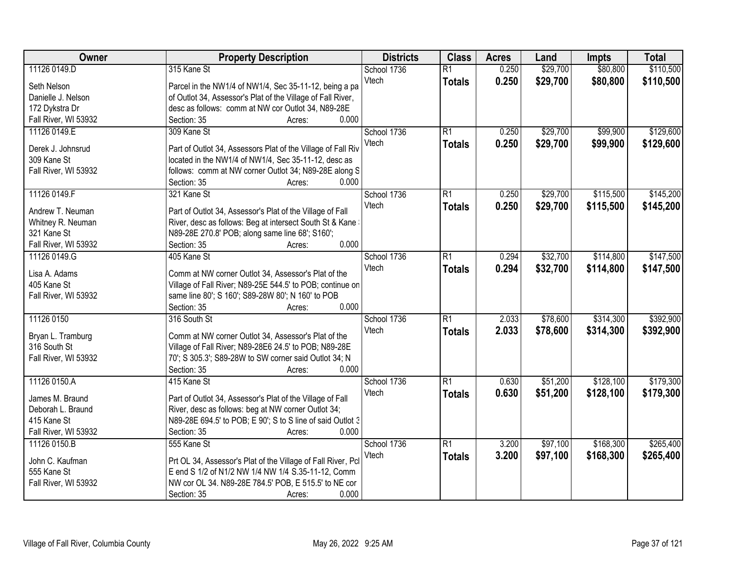| Owner                | <b>Property Description</b>                                                                                    | <b>Districts</b> | <b>Class</b>    | <b>Acres</b> | Land     | <b>Impts</b> | <b>Total</b> |
|----------------------|----------------------------------------------------------------------------------------------------------------|------------------|-----------------|--------------|----------|--------------|--------------|
| 11126 0149.D         | 315 Kane St                                                                                                    | School 1736      | $\overline{R1}$ | 0.250        | \$29,700 | \$80,800     | \$110,500    |
| Seth Nelson          | Parcel in the NW1/4 of NW1/4, Sec 35-11-12, being a pa                                                         | Vtech            | <b>Totals</b>   | 0.250        | \$29,700 | \$80,800     | \$110,500    |
| Danielle J. Nelson   | of Outlot 34, Assessor's Plat of the Village of Fall River,                                                    |                  |                 |              |          |              |              |
| 172 Dykstra Dr       | desc as follows: comm at NW cor Outlot 34, N89-28E                                                             |                  |                 |              |          |              |              |
| Fall River, WI 53932 | 0.000<br>Section: 35<br>Acres:                                                                                 |                  |                 |              |          |              |              |
| 11126 0149.E         | 309 Kane St                                                                                                    | School 1736      | $\overline{R1}$ | 0.250        | \$29,700 | \$99,900     | \$129,600    |
|                      |                                                                                                                | Vtech            | <b>Totals</b>   | 0.250        | \$29,700 | \$99,900     | \$129,600    |
| Derek J. Johnsrud    | Part of Outlot 34, Assessors Plat of the Village of Fall Riv                                                   |                  |                 |              |          |              |              |
| 309 Kane St          | located in the NW1/4 of NW1/4, Sec 35-11-12, desc as                                                           |                  |                 |              |          |              |              |
| Fall River, WI 53932 | follows: comm at NW corner Outlot 34; N89-28E along S                                                          |                  |                 |              |          |              |              |
|                      | 0.000<br>Section: 35<br>Acres:                                                                                 |                  |                 |              |          |              |              |
| 11126 0149.F         | 321 Kane St                                                                                                    | School 1736      | $\overline{R1}$ | 0.250        | \$29,700 | \$115,500    | \$145,200    |
| Andrew T. Neuman     | Part of Outlot 34, Assessor's Plat of the Village of Fall                                                      | Vtech            | <b>Totals</b>   | 0.250        | \$29,700 | \$115,500    | \$145,200    |
| Whitney R. Neuman    | River, desc as follows: Beg at intersect South St & Kane                                                       |                  |                 |              |          |              |              |
| 321 Kane St          | N89-28E 270.8' POB; along same line 68'; S160';                                                                |                  |                 |              |          |              |              |
| Fall River, WI 53932 | 0.000<br>Section: 35<br>Acres:                                                                                 |                  |                 |              |          |              |              |
| 11126 0149.G         | 405 Kane St                                                                                                    | School 1736      | $\overline{R1}$ | 0.294        | \$32,700 | \$114,800    | \$147,500    |
| Lisa A. Adams        |                                                                                                                | Vtech            | <b>Totals</b>   | 0.294        | \$32,700 | \$114,800    | \$147,500    |
| 405 Kane St          | Comm at NW corner Outlot 34, Assessor's Plat of the                                                            |                  |                 |              |          |              |              |
| Fall River, WI 53932 | Village of Fall River; N89-25E 544.5' to POB; continue on<br>same line 80'; S 160'; S89-28W 80'; N 160' to POB |                  |                 |              |          |              |              |
|                      | 0.000<br>Section: 35<br>Acres:                                                                                 |                  |                 |              |          |              |              |
| 11126 0150           | 316 South St                                                                                                   | School 1736      | $\overline{R1}$ | 2.033        | \$78,600 | \$314,300    | \$392,900    |
|                      |                                                                                                                | Vtech            |                 |              |          |              |              |
| Bryan L. Tramburg    | Comm at NW corner Outlot 34, Assessor's Plat of the                                                            |                  | <b>Totals</b>   | 2.033        | \$78,600 | \$314,300    | \$392,900    |
| 316 South St         | Village of Fall River; N89-28E6 24.5' to POB; N89-28E                                                          |                  |                 |              |          |              |              |
| Fall River, WI 53932 | 70'; S 305.3'; S89-28W to SW corner said Outlot 34; N                                                          |                  |                 |              |          |              |              |
|                      | 0.000<br>Section: 35<br>Acres:                                                                                 |                  |                 |              |          |              |              |
| 11126 0150.A         | 415 Kane St                                                                                                    | School 1736      | $\overline{R1}$ | 0.630        | \$51,200 | \$128,100    | \$179,300    |
| James M. Braund      | Part of Outlot 34, Assessor's Plat of the Village of Fall                                                      | Vtech            | <b>Totals</b>   | 0.630        | \$51,200 | \$128,100    | \$179,300    |
| Deborah L. Braund    | River, desc as follows: beg at NW corner Outlot 34;                                                            |                  |                 |              |          |              |              |
| 415 Kane St          | N89-28E 694.5' to POB; E 90'; S to S line of said Outlot 3                                                     |                  |                 |              |          |              |              |
| Fall River, WI 53932 | Section: 35<br>0.000<br>Acres:                                                                                 |                  |                 |              |          |              |              |
| 11126 0150.B         | 555 Kane St                                                                                                    | School 1736      | $\overline{R1}$ | 3.200        | \$97,100 | \$168,300    | \$265,400    |
|                      |                                                                                                                | Vtech            | <b>Totals</b>   | 3.200        | \$97,100 | \$168,300    | \$265,400    |
| John C. Kaufman      | Prt OL 34, Assessor's Plat of the Village of Fall River, Pcl                                                   |                  |                 |              |          |              |              |
| 555 Kane St          | E end S 1/2 of N1/2 NW 1/4 NW 1/4 S.35-11-12, Comm                                                             |                  |                 |              |          |              |              |
| Fall River, WI 53932 | NW cor OL 34. N89-28E 784.5' POB, E 515.5' to NE cor                                                           |                  |                 |              |          |              |              |
|                      | 0.000<br>Section: 35<br>Acres:                                                                                 |                  |                 |              |          |              |              |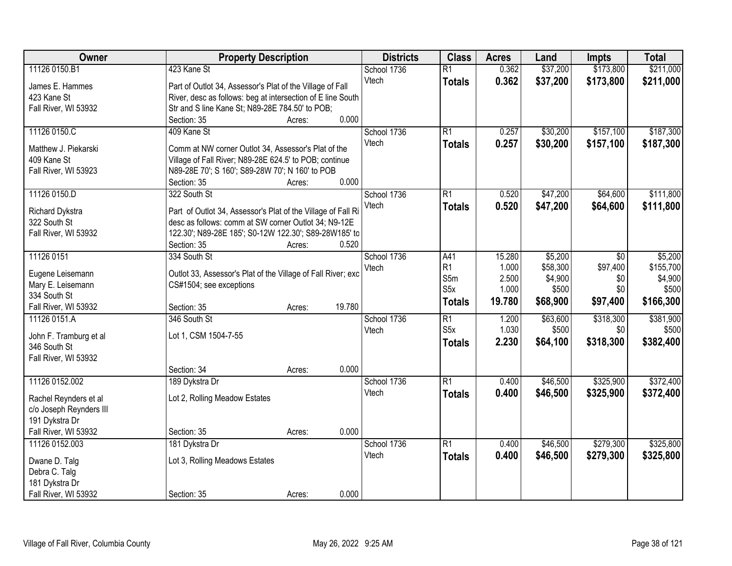| Owner                             | <b>Property Description</b>                                  | <b>Districts</b> | <b>Class</b>     | <b>Acres</b> | Land     | <b>Impts</b> | <b>Total</b> |
|-----------------------------------|--------------------------------------------------------------|------------------|------------------|--------------|----------|--------------|--------------|
| 11126 0150.B1                     | 423 Kane St                                                  | School 1736      | $\overline{R1}$  | 0.362        | \$37,200 | \$173,800    | \$211,000    |
| James E. Hammes                   | Part of Outlot 34, Assessor's Plat of the Village of Fall    | Vtech            | <b>Totals</b>    | 0.362        | \$37,200 | \$173,800    | \$211,000    |
| 423 Kane St                       | River, desc as follows: beg at intersection of E line South  |                  |                  |              |          |              |              |
| Fall River, WI 53932              | Str and S line Kane St; N89-28E 784.50' to POB;              |                  |                  |              |          |              |              |
|                                   | 0.000<br>Section: 35<br>Acres:                               |                  |                  |              |          |              |              |
| 11126 0150.C                      | 409 Kane St                                                  | School 1736      | $\overline{R1}$  | 0.257        | \$30,200 | \$157,100    | \$187,300    |
|                                   |                                                              | Vtech            | <b>Totals</b>    | 0.257        | \$30,200 | \$157,100    | \$187,300    |
| Matthew J. Piekarski              | Comm at NW corner Outlot 34, Assessor's Plat of the          |                  |                  |              |          |              |              |
| 409 Kane St                       | Village of Fall River; N89-28E 624.5' to POB; continue       |                  |                  |              |          |              |              |
| Fall River, WI 53923              | N89-28E 70'; S 160'; S89-28W 70'; N 160' to POB<br>0.000     |                  |                  |              |          |              |              |
|                                   | Section: 35<br>Acres:                                        |                  | $\overline{R1}$  | 0.520        |          |              | \$111,800    |
| 11126 0150.D                      | 322 South St                                                 | School 1736      |                  |              | \$47,200 | \$64,600     |              |
| Richard Dykstra                   | Part of Outlot 34, Assessor's Plat of the Village of Fall Ri | Vtech            | <b>Totals</b>    | 0.520        | \$47,200 | \$64,600     | \$111,800    |
| 322 South St                      | desc as follows: comm at SW corner Outlot 34; N9-12E         |                  |                  |              |          |              |              |
| Fall River, WI 53932              | 122.30'; N89-28E 185'; S0-12W 122.30'; S89-28W185' to        |                  |                  |              |          |              |              |
|                                   | Section: 35<br>0.520<br>Acres:                               |                  |                  |              |          |              |              |
| 11126 0151                        | 334 South St                                                 | School 1736      | A41              | 15.280       | \$5,200  | $\sqrt[6]{}$ | \$5,200      |
|                                   |                                                              | Vtech            | R <sub>1</sub>   | 1.000        | \$58,300 | \$97,400     | \$155,700    |
| Eugene Leisemann                  | Outlot 33, Assessor's Plat of the Village of Fall River; exc |                  | S5m              | 2.500        | \$4,900  | \$0          | \$4,900      |
| Mary E. Leisemann<br>334 South St | CS#1504; see exceptions                                      |                  | S <sub>5</sub> x | 1.000        | \$500    | \$0          | \$500        |
| Fall River, WI 53932              | 19.780<br>Section: 35                                        |                  | <b>Totals</b>    | 19.780       | \$68,900 | \$97,400     | \$166,300    |
| 11126 0151.A                      | Acres:<br>346 South St                                       | School 1736      | $\overline{R1}$  | 1.200        | \$63,600 | \$318,300    | \$381,900    |
|                                   |                                                              |                  | S5x              | 1.030        | \$500    | \$0          | \$500        |
| John F. Tramburg et al            | Lot 1, CSM 1504-7-55                                         | Vtech            |                  |              |          | \$318,300    |              |
| 346 South St                      |                                                              |                  | <b>Totals</b>    | 2.230        | \$64,100 |              | \$382,400    |
| Fall River, WI 53932              |                                                              |                  |                  |              |          |              |              |
|                                   | 0.000<br>Section: 34<br>Acres:                               |                  |                  |              |          |              |              |
| 11126 0152.002                    | 189 Dykstra Dr                                               | School 1736      | $\overline{R1}$  | 0.400        | \$46,500 | \$325,900    | \$372,400    |
| Rachel Reynders et al             | Lot 2, Rolling Meadow Estates                                | Vtech            | <b>Totals</b>    | 0.400        | \$46,500 | \$325,900    | \$372,400    |
| c/o Joseph Reynders III           |                                                              |                  |                  |              |          |              |              |
| 191 Dykstra Dr                    |                                                              |                  |                  |              |          |              |              |
| Fall River, WI 53932              | 0.000<br>Section: 35<br>Acres:                               |                  |                  |              |          |              |              |
| 11126 0152.003                    | 181 Dykstra Dr                                               | School 1736      | $\overline{R1}$  | 0.400        | \$46,500 | \$279,300    | \$325,800    |
|                                   |                                                              | Vtech            | <b>Totals</b>    | 0.400        | \$46,500 | \$279,300    | \$325,800    |
| Dwane D. Talg                     | Lot 3, Rolling Meadows Estates                               |                  |                  |              |          |              |              |
| Debra C. Talg                     |                                                              |                  |                  |              |          |              |              |
| 181 Dykstra Dr                    |                                                              |                  |                  |              |          |              |              |
| Fall River, WI 53932              | 0.000<br>Section: 35<br>Acres:                               |                  |                  |              |          |              |              |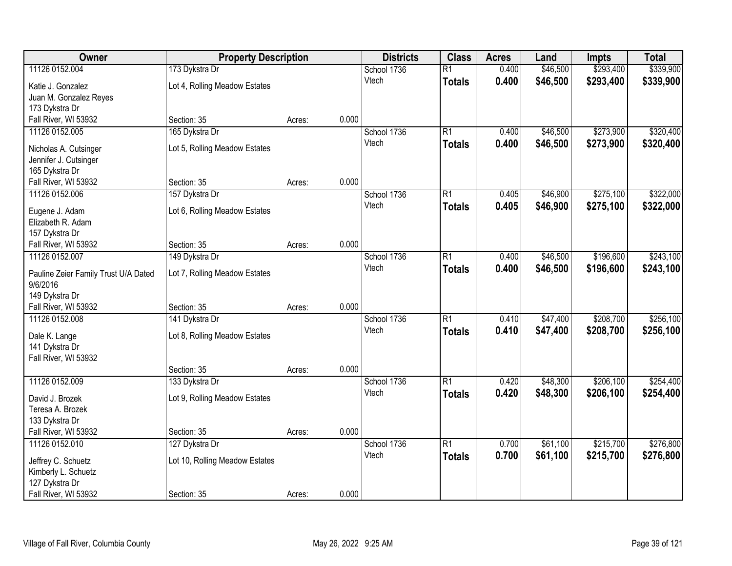| Owner                                | <b>Property Description</b>    |        | <b>Districts</b> | <b>Class</b> | <b>Acres</b>    | Land  | <b>Impts</b> | <b>Total</b> |           |
|--------------------------------------|--------------------------------|--------|------------------|--------------|-----------------|-------|--------------|--------------|-----------|
| 11126 0152.004                       | 173 Dykstra Dr                 |        |                  | School 1736  | $\overline{R1}$ | 0.400 | \$46,500     | \$293,400    | \$339,900 |
| Katie J. Gonzalez                    | Lot 4, Rolling Meadow Estates  |        |                  | Vtech        | <b>Totals</b>   | 0.400 | \$46,500     | \$293,400    | \$339,900 |
| Juan M. Gonzalez Reyes               |                                |        |                  |              |                 |       |              |              |           |
| 173 Dykstra Dr                       |                                |        |                  |              |                 |       |              |              |           |
| Fall River, WI 53932                 | Section: 35                    | Acres: | 0.000            |              |                 |       |              |              |           |
| 11126 0152.005                       | 165 Dykstra Dr                 |        |                  | School 1736  | $\overline{R1}$ | 0.400 | \$46,500     | \$273,900    | \$320,400 |
|                                      |                                |        |                  | Vtech        | <b>Totals</b>   | 0.400 | \$46,500     | \$273,900    | \$320,400 |
| Nicholas A. Cutsinger                | Lot 5, Rolling Meadow Estates  |        |                  |              |                 |       |              |              |           |
| Jennifer J. Cutsinger                |                                |        |                  |              |                 |       |              |              |           |
| 165 Dykstra Dr                       |                                |        |                  |              |                 |       |              |              |           |
| Fall River, WI 53932                 | Section: 35                    | Acres: | 0.000            |              |                 |       |              |              |           |
| 11126 0152.006                       | 157 Dykstra Dr                 |        |                  | School 1736  | $\overline{R1}$ | 0.405 | \$46,900     | \$275,100    | \$322,000 |
| Eugene J. Adam                       | Lot 6, Rolling Meadow Estates  |        |                  | Vtech        | <b>Totals</b>   | 0.405 | \$46,900     | \$275,100    | \$322,000 |
| Elizabeth R. Adam                    |                                |        |                  |              |                 |       |              |              |           |
| 157 Dykstra Dr                       |                                |        |                  |              |                 |       |              |              |           |
| Fall River, WI 53932                 | Section: 35                    | Acres: | 0.000            |              |                 |       |              |              |           |
| 11126 0152.007                       | 149 Dykstra Dr                 |        |                  | School 1736  | $\overline{R1}$ | 0.400 | \$46,500     | \$196,600    | \$243,100 |
|                                      |                                |        |                  | Vtech        | <b>Totals</b>   | 0.400 | \$46,500     | \$196,600    | \$243,100 |
| Pauline Zeier Family Trust U/A Dated | Lot 7, Rolling Meadow Estates  |        |                  |              |                 |       |              |              |           |
| 9/6/2016                             |                                |        |                  |              |                 |       |              |              |           |
| 149 Dykstra Dr                       |                                |        |                  |              |                 |       |              |              |           |
| Fall River, WI 53932                 | Section: 35                    | Acres: | 0.000            |              |                 |       |              |              |           |
| 11126 0152.008                       | 141 Dykstra Dr                 |        |                  | School 1736  | $\overline{R1}$ | 0.410 | \$47,400     | \$208,700    | \$256,100 |
| Dale K. Lange                        | Lot 8, Rolling Meadow Estates  |        |                  | Vtech        | <b>Totals</b>   | 0.410 | \$47,400     | \$208,700    | \$256,100 |
| 141 Dykstra Dr                       |                                |        |                  |              |                 |       |              |              |           |
| Fall River, WI 53932                 |                                |        |                  |              |                 |       |              |              |           |
|                                      | Section: 35                    | Acres: | 0.000            |              |                 |       |              |              |           |
| 11126 0152.009                       | 133 Dykstra Dr                 |        |                  | School 1736  | $\overline{R1}$ | 0.420 | \$48,300     | \$206,100    | \$254,400 |
| David J. Brozek                      | Lot 9, Rolling Meadow Estates  |        |                  | Vtech        | <b>Totals</b>   | 0.420 | \$48,300     | \$206,100    | \$254,400 |
| Teresa A. Brozek                     |                                |        |                  |              |                 |       |              |              |           |
| 133 Dykstra Dr                       |                                |        |                  |              |                 |       |              |              |           |
| Fall River, WI 53932                 | Section: 35                    | Acres: | 0.000            |              |                 |       |              |              |           |
| 11126 0152.010                       | 127 Dykstra Dr                 |        |                  | School 1736  | $\overline{R1}$ | 0.700 | \$61,100     | \$215,700    | \$276,800 |
|                                      |                                |        |                  | Vtech        |                 | 0.700 | \$61,100     | \$215,700    | \$276,800 |
| Jeffrey C. Schuetz                   | Lot 10, Rolling Meadow Estates |        |                  |              | <b>Totals</b>   |       |              |              |           |
| Kimberly L. Schuetz                  |                                |        |                  |              |                 |       |              |              |           |
| 127 Dykstra Dr                       |                                |        |                  |              |                 |       |              |              |           |
| Fall River, WI 53932                 | Section: 35                    | Acres: | 0.000            |              |                 |       |              |              |           |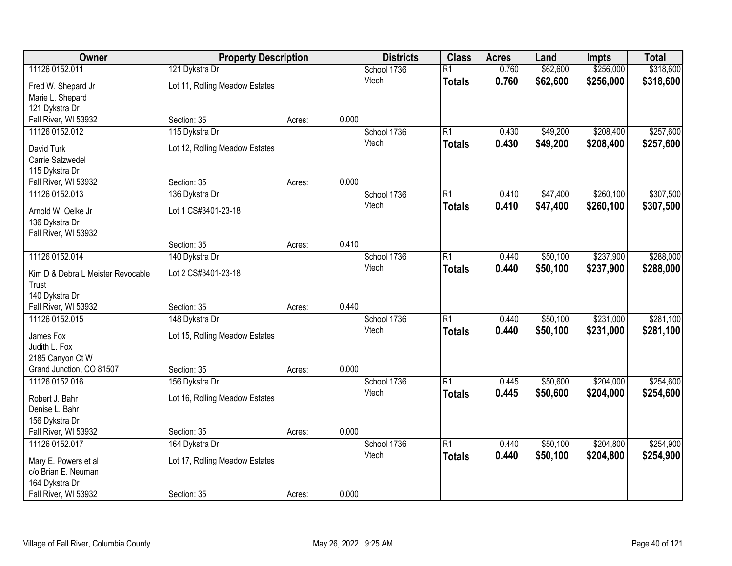| Owner                                      |                                | <b>Property Description</b> |       | <b>Districts</b> | <b>Class</b>    | <b>Acres</b> | Land     | <b>Impts</b> | <b>Total</b> |
|--------------------------------------------|--------------------------------|-----------------------------|-------|------------------|-----------------|--------------|----------|--------------|--------------|
| 11126 0152.011                             | 121 Dykstra Dr                 |                             |       | School 1736      | $\overline{R1}$ | 0.760        | \$62,600 | \$256,000    | \$318,600    |
| Fred W. Shepard Jr                         | Lot 11, Rolling Meadow Estates |                             |       | Vtech            | <b>Totals</b>   | 0.760        | \$62,600 | \$256,000    | \$318,600    |
| Marie L. Shepard                           |                                |                             |       |                  |                 |              |          |              |              |
| 121 Dykstra Dr                             |                                |                             |       |                  |                 |              |          |              |              |
| Fall River, WI 53932                       | Section: 35                    | Acres:                      | 0.000 |                  |                 |              |          |              |              |
| 11126 0152.012                             | 115 Dykstra Dr                 |                             |       | School 1736      | $\overline{R1}$ | 0.430        | \$49,200 | \$208,400    | \$257,600    |
| David Turk                                 | Lot 12, Rolling Meadow Estates |                             |       | Vtech            | <b>Totals</b>   | 0.430        | \$49,200 | \$208,400    | \$257,600    |
| Carrie Salzwedel                           |                                |                             |       |                  |                 |              |          |              |              |
| 115 Dykstra Dr                             |                                |                             |       |                  |                 |              |          |              |              |
| Fall River, WI 53932                       | Section: 35                    | Acres:                      | 0.000 |                  |                 |              |          |              |              |
| 11126 0152.013                             | 136 Dykstra Dr                 |                             |       | School 1736      | $\overline{R1}$ | 0.410        | \$47,400 | \$260,100    | \$307,500    |
| Arnold W. Oelke Jr                         | Lot 1 CS#3401-23-18            |                             |       | Vtech            | <b>Totals</b>   | 0.410        | \$47,400 | \$260,100    | \$307,500    |
| 136 Dykstra Dr                             |                                |                             |       |                  |                 |              |          |              |              |
| Fall River, WI 53932                       |                                |                             |       |                  |                 |              |          |              |              |
|                                            | Section: 35                    | Acres:                      | 0.410 |                  |                 |              |          |              |              |
| 11126 0152.014                             | 140 Dykstra Dr                 |                             |       | School 1736      | $\overline{R1}$ | 0.440        | \$50,100 | \$237,900    | \$288,000    |
|                                            | Lot 2 CS#3401-23-18            |                             |       | Vtech            | <b>Totals</b>   | 0.440        | \$50,100 | \$237,900    | \$288,000    |
| Kim D & Debra L Meister Revocable<br>Trust |                                |                             |       |                  |                 |              |          |              |              |
| 140 Dykstra Dr                             |                                |                             |       |                  |                 |              |          |              |              |
| Fall River, WI 53932                       | Section: 35                    | Acres:                      | 0.440 |                  |                 |              |          |              |              |
| 11126 0152.015                             | 148 Dykstra Dr                 |                             |       | School 1736      | $\overline{R1}$ | 0.440        | \$50,100 | \$231,000    | \$281,100    |
|                                            |                                |                             |       | Vtech            | <b>Totals</b>   | 0.440        | \$50,100 | \$231,000    | \$281,100    |
| James Fox<br>Judith L. Fox                 | Lot 15, Rolling Meadow Estates |                             |       |                  |                 |              |          |              |              |
| 2185 Canyon Ct W                           |                                |                             |       |                  |                 |              |          |              |              |
| Grand Junction, CO 81507                   | Section: 35                    | Acres:                      | 0.000 |                  |                 |              |          |              |              |
| 11126 0152.016                             | 156 Dykstra Dr                 |                             |       | School 1736      | $\overline{R1}$ | 0.445        | \$50,600 | \$204,000    | \$254,600    |
|                                            |                                |                             |       | Vtech            | <b>Totals</b>   | 0.445        | \$50,600 | \$204,000    | \$254,600    |
| Robert J. Bahr                             | Lot 16, Rolling Meadow Estates |                             |       |                  |                 |              |          |              |              |
| Denise L. Bahr                             |                                |                             |       |                  |                 |              |          |              |              |
| 156 Dykstra Dr<br>Fall River, WI 53932     | Section: 35                    | Acres:                      | 0.000 |                  |                 |              |          |              |              |
| 11126 0152.017                             | 164 Dykstra Dr                 |                             |       | School 1736      | $\overline{R1}$ | 0.440        | \$50,100 | \$204,800    | \$254,900    |
|                                            |                                |                             |       | Vtech            | <b>Totals</b>   | 0.440        | \$50,100 | \$204,800    | \$254,900    |
| Mary E. Powers et al                       | Lot 17, Rolling Meadow Estates |                             |       |                  |                 |              |          |              |              |
| c/o Brian E. Neuman                        |                                |                             |       |                  |                 |              |          |              |              |
| 164 Dykstra Dr                             |                                |                             |       |                  |                 |              |          |              |              |
| Fall River, WI 53932                       | Section: 35                    | Acres:                      | 0.000 |                  |                 |              |          |              |              |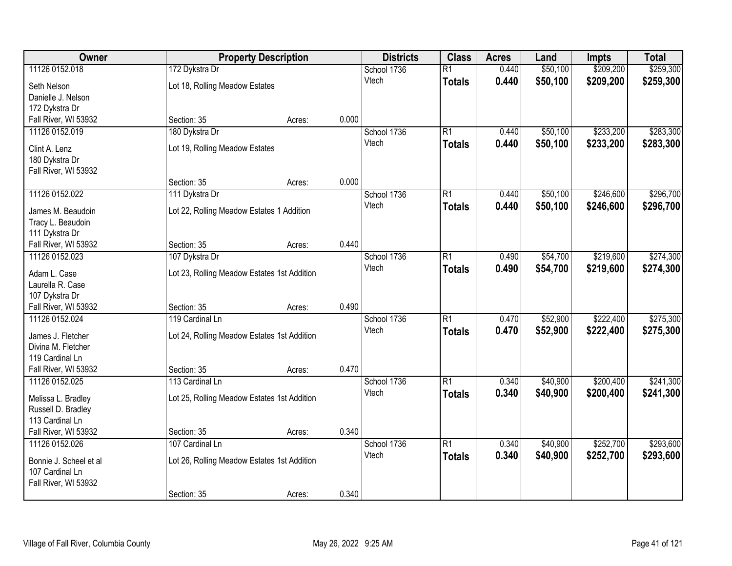| Owner                  | <b>Property Description</b>                 |        | <b>Districts</b> | <b>Class</b> | <b>Acres</b>    | Land  | <b>Impts</b> | <b>Total</b> |           |
|------------------------|---------------------------------------------|--------|------------------|--------------|-----------------|-------|--------------|--------------|-----------|
| 11126 0152.018         | 172 Dykstra Dr                              |        |                  | School 1736  | $\overline{R1}$ | 0.440 | \$50,100     | \$209,200    | \$259,300 |
| Seth Nelson            | Lot 18, Rolling Meadow Estates              |        |                  | Vtech        | <b>Totals</b>   | 0.440 | \$50,100     | \$209,200    | \$259,300 |
| Danielle J. Nelson     |                                             |        |                  |              |                 |       |              |              |           |
| 172 Dykstra Dr         |                                             |        |                  |              |                 |       |              |              |           |
| Fall River, WI 53932   | Section: 35                                 | Acres: | 0.000            |              |                 |       |              |              |           |
| 11126 0152.019         | 180 Dykstra Dr                              |        |                  | School 1736  | $\overline{R1}$ | 0.440 | \$50,100     | \$233,200    | \$283,300 |
|                        |                                             |        |                  | Vtech        | <b>Totals</b>   | 0.440 | \$50,100     | \$233,200    | \$283,300 |
| Clint A. Lenz          | Lot 19, Rolling Meadow Estates              |        |                  |              |                 |       |              |              |           |
| 180 Dykstra Dr         |                                             |        |                  |              |                 |       |              |              |           |
| Fall River, WI 53932   |                                             |        |                  |              |                 |       |              |              |           |
|                        | Section: 35                                 | Acres: | 0.000            |              |                 |       |              |              |           |
| 11126 0152.022         | 111 Dykstra Dr                              |        |                  | School 1736  | $\overline{R1}$ | 0.440 | \$50,100     | \$246,600    | \$296,700 |
| James M. Beaudoin      | Lot 22, Rolling Meadow Estates 1 Addition   |        |                  | Vtech        | <b>Totals</b>   | 0.440 | \$50,100     | \$246,600    | \$296,700 |
| Tracy L. Beaudoin      |                                             |        |                  |              |                 |       |              |              |           |
| 111 Dykstra Dr         |                                             |        |                  |              |                 |       |              |              |           |
| Fall River, WI 53932   | Section: 35                                 | Acres: | 0.440            |              |                 |       |              |              |           |
| 11126 0152.023         | 107 Dykstra Dr                              |        |                  | School 1736  | $\overline{R1}$ | 0.490 | \$54,700     | \$219,600    | \$274,300 |
|                        |                                             |        |                  | Vtech        | <b>Totals</b>   | 0.490 | \$54,700     | \$219,600    | \$274,300 |
| Adam L. Case           | Lot 23, Rolling Meadow Estates 1st Addition |        |                  |              |                 |       |              |              |           |
| Laurella R. Case       |                                             |        |                  |              |                 |       |              |              |           |
| 107 Dykstra Dr         |                                             |        |                  |              |                 |       |              |              |           |
| Fall River, WI 53932   | Section: 35                                 | Acres: | 0.490            |              |                 |       |              |              |           |
| 11126 0152.024         | 119 Cardinal Ln                             |        |                  | School 1736  | $\overline{R1}$ | 0.470 | \$52,900     | \$222,400    | \$275,300 |
| James J. Fletcher      | Lot 24, Rolling Meadow Estates 1st Addition |        |                  | Vtech        | <b>Totals</b>   | 0.470 | \$52,900     | \$222,400    | \$275,300 |
| Divina M. Fletcher     |                                             |        |                  |              |                 |       |              |              |           |
| 119 Cardinal Ln        |                                             |        |                  |              |                 |       |              |              |           |
| Fall River, WI 53932   | Section: 35                                 | Acres: | 0.470            |              |                 |       |              |              |           |
| 11126 0152.025         | 113 Cardinal Ln                             |        |                  | School 1736  | $\overline{R1}$ | 0.340 | \$40,900     | \$200,400    | \$241,300 |
|                        |                                             |        |                  | Vtech        | <b>Totals</b>   | 0.340 | \$40,900     | \$200,400    | \$241,300 |
| Melissa L. Bradley     | Lot 25, Rolling Meadow Estates 1st Addition |        |                  |              |                 |       |              |              |           |
| Russell D. Bradley     |                                             |        |                  |              |                 |       |              |              |           |
| 113 Cardinal Ln        |                                             |        |                  |              |                 |       |              |              |           |
| Fall River, WI 53932   | Section: 35                                 | Acres: | 0.340            |              |                 |       |              |              |           |
| 11126 0152.026         | 107 Cardinal Ln                             |        |                  | School 1736  | $\overline{R1}$ | 0.340 | \$40,900     | \$252,700    | \$293,600 |
| Bonnie J. Scheel et al | Lot 26, Rolling Meadow Estates 1st Addition |        |                  | Vtech        | <b>Totals</b>   | 0.340 | \$40,900     | \$252,700    | \$293,600 |
| 107 Cardinal Ln        |                                             |        |                  |              |                 |       |              |              |           |
| Fall River, WI 53932   |                                             |        |                  |              |                 |       |              |              |           |
|                        | Section: 35                                 | Acres: | 0.340            |              |                 |       |              |              |           |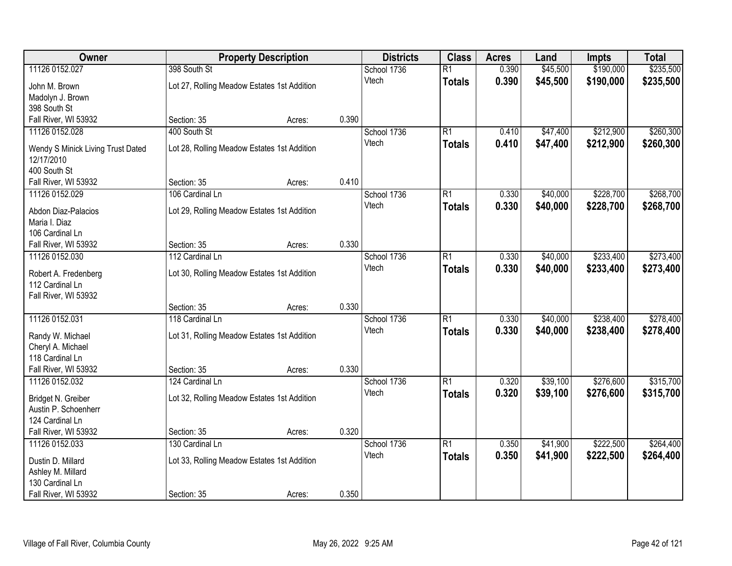| Owner                                   |                                             | <b>Property Description</b> |       | <b>Districts</b>     | <b>Class</b>    | <b>Acres</b>   | Land                 | <b>Impts</b> | <b>Total</b> |
|-----------------------------------------|---------------------------------------------|-----------------------------|-------|----------------------|-----------------|----------------|----------------------|--------------|--------------|
| 11126 0152.027                          | 398 South St                                |                             |       | School 1736          | $\overline{R1}$ | 0.390          | \$45,500             | \$190,000    | \$235,500    |
| John M. Brown                           | Lot 27, Rolling Meadow Estates 1st Addition |                             |       | Vtech                | <b>Totals</b>   | 0.390          | \$45,500             | \$190,000    | \$235,500    |
| Madolyn J. Brown                        |                                             |                             |       |                      |                 |                |                      |              |              |
| 398 South St                            |                                             |                             |       |                      |                 |                |                      |              |              |
| Fall River, WI 53932                    | Section: 35                                 | Acres:                      | 0.390 |                      |                 |                |                      |              |              |
| 11126 0152.028                          | 400 South St                                |                             |       | School 1736          | $\overline{R1}$ | 0.410          | \$47,400             | \$212,900    | \$260,300    |
| Wendy S Minick Living Trust Dated       | Lot 28, Rolling Meadow Estates 1st Addition |                             |       | Vtech                | <b>Totals</b>   | 0.410          | \$47,400             | \$212,900    | \$260,300    |
| 12/17/2010                              |                                             |                             |       |                      |                 |                |                      |              |              |
| 400 South St                            |                                             |                             |       |                      |                 |                |                      |              |              |
| Fall River, WI 53932                    | Section: 35                                 | Acres:                      | 0.410 |                      |                 |                |                      |              |              |
| 11126 0152.029                          | 106 Cardinal Ln                             |                             |       | School 1736          | $\overline{R1}$ | 0.330          | \$40,000             | \$228,700    | \$268,700    |
| Abdon Diaz-Palacios                     | Lot 29, Rolling Meadow Estates 1st Addition |                             |       | Vtech                | <b>Totals</b>   | 0.330          | \$40,000             | \$228,700    | \$268,700    |
| Maria I. Diaz                           |                                             |                             |       |                      |                 |                |                      |              |              |
| 106 Cardinal Ln                         |                                             |                             |       |                      |                 |                |                      |              |              |
| Fall River, WI 53932                    | Section: 35                                 | Acres:                      | 0.330 |                      |                 |                |                      |              |              |
| 11126 0152.030                          | 112 Cardinal Ln                             |                             |       | School 1736          | $\overline{R1}$ | 0.330          | \$40,000             | \$233,400    | \$273,400    |
|                                         |                                             |                             |       | Vtech                | <b>Totals</b>   | 0.330          | \$40,000             | \$233,400    | \$273,400    |
| Robert A. Fredenberg<br>112 Cardinal Ln | Lot 30, Rolling Meadow Estates 1st Addition |                             |       |                      |                 |                |                      |              |              |
| Fall River, WI 53932                    |                                             |                             |       |                      |                 |                |                      |              |              |
|                                         | Section: 35                                 | Acres:                      | 0.330 |                      |                 |                |                      |              |              |
| 11126 0152.031                          | 118 Cardinal Ln                             |                             |       | School 1736          | $\overline{R1}$ | 0.330          | \$40,000             | \$238,400    | \$278,400    |
|                                         |                                             |                             |       | Vtech                | <b>Totals</b>   | 0.330          | \$40,000             | \$238,400    | \$278,400    |
| Randy W. Michael                        | Lot 31, Rolling Meadow Estates 1st Addition |                             |       |                      |                 |                |                      |              |              |
| Cheryl A. Michael<br>118 Cardinal Ln    |                                             |                             |       |                      |                 |                |                      |              |              |
| Fall River, WI 53932                    | Section: 35                                 | Acres:                      | 0.330 |                      |                 |                |                      |              |              |
| 11126 0152.032                          | 124 Cardinal Ln                             |                             |       | School 1736          | $\overline{R1}$ | 0.320          | \$39,100             | \$276,600    | \$315,700    |
|                                         |                                             |                             |       | Vtech                | <b>Totals</b>   | 0.320          | \$39,100             | \$276,600    | \$315,700    |
| Bridget N. Greiber                      | Lot 32, Rolling Meadow Estates 1st Addition |                             |       |                      |                 |                |                      |              |              |
| Austin P. Schoenherr                    |                                             |                             |       |                      |                 |                |                      |              |              |
| 124 Cardinal Ln                         |                                             |                             | 0.320 |                      |                 |                |                      |              |              |
| Fall River, WI 53932                    | Section: 35                                 | Acres:                      |       |                      |                 |                |                      | \$222,500    |              |
| 11126 0152.033                          | 130 Cardinal Ln                             |                             |       | School 1736<br>Vtech | $\overline{R1}$ | 0.350<br>0.350 | \$41,900<br>\$41,900 |              | \$264,400    |
| Dustin D. Millard                       | Lot 33, Rolling Meadow Estates 1st Addition |                             |       |                      | <b>Totals</b>   |                |                      | \$222,500    | \$264,400    |
| Ashley M. Millard                       |                                             |                             |       |                      |                 |                |                      |              |              |
| 130 Cardinal Ln                         |                                             |                             |       |                      |                 |                |                      |              |              |
| Fall River, WI 53932                    | Section: 35                                 | Acres:                      | 0.350 |                      |                 |                |                      |              |              |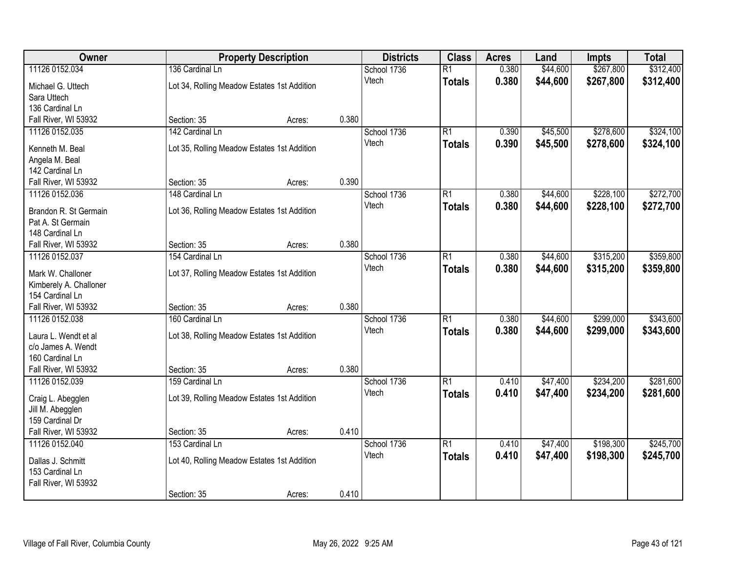| Owner                  | <b>Property Description</b>                 |        | <b>Districts</b> | <b>Class</b> | <b>Acres</b>    | Land  | <b>Impts</b> | <b>Total</b> |           |
|------------------------|---------------------------------------------|--------|------------------|--------------|-----------------|-------|--------------|--------------|-----------|
| 11126 0152.034         | 136 Cardinal Ln                             |        |                  | School 1736  | $\overline{R1}$ | 0.380 | \$44,600     | \$267,800    | \$312,400 |
| Michael G. Uttech      | Lot 34, Rolling Meadow Estates 1st Addition |        |                  | Vtech        | <b>Totals</b>   | 0.380 | \$44,600     | \$267,800    | \$312,400 |
| Sara Uttech            |                                             |        |                  |              |                 |       |              |              |           |
| 136 Cardinal Ln        |                                             |        |                  |              |                 |       |              |              |           |
| Fall River, WI 53932   | Section: 35                                 | Acres: | 0.380            |              |                 |       |              |              |           |
| 11126 0152.035         | 142 Cardinal Ln                             |        |                  | School 1736  | $\overline{R1}$ | 0.390 | \$45,500     | \$278,600    | \$324,100 |
| Kenneth M. Beal        | Lot 35, Rolling Meadow Estates 1st Addition |        |                  | Vtech        | <b>Totals</b>   | 0.390 | \$45,500     | \$278,600    | \$324,100 |
| Angela M. Beal         |                                             |        |                  |              |                 |       |              |              |           |
| 142 Cardinal Ln        |                                             |        |                  |              |                 |       |              |              |           |
| Fall River, WI 53932   | Section: 35                                 | Acres: | 0.390            |              |                 |       |              |              |           |
| 11126 0152.036         | 148 Cardinal Ln                             |        |                  | School 1736  | $\overline{R1}$ | 0.380 | \$44,600     | \$228,100    | \$272,700 |
|                        |                                             |        |                  | Vtech        |                 | 0.380 | \$44,600     | \$228,100    | \$272,700 |
| Brandon R. St Germain  | Lot 36, Rolling Meadow Estates 1st Addition |        |                  |              | <b>Totals</b>   |       |              |              |           |
| Pat A. St Germain      |                                             |        |                  |              |                 |       |              |              |           |
| 148 Cardinal Ln        |                                             |        |                  |              |                 |       |              |              |           |
| Fall River, WI 53932   | Section: 35                                 | Acres: | 0.380            |              |                 |       |              |              |           |
| 11126 0152.037         | 154 Cardinal Ln                             |        |                  | School 1736  | $\overline{R1}$ | 0.380 | \$44,600     | \$315,200    | \$359,800 |
| Mark W. Challoner      | Lot 37, Rolling Meadow Estates 1st Addition |        |                  | Vtech        | <b>Totals</b>   | 0.380 | \$44,600     | \$315,200    | \$359,800 |
| Kimberely A. Challoner |                                             |        |                  |              |                 |       |              |              |           |
| 154 Cardinal Ln        |                                             |        |                  |              |                 |       |              |              |           |
| Fall River, WI 53932   | Section: 35                                 | Acres: | 0.380            |              |                 |       |              |              |           |
| 11126 0152.038         | 160 Cardinal Ln                             |        |                  | School 1736  | $\overline{R1}$ | 0.380 | \$44,600     | \$299,000    | \$343,600 |
|                        |                                             |        |                  | Vtech        | <b>Totals</b>   | 0.380 | \$44,600     | \$299,000    | \$343,600 |
| Laura L. Wendt et al   | Lot 38, Rolling Meadow Estates 1st Addition |        |                  |              |                 |       |              |              |           |
| c/o James A. Wendt     |                                             |        |                  |              |                 |       |              |              |           |
| 160 Cardinal Ln        |                                             |        |                  |              |                 |       |              |              |           |
| Fall River, WI 53932   | Section: 35                                 | Acres: | 0.380            |              |                 |       |              |              |           |
| 11126 0152.039         | 159 Cardinal Ln                             |        |                  | School 1736  | $\overline{R1}$ | 0.410 | \$47,400     | \$234,200    | \$281,600 |
| Craig L. Abegglen      | Lot 39, Rolling Meadow Estates 1st Addition |        |                  | Vtech        | <b>Totals</b>   | 0.410 | \$47,400     | \$234,200    | \$281,600 |
| Jill M. Abegglen       |                                             |        |                  |              |                 |       |              |              |           |
| 159 Cardinal Dr        |                                             |        |                  |              |                 |       |              |              |           |
| Fall River, WI 53932   | Section: 35                                 | Acres: | 0.410            |              |                 |       |              |              |           |
| 11126 0152.040         | 153 Cardinal Ln                             |        |                  | School 1736  | $\overline{R1}$ | 0.410 | \$47,400     | \$198,300    | \$245,700 |
| Dallas J. Schmitt      | Lot 40, Rolling Meadow Estates 1st Addition |        |                  | Vtech        | <b>Totals</b>   | 0.410 | \$47,400     | \$198,300    | \$245,700 |
| 153 Cardinal Ln        |                                             |        |                  |              |                 |       |              |              |           |
| Fall River, WI 53932   |                                             |        |                  |              |                 |       |              |              |           |
|                        | Section: 35                                 | Acres: | 0.410            |              |                 |       |              |              |           |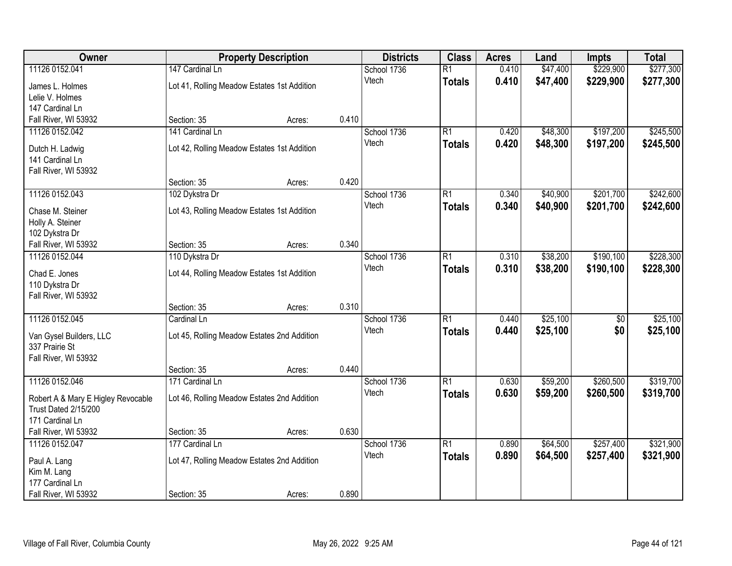| Owner                                                      |                                             | <b>Property Description</b> |       | <b>Districts</b> | <b>Class</b>    | <b>Acres</b> | Land     | <b>Impts</b>    | <b>Total</b> |
|------------------------------------------------------------|---------------------------------------------|-----------------------------|-------|------------------|-----------------|--------------|----------|-----------------|--------------|
| 11126 0152.041                                             | 147 Cardinal Ln                             |                             |       | School 1736      | $\overline{R1}$ | 0.410        | \$47,400 | \$229,900       | \$277,300    |
| James L. Holmes                                            | Lot 41, Rolling Meadow Estates 1st Addition |                             |       | Vtech            | <b>Totals</b>   | 0.410        | \$47,400 | \$229,900       | \$277,300    |
| Lelie V. Holmes                                            |                                             |                             |       |                  |                 |              |          |                 |              |
| 147 Cardinal Ln                                            |                                             |                             |       |                  |                 |              |          |                 |              |
| Fall River, WI 53932                                       | Section: 35                                 | Acres:                      | 0.410 |                  |                 |              |          |                 |              |
| 11126 0152.042                                             | 141 Cardinal Ln                             |                             |       | School 1736      | $\overline{R1}$ | 0.420        | \$48,300 | \$197,200       | \$245,500    |
| Dutch H. Ladwig                                            | Lot 42, Rolling Meadow Estates 1st Addition |                             |       | Vtech            | <b>Totals</b>   | 0.420        | \$48,300 | \$197,200       | \$245,500    |
| 141 Cardinal Ln                                            |                                             |                             |       |                  |                 |              |          |                 |              |
| Fall River, WI 53932                                       |                                             |                             |       |                  |                 |              |          |                 |              |
|                                                            | Section: 35                                 | Acres:                      | 0.420 |                  |                 |              |          |                 |              |
| 11126 0152.043                                             | 102 Dykstra Dr                              |                             |       | School 1736      | $\overline{R1}$ | 0.340        | \$40,900 | \$201,700       | \$242,600    |
| Chase M. Steiner                                           | Lot 43, Rolling Meadow Estates 1st Addition |                             |       | Vtech            | <b>Totals</b>   | 0.340        | \$40,900 | \$201,700       | \$242,600    |
| Holly A. Steiner                                           |                                             |                             |       |                  |                 |              |          |                 |              |
| 102 Dykstra Dr                                             |                                             |                             |       |                  |                 |              |          |                 |              |
| Fall River, WI 53932                                       | Section: 35                                 | Acres:                      | 0.340 |                  |                 |              |          |                 |              |
| 11126 0152.044                                             | 110 Dykstra Dr                              |                             |       | School 1736      | $\overline{R1}$ | 0.310        | \$38,200 | \$190,100       | \$228,300    |
| Chad E. Jones                                              | Lot 44, Rolling Meadow Estates 1st Addition |                             |       | Vtech            | <b>Totals</b>   | 0.310        | \$38,200 | \$190,100       | \$228,300    |
| 110 Dykstra Dr                                             |                                             |                             |       |                  |                 |              |          |                 |              |
| Fall River, WI 53932                                       |                                             |                             |       |                  |                 |              |          |                 |              |
|                                                            | Section: 35                                 | Acres:                      | 0.310 |                  |                 |              |          |                 |              |
| 11126 0152.045                                             | Cardinal Ln                                 |                             |       | School 1736      | $\overline{R1}$ | 0.440        | \$25,100 | $\overline{50}$ | \$25,100     |
|                                                            |                                             |                             |       | Vtech            | <b>Totals</b>   | 0.440        | \$25,100 | \$0             | \$25,100     |
| Van Gysel Builders, LLC<br>337 Prairie St                  | Lot 45, Rolling Meadow Estates 2nd Addition |                             |       |                  |                 |              |          |                 |              |
| Fall River, WI 53932                                       |                                             |                             |       |                  |                 |              |          |                 |              |
|                                                            | Section: 35                                 | Acres:                      | 0.440 |                  |                 |              |          |                 |              |
| 11126 0152.046                                             | 171 Cardinal Ln                             |                             |       | School 1736      | $\overline{R1}$ | 0.630        | \$59,200 | \$260,500       | \$319,700    |
|                                                            |                                             |                             |       | Vtech            | <b>Totals</b>   | 0.630        | \$59,200 | \$260,500       | \$319,700    |
| Robert A & Mary E Higley Revocable<br>Trust Dated 2/15/200 | Lot 46, Rolling Meadow Estates 2nd Addition |                             |       |                  |                 |              |          |                 |              |
| 171 Cardinal Ln                                            |                                             |                             |       |                  |                 |              |          |                 |              |
| Fall River, WI 53932                                       | Section: 35                                 | Acres:                      | 0.630 |                  |                 |              |          |                 |              |
| 11126 0152.047                                             | 177 Cardinal Ln                             |                             |       | School 1736      | $\overline{R1}$ | 0.890        | \$64,500 | \$257,400       | \$321,900    |
|                                                            |                                             |                             |       | Vtech            | <b>Totals</b>   | 0.890        | \$64,500 | \$257,400       | \$321,900    |
| Paul A. Lang<br>Kim M. Lang                                | Lot 47, Rolling Meadow Estates 2nd Addition |                             |       |                  |                 |              |          |                 |              |
| 177 Cardinal Ln                                            |                                             |                             |       |                  |                 |              |          |                 |              |
| Fall River, WI 53932                                       | Section: 35                                 | Acres:                      | 0.890 |                  |                 |              |          |                 |              |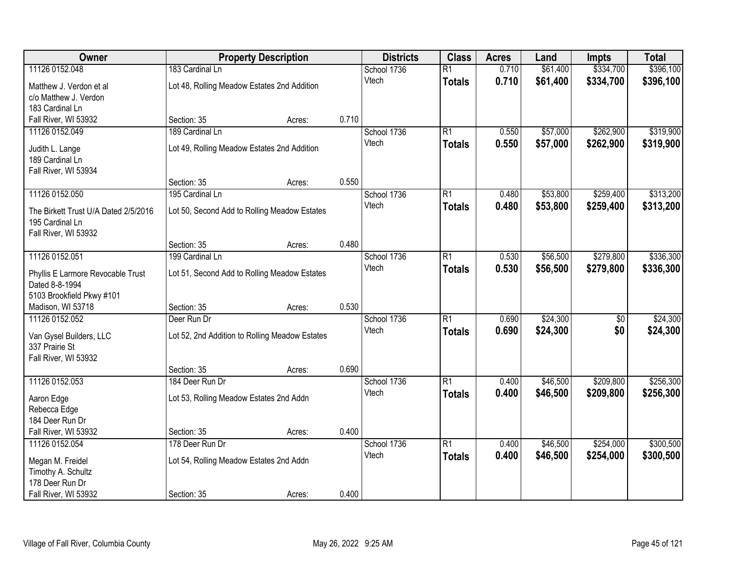| Owner                                |                                                | <b>Property Description</b> |       | <b>Districts</b> | <b>Class</b>    | <b>Acres</b> | Land     | <b>Impts</b>    | <b>Total</b> |
|--------------------------------------|------------------------------------------------|-----------------------------|-------|------------------|-----------------|--------------|----------|-----------------|--------------|
| 11126 0152.048                       | 183 Cardinal Ln                                |                             |       | School 1736      | $\overline{R1}$ | 0.710        | \$61,400 | \$334,700       | \$396,100    |
| Matthew J. Verdon et al              | Lot 48, Rolling Meadow Estates 2nd Addition    |                             |       | Vtech            | <b>Totals</b>   | 0.710        | \$61,400 | \$334,700       | \$396,100    |
| c/o Matthew J. Verdon                |                                                |                             |       |                  |                 |              |          |                 |              |
| 183 Cardinal Ln                      |                                                |                             |       |                  |                 |              |          |                 |              |
| Fall River, WI 53932                 | Section: 35                                    | Acres:                      | 0.710 |                  |                 |              |          |                 |              |
| 11126 0152.049                       | 189 Cardinal Ln                                |                             |       | School 1736      | $\overline{R1}$ | 0.550        | \$57,000 | \$262,900       | \$319,900    |
| Judith L. Lange                      | Lot 49, Rolling Meadow Estates 2nd Addition    |                             |       | Vtech            | <b>Totals</b>   | 0.550        | \$57,000 | \$262,900       | \$319,900    |
| 189 Cardinal Ln                      |                                                |                             |       |                  |                 |              |          |                 |              |
| Fall River, WI 53934                 |                                                |                             |       |                  |                 |              |          |                 |              |
|                                      | Section: 35                                    | Acres:                      | 0.550 |                  |                 |              |          |                 |              |
| 11126 0152.050                       | 195 Cardinal Ln                                |                             |       | School 1736      | $\overline{R1}$ | 0.480        | \$53,800 | \$259,400       | \$313,200    |
| The Birkett Trust U/A Dated 2/5/2016 | Lot 50, Second Add to Rolling Meadow Estates   |                             |       | Vtech            | <b>Totals</b>   | 0.480        | \$53,800 | \$259,400       | \$313,200    |
| 195 Cardinal Ln                      |                                                |                             |       |                  |                 |              |          |                 |              |
| Fall River, WI 53932                 |                                                |                             |       |                  |                 |              |          |                 |              |
|                                      | Section: 35                                    | Acres:                      | 0.480 |                  |                 |              |          |                 |              |
| 11126 0152.051                       | 199 Cardinal Ln                                |                             |       | School 1736      | $\overline{R1}$ | 0.530        | \$56,500 | \$279,800       | \$336,300    |
| Phyllis E Larmore Revocable Trust    | Lot 51, Second Add to Rolling Meadow Estates   |                             |       | Vtech            | <b>Totals</b>   | 0.530        | \$56,500 | \$279,800       | \$336,300    |
| Dated 8-8-1994                       |                                                |                             |       |                  |                 |              |          |                 |              |
| 5103 Brookfield Pkwy #101            |                                                |                             |       |                  |                 |              |          |                 |              |
| Madison, WI 53718                    | Section: 35                                    | Acres:                      | 0.530 |                  |                 |              |          |                 |              |
| 11126 0152.052                       | Deer Run Dr                                    |                             |       | School 1736      | $\overline{R1}$ | 0.690        | \$24,300 | $\overline{50}$ | \$24,300     |
| Van Gysel Builders, LLC              | Lot 52, 2nd Addition to Rolling Meadow Estates |                             |       | Vtech            | <b>Totals</b>   | 0.690        | \$24,300 | \$0             | \$24,300     |
| 337 Prairie St                       |                                                |                             |       |                  |                 |              |          |                 |              |
| Fall River, WI 53932                 |                                                |                             |       |                  |                 |              |          |                 |              |
|                                      | Section: 35                                    | Acres:                      | 0.690 |                  |                 |              |          |                 |              |
| 11126 0152.053                       | 184 Deer Run Dr                                |                             |       | School 1736      | $\overline{R1}$ | 0.400        | \$46,500 | \$209,800       | \$256,300    |
| Aaron Edge                           | Lot 53, Rolling Meadow Estates 2nd Addn        |                             |       | Vtech            | <b>Totals</b>   | 0.400        | \$46,500 | \$209,800       | \$256,300    |
| Rebecca Edge                         |                                                |                             |       |                  |                 |              |          |                 |              |
| 184 Deer Run Dr                      |                                                |                             |       |                  |                 |              |          |                 |              |
| Fall River, WI 53932                 | Section: 35                                    | Acres:                      | 0.400 |                  |                 |              |          |                 |              |
| 11126 0152.054                       | 178 Deer Run Dr                                |                             |       | School 1736      | $\overline{R1}$ | 0.400        | \$46,500 | \$254,000       | \$300,500    |
| Megan M. Freidel                     | Lot 54, Rolling Meadow Estates 2nd Addn        |                             |       | Vtech            | <b>Totals</b>   | 0.400        | \$46,500 | \$254,000       | \$300,500    |
| Timothy A. Schultz                   |                                                |                             |       |                  |                 |              |          |                 |              |
| 178 Deer Run Dr                      |                                                |                             |       |                  |                 |              |          |                 |              |
| Fall River, WI 53932                 | Section: 35                                    | Acres:                      | 0.400 |                  |                 |              |          |                 |              |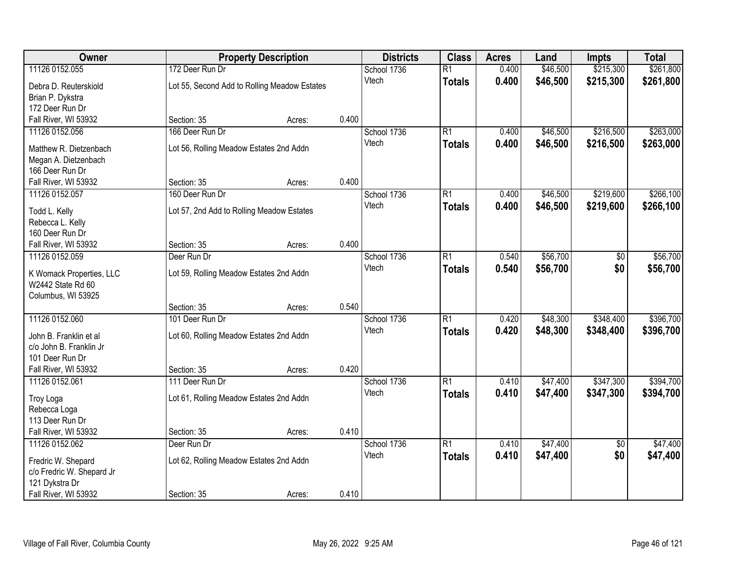| <b>Owner</b>              |                                           | <b>Property Description</b>                  |       | <b>Districts</b> | <b>Class</b>    | <b>Acres</b> | Land     | <b>Impts</b>    | <b>Total</b> |
|---------------------------|-------------------------------------------|----------------------------------------------|-------|------------------|-----------------|--------------|----------|-----------------|--------------|
| 11126 0152.055            | 172 Deer Run Dr                           |                                              |       | School 1736      | $\overline{R1}$ | 0.400        | \$46,500 | \$215,300       | \$261,800    |
| Debra D. Reuterskiold     |                                           | Lot 55, Second Add to Rolling Meadow Estates |       | Vtech            | <b>Totals</b>   | 0.400        | \$46,500 | \$215,300       | \$261,800    |
| Brian P. Dykstra          |                                           |                                              |       |                  |                 |              |          |                 |              |
| 172 Deer Run Dr           |                                           |                                              |       |                  |                 |              |          |                 |              |
| Fall River, WI 53932      | Section: 35                               | Acres:                                       | 0.400 |                  |                 |              |          |                 |              |
| 11126 0152.056            | 166 Deer Run Dr                           |                                              |       | School 1736      | $\overline{R1}$ | 0.400        | \$46,500 | \$216,500       | \$263,000    |
| Matthew R. Dietzenbach    | Lot 56, Rolling Meadow Estates 2nd Addn   |                                              |       | Vtech            | <b>Totals</b>   | 0.400        | \$46,500 | \$216,500       | \$263,000    |
| Megan A. Dietzenbach      |                                           |                                              |       |                  |                 |              |          |                 |              |
| 166 Deer Run Dr           |                                           |                                              |       |                  |                 |              |          |                 |              |
| Fall River, WI 53932      | Section: 35                               | Acres:                                       | 0.400 |                  |                 |              |          |                 |              |
| 11126 0152.057            | 160 Deer Run Dr                           |                                              |       | School 1736      | $\overline{R1}$ | 0.400        | \$46,500 | \$219,600       | \$266,100    |
| Todd L. Kelly             | Lot 57, 2nd Add to Rolling Meadow Estates |                                              |       | Vtech            | <b>Totals</b>   | 0.400        | \$46,500 | \$219,600       | \$266,100    |
| Rebecca L. Kelly          |                                           |                                              |       |                  |                 |              |          |                 |              |
| 160 Deer Run Dr           |                                           |                                              |       |                  |                 |              |          |                 |              |
| Fall River, WI 53932      | Section: 35                               | Acres:                                       | 0.400 |                  |                 |              |          |                 |              |
| 11126 0152.059            | Deer Run Dr                               |                                              |       | School 1736      | $\overline{R1}$ | 0.540        | \$56,700 | \$0             | \$56,700     |
| K Womack Properties, LLC  | Lot 59, Rolling Meadow Estates 2nd Addn   |                                              |       | Vtech            | <b>Totals</b>   | 0.540        | \$56,700 | \$0             | \$56,700     |
| W2442 State Rd 60         |                                           |                                              |       |                  |                 |              |          |                 |              |
| Columbus, WI 53925        |                                           |                                              |       |                  |                 |              |          |                 |              |
|                           | Section: 35                               | Acres:                                       | 0.540 |                  |                 |              |          |                 |              |
| 11126 0152.060            | 101 Deer Run Dr                           |                                              |       | School 1736      | $\overline{R1}$ | 0.420        | \$48,300 | \$348,400       | \$396,700    |
| John B. Franklin et al    | Lot 60, Rolling Meadow Estates 2nd Addn   |                                              |       | Vtech            | <b>Totals</b>   | 0.420        | \$48,300 | \$348,400       | \$396,700    |
| c/o John B. Franklin Jr   |                                           |                                              |       |                  |                 |              |          |                 |              |
| 101 Deer Run Dr           |                                           |                                              |       |                  |                 |              |          |                 |              |
| Fall River, WI 53932      | Section: 35                               | Acres:                                       | 0.420 |                  |                 |              |          |                 |              |
| 11126 0152.061            | 111 Deer Run Dr                           |                                              |       | School 1736      | $\overline{R1}$ | 0.410        | \$47,400 | \$347,300       | \$394,700    |
| <b>Troy Loga</b>          | Lot 61, Rolling Meadow Estates 2nd Addn   |                                              |       | Vtech            | <b>Totals</b>   | 0.410        | \$47,400 | \$347,300       | \$394,700    |
| Rebecca Loga              |                                           |                                              |       |                  |                 |              |          |                 |              |
| 113 Deer Run Dr           |                                           |                                              |       |                  |                 |              |          |                 |              |
| Fall River, WI 53932      | Section: 35                               | Acres:                                       | 0.410 |                  |                 |              |          |                 |              |
| 11126 0152.062            | Deer Run Dr                               |                                              |       | School 1736      | $\overline{R1}$ | 0.410        | \$47,400 | $\overline{50}$ | \$47,400     |
| Fredric W. Shepard        | Lot 62, Rolling Meadow Estates 2nd Addn   |                                              |       | Vtech            | <b>Totals</b>   | 0.410        | \$47,400 | \$0             | \$47,400     |
| c/o Fredric W. Shepard Jr |                                           |                                              |       |                  |                 |              |          |                 |              |
| 121 Dykstra Dr            |                                           |                                              |       |                  |                 |              |          |                 |              |
| Fall River, WI 53932      | Section: 35                               | Acres:                                       | 0.410 |                  |                 |              |          |                 |              |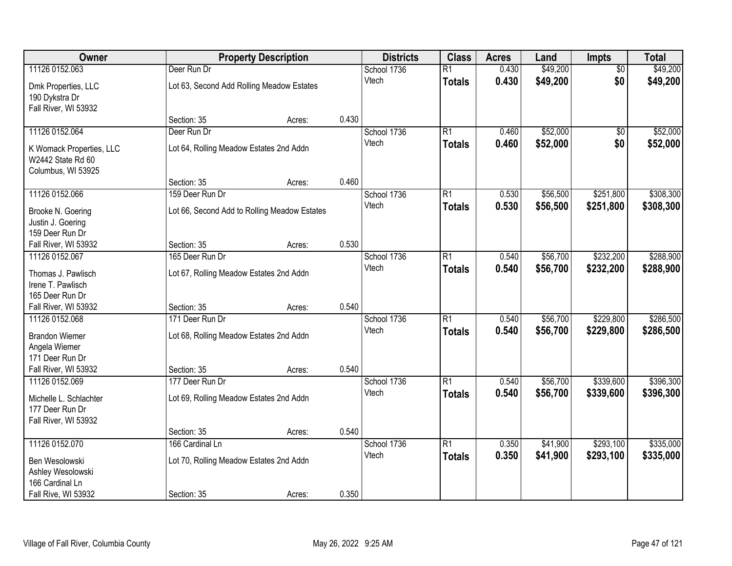| \$49,200<br>11126 0152.063<br>Deer Run Dr<br>\$49,200<br>School 1736<br>$\overline{R1}$<br>0.430<br>$\overline{50}$<br>\$0<br>Vtech<br>0.430<br>\$49,200<br>\$49,200<br><b>Totals</b><br>Lot 63, Second Add Rolling Meadow Estates<br>Dmk Properties, LLC<br>190 Dykstra Dr<br>Fall River, WI 53932<br>0.430<br>Section: 35<br>Acres:<br>11126 0152.064<br>$\overline{R1}$<br>\$52,000<br>Deer Run Dr<br>School 1736<br>0.460<br>$\overline{50}$<br>\$0<br>0.460<br>\$52,000<br>Vtech<br><b>Totals</b><br>Lot 64, Rolling Meadow Estates 2nd Addn<br>K Womack Properties, LLC<br>W2442 State Rd 60<br>Columbus, WI 53925<br>0.460<br>Section: 35<br>Acres:<br>\$56,500<br>\$251,800<br>11126 0152.066<br>159 Deer Run Dr<br>$\overline{R1}$<br>0.530<br>School 1736<br>\$56,500<br>Vtech<br>0.530<br>\$251,800<br><b>Totals</b><br>Lot 66, Second Add to Rolling Meadow Estates<br>Brooke N. Goering<br>Justin J. Goering<br>159 Deer Run Dr<br>0.530<br>Section: 35<br>Fall River, WI 53932<br>Acres:<br>165 Deer Run Dr<br>\$56,700<br>\$232,200<br>11126 0152.067<br>School 1736<br>$\overline{R1}$<br>0.540<br>Vtech<br>0.540<br>\$56,700<br>\$232,200<br><b>Totals</b><br>Thomas J. Pawlisch<br>Lot 67, Rolling Meadow Estates 2nd Addn<br>Irene T. Pawlisch<br>165 Deer Run Dr<br>0.540<br>Fall River, WI 53932<br>Section: 35<br>Acres:<br>\$229,800<br>11126 0152.068<br>171 Deer Run Dr<br>$\overline{R1}$<br>0.540<br>\$56,700<br>School 1736<br>0.540<br>\$56,700<br>\$229,800<br>Vtech<br><b>Totals</b><br><b>Brandon Wiemer</b><br>Lot 68, Rolling Meadow Estates 2nd Addn<br>Angela Wiemer<br>171 Deer Run Dr<br>0.540<br>Fall River, WI 53932<br>Section: 35<br>Acres:<br>$\overline{R1}$<br>\$56,700<br>\$339,600<br>11126 0152.069<br>School 1736<br>0.540<br>177 Deer Run Dr<br>0.540<br>\$56,700<br>\$339,600<br>Vtech<br><b>Totals</b><br>Michelle L. Schlachter<br>Lot 69, Rolling Meadow Estates 2nd Addn<br>177 Deer Run Dr<br>Fall River, WI 53932<br>0.540<br>Section: 35<br>Acres:<br>11126 0152.070<br>$\overline{R1}$<br>\$41,900<br>\$293,100<br>166 Cardinal Ln<br>School 1736<br>0.350<br>0.350<br>\$41,900<br>Vtech<br>\$293,100<br><b>Totals</b><br>Ben Wesolowski<br>Lot 70, Rolling Meadow Estates 2nd Addn<br>Ashley Wesolowski | Owner           | <b>Property Description</b> |  | <b>Districts</b> | <b>Class</b> | <b>Acres</b> | Land | Impts | <b>Total</b> |
|---------------------------------------------------------------------------------------------------------------------------------------------------------------------------------------------------------------------------------------------------------------------------------------------------------------------------------------------------------------------------------------------------------------------------------------------------------------------------------------------------------------------------------------------------------------------------------------------------------------------------------------------------------------------------------------------------------------------------------------------------------------------------------------------------------------------------------------------------------------------------------------------------------------------------------------------------------------------------------------------------------------------------------------------------------------------------------------------------------------------------------------------------------------------------------------------------------------------------------------------------------------------------------------------------------------------------------------------------------------------------------------------------------------------------------------------------------------------------------------------------------------------------------------------------------------------------------------------------------------------------------------------------------------------------------------------------------------------------------------------------------------------------------------------------------------------------------------------------------------------------------------------------------------------------------------------------------------------------------------------------------------------------------------------------------------------------------------------------------------------------------------------------------------------------------------------------------------------------------------------------------------------|-----------------|-----------------------------|--|------------------|--------------|--------------|------|-------|--------------|
|                                                                                                                                                                                                                                                                                                                                                                                                                                                                                                                                                                                                                                                                                                                                                                                                                                                                                                                                                                                                                                                                                                                                                                                                                                                                                                                                                                                                                                                                                                                                                                                                                                                                                                                                                                                                                                                                                                                                                                                                                                                                                                                                                                                                                                                                     |                 |                             |  |                  |              |              |      |       |              |
|                                                                                                                                                                                                                                                                                                                                                                                                                                                                                                                                                                                                                                                                                                                                                                                                                                                                                                                                                                                                                                                                                                                                                                                                                                                                                                                                                                                                                                                                                                                                                                                                                                                                                                                                                                                                                                                                                                                                                                                                                                                                                                                                                                                                                                                                     |                 |                             |  |                  |              |              |      |       |              |
| \$52,000<br>\$52,000<br>\$308,300<br>\$308,300<br>\$288,900<br>\$288,900<br>\$286,500<br>\$286,500<br>\$396,300<br>\$335,000                                                                                                                                                                                                                                                                                                                                                                                                                                                                                                                                                                                                                                                                                                                                                                                                                                                                                                                                                                                                                                                                                                                                                                                                                                                                                                                                                                                                                                                                                                                                                                                                                                                                                                                                                                                                                                                                                                                                                                                                                                                                                                                                        |                 |                             |  |                  |              |              |      |       |              |
|                                                                                                                                                                                                                                                                                                                                                                                                                                                                                                                                                                                                                                                                                                                                                                                                                                                                                                                                                                                                                                                                                                                                                                                                                                                                                                                                                                                                                                                                                                                                                                                                                                                                                                                                                                                                                                                                                                                                                                                                                                                                                                                                                                                                                                                                     |                 |                             |  |                  |              |              |      |       |              |
|                                                                                                                                                                                                                                                                                                                                                                                                                                                                                                                                                                                                                                                                                                                                                                                                                                                                                                                                                                                                                                                                                                                                                                                                                                                                                                                                                                                                                                                                                                                                                                                                                                                                                                                                                                                                                                                                                                                                                                                                                                                                                                                                                                                                                                                                     |                 |                             |  |                  |              |              |      |       |              |
|                                                                                                                                                                                                                                                                                                                                                                                                                                                                                                                                                                                                                                                                                                                                                                                                                                                                                                                                                                                                                                                                                                                                                                                                                                                                                                                                                                                                                                                                                                                                                                                                                                                                                                                                                                                                                                                                                                                                                                                                                                                                                                                                                                                                                                                                     |                 |                             |  |                  |              |              |      |       |              |
|                                                                                                                                                                                                                                                                                                                                                                                                                                                                                                                                                                                                                                                                                                                                                                                                                                                                                                                                                                                                                                                                                                                                                                                                                                                                                                                                                                                                                                                                                                                                                                                                                                                                                                                                                                                                                                                                                                                                                                                                                                                                                                                                                                                                                                                                     |                 |                             |  |                  |              |              |      |       |              |
|                                                                                                                                                                                                                                                                                                                                                                                                                                                                                                                                                                                                                                                                                                                                                                                                                                                                                                                                                                                                                                                                                                                                                                                                                                                                                                                                                                                                                                                                                                                                                                                                                                                                                                                                                                                                                                                                                                                                                                                                                                                                                                                                                                                                                                                                     |                 |                             |  |                  |              |              |      |       |              |
|                                                                                                                                                                                                                                                                                                                                                                                                                                                                                                                                                                                                                                                                                                                                                                                                                                                                                                                                                                                                                                                                                                                                                                                                                                                                                                                                                                                                                                                                                                                                                                                                                                                                                                                                                                                                                                                                                                                                                                                                                                                                                                                                                                                                                                                                     |                 |                             |  |                  |              |              |      |       |              |
|                                                                                                                                                                                                                                                                                                                                                                                                                                                                                                                                                                                                                                                                                                                                                                                                                                                                                                                                                                                                                                                                                                                                                                                                                                                                                                                                                                                                                                                                                                                                                                                                                                                                                                                                                                                                                                                                                                                                                                                                                                                                                                                                                                                                                                                                     |                 |                             |  |                  |              |              |      |       |              |
|                                                                                                                                                                                                                                                                                                                                                                                                                                                                                                                                                                                                                                                                                                                                                                                                                                                                                                                                                                                                                                                                                                                                                                                                                                                                                                                                                                                                                                                                                                                                                                                                                                                                                                                                                                                                                                                                                                                                                                                                                                                                                                                                                                                                                                                                     |                 |                             |  |                  |              |              |      |       |              |
|                                                                                                                                                                                                                                                                                                                                                                                                                                                                                                                                                                                                                                                                                                                                                                                                                                                                                                                                                                                                                                                                                                                                                                                                                                                                                                                                                                                                                                                                                                                                                                                                                                                                                                                                                                                                                                                                                                                                                                                                                                                                                                                                                                                                                                                                     |                 |                             |  |                  |              |              |      |       |              |
|                                                                                                                                                                                                                                                                                                                                                                                                                                                                                                                                                                                                                                                                                                                                                                                                                                                                                                                                                                                                                                                                                                                                                                                                                                                                                                                                                                                                                                                                                                                                                                                                                                                                                                                                                                                                                                                                                                                                                                                                                                                                                                                                                                                                                                                                     |                 |                             |  |                  |              |              |      |       |              |
|                                                                                                                                                                                                                                                                                                                                                                                                                                                                                                                                                                                                                                                                                                                                                                                                                                                                                                                                                                                                                                                                                                                                                                                                                                                                                                                                                                                                                                                                                                                                                                                                                                                                                                                                                                                                                                                                                                                                                                                                                                                                                                                                                                                                                                                                     |                 |                             |  |                  |              |              |      |       |              |
|                                                                                                                                                                                                                                                                                                                                                                                                                                                                                                                                                                                                                                                                                                                                                                                                                                                                                                                                                                                                                                                                                                                                                                                                                                                                                                                                                                                                                                                                                                                                                                                                                                                                                                                                                                                                                                                                                                                                                                                                                                                                                                                                                                                                                                                                     |                 |                             |  |                  |              |              |      |       |              |
|                                                                                                                                                                                                                                                                                                                                                                                                                                                                                                                                                                                                                                                                                                                                                                                                                                                                                                                                                                                                                                                                                                                                                                                                                                                                                                                                                                                                                                                                                                                                                                                                                                                                                                                                                                                                                                                                                                                                                                                                                                                                                                                                                                                                                                                                     |                 |                             |  |                  |              |              |      |       |              |
|                                                                                                                                                                                                                                                                                                                                                                                                                                                                                                                                                                                                                                                                                                                                                                                                                                                                                                                                                                                                                                                                                                                                                                                                                                                                                                                                                                                                                                                                                                                                                                                                                                                                                                                                                                                                                                                                                                                                                                                                                                                                                                                                                                                                                                                                     |                 |                             |  |                  |              |              |      |       |              |
|                                                                                                                                                                                                                                                                                                                                                                                                                                                                                                                                                                                                                                                                                                                                                                                                                                                                                                                                                                                                                                                                                                                                                                                                                                                                                                                                                                                                                                                                                                                                                                                                                                                                                                                                                                                                                                                                                                                                                                                                                                                                                                                                                                                                                                                                     |                 |                             |  |                  |              |              |      |       |              |
| \$396,300<br>\$335,000                                                                                                                                                                                                                                                                                                                                                                                                                                                                                                                                                                                                                                                                                                                                                                                                                                                                                                                                                                                                                                                                                                                                                                                                                                                                                                                                                                                                                                                                                                                                                                                                                                                                                                                                                                                                                                                                                                                                                                                                                                                                                                                                                                                                                                              |                 |                             |  |                  |              |              |      |       |              |
|                                                                                                                                                                                                                                                                                                                                                                                                                                                                                                                                                                                                                                                                                                                                                                                                                                                                                                                                                                                                                                                                                                                                                                                                                                                                                                                                                                                                                                                                                                                                                                                                                                                                                                                                                                                                                                                                                                                                                                                                                                                                                                                                                                                                                                                                     |                 |                             |  |                  |              |              |      |       |              |
|                                                                                                                                                                                                                                                                                                                                                                                                                                                                                                                                                                                                                                                                                                                                                                                                                                                                                                                                                                                                                                                                                                                                                                                                                                                                                                                                                                                                                                                                                                                                                                                                                                                                                                                                                                                                                                                                                                                                                                                                                                                                                                                                                                                                                                                                     |                 |                             |  |                  |              |              |      |       |              |
|                                                                                                                                                                                                                                                                                                                                                                                                                                                                                                                                                                                                                                                                                                                                                                                                                                                                                                                                                                                                                                                                                                                                                                                                                                                                                                                                                                                                                                                                                                                                                                                                                                                                                                                                                                                                                                                                                                                                                                                                                                                                                                                                                                                                                                                                     |                 |                             |  |                  |              |              |      |       |              |
|                                                                                                                                                                                                                                                                                                                                                                                                                                                                                                                                                                                                                                                                                                                                                                                                                                                                                                                                                                                                                                                                                                                                                                                                                                                                                                                                                                                                                                                                                                                                                                                                                                                                                                                                                                                                                                                                                                                                                                                                                                                                                                                                                                                                                                                                     |                 |                             |  |                  |              |              |      |       |              |
|                                                                                                                                                                                                                                                                                                                                                                                                                                                                                                                                                                                                                                                                                                                                                                                                                                                                                                                                                                                                                                                                                                                                                                                                                                                                                                                                                                                                                                                                                                                                                                                                                                                                                                                                                                                                                                                                                                                                                                                                                                                                                                                                                                                                                                                                     |                 |                             |  |                  |              |              |      |       |              |
|                                                                                                                                                                                                                                                                                                                                                                                                                                                                                                                                                                                                                                                                                                                                                                                                                                                                                                                                                                                                                                                                                                                                                                                                                                                                                                                                                                                                                                                                                                                                                                                                                                                                                                                                                                                                                                                                                                                                                                                                                                                                                                                                                                                                                                                                     |                 |                             |  |                  |              |              |      |       |              |
|                                                                                                                                                                                                                                                                                                                                                                                                                                                                                                                                                                                                                                                                                                                                                                                                                                                                                                                                                                                                                                                                                                                                                                                                                                                                                                                                                                                                                                                                                                                                                                                                                                                                                                                                                                                                                                                                                                                                                                                                                                                                                                                                                                                                                                                                     |                 |                             |  |                  |              |              |      |       |              |
|                                                                                                                                                                                                                                                                                                                                                                                                                                                                                                                                                                                                                                                                                                                                                                                                                                                                                                                                                                                                                                                                                                                                                                                                                                                                                                                                                                                                                                                                                                                                                                                                                                                                                                                                                                                                                                                                                                                                                                                                                                                                                                                                                                                                                                                                     |                 |                             |  |                  |              |              |      |       |              |
|                                                                                                                                                                                                                                                                                                                                                                                                                                                                                                                                                                                                                                                                                                                                                                                                                                                                                                                                                                                                                                                                                                                                                                                                                                                                                                                                                                                                                                                                                                                                                                                                                                                                                                                                                                                                                                                                                                                                                                                                                                                                                                                                                                                                                                                                     |                 |                             |  |                  |              |              |      |       |              |
|                                                                                                                                                                                                                                                                                                                                                                                                                                                                                                                                                                                                                                                                                                                                                                                                                                                                                                                                                                                                                                                                                                                                                                                                                                                                                                                                                                                                                                                                                                                                                                                                                                                                                                                                                                                                                                                                                                                                                                                                                                                                                                                                                                                                                                                                     |                 |                             |  |                  |              |              |      |       |              |
|                                                                                                                                                                                                                                                                                                                                                                                                                                                                                                                                                                                                                                                                                                                                                                                                                                                                                                                                                                                                                                                                                                                                                                                                                                                                                                                                                                                                                                                                                                                                                                                                                                                                                                                                                                                                                                                                                                                                                                                                                                                                                                                                                                                                                                                                     |                 |                             |  |                  |              |              |      |       |              |
|                                                                                                                                                                                                                                                                                                                                                                                                                                                                                                                                                                                                                                                                                                                                                                                                                                                                                                                                                                                                                                                                                                                                                                                                                                                                                                                                                                                                                                                                                                                                                                                                                                                                                                                                                                                                                                                                                                                                                                                                                                                                                                                                                                                                                                                                     |                 |                             |  |                  |              |              |      |       |              |
|                                                                                                                                                                                                                                                                                                                                                                                                                                                                                                                                                                                                                                                                                                                                                                                                                                                                                                                                                                                                                                                                                                                                                                                                                                                                                                                                                                                                                                                                                                                                                                                                                                                                                                                                                                                                                                                                                                                                                                                                                                                                                                                                                                                                                                                                     |                 |                             |  |                  |              |              |      |       |              |
|                                                                                                                                                                                                                                                                                                                                                                                                                                                                                                                                                                                                                                                                                                                                                                                                                                                                                                                                                                                                                                                                                                                                                                                                                                                                                                                                                                                                                                                                                                                                                                                                                                                                                                                                                                                                                                                                                                                                                                                                                                                                                                                                                                                                                                                                     |                 |                             |  |                  |              |              |      |       |              |
|                                                                                                                                                                                                                                                                                                                                                                                                                                                                                                                                                                                                                                                                                                                                                                                                                                                                                                                                                                                                                                                                                                                                                                                                                                                                                                                                                                                                                                                                                                                                                                                                                                                                                                                                                                                                                                                                                                                                                                                                                                                                                                                                                                                                                                                                     | 166 Cardinal Ln |                             |  |                  |              |              |      |       |              |
| 0.350<br>Fall Rive, WI 53932<br>Section: 35<br>Acres:                                                                                                                                                                                                                                                                                                                                                                                                                                                                                                                                                                                                                                                                                                                                                                                                                                                                                                                                                                                                                                                                                                                                                                                                                                                                                                                                                                                                                                                                                                                                                                                                                                                                                                                                                                                                                                                                                                                                                                                                                                                                                                                                                                                                               |                 |                             |  |                  |              |              |      |       |              |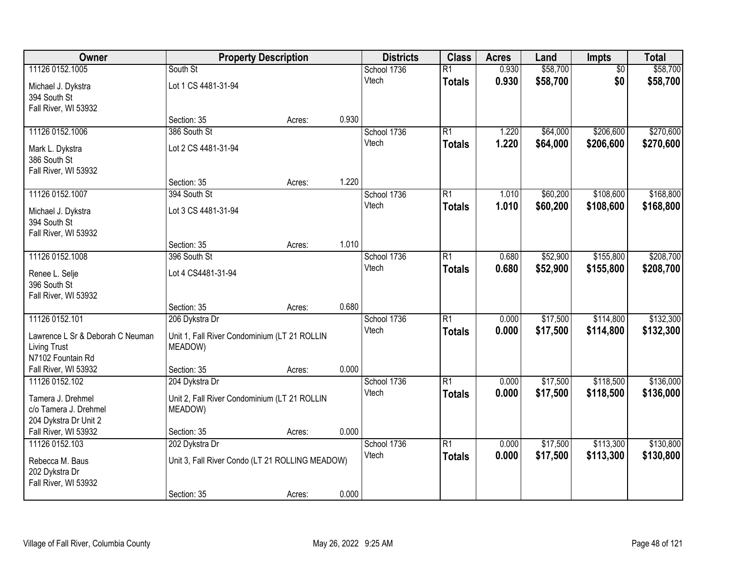| Owner                             |                                                 | <b>Property Description</b> |       | <b>Districts</b> | <b>Class</b>    | <b>Acres</b> | Land     | Impts           | <b>Total</b> |
|-----------------------------------|-------------------------------------------------|-----------------------------|-------|------------------|-----------------|--------------|----------|-----------------|--------------|
| 11126 0152.1005                   | South St                                        |                             |       | School 1736      | $\overline{R1}$ | 0.930        | \$58,700 | $\overline{50}$ | \$58,700     |
| Michael J. Dykstra                | Lot 1 CS 4481-31-94                             |                             |       | Vtech            | <b>Totals</b>   | 0.930        | \$58,700 | \$0             | \$58,700     |
| 394 South St                      |                                                 |                             |       |                  |                 |              |          |                 |              |
| Fall River, WI 53932              |                                                 |                             |       |                  |                 |              |          |                 |              |
|                                   | Section: 35                                     | Acres:                      | 0.930 |                  |                 |              |          |                 |              |
| 11126 0152.1006                   | 386 South St                                    |                             |       | School 1736      | $\overline{R1}$ | 1.220        | \$64,000 | \$206,600       | \$270,600    |
| Mark L. Dykstra                   | Lot 2 CS 4481-31-94                             |                             |       | Vtech            | <b>Totals</b>   | 1.220        | \$64,000 | \$206,600       | \$270,600    |
| 386 South St                      |                                                 |                             |       |                  |                 |              |          |                 |              |
| Fall River, WI 53932              |                                                 |                             |       |                  |                 |              |          |                 |              |
|                                   | Section: 35                                     | Acres:                      | 1.220 |                  |                 |              |          |                 |              |
| 11126 0152.1007                   | 394 South St                                    |                             |       | School 1736      | $\overline{R1}$ | 1.010        | \$60,200 | \$108,600       | \$168,800    |
| Michael J. Dykstra                | Lot 3 CS 4481-31-94                             |                             |       | Vtech            | <b>Totals</b>   | 1.010        | \$60,200 | \$108,600       | \$168,800    |
| 394 South St                      |                                                 |                             |       |                  |                 |              |          |                 |              |
| Fall River, WI 53932              |                                                 |                             |       |                  |                 |              |          |                 |              |
|                                   | Section: 35                                     | Acres:                      | 1.010 |                  |                 |              |          |                 |              |
| 11126 0152.1008                   | 396 South St                                    |                             |       | School 1736      | $\overline{R1}$ | 0.680        | \$52,900 | \$155,800       | \$208,700    |
| Renee L. Selje                    | Lot 4 CS4481-31-94                              |                             |       | Vtech            | <b>Totals</b>   | 0.680        | \$52,900 | \$155,800       | \$208,700    |
| 396 South St                      |                                                 |                             |       |                  |                 |              |          |                 |              |
| Fall River, WI 53932              |                                                 |                             |       |                  |                 |              |          |                 |              |
|                                   | Section: 35                                     | Acres:                      | 0.680 |                  |                 |              |          |                 |              |
| 11126 0152.101                    | 206 Dykstra Dr                                  |                             |       | School 1736      | $\overline{R1}$ | 0.000        | \$17,500 | \$114,800       | \$132,300    |
| Lawrence L Sr & Deborah C Neuman  | Unit 1, Fall River Condominium (LT 21 ROLLIN    |                             |       | Vtech            | <b>Totals</b>   | 0.000        | \$17,500 | \$114,800       | \$132,300    |
| <b>Living Trust</b>               | MEADOW)                                         |                             |       |                  |                 |              |          |                 |              |
| N7102 Fountain Rd                 |                                                 |                             |       |                  |                 |              |          |                 |              |
| Fall River, WI 53932              | Section: 35                                     | Acres:                      | 0.000 |                  |                 |              |          |                 |              |
| 11126 0152.102                    | 204 Dykstra Dr                                  |                             |       | School 1736      | $\overline{R1}$ | 0.000        | \$17,500 | \$118,500       | \$136,000    |
| Tamera J. Drehmel                 | Unit 2, Fall River Condominium (LT 21 ROLLIN    |                             |       | Vtech            | <b>Totals</b>   | 0.000        | \$17,500 | \$118,500       | \$136,000    |
| c/o Tamera J. Drehmel             | MEADOW)                                         |                             |       |                  |                 |              |          |                 |              |
| 204 Dykstra Dr Unit 2             |                                                 |                             |       |                  |                 |              |          |                 |              |
| Fall River, WI 53932              | Section: 35                                     | Acres:                      | 0.000 |                  |                 |              |          |                 |              |
| 11126 0152.103                    | 202 Dykstra Dr                                  |                             |       | School 1736      | $\overline{R1}$ | 0.000        | \$17,500 | \$113,300       | \$130,800    |
|                                   |                                                 |                             |       | Vtech            | <b>Totals</b>   | 0.000        | \$17,500 | \$113,300       | \$130,800    |
| Rebecca M. Baus<br>202 Dykstra Dr | Unit 3, Fall River Condo (LT 21 ROLLING MEADOW) |                             |       |                  |                 |              |          |                 |              |
| Fall River, WI 53932              |                                                 |                             |       |                  |                 |              |          |                 |              |
|                                   | Section: 35                                     | Acres:                      | 0.000 |                  |                 |              |          |                 |              |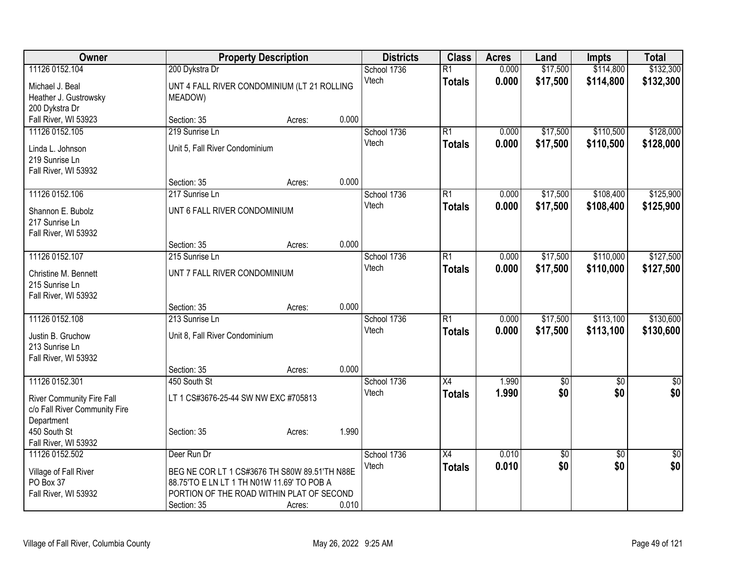| <b>Owner</b>                     |                                               | <b>Property Description</b> |       | <b>Districts</b> | <b>Class</b>    | <b>Acres</b> | Land            | <b>Impts</b>    | <b>Total</b>    |
|----------------------------------|-----------------------------------------------|-----------------------------|-------|------------------|-----------------|--------------|-----------------|-----------------|-----------------|
| 11126 0152.104                   | 200 Dykstra Dr                                |                             |       | School 1736      | $\overline{R1}$ | 0.000        | \$17,500        | \$114,800       | \$132,300       |
| Michael J. Beal                  | UNT 4 FALL RIVER CONDOMINIUM (LT 21 ROLLING   |                             |       | Vtech            | <b>Totals</b>   | 0.000        | \$17,500        | \$114,800       | \$132,300       |
| Heather J. Gustrowsky            | MEADOW)                                       |                             |       |                  |                 |              |                 |                 |                 |
| 200 Dykstra Dr                   |                                               |                             |       |                  |                 |              |                 |                 |                 |
| Fall River, WI 53923             | Section: 35                                   | Acres:                      | 0.000 |                  |                 |              |                 |                 |                 |
| 11126 0152.105                   | 219 Sunrise Ln                                |                             |       | School 1736      | $\overline{R1}$ | 0.000        | \$17,500        | \$110,500       | \$128,000       |
| Linda L. Johnson                 | Unit 5, Fall River Condominium                |                             |       | Vtech            | <b>Totals</b>   | 0.000        | \$17,500        | \$110,500       | \$128,000       |
| 219 Sunrise Ln                   |                                               |                             |       |                  |                 |              |                 |                 |                 |
| Fall River, WI 53932             |                                               |                             |       |                  |                 |              |                 |                 |                 |
|                                  | Section: 35                                   | Acres:                      | 0.000 |                  |                 |              |                 |                 |                 |
| 11126 0152.106                   | 217 Sunrise Ln                                |                             |       | School 1736      | $\overline{R1}$ | 0.000        | \$17,500        | \$108,400       | \$125,900       |
| Shannon E. Bubolz                | UNT 6 FALL RIVER CONDOMINIUM                  |                             |       | Vtech            | <b>Totals</b>   | 0.000        | \$17,500        | \$108,400       | \$125,900       |
| 217 Sunrise Ln                   |                                               |                             |       |                  |                 |              |                 |                 |                 |
| Fall River, WI 53932             |                                               |                             |       |                  |                 |              |                 |                 |                 |
|                                  | Section: 35                                   | Acres:                      | 0.000 |                  |                 |              |                 |                 |                 |
| 11126 0152.107                   | 215 Sunrise Ln                                |                             |       | School 1736      | $\overline{R1}$ | 0.000        | \$17,500        | \$110,000       | \$127,500       |
| Christine M. Bennett             | UNT 7 FALL RIVER CONDOMINIUM                  |                             |       | Vtech            | <b>Totals</b>   | 0.000        | \$17,500        | \$110,000       | \$127,500       |
| 215 Sunrise Ln                   |                                               |                             |       |                  |                 |              |                 |                 |                 |
| Fall River, WI 53932             |                                               |                             |       |                  |                 |              |                 |                 |                 |
|                                  | Section: 35                                   | Acres:                      | 0.000 |                  |                 |              |                 |                 |                 |
| 11126 0152.108                   | 213 Sunrise Ln                                |                             |       | School 1736      | $\overline{R1}$ | 0.000        | \$17,500        | \$113,100       | \$130,600       |
| Justin B. Gruchow                | Unit 8, Fall River Condominium                |                             |       | Vtech            | <b>Totals</b>   | 0.000        | \$17,500        | \$113,100       | \$130,600       |
| 213 Sunrise Ln                   |                                               |                             |       |                  |                 |              |                 |                 |                 |
| Fall River, WI 53932             |                                               |                             |       |                  |                 |              |                 |                 |                 |
|                                  | Section: 35                                   | Acres:                      | 0.000 |                  |                 |              |                 |                 |                 |
| 11126 0152.301                   | 450 South St                                  |                             |       | School 1736      | $\overline{X4}$ | 1.990        | $\overline{60}$ | $\overline{50}$ | $\overline{50}$ |
| <b>River Community Fire Fall</b> | LT 1 CS#3676-25-44 SW NW EXC #705813          |                             |       | Vtech            | <b>Totals</b>   | 1.990        | \$0             | \$0             | \$0             |
| c/o Fall River Community Fire    |                                               |                             |       |                  |                 |              |                 |                 |                 |
| Department                       |                                               |                             |       |                  |                 |              |                 |                 |                 |
| 450 South St                     | Section: 35                                   | Acres:                      | 1.990 |                  |                 |              |                 |                 |                 |
| Fall River, WI 53932             |                                               |                             |       |                  |                 |              |                 |                 |                 |
| 11126 0152.502                   | Deer Run Dr                                   |                             |       | School 1736      | $\overline{X4}$ | 0.010        | \$0             | $\overline{50}$ | $\sqrt{60}$     |
| Village of Fall River            | BEG NE COR LT 1 CS#3676 TH S80W 89.51'TH N88E |                             |       | Vtech            | <b>Totals</b>   | 0.010        | \$0             | \$0             | \$0             |
| PO Box 37                        | 88.75'TO E LN LT 1 TH N01W 11.69' TO POB A    |                             |       |                  |                 |              |                 |                 |                 |
| Fall River, WI 53932             | PORTION OF THE ROAD WITHIN PLAT OF SECOND     |                             |       |                  |                 |              |                 |                 |                 |
|                                  | Section: 35                                   | Acres:                      | 0.010 |                  |                 |              |                 |                 |                 |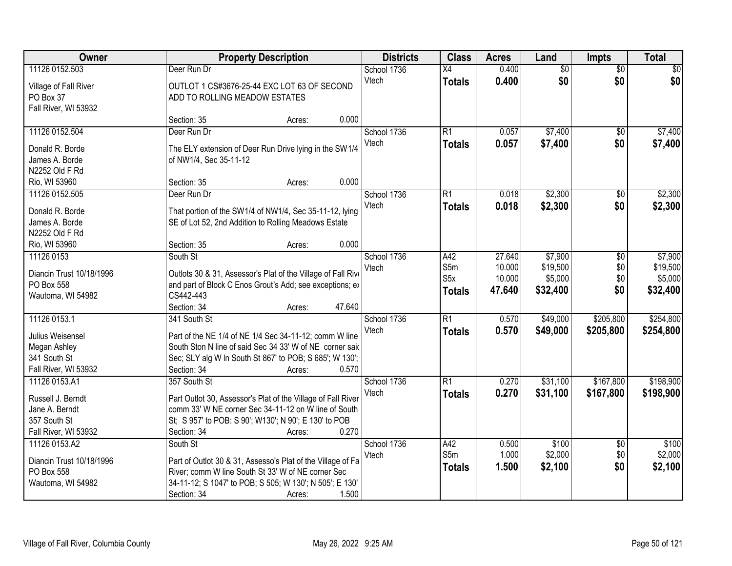| Owner                    |                                                              | <b>Property Description</b> |        | <b>Districts</b> | <b>Class</b>            | <b>Acres</b>     | Land                | <b>Impts</b>    | <b>Total</b>        |
|--------------------------|--------------------------------------------------------------|-----------------------------|--------|------------------|-------------------------|------------------|---------------------|-----------------|---------------------|
| 11126 0152.503           | Deer Run Dr                                                  |                             |        | School 1736      | $\overline{X4}$         | 0.400            | $\overline{50}$     | $\overline{50}$ | $\overline{30}$     |
| Village of Fall River    | OUTLOT 1 CS#3676-25-44 EXC LOT 63 OF SECOND                  |                             |        | Vtech            | <b>Totals</b>           | 0.400            | \$0                 | \$0             | \$0                 |
| PO Box 37                | ADD TO ROLLING MEADOW ESTATES                                |                             |        |                  |                         |                  |                     |                 |                     |
| Fall River, WI 53932     |                                                              |                             |        |                  |                         |                  |                     |                 |                     |
|                          | Section: 35                                                  | Acres:                      | 0.000  |                  |                         |                  |                     |                 |                     |
| 11126 0152.504           | Deer Run Dr                                                  |                             |        | School 1736      | R1                      | 0.057            | \$7,400             | $\overline{50}$ | \$7,400             |
| Donald R. Borde          | The ELY extension of Deer Run Drive lying in the SW1/4       |                             |        | Vtech            | Totals                  | 0.057            | \$7,400             | \$0             | \$7,400             |
| James A. Borde           | of NW1/4, Sec 35-11-12                                       |                             |        |                  |                         |                  |                     |                 |                     |
| N2252 Old F Rd           |                                                              |                             |        |                  |                         |                  |                     |                 |                     |
| Rio, WI 53960            | Section: 35                                                  | Acres:                      | 0.000  |                  |                         |                  |                     |                 |                     |
| 11126 0152.505           | Deer Run Dr                                                  |                             |        | School 1736      | $\overline{R1}$         | 0.018            | \$2,300             | $\overline{50}$ | \$2,300             |
|                          |                                                              |                             |        | Vtech            | <b>Totals</b>           | 0.018            | \$2,300             | \$0             | \$2,300             |
| Donald R. Borde          | That portion of the SW1/4 of NW1/4, Sec 35-11-12, lying      |                             |        |                  |                         |                  |                     |                 |                     |
| James A. Borde           | SE of Lot 52, 2nd Addition to Rolling Meadows Estate         |                             |        |                  |                         |                  |                     |                 |                     |
| N2252 Old F Rd           |                                                              |                             | 0.000  |                  |                         |                  |                     |                 |                     |
| Rio, WI 53960            | Section: 35                                                  | Acres:                      |        |                  |                         |                  |                     |                 |                     |
| 11126 0153               | South St                                                     |                             |        | School 1736      | A42                     | 27.640           | \$7,900             | \$0             | \$7,900             |
| Diancin Trust 10/18/1996 | Outlots 30 & 31, Assessor's Plat of the Village of Fall Rive |                             |        | Vtech            | S5m<br>S <sub>5</sub> x | 10.000<br>10.000 | \$19,500<br>\$5,000 | \$0<br>\$0      | \$19,500<br>\$5,000 |
| PO Box 558               | and part of Block C Enos Grout's Add; see exceptions; ex-    |                             |        |                  |                         |                  |                     |                 |                     |
| Wautoma, WI 54982        | CS442-443                                                    |                             |        |                  | <b>Totals</b>           | 47.640           | \$32,400            | \$0             | \$32,400            |
|                          | Section: 34                                                  | Acres:                      | 47.640 |                  |                         |                  |                     |                 |                     |
| 11126 0153.1             | 341 South St                                                 |                             |        | School 1736      | $\overline{R1}$         | 0.570            | \$49,000            | \$205,800       | \$254,800           |
| Julius Weisensel         | Part of the NE 1/4 of NE 1/4 Sec 34-11-12; comm W line       |                             |        | Vtech            | <b>Totals</b>           | 0.570            | \$49,000            | \$205,800       | \$254,800           |
| Megan Ashley             | South Ston N line of said Sec 34 33' W of NE corner said     |                             |        |                  |                         |                  |                     |                 |                     |
| 341 South St             | Sec; SLY alg W In South St 867' to POB; S 685'; W 130';      |                             |        |                  |                         |                  |                     |                 |                     |
| Fall River, WI 53932     | Section: 34                                                  | Acres:                      | 0.570  |                  |                         |                  |                     |                 |                     |
| 11126 0153.A1            | 357 South St                                                 |                             |        | School 1736      | $\overline{R1}$         | 0.270            | \$31,100            | \$167,800       | \$198,900           |
|                          |                                                              |                             |        | Vtech            | Totals                  | 0.270            | \$31,100            | \$167,800       | \$198,900           |
| Russell J. Berndt        | Part Outlot 30, Assessor's Plat of the Village of Fall River |                             |        |                  |                         |                  |                     |                 |                     |
| Jane A. Berndt           | comm 33' W NE corner Sec 34-11-12 on W line of South         |                             |        |                  |                         |                  |                     |                 |                     |
| 357 South St             | St; S 957' to POB: S 90'; W130'; N 90'; E 130' to POB        |                             |        |                  |                         |                  |                     |                 |                     |
| Fall River, WI 53932     | Section: 34                                                  | Acres:                      | 0.270  |                  |                         |                  |                     |                 |                     |
| 11126 0153.A2            | South St                                                     |                             |        | School 1736      | A42                     | 0.500            | \$100               | $\overline{30}$ | \$100               |
| Diancin Trust 10/18/1996 | Part of Outlot 30 & 31, Assesso's Plat of the Village of Fa  |                             |        | Vtech            | S5m                     | 1.000            | \$2,000             | \$0             | \$2,000             |
| PO Box 558               | River; comm W line South St 33' W of NE corner Sec           |                             |        |                  | <b>Totals</b>           | 1.500            | \$2,100             | \$0             | \$2,100             |
| Wautoma, WI 54982        | 34-11-12; S 1047' to POB; S 505; W 130'; N 505'; E 130'      |                             |        |                  |                         |                  |                     |                 |                     |
|                          | Section: 34                                                  | Acres:                      | 1.500  |                  |                         |                  |                     |                 |                     |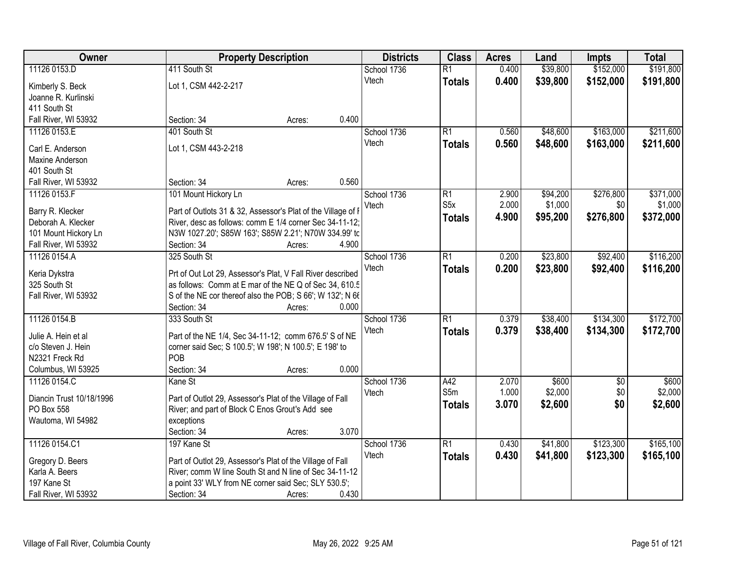| Owner                    |                                                              | <b>Property Description</b> | <b>Districts</b> | <b>Class</b>     | <b>Acres</b> | Land     | <b>Impts</b>    | <b>Total</b> |
|--------------------------|--------------------------------------------------------------|-----------------------------|------------------|------------------|--------------|----------|-----------------|--------------|
| 11126 0153.D             | 411 South St                                                 |                             | School 1736      | $\overline{R1}$  | 0.400        | \$39,800 | \$152,000       | \$191,800    |
| Kimberly S. Beck         | Lot 1, CSM 442-2-217                                         |                             | Vtech            | <b>Totals</b>    | 0.400        | \$39,800 | \$152,000       | \$191,800    |
| Joanne R. Kurlinski      |                                                              |                             |                  |                  |              |          |                 |              |
| 411 South St             |                                                              |                             |                  |                  |              |          |                 |              |
| Fall River, WI 53932     | Section: 34                                                  | Acres:                      | 0.400            |                  |              |          |                 |              |
| 11126 0153.E             | 401 South St                                                 |                             | School 1736      | R1               | 0.560        | \$48,600 | \$163,000       | \$211,600    |
|                          |                                                              |                             | Vtech            | <b>Totals</b>    | 0.560        | \$48,600 | \$163,000       | \$211,600    |
| Carl E. Anderson         | Lot 1, CSM 443-2-218                                         |                             |                  |                  |              |          |                 |              |
| Maxine Anderson          |                                                              |                             |                  |                  |              |          |                 |              |
| 401 South St             |                                                              |                             |                  |                  |              |          |                 |              |
| Fall River, WI 53932     | Section: 34                                                  | Acres:                      | 0.560            |                  |              |          |                 |              |
| 11126 0153.F             | 101 Mount Hickory Ln                                         |                             | School 1736      | $\overline{R1}$  | 2.900        | \$94,200 | \$276,800       | \$371,000    |
| Barry R. Klecker         | Part of Outlots 31 & 32, Assessor's Plat of the Village of I |                             | Vtech            | S <sub>5</sub> x | 2.000        | \$1,000  | \$0             | \$1,000      |
| Deborah A. Klecker       | River, desc as follows: comm E 1/4 corner Sec 34-11-12;      |                             |                  | Totals           | 4.900        | \$95,200 | \$276,800       | \$372,000    |
| 101 Mount Hickory Ln     | N3W 1027.20'; S85W 163'; S85W 2.21'; N70W 334.99' tc         |                             |                  |                  |              |          |                 |              |
| Fall River, WI 53932     | Section: 34                                                  | Acres:                      | 4.900            |                  |              |          |                 |              |
| 11126 0154.A             | 325 South St                                                 |                             | School 1736      | $\overline{R1}$  | 0.200        | \$23,800 | \$92,400        | \$116,200    |
|                          |                                                              |                             | Vtech            | <b>Totals</b>    | 0.200        | \$23,800 | \$92,400        | \$116,200    |
| Keria Dykstra            | Prt of Out Lot 29, Assessor's Plat, V Fall River described   |                             |                  |                  |              |          |                 |              |
| 325 South St             | as follows: Comm at E mar of the NE Q of Sec 34, 610.5       |                             |                  |                  |              |          |                 |              |
| Fall River, WI 53932     | S of the NE cor thereof also the POB; S 66'; W 132'; N 66    |                             |                  |                  |              |          |                 |              |
|                          | Section: 34                                                  | Acres:                      | 0.000            |                  |              |          |                 |              |
| 11126 0154.B             | 333 South St                                                 |                             | School 1736      | $\overline{R1}$  | 0.379        | \$38,400 | \$134,300       | \$172,700    |
| Julie A. Hein et al      | Part of the NE 1/4, Sec 34-11-12; comm 676.5' S of NE        |                             | Vtech            | <b>Totals</b>    | 0.379        | \$38,400 | \$134,300       | \$172,700    |
| c/o Steven J. Hein       | corner said Sec; S 100.5'; W 198'; N 100.5'; E 198' to       |                             |                  |                  |              |          |                 |              |
| N2321 Freck Rd           | POB                                                          |                             |                  |                  |              |          |                 |              |
| Columbus, WI 53925       | Section: 34                                                  | Acres:                      | 0.000            |                  |              |          |                 |              |
| 11126 0154.C             | Kane St                                                      |                             | School 1736      | A42              | 2.070        | \$600    | $\overline{60}$ | \$600        |
|                          |                                                              |                             | Vtech            | S5m              | 1.000        | \$2,000  | \$0             | \$2,000      |
| Diancin Trust 10/18/1996 | Part of Outlot 29, Assessor's Plat of the Village of Fall    |                             |                  |                  | 3.070        | \$2,600  | \$0             |              |
| PO Box 558               | River; and part of Block C Enos Grout's Add see              |                             |                  | <b>Totals</b>    |              |          |                 | \$2,600      |
| Wautoma, WI 54982        | exceptions                                                   |                             |                  |                  |              |          |                 |              |
|                          | Section: 34                                                  | Acres:                      | 3.070            |                  |              |          |                 |              |
| 11126 0154.C1            | 197 Kane St                                                  |                             | School 1736      | R1               | 0.430        | \$41,800 | \$123,300       | \$165,100    |
| Gregory D. Beers         | Part of Outlot 29, Assessor's Plat of the Village of Fall    |                             | Vtech            | <b>Totals</b>    | 0.430        | \$41,800 | \$123,300       | \$165,100    |
| Karla A. Beers           | River; comm W line South St and N line of Sec 34-11-12       |                             |                  |                  |              |          |                 |              |
| 197 Kane St              | a point 33' WLY from NE corner said Sec; SLY 530.5';         |                             |                  |                  |              |          |                 |              |
| Fall River, WI 53932     | Section: 34                                                  | Acres:                      | 0.430            |                  |              |          |                 |              |
|                          |                                                              |                             |                  |                  |              |          |                 |              |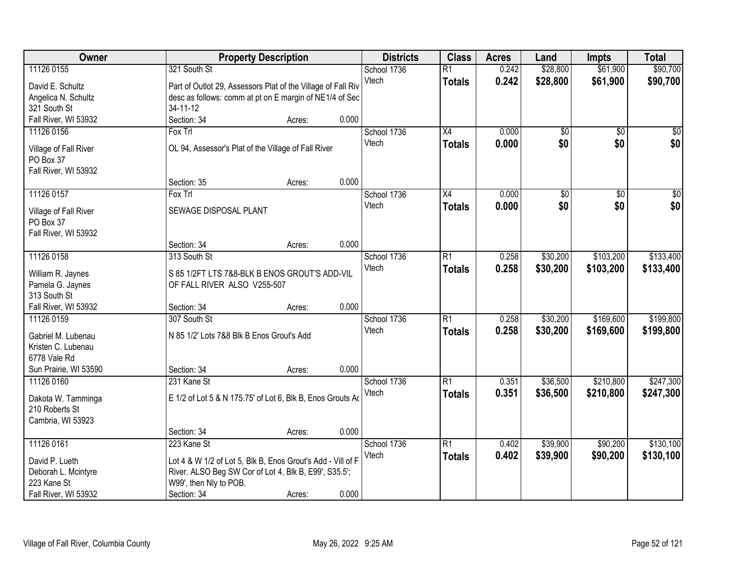| Owner                              |                                                                                 | <b>Property Description</b> |       | <b>Districts</b> | <b>Class</b>    | <b>Acres</b> | Land            | <b>Impts</b>    | <b>Total</b>    |
|------------------------------------|---------------------------------------------------------------------------------|-----------------------------|-------|------------------|-----------------|--------------|-----------------|-----------------|-----------------|
| 11126 0155                         | 321 South St                                                                    |                             |       | School 1736      | $\overline{R1}$ | 0.242        | \$28,800        | \$61,900        | \$90,700        |
| David E. Schultz                   | Part of Outlot 29, Assessors Plat of the Village of Fall Riv                    |                             |       | Vtech            | <b>Totals</b>   | 0.242        | \$28,800        | \$61,900        | \$90,700        |
| Angelica N. Schultz                | desc as follows: comm at pt on E margin of NE1/4 of Sec                         |                             |       |                  |                 |              |                 |                 |                 |
| 321 South St                       | 34-11-12                                                                        |                             |       |                  |                 |              |                 |                 |                 |
| Fall River, WI 53932               | Section: 34                                                                     | Acres:                      | 0.000 |                  |                 |              |                 |                 |                 |
| 11126 0156                         | Fox Trl                                                                         |                             |       | School 1736      | $\overline{X4}$ | 0.000        | $\overline{50}$ | $\overline{50}$ | $\sqrt{50}$     |
|                                    |                                                                                 |                             |       | Vtech            | <b>Totals</b>   | 0.000        | \$0             | \$0             | \$0             |
| Village of Fall River<br>PO Box 37 | OL 94, Assessor's Plat of the Village of Fall River                             |                             |       |                  |                 |              |                 |                 |                 |
| Fall River, WI 53932               |                                                                                 |                             |       |                  |                 |              |                 |                 |                 |
|                                    | Section: 35                                                                     | Acres:                      | 0.000 |                  |                 |              |                 |                 |                 |
| 11126 0157                         | Fox Trl                                                                         |                             |       | School 1736      | $\overline{X4}$ | 0.000        | $\overline{50}$ | $\overline{50}$ | $\overline{50}$ |
|                                    |                                                                                 |                             |       | Vtech            | <b>Totals</b>   | 0.000        | \$0             | \$0             | \$0             |
| Village of Fall River              | SEWAGE DISPOSAL PLANT                                                           |                             |       |                  |                 |              |                 |                 |                 |
| PO Box 37                          |                                                                                 |                             |       |                  |                 |              |                 |                 |                 |
| Fall River, WI 53932               |                                                                                 |                             |       |                  |                 |              |                 |                 |                 |
|                                    | Section: 34                                                                     | Acres:                      | 0.000 |                  |                 |              |                 |                 |                 |
| 11126 0158                         | 313 South St                                                                    |                             |       | School 1736      | $\overline{R1}$ | 0.258        | \$30,200        | \$103,200       | \$133,400       |
| William R. Jaynes                  | S 85 1/2FT LTS 7&8-BLK B ENOS GROUT'S ADD-VIL                                   |                             |       | Vtech            | <b>Totals</b>   | 0.258        | \$30,200        | \$103,200       | \$133,400       |
| Pamela G. Jaynes                   | OF FALL RIVER ALSO V255-507                                                     |                             |       |                  |                 |              |                 |                 |                 |
| 313 South St                       |                                                                                 |                             |       |                  |                 |              |                 |                 |                 |
| Fall River, WI 53932               | Section: 34                                                                     | Acres:                      | 0.000 |                  |                 |              |                 |                 |                 |
| 11126 0159                         | 307 South St                                                                    |                             |       | School 1736      | $\overline{R1}$ | 0.258        | \$30,200        | \$169,600       | \$199,800       |
| Gabriel M. Lubenau                 | N 85 1/2' Lots 7&8 Blk B Enos Grout's Add                                       |                             |       | Vtech            | <b>Totals</b>   | 0.258        | \$30,200        | \$169,600       | \$199,800       |
| Kristen C. Lubenau                 |                                                                                 |                             |       |                  |                 |              |                 |                 |                 |
| 6778 Vale Rd                       |                                                                                 |                             |       |                  |                 |              |                 |                 |                 |
| Sun Prairie, WI 53590              | Section: 34                                                                     | Acres:                      | 0.000 |                  |                 |              |                 |                 |                 |
| 11126 0160                         | 231 Kane St                                                                     |                             |       | School 1736      | $\overline{R1}$ | 0.351        | \$36,500        | \$210,800       | \$247,300       |
| Dakota W. Tamminga                 | E 1/2 of Lot 5 & N 175.75' of Lot 6, Blk B, Enos Grouts Ad                      |                             |       | Vtech            | <b>Totals</b>   | 0.351        | \$36,500        | \$210,800       | \$247,300       |
| 210 Roberts St                     |                                                                                 |                             |       |                  |                 |              |                 |                 |                 |
| Cambria, WI 53923                  |                                                                                 |                             |       |                  |                 |              |                 |                 |                 |
|                                    | Section: 34                                                                     | Acres:                      | 0.000 |                  |                 |              |                 |                 |                 |
| 11126 0161                         | 223 Kane St                                                                     |                             |       | School 1736      | $\overline{R1}$ | 0.402        | \$39,900        | \$90,200        | \$130,100       |
|                                    |                                                                                 |                             |       | Vtech            | <b>Totals</b>   | 0.402        | \$39,900        | \$90,200        | \$130,100       |
| David P. Lueth                     | Lot 4 & W 1/2 of Lot 5, Blk B, Enos Grout's Add - Vill of F                     |                             |       |                  |                 |              |                 |                 |                 |
| Deborah L. Mcintyre<br>223 Kane St | River. ALSO Beg SW Cor of Lot 4, Blk B, E99', S35.5';<br>W99', then Nly to POB. |                             |       |                  |                 |              |                 |                 |                 |
| Fall River, WI 53932               | Section: 34                                                                     | Acres:                      | 0.000 |                  |                 |              |                 |                 |                 |
|                                    |                                                                                 |                             |       |                  |                 |              |                 |                 |                 |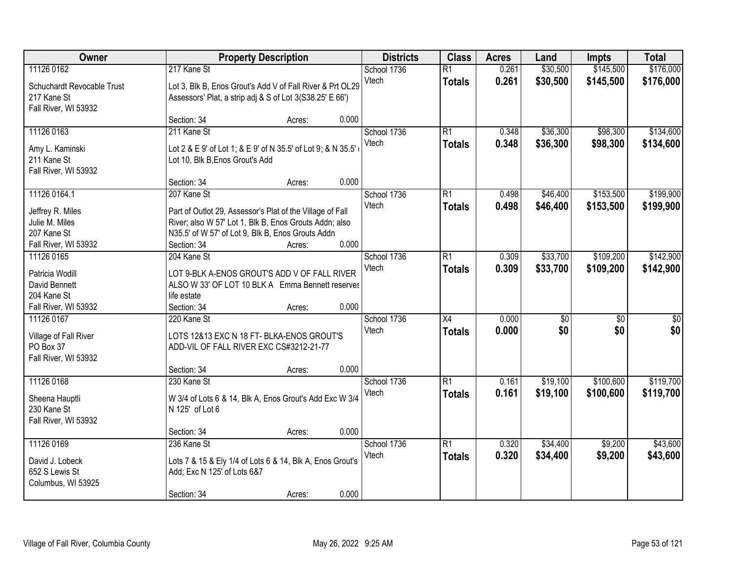| Owner                              |                                 | <b>Property Description</b>                                                                      | <b>Districts</b> | <b>Class</b>    | <b>Acres</b> | Land            | <b>Impts</b>    | <b>Total</b> |
|------------------------------------|---------------------------------|--------------------------------------------------------------------------------------------------|------------------|-----------------|--------------|-----------------|-----------------|--------------|
| 11126 0162                         | 217 Kane St                     |                                                                                                  | School 1736      | $\overline{R1}$ | 0.261        | \$30,500        | \$145,500       | \$176,000    |
| Schuchardt Revocable Trust         |                                 | Lot 3, Blk B, Enos Grout's Add V of Fall River & Prt OL29                                        | Vtech            | <b>Totals</b>   | 0.261        | \$30,500        | \$145,500       | \$176,000    |
| 217 Kane St                        |                                 | Assessors' Plat, a strip adj & S of Lot 3(S38.25' E 66')                                         |                  |                 |              |                 |                 |              |
| Fall River, WI 53932               |                                 |                                                                                                  |                  |                 |              |                 |                 |              |
|                                    | Section: 34                     | Acres:                                                                                           | 0.000            |                 |              |                 |                 |              |
| 11126 0163                         | 211 Kane St                     |                                                                                                  | School 1736      | $\overline{R1}$ | 0.348        | \$36,300        | \$98,300        | \$134,600    |
| Amy L. Kaminski                    |                                 | Lot 2 & E 9' of Lot 1; & E 9' of N 35.5' of Lot 9; & N 35.5'                                     | Vtech            | <b>Totals</b>   | 0.348        | \$36,300        | \$98,300        | \$134,600    |
| 211 Kane St                        | Lot 10, Blk B, Enos Grout's Add |                                                                                                  |                  |                 |              |                 |                 |              |
| Fall River, WI 53932               |                                 |                                                                                                  |                  |                 |              |                 |                 |              |
|                                    | Section: 34                     | Acres:                                                                                           | 0.000            |                 |              |                 |                 |              |
| 11126 0164.1                       | 207 Kane St                     |                                                                                                  | School 1736      | $\overline{R1}$ | 0.498        | \$46,400        | \$153,500       | \$199,900    |
| Jeffrey R. Miles                   |                                 | Part of Outlot 29, Assessor's Plat of the Village of Fall                                        | Vtech            | <b>Totals</b>   | 0.498        | \$46,400        | \$153,500       | \$199,900    |
| Julie M. Miles                     |                                 | River; also W 57' Lot 1, Blk B, Enos Grouts Addn; also                                           |                  |                 |              |                 |                 |              |
| 207 Kane St                        |                                 | N35.5' of W 57' of Lot 9, Blk B, Enos Grouts Addn                                                |                  |                 |              |                 |                 |              |
| Fall River, WI 53932               | Section: 34                     | Acres:                                                                                           | 0.000            |                 |              |                 |                 |              |
| 11126 0165                         | 204 Kane St                     |                                                                                                  | School 1736      | $\overline{R1}$ | 0.309        | \$33,700        | \$109,200       | \$142,900    |
|                                    |                                 |                                                                                                  | Vtech            | <b>Totals</b>   | 0.309        | \$33,700        | \$109,200       | \$142,900    |
| Patricia Wodill<br>David Bennett   |                                 | LOT 9-BLK A-ENOS GROUT'S ADD V OF FALL RIVER<br>ALSO W 33' OF LOT 10 BLK A Emma Bennett reserves |                  |                 |              |                 |                 |              |
| 204 Kane St                        | life estate                     |                                                                                                  |                  |                 |              |                 |                 |              |
| Fall River, WI 53932               | Section: 34                     | Acres:                                                                                           | 0.000            |                 |              |                 |                 |              |
| 11126 0167                         | 220 Kane St                     |                                                                                                  | School 1736      | $\overline{X4}$ | 0.000        | $\overline{50}$ | $\overline{50}$ | \$0          |
|                                    |                                 |                                                                                                  | Vtech            | <b>Totals</b>   | 0.000        | \$0             | \$0             | \$0          |
| Village of Fall River<br>PO Box 37 |                                 | LOTS 12&13 EXC N 18 FT- BLKA-ENOS GROUT'S                                                        |                  |                 |              |                 |                 |              |
| Fall River, WI 53932               |                                 | ADD-VIL OF FALL RIVER EXC CS#3212-21-77                                                          |                  |                 |              |                 |                 |              |
|                                    | Section: 34                     | Acres:                                                                                           | 0.000            |                 |              |                 |                 |              |
| 11126 0168                         | 230 Kane St                     |                                                                                                  | School 1736      | R1              | 0.161        | \$19,100        | \$100,600       | \$119,700    |
|                                    |                                 |                                                                                                  | Vtech            | <b>Totals</b>   | 0.161        | \$19,100        | \$100,600       | \$119,700    |
| Sheena Hauptli                     |                                 | W 3/4 of Lots 6 & 14, Blk A, Enos Grout's Add Exc W 3/4                                          |                  |                 |              |                 |                 |              |
| 230 Kane St                        | N 125' of Lot 6                 |                                                                                                  |                  |                 |              |                 |                 |              |
| Fall River, WI 53932               | Section: 34                     |                                                                                                  | 0.000            |                 |              |                 |                 |              |
| 11126 0169                         | 236 Kane St                     | Acres:                                                                                           | School 1736      | $\overline{R1}$ | 0.320        | \$34,400        | \$9,200         | \$43,600     |
|                                    |                                 |                                                                                                  | Vtech            | <b>Totals</b>   | 0.320        | \$34,400        | \$9,200         | \$43,600     |
| David J. Lobeck                    |                                 | Lots 7 & 15 & Ely 1/4 of Lots 6 & 14, Blk A, Enos Grout's                                        |                  |                 |              |                 |                 |              |
| 652 S Lewis St                     | Add; Exc N 125' of Lots 6&7     |                                                                                                  |                  |                 |              |                 |                 |              |
| Columbus, WI 53925                 |                                 |                                                                                                  |                  |                 |              |                 |                 |              |
|                                    | Section: 34                     | Acres:                                                                                           | 0.000            |                 |              |                 |                 |              |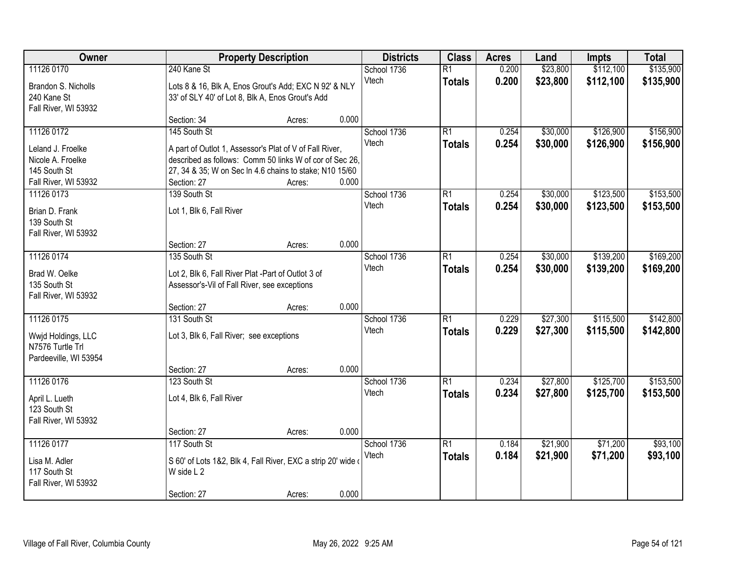| \$112,100<br>240 Kane St<br>0.200<br>\$23,800<br>11126 0170<br>School 1736<br>$\overline{R1}$<br>Vtech<br>0.200<br>\$23,800<br>\$112,100<br><b>Totals</b> | \$135,900<br>\$135,900 |
|-----------------------------------------------------------------------------------------------------------------------------------------------------------|------------------------|
|                                                                                                                                                           |                        |
| Brandon S. Nicholls<br>Lots 8 & 16, Blk A, Enos Grout's Add; EXC N 92' & NLY                                                                              |                        |
| 240 Kane St<br>33' of SLY 40' of Lot 8, Blk A, Enos Grout's Add                                                                                           |                        |
| Fall River, WI 53932                                                                                                                                      |                        |
| 0.000<br>Section: 34<br>Acres:                                                                                                                            |                        |
| 11126 0172<br>145 South St<br>$\overline{R1}$<br>\$30,000<br>\$126,900<br>School 1736<br>0.254<br>0.254<br>Vtech                                          | \$156,900              |
| \$30,000<br>\$126,900<br><b>Totals</b><br>Leland J. Froelke<br>A part of Outlot 1, Assessor's Plat of V of Fall River,                                    | \$156,900              |
| described as follows: Comm 50 links W of cor of Sec 26.<br>Nicole A. Froelke                                                                              |                        |
| 145 South St<br>27, 34 & 35; W on Sec In 4.6 chains to stake; N10 15/60                                                                                   |                        |
| 0.000<br>Fall River, WI 53932<br>Section: 27<br>Acres:                                                                                                    |                        |
| \$123,500<br>11126 0173<br>139 South St<br>School 1736<br>$\overline{R1}$<br>0.254<br>\$30,000                                                            | \$153,500              |
| Vtech<br>0.254<br>\$30,000<br>\$123,500<br><b>Totals</b><br>Brian D. Frank<br>Lot 1, Blk 6, Fall River                                                    | \$153,500              |
| 139 South St                                                                                                                                              |                        |
| Fall River, WI 53932                                                                                                                                      |                        |
| 0.000<br>Section: 27<br>Acres:                                                                                                                            |                        |
| \$30,000<br>\$139,200<br>11126 0174<br>135 South St<br>School 1736<br>$\overline{R1}$<br>0.254                                                            | \$169,200              |
| Vtech<br>0.254<br>\$30,000<br>\$139,200<br><b>Totals</b><br>Brad W. Oelke<br>Lot 2, Blk 6, Fall River Plat -Part of Outlot 3 of                           | \$169,200              |
| 135 South St<br>Assessor's-Vil of Fall River, see exceptions                                                                                              |                        |
| Fall River, WI 53932                                                                                                                                      |                        |
| 0.000<br>Section: 27<br>Acres:                                                                                                                            |                        |
| \$27,300<br>\$115,500<br>11126 0175<br>131 South St<br>$\overline{R1}$<br>0.229<br>School 1736                                                            | \$142,800              |
| 0.229<br>\$27,300<br>\$115,500<br>Vtech<br><b>Totals</b><br>Lot 3, Blk 6, Fall River; see exceptions<br>Wwjd Holdings, LLC                                | \$142,800              |
| N7576 Turtle Trl                                                                                                                                          |                        |
| Pardeeville, WI 53954                                                                                                                                     |                        |
| 0.000<br>Section: 27<br>Acres:                                                                                                                            |                        |
| 11126 0176<br>$\overline{R1}$<br>\$27,800<br>\$125,700<br>123 South St<br>School 1736<br>0.234                                                            | \$153,500              |
| Vtech<br>0.234<br>\$27,800<br>\$125,700<br><b>Totals</b><br>Lot 4, Blk 6, Fall River<br>April L. Lueth                                                    | \$153,500              |
| 123 South St                                                                                                                                              |                        |
| Fall River, WI 53932                                                                                                                                      |                        |
| 0.000<br>Section: 27<br>Acres:                                                                                                                            |                        |
| 11126 0177<br>117 South St<br>$\overline{R1}$<br>\$21,900<br>\$71,200<br>School 1736<br>0.184                                                             | \$93,100               |
| Vtech<br>0.184<br>\$21,900<br>\$71,200<br><b>Totals</b><br>Lisa M. Adler<br>S 60' of Lots 1&2, Blk 4, Fall River, EXC a strip 20' wide of                 | \$93,100               |
| 117 South St<br>W side L 2                                                                                                                                |                        |
| Fall River, WI 53932                                                                                                                                      |                        |
| 0.000<br>Section: 27<br>Acres:                                                                                                                            |                        |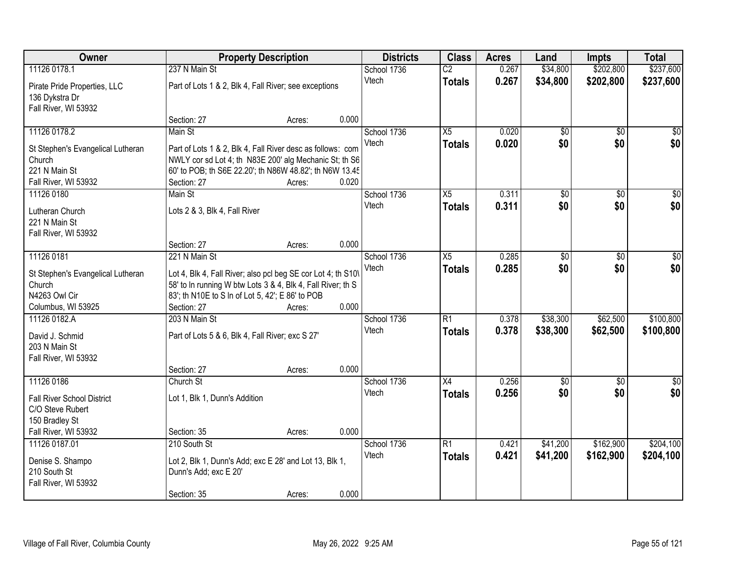| \$237,600<br>11126 0178.1<br>237 N Main St<br>0.267<br>\$34,800<br>\$202,800<br>School 1736<br>$\overline{C2}$<br>Vtech<br>0.267<br>\$34,800<br>\$202,800<br>\$237,600<br><b>Totals</b><br>Pirate Pride Properties, LLC<br>Part of Lots 1 & 2, Blk 4, Fall River; see exceptions<br>136 Dykstra Dr<br>Fall River, WI 53932<br>0.000<br>Section: 27<br>Acres:<br>11126 0178.2<br>School 1736<br>$\overline{X5}$<br>0.020<br>$\overline{50}$<br>Main St<br>$\overline{50}$<br>\$0<br>\$0 <br>0.020<br>\$0<br>\$0<br>Vtech<br><b>Totals</b><br>Part of Lots 1 & 2, Blk 4, Fall River desc as follows: com<br>St Stephen's Evangelical Lutheran<br>Church<br>NWLY cor sd Lot 4; th N83E 200' alg Mechanic St; th S6<br>221 N Main St<br>60' to POB; th S6E 22.20'; th N86W 48.82'; th N6W 13.45<br>0.020<br>Fall River, WI 53932<br>Section: 27<br>Acres:<br>11126 0180<br>Main St<br>School 1736<br>$\overline{X5}$<br>0.311<br>$\overline{50}$<br>$\overline{50}$<br>$\overline{30}$<br>\$0<br>\$0 <br>\$0<br>Vtech<br>0.311<br><b>Totals</b><br>Lots 2 & 3, Blk 4, Fall River<br>Lutheran Church<br>221 N Main St<br>Fall River, WI 53932 |
|------------------------------------------------------------------------------------------------------------------------------------------------------------------------------------------------------------------------------------------------------------------------------------------------------------------------------------------------------------------------------------------------------------------------------------------------------------------------------------------------------------------------------------------------------------------------------------------------------------------------------------------------------------------------------------------------------------------------------------------------------------------------------------------------------------------------------------------------------------------------------------------------------------------------------------------------------------------------------------------------------------------------------------------------------------------------------------------------------------------------------------------|
|                                                                                                                                                                                                                                                                                                                                                                                                                                                                                                                                                                                                                                                                                                                                                                                                                                                                                                                                                                                                                                                                                                                                          |
|                                                                                                                                                                                                                                                                                                                                                                                                                                                                                                                                                                                                                                                                                                                                                                                                                                                                                                                                                                                                                                                                                                                                          |
|                                                                                                                                                                                                                                                                                                                                                                                                                                                                                                                                                                                                                                                                                                                                                                                                                                                                                                                                                                                                                                                                                                                                          |
|                                                                                                                                                                                                                                                                                                                                                                                                                                                                                                                                                                                                                                                                                                                                                                                                                                                                                                                                                                                                                                                                                                                                          |
|                                                                                                                                                                                                                                                                                                                                                                                                                                                                                                                                                                                                                                                                                                                                                                                                                                                                                                                                                                                                                                                                                                                                          |
|                                                                                                                                                                                                                                                                                                                                                                                                                                                                                                                                                                                                                                                                                                                                                                                                                                                                                                                                                                                                                                                                                                                                          |
|                                                                                                                                                                                                                                                                                                                                                                                                                                                                                                                                                                                                                                                                                                                                                                                                                                                                                                                                                                                                                                                                                                                                          |
|                                                                                                                                                                                                                                                                                                                                                                                                                                                                                                                                                                                                                                                                                                                                                                                                                                                                                                                                                                                                                                                                                                                                          |
|                                                                                                                                                                                                                                                                                                                                                                                                                                                                                                                                                                                                                                                                                                                                                                                                                                                                                                                                                                                                                                                                                                                                          |
|                                                                                                                                                                                                                                                                                                                                                                                                                                                                                                                                                                                                                                                                                                                                                                                                                                                                                                                                                                                                                                                                                                                                          |
|                                                                                                                                                                                                                                                                                                                                                                                                                                                                                                                                                                                                                                                                                                                                                                                                                                                                                                                                                                                                                                                                                                                                          |
|                                                                                                                                                                                                                                                                                                                                                                                                                                                                                                                                                                                                                                                                                                                                                                                                                                                                                                                                                                                                                                                                                                                                          |
|                                                                                                                                                                                                                                                                                                                                                                                                                                                                                                                                                                                                                                                                                                                                                                                                                                                                                                                                                                                                                                                                                                                                          |
|                                                                                                                                                                                                                                                                                                                                                                                                                                                                                                                                                                                                                                                                                                                                                                                                                                                                                                                                                                                                                                                                                                                                          |
| 0.000<br>Section: 27<br>Acres:                                                                                                                                                                                                                                                                                                                                                                                                                                                                                                                                                                                                                                                                                                                                                                                                                                                                                                                                                                                                                                                                                                           |
| 11126 0181<br>221 N Main St<br>School 1736<br>X5<br>0.285<br>\$0<br>\$0<br>\$0                                                                                                                                                                                                                                                                                                                                                                                                                                                                                                                                                                                                                                                                                                                                                                                                                                                                                                                                                                                                                                                           |
| \$0<br>\$0<br>Vtech<br>0.285<br>\$0<br><b>Totals</b><br>Lot 4, Blk 4, Fall River; also pcl beg SE cor Lot 4; th S10\<br>St Stephen's Evangelical Lutheran                                                                                                                                                                                                                                                                                                                                                                                                                                                                                                                                                                                                                                                                                                                                                                                                                                                                                                                                                                                |
| 58' to In running W btw Lots 3 & 4, Blk 4, Fall River; th S<br>Church                                                                                                                                                                                                                                                                                                                                                                                                                                                                                                                                                                                                                                                                                                                                                                                                                                                                                                                                                                                                                                                                    |
| N4263 Owl Cir<br>83'; th N10E to S In of Lot 5, 42'; E 86' to POB                                                                                                                                                                                                                                                                                                                                                                                                                                                                                                                                                                                                                                                                                                                                                                                                                                                                                                                                                                                                                                                                        |
| 0.000<br>Columbus, WI 53925<br>Section: 27<br>Acres:                                                                                                                                                                                                                                                                                                                                                                                                                                                                                                                                                                                                                                                                                                                                                                                                                                                                                                                                                                                                                                                                                     |
| $\overline{R1}$<br>\$38,300<br>\$62,500<br>\$100,800<br>11126 0182.A<br>0.378<br>203 N Main St<br>School 1736                                                                                                                                                                                                                                                                                                                                                                                                                                                                                                                                                                                                                                                                                                                                                                                                                                                                                                                                                                                                                            |
| 0.378<br>\$38,300<br>\$62,500<br>\$100,800<br>Vtech<br><b>Totals</b>                                                                                                                                                                                                                                                                                                                                                                                                                                                                                                                                                                                                                                                                                                                                                                                                                                                                                                                                                                                                                                                                     |
| Part of Lots 5 & 6, Blk 4, Fall River; exc S 27'<br>David J. Schmid<br>203 N Main St                                                                                                                                                                                                                                                                                                                                                                                                                                                                                                                                                                                                                                                                                                                                                                                                                                                                                                                                                                                                                                                     |
| Fall River, WI 53932                                                                                                                                                                                                                                                                                                                                                                                                                                                                                                                                                                                                                                                                                                                                                                                                                                                                                                                                                                                                                                                                                                                     |
| 0.000<br>Section: 27<br>Acres:                                                                                                                                                                                                                                                                                                                                                                                                                                                                                                                                                                                                                                                                                                                                                                                                                                                                                                                                                                                                                                                                                                           |
| 11126 0186<br>X4<br>School 1736<br>0.256<br>$\sqrt{$0}$<br>$\frac{1}{6}$<br>Church St<br>\$0                                                                                                                                                                                                                                                                                                                                                                                                                                                                                                                                                                                                                                                                                                                                                                                                                                                                                                                                                                                                                                             |
| \$0 <br>\$0<br>\$0<br>0.256<br>Vtech<br><b>Totals</b>                                                                                                                                                                                                                                                                                                                                                                                                                                                                                                                                                                                                                                                                                                                                                                                                                                                                                                                                                                                                                                                                                    |
| <b>Fall River School District</b><br>Lot 1, Blk 1, Dunn's Addition<br>C/O Steve Rubert                                                                                                                                                                                                                                                                                                                                                                                                                                                                                                                                                                                                                                                                                                                                                                                                                                                                                                                                                                                                                                                   |
| 150 Bradley St                                                                                                                                                                                                                                                                                                                                                                                                                                                                                                                                                                                                                                                                                                                                                                                                                                                                                                                                                                                                                                                                                                                           |
| Fall River, WI 53932<br>0.000<br>Section: 35<br>Acres:                                                                                                                                                                                                                                                                                                                                                                                                                                                                                                                                                                                                                                                                                                                                                                                                                                                                                                                                                                                                                                                                                   |
| 11126 0187.01<br>210 South St<br>R1<br>\$41,200<br>\$162,900<br>\$204,100<br>School 1736<br>0.421                                                                                                                                                                                                                                                                                                                                                                                                                                                                                                                                                                                                                                                                                                                                                                                                                                                                                                                                                                                                                                        |
| 0.421<br>\$41,200<br>\$162,900<br>\$204,100<br>Vtech<br><b>Totals</b>                                                                                                                                                                                                                                                                                                                                                                                                                                                                                                                                                                                                                                                                                                                                                                                                                                                                                                                                                                                                                                                                    |
| Denise S. Shampo<br>Lot 2, Blk 1, Dunn's Add; exc E 28' and Lot 13, Blk 1,                                                                                                                                                                                                                                                                                                                                                                                                                                                                                                                                                                                                                                                                                                                                                                                                                                                                                                                                                                                                                                                               |
| 210 South St<br>Dunn's Add; exc E 20'<br>Fall River, WI 53932                                                                                                                                                                                                                                                                                                                                                                                                                                                                                                                                                                                                                                                                                                                                                                                                                                                                                                                                                                                                                                                                            |
| 0.000<br>Section: 35<br>Acres:                                                                                                                                                                                                                                                                                                                                                                                                                                                                                                                                                                                                                                                                                                                                                                                                                                                                                                                                                                                                                                                                                                           |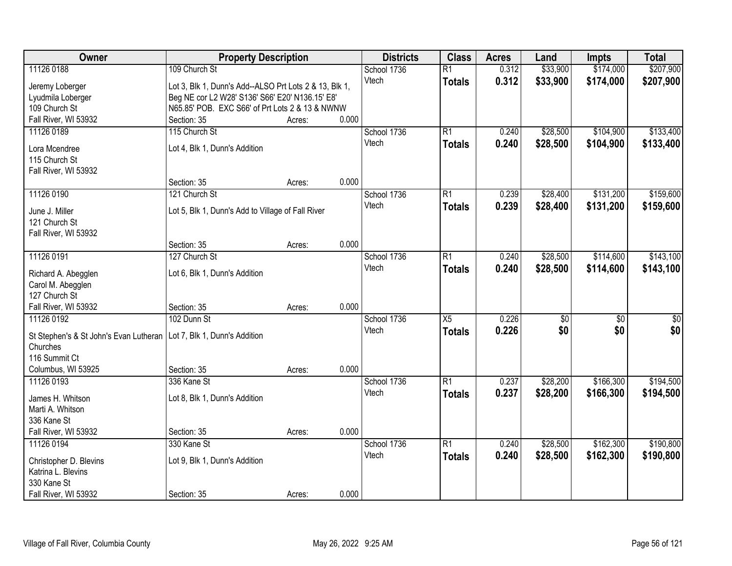| Owner                                                                  | <b>Property Description</b>                            |        |       | <b>Districts</b>     | <b>Class</b>    | <b>Acres</b> | Land            | <b>Impts</b>    | <b>Total</b> |
|------------------------------------------------------------------------|--------------------------------------------------------|--------|-------|----------------------|-----------------|--------------|-----------------|-----------------|--------------|
| 11126 0188                                                             | 109 Church St                                          |        |       | School 1736          | $\overline{R1}$ | 0.312        | \$33,900        | \$174,000       | \$207,900    |
| Jeremy Loberger                                                        | Lot 3, Blk 1, Dunn's Add--ALSO Prt Lots 2 & 13, Blk 1, |        |       | Vtech                | <b>Totals</b>   | 0.312        | \$33,900        | \$174,000       | \$207,900    |
| Lyudmila Loberger                                                      | Beg NE cor L2 W28' S136' S66' E20' N136.15' E8'        |        |       |                      |                 |              |                 |                 |              |
| 109 Church St                                                          | N65.85' POB. EXC S66' of Prt Lots 2 & 13 & NWNW        |        |       |                      |                 |              |                 |                 |              |
| Fall River, WI 53932                                                   | Section: 35                                            | Acres: | 0.000 |                      |                 |              |                 |                 |              |
| 11126 0189                                                             | 115 Church St                                          |        |       | School 1736          | $\overline{R1}$ | 0.240        | \$28,500        | \$104,900       | \$133,400    |
|                                                                        |                                                        |        |       | Vtech                | <b>Totals</b>   | 0.240        | \$28,500        | \$104,900       | \$133,400    |
| Lora Mcendree                                                          | Lot 4, Blk 1, Dunn's Addition                          |        |       |                      |                 |              |                 |                 |              |
| 115 Church St                                                          |                                                        |        |       |                      |                 |              |                 |                 |              |
| Fall River, WI 53932                                                   | Section: 35                                            |        | 0.000 |                      |                 |              |                 |                 |              |
|                                                                        | 121 Church St                                          | Acres: |       |                      | R1              | 0.239        | \$28,400        | \$131,200       | \$159,600    |
| 11126 0190                                                             |                                                        |        |       | School 1736<br>Vtech |                 |              |                 |                 |              |
| June J. Miller                                                         | Lot 5, Blk 1, Dunn's Add to Village of Fall River      |        |       |                      | <b>Totals</b>   | 0.239        | \$28,400        | \$131,200       | \$159,600    |
| 121 Church St                                                          |                                                        |        |       |                      |                 |              |                 |                 |              |
| Fall River, WI 53932                                                   |                                                        |        |       |                      |                 |              |                 |                 |              |
|                                                                        | Section: 35                                            | Acres: | 0.000 |                      |                 |              |                 |                 |              |
| 11126 0191                                                             | 127 Church St                                          |        |       | School 1736          | $\overline{R1}$ | 0.240        | \$28,500        | \$114,600       | \$143,100    |
| Richard A. Abegglen                                                    | Lot 6, Blk 1, Dunn's Addition                          |        |       | Vtech                | <b>Totals</b>   | 0.240        | \$28,500        | \$114,600       | \$143,100    |
| Carol M. Abegglen                                                      |                                                        |        |       |                      |                 |              |                 |                 |              |
| 127 Church St                                                          |                                                        |        |       |                      |                 |              |                 |                 |              |
| Fall River, WI 53932                                                   | Section: 35                                            | Acres: | 0.000 |                      |                 |              |                 |                 |              |
| 11126 0192                                                             | 102 Dunn St                                            |        |       | School 1736          | $\overline{X5}$ | 0.226        | $\overline{50}$ | $\overline{50}$ | \$0          |
|                                                                        |                                                        |        |       | Vtech                | <b>Totals</b>   | 0.226        | \$0             | \$0             | \$0          |
| St Stephen's & St John's Evan Lutheran   Lot 7, Blk 1, Dunn's Addition |                                                        |        |       |                      |                 |              |                 |                 |              |
| Churches<br>116 Summit Ct                                              |                                                        |        |       |                      |                 |              |                 |                 |              |
|                                                                        |                                                        |        | 0.000 |                      |                 |              |                 |                 |              |
| Columbus, WI 53925<br>11126 0193                                       | Section: 35<br>336 Kane St                             | Acres: |       | School 1736          | $\overline{R1}$ | 0.237        | \$28,200        | \$166,300       | \$194,500    |
|                                                                        |                                                        |        |       | Vtech                |                 |              |                 |                 |              |
| James H. Whitson                                                       | Lot 8, Blk 1, Dunn's Addition                          |        |       |                      | <b>Totals</b>   | 0.237        | \$28,200        | \$166,300       | \$194,500    |
| Marti A. Whitson                                                       |                                                        |        |       |                      |                 |              |                 |                 |              |
| 336 Kane St                                                            |                                                        |        |       |                      |                 |              |                 |                 |              |
| Fall River, WI 53932                                                   | Section: 35                                            | Acres: | 0.000 |                      |                 |              |                 |                 |              |
| 11126 0194                                                             | 330 Kane St                                            |        |       | School 1736          | $\overline{R1}$ | 0.240        | \$28,500        | \$162,300       | \$190,800    |
| Christopher D. Blevins                                                 | Lot 9, Blk 1, Dunn's Addition                          |        |       | Vtech                | <b>Totals</b>   | 0.240        | \$28,500        | \$162,300       | \$190,800    |
| Katrina L. Blevins                                                     |                                                        |        |       |                      |                 |              |                 |                 |              |
| 330 Kane St                                                            |                                                        |        |       |                      |                 |              |                 |                 |              |
| Fall River, WI 53932                                                   | Section: 35                                            | Acres: | 0.000 |                      |                 |              |                 |                 |              |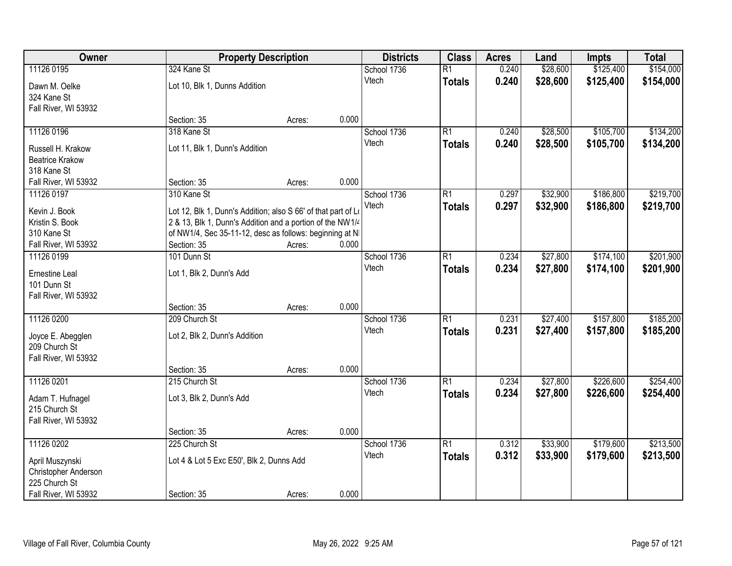| Owner                               |                                                                                                                            | <b>Property Description</b> |       | <b>Districts</b> | <b>Class</b>    | <b>Acres</b> | Land     | <b>Impts</b> | <b>Total</b> |
|-------------------------------------|----------------------------------------------------------------------------------------------------------------------------|-----------------------------|-------|------------------|-----------------|--------------|----------|--------------|--------------|
| 11126 0195                          | 324 Kane St                                                                                                                |                             |       | School 1736      | $\overline{R1}$ | 0.240        | \$28,600 | \$125,400    | \$154,000    |
| Dawn M. Oelke                       | Lot 10, Blk 1, Dunns Addition                                                                                              |                             |       | Vtech            | <b>Totals</b>   | 0.240        | \$28,600 | \$125,400    | \$154,000    |
| 324 Kane St                         |                                                                                                                            |                             |       |                  |                 |              |          |              |              |
| Fall River, WI 53932                |                                                                                                                            |                             |       |                  |                 |              |          |              |              |
|                                     | Section: 35                                                                                                                | Acres:                      | 0.000 |                  |                 |              |          |              |              |
| 11126 0196                          | 318 Kane St                                                                                                                |                             |       | School 1736      | $\overline{R1}$ | 0.240        | \$28,500 | \$105,700    | \$134,200    |
| Russell H. Krakow                   | Lot 11, Blk 1, Dunn's Addition                                                                                             |                             |       | Vtech            | <b>Totals</b>   | 0.240        | \$28,500 | \$105,700    | \$134,200    |
| <b>Beatrice Krakow</b>              |                                                                                                                            |                             |       |                  |                 |              |          |              |              |
| 318 Kane St                         |                                                                                                                            |                             |       |                  |                 |              |          |              |              |
| Fall River, WI 53932                | Section: 35                                                                                                                | Acres:                      | 0.000 |                  |                 |              |          |              |              |
| 11126 0197                          | 310 Kane St                                                                                                                |                             |       | School 1736      | R1              | 0.297        | \$32,900 | \$186,800    | \$219,700    |
|                                     |                                                                                                                            |                             |       | Vtech            | <b>Totals</b>   | 0.297        | \$32,900 | \$186,800    | \$219,700    |
| Kevin J. Book<br>Kristin S. Book    | Lot 12, Blk 1, Dunn's Addition; also S 66' of that part of Lo<br>2 & 13, Blk 1, Dunn's Addition and a portion of the NW1/4 |                             |       |                  |                 |              |          |              |              |
| 310 Kane St                         | of NW1/4, Sec 35-11-12, desc as follows: beginning at NI                                                                   |                             |       |                  |                 |              |          |              |              |
| Fall River, WI 53932                | Section: 35                                                                                                                | Acres:                      | 0.000 |                  |                 |              |          |              |              |
| 11126 0199                          | 101 Dunn St                                                                                                                |                             |       | School 1736      | R1              | 0.234        | \$27,800 | \$174,100    | \$201,900    |
|                                     |                                                                                                                            |                             |       | Vtech            | <b>Totals</b>   | 0.234        | \$27,800 | \$174,100    | \$201,900    |
| Ernestine Leal                      | Lot 1, Blk 2, Dunn's Add                                                                                                   |                             |       |                  |                 |              |          |              |              |
| 101 Dunn St<br>Fall River, WI 53932 |                                                                                                                            |                             |       |                  |                 |              |          |              |              |
|                                     | Section: 35                                                                                                                | Acres:                      | 0.000 |                  |                 |              |          |              |              |
| 11126 0200                          | 209 Church St                                                                                                              |                             |       | School 1736      | $\overline{R1}$ | 0.231        | \$27,400 | \$157,800    | \$185,200    |
|                                     |                                                                                                                            |                             |       | Vtech            | <b>Totals</b>   | 0.231        | \$27,400 | \$157,800    | \$185,200    |
| Joyce E. Abegglen                   | Lot 2, Blk 2, Dunn's Addition                                                                                              |                             |       |                  |                 |              |          |              |              |
| 209 Church St                       |                                                                                                                            |                             |       |                  |                 |              |          |              |              |
| Fall River, WI 53932                |                                                                                                                            |                             |       |                  |                 |              |          |              |              |
| 11126 0201                          | Section: 35<br>215 Church St                                                                                               | Acres:                      | 0.000 | School 1736      | $\overline{R1}$ | 0.234        | \$27,800 | \$226,600    | \$254,400    |
|                                     |                                                                                                                            |                             |       | Vtech            |                 | 0.234        | \$27,800 | \$226,600    |              |
| Adam T. Hufnagel                    | Lot 3, Blk 2, Dunn's Add                                                                                                   |                             |       |                  | <b>Totals</b>   |              |          |              | \$254,400    |
| 215 Church St                       |                                                                                                                            |                             |       |                  |                 |              |          |              |              |
| Fall River, WI 53932                |                                                                                                                            |                             |       |                  |                 |              |          |              |              |
|                                     | Section: 35                                                                                                                | Acres:                      | 0.000 |                  |                 |              |          |              |              |
| 11126 0202                          | 225 Church St                                                                                                              |                             |       | School 1736      | $\overline{R1}$ | 0.312        | \$33,900 | \$179,600    | \$213,500    |
| April Muszynski                     | Lot 4 & Lot 5 Exc E50', Blk 2, Dunns Add                                                                                   |                             |       | Vtech            | <b>Totals</b>   | 0.312        | \$33,900 | \$179,600    | \$213,500    |
| Christopher Anderson                |                                                                                                                            |                             |       |                  |                 |              |          |              |              |
| 225 Church St                       |                                                                                                                            |                             |       |                  |                 |              |          |              |              |
| Fall River, WI 53932                | Section: 35                                                                                                                | Acres:                      | 0.000 |                  |                 |              |          |              |              |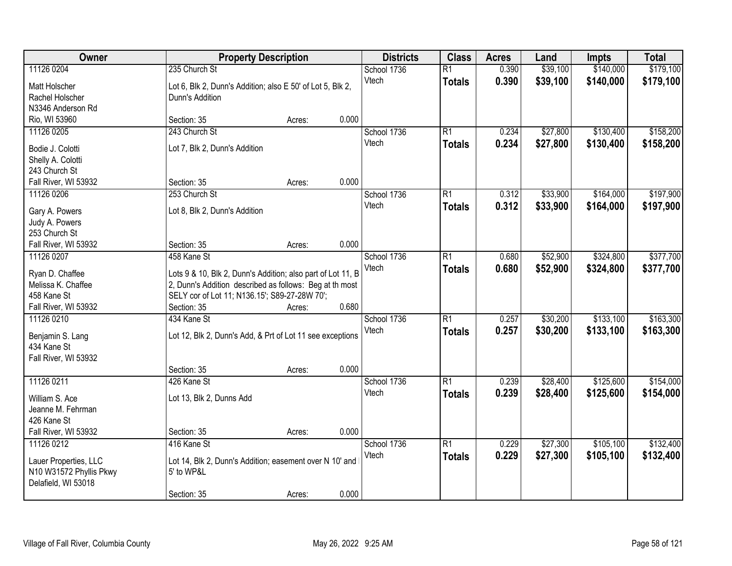| Owner                                 |                                                                                                          | <b>Property Description</b> |       | <b>Districts</b> | <b>Class</b>    | <b>Acres</b> | Land     | <b>Impts</b> | <b>Total</b> |
|---------------------------------------|----------------------------------------------------------------------------------------------------------|-----------------------------|-------|------------------|-----------------|--------------|----------|--------------|--------------|
| 11126 0204                            | 235 Church St                                                                                            |                             |       | School 1736      | $\overline{R1}$ | 0.390        | \$39,100 | \$140,000    | \$179,100    |
| Matt Holscher                         | Lot 6, Blk 2, Dunn's Addition; also E 50' of Lot 5, Blk 2,                                               |                             |       | Vtech            | <b>Totals</b>   | 0.390        | \$39,100 | \$140,000    | \$179,100    |
| Rachel Holscher                       | Dunn's Addition                                                                                          |                             |       |                  |                 |              |          |              |              |
| N3346 Anderson Rd                     |                                                                                                          |                             |       |                  |                 |              |          |              |              |
| Rio, WI 53960                         | Section: 35                                                                                              | Acres:                      | 0.000 |                  |                 |              |          |              |              |
| 11126 0205                            | 243 Church St                                                                                            |                             |       | School 1736      | $\overline{R1}$ | 0.234        | \$27,800 | \$130,400    | \$158,200    |
|                                       |                                                                                                          |                             |       | Vtech            | <b>Totals</b>   | 0.234        | \$27,800 | \$130,400    | \$158,200    |
| Bodie J. Colotti                      | Lot 7, Blk 2, Dunn's Addition                                                                            |                             |       |                  |                 |              |          |              |              |
| Shelly A. Colotti                     |                                                                                                          |                             |       |                  |                 |              |          |              |              |
| 243 Church St                         |                                                                                                          |                             |       |                  |                 |              |          |              |              |
| Fall River, WI 53932                  | Section: 35                                                                                              | Acres:                      | 0.000 |                  |                 |              |          |              |              |
| 11126 0206                            | 253 Church St                                                                                            |                             |       | School 1736      | R1              | 0.312        | \$33,900 | \$164,000    | \$197,900    |
| Gary A. Powers                        | Lot 8, Blk 2, Dunn's Addition                                                                            |                             |       | Vtech            | <b>Totals</b>   | 0.312        | \$33,900 | \$164,000    | \$197,900    |
| Judy A. Powers                        |                                                                                                          |                             |       |                  |                 |              |          |              |              |
| 253 Church St                         |                                                                                                          |                             |       |                  |                 |              |          |              |              |
| Fall River, WI 53932                  | Section: 35                                                                                              | Acres:                      | 0.000 |                  |                 |              |          |              |              |
| 11126 0207                            | 458 Kane St                                                                                              |                             |       | School 1736      | $\overline{R1}$ | 0.680        | \$52,900 | \$324,800    | \$377,700    |
|                                       |                                                                                                          |                             |       | Vtech            | <b>Totals</b>   | 0.680        | \$52,900 | \$324,800    | \$377,700    |
| Ryan D. Chaffee<br>Melissa K. Chaffee | Lots 9 & 10, Blk 2, Dunn's Addition; also part of Lot 11, B                                              |                             |       |                  |                 |              |          |              |              |
| 458 Kane St                           | 2, Dunn's Addition described as follows: Beg at th most<br>SELY cor of Lot 11; N136.15'; S89-27-28W 70'; |                             |       |                  |                 |              |          |              |              |
| Fall River, WI 53932                  | Section: 35                                                                                              | Acres:                      | 0.680 |                  |                 |              |          |              |              |
| 11126 0210                            | 434 Kane St                                                                                              |                             |       | School 1736      | $\overline{R1}$ | 0.257        | \$30,200 | \$133,100    | \$163,300    |
|                                       |                                                                                                          |                             |       | Vtech            |                 |              |          |              |              |
| Benjamin S. Lang                      | Lot 12, Blk 2, Dunn's Add, & Prt of Lot 11 see exceptions                                                |                             |       |                  | <b>Totals</b>   | 0.257        | \$30,200 | \$133,100    | \$163,300    |
| 434 Kane St                           |                                                                                                          |                             |       |                  |                 |              |          |              |              |
| Fall River, WI 53932                  |                                                                                                          |                             |       |                  |                 |              |          |              |              |
|                                       | Section: 35                                                                                              | Acres:                      | 0.000 |                  |                 |              |          |              |              |
| 11126 0211                            | 426 Kane St                                                                                              |                             |       | School 1736      | $\overline{R1}$ | 0.239        | \$28,400 | \$125,600    | \$154,000    |
| William S. Ace                        | Lot 13, Blk 2, Dunns Add                                                                                 |                             |       | Vtech            | <b>Totals</b>   | 0.239        | \$28,400 | \$125,600    | \$154,000    |
| Jeanne M. Fehrman                     |                                                                                                          |                             |       |                  |                 |              |          |              |              |
| 426 Kane St                           |                                                                                                          |                             |       |                  |                 |              |          |              |              |
| Fall River, WI 53932                  | Section: 35                                                                                              | Acres:                      | 0.000 |                  |                 |              |          |              |              |
| 11126 0212                            | 416 Kane St                                                                                              |                             |       | School 1736      | $\overline{R1}$ | 0.229        | \$27,300 | \$105,100    | \$132,400    |
|                                       |                                                                                                          |                             |       | Vtech            | <b>Totals</b>   | 0.229        | \$27,300 | \$105,100    | \$132,400    |
| Lauer Properties, LLC                 | Lot 14, Blk 2, Dunn's Addition; easement over N 10' and                                                  |                             |       |                  |                 |              |          |              |              |
| N10 W31572 Phyllis Pkwy               | 5' to WP&L                                                                                               |                             |       |                  |                 |              |          |              |              |
| Delafield, WI 53018                   |                                                                                                          |                             |       |                  |                 |              |          |              |              |
|                                       | Section: 35                                                                                              | Acres:                      | 0.000 |                  |                 |              |          |              |              |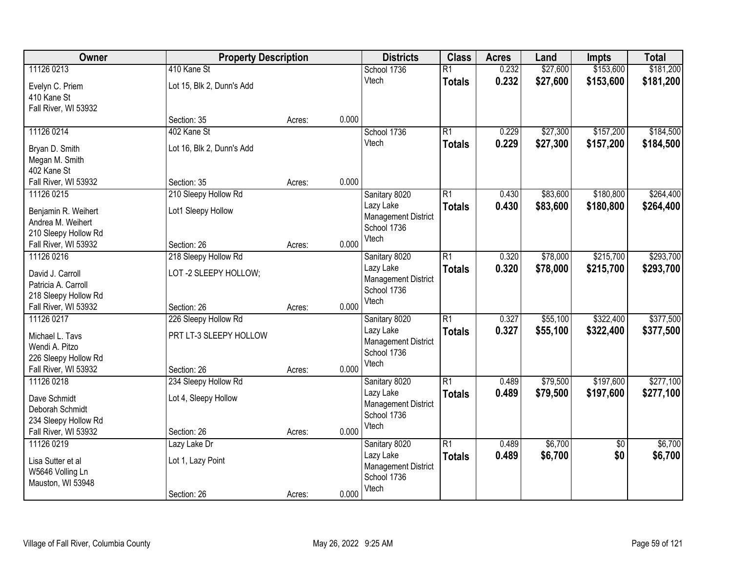| Owner                | <b>Property Description</b> |        |       | <b>Districts</b>                          | <b>Class</b>    | <b>Acres</b> | Land     | <b>Impts</b>    | <b>Total</b> |
|----------------------|-----------------------------|--------|-------|-------------------------------------------|-----------------|--------------|----------|-----------------|--------------|
| 11126 0213           | 410 Kane St                 |        |       | School 1736                               | $\overline{R1}$ | 0.232        | \$27,600 | \$153,600       | \$181,200    |
| Evelyn C. Priem      | Lot 15, Blk 2, Dunn's Add   |        |       | Vtech                                     | <b>Totals</b>   | 0.232        | \$27,600 | \$153,600       | \$181,200    |
| 410 Kane St          |                             |        |       |                                           |                 |              |          |                 |              |
| Fall River, WI 53932 |                             |        |       |                                           |                 |              |          |                 |              |
|                      | Section: 35                 | Acres: | 0.000 |                                           |                 |              |          |                 |              |
| 11126 0214           | 402 Kane St                 |        |       | School 1736                               | $\overline{R1}$ | 0.229        | \$27,300 | \$157,200       | \$184,500    |
| Bryan D. Smith       | Lot 16, Blk 2, Dunn's Add   |        |       | Vtech                                     | <b>Totals</b>   | 0.229        | \$27,300 | \$157,200       | \$184,500    |
| Megan M. Smith       |                             |        |       |                                           |                 |              |          |                 |              |
| 402 Kane St          |                             |        |       |                                           |                 |              |          |                 |              |
| Fall River, WI 53932 | Section: 35                 | Acres: | 0.000 |                                           |                 |              |          |                 |              |
| 11126 0215           | 210 Sleepy Hollow Rd        |        |       | Sanitary 8020                             | $\overline{R1}$ | 0.430        | \$83,600 | \$180,800       | \$264,400    |
| Benjamin R. Weihert  | Lot1 Sleepy Hollow          |        |       | Lazy Lake                                 | <b>Totals</b>   | 0.430        | \$83,600 | \$180,800       | \$264,400    |
| Andrea M. Weihert    |                             |        |       | <b>Management District</b>                |                 |              |          |                 |              |
| 210 Sleepy Hollow Rd |                             |        |       | School 1736<br>Vtech                      |                 |              |          |                 |              |
| Fall River, WI 53932 | Section: 26                 | Acres: | 0.000 |                                           |                 |              |          |                 |              |
| 11126 0216           | 218 Sleepy Hollow Rd        |        |       | Sanitary 8020                             | $\overline{R1}$ | 0.320        | \$78,000 | \$215,700       | \$293,700    |
| David J. Carroll     | LOT-2 SLEEPY HOLLOW;        |        |       | Lazy Lake                                 | <b>Totals</b>   | 0.320        | \$78,000 | \$215,700       | \$293,700    |
| Patricia A. Carroll  |                             |        |       | <b>Management District</b>                |                 |              |          |                 |              |
| 218 Sleepy Hollow Rd |                             |        |       | School 1736<br>Vtech                      |                 |              |          |                 |              |
| Fall River, WI 53932 | Section: 26                 | Acres: | 0.000 |                                           |                 |              |          |                 |              |
| 11126 0217           | 226 Sleepy Hollow Rd        |        |       | Sanitary 8020                             | $\overline{R1}$ | 0.327        | \$55,100 | \$322,400       | \$377,500    |
| Michael L. Tavs      | PRT LT-3 SLEEPY HOLLOW      |        |       | Lazy Lake                                 | <b>Totals</b>   | 0.327        | \$55,100 | \$322,400       | \$377,500    |
| Wendi A. Pitzo       |                             |        |       | <b>Management District</b><br>School 1736 |                 |              |          |                 |              |
| 226 Sleepy Hollow Rd |                             |        |       | Vtech                                     |                 |              |          |                 |              |
| Fall River, WI 53932 | Section: 26                 | Acres: | 0.000 |                                           |                 |              |          |                 |              |
| 11126 0218           | 234 Sleepy Hollow Rd        |        |       | Sanitary 8020                             | R1              | 0.489        | \$79,500 | \$197,600       | \$277,100    |
| Dave Schmidt         | Lot 4, Sleepy Hollow        |        |       | Lazy Lake                                 | <b>Totals</b>   | 0.489        | \$79,500 | \$197,600       | \$277,100    |
| Deborah Schmidt      |                             |        |       | <b>Management District</b><br>School 1736 |                 |              |          |                 |              |
| 234 Sleepy Hollow Rd |                             |        |       | Vtech                                     |                 |              |          |                 |              |
| Fall River, WI 53932 | Section: 26                 | Acres: | 0.000 |                                           |                 |              |          |                 |              |
| 11126 0219           | Lazy Lake Dr                |        |       | Sanitary 8020                             | $\overline{R1}$ | 0.489        | \$6,700  | $\overline{50}$ | \$6,700      |
| Lisa Sutter et al    | Lot 1, Lazy Point           |        |       | Lazy Lake                                 | <b>Totals</b>   | 0.489        | \$6,700  | \$0             | \$6,700      |
| W5646 Volling Ln     |                             |        |       | <b>Management District</b><br>School 1736 |                 |              |          |                 |              |
| Mauston, WI 53948    |                             |        |       | Vtech                                     |                 |              |          |                 |              |
|                      | Section: 26                 | Acres: | 0.000 |                                           |                 |              |          |                 |              |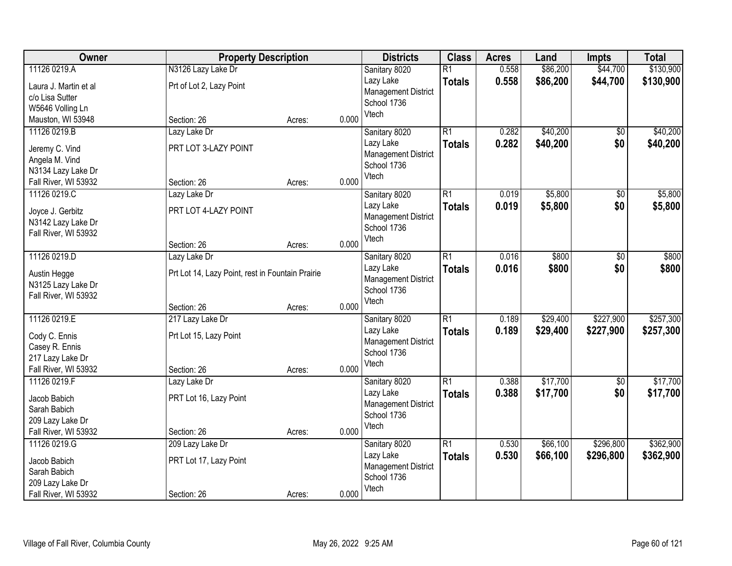| Owner                              | <b>Property Description</b>                      |        |       | <b>Districts</b>           | <b>Class</b>    | <b>Acres</b> | Land     | <b>Impts</b>    | <b>Total</b> |
|------------------------------------|--------------------------------------------------|--------|-------|----------------------------|-----------------|--------------|----------|-----------------|--------------|
| 11126 0219.A                       | N3126 Lazy Lake Dr                               |        |       | Sanitary 8020              | $\overline{R1}$ | 0.558        | \$86,200 | \$44,700        | \$130,900    |
| Laura J. Martin et al              | Prt of Lot 2, Lazy Point                         |        |       | Lazy Lake                  | <b>Totals</b>   | 0.558        | \$86,200 | \$44,700        | \$130,900    |
| c/o Lisa Sutter                    |                                                  |        |       | <b>Management District</b> |                 |              |          |                 |              |
| W5646 Volling Ln                   |                                                  |        |       | School 1736                |                 |              |          |                 |              |
| Mauston, WI 53948                  | Section: 26                                      | Acres: | 0.000 | Vtech                      |                 |              |          |                 |              |
| 11126 0219.B                       | Lazy Lake Dr                                     |        |       | Sanitary 8020              | $\overline{R1}$ | 0.282        | \$40,200 | $\overline{50}$ | \$40,200     |
| Jeremy C. Vind                     | PRT LOT 3-LAZY POINT                             |        |       | Lazy Lake                  | <b>Totals</b>   | 0.282        | \$40,200 | \$0             | \$40,200     |
| Angela M. Vind                     |                                                  |        |       | <b>Management District</b> |                 |              |          |                 |              |
| N3134 Lazy Lake Dr                 |                                                  |        |       | School 1736                |                 |              |          |                 |              |
| Fall River, WI 53932               | Section: 26                                      | Acres: | 0.000 | Vtech                      |                 |              |          |                 |              |
| 11126 0219.C                       | Lazy Lake Dr                                     |        |       | Sanitary 8020              | $\overline{R1}$ | 0.019        | \$5,800  | $\overline{50}$ | \$5,800      |
| Joyce J. Gerbitz                   | PRT LOT 4-LAZY POINT                             |        |       | Lazy Lake                  | <b>Totals</b>   | 0.019        | \$5,800  | \$0             | \$5,800      |
| N3142 Lazy Lake Dr                 |                                                  |        |       | <b>Management District</b> |                 |              |          |                 |              |
| Fall River, WI 53932               |                                                  |        |       | School 1736                |                 |              |          |                 |              |
|                                    | Section: 26                                      | Acres: | 0.000 | Vtech                      |                 |              |          |                 |              |
| 11126 0219.D                       | Lazy Lake Dr                                     |        |       | Sanitary 8020              | $\overline{R1}$ | 0.016        | \$800    | \$0             | \$800        |
|                                    | Prt Lot 14, Lazy Point, rest in Fountain Prairie |        |       | Lazy Lake                  | <b>Totals</b>   | 0.016        | \$800    | \$0             | \$800        |
| Austin Hegge<br>N3125 Lazy Lake Dr |                                                  |        |       | <b>Management District</b> |                 |              |          |                 |              |
| Fall River, WI 53932               |                                                  |        |       | School 1736                |                 |              |          |                 |              |
|                                    | Section: 26                                      | Acres: | 0.000 | Vtech                      |                 |              |          |                 |              |
| 11126 0219.E                       | 217 Lazy Lake Dr                                 |        |       | Sanitary 8020              | $\overline{R1}$ | 0.189        | \$29,400 | \$227,900       | \$257,300    |
|                                    |                                                  |        |       | Lazy Lake                  | <b>Totals</b>   | 0.189        | \$29,400 | \$227,900       | \$257,300    |
| Cody C. Ennis<br>Casey R. Ennis    | Prt Lot 15, Lazy Point                           |        |       | <b>Management District</b> |                 |              |          |                 |              |
| 217 Lazy Lake Dr                   |                                                  |        |       | School 1736                |                 |              |          |                 |              |
| Fall River, WI 53932               | Section: 26                                      | Acres: | 0.000 | Vtech                      |                 |              |          |                 |              |
| 11126 0219.F                       | Lazy Lake Dr                                     |        |       | Sanitary 8020              | $\overline{R1}$ | 0.388        | \$17,700 | $\overline{60}$ | \$17,700     |
|                                    |                                                  |        |       | Lazy Lake                  | <b>Totals</b>   | 0.388        | \$17,700 | \$0             | \$17,700     |
| Jacob Babich<br>Sarah Babich       | PRT Lot 16, Lazy Point                           |        |       | <b>Management District</b> |                 |              |          |                 |              |
| 209 Lazy Lake Dr                   |                                                  |        |       | School 1736                |                 |              |          |                 |              |
| Fall River, WI 53932               | Section: 26                                      | Acres: | 0.000 | Vtech                      |                 |              |          |                 |              |
| 11126 0219.G                       | 209 Lazy Lake Dr                                 |        |       | Sanitary 8020              | $\overline{R1}$ | 0.530        | \$66,100 | \$296,800       | \$362,900    |
|                                    |                                                  |        |       | Lazy Lake                  | <b>Totals</b>   | 0.530        | \$66,100 | \$296,800       | \$362,900    |
| Jacob Babich                       | PRT Lot 17, Lazy Point                           |        |       | <b>Management District</b> |                 |              |          |                 |              |
| Sarah Babich<br>209 Lazy Lake Dr   |                                                  |        |       | School 1736                |                 |              |          |                 |              |
| Fall River, WI 53932               | Section: 26                                      | Acres: | 0.000 | Vtech                      |                 |              |          |                 |              |
|                                    |                                                  |        |       |                            |                 |              |          |                 |              |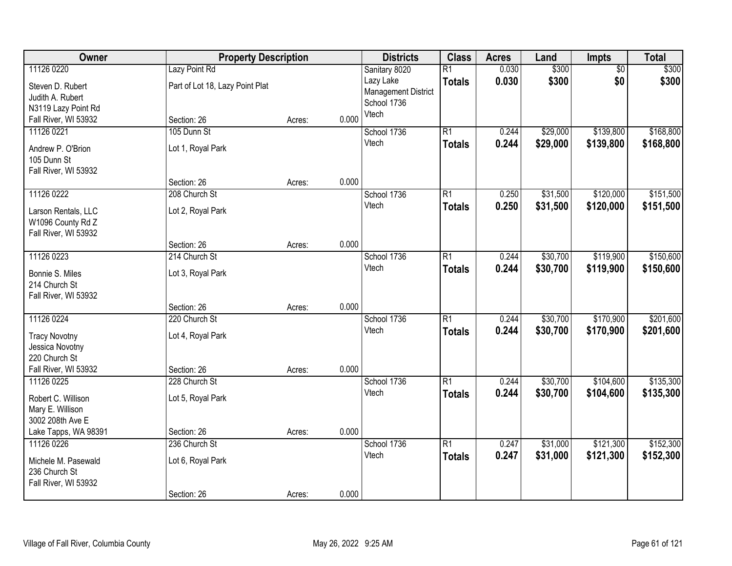| Owner                                | <b>Property Description</b>     |        |       | <b>Districts</b>           | <b>Class</b>    | <b>Acres</b> | Land     | Impts           | <b>Total</b> |
|--------------------------------------|---------------------------------|--------|-------|----------------------------|-----------------|--------------|----------|-----------------|--------------|
| 11126 0220                           | Lazy Point Rd                   |        |       | Sanitary 8020              | $\overline{R1}$ | 0.030        | \$300    | $\overline{50}$ | \$300        |
| Steven D. Rubert                     | Part of Lot 18, Lazy Point Plat |        |       | Lazy Lake                  | <b>Totals</b>   | 0.030        | \$300    | \$0             | \$300        |
| Judith A. Rubert                     |                                 |        |       | <b>Management District</b> |                 |              |          |                 |              |
| N3119 Lazy Point Rd                  |                                 |        |       | School 1736                |                 |              |          |                 |              |
| Fall River, WI 53932                 | Section: 26                     | Acres: | 0.000 | Vtech                      |                 |              |          |                 |              |
| 11126 0221                           | 105 Dunn St                     |        |       | School 1736                | $\overline{R1}$ | 0.244        | \$29,000 | \$139,800       | \$168,800    |
| Andrew P. O'Brion                    | Lot 1, Royal Park               |        |       | Vtech                      | <b>Totals</b>   | 0.244        | \$29,000 | \$139,800       | \$168,800    |
| 105 Dunn St                          |                                 |        |       |                            |                 |              |          |                 |              |
| Fall River, WI 53932                 |                                 |        |       |                            |                 |              |          |                 |              |
|                                      | Section: 26                     | Acres: | 0.000 |                            |                 |              |          |                 |              |
| 11126 0222                           | 208 Church St                   |        |       | School 1736                | $\overline{R1}$ | 0.250        | \$31,500 | \$120,000       | \$151,500    |
| Larson Rentals, LLC                  | Lot 2, Royal Park               |        |       | Vtech                      | <b>Totals</b>   | 0.250        | \$31,500 | \$120,000       | \$151,500    |
| W1096 County Rd Z                    |                                 |        |       |                            |                 |              |          |                 |              |
| Fall River, WI 53932                 |                                 |        |       |                            |                 |              |          |                 |              |
|                                      | Section: 26                     | Acres: | 0.000 |                            |                 |              |          |                 |              |
| 11126 0223                           | 214 Church St                   |        |       | School 1736                | $\overline{R1}$ | 0.244        | \$30,700 | \$119,900       | \$150,600    |
| Bonnie S. Miles                      | Lot 3, Royal Park               |        |       | Vtech                      | <b>Totals</b>   | 0.244        | \$30,700 | \$119,900       | \$150,600    |
| 214 Church St                        |                                 |        |       |                            |                 |              |          |                 |              |
| Fall River, WI 53932                 |                                 |        |       |                            |                 |              |          |                 |              |
|                                      | Section: 26                     | Acres: | 0.000 |                            |                 |              |          |                 |              |
| 11126 0224                           | 220 Church St                   |        |       | School 1736                | $\overline{R1}$ | 0.244        | \$30,700 | \$170,900       | \$201,600    |
| <b>Tracy Novotny</b>                 | Lot 4, Royal Park               |        |       | Vtech                      | <b>Totals</b>   | 0.244        | \$30,700 | \$170,900       | \$201,600    |
| Jessica Novotny                      |                                 |        |       |                            |                 |              |          |                 |              |
| 220 Church St                        |                                 |        |       |                            |                 |              |          |                 |              |
| Fall River, WI 53932                 | Section: 26                     | Acres: | 0.000 |                            |                 |              |          |                 |              |
| 11126 0225                           | 228 Church St                   |        |       | School 1736                | $\overline{R1}$ | 0.244        | \$30,700 | \$104,600       | \$135,300    |
| Robert C. Willison                   | Lot 5, Royal Park               |        |       | Vtech                      | <b>Totals</b>   | 0.244        | \$30,700 | \$104,600       | \$135,300    |
| Mary E. Willison                     |                                 |        |       |                            |                 |              |          |                 |              |
| 3002 208th Ave E                     |                                 |        |       |                            |                 |              |          |                 |              |
| Lake Tapps, WA 98391                 | Section: 26                     | Acres: | 0.000 |                            |                 |              |          |                 |              |
| 11126 0226                           | 236 Church St                   |        |       | School 1736                | $\overline{R1}$ | 0.247        | \$31,000 | \$121,300       | \$152,300    |
|                                      | Lot 6, Royal Park               |        |       | Vtech                      | <b>Totals</b>   | 0.247        | \$31,000 | \$121,300       | \$152,300    |
| Michele M. Pasewald<br>236 Church St |                                 |        |       |                            |                 |              |          |                 |              |
| Fall River, WI 53932                 |                                 |        |       |                            |                 |              |          |                 |              |
|                                      | Section: 26                     | Acres: | 0.000 |                            |                 |              |          |                 |              |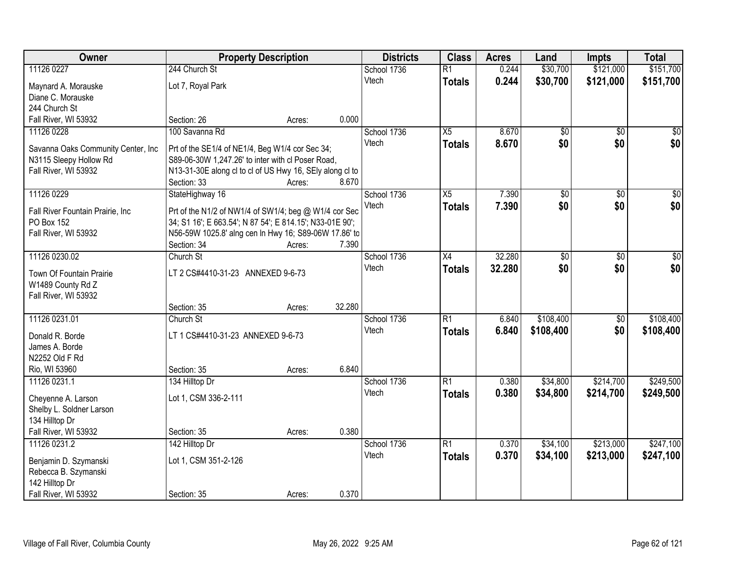| Owner                                          |                                                          | <b>Property Description</b> |        | <b>Districts</b> | <b>Class</b>    | <b>Acres</b> | Land            | <b>Impts</b>    | <b>Total</b>    |
|------------------------------------------------|----------------------------------------------------------|-----------------------------|--------|------------------|-----------------|--------------|-----------------|-----------------|-----------------|
| 11126 0227                                     | 244 Church St                                            |                             |        | School 1736      | $\overline{R1}$ | 0.244        | \$30,700        | \$121,000       | \$151,700       |
| Maynard A. Morauske                            | Lot 7, Royal Park                                        |                             |        | Vtech            | <b>Totals</b>   | 0.244        | \$30,700        | \$121,000       | \$151,700       |
| Diane C. Morauske                              |                                                          |                             |        |                  |                 |              |                 |                 |                 |
| 244 Church St                                  |                                                          |                             |        |                  |                 |              |                 |                 |                 |
| Fall River, WI 53932                           | Section: 26                                              | Acres:                      | 0.000  |                  |                 |              |                 |                 |                 |
| 11126 0228                                     | 100 Savanna Rd                                           |                             |        | School 1736      | X5              | 8.670        | \$0             | $\overline{50}$ | \$0             |
| Savanna Oaks Community Center, Inc             | Prt of the SE1/4 of NE1/4, Beg W1/4 cor Sec 34;          |                             |        | Vtech            | <b>Totals</b>   | 8.670        | \$0             | \$0             | \$0             |
| N3115 Sleepy Hollow Rd                         | S89-06-30W 1,247.26' to inter with cl Poser Road,        |                             |        |                  |                 |              |                 |                 |                 |
| Fall River, WI 53932                           | N13-31-30E along cl to cl of US Hwy 16, SEly along cl to |                             |        |                  |                 |              |                 |                 |                 |
|                                                | Section: 33                                              | Acres:                      | 8.670  |                  |                 |              |                 |                 |                 |
| 11126 0229                                     | StateHighway 16                                          |                             |        | School 1736      | $\overline{X5}$ | 7.390        | $\overline{50}$ | $\overline{50}$ | $\overline{30}$ |
| Fall River Fountain Prairie, Inc               | Prt of the N1/2 of NW1/4 of SW1/4; beg @ W1/4 cor Sec    |                             |        | Vtech            | <b>Totals</b>   | 7.390        | \$0             | \$0             | \$0             |
| PO Box 152                                     | 34; S1 16'; E 663.54'; N 87 54'; E 814.15'; N33-01E 90'; |                             |        |                  |                 |              |                 |                 |                 |
| Fall River, WI 53932                           | N56-59W 1025.8' alng cen ln Hwy 16; S89-06W 17.86' to    |                             |        |                  |                 |              |                 |                 |                 |
|                                                | Section: 34                                              | Acres:                      | 7.390  |                  |                 |              |                 |                 |                 |
| 11126 0230.02                                  | Church St                                                |                             |        | School 1736      | X4              | 32.280       | $\overline{50}$ | \$0             | \$0             |
| Town Of Fountain Prairie                       | LT 2 CS#4410-31-23 ANNEXED 9-6-73                        |                             |        | Vtech            | <b>Totals</b>   | 32.280       | \$0             | \$0             | \$0             |
| W1489 County Rd Z                              |                                                          |                             |        |                  |                 |              |                 |                 |                 |
| Fall River, WI 53932                           |                                                          |                             |        |                  |                 |              |                 |                 |                 |
|                                                | Section: 35                                              | Acres:                      | 32.280 |                  |                 |              |                 |                 |                 |
| 11126 0231.01                                  | Church St                                                |                             |        | School 1736      | $\overline{R1}$ | 6.840        | \$108,400       | \$0             | \$108,400       |
| Donald R. Borde                                | LT 1 CS#4410-31-23 ANNEXED 9-6-73                        |                             |        | Vtech            | <b>Totals</b>   | 6.840        | \$108,400       | \$0             | \$108,400       |
| James A. Borde                                 |                                                          |                             |        |                  |                 |              |                 |                 |                 |
| N2252 Old F Rd                                 |                                                          |                             |        |                  |                 |              |                 |                 |                 |
| Rio, WI 53960                                  | Section: 35                                              | Acres:                      | 6.840  |                  |                 |              |                 |                 |                 |
| 11126 0231.1                                   | 134 Hilltop Dr                                           |                             |        | School 1736      | R1              | 0.380        | \$34,800        | \$214,700       | \$249,500       |
|                                                |                                                          |                             |        | Vtech            | <b>Totals</b>   | 0.380        | \$34,800        | \$214,700       | \$249,500       |
| Cheyenne A. Larson<br>Shelby L. Soldner Larson | Lot 1, CSM 336-2-111                                     |                             |        |                  |                 |              |                 |                 |                 |
| 134 Hilltop Dr                                 |                                                          |                             |        |                  |                 |              |                 |                 |                 |
| Fall River, WI 53932                           | Section: 35                                              | Acres:                      | 0.380  |                  |                 |              |                 |                 |                 |
| 11126 0231.2                                   | 142 Hilltop Dr                                           |                             |        | School 1736      | R1              | 0.370        | \$34,100        | \$213,000       | \$247,100       |
|                                                |                                                          |                             |        | Vtech            | <b>Totals</b>   | 0.370        | \$34,100        | \$213,000       | \$247,100       |
| Benjamin D. Szymanski                          | Lot 1, CSM 351-2-126                                     |                             |        |                  |                 |              |                 |                 |                 |
| Rebecca B. Szymanski<br>142 Hilltop Dr         |                                                          |                             |        |                  |                 |              |                 |                 |                 |
| Fall River, WI 53932                           | Section: 35                                              | Acres:                      | 0.370  |                  |                 |              |                 |                 |                 |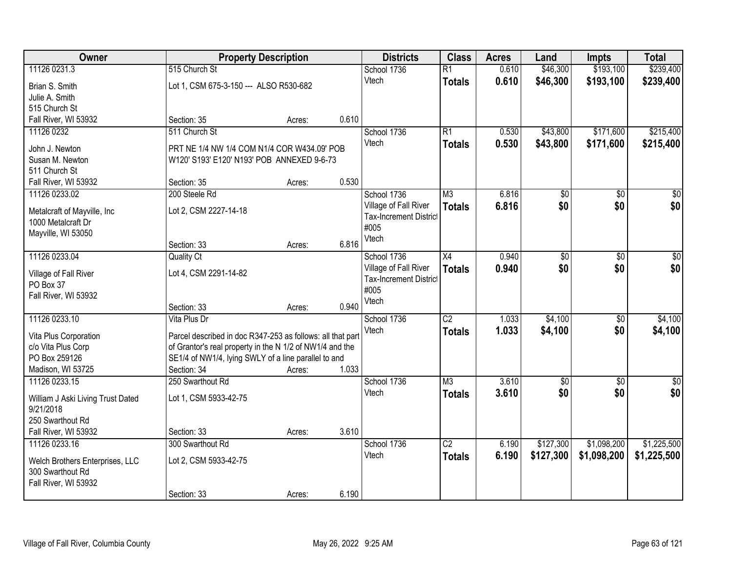| Owner                             |                                                            | <b>Property Description</b> |       | <b>Districts</b>              | <b>Class</b>    | <b>Acres</b> | Land            | <b>Impts</b> | <b>Total</b>     |
|-----------------------------------|------------------------------------------------------------|-----------------------------|-------|-------------------------------|-----------------|--------------|-----------------|--------------|------------------|
| 11126 0231.3                      | 515 Church St                                              |                             |       | School 1736                   | $\overline{R1}$ | 0.610        | \$46,300        | \$193,100    | \$239,400        |
| Brian S. Smith                    | Lot 1, CSM 675-3-150 --- ALSO R530-682                     |                             |       | Vtech                         | <b>Totals</b>   | 0.610        | \$46,300        | \$193,100    | \$239,400        |
| Julie A. Smith                    |                                                            |                             |       |                               |                 |              |                 |              |                  |
| 515 Church St                     |                                                            |                             |       |                               |                 |              |                 |              |                  |
| Fall River, WI 53932              | Section: 35                                                | Acres:                      | 0.610 |                               |                 |              |                 |              |                  |
| 11126 0232                        | 511 Church St                                              |                             |       | School 1736                   | R1              | 0.530        | \$43,800        | \$171,600    | \$215,400        |
| John J. Newton                    | PRT NE 1/4 NW 1/4 COM N1/4 COR W434.09' POB                |                             |       | Vtech                         | <b>Totals</b>   | 0.530        | \$43,800        | \$171,600    | \$215,400        |
| Susan M. Newton                   | W120' S193' E120' N193' POB ANNEXED 9-6-73                 |                             |       |                               |                 |              |                 |              |                  |
| 511 Church St                     |                                                            |                             |       |                               |                 |              |                 |              |                  |
| Fall River, WI 53932              | Section: 35                                                | Acres:                      | 0.530 |                               |                 |              |                 |              |                  |
| 11126 0233.02                     | 200 Steele Rd                                              |                             |       | School 1736                   | M3              | 6.816        | \$0             | \$0          | $\overline{\$0}$ |
| Metalcraft of Mayville, Inc       | Lot 2, CSM 2227-14-18                                      |                             |       | Village of Fall River         | <b>Totals</b>   | 6.816        | \$0             | \$0          | \$0              |
| 1000 Metalcraft Dr                |                                                            |                             |       | <b>Tax-Increment District</b> |                 |              |                 |              |                  |
| Mayville, WI 53050                |                                                            |                             |       | #005<br>Vtech                 |                 |              |                 |              |                  |
|                                   | Section: 33                                                | Acres:                      | 6.816 |                               |                 |              |                 |              |                  |
| 11126 0233.04                     | <b>Quality Ct</b>                                          |                             |       | School 1736                   | X4              | 0.940        | $\overline{50}$ | \$0          | \$0              |
| Village of Fall River             | Lot 4, CSM 2291-14-82                                      |                             |       | Village of Fall River         | <b>Totals</b>   | 0.940        | \$0             | \$0          | \$0              |
| PO Box 37                         |                                                            |                             |       | <b>Tax-Increment District</b> |                 |              |                 |              |                  |
| Fall River, WI 53932              |                                                            |                             |       | #005                          |                 |              |                 |              |                  |
|                                   | Section: 33                                                | Acres:                      | 0.940 | Vtech                         |                 |              |                 |              |                  |
| 11126 0233.10                     | Vita Plus Dr                                               |                             |       | School 1736                   | $\overline{C2}$ | 1.033        | \$4,100         | \$0          | \$4,100          |
| Vita Plus Corporation             | Parcel described in doc R347-253 as follows: all that part |                             |       | Vtech                         | <b>Totals</b>   | 1.033        | \$4,100         | \$0          | \$4,100          |
| c/o Vita Plus Corp                | of Grantor's real property in the N 1/2 of NW1/4 and the   |                             |       |                               |                 |              |                 |              |                  |
| PO Box 259126                     | SE1/4 of NW1/4, lying SWLY of a line parallel to and       |                             |       |                               |                 |              |                 |              |                  |
| Madison, WI 53725                 | Section: 34                                                | Acres:                      | 1.033 |                               |                 |              |                 |              |                  |
| 11126 0233.15                     | 250 Swarthout Rd                                           |                             |       | School 1736                   | M3              | 3.610        | $\overline{50}$ | \$0          | $\sqrt{50}$      |
| William J Aski Living Trust Dated | Lot 1, CSM 5933-42-75                                      |                             |       | Vtech                         | <b>Totals</b>   | 3.610        | \$0             | \$0          | \$0              |
| 9/21/2018                         |                                                            |                             |       |                               |                 |              |                 |              |                  |
| 250 Swarthout Rd                  |                                                            |                             |       |                               |                 |              |                 |              |                  |
| Fall River, WI 53932              | Section: 33                                                | Acres:                      | 3.610 |                               |                 |              |                 |              |                  |
| 11126 0233.16                     | 300 Swarthout Rd                                           |                             |       | School 1736                   | $\overline{C2}$ | 6.190        | \$127,300       | \$1,098,200  | \$1,225,500      |
| Welch Brothers Enterprises, LLC   | Lot 2, CSM 5933-42-75                                      |                             |       | Vtech                         | <b>Totals</b>   | 6.190        | \$127,300       | \$1,098,200  | \$1,225,500      |
| 300 Swarthout Rd                  |                                                            |                             |       |                               |                 |              |                 |              |                  |
| Fall River, WI 53932              |                                                            |                             |       |                               |                 |              |                 |              |                  |
|                                   | Section: 33                                                | Acres:                      | 6.190 |                               |                 |              |                 |              |                  |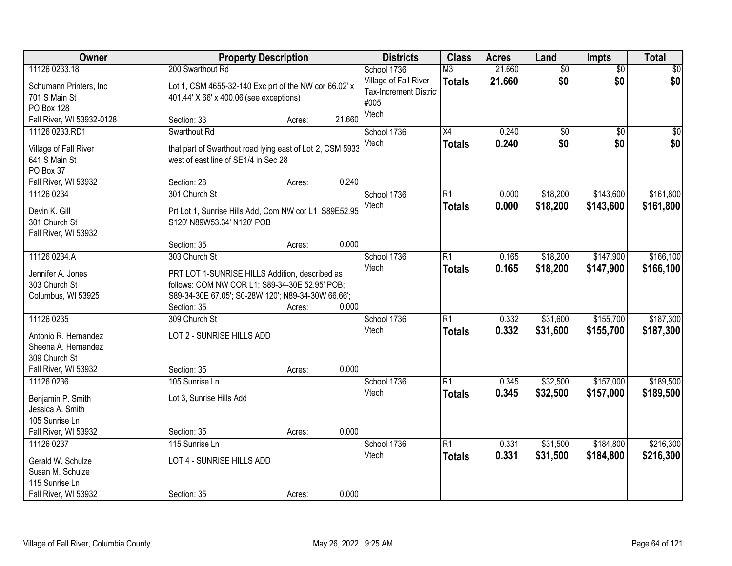| Owner                                  |                                                                                                   | <b>Property Description</b> |        | <b>Districts</b>              | <b>Class</b>    | <b>Acres</b> | Land            | Impts           | <b>Total</b> |
|----------------------------------------|---------------------------------------------------------------------------------------------------|-----------------------------|--------|-------------------------------|-----------------|--------------|-----------------|-----------------|--------------|
| 11126 0233.18                          | 200 Swarthout Rd                                                                                  |                             |        | School 1736                   | M <sub>3</sub>  | 21.660       | $\overline{60}$ | $\overline{50}$ | \$0          |
| Schumann Printers, Inc.                | Lot 1, CSM 4655-32-140 Exc prt of the NW cor 66.02' x                                             |                             |        | Village of Fall River         | <b>Totals</b>   | 21.660       | \$0             | \$0             | \$0          |
| 701 S Main St                          | 401.44' X 66' x 400.06' (see exceptions)                                                          |                             |        | <b>Tax-Increment District</b> |                 |              |                 |                 |              |
| PO Box 128                             |                                                                                                   |                             |        | #005                          |                 |              |                 |                 |              |
| Fall River, WI 53932-0128              | Section: 33                                                                                       | Acres:                      | 21.660 | Vtech                         |                 |              |                 |                 |              |
| 11126 0233.RD1                         | Swarthout Rd                                                                                      |                             |        | School 1736                   | $\overline{X4}$ | 0.240        | \$0             | $\overline{50}$ | \$0          |
|                                        |                                                                                                   |                             |        | Vtech                         | <b>Totals</b>   | 0.240        | \$0             | \$0             | \$0          |
| Village of Fall River<br>641 S Main St | that part of Swarthout road lying east of Lot 2, CSM 5933<br>west of east line of SE1/4 in Sec 28 |                             |        |                               |                 |              |                 |                 |              |
| PO Box 37                              |                                                                                                   |                             |        |                               |                 |              |                 |                 |              |
| Fall River, WI 53932                   | Section: 28                                                                                       | Acres:                      | 0.240  |                               |                 |              |                 |                 |              |
| 11126 0234                             | 301 Church St                                                                                     |                             |        | School 1736                   | $\overline{R1}$ | 0.000        | \$18,200        | \$143,600       | \$161,800    |
|                                        |                                                                                                   |                             |        | Vtech                         | <b>Totals</b>   | 0.000        | \$18,200        | \$143,600       | \$161,800    |
| Devin K. Gill                          | Prt Lot 1, Sunrise Hills Add, Com NW cor L1 S89E52.95                                             |                             |        |                               |                 |              |                 |                 |              |
| 301 Church St                          | S120' N89W53.34' N120' POB                                                                        |                             |        |                               |                 |              |                 |                 |              |
| Fall River, WI 53932                   |                                                                                                   |                             |        |                               |                 |              |                 |                 |              |
|                                        | Section: 35                                                                                       | Acres:                      | 0.000  |                               |                 |              |                 |                 |              |
| 11126 0234.A                           | 303 Church St                                                                                     |                             |        | School 1736                   | $\overline{R1}$ | 0.165        | \$18,200        | \$147,900       | \$166, 100   |
| Jennifer A. Jones                      | PRT LOT 1-SUNRISE HILLS Addition, described as                                                    |                             |        | Vtech                         | <b>Totals</b>   | 0.165        | \$18,200        | \$147,900       | \$166,100    |
| 303 Church St                          | follows: COM NW COR L1; S89-34-30E 52.95' POB;                                                    |                             |        |                               |                 |              |                 |                 |              |
| Columbus, WI 53925                     | S89-34-30E 67.05'; S0-28W 120'; N89-34-30W 66.66';                                                |                             |        |                               |                 |              |                 |                 |              |
|                                        | Section: 35                                                                                       | Acres:                      | 0.000  |                               |                 |              |                 |                 |              |
| 11126 0235                             | 309 Church St                                                                                     |                             |        | School 1736                   | $\overline{R1}$ | 0.332        | \$31,600        | \$155,700       | \$187,300    |
|                                        |                                                                                                   |                             |        | Vtech                         | <b>Totals</b>   | 0.332        | \$31,600        | \$155,700       | \$187,300    |
| Antonio R. Hernandez                   | LOT 2 - SUNRISE HILLS ADD                                                                         |                             |        |                               |                 |              |                 |                 |              |
| Sheena A. Hernandez<br>309 Church St   |                                                                                                   |                             |        |                               |                 |              |                 |                 |              |
| Fall River, WI 53932                   | Section: 35                                                                                       | Acres:                      | 0.000  |                               |                 |              |                 |                 |              |
| 11126 0236                             | 105 Sunrise Ln                                                                                    |                             |        | School 1736                   | $\overline{R1}$ | 0.345        | \$32,500        | \$157,000       | \$189,500    |
|                                        |                                                                                                   |                             |        | Vtech                         | <b>Totals</b>   | 0.345        | \$32,500        | \$157,000       | \$189,500    |
| Benjamin P. Smith                      | Lot 3, Sunrise Hills Add                                                                          |                             |        |                               |                 |              |                 |                 |              |
| Jessica A. Smith                       |                                                                                                   |                             |        |                               |                 |              |                 |                 |              |
| 105 Sunrise Ln                         |                                                                                                   |                             |        |                               |                 |              |                 |                 |              |
| Fall River, WI 53932                   | Section: 35                                                                                       | Acres:                      | 0.000  |                               |                 |              |                 |                 |              |
| 11126 0237                             | 115 Sunrise Ln                                                                                    |                             |        | School 1736                   | $\overline{R1}$ | 0.331        | \$31,500        | \$184,800       | \$216,300    |
| Gerald W. Schulze                      | LOT 4 - SUNRISE HILLS ADD                                                                         |                             |        | Vtech                         | <b>Totals</b>   | 0.331        | \$31,500        | \$184,800       | \$216,300    |
| Susan M. Schulze                       |                                                                                                   |                             |        |                               |                 |              |                 |                 |              |
| 115 Sunrise Ln                         |                                                                                                   |                             |        |                               |                 |              |                 |                 |              |
| Fall River, WI 53932                   | Section: 35                                                                                       | Acres:                      | 0.000  |                               |                 |              |                 |                 |              |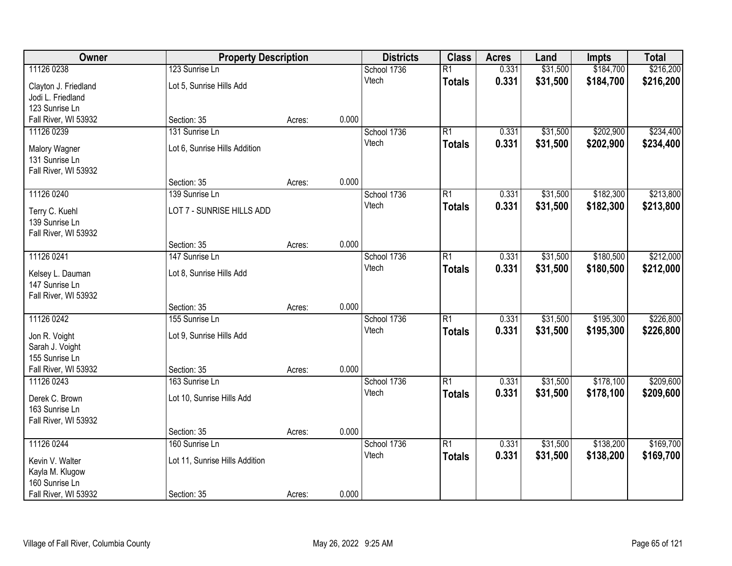| Owner                              | <b>Property Description</b>    |        |       | <b>Districts</b> | <b>Class</b>    | <b>Acres</b> | Land     | <b>Impts</b> | <b>Total</b> |
|------------------------------------|--------------------------------|--------|-------|------------------|-----------------|--------------|----------|--------------|--------------|
| 11126 0238                         | 123 Sunrise Ln                 |        |       | School 1736      | $\overline{R1}$ | 0.331        | \$31,500 | \$184,700    | \$216,200    |
| Clayton J. Friedland               | Lot 5, Sunrise Hills Add       |        |       | Vtech            | <b>Totals</b>   | 0.331        | \$31,500 | \$184,700    | \$216,200    |
| Jodi L. Friedland                  |                                |        |       |                  |                 |              |          |              |              |
| 123 Sunrise Ln                     |                                |        |       |                  |                 |              |          |              |              |
| Fall River, WI 53932               | Section: 35                    | Acres: | 0.000 |                  |                 |              |          |              |              |
| 11126 0239                         | 131 Sunrise Ln                 |        |       | School 1736      | $\overline{R1}$ | 0.331        | \$31,500 | \$202,900    | \$234,400    |
| Malory Wagner                      | Lot 6, Sunrise Hills Addition  |        |       | Vtech            | <b>Totals</b>   | 0.331        | \$31,500 | \$202,900    | \$234,400    |
| 131 Sunrise Ln                     |                                |        |       |                  |                 |              |          |              |              |
| Fall River, WI 53932               |                                |        |       |                  |                 |              |          |              |              |
|                                    | Section: 35                    | Acres: | 0.000 |                  |                 |              |          |              |              |
| 11126 0240                         | 139 Sunrise Ln                 |        |       | School 1736      | R1              | 0.331        | \$31,500 | \$182,300    | \$213,800    |
| Terry C. Kuehl                     | LOT 7 - SUNRISE HILLS ADD      |        |       | Vtech            | <b>Totals</b>   | 0.331        | \$31,500 | \$182,300    | \$213,800    |
| 139 Sunrise Ln                     |                                |        |       |                  |                 |              |          |              |              |
| Fall River, WI 53932               |                                |        |       |                  |                 |              |          |              |              |
|                                    | Section: 35                    | Acres: | 0.000 |                  |                 |              |          |              |              |
| 11126 0241                         | 147 Sunrise Ln                 |        |       | School 1736      | R1              | 0.331        | \$31,500 | \$180,500    | \$212,000    |
|                                    |                                |        |       | Vtech            | <b>Totals</b>   | 0.331        | \$31,500 | \$180,500    | \$212,000    |
| Kelsey L. Dauman<br>147 Sunrise Ln | Lot 8, Sunrise Hills Add       |        |       |                  |                 |              |          |              |              |
| Fall River, WI 53932               |                                |        |       |                  |                 |              |          |              |              |
|                                    | Section: 35                    | Acres: | 0.000 |                  |                 |              |          |              |              |
| 11126 0242                         | 155 Sunrise Ln                 |        |       | School 1736      | $\overline{R1}$ | 0.331        | \$31,500 | \$195,300    | \$226,800    |
|                                    |                                |        |       | Vtech            | <b>Totals</b>   | 0.331        | \$31,500 | \$195,300    | \$226,800    |
| Jon R. Voight                      | Lot 9, Sunrise Hills Add       |        |       |                  |                 |              |          |              |              |
| Sarah J. Voight<br>155 Sunrise Ln  |                                |        |       |                  |                 |              |          |              |              |
| Fall River, WI 53932               | Section: 35                    | Acres: | 0.000 |                  |                 |              |          |              |              |
| 11126 0243                         | 163 Sunrise Ln                 |        |       | School 1736      | $\overline{R1}$ | 0.331        | \$31,500 | \$178,100    | \$209,600    |
|                                    |                                |        |       | Vtech            | <b>Totals</b>   | 0.331        | \$31,500 | \$178,100    | \$209,600    |
| Derek C. Brown                     | Lot 10, Sunrise Hills Add      |        |       |                  |                 |              |          |              |              |
| 163 Sunrise Ln                     |                                |        |       |                  |                 |              |          |              |              |
| Fall River, WI 53932               | Section: 35                    | Acres: | 0.000 |                  |                 |              |          |              |              |
| 11126 0244                         | 160 Sunrise Ln                 |        |       | School 1736      | $\overline{R1}$ | 0.331        | \$31,500 | \$138,200    | \$169,700    |
|                                    |                                |        |       | Vtech            | <b>Totals</b>   | 0.331        | \$31,500 | \$138,200    | \$169,700    |
| Kevin V. Walter                    | Lot 11, Sunrise Hills Addition |        |       |                  |                 |              |          |              |              |
| Kayla M. Klugow                    |                                |        |       |                  |                 |              |          |              |              |
| 160 Sunrise Ln                     |                                |        |       |                  |                 |              |          |              |              |
| Fall River, WI 53932               | Section: 35                    | Acres: | 0.000 |                  |                 |              |          |              |              |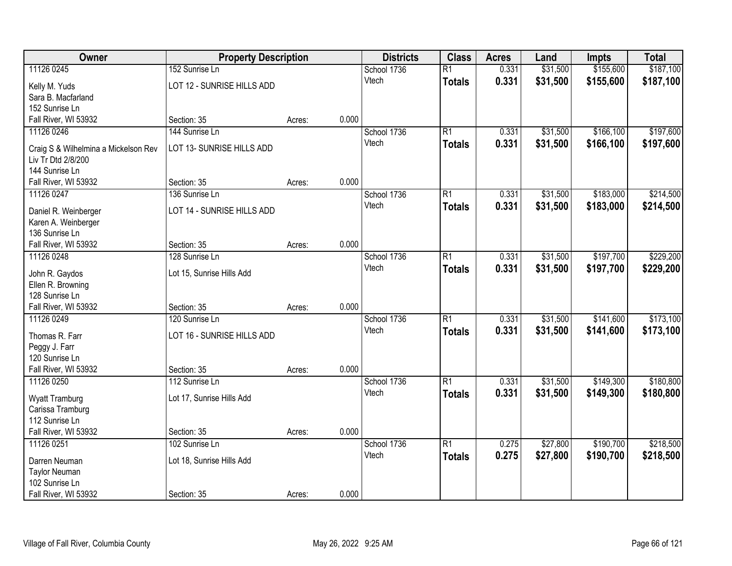| Owner                                                      | <b>Property Description</b> |        |       | <b>Districts</b> | <b>Class</b>    | <b>Acres</b> | Land     | <b>Impts</b> | <b>Total</b> |
|------------------------------------------------------------|-----------------------------|--------|-------|------------------|-----------------|--------------|----------|--------------|--------------|
| 11126 0245                                                 | 152 Sunrise Ln              |        |       | School 1736      | $\overline{R1}$ | 0.331        | \$31,500 | \$155,600    | \$187,100    |
| Kelly M. Yuds                                              | LOT 12 - SUNRISE HILLS ADD  |        |       | Vtech            | <b>Totals</b>   | 0.331        | \$31,500 | \$155,600    | \$187,100    |
| Sara B. Macfarland                                         |                             |        |       |                  |                 |              |          |              |              |
| 152 Sunrise Ln                                             |                             |        |       |                  |                 |              |          |              |              |
| Fall River, WI 53932                                       | Section: 35                 | Acres: | 0.000 |                  |                 |              |          |              |              |
| 11126 0246                                                 | 144 Sunrise Ln              |        |       | School 1736      | $\overline{R1}$ | 0.331        | \$31,500 | \$166,100    | \$197,600    |
|                                                            | LOT 13- SUNRISE HILLS ADD   |        |       | Vtech            | <b>Totals</b>   | 0.331        | \$31,500 | \$166,100    | \$197,600    |
| Craig S & Wilhelmina a Mickelson Rev<br>Liv Tr Dtd 2/8/200 |                             |        |       |                  |                 |              |          |              |              |
| 144 Sunrise Ln                                             |                             |        |       |                  |                 |              |          |              |              |
| Fall River, WI 53932                                       | Section: 35                 | Acres: | 0.000 |                  |                 |              |          |              |              |
| 11126 0247                                                 | 136 Sunrise Ln              |        |       | School 1736      | R1              | 0.331        | \$31,500 | \$183,000    | \$214,500    |
|                                                            |                             |        |       | Vtech            | <b>Totals</b>   | 0.331        | \$31,500 | \$183,000    | \$214,500    |
| Daniel R. Weinberger                                       | LOT 14 - SUNRISE HILLS ADD  |        |       |                  |                 |              |          |              |              |
| Karen A. Weinberger                                        |                             |        |       |                  |                 |              |          |              |              |
| 136 Sunrise Ln                                             |                             |        |       |                  |                 |              |          |              |              |
| Fall River, WI 53932                                       | Section: 35                 | Acres: | 0.000 |                  |                 |              |          |              |              |
| 11126 0248                                                 | 128 Sunrise Ln              |        |       | School 1736      | $\overline{R1}$ | 0.331        | \$31,500 | \$197,700    | \$229,200    |
| John R. Gaydos                                             | Lot 15, Sunrise Hills Add   |        |       | Vtech            | <b>Totals</b>   | 0.331        | \$31,500 | \$197,700    | \$229,200    |
| Ellen R. Browning                                          |                             |        |       |                  |                 |              |          |              |              |
| 128 Sunrise Ln                                             |                             |        |       |                  |                 |              |          |              |              |
| Fall River, WI 53932                                       | Section: 35                 | Acres: | 0.000 |                  |                 |              |          |              |              |
| 11126 0249                                                 | 120 Sunrise Ln              |        |       | School 1736      | $\overline{R1}$ | 0.331        | \$31,500 | \$141,600    | \$173,100    |
| Thomas R. Farr                                             | LOT 16 - SUNRISE HILLS ADD  |        |       | Vtech            | <b>Totals</b>   | 0.331        | \$31,500 | \$141,600    | \$173,100    |
| Peggy J. Farr                                              |                             |        |       |                  |                 |              |          |              |              |
| 120 Sunrise Ln                                             |                             |        |       |                  |                 |              |          |              |              |
| Fall River, WI 53932                                       | Section: 35                 | Acres: | 0.000 |                  |                 |              |          |              |              |
| 11126 0250                                                 | 112 Sunrise Ln              |        |       | School 1736      | $\overline{R1}$ | 0.331        | \$31,500 | \$149,300    | \$180,800    |
| <b>Wyatt Tramburg</b>                                      | Lot 17, Sunrise Hills Add   |        |       | Vtech            | <b>Totals</b>   | 0.331        | \$31,500 | \$149,300    | \$180,800    |
| Carissa Tramburg                                           |                             |        |       |                  |                 |              |          |              |              |
| 112 Sunrise Ln                                             |                             |        |       |                  |                 |              |          |              |              |
| Fall River, WI 53932                                       | Section: 35                 | Acres: | 0.000 |                  |                 |              |          |              |              |
| 11126 0251                                                 | 102 Sunrise Ln              |        |       | School 1736      | $\overline{R1}$ | 0.275        | \$27,800 | \$190,700    | \$218,500    |
|                                                            |                             |        |       | Vtech            | <b>Totals</b>   | 0.275        | \$27,800 | \$190,700    | \$218,500    |
| Darren Neuman                                              | Lot 18, Sunrise Hills Add   |        |       |                  |                 |              |          |              |              |
| <b>Taylor Neuman</b><br>102 Sunrise Ln                     |                             |        |       |                  |                 |              |          |              |              |
| Fall River, WI 53932                                       | Section: 35                 |        | 0.000 |                  |                 |              |          |              |              |
|                                                            |                             | Acres: |       |                  |                 |              |          |              |              |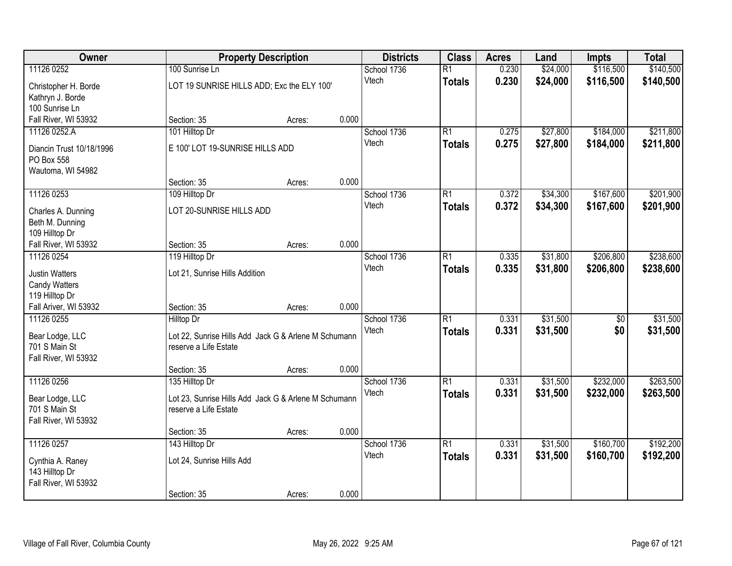| Owner                                                       |                                                                               | <b>Property Description</b> |       | <b>Districts</b> | <b>Class</b>    | <b>Acres</b> | Land     | <b>Impts</b>    | <b>Total</b> |
|-------------------------------------------------------------|-------------------------------------------------------------------------------|-----------------------------|-------|------------------|-----------------|--------------|----------|-----------------|--------------|
| 11126 0252                                                  | 100 Sunrise Ln                                                                |                             |       | School 1736      | $\overline{R1}$ | 0.230        | \$24,000 | \$116,500       | \$140,500    |
| Christopher H. Borde<br>Kathryn J. Borde                    | LOT 19 SUNRISE HILLS ADD; Exc the ELY 100'                                    |                             |       | Vtech            | <b>Totals</b>   | 0.230        | \$24,000 | \$116,500       | \$140,500    |
| 100 Sunrise Ln<br>Fall River, WI 53932                      | Section: 35                                                                   |                             | 0.000 |                  |                 |              |          |                 |              |
| 11126 0252.A                                                | 101 Hilltop Dr                                                                | Acres:                      |       | School 1736      | $\overline{R1}$ | 0.275        | \$27,800 | \$184,000       | \$211,800    |
|                                                             |                                                                               |                             |       | Vtech            |                 | 0.275        | \$27,800 | \$184,000       | \$211,800    |
| Diancin Trust 10/18/1996<br>PO Box 558<br>Wautoma, WI 54982 | E 100' LOT 19-SUNRISE HILLS ADD                                               |                             |       |                  | <b>Totals</b>   |              |          |                 |              |
|                                                             | Section: 35                                                                   | Acres:                      | 0.000 |                  |                 |              |          |                 |              |
| 11126 0253                                                  | 109 Hilltop Dr                                                                |                             |       | School 1736      | $\overline{R1}$ | 0.372        | \$34,300 | \$167,600       | \$201,900    |
| Charles A. Dunning<br>Beth M. Dunning<br>109 Hilltop Dr     | LOT 20-SUNRISE HILLS ADD                                                      |                             |       | Vtech            | <b>Totals</b>   | 0.372        | \$34,300 | \$167,600       | \$201,900    |
| Fall River, WI 53932                                        | Section: 35                                                                   | Acres:                      | 0.000 |                  |                 |              |          |                 |              |
| 11126 0254                                                  | 119 Hilltop Dr                                                                |                             |       | School 1736      | $\overline{R1}$ | 0.335        | \$31,800 | \$206,800       | \$238,600    |
| <b>Justin Watters</b><br>Candy Watters<br>119 Hilltop Dr    | Lot 21, Sunrise Hills Addition                                                |                             |       | Vtech            | <b>Totals</b>   | 0.335        | \$31,800 | \$206,800       | \$238,600    |
| Fall Ariver, WI 53932                                       | Section: 35                                                                   | Acres:                      | 0.000 |                  |                 |              |          |                 |              |
| 11126 0255                                                  | <b>Hilltop Dr</b>                                                             |                             |       | School 1736      | $\overline{R1}$ | 0.331        | \$31,500 | $\overline{50}$ | \$31,500     |
| Bear Lodge, LLC<br>701 S Main St<br>Fall River, WI 53932    | Lot 22, Sunrise Hills Add Jack G & Arlene M Schumann<br>reserve a Life Estate |                             |       | Vtech            | <b>Totals</b>   | 0.331        | \$31,500 | \$0             | \$31,500     |
|                                                             | Section: 35                                                                   | Acres:                      | 0.000 |                  |                 |              |          |                 |              |
| 11126 0256                                                  | 135 Hilltop Dr                                                                |                             |       | School 1736      | $\overline{R1}$ | 0.331        | \$31,500 | \$232,000       | \$263,500    |
| Bear Lodge, LLC<br>701 S Main St<br>Fall River, WI 53932    | Lot 23, Sunrise Hills Add Jack G & Arlene M Schumann<br>reserve a Life Estate |                             |       | Vtech            | <b>Totals</b>   | 0.331        | \$31,500 | \$232,000       | \$263,500    |
|                                                             | Section: 35                                                                   | Acres:                      | 0.000 |                  |                 |              |          |                 |              |
| 11126 0257                                                  | 143 Hilltop Dr                                                                |                             |       | School 1736      | $\overline{R1}$ | 0.331        | \$31,500 | \$160,700       | \$192,200    |
| Cynthia A. Raney<br>143 Hilltop Dr<br>Fall River, WI 53932  | Lot 24, Sunrise Hills Add                                                     |                             |       | Vtech            | <b>Totals</b>   | 0.331        | \$31,500 | \$160,700       | \$192,200    |
|                                                             | Section: 35                                                                   | Acres:                      | 0.000 |                  |                 |              |          |                 |              |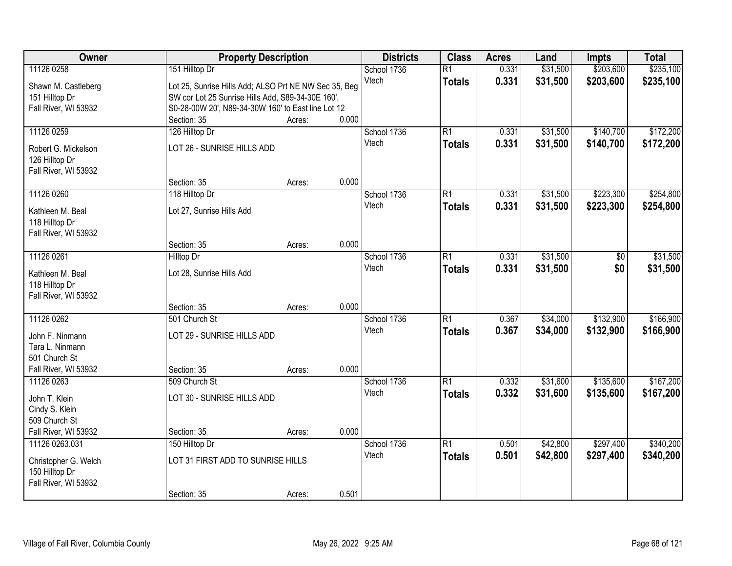| Owner                | <b>Property Description</b>                           |        |       | <b>Districts</b> | <b>Class</b>    | <b>Acres</b> | Land     | <b>Impts</b> | <b>Total</b> |
|----------------------|-------------------------------------------------------|--------|-------|------------------|-----------------|--------------|----------|--------------|--------------|
| 11126 0258           | 151 Hilltop Dr                                        |        |       | School 1736      | $\overline{R1}$ | 0.331        | \$31,500 | \$203,600    | \$235,100    |
| Shawn M. Castleberg  | Lot 25, Sunrise Hills Add; ALSO Prt NE NW Sec 35, Beg |        |       | Vtech            | <b>Totals</b>   | 0.331        | \$31,500 | \$203,600    | \$235,100    |
| 151 Hilltop Dr       | SW cor Lot 25 Sunrise Hills Add, S89-34-30E 160',     |        |       |                  |                 |              |          |              |              |
| Fall River, WI 53932 | S0-28-00W 20', N89-34-30W 160' to East line Lot 12    |        |       |                  |                 |              |          |              |              |
|                      | Section: 35                                           | Acres: | 0.000 |                  |                 |              |          |              |              |
| 11126 0259           | 126 Hilltop Dr                                        |        |       | School 1736      | $\overline{R1}$ | 0.331        | \$31,500 | \$140,700    | \$172,200    |
| Robert G. Mickelson  | LOT 26 - SUNRISE HILLS ADD                            |        |       | Vtech            | <b>Totals</b>   | 0.331        | \$31,500 | \$140,700    | \$172,200    |
| 126 Hilltop Dr       |                                                       |        |       |                  |                 |              |          |              |              |
| Fall River, WI 53932 |                                                       |        |       |                  |                 |              |          |              |              |
|                      | Section: 35                                           | Acres: | 0.000 |                  |                 |              |          |              |              |
| 11126 0260           | 118 Hilltop Dr                                        |        |       | School 1736      | $\overline{R1}$ | 0.331        | \$31,500 | \$223,300    | \$254,800    |
| Kathleen M. Beal     | Lot 27, Sunrise Hills Add                             |        |       | Vtech            | <b>Totals</b>   | 0.331        | \$31,500 | \$223,300    | \$254,800    |
| 118 Hilltop Dr       |                                                       |        |       |                  |                 |              |          |              |              |
| Fall River, WI 53932 |                                                       |        |       |                  |                 |              |          |              |              |
|                      | Section: 35                                           | Acres: | 0.000 |                  |                 |              |          |              |              |
| 11126 0261           | <b>Hilltop Dr</b>                                     |        |       | School 1736      | $\overline{R1}$ | 0.331        | \$31,500 | \$0          | \$31,500     |
| Kathleen M. Beal     | Lot 28, Sunrise Hills Add                             |        |       | Vtech            | <b>Totals</b>   | 0.331        | \$31,500 | \$0          | \$31,500     |
| 118 Hilltop Dr       |                                                       |        |       |                  |                 |              |          |              |              |
| Fall River, WI 53932 |                                                       |        |       |                  |                 |              |          |              |              |
|                      | Section: 35                                           | Acres: | 0.000 |                  |                 |              |          |              |              |
| 11126 0262           | 501 Church St                                         |        |       | School 1736      | $\overline{R1}$ | 0.367        | \$34,000 | \$132,900    | \$166,900    |
| John F. Ninmann      | LOT 29 - SUNRISE HILLS ADD                            |        |       | Vtech            | <b>Totals</b>   | 0.367        | \$34,000 | \$132,900    | \$166,900    |
| Tara L. Ninmann      |                                                       |        |       |                  |                 |              |          |              |              |
| 501 Church St        |                                                       |        |       |                  |                 |              |          |              |              |
| Fall River, WI 53932 | Section: 35                                           | Acres: | 0.000 |                  |                 |              |          |              |              |
| 11126 0263           | 509 Church St                                         |        |       | School 1736      | R1              | 0.332        | \$31,600 | \$135,600    | \$167,200    |
| John T. Klein        | LOT 30 - SUNRISE HILLS ADD                            |        |       | Vtech            | <b>Totals</b>   | 0.332        | \$31,600 | \$135,600    | \$167,200    |
| Cindy S. Klein       |                                                       |        |       |                  |                 |              |          |              |              |
| 509 Church St        |                                                       |        |       |                  |                 |              |          |              |              |
| Fall River, WI 53932 | Section: 35                                           | Acres: | 0.000 |                  |                 |              |          |              |              |
| 11126 0263.031       | 150 Hilltop Dr                                        |        |       | School 1736      | $\overline{R1}$ | 0.501        | \$42,800 | \$297,400    | \$340,200    |
| Christopher G. Welch | LOT 31 FIRST ADD TO SUNRISE HILLS                     |        |       | Vtech            | <b>Totals</b>   | 0.501        | \$42,800 | \$297,400    | \$340,200    |
| 150 Hilltop Dr       |                                                       |        |       |                  |                 |              |          |              |              |
| Fall River, WI 53932 |                                                       |        |       |                  |                 |              |          |              |              |
|                      | Section: 35                                           | Acres: | 0.501 |                  |                 |              |          |              |              |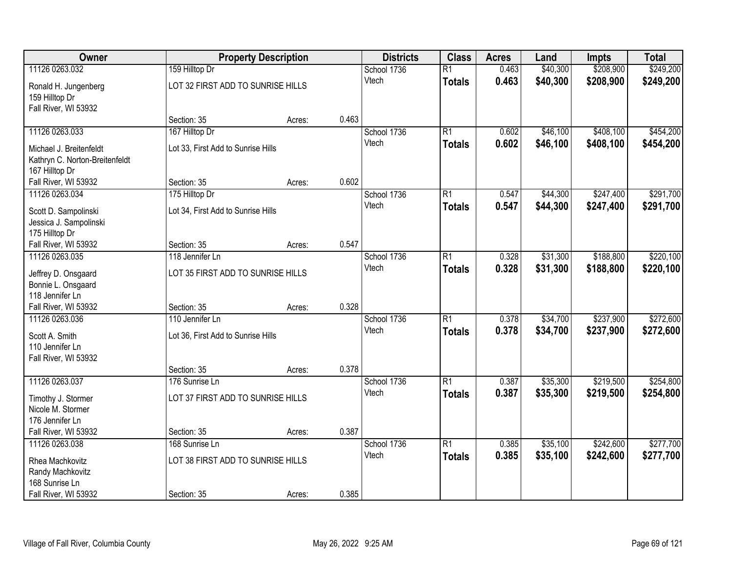| Owner                                                                       |                                    | <b>Property Description</b> |       | <b>Districts</b> | <b>Class</b>    | <b>Acres</b> | Land     | <b>Impts</b> | <b>Total</b> |
|-----------------------------------------------------------------------------|------------------------------------|-----------------------------|-------|------------------|-----------------|--------------|----------|--------------|--------------|
| 11126 0263.032                                                              | 159 Hilltop Dr                     |                             |       | School 1736      | $\overline{R1}$ | 0.463        | \$40,300 | \$208,900    | \$249,200    |
| Ronald H. Jungenberg<br>159 Hilltop Dr<br>Fall River, WI 53932              | LOT 32 FIRST ADD TO SUNRISE HILLS  |                             |       | Vtech            | <b>Totals</b>   | 0.463        | \$40,300 | \$208,900    | \$249,200    |
|                                                                             | Section: 35                        | Acres:                      | 0.463 |                  |                 |              |          |              |              |
| 11126 0263.033                                                              | 167 Hilltop Dr                     |                             |       | School 1736      | $\overline{R1}$ | 0.602        | \$46,100 | \$408,100    | \$454,200    |
| Michael J. Breitenfeldt<br>Kathryn C. Norton-Breitenfeldt<br>167 Hilltop Dr | Lot 33, First Add to Sunrise Hills |                             |       | Vtech            | <b>Totals</b>   | 0.602        | \$46,100 | \$408,100    | \$454,200    |
| Fall River, WI 53932                                                        | Section: 35                        | Acres:                      | 0.602 |                  |                 |              |          |              |              |
| 11126 0263.034                                                              | 175 Hilltop Dr                     |                             |       | School 1736      | $\overline{R1}$ | 0.547        | \$44,300 | \$247,400    | \$291,700    |
| Scott D. Sampolinski<br>Jessica J. Sampolinski<br>175 Hilltop Dr            | Lot 34, First Add to Sunrise Hills |                             |       | Vtech            | <b>Totals</b>   | 0.547        | \$44,300 | \$247,400    | \$291,700    |
| Fall River, WI 53932                                                        | Section: 35                        | Acres:                      | 0.547 |                  |                 |              |          |              |              |
| 11126 0263.035                                                              | 118 Jennifer Ln                    |                             |       | School 1736      | $\overline{R1}$ | 0.328        | \$31,300 | \$188,800    | \$220,100    |
| Jeffrey D. Onsgaard<br>Bonnie L. Onsgaard<br>118 Jennifer Ln                | LOT 35 FIRST ADD TO SUNRISE HILLS  |                             |       | Vtech            | <b>Totals</b>   | 0.328        | \$31,300 | \$188,800    | \$220,100    |
| Fall River, WI 53932                                                        | Section: 35                        | Acres:                      | 0.328 |                  |                 |              |          |              |              |
| 11126 0263.036                                                              | 110 Jennifer Ln                    |                             |       | School 1736      | $\overline{R1}$ | 0.378        | \$34,700 | \$237,900    | \$272,600    |
| Scott A. Smith<br>110 Jennifer Ln<br>Fall River, WI 53932                   | Lot 36, First Add to Sunrise Hills |                             |       | Vtech            | <b>Totals</b>   | 0.378        | \$34,700 | \$237,900    | \$272,600    |
|                                                                             | Section: 35                        | Acres:                      | 0.378 |                  |                 |              |          |              |              |
| 11126 0263.037                                                              | 176 Sunrise Ln                     |                             |       | School 1736      | $\overline{R1}$ | 0.387        | \$35,300 | \$219,500    | \$254,800    |
| Timothy J. Stormer<br>Nicole M. Stormer<br>176 Jennifer Ln                  | LOT 37 FIRST ADD TO SUNRISE HILLS  |                             |       | Vtech            | <b>Totals</b>   | 0.387        | \$35,300 | \$219,500    | \$254,800    |
| Fall River, WI 53932                                                        | Section: 35                        | Acres:                      | 0.387 |                  |                 |              |          |              |              |
| 11126 0263.038                                                              | 168 Sunrise Ln                     |                             |       | School 1736      | $\overline{R1}$ | 0.385        | \$35,100 | \$242,600    | \$277,700    |
| Rhea Machkovitz<br>Randy Machkovitz<br>168 Sunrise Ln                       | LOT 38 FIRST ADD TO SUNRISE HILLS  |                             |       | Vtech            | <b>Totals</b>   | 0.385        | \$35,100 | \$242,600    | \$277,700    |
| Fall River, WI 53932                                                        | Section: 35                        | Acres:                      | 0.385 |                  |                 |              |          |              |              |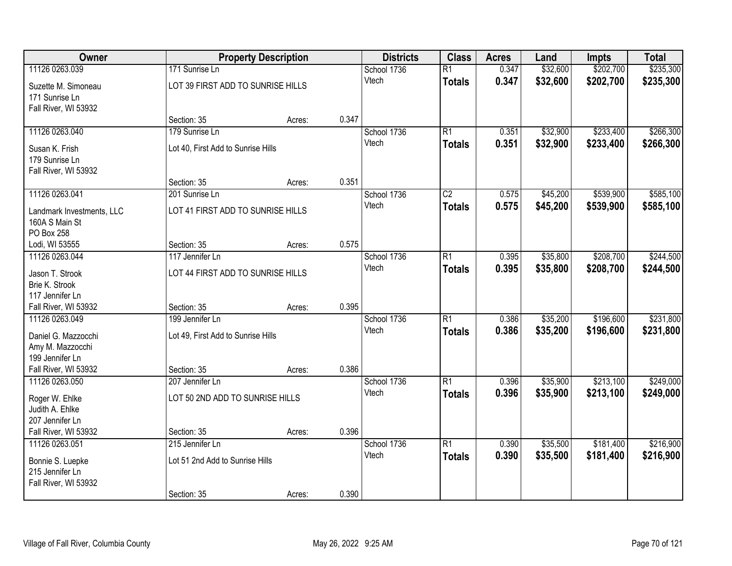| Owner                                 |                                    | <b>Property Description</b> |       | <b>Districts</b> | <b>Class</b>    | <b>Acres</b> | Land     | <b>Impts</b> | <b>Total</b> |
|---------------------------------------|------------------------------------|-----------------------------|-------|------------------|-----------------|--------------|----------|--------------|--------------|
| 11126 0263.039                        | 171 Sunrise Ln                     |                             |       | School 1736      | $\overline{R1}$ | 0.347        | \$32,600 | \$202,700    | \$235,300    |
| Suzette M. Simoneau<br>171 Sunrise Ln | LOT 39 FIRST ADD TO SUNRISE HILLS  |                             |       | Vtech            | <b>Totals</b>   | 0.347        | \$32,600 | \$202,700    | \$235,300    |
| Fall River, WI 53932                  | Section: 35                        | Acres:                      | 0.347 |                  |                 |              |          |              |              |
| 11126 0263.040                        | 179 Sunrise Ln                     |                             |       | School 1736      | $\overline{R1}$ | 0.351        | \$32,900 | \$233,400    | \$266,300    |
|                                       |                                    |                             |       | Vtech            | <b>Totals</b>   | 0.351        | \$32,900 | \$233,400    | \$266,300    |
| Susan K. Frish<br>179 Sunrise Ln      | Lot 40, First Add to Sunrise Hills |                             |       |                  |                 |              |          |              |              |
| Fall River, WI 53932                  |                                    |                             |       |                  |                 |              |          |              |              |
|                                       | Section: 35                        | Acres:                      | 0.351 |                  |                 |              |          |              |              |
| 11126 0263.041                        | 201 Sunrise Ln                     |                             |       | School 1736      | $\overline{C2}$ | 0.575        | \$45,200 | \$539,900    | \$585,100    |
| Landmark Investments, LLC             | LOT 41 FIRST ADD TO SUNRISE HILLS  |                             |       | Vtech            | <b>Totals</b>   | 0.575        | \$45,200 | \$539,900    | \$585,100    |
| 160A S Main St                        |                                    |                             |       |                  |                 |              |          |              |              |
| PO Box 258                            |                                    |                             |       |                  |                 |              |          |              |              |
| Lodi, WI 53555                        | Section: 35                        | Acres:                      | 0.575 |                  |                 |              |          |              |              |
| 11126 0263.044                        | 117 Jennifer Ln                    |                             |       | School 1736      | $\overline{R1}$ | 0.395        | \$35,800 | \$208,700    | \$244,500    |
| Jason T. Strook                       | LOT 44 FIRST ADD TO SUNRISE HILLS  |                             |       | Vtech            | <b>Totals</b>   | 0.395        | \$35,800 | \$208,700    | \$244,500    |
| Brie K. Strook                        |                                    |                             |       |                  |                 |              |          |              |              |
| 117 Jennifer Ln                       |                                    |                             |       |                  |                 |              |          |              |              |
| Fall River, WI 53932                  | Section: 35                        | Acres:                      | 0.395 |                  |                 |              |          |              |              |
| 11126 0263.049                        | 199 Jennifer Ln                    |                             |       | School 1736      | $\overline{R1}$ | 0.386        | \$35,200 | \$196,600    | \$231,800    |
| Daniel G. Mazzocchi                   | Lot 49, First Add to Sunrise Hills |                             |       | Vtech            | <b>Totals</b>   | 0.386        | \$35,200 | \$196,600    | \$231,800    |
| Amy M. Mazzocchi                      |                                    |                             |       |                  |                 |              |          |              |              |
| 199 Jennifer Ln                       |                                    |                             |       |                  |                 |              |          |              |              |
| Fall River, WI 53932                  | Section: 35                        | Acres:                      | 0.386 |                  |                 |              |          |              |              |
| 11126 0263.050                        | 207 Jennifer Ln                    |                             |       | School 1736      | $\overline{R1}$ | 0.396        | \$35,900 | \$213,100    | \$249,000    |
| Roger W. Ehlke                        | LOT 50 2ND ADD TO SUNRISE HILLS    |                             |       | Vtech            | <b>Totals</b>   | 0.396        | \$35,900 | \$213,100    | \$249,000    |
| Judith A. Ehlke                       |                                    |                             |       |                  |                 |              |          |              |              |
| 207 Jennifer Ln                       |                                    |                             |       |                  |                 |              |          |              |              |
| Fall River, WI 53932                  | Section: 35                        | Acres:                      | 0.396 |                  |                 |              |          |              |              |
| 11126 0263.051                        | 215 Jennifer Ln                    |                             |       | School 1736      | $\overline{R1}$ | 0.390        | \$35,500 | \$181,400    | \$216,900    |
| Bonnie S. Luepke                      | Lot 51 2nd Add to Sunrise Hills    |                             |       | Vtech            | <b>Totals</b>   | 0.390        | \$35,500 | \$181,400    | \$216,900    |
| 215 Jennifer Ln                       |                                    |                             |       |                  |                 |              |          |              |              |
| Fall River, WI 53932                  |                                    |                             |       |                  |                 |              |          |              |              |
|                                       | Section: 35                        | Acres:                      | 0.390 |                  |                 |              |          |              |              |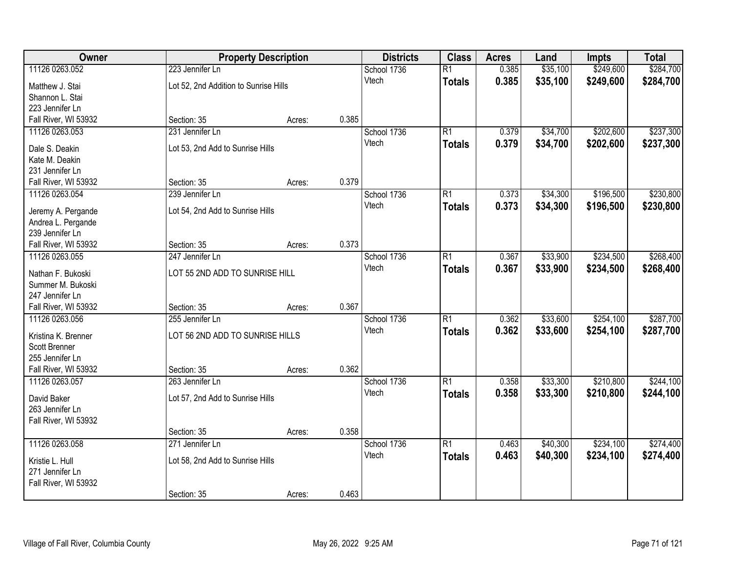| Owner                                                                     | <b>Property Description</b>                              | <b>Districts</b> | <b>Class</b> | <b>Acres</b>         | Land                             | <b>Impts</b>   | <b>Total</b>         |                        |                        |
|---------------------------------------------------------------------------|----------------------------------------------------------|------------------|--------------|----------------------|----------------------------------|----------------|----------------------|------------------------|------------------------|
| 11126 0263.052<br>Matthew J. Stai                                         | 223 Jennifer Ln<br>Lot 52, 2nd Addition to Sunrise Hills |                  |              | School 1736<br>Vtech | $\overline{R1}$<br><b>Totals</b> | 0.385<br>0.385 | \$35,100<br>\$35,100 | \$249,600<br>\$249,600 | \$284,700<br>\$284,700 |
| Shannon L. Stai<br>223 Jennifer Ln                                        |                                                          |                  |              |                      |                                  |                |                      |                        |                        |
| Fall River, WI 53932                                                      | Section: 35                                              | Acres:           | 0.385        |                      |                                  |                |                      |                        |                        |
| 11126 0263.053                                                            | 231 Jennifer Ln                                          |                  |              | School 1736          | $\overline{R1}$                  | 0.379          | \$34,700             | \$202,600              | \$237,300              |
| Dale S. Deakin<br>Kate M. Deakin<br>231 Jennifer Ln                       | Lot 53, 2nd Add to Sunrise Hills                         |                  |              | Vtech                | <b>Totals</b>                    | 0.379          | \$34,700             | \$202,600              | \$237,300              |
| Fall River, WI 53932                                                      | Section: 35                                              | Acres:           | 0.379        |                      |                                  |                |                      |                        |                        |
| 11126 0263.054                                                            | 239 Jennifer Ln                                          |                  |              | School 1736          | $\overline{R1}$                  | 0.373          | \$34,300             | \$196,500              | \$230,800              |
| Jeremy A. Pergande<br>Andrea L. Pergande<br>239 Jennifer Ln               | Lot 54, 2nd Add to Sunrise Hills                         |                  |              | Vtech                | <b>Totals</b>                    | 0.373          | \$34,300             | \$196,500              | \$230,800              |
| Fall River, WI 53932                                                      | Section: 35                                              | Acres:           | 0.373        |                      |                                  |                |                      |                        |                        |
| 11126 0263.055                                                            | 247 Jennifer Ln                                          |                  |              | School 1736          | $\overline{R1}$                  | 0.367          | \$33,900             | \$234,500              | \$268,400              |
| Nathan F. Bukoski<br>Summer M. Bukoski<br>247 Jennifer Ln                 | LOT 55 2ND ADD TO SUNRISE HILL                           |                  |              | Vtech                | <b>Totals</b>                    | 0.367          | \$33,900             | \$234,500              | \$268,400              |
| Fall River, WI 53932                                                      | Section: 35                                              | Acres:           | 0.367        |                      |                                  |                |                      |                        |                        |
| 11126 0263.056<br>Kristina K. Brenner<br>Scott Brenner<br>255 Jennifer Ln | 255 Jennifer Ln<br>LOT 56 2ND ADD TO SUNRISE HILLS       |                  |              | School 1736<br>Vtech | $\overline{R1}$<br><b>Totals</b> | 0.362<br>0.362 | \$33,600<br>\$33,600 | \$254,100<br>\$254,100 | \$287,700<br>\$287,700 |
| Fall River, WI 53932                                                      | Section: 35                                              | Acres:           | 0.362        |                      |                                  |                |                      |                        |                        |
| 11126 0263.057                                                            | 263 Jennifer Ln                                          |                  |              | School 1736          | $\overline{R1}$                  | 0.358          | \$33,300             | \$210,800              | \$244,100              |
| David Baker<br>263 Jennifer Ln<br>Fall River, WI 53932                    | Lot 57, 2nd Add to Sunrise Hills                         |                  |              | Vtech                | <b>Totals</b>                    | 0.358          | \$33,300             | \$210,800              | \$244,100              |
|                                                                           | Section: 35                                              | Acres:           | 0.358        |                      |                                  |                |                      |                        |                        |
| 11126 0263.058                                                            | 271 Jennifer Ln                                          |                  |              | School 1736          | $\overline{R1}$                  | 0.463          | \$40,300             | \$234,100              | \$274,400              |
| Kristie L. Hull<br>271 Jennifer Ln<br>Fall River, WI 53932                | Lot 58, 2nd Add to Sunrise Hills                         |                  |              | Vtech                | <b>Totals</b>                    | 0.463          | \$40,300             | \$234,100              | \$274,400              |
|                                                                           | Section: 35                                              | Acres:           | 0.463        |                      |                                  |                |                      |                        |                        |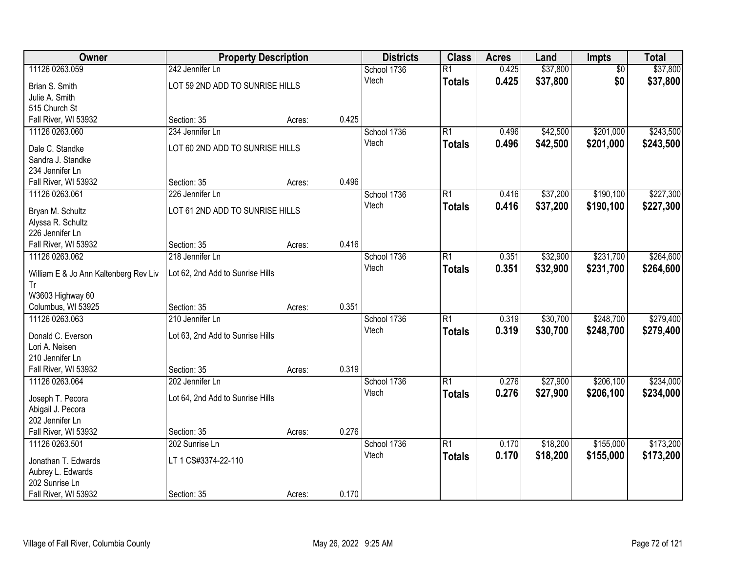| Owner                                       |                                  | <b>Property Description</b> |       | <b>Districts</b> | <b>Class</b>    | <b>Acres</b> | Land     | Impts           | <b>Total</b> |
|---------------------------------------------|----------------------------------|-----------------------------|-------|------------------|-----------------|--------------|----------|-----------------|--------------|
| 11126 0263.059                              | 242 Jennifer Ln                  |                             |       | School 1736      | $\overline{R1}$ | 0.425        | \$37,800 | $\overline{50}$ | \$37,800     |
| Brian S. Smith                              | LOT 59 2ND ADD TO SUNRISE HILLS  |                             |       | Vtech            | <b>Totals</b>   | 0.425        | \$37,800 | \$0             | \$37,800     |
| Julie A. Smith                              |                                  |                             |       |                  |                 |              |          |                 |              |
| 515 Church St                               |                                  |                             |       |                  |                 |              |          |                 |              |
| Fall River, WI 53932                        | Section: 35                      | Acres:                      | 0.425 |                  |                 |              |          |                 |              |
| 11126 0263.060                              | 234 Jennifer Ln                  |                             |       | School 1736      | $\overline{R1}$ | 0.496        | \$42,500 | \$201,000       | \$243,500    |
|                                             |                                  |                             |       | Vtech            | <b>Totals</b>   | 0.496        | \$42,500 | \$201,000       | \$243,500    |
| Dale C. Standke                             | LOT 60 2ND ADD TO SUNRISE HILLS  |                             |       |                  |                 |              |          |                 |              |
| Sandra J. Standke                           |                                  |                             |       |                  |                 |              |          |                 |              |
| 234 Jennifer Ln                             |                                  |                             | 0.496 |                  |                 |              |          |                 |              |
| Fall River, WI 53932                        | Section: 35                      | Acres:                      |       |                  |                 |              |          |                 |              |
| 11126 0263.061                              | 226 Jennifer Ln                  |                             |       | School 1736      | $\overline{R1}$ | 0.416        | \$37,200 | \$190,100       | \$227,300    |
| Bryan M. Schultz                            | LOT 61 2ND ADD TO SUNRISE HILLS  |                             |       | Vtech            | <b>Totals</b>   | 0.416        | \$37,200 | \$190,100       | \$227,300    |
| Alyssa R. Schultz                           |                                  |                             |       |                  |                 |              |          |                 |              |
| 226 Jennifer Ln                             |                                  |                             |       |                  |                 |              |          |                 |              |
| Fall River, WI 53932                        | Section: 35                      | Acres:                      | 0.416 |                  |                 |              |          |                 |              |
| 11126 0263.062                              | 218 Jennifer Ln                  |                             |       | School 1736      | $\overline{R1}$ | 0.351        | \$32,900 | \$231,700       | \$264,600    |
|                                             | Lot 62, 2nd Add to Sunrise Hills |                             |       | Vtech            | <b>Totals</b>   | 0.351        | \$32,900 | \$231,700       | \$264,600    |
| William E & Jo Ann Kaltenberg Rev Liv<br>Tr |                                  |                             |       |                  |                 |              |          |                 |              |
| W3603 Highway 60                            |                                  |                             |       |                  |                 |              |          |                 |              |
| Columbus, WI 53925                          | Section: 35                      | Acres:                      | 0.351 |                  |                 |              |          |                 |              |
| 11126 0263.063                              | 210 Jennifer Ln                  |                             |       | School 1736      | $\overline{R1}$ | 0.319        | \$30,700 | \$248,700       | \$279,400    |
|                                             |                                  |                             |       | Vtech            |                 | 0.319        | \$30,700 | \$248,700       | \$279,400    |
| Donald C. Everson                           | Lot 63, 2nd Add to Sunrise Hills |                             |       |                  | <b>Totals</b>   |              |          |                 |              |
| Lori A. Neisen                              |                                  |                             |       |                  |                 |              |          |                 |              |
| 210 Jennifer Ln                             |                                  |                             |       |                  |                 |              |          |                 |              |
| Fall River, WI 53932                        | Section: 35                      | Acres:                      | 0.319 |                  |                 |              |          |                 |              |
| 11126 0263.064                              | 202 Jennifer Ln                  |                             |       | School 1736      | $\overline{R1}$ | 0.276        | \$27,900 | \$206,100       | \$234,000    |
| Joseph T. Pecora                            | Lot 64, 2nd Add to Sunrise Hills |                             |       | Vtech            | <b>Totals</b>   | 0.276        | \$27,900 | \$206,100       | \$234,000    |
| Abigail J. Pecora                           |                                  |                             |       |                  |                 |              |          |                 |              |
| 202 Jennifer Ln                             |                                  |                             |       |                  |                 |              |          |                 |              |
| Fall River, WI 53932                        | Section: 35                      | Acres:                      | 0.276 |                  |                 |              |          |                 |              |
| 11126 0263.501                              | 202 Sunrise Ln                   |                             |       | School 1736      | $\overline{R1}$ | 0.170        | \$18,200 | \$155,000       | \$173,200    |
|                                             |                                  |                             |       | Vtech            | <b>Totals</b>   | 0.170        | \$18,200 | \$155,000       | \$173,200    |
| Jonathan T. Edwards                         | LT 1 CS#3374-22-110              |                             |       |                  |                 |              |          |                 |              |
| Aubrey L. Edwards                           |                                  |                             |       |                  |                 |              |          |                 |              |
| 202 Sunrise Ln                              |                                  |                             |       |                  |                 |              |          |                 |              |
| Fall River, WI 53932                        | Section: 35                      | Acres:                      | 0.170 |                  |                 |              |          |                 |              |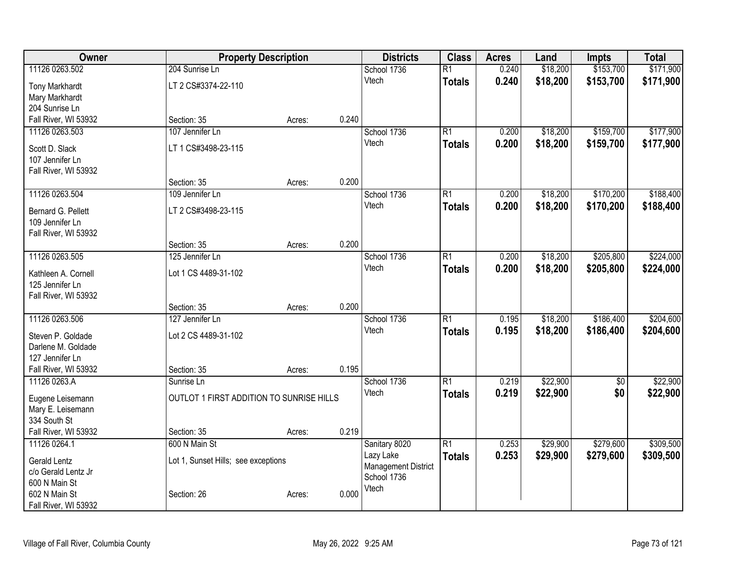| <b>Owner</b>                          | <b>Property Description</b>              |                 | <b>Districts</b>                          | <b>Class</b>    | <b>Acres</b> | Land     | <b>Impts</b>    | <b>Total</b> |
|---------------------------------------|------------------------------------------|-----------------|-------------------------------------------|-----------------|--------------|----------|-----------------|--------------|
| 11126 0263.502                        | 204 Sunrise Ln                           |                 | School 1736                               | $\overline{R1}$ | 0.240        | \$18,200 | \$153,700       | \$171,900    |
| <b>Tony Markhardt</b>                 | LT 2 CS#3374-22-110                      |                 | Vtech                                     | <b>Totals</b>   | 0.240        | \$18,200 | \$153,700       | \$171,900    |
| Mary Markhardt                        |                                          |                 |                                           |                 |              |          |                 |              |
| 204 Sunrise Ln                        |                                          |                 |                                           |                 |              |          |                 |              |
| Fall River, WI 53932                  | Section: 35                              | 0.240<br>Acres: |                                           |                 |              |          |                 |              |
| 11126 0263.503                        | 107 Jennifer Ln                          |                 | School 1736                               | R1              | 0.200        | \$18,200 | \$159,700       | \$177,900    |
| Scott D. Slack                        | LT 1 CS#3498-23-115                      |                 | Vtech                                     | <b>Totals</b>   | 0.200        | \$18,200 | \$159,700       | \$177,900    |
| 107 Jennifer Ln                       |                                          |                 |                                           |                 |              |          |                 |              |
| Fall River, WI 53932                  |                                          |                 |                                           |                 |              |          |                 |              |
|                                       | Section: 35                              | 0.200<br>Acres: |                                           |                 |              |          |                 |              |
| 11126 0263.504                        | 109 Jennifer Ln                          |                 | School 1736                               | $\overline{R1}$ | 0.200        | \$18,200 | \$170,200       | \$188,400    |
|                                       |                                          |                 | Vtech                                     | <b>Totals</b>   | 0.200        | \$18,200 | \$170,200       | \$188,400    |
| Bernard G. Pellett<br>109 Jennifer Ln | LT 2 CS#3498-23-115                      |                 |                                           |                 |              |          |                 |              |
| Fall River, WI 53932                  |                                          |                 |                                           |                 |              |          |                 |              |
|                                       | Section: 35                              | 0.200<br>Acres: |                                           |                 |              |          |                 |              |
| 11126 0263.505                        | 125 Jennifer Ln                          |                 | School 1736                               | $\overline{R1}$ | 0.200        | \$18,200 | \$205,800       | \$224,000    |
|                                       |                                          |                 | Vtech                                     | <b>Totals</b>   | 0.200        | \$18,200 | \$205,800       | \$224,000    |
| Kathleen A. Cornell                   | Lot 1 CS 4489-31-102                     |                 |                                           |                 |              |          |                 |              |
| 125 Jennifer Ln                       |                                          |                 |                                           |                 |              |          |                 |              |
| Fall River, WI 53932                  | Section: 35                              | 0.200           |                                           |                 |              |          |                 |              |
| 11126 0263.506                        | 127 Jennifer Ln                          | Acres:          | School 1736                               | $\overline{R1}$ | 0.195        | \$18,200 | \$186,400       | \$204,600    |
|                                       |                                          |                 | Vtech                                     | <b>Totals</b>   | 0.195        | \$18,200 | \$186,400       | \$204,600    |
| Steven P. Goldade                     | Lot 2 CS 4489-31-102                     |                 |                                           |                 |              |          |                 |              |
| Darlene M. Goldade                    |                                          |                 |                                           |                 |              |          |                 |              |
| 127 Jennifer Ln                       |                                          |                 |                                           |                 |              |          |                 |              |
| Fall River, WI 53932                  | Section: 35                              | 0.195<br>Acres: |                                           |                 |              |          |                 |              |
| 11126 0263.A                          | Sunrise Ln                               |                 | School 1736                               | $\overline{R1}$ | 0.219        | \$22,900 | $\overline{50}$ | \$22,900     |
| Eugene Leisemann                      | OUTLOT 1 FIRST ADDITION TO SUNRISE HILLS |                 | Vtech                                     | Totals          | 0.219        | \$22,900 | \$0             | \$22,900     |
| Mary E. Leisemann                     |                                          |                 |                                           |                 |              |          |                 |              |
| 334 South St                          |                                          |                 |                                           |                 |              |          |                 |              |
| Fall River, WI 53932                  | Section: 35                              | 0.219<br>Acres: |                                           |                 |              |          |                 |              |
| 11126 0264.1                          | 600 N Main St                            |                 | Sanitary 8020                             | $\overline{R1}$ | 0.253        | \$29,900 | \$279,600       | \$309,500    |
| <b>Gerald Lentz</b>                   | Lot 1, Sunset Hills; see exceptions      |                 | Lazy Lake                                 | <b>Totals</b>   | 0.253        | \$29,900 | \$279,600       | \$309,500    |
| c/o Gerald Lentz Jr                   |                                          |                 | <b>Management District</b><br>School 1736 |                 |              |          |                 |              |
| 600 N Main St                         |                                          |                 | Vtech                                     |                 |              |          |                 |              |
| 602 N Main St                         | Section: 26                              | 0.000<br>Acres: |                                           |                 |              |          |                 |              |
| Fall River, WI 53932                  |                                          |                 |                                           |                 |              |          |                 |              |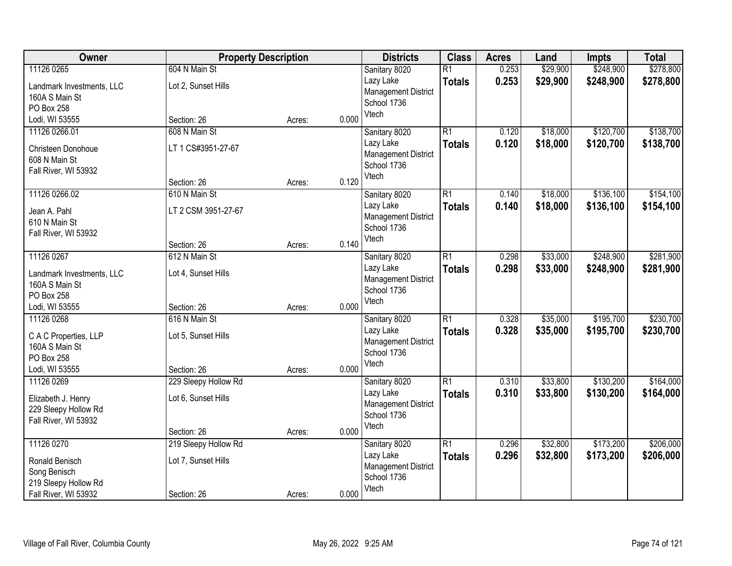| Owner                                       |                      | <b>Property Description</b> |       | <b>Districts</b>           | <b>Class</b>    | <b>Acres</b>   | Land                 | <b>Impts</b> | <b>Total</b> |
|---------------------------------------------|----------------------|-----------------------------|-------|----------------------------|-----------------|----------------|----------------------|--------------|--------------|
| 11126 0265                                  | 604 N Main St        |                             |       | Sanitary 8020              | $\overline{R1}$ | 0.253          | \$29,900             | \$248,900    | \$278,800    |
| Landmark Investments, LLC                   | Lot 2, Sunset Hills  |                             |       | Lazy Lake                  | <b>Totals</b>   | 0.253          | \$29,900             | \$248,900    | \$278,800    |
| 160A S Main St                              |                      |                             |       | <b>Management District</b> |                 |                |                      |              |              |
| PO Box 258                                  |                      |                             |       | School 1736                |                 |                |                      |              |              |
| Lodi, WI 53555                              | Section: 26          | Acres:                      | 0.000 | Vtech                      |                 |                |                      |              |              |
| 11126 0266.01                               | 608 N Main St        |                             |       | Sanitary 8020              | $\overline{R1}$ | 0.120          | \$18,000             | \$120,700    | \$138,700    |
| Christeen Donohoue                          | LT 1 CS#3951-27-67   |                             |       | Lazy Lake                  | <b>Totals</b>   | 0.120          | \$18,000             | \$120,700    | \$138,700    |
| 608 N Main St                               |                      |                             |       | <b>Management District</b> |                 |                |                      |              |              |
| Fall River, WI 53932                        |                      |                             |       | School 1736                |                 |                |                      |              |              |
|                                             | Section: 26          | Acres:                      | 0.120 | Vtech                      |                 |                |                      |              |              |
| 11126 0266.02                               | 610 N Main St        |                             |       | Sanitary 8020              | $\overline{R1}$ | 0.140          | \$18,000             | \$136,100    | \$154,100    |
| Jean A. Pahl                                | LT 2 CSM 3951-27-67  |                             |       | Lazy Lake                  | <b>Totals</b>   | 0.140          | \$18,000             | \$136,100    | \$154,100    |
| 610 N Main St                               |                      |                             |       | <b>Management District</b> |                 |                |                      |              |              |
| Fall River, WI 53932                        |                      |                             |       | School 1736                |                 |                |                      |              |              |
|                                             | Section: 26          | Acres:                      | 0.140 | Vtech                      |                 |                |                      |              |              |
| 11126 0267                                  | 612 N Main St        |                             |       | Sanitary 8020              | $\overline{R1}$ | 0.298          | \$33,000             | \$248,900    | \$281,900    |
|                                             |                      |                             |       | Lazy Lake                  | <b>Totals</b>   | 0.298          | \$33,000             | \$248,900    | \$281,900    |
| Landmark Investments, LLC<br>160A S Main St | Lot 4, Sunset Hills  |                             |       | <b>Management District</b> |                 |                |                      |              |              |
| PO Box 258                                  |                      |                             |       | School 1736                |                 |                |                      |              |              |
| Lodi, WI 53555                              | Section: 26          | Acres:                      | 0.000 | Vtech                      |                 |                |                      |              |              |
| 11126 0268                                  | 616 N Main St        |                             |       | Sanitary 8020              | $\overline{R1}$ | 0.328          | \$35,000             | \$195,700    | \$230,700    |
|                                             |                      |                             |       | Lazy Lake                  | <b>Totals</b>   | 0.328          | \$35,000             | \$195,700    | \$230,700    |
| C A C Properties, LLP                       | Lot 5, Sunset Hills  |                             |       | <b>Management District</b> |                 |                |                      |              |              |
| 160A S Main St                              |                      |                             |       | School 1736                |                 |                |                      |              |              |
| PO Box 258                                  |                      |                             |       | Vtech                      |                 |                |                      |              |              |
| Lodi, WI 53555                              | Section: 26          | Acres:                      | 0.000 |                            | R1              |                |                      |              |              |
| 11126 0269                                  | 229 Sleepy Hollow Rd |                             |       | Sanitary 8020<br>Lazy Lake |                 | 0.310<br>0.310 | \$33,800<br>\$33,800 | \$130,200    | \$164,000    |
| Elizabeth J. Henry                          | Lot 6, Sunset Hills  |                             |       | <b>Management District</b> | <b>Totals</b>   |                |                      | \$130,200    | \$164,000    |
| 229 Sleepy Hollow Rd                        |                      |                             |       | School 1736                |                 |                |                      |              |              |
| Fall River, WI 53932                        |                      |                             |       | Vtech                      |                 |                |                      |              |              |
|                                             | Section: 26          | Acres:                      | 0.000 |                            |                 |                |                      |              |              |
| 11126 0270                                  | 219 Sleepy Hollow Rd |                             |       | Sanitary 8020              | $\overline{R1}$ | 0.296          | \$32,800             | \$173,200    | \$206,000    |
| Ronald Benisch                              | Lot 7, Sunset Hills  |                             |       | Lazy Lake                  | <b>Totals</b>   | 0.296          | \$32,800             | \$173,200    | \$206,000    |
| Song Benisch                                |                      |                             |       | <b>Management District</b> |                 |                |                      |              |              |
| 219 Sleepy Hollow Rd                        |                      |                             |       | School 1736                |                 |                |                      |              |              |
| Fall River, WI 53932                        | Section: 26          | Acres:                      | 0.000 | Vtech                      |                 |                |                      |              |              |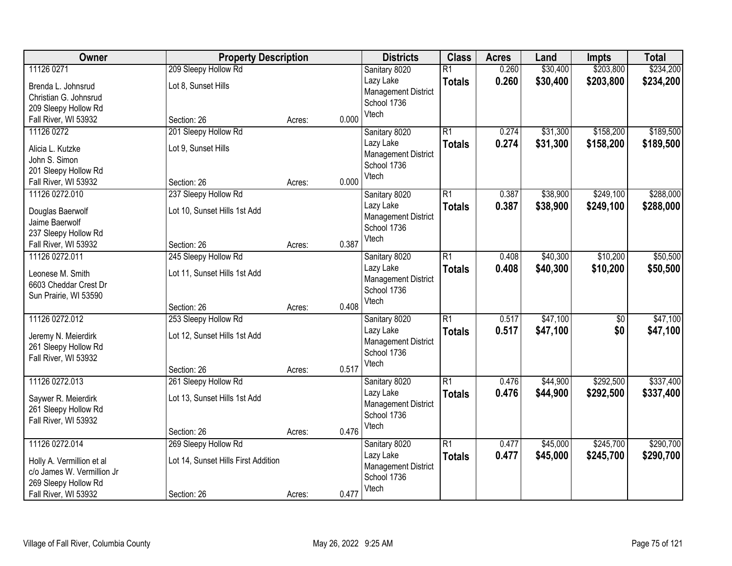| Owner                      | <b>Property Description</b>         |        |       | <b>Districts</b>           | <b>Class</b>    | <b>Acres</b> | Land     | <b>Impts</b> | <b>Total</b> |
|----------------------------|-------------------------------------|--------|-------|----------------------------|-----------------|--------------|----------|--------------|--------------|
| 11126 0271                 | 209 Sleepy Hollow Rd                |        |       | Sanitary 8020              | $\overline{R1}$ | 0.260        | \$30,400 | \$203,800    | \$234,200    |
| Brenda L. Johnsrud         | Lot 8, Sunset Hills                 |        |       | Lazy Lake                  | <b>Totals</b>   | 0.260        | \$30,400 | \$203,800    | \$234,200    |
| Christian G. Johnsrud      |                                     |        |       | <b>Management District</b> |                 |              |          |              |              |
| 209 Sleepy Hollow Rd       |                                     |        |       | School 1736                |                 |              |          |              |              |
| Fall River, WI 53932       | Section: 26                         | Acres: | 0.000 | Vtech                      |                 |              |          |              |              |
| 11126 0272                 | 201 Sleepy Hollow Rd                |        |       | Sanitary 8020              | $\overline{R1}$ | 0.274        | \$31,300 | \$158,200    | \$189,500    |
| Alicia L. Kutzke           | Lot 9, Sunset Hills                 |        |       | Lazy Lake                  | <b>Totals</b>   | 0.274        | \$31,300 | \$158,200    | \$189,500    |
| John S. Simon              |                                     |        |       | <b>Management District</b> |                 |              |          |              |              |
| 201 Sleepy Hollow Rd       |                                     |        |       | School 1736<br>Vtech       |                 |              |          |              |              |
| Fall River, WI 53932       | Section: 26                         | Acres: | 0.000 |                            |                 |              |          |              |              |
| 11126 0272.010             | 237 Sleepy Hollow Rd                |        |       | Sanitary 8020              | $\overline{R1}$ | 0.387        | \$38,900 | \$249,100    | \$288,000    |
| Douglas Baerwolf           | Lot 10, Sunset Hills 1st Add        |        |       | Lazy Lake                  | <b>Totals</b>   | 0.387        | \$38,900 | \$249,100    | \$288,000    |
| Jaime Baerwolf             |                                     |        |       | <b>Management District</b> |                 |              |          |              |              |
| 237 Sleepy Hollow Rd       |                                     |        |       | School 1736                |                 |              |          |              |              |
| Fall River, WI 53932       | Section: 26                         | Acres: | 0.387 | Vtech                      |                 |              |          |              |              |
| 11126 0272.011             | 245 Sleepy Hollow Rd                |        |       | Sanitary 8020              | $\overline{R1}$ | 0.408        | \$40,300 | \$10,200     | \$50,500     |
| Leonese M. Smith           | Lot 11, Sunset Hills 1st Add        |        |       | Lazy Lake                  | <b>Totals</b>   | 0.408        | \$40,300 | \$10,200     | \$50,500     |
| 6603 Cheddar Crest Dr      |                                     |        |       | <b>Management District</b> |                 |              |          |              |              |
| Sun Prairie, WI 53590      |                                     |        |       | School 1736                |                 |              |          |              |              |
|                            | Section: 26                         | Acres: | 0.408 | Vtech                      |                 |              |          |              |              |
| 11126 0272.012             | 253 Sleepy Hollow Rd                |        |       | Sanitary 8020              | $\overline{R1}$ | 0.517        | \$47,100 | \$0          | \$47,100     |
| Jeremy N. Meierdirk        | Lot 12, Sunset Hills 1st Add        |        |       | Lazy Lake                  | <b>Totals</b>   | 0.517        | \$47,100 | \$0          | \$47,100     |
| 261 Sleepy Hollow Rd       |                                     |        |       | <b>Management District</b> |                 |              |          |              |              |
| Fall River, WI 53932       |                                     |        |       | School 1736                |                 |              |          |              |              |
|                            | Section: 26                         | Acres: | 0.517 | Vtech                      |                 |              |          |              |              |
| 11126 0272.013             | 261 Sleepy Hollow Rd                |        |       | Sanitary 8020              | $\overline{R1}$ | 0.476        | \$44,900 | \$292,500    | \$337,400    |
| Saywer R. Meierdirk        | Lot 13, Sunset Hills 1st Add        |        |       | Lazy Lake                  | <b>Totals</b>   | 0.476        | \$44,900 | \$292,500    | \$337,400    |
| 261 Sleepy Hollow Rd       |                                     |        |       | <b>Management District</b> |                 |              |          |              |              |
| Fall River, WI 53932       |                                     |        |       | School 1736                |                 |              |          |              |              |
|                            | Section: 26                         | Acres: | 0.476 | Vtech                      |                 |              |          |              |              |
| 11126 0272.014             | 269 Sleepy Hollow Rd                |        |       | Sanitary 8020              | $\overline{R1}$ | 0.477        | \$45,000 | \$245,700    | \$290,700    |
| Holly A. Vermillion et al  | Lot 14, Sunset Hills First Addition |        |       | Lazy Lake                  | <b>Totals</b>   | 0.477        | \$45,000 | \$245,700    | \$290,700    |
| c/o James W. Vermillion Jr |                                     |        |       | <b>Management District</b> |                 |              |          |              |              |
| 269 Sleepy Hollow Rd       |                                     |        |       | School 1736                |                 |              |          |              |              |
| Fall River, WI 53932       | Section: 26                         | Acres: | 0.477 | Vtech                      |                 |              |          |              |              |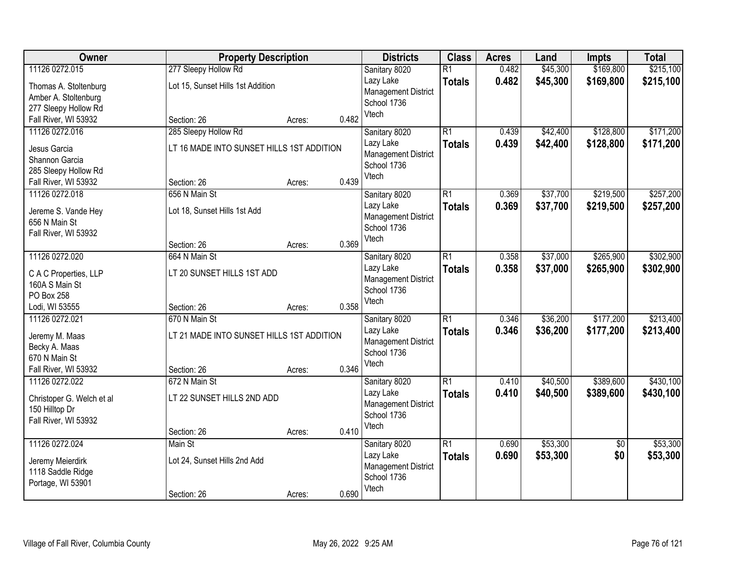| Owner                     |                                           | <b>Property Description</b> |       | <b>Districts</b>           | <b>Class</b>    | <b>Acres</b> | Land     | <b>Impts</b>    | <b>Total</b> |
|---------------------------|-------------------------------------------|-----------------------------|-------|----------------------------|-----------------|--------------|----------|-----------------|--------------|
| 11126 0272.015            | 277 Sleepy Hollow Rd                      |                             |       | Sanitary 8020              | $\overline{R1}$ | 0.482        | \$45,300 | \$169,800       | \$215,100    |
| Thomas A. Stoltenburg     | Lot 15, Sunset Hills 1st Addition         |                             |       | Lazy Lake                  | <b>Totals</b>   | 0.482        | \$45,300 | \$169,800       | \$215,100    |
| Amber A. Stoltenburg      |                                           |                             |       | <b>Management District</b> |                 |              |          |                 |              |
| 277 Sleepy Hollow Rd      |                                           |                             |       | School 1736                |                 |              |          |                 |              |
| Fall River, WI 53932      | Section: 26                               | Acres:                      | 0.482 | Vtech                      |                 |              |          |                 |              |
| 11126 0272.016            | 285 Sleepy Hollow Rd                      |                             |       | Sanitary 8020              | $\overline{R1}$ | 0.439        | \$42,400 | \$128,800       | \$171,200    |
| Jesus Garcia              | LT 16 MADE INTO SUNSET HILLS 1ST ADDITION |                             |       | Lazy Lake                  | <b>Totals</b>   | 0.439        | \$42,400 | \$128,800       | \$171,200    |
| Shannon Garcia            |                                           |                             |       | <b>Management District</b> |                 |              |          |                 |              |
| 285 Sleepy Hollow Rd      |                                           |                             |       | School 1736                |                 |              |          |                 |              |
| Fall River, WI 53932      | Section: 26                               | Acres:                      | 0.439 | Vtech                      |                 |              |          |                 |              |
| 11126 0272.018            | 656 N Main St                             |                             |       | Sanitary 8020              | $\overline{R1}$ | 0.369        | \$37,700 | \$219,500       | \$257,200    |
| Jereme S. Vande Hey       | Lot 18, Sunset Hills 1st Add              |                             |       | Lazy Lake                  | <b>Totals</b>   | 0.369        | \$37,700 | \$219,500       | \$257,200    |
| 656 N Main St             |                                           |                             |       | <b>Management District</b> |                 |              |          |                 |              |
| Fall River, WI 53932      |                                           |                             |       | School 1736                |                 |              |          |                 |              |
|                           | Section: 26                               | Acres:                      | 0.369 | Vtech                      |                 |              |          |                 |              |
| 11126 0272.020            | 664 N Main St                             |                             |       | Sanitary 8020              | $\overline{R1}$ | 0.358        | \$37,000 | \$265,900       | \$302,900    |
| C A C Properties, LLP     | LT 20 SUNSET HILLS 1ST ADD                |                             |       | Lazy Lake                  | <b>Totals</b>   | 0.358        | \$37,000 | \$265,900       | \$302,900    |
| 160A S Main St            |                                           |                             |       | <b>Management District</b> |                 |              |          |                 |              |
| PO Box 258                |                                           |                             |       | School 1736                |                 |              |          |                 |              |
| Lodi, WI 53555            | Section: 26                               | Acres:                      | 0.358 | Vtech                      |                 |              |          |                 |              |
| 11126 0272.021            | 670 N Main St                             |                             |       | Sanitary 8020              | $\overline{R1}$ | 0.346        | \$36,200 | \$177,200       | \$213,400    |
| Jeremy M. Maas            | LT 21 MADE INTO SUNSET HILLS 1ST ADDITION |                             |       | Lazy Lake                  | <b>Totals</b>   | 0.346        | \$36,200 | \$177,200       | \$213,400    |
| Becky A. Maas             |                                           |                             |       | <b>Management District</b> |                 |              |          |                 |              |
| 670 N Main St             |                                           |                             |       | School 1736                |                 |              |          |                 |              |
| Fall River, WI 53932      | Section: 26                               | Acres:                      | 0.346 | Vtech                      |                 |              |          |                 |              |
| 11126 0272.022            | 672 N Main St                             |                             |       | Sanitary 8020              | $\overline{R1}$ | 0.410        | \$40,500 | \$389,600       | \$430,100    |
| Christoper G. Welch et al | LT 22 SUNSET HILLS 2ND ADD                |                             |       | Lazy Lake                  | <b>Totals</b>   | 0.410        | \$40,500 | \$389,600       | \$430,100    |
| 150 Hilltop Dr            |                                           |                             |       | <b>Management District</b> |                 |              |          |                 |              |
| Fall River, WI 53932      |                                           |                             |       | School 1736                |                 |              |          |                 |              |
|                           | Section: 26                               | Acres:                      | 0.410 | Vtech                      |                 |              |          |                 |              |
| 11126 0272.024            | Main St                                   |                             |       | Sanitary 8020              | $\overline{R1}$ | 0.690        | \$53,300 | $\overline{50}$ | \$53,300     |
| Jeremy Meierdirk          | Lot 24, Sunset Hills 2nd Add              |                             |       | Lazy Lake                  | <b>Totals</b>   | 0.690        | \$53,300 | \$0             | \$53,300     |
| 1118 Saddle Ridge         |                                           |                             |       | <b>Management District</b> |                 |              |          |                 |              |
| Portage, WI 53901         |                                           |                             |       | School 1736                |                 |              |          |                 |              |
|                           | Section: 26                               | Acres:                      | 0.690 | Vtech                      |                 |              |          |                 |              |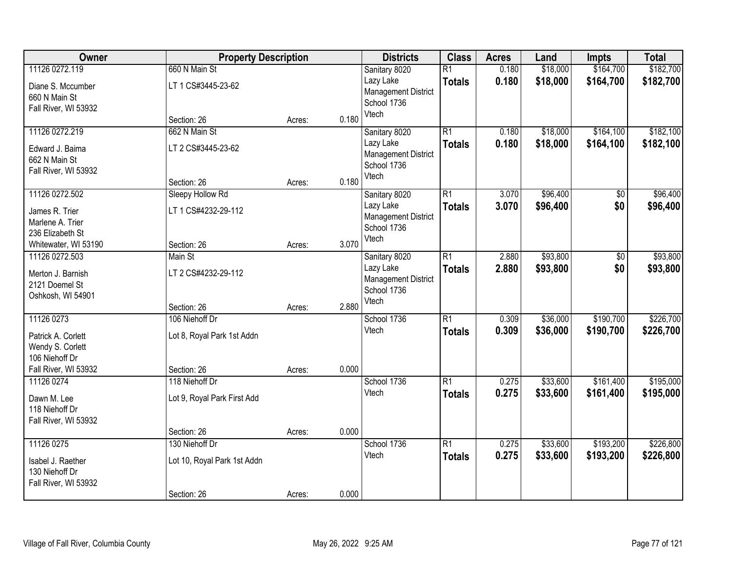| Owner                | <b>Property Description</b> |        |       | <b>Districts</b>           | <b>Class</b>    | <b>Acres</b> | Land     | <b>Impts</b> | <b>Total</b> |
|----------------------|-----------------------------|--------|-------|----------------------------|-----------------|--------------|----------|--------------|--------------|
| 11126 0272.119       | 660 N Main St               |        |       | Sanitary 8020              | $\overline{R1}$ | 0.180        | \$18,000 | \$164,700    | \$182,700    |
| Diane S. Mccumber    | LT 1 CS#3445-23-62          |        |       | Lazy Lake                  | <b>Totals</b>   | 0.180        | \$18,000 | \$164,700    | \$182,700    |
| 660 N Main St        |                             |        |       | <b>Management District</b> |                 |              |          |              |              |
| Fall River, WI 53932 |                             |        |       | School 1736                |                 |              |          |              |              |
|                      | Section: 26                 | Acres: | 0.180 | Vtech                      |                 |              |          |              |              |
| 11126 0272.219       | 662 N Main St               |        |       | Sanitary 8020              | $\overline{R1}$ | 0.180        | \$18,000 | \$164,100    | \$182,100    |
| Edward J. Baima      | LT 2 CS#3445-23-62          |        |       | Lazy Lake                  | <b>Totals</b>   | 0.180        | \$18,000 | \$164,100    | \$182,100    |
| 662 N Main St        |                             |        |       | <b>Management District</b> |                 |              |          |              |              |
| Fall River, WI 53932 |                             |        |       | School 1736                |                 |              |          |              |              |
|                      | Section: 26                 | Acres: | 0.180 | Vtech                      |                 |              |          |              |              |
| 11126 0272.502       | Sleepy Hollow Rd            |        |       | Sanitary 8020              | $\overline{R1}$ | 3.070        | \$96,400 | \$0          | \$96,400     |
| James R. Trier       | LT 1 CS#4232-29-112         |        |       | Lazy Lake                  | <b>Totals</b>   | 3.070        | \$96,400 | \$0          | \$96,400     |
| Marlene A. Trier     |                             |        |       | <b>Management District</b> |                 |              |          |              |              |
| 236 Elizabeth St     |                             |        |       | School 1736                |                 |              |          |              |              |
| Whitewater, WI 53190 | Section: 26                 | Acres: | 3.070 | Vtech                      |                 |              |          |              |              |
| 11126 0272.503       | Main St                     |        |       | Sanitary 8020              | $\overline{R1}$ | 2.880        | \$93,800 | \$0          | \$93,800     |
| Merton J. Barnish    | LT 2 CS#4232-29-112         |        |       | Lazy Lake                  | <b>Totals</b>   | 2.880        | \$93,800 | \$0          | \$93,800     |
| 2121 Doemel St       |                             |        |       | <b>Management District</b> |                 |              |          |              |              |
| Oshkosh, WI 54901    |                             |        |       | School 1736                |                 |              |          |              |              |
|                      | Section: 26                 | Acres: | 2.880 | Vtech                      |                 |              |          |              |              |
| 11126 0273           | 106 Niehoff Dr              |        |       | School 1736                | $\overline{R1}$ | 0.309        | \$36,000 | \$190,700    | \$226,700    |
| Patrick A. Corlett   | Lot 8, Royal Park 1st Addn  |        |       | Vtech                      | <b>Totals</b>   | 0.309        | \$36,000 | \$190,700    | \$226,700    |
| Wendy S. Corlett     |                             |        |       |                            |                 |              |          |              |              |
| 106 Niehoff Dr       |                             |        |       |                            |                 |              |          |              |              |
| Fall River, WI 53932 | Section: 26                 | Acres: | 0.000 |                            |                 |              |          |              |              |
| 11126 0274           | 118 Niehoff Dr              |        |       | School 1736                | $\overline{R1}$ | 0.275        | \$33,600 | \$161,400    | \$195,000    |
|                      |                             |        |       | Vtech                      | <b>Totals</b>   | 0.275        | \$33,600 | \$161,400    | \$195,000    |
| Dawn M. Lee          | Lot 9, Royal Park First Add |        |       |                            |                 |              |          |              |              |
| 118 Niehoff Dr       |                             |        |       |                            |                 |              |          |              |              |
| Fall River, WI 53932 | Section: 26                 | Acres: | 0.000 |                            |                 |              |          |              |              |
| 11126 0275           | 130 Niehoff Dr              |        |       | School 1736                | $\overline{R1}$ | 0.275        | \$33,600 | \$193,200    | \$226,800    |
|                      |                             |        |       | Vtech                      | <b>Totals</b>   | 0.275        | \$33,600 | \$193,200    | \$226,800    |
| Isabel J. Raether    | Lot 10, Royal Park 1st Addn |        |       |                            |                 |              |          |              |              |
| 130 Niehoff Dr       |                             |        |       |                            |                 |              |          |              |              |
| Fall River, WI 53932 |                             |        |       |                            |                 |              |          |              |              |
|                      | Section: 26                 | Acres: | 0.000 |                            |                 |              |          |              |              |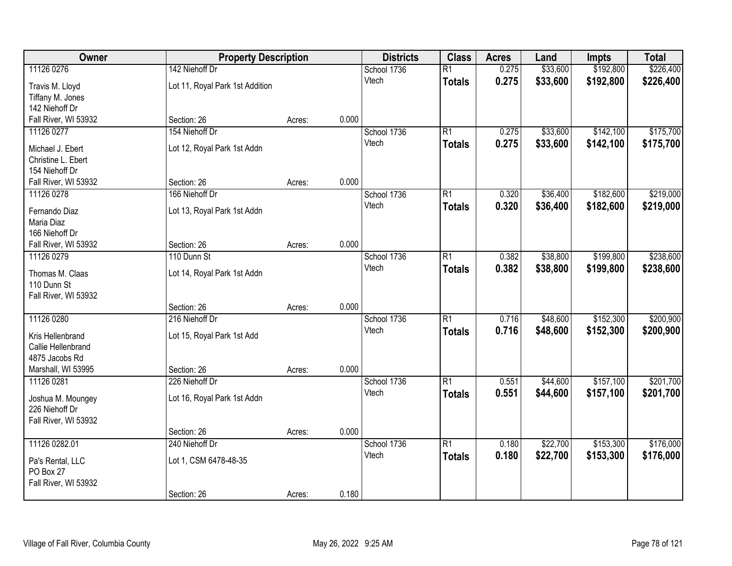| Owner                                  | <b>Property Description</b>     | <b>Districts</b> | <b>Class</b> | <b>Acres</b> | Land            | <b>Impts</b> | <b>Total</b> |           |           |
|----------------------------------------|---------------------------------|------------------|--------------|--------------|-----------------|--------------|--------------|-----------|-----------|
| 11126 0276                             | 142 Niehoff Dr                  |                  |              | School 1736  | $\overline{R1}$ | 0.275        | \$33,600     | \$192,800 | \$226,400 |
| Travis M. Lloyd                        | Lot 11, Royal Park 1st Addition |                  |              | Vtech        | <b>Totals</b>   | 0.275        | \$33,600     | \$192,800 | \$226,400 |
| Tiffany M. Jones                       |                                 |                  |              |              |                 |              |              |           |           |
| 142 Niehoff Dr                         |                                 |                  |              |              |                 |              |              |           |           |
| Fall River, WI 53932                   | Section: 26                     | Acres:           | 0.000        |              |                 |              |              |           |           |
| 11126 0277                             | 154 Niehoff Dr                  |                  |              | School 1736  | $\overline{R1}$ | 0.275        | \$33,600     | \$142,100 | \$175,700 |
| Michael J. Ebert                       | Lot 12, Royal Park 1st Addn     |                  |              | Vtech        | <b>Totals</b>   | 0.275        | \$33,600     | \$142,100 | \$175,700 |
| Christine L. Ebert                     |                                 |                  |              |              |                 |              |              |           |           |
| 154 Niehoff Dr                         |                                 |                  |              |              |                 |              |              |           |           |
| Fall River, WI 53932                   | Section: 26                     | Acres:           | 0.000        |              |                 |              |              |           |           |
| 11126 0278                             | 166 Niehoff Dr                  |                  |              | School 1736  | $\overline{R1}$ | 0.320        | \$36,400     | \$182,600 | \$219,000 |
| Fernando Diaz                          | Lot 13, Royal Park 1st Addn     |                  |              | Vtech        | <b>Totals</b>   | 0.320        | \$36,400     | \$182,600 | \$219,000 |
| Maria Diaz                             |                                 |                  |              |              |                 |              |              |           |           |
| 166 Niehoff Dr                         |                                 |                  |              |              |                 |              |              |           |           |
| Fall River, WI 53932                   | Section: 26                     | Acres:           | 0.000        |              |                 |              |              |           |           |
| 11126 0279                             | 110 Dunn St                     |                  |              | School 1736  | $\overline{R1}$ | 0.382        | \$38,800     | \$199,800 | \$238,600 |
| Thomas M. Claas                        | Lot 14, Royal Park 1st Addn     |                  |              | Vtech        | <b>Totals</b>   | 0.382        | \$38,800     | \$199,800 | \$238,600 |
| 110 Dunn St                            |                                 |                  |              |              |                 |              |              |           |           |
| Fall River, WI 53932                   |                                 |                  |              |              |                 |              |              |           |           |
|                                        | Section: 26                     | Acres:           | 0.000        |              |                 |              |              |           |           |
| 11126 0280                             | 216 Niehoff Dr                  |                  |              | School 1736  | $\overline{R1}$ | 0.716        | \$48,600     | \$152,300 | \$200,900 |
|                                        |                                 |                  |              | Vtech        | <b>Totals</b>   | 0.716        | \$48,600     | \$152,300 | \$200,900 |
| Kris Hellenbrand<br>Callie Hellenbrand | Lot 15, Royal Park 1st Add      |                  |              |              |                 |              |              |           |           |
| 4875 Jacobs Rd                         |                                 |                  |              |              |                 |              |              |           |           |
| Marshall, WI 53995                     | Section: 26                     | Acres:           | 0.000        |              |                 |              |              |           |           |
| 11126 0281                             | 226 Niehoff Dr                  |                  |              | School 1736  | $\overline{R1}$ | 0.551        | \$44,600     | \$157,100 | \$201,700 |
|                                        |                                 |                  |              | Vtech        | <b>Totals</b>   | 0.551        | \$44,600     | \$157,100 | \$201,700 |
| Joshua M. Moungey<br>226 Niehoff Dr    | Lot 16, Royal Park 1st Addn     |                  |              |              |                 |              |              |           |           |
| Fall River, WI 53932                   |                                 |                  |              |              |                 |              |              |           |           |
|                                        | Section: 26                     | Acres:           | 0.000        |              |                 |              |              |           |           |
| 11126 0282.01                          | 240 Niehoff Dr                  |                  |              | School 1736  | $\overline{R1}$ | 0.180        | \$22,700     | \$153,300 | \$176,000 |
|                                        |                                 |                  |              | Vtech        | <b>Totals</b>   | 0.180        | \$22,700     | \$153,300 | \$176,000 |
| Pa's Rental, LLC<br>PO Box 27          | Lot 1, CSM 6478-48-35           |                  |              |              |                 |              |              |           |           |
| Fall River, WI 53932                   |                                 |                  |              |              |                 |              |              |           |           |
|                                        | Section: 26                     | Acres:           | 0.180        |              |                 |              |              |           |           |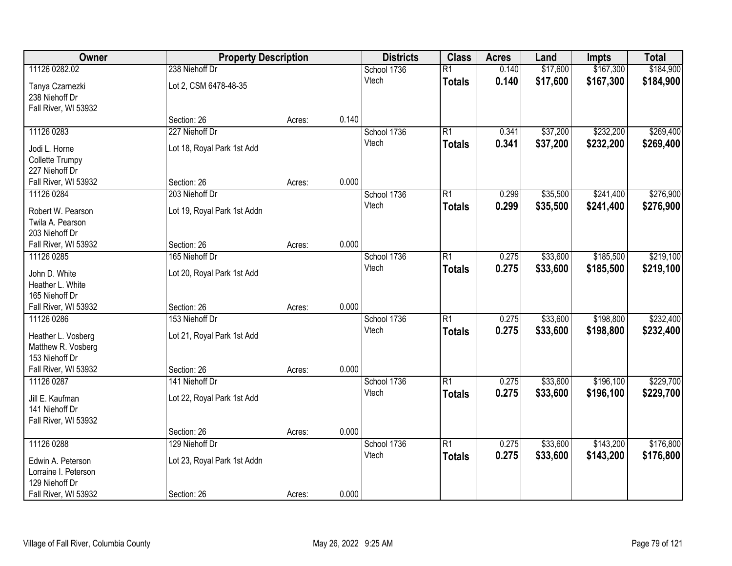| Owner                                  | <b>Property Description</b> |        |       | <b>Districts</b> | <b>Class</b>    | <b>Acres</b> | Land     | <b>Impts</b> | <b>Total</b> |
|----------------------------------------|-----------------------------|--------|-------|------------------|-----------------|--------------|----------|--------------|--------------|
| 11126 0282.02                          | 238 Niehoff Dr              |        |       | School 1736      | $\overline{R1}$ | 0.140        | \$17,600 | \$167,300    | \$184,900    |
| Tanya Czarnezki<br>238 Niehoff Dr      | Lot 2, CSM 6478-48-35       |        |       | Vtech            | <b>Totals</b>   | 0.140        | \$17,600 | \$167,300    | \$184,900    |
| Fall River, WI 53932                   |                             |        |       |                  |                 |              |          |              |              |
|                                        | Section: 26                 | Acres: | 0.140 |                  |                 |              |          |              |              |
| 11126 0283                             | 227 Niehoff Dr              |        |       | School 1736      | $\overline{R1}$ | 0.341        | \$37,200 | \$232,200    | \$269,400    |
| Jodi L. Horne                          | Lot 18, Royal Park 1st Add  |        |       | Vtech            | <b>Totals</b>   | 0.341        | \$37,200 | \$232,200    | \$269,400    |
| Collette Trumpy                        |                             |        |       |                  |                 |              |          |              |              |
| 227 Niehoff Dr                         |                             |        |       |                  |                 |              |          |              |              |
| Fall River, WI 53932                   | Section: 26                 | Acres: | 0.000 |                  |                 |              |          |              |              |
| 11126 0284                             | 203 Niehoff Dr              |        |       | School 1736      | $\overline{R1}$ | 0.299        | \$35,500 | \$241,400    | \$276,900    |
| Robert W. Pearson                      | Lot 19, Royal Park 1st Addn |        |       | Vtech            | <b>Totals</b>   | 0.299        | \$35,500 | \$241,400    | \$276,900    |
| Twila A. Pearson                       |                             |        |       |                  |                 |              |          |              |              |
| 203 Niehoff Dr                         |                             |        |       |                  |                 |              |          |              |              |
| Fall River, WI 53932                   | Section: 26                 | Acres: | 0.000 |                  |                 |              |          |              |              |
| 11126 0285                             | 165 Niehoff Dr              |        |       | School 1736      | $\overline{R1}$ | 0.275        | \$33,600 | \$185,500    | \$219,100    |
|                                        |                             |        |       | Vtech            | <b>Totals</b>   | 0.275        | \$33,600 | \$185,500    | \$219,100    |
| John D. White                          | Lot 20, Royal Park 1st Add  |        |       |                  |                 |              |          |              |              |
| Heather L. White                       |                             |        |       |                  |                 |              |          |              |              |
| 165 Niehoff Dr                         |                             |        |       |                  |                 |              |          |              |              |
| Fall River, WI 53932                   | Section: 26                 | Acres: | 0.000 |                  |                 |              |          |              |              |
| 11126 0286                             | 153 Niehoff Dr              |        |       | School 1736      | $\overline{R1}$ | 0.275        | \$33,600 | \$198,800    | \$232,400    |
| Heather L. Vosberg                     | Lot 21, Royal Park 1st Add  |        |       | Vtech            | <b>Totals</b>   | 0.275        | \$33,600 | \$198,800    | \$232,400    |
| Matthew R. Vosberg                     |                             |        |       |                  |                 |              |          |              |              |
| 153 Niehoff Dr                         |                             |        |       |                  |                 |              |          |              |              |
| Fall River, WI 53932                   | Section: 26                 | Acres: | 0.000 |                  |                 |              |          |              |              |
| 11126 0287                             | 141 Niehoff Dr              |        |       | School 1736      | $\overline{R1}$ | 0.275        | \$33,600 | \$196,100    | \$229,700    |
| Jill E. Kaufman                        | Lot 22, Royal Park 1st Add  |        |       | Vtech            | <b>Totals</b>   | 0.275        | \$33,600 | \$196,100    | \$229,700    |
| 141 Niehoff Dr                         |                             |        |       |                  |                 |              |          |              |              |
| Fall River, WI 53932                   |                             |        |       |                  |                 |              |          |              |              |
|                                        | Section: 26                 | Acres: | 0.000 |                  |                 |              |          |              |              |
| 11126 0288                             | 129 Niehoff Dr              |        |       | School 1736      | $\overline{R1}$ | 0.275        | \$33,600 | \$143,200    | \$176,800    |
|                                        |                             |        |       | Vtech            | <b>Totals</b>   | 0.275        | \$33,600 | \$143,200    | \$176,800    |
| Edwin A. Peterson                      | Lot 23, Royal Park 1st Addn |        |       |                  |                 |              |          |              |              |
| Lorraine I. Peterson<br>129 Niehoff Dr |                             |        |       |                  |                 |              |          |              |              |
| Fall River, WI 53932                   | Section: 26                 | Acres: | 0.000 |                  |                 |              |          |              |              |
|                                        |                             |        |       |                  |                 |              |          |              |              |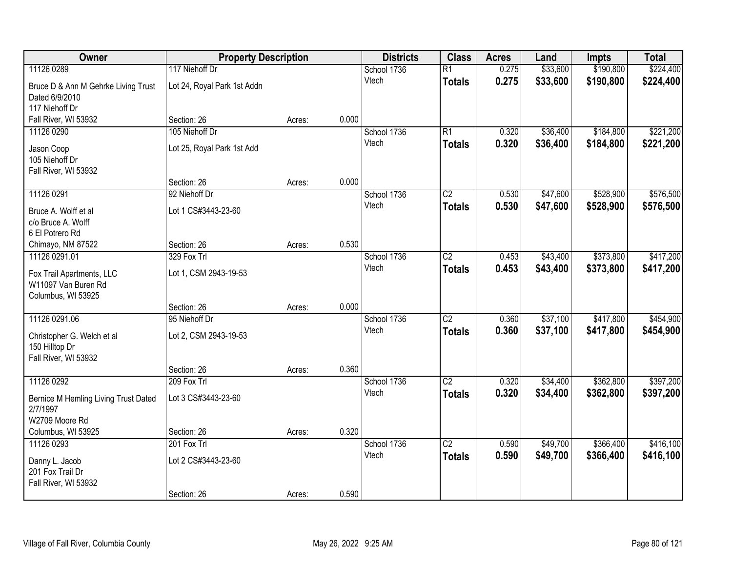| Owner                                        | <b>Property Description</b> |        |       | <b>Districts</b> | <b>Class</b>    | <b>Acres</b> | Land     | <b>Impts</b> | <b>Total</b> |
|----------------------------------------------|-----------------------------|--------|-------|------------------|-----------------|--------------|----------|--------------|--------------|
| 11126 0289                                   | 117 Niehoff Dr              |        |       | School 1736      | $\overline{R1}$ | 0.275        | \$33,600 | \$190,800    | \$224,400    |
| Bruce D & Ann M Gehrke Living Trust          | Lot 24, Royal Park 1st Addn |        |       | Vtech            | <b>Totals</b>   | 0.275        | \$33,600 | \$190,800    | \$224,400    |
| Dated 6/9/2010                               |                             |        |       |                  |                 |              |          |              |              |
| 117 Niehoff Dr                               |                             |        |       |                  |                 |              |          |              |              |
| Fall River, WI 53932                         | Section: 26                 | Acres: | 0.000 |                  |                 |              |          |              |              |
| 11126 0290                                   | 105 Niehoff Dr              |        |       | School 1736      | $\overline{R1}$ | 0.320        | \$36,400 | \$184,800    | \$221,200    |
| Jason Coop                                   | Lot 25, Royal Park 1st Add  |        |       | Vtech            | <b>Totals</b>   | 0.320        | \$36,400 | \$184,800    | \$221,200    |
| 105 Niehoff Dr                               |                             |        |       |                  |                 |              |          |              |              |
| Fall River, WI 53932                         |                             |        |       |                  |                 |              |          |              |              |
|                                              | Section: 26                 | Acres: | 0.000 |                  |                 |              |          |              |              |
| 11126 0291                                   | 92 Niehoff Dr               |        |       | School 1736      | $\overline{C2}$ | 0.530        | \$47,600 | \$528,900    | \$576,500    |
| Bruce A. Wolff et al                         | Lot 1 CS#3443-23-60         |        |       | Vtech            | <b>Totals</b>   | 0.530        | \$47,600 | \$528,900    | \$576,500    |
| c/o Bruce A. Wolff                           |                             |        |       |                  |                 |              |          |              |              |
| 6 El Potrero Rd                              |                             |        |       |                  |                 |              |          |              |              |
| Chimayo, NM 87522                            | Section: 26                 | Acres: | 0.530 |                  |                 |              |          |              |              |
| 11126 0291.01                                | 329 Fox Trl                 |        |       | School 1736      | $\overline{C2}$ | 0.453        | \$43,400 | \$373,800    | \$417,200    |
| Fox Trail Apartments, LLC                    | Lot 1, CSM 2943-19-53       |        |       | Vtech            | <b>Totals</b>   | 0.453        | \$43,400 | \$373,800    | \$417,200    |
| W11097 Van Buren Rd                          |                             |        |       |                  |                 |              |          |              |              |
| Columbus, WI 53925                           |                             |        |       |                  |                 |              |          |              |              |
|                                              | Section: 26                 | Acres: | 0.000 |                  |                 |              |          |              |              |
| 11126 0291.06                                | 95 Niehoff Dr               |        |       | School 1736      | $\overline{C2}$ | 0.360        | \$37,100 | \$417,800    | \$454,900    |
|                                              |                             |        |       | Vtech            | <b>Totals</b>   | 0.360        | \$37,100 | \$417,800    | \$454,900    |
| Christopher G. Welch et al<br>150 Hilltop Dr | Lot 2, CSM 2943-19-53       |        |       |                  |                 |              |          |              |              |
| Fall River, WI 53932                         |                             |        |       |                  |                 |              |          |              |              |
|                                              | Section: 26                 | Acres: | 0.360 |                  |                 |              |          |              |              |
| 11126 0292                                   | 209 Fox Trl                 |        |       | School 1736      | $\overline{C2}$ | 0.320        | \$34,400 | \$362,800    | \$397,200    |
|                                              |                             |        |       | Vtech            | <b>Totals</b>   | 0.320        | \$34,400 | \$362,800    | \$397,200    |
| Bernice M Hemling Living Trust Dated         | Lot 3 CS#3443-23-60         |        |       |                  |                 |              |          |              |              |
| 2/7/1997<br>W2709 Moore Rd                   |                             |        |       |                  |                 |              |          |              |              |
| Columbus, WI 53925                           | Section: 26                 | Acres: | 0.320 |                  |                 |              |          |              |              |
| 11126 0293                                   | 201 Fox Trl                 |        |       | School 1736      | $\overline{C2}$ | 0.590        | \$49,700 | \$366,400    | \$416,100    |
|                                              |                             |        |       | Vtech            | <b>Totals</b>   | 0.590        | \$49,700 | \$366,400    | \$416,100    |
| Danny L. Jacob                               | Lot 2 CS#3443-23-60         |        |       |                  |                 |              |          |              |              |
| 201 Fox Trail Dr                             |                             |        |       |                  |                 |              |          |              |              |
| Fall River, WI 53932                         |                             |        |       |                  |                 |              |          |              |              |
|                                              | Section: 26                 | Acres: | 0.590 |                  |                 |              |          |              |              |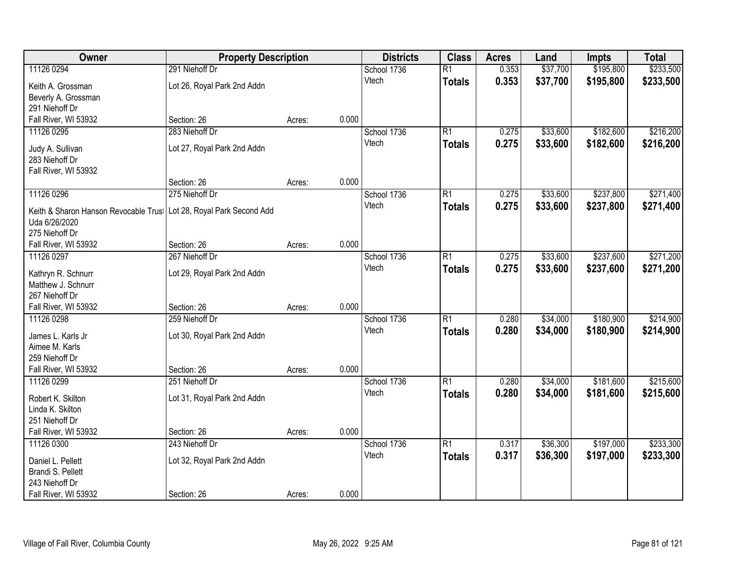| Owner                                                                | <b>Property Description</b> |        |       | <b>Districts</b> | <b>Class</b>    | <b>Acres</b> | Land     | <b>Impts</b> | <b>Total</b> |
|----------------------------------------------------------------------|-----------------------------|--------|-------|------------------|-----------------|--------------|----------|--------------|--------------|
| 11126 0294                                                           | 291 Niehoff Dr              |        |       | School 1736      | $\overline{R1}$ | 0.353        | \$37,700 | \$195,800    | \$233,500    |
| Keith A. Grossman                                                    | Lot 26, Royal Park 2nd Addn |        |       | Vtech            | <b>Totals</b>   | 0.353        | \$37,700 | \$195,800    | \$233,500    |
| Beverly A. Grossman                                                  |                             |        |       |                  |                 |              |          |              |              |
| 291 Niehoff Dr                                                       |                             |        |       |                  |                 |              |          |              |              |
| Fall River, WI 53932                                                 | Section: 26                 | Acres: | 0.000 |                  |                 |              |          |              |              |
| 11126 0295                                                           | 283 Niehoff Dr              |        |       | School 1736      | R1              | 0.275        | \$33,600 | \$182,600    | \$216,200    |
|                                                                      |                             |        |       | Vtech            | Totals          | 0.275        | \$33,600 | \$182,600    | \$216,200    |
| Judy A. Sullivan<br>283 Niehoff Dr                                   | Lot 27, Royal Park 2nd Addn |        |       |                  |                 |              |          |              |              |
| Fall River, WI 53932                                                 |                             |        |       |                  |                 |              |          |              |              |
|                                                                      | Section: 26                 | Acres: | 0.000 |                  |                 |              |          |              |              |
| 11126 0296                                                           | 275 Niehoff Dr              |        |       | School 1736      | R1              | 0.275        | \$33,600 | \$237,800    | \$271,400    |
|                                                                      |                             |        |       | Vtech            | <b>Totals</b>   | 0.275        | \$33,600 | \$237,800    | \$271,400    |
| Keith & Sharon Hanson Revocable Trus   Lot 28, Royal Park Second Add |                             |        |       |                  |                 |              |          |              |              |
| Uda 6/26/2020                                                        |                             |        |       |                  |                 |              |          |              |              |
| 275 Niehoff Dr                                                       |                             |        |       |                  |                 |              |          |              |              |
| Fall River, WI 53932                                                 | Section: 26                 | Acres: | 0.000 |                  |                 |              |          |              |              |
| 11126 0297                                                           | 267 Niehoff Dr              |        |       | School 1736      | R1              | 0.275        | \$33,600 | \$237,600    | \$271,200    |
| Kathryn R. Schnurr                                                   | Lot 29, Royal Park 2nd Addn |        |       | Vtech            | <b>Totals</b>   | 0.275        | \$33,600 | \$237,600    | \$271,200    |
| Matthew J. Schnurr                                                   |                             |        |       |                  |                 |              |          |              |              |
| 267 Niehoff Dr                                                       |                             |        |       |                  |                 |              |          |              |              |
| Fall River, WI 53932                                                 | Section: 26                 | Acres: | 0.000 |                  |                 |              |          |              |              |
| 11126 0298                                                           | 259 Niehoff Dr              |        |       | School 1736      | $\overline{R1}$ | 0.280        | \$34,000 | \$180,900    | \$214,900    |
| James L. Karls Jr                                                    | Lot 30, Royal Park 2nd Addn |        |       | Vtech            | <b>Totals</b>   | 0.280        | \$34,000 | \$180,900    | \$214,900    |
| Aimee M. Karls                                                       |                             |        |       |                  |                 |              |          |              |              |
| 259 Niehoff Dr                                                       |                             |        |       |                  |                 |              |          |              |              |
| Fall River, WI 53932                                                 | Section: 26                 | Acres: | 0.000 |                  |                 |              |          |              |              |
| 11126 0299                                                           | 251 Niehoff Dr              |        |       | School 1736      | R1              | 0.280        | \$34,000 | \$181,600    | \$215,600    |
| Robert K. Skilton                                                    | Lot 31, Royal Park 2nd Addn |        |       | Vtech            | <b>Totals</b>   | 0.280        | \$34,000 | \$181,600    | \$215,600    |
| Linda K. Skilton                                                     |                             |        |       |                  |                 |              |          |              |              |
| 251 Niehoff Dr                                                       |                             |        |       |                  |                 |              |          |              |              |
| Fall River, WI 53932                                                 | Section: 26                 | Acres: | 0.000 |                  |                 |              |          |              |              |
| 11126 0300                                                           | 243 Niehoff Dr              |        |       | School 1736      | R1              | 0.317        | \$36,300 | \$197,000    | \$233,300    |
|                                                                      |                             |        |       | Vtech            | <b>Totals</b>   | 0.317        | \$36,300 | \$197,000    | \$233,300    |
| Daniel L. Pellett                                                    | Lot 32, Royal Park 2nd Addn |        |       |                  |                 |              |          |              |              |
| Brandi S. Pellett                                                    |                             |        |       |                  |                 |              |          |              |              |
| 243 Niehoff Dr                                                       |                             |        |       |                  |                 |              |          |              |              |
| Fall River, WI 53932                                                 | Section: 26                 | Acres: | 0.000 |                  |                 |              |          |              |              |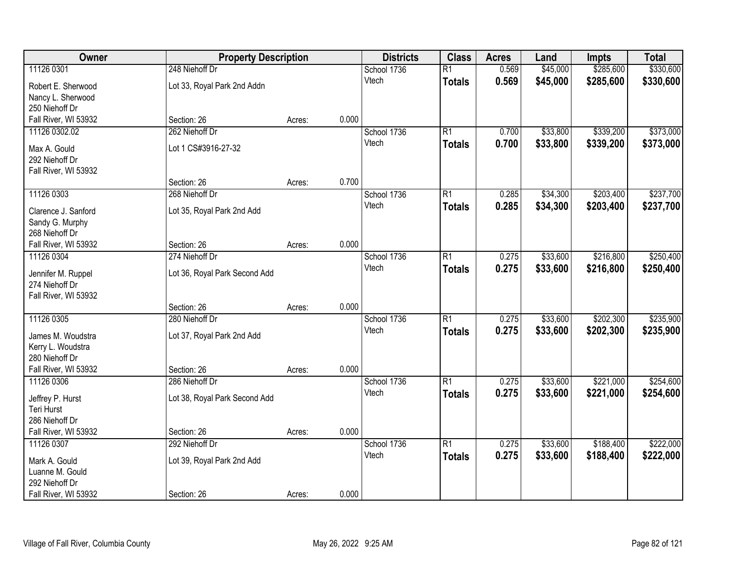| Owner                                | <b>Property Description</b>   |        |       | <b>Districts</b> | <b>Class</b>    | <b>Acres</b> | Land     | <b>Impts</b> | <b>Total</b> |
|--------------------------------------|-------------------------------|--------|-------|------------------|-----------------|--------------|----------|--------------|--------------|
| 11126 0301                           | 248 Niehoff Dr                |        |       | School 1736      | $\overline{R1}$ | 0.569        | \$45,000 | \$285,600    | \$330,600    |
| Robert E. Sherwood                   | Lot 33, Royal Park 2nd Addn   |        |       | Vtech            | <b>Totals</b>   | 0.569        | \$45,000 | \$285,600    | \$330,600    |
| Nancy L. Sherwood                    |                               |        |       |                  |                 |              |          |              |              |
| 250 Niehoff Dr                       |                               |        |       |                  |                 |              |          |              |              |
| Fall River, WI 53932                 | Section: 26                   | Acres: | 0.000 |                  |                 |              |          |              |              |
| 11126 0302.02                        | 262 Niehoff Dr                |        |       | School 1736      | R1              | 0.700        | \$33,800 | \$339,200    | \$373,000    |
| Max A. Gould                         | Lot 1 CS#3916-27-32           |        |       | Vtech            | Totals          | 0.700        | \$33,800 | \$339,200    | \$373,000    |
| 292 Niehoff Dr                       |                               |        |       |                  |                 |              |          |              |              |
| Fall River, WI 53932                 |                               |        |       |                  |                 |              |          |              |              |
|                                      | Section: 26                   | Acres: | 0.700 |                  |                 |              |          |              |              |
| 11126 0303                           | 268 Niehoff Dr                |        |       | School 1736      | R1              | 0.285        | \$34,300 | \$203,400    | \$237,700    |
| Clarence J. Sanford                  |                               |        |       | Vtech            | <b>Totals</b>   | 0.285        | \$34,300 | \$203,400    | \$237,700    |
| Sandy G. Murphy                      | Lot 35, Royal Park 2nd Add    |        |       |                  |                 |              |          |              |              |
| 268 Niehoff Dr                       |                               |        |       |                  |                 |              |          |              |              |
| Fall River, WI 53932                 | Section: 26                   | Acres: | 0.000 |                  |                 |              |          |              |              |
| 11126 0304                           | 274 Niehoff Dr                |        |       | School 1736      | R1              | 0.275        | \$33,600 | \$216,800    | \$250,400    |
|                                      |                               |        |       | Vtech            | <b>Totals</b>   | 0.275        | \$33,600 | \$216,800    | \$250,400    |
| Jennifer M. Ruppel<br>274 Niehoff Dr | Lot 36, Royal Park Second Add |        |       |                  |                 |              |          |              |              |
| Fall River, WI 53932                 |                               |        |       |                  |                 |              |          |              |              |
|                                      | Section: 26                   | Acres: | 0.000 |                  |                 |              |          |              |              |
| 11126 0305                           | 280 Niehoff Dr                |        |       | School 1736      | $\overline{R1}$ | 0.275        | \$33,600 | \$202,300    | \$235,900    |
|                                      |                               |        |       | Vtech            | <b>Totals</b>   | 0.275        | \$33,600 | \$202,300    | \$235,900    |
| James M. Woudstra                    | Lot 37, Royal Park 2nd Add    |        |       |                  |                 |              |          |              |              |
| Kerry L. Woudstra<br>280 Niehoff Dr  |                               |        |       |                  |                 |              |          |              |              |
| Fall River, WI 53932                 | Section: 26                   | Acres: | 0.000 |                  |                 |              |          |              |              |
| 11126 0306                           | 286 Niehoff Dr                |        |       | School 1736      | R1              | 0.275        | \$33,600 | \$221,000    | \$254,600    |
|                                      |                               |        |       | Vtech            | <b>Totals</b>   | 0.275        | \$33,600 | \$221,000    | \$254,600    |
| Jeffrey P. Hurst                     | Lot 38, Royal Park Second Add |        |       |                  |                 |              |          |              |              |
| Teri Hurst                           |                               |        |       |                  |                 |              |          |              |              |
| 286 Niehoff Dr                       |                               |        | 0.000 |                  |                 |              |          |              |              |
| Fall River, WI 53932<br>11126 0307   | Section: 26<br>292 Niehoff Dr | Acres: |       | School 1736      | R1              | 0.275        | \$33,600 | \$188,400    | \$222,000    |
|                                      |                               |        |       | Vtech            | <b>Totals</b>   | 0.275        | \$33,600 | \$188,400    | \$222,000    |
| Mark A. Gould                        | Lot 39, Royal Park 2nd Add    |        |       |                  |                 |              |          |              |              |
| Luanne M. Gould                      |                               |        |       |                  |                 |              |          |              |              |
| 292 Niehoff Dr                       |                               |        |       |                  |                 |              |          |              |              |
| Fall River, WI 53932                 | Section: 26                   | Acres: | 0.000 |                  |                 |              |          |              |              |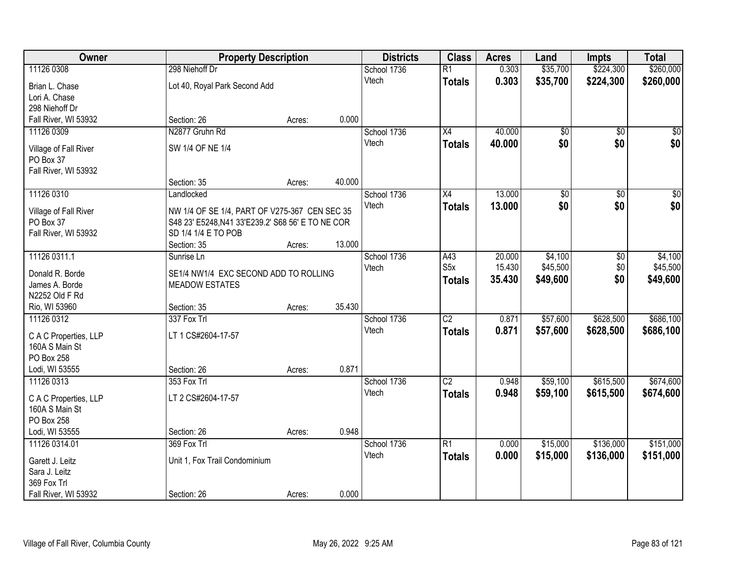| Owner                            |                                                   | <b>Property Description</b> |        | <b>Districts</b> | <b>Class</b>     | <b>Acres</b> | Land            | <b>Impts</b>    | <b>Total</b>     |
|----------------------------------|---------------------------------------------------|-----------------------------|--------|------------------|------------------|--------------|-----------------|-----------------|------------------|
| 11126 0308                       | 298 Niehoff Dr                                    |                             |        | School 1736      | $\overline{R1}$  | 0.303        | \$35,700        | \$224,300       | \$260,000        |
| Brian L. Chase                   | Lot 40, Royal Park Second Add                     |                             |        | Vtech            | <b>Totals</b>    | 0.303        | \$35,700        | \$224,300       | \$260,000        |
| Lori A. Chase                    |                                                   |                             |        |                  |                  |              |                 |                 |                  |
| 298 Niehoff Dr                   |                                                   |                             |        |                  |                  |              |                 |                 |                  |
| Fall River, WI 53932             | Section: 26                                       | Acres:                      | 0.000  |                  |                  |              |                 |                 |                  |
| 11126 0309                       | N2877 Gruhn Rd                                    |                             |        | School 1736      | $\overline{X4}$  | 40.000       | \$0             | $\overline{50}$ | \$0              |
| Village of Fall River            | SW 1/4 OF NE 1/4                                  |                             |        | Vtech            | <b>Totals</b>    | 40.000       | \$0             | \$0             | \$0              |
| PO Box 37                        |                                                   |                             |        |                  |                  |              |                 |                 |                  |
| Fall River, WI 53932             |                                                   |                             |        |                  |                  |              |                 |                 |                  |
|                                  | Section: 35                                       | Acres:                      | 40.000 |                  |                  |              |                 |                 |                  |
| 11126 0310                       | Landlocked                                        |                             |        | School 1736      | X4               | 13.000       | $\overline{50}$ | $\overline{50}$ | $\overline{\$0}$ |
| Village of Fall River            | NW 1/4 OF SE 1/4, PART OF V275-367 CEN SEC 35     |                             |        | Vtech            | <b>Totals</b>    | 13.000       | \$0             | \$0             | \$0              |
| PO Box 37                        | S48 23' E5248, N41 33'E239.2' S68 56' E TO NE COR |                             |        |                  |                  |              |                 |                 |                  |
| Fall River, WI 53932             | SD 1/4 1/4 E TO POB                               |                             |        |                  |                  |              |                 |                 |                  |
|                                  | Section: 35                                       | Acres:                      | 13.000 |                  |                  |              |                 |                 |                  |
| 11126 0311.1                     | Sunrise Ln                                        |                             |        | School 1736      | A43              | 20.000       | \$4,100         | \$0             | \$4,100          |
| Donald R. Borde                  | SE1/4 NW1/4 EXC SECOND ADD TO ROLLING             |                             |        | Vtech            | S <sub>5</sub> x | 15.430       | \$45,500        | \$0             | \$45,500         |
| James A. Borde                   | <b>MEADOW ESTATES</b>                             |                             |        |                  | <b>Totals</b>    | 35.430       | \$49,600        | \$0             | \$49,600         |
| N2252 Old F Rd                   |                                                   |                             |        |                  |                  |              |                 |                 |                  |
| Rio, WI 53960                    | Section: 35                                       | Acres:                      | 35.430 |                  |                  |              |                 |                 |                  |
| 11126 0312                       | 337 Fox Trl                                       |                             |        | School 1736      | $\overline{C2}$  | 0.871        | \$57,600        | \$628,500       | \$686,100        |
| C A C Properties, LLP            | LT 1 CS#2604-17-57                                |                             |        | Vtech            | <b>Totals</b>    | 0.871        | \$57,600        | \$628,500       | \$686,100        |
| 160A S Main St                   |                                                   |                             |        |                  |                  |              |                 |                 |                  |
| PO Box 258                       |                                                   |                             |        |                  |                  |              |                 |                 |                  |
| Lodi, WI 53555                   | Section: 26                                       | Acres:                      | 0.871  |                  |                  |              |                 |                 |                  |
| 11126 0313                       | 353 Fox Trl                                       |                             |        | School 1736      | $\overline{C2}$  | 0.948        | \$59,100        | \$615,500       | \$674,600        |
| C A C Properties, LLP            | LT 2 CS#2604-17-57                                |                             |        | Vtech            | <b>Totals</b>    | 0.948        | \$59,100        | \$615,500       | \$674,600        |
| 160A S Main St                   |                                                   |                             |        |                  |                  |              |                 |                 |                  |
| PO Box 258                       |                                                   |                             |        |                  |                  |              |                 |                 |                  |
| Lodi, WI 53555                   | Section: 26                                       | Acres:                      | 0.948  |                  |                  |              |                 |                 |                  |
| 11126 0314.01                    | 369 Fox Trl                                       |                             |        | School 1736      | R1               | 0.000        | \$15,000        | \$136,000       | \$151,000        |
|                                  | Unit 1, Fox Trail Condominium                     |                             |        | Vtech            | <b>Totals</b>    | 0.000        | \$15,000        | \$136,000       | \$151,000        |
| Garett J. Leitz<br>Sara J. Leitz |                                                   |                             |        |                  |                  |              |                 |                 |                  |
| 369 Fox Trl                      |                                                   |                             |        |                  |                  |              |                 |                 |                  |
| Fall River, WI 53932             | Section: 26                                       | Acres:                      | 0.000  |                  |                  |              |                 |                 |                  |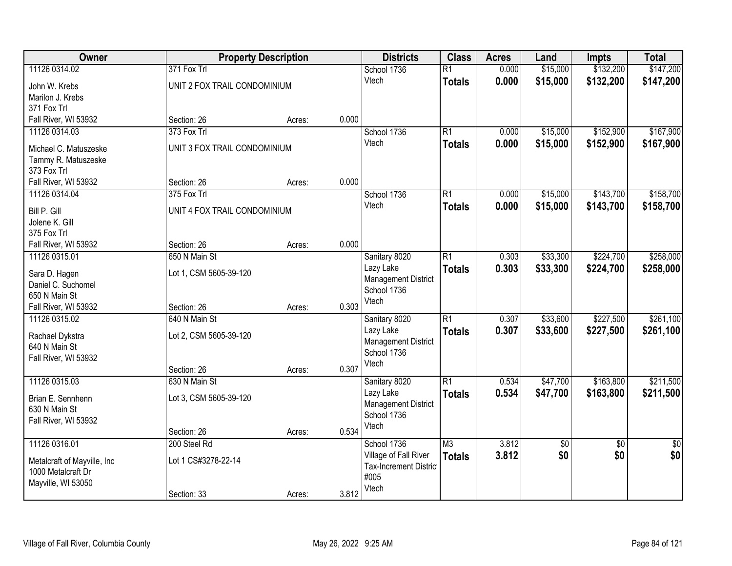| Owner                                             | <b>Property Description</b>  |        |       | <b>Districts</b>              | <b>Class</b>    | <b>Acres</b> | Land            | Impts           | <b>Total</b>    |
|---------------------------------------------------|------------------------------|--------|-------|-------------------------------|-----------------|--------------|-----------------|-----------------|-----------------|
| 11126 0314.02                                     | 371 Fox Trl                  |        |       | School 1736                   | $\overline{R1}$ | 0.000        | \$15,000        | \$132,200       | \$147,200       |
| John W. Krebs                                     | UNIT 2 FOX TRAIL CONDOMINIUM |        |       | Vtech                         | <b>Totals</b>   | 0.000        | \$15,000        | \$132,200       | \$147,200       |
| Marilon J. Krebs                                  |                              |        |       |                               |                 |              |                 |                 |                 |
| 371 Fox Trl                                       |                              |        |       |                               |                 |              |                 |                 |                 |
| Fall River, WI 53932                              | Section: 26                  | Acres: | 0.000 |                               |                 |              |                 |                 |                 |
| 11126 0314.03                                     | 373 Fox Trl                  |        |       | School 1736                   | $\overline{R1}$ | 0.000        | \$15,000        | \$152,900       | \$167,900       |
| Michael C. Matuszeske                             | UNIT 3 FOX TRAIL CONDOMINIUM |        |       | Vtech                         | <b>Totals</b>   | 0.000        | \$15,000        | \$152,900       | \$167,900       |
| Tammy R. Matuszeske                               |                              |        |       |                               |                 |              |                 |                 |                 |
| 373 Fox Trl                                       |                              |        |       |                               |                 |              |                 |                 |                 |
| Fall River, WI 53932                              | Section: 26                  | Acres: | 0.000 |                               |                 |              |                 |                 |                 |
| 11126 0314.04                                     | 375 Fox Trl                  |        |       | School 1736                   | $\overline{R1}$ | 0.000        | \$15,000        | \$143,700       | \$158,700       |
| Bill P. Gill                                      | UNIT 4 FOX TRAIL CONDOMINIUM |        |       | Vtech                         | <b>Totals</b>   | 0.000        | \$15,000        | \$143,700       | \$158,700       |
| Jolene K. Gill                                    |                              |        |       |                               |                 |              |                 |                 |                 |
| 375 Fox Trl                                       |                              |        |       |                               |                 |              |                 |                 |                 |
| Fall River, WI 53932                              | Section: 26                  | Acres: | 0.000 |                               |                 |              |                 |                 |                 |
| 11126 0315.01                                     | 650 N Main St                |        |       | Sanitary 8020                 | $\overline{R1}$ | 0.303        | \$33,300        | \$224,700       | \$258,000       |
|                                                   |                              |        |       | Lazy Lake                     | <b>Totals</b>   | 0.303        | \$33,300        | \$224,700       | \$258,000       |
| Sara D. Hagen<br>Daniel C. Suchomel               | Lot 1, CSM 5605-39-120       |        |       | <b>Management District</b>    |                 |              |                 |                 |                 |
| 650 N Main St                                     |                              |        |       | School 1736                   |                 |              |                 |                 |                 |
| Fall River, WI 53932                              | Section: 26                  | Acres: | 0.303 | Vtech                         |                 |              |                 |                 |                 |
| 11126 0315.02                                     | 640 N Main St                |        |       | Sanitary 8020                 | $\overline{R1}$ | 0.307        | \$33,600        | \$227,500       | \$261,100       |
|                                                   |                              |        |       | Lazy Lake                     | <b>Totals</b>   | 0.307        | \$33,600        | \$227,500       | \$261,100       |
| Rachael Dykstra<br>640 N Main St                  | Lot 2, CSM 5605-39-120       |        |       | <b>Management District</b>    |                 |              |                 |                 |                 |
| Fall River, WI 53932                              |                              |        |       | School 1736                   |                 |              |                 |                 |                 |
|                                                   | Section: 26                  | Acres: | 0.307 | Vtech                         |                 |              |                 |                 |                 |
| 11126 0315.03                                     | 630 N Main St                |        |       | Sanitary 8020                 | R1              | 0.534        | \$47,700        | \$163,800       | \$211,500       |
|                                                   |                              |        |       | Lazy Lake                     | <b>Totals</b>   | 0.534        | \$47,700        | \$163,800       | \$211,500       |
| Brian E. Sennhenn<br>630 N Main St                | Lot 3, CSM 5605-39-120       |        |       | <b>Management District</b>    |                 |              |                 |                 |                 |
| Fall River, WI 53932                              |                              |        |       | School 1736                   |                 |              |                 |                 |                 |
|                                                   | Section: 26                  | Acres: | 0.534 | Vtech                         |                 |              |                 |                 |                 |
| 11126 0316.01                                     | 200 Steel Rd                 |        |       | School 1736                   | M3              | 3.812        | $\overline{60}$ | $\overline{30}$ | $\overline{50}$ |
|                                                   |                              |        |       | Village of Fall River         | <b>Totals</b>   | 3.812        | \$0             | \$0             | \$0             |
| Metalcraft of Mayville, Inc<br>1000 Metalcraft Dr | Lot 1 CS#3278-22-14          |        |       | <b>Tax-Increment District</b> |                 |              |                 |                 |                 |
| Mayville, WI 53050                                |                              |        |       | #005                          |                 |              |                 |                 |                 |
|                                                   | Section: 33                  | Acres: | 3.812 | Vtech                         |                 |              |                 |                 |                 |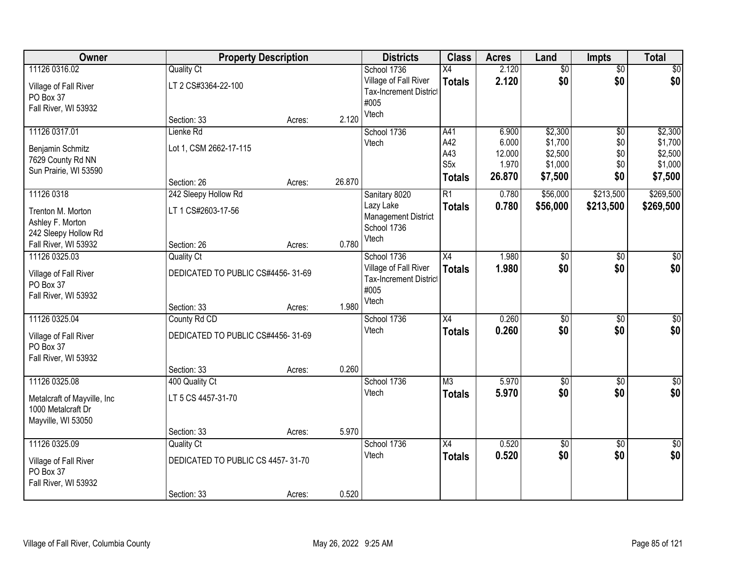| Owner                              |                                   | <b>Property Description</b> |        | <b>Districts</b>                                       | <b>Class</b>            | <b>Acres</b>    | Land               | <b>Impts</b>    | <b>Total</b>       |
|------------------------------------|-----------------------------------|-----------------------------|--------|--------------------------------------------------------|-------------------------|-----------------|--------------------|-----------------|--------------------|
| 11126 0316.02                      | <b>Quality Ct</b>                 |                             |        | School 1736                                            | $\overline{X4}$         | 2.120           | $\overline{50}$    | $\overline{50}$ | \$0                |
| Village of Fall River<br>PO Box 37 | LT 2 CS#3364-22-100               |                             |        | Village of Fall River<br><b>Tax-Increment District</b> | <b>Totals</b>           | 2.120           | \$0                | \$0             | \$0                |
| Fall River, WI 53932               |                                   |                             |        | #005<br>Vtech                                          |                         |                 |                    |                 |                    |
|                                    | Section: 33                       | Acres:                      | 2.120  |                                                        |                         |                 |                    |                 |                    |
| 11126 0317.01                      | Lienke Rd                         |                             |        | School 1736                                            | A41                     | 6.900           | \$2,300            | \$0             | \$2,300            |
| Benjamin Schmitz                   | Lot 1, CSM 2662-17-115            |                             |        | Vtech                                                  | A42                     | 6.000           | \$1,700            | \$0             | \$1,700            |
| 7629 County Rd NN                  |                                   |                             |        |                                                        | A43<br>S <sub>5</sub> x | 12.000<br>1.970 | \$2,500<br>\$1,000 | \$0<br>\$0      | \$2,500<br>\$1,000 |
| Sun Prairie, WI 53590              |                                   |                             |        |                                                        | <b>Totals</b>           | 26.870          | \$7,500            | \$0             | \$7,500            |
|                                    | Section: 26                       | Acres:                      | 26.870 |                                                        |                         |                 |                    |                 |                    |
| 11126 0318                         | 242 Sleepy Hollow Rd              |                             |        | Sanitary 8020                                          | $\overline{R1}$         | 0.780           | \$56,000           | \$213,500       | \$269,500          |
| Trenton M. Morton                  | LT 1 CS#2603-17-56                |                             |        | Lazy Lake                                              | <b>Totals</b>           | 0.780           | \$56,000           | \$213,500       | \$269,500          |
| Ashley F. Morton                   |                                   |                             |        | <b>Management District</b><br>School 1736              |                         |                 |                    |                 |                    |
| 242 Sleepy Hollow Rd               |                                   |                             |        | Vtech                                                  |                         |                 |                    |                 |                    |
| Fall River, WI 53932               | Section: 26                       | Acres:                      | 0.780  |                                                        |                         |                 |                    |                 |                    |
| 11126 0325.03                      | <b>Quality Ct</b>                 |                             |        | School 1736                                            | X4                      | 1.980           | \$0                | \$0             | $\sqrt{50}$        |
| Village of Fall River              | DEDICATED TO PUBLIC CS#4456-31-69 |                             |        | Village of Fall River                                  | <b>Totals</b>           | 1.980           | \$0                | \$0             | \$0                |
| PO Box 37                          |                                   |                             |        | <b>Tax-Increment District</b><br>#005                  |                         |                 |                    |                 |                    |
| Fall River, WI 53932               |                                   |                             |        | Vtech                                                  |                         |                 |                    |                 |                    |
|                                    | Section: 33                       | Acres:                      | 1.980  |                                                        |                         |                 |                    |                 |                    |
| 11126 0325.04                      | County Rd CD                      |                             |        | School 1736                                            | $\overline{X4}$         | 0.260           | $\overline{50}$    | $\overline{50}$ | $\sqrt{50}$        |
| Village of Fall River              | DEDICATED TO PUBLIC CS#4456-31-69 |                             |        | Vtech                                                  | Totals                  | 0.260           | \$0                | \$0             | \$0                |
| PO Box 37                          |                                   |                             |        |                                                        |                         |                 |                    |                 |                    |
| Fall River, WI 53932               |                                   |                             |        |                                                        |                         |                 |                    |                 |                    |
|                                    | Section: 33                       | Acres:                      | 0.260  |                                                        |                         |                 |                    |                 |                    |
| 11126 0325.08                      | 400 Quality Ct                    |                             |        | School 1736                                            | M3                      | 5.970           | $\sqrt{6}$         | $\overline{50}$ | \$0                |
| Metalcraft of Mayville, Inc        | LT 5 CS 4457-31-70                |                             |        | Vtech                                                  | <b>Totals</b>           | 5.970           | \$0                | \$0             | \$0                |
| 1000 Metalcraft Dr                 |                                   |                             |        |                                                        |                         |                 |                    |                 |                    |
| Mayville, WI 53050                 |                                   |                             |        |                                                        |                         |                 |                    |                 |                    |
|                                    | Section: 33                       | Acres:                      | 5.970  |                                                        |                         |                 |                    |                 |                    |
| 11126 0325.09                      | <b>Quality Ct</b>                 |                             |        | School 1736                                            | X4                      | 0.520           | $\overline{50}$    | $\overline{50}$ | $\sqrt{30}$        |
| Village of Fall River              | DEDICATED TO PUBLIC CS 4457-31-70 |                             |        | Vtech                                                  | <b>Totals</b>           | 0.520           | \$0                | \$0             | \$0                |
| PO Box 37                          |                                   |                             |        |                                                        |                         |                 |                    |                 |                    |
| Fall River, WI 53932               |                                   |                             |        |                                                        |                         |                 |                    |                 |                    |
|                                    | Section: 33                       | Acres:                      | 0.520  |                                                        |                         |                 |                    |                 |                    |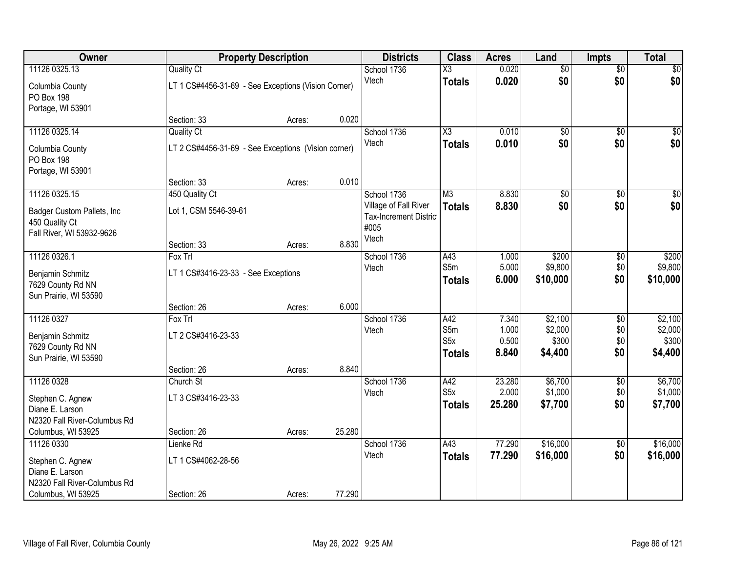| Owner                                         |                                                     | <b>Property Description</b> |        |                               | <b>Class</b>           | <b>Acres</b> | Land            | <b>Impts</b>    | <b>Total</b>    |
|-----------------------------------------------|-----------------------------------------------------|-----------------------------|--------|-------------------------------|------------------------|--------------|-----------------|-----------------|-----------------|
| 11126 0325.13                                 | <b>Quality Ct</b>                                   |                             |        | School 1736                   | $\overline{\text{X3}}$ | 0.020        | $\overline{50}$ | $\overline{50}$ | \$0             |
| Columbia County<br><b>PO Box 198</b>          | LT 1 CS#4456-31-69 - See Exceptions (Vision Corner) |                             |        | Vtech                         | <b>Totals</b>          | 0.020        | \$0             | \$0             | \$0             |
| Portage, WI 53901                             |                                                     |                             |        |                               |                        |              |                 |                 |                 |
|                                               | Section: 33                                         | Acres:                      | 0.020  |                               |                        |              |                 |                 |                 |
| 11126 0325.14                                 | <b>Quality Ct</b>                                   |                             |        | School 1736                   | $\overline{\chi_3}$    | 0.010        | $\overline{50}$ | $\overline{50}$ | \$0             |
| Columbia County<br>PO Box 198                 | LT 2 CS#4456-31-69 - See Exceptions (Vision corner) |                             |        | Vtech                         | <b>Totals</b>          | 0.010        | \$0             | \$0             | \$0             |
| Portage, WI 53901                             |                                                     |                             |        |                               |                        |              |                 |                 |                 |
|                                               | Section: 33                                         | Acres:                      | 0.010  |                               |                        |              |                 |                 |                 |
| 11126 0325.15                                 | 450 Quality Ct                                      |                             |        | School 1736                   | M3                     | 8.830        | \$0             | \$0             | $\overline{50}$ |
|                                               | Lot 1, CSM 5546-39-61                               |                             |        | Village of Fall River         | <b>Totals</b>          | 8.830        | \$0             | \$0             | \$0             |
| Badger Custom Pallets, Inc.<br>450 Quality Ct |                                                     |                             |        | <b>Tax-Increment District</b> |                        |              |                 |                 |                 |
| Fall River, WI 53932-9626                     |                                                     |                             |        | #005                          |                        |              |                 |                 |                 |
|                                               | Section: 33                                         | Acres:                      | 8.830  | Vtech                         |                        |              |                 |                 |                 |
| 11126 0326.1                                  | Fox Trl                                             |                             |        | School 1736                   | A43                    | 1.000        | \$200           | \$0             | \$200           |
| Benjamin Schmitz                              | LT 1 CS#3416-23-33 - See Exceptions                 |                             |        | Vtech                         | S5m                    | 5.000        | \$9,800         | \$0             | \$9,800         |
| 7629 County Rd NN                             |                                                     |                             |        |                               | <b>Totals</b>          | 6.000        | \$10,000        | \$0             | \$10,000        |
| Sun Prairie, WI 53590                         |                                                     |                             |        |                               |                        |              |                 |                 |                 |
|                                               | Section: 26                                         | Acres:                      | 6.000  |                               |                        |              |                 |                 |                 |
| 11126 0327                                    | Fox Trl                                             |                             |        | School 1736                   | A42                    | 7.340        | \$2,100         | $\overline{50}$ | \$2,100         |
| Benjamin Schmitz                              | LT 2 CS#3416-23-33                                  |                             |        | Vtech                         | S5m                    | 1.000        | \$2,000         | \$0             | \$2,000         |
| 7629 County Rd NN                             |                                                     |                             |        |                               | S <sub>5</sub> x       | 0.500        | \$300           | \$0             | \$300           |
| Sun Prairie, WI 53590                         |                                                     |                             |        |                               | <b>Totals</b>          | 8.840        | \$4,400         | \$0             | \$4,400         |
|                                               | Section: 26                                         | Acres:                      | 8.840  |                               |                        |              |                 |                 |                 |
| 11126 0328                                    | Church St                                           |                             |        | School 1736                   | A42                    | 23.280       | \$6,700         | $\overline{50}$ | \$6,700         |
| Stephen C. Agnew                              | LT 3 CS#3416-23-33                                  |                             |        | Vtech                         | S <sub>5</sub> x       | 2.000        | \$1,000         | \$0             | \$1,000         |
| Diane E. Larson                               |                                                     |                             |        |                               | <b>Totals</b>          | 25.280       | \$7,700         | \$0             | \$7,700         |
| N2320 Fall River-Columbus Rd                  |                                                     |                             |        |                               |                        |              |                 |                 |                 |
| Columbus, WI 53925                            | Section: 26                                         | Acres:                      | 25.280 |                               |                        |              |                 |                 |                 |
| 11126 0330                                    | Lienke Rd                                           |                             |        | School 1736                   | A43                    | 77.290       | \$16,000        | $\overline{60}$ | \$16,000        |
| Stephen C. Agnew                              | LT 1 CS#4062-28-56                                  |                             |        | Vtech                         | <b>Totals</b>          | 77.290       | \$16,000        | \$0             | \$16,000        |
| Diane E. Larson                               |                                                     |                             |        |                               |                        |              |                 |                 |                 |
| N2320 Fall River-Columbus Rd                  |                                                     |                             |        |                               |                        |              |                 |                 |                 |
| Columbus, WI 53925                            | Section: 26                                         | Acres:                      | 77.290 |                               |                        |              |                 |                 |                 |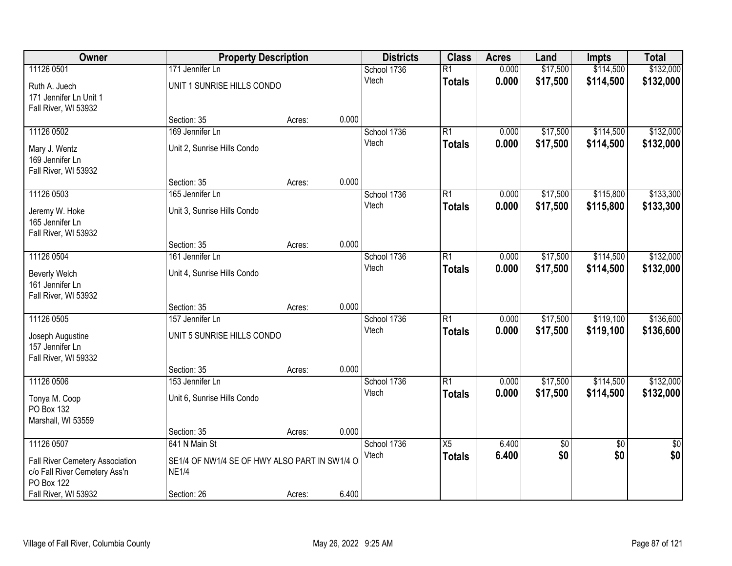| Owner                                              | <b>Property Description</b>                                   |        |       | <b>Districts</b>     | <b>Class</b>    | <b>Acres</b>   | Land                 | <b>Impts</b>           | <b>Total</b> |
|----------------------------------------------------|---------------------------------------------------------------|--------|-------|----------------------|-----------------|----------------|----------------------|------------------------|--------------|
| 11126 0501                                         | 171 Jennifer Ln                                               |        |       | School 1736          | $\overline{R1}$ | 0.000          | \$17,500             | \$114,500              | \$132,000    |
| Ruth A. Juech                                      | UNIT 1 SUNRISE HILLS CONDO                                    |        |       | Vtech                | <b>Totals</b>   | 0.000          | \$17,500             | \$114,500              | \$132,000    |
| 171 Jennifer Ln Unit 1                             |                                                               |        |       |                      |                 |                |                      |                        |              |
| Fall River, WI 53932                               |                                                               |        |       |                      |                 |                |                      |                        |              |
|                                                    | Section: 35                                                   | Acres: | 0.000 |                      |                 |                |                      |                        |              |
| 11126 0502                                         | 169 Jennifer Ln                                               |        |       | School 1736          | $\overline{R1}$ | 0.000          | \$17,500             | \$114,500              | \$132,000    |
| Mary J. Wentz                                      | Unit 2, Sunrise Hills Condo                                   |        |       | Vtech                | <b>Totals</b>   | 0.000          | \$17,500             | \$114,500              | \$132,000    |
| 169 Jennifer Ln                                    |                                                               |        |       |                      |                 |                |                      |                        |              |
| Fall River, WI 53932                               |                                                               |        |       |                      |                 |                |                      |                        |              |
|                                                    | Section: 35                                                   | Acres: | 0.000 |                      |                 |                |                      |                        |              |
| 11126 0503                                         | 165 Jennifer Ln                                               |        |       | School 1736          | R1              | 0.000          | \$17,500             | \$115,800              | \$133,300    |
| Jeremy W. Hoke                                     | Unit 3, Sunrise Hills Condo                                   |        |       | Vtech                | <b>Totals</b>   | 0.000          | \$17,500             | \$115,800              | \$133,300    |
| 165 Jennifer Ln                                    |                                                               |        |       |                      |                 |                |                      |                        |              |
| Fall River, WI 53932                               |                                                               |        |       |                      |                 |                |                      |                        |              |
|                                                    | Section: 35                                                   | Acres: | 0.000 |                      |                 |                |                      |                        |              |
| 11126 0504                                         | 161 Jennifer Ln                                               |        |       | School 1736<br>Vtech | $\overline{R1}$ | 0.000<br>0.000 | \$17,500<br>\$17,500 | \$114,500<br>\$114,500 | \$132,000    |
| Beverly Welch                                      | Unit 4, Sunrise Hills Condo                                   |        |       |                      | <b>Totals</b>   |                |                      |                        | \$132,000    |
| 161 Jennifer Ln                                    |                                                               |        |       |                      |                 |                |                      |                        |              |
| Fall River, WI 53932                               |                                                               |        | 0.000 |                      |                 |                |                      |                        |              |
| 11126 0505                                         | Section: 35<br>157 Jennifer Ln                                | Acres: |       | School 1736          | $\overline{R1}$ | 0.000          | \$17,500             | \$119,100              | \$136,600    |
|                                                    |                                                               |        |       | Vtech                | <b>Totals</b>   | 0.000          | \$17,500             | \$119,100              | \$136,600    |
| Joseph Augustine                                   | UNIT 5 SUNRISE HILLS CONDO                                    |        |       |                      |                 |                |                      |                        |              |
| 157 Jennifer Ln                                    |                                                               |        |       |                      |                 |                |                      |                        |              |
| Fall River, WI 59332                               | Section: 35                                                   | Acres: | 0.000 |                      |                 |                |                      |                        |              |
| 11126 0506                                         | 153 Jennifer Ln                                               |        |       | School 1736          | $\overline{R1}$ | 0.000          | \$17,500             | \$114,500              | \$132,000    |
|                                                    |                                                               |        |       | Vtech                | <b>Totals</b>   | 0.000          | \$17,500             | \$114,500              | \$132,000    |
| Tonya M. Coop                                      | Unit 6, Sunrise Hills Condo                                   |        |       |                      |                 |                |                      |                        |              |
| PO Box 132<br>Marshall, WI 53559                   |                                                               |        |       |                      |                 |                |                      |                        |              |
|                                                    | Section: 35                                                   | Acres: | 0.000 |                      |                 |                |                      |                        |              |
| 11126 0507                                         | 641 N Main St                                                 |        |       | School 1736          | $\overline{X5}$ | 6.400          | \$0                  | $\overline{30}$        | $\sqrt{50}$  |
|                                                    |                                                               |        |       | Vtech                | <b>Totals</b>   | 6.400          | \$0                  | \$0                    | \$0          |
| Fall River Cemetery Association                    | SE1/4 OF NW1/4 SE OF HWY ALSO PART IN SW1/4 O<br><b>NE1/4</b> |        |       |                      |                 |                |                      |                        |              |
| c/o Fall River Cemetery Ass'n<br><b>PO Box 122</b> |                                                               |        |       |                      |                 |                |                      |                        |              |
| Fall River, WI 53932                               | Section: 26                                                   | Acres: | 6.400 |                      |                 |                |                      |                        |              |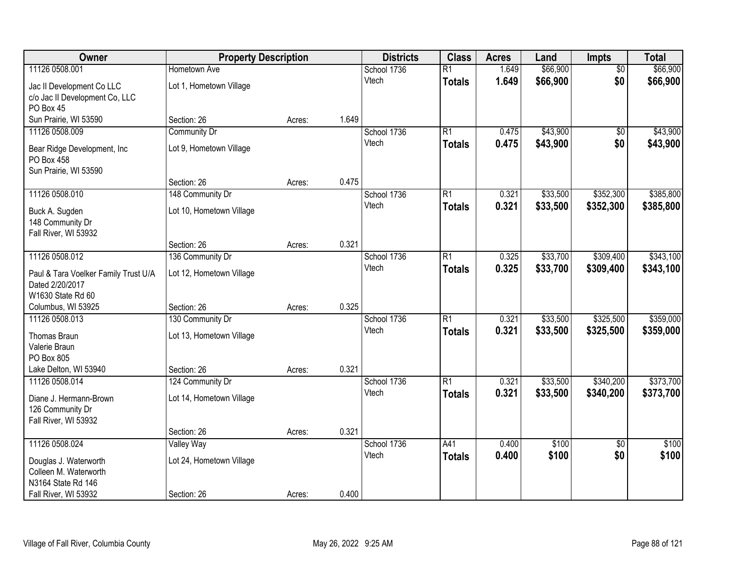| Owner                                                   | <b>Property Description</b> |        | <b>Districts</b> | <b>Class</b> | <b>Acres</b>    | Land  | Impts    | <b>Total</b>    |           |
|---------------------------------------------------------|-----------------------------|--------|------------------|--------------|-----------------|-------|----------|-----------------|-----------|
| 11126 0508.001                                          | Hometown Ave                |        |                  | School 1736  | $\overline{R1}$ | 1.649 | \$66,900 | $\overline{50}$ | \$66,900  |
| Jac II Development Co LLC                               | Lot 1, Hometown Village     |        |                  | Vtech        | <b>Totals</b>   | 1.649 | \$66,900 | \$0             | \$66,900  |
| c/o Jac II Development Co, LLC                          |                             |        |                  |              |                 |       |          |                 |           |
| PO Box 45                                               |                             |        |                  |              |                 |       |          |                 |           |
| Sun Prairie, WI 53590                                   | Section: 26                 | Acres: | 1.649            |              |                 |       |          |                 |           |
| 11126 0508.009                                          | Community Dr                |        |                  | School 1736  | $\overline{R1}$ | 0.475 | \$43,900 | $\overline{50}$ | \$43,900  |
| Bear Ridge Development, Inc.                            | Lot 9, Hometown Village     |        |                  | Vtech        | <b>Totals</b>   | 0.475 | \$43,900 | \$0             | \$43,900  |
| PO Box 458                                              |                             |        |                  |              |                 |       |          |                 |           |
| Sun Prairie, WI 53590                                   |                             |        |                  |              |                 |       |          |                 |           |
|                                                         | Section: 26                 | Acres: | 0.475            |              |                 |       |          |                 |           |
| 11126 0508.010                                          | 148 Community Dr            |        |                  | School 1736  | $\overline{R1}$ | 0.321 | \$33,500 | \$352,300       | \$385,800 |
| Buck A. Sugden                                          | Lot 10, Hometown Village    |        |                  | Vtech        | <b>Totals</b>   | 0.321 | \$33,500 | \$352,300       | \$385,800 |
| 148 Community Dr                                        |                             |        |                  |              |                 |       |          |                 |           |
| Fall River, WI 53932                                    |                             |        |                  |              |                 |       |          |                 |           |
|                                                         | Section: 26                 | Acres: | 0.321            |              |                 |       |          |                 |           |
| 11126 0508.012                                          | 136 Community Dr            |        |                  | School 1736  | $\overline{R1}$ | 0.325 | \$33,700 | \$309,400       | \$343,100 |
|                                                         | Lot 12, Hometown Village    |        |                  | Vtech        | <b>Totals</b>   | 0.325 | \$33,700 | \$309,400       | \$343,100 |
| Paul & Tara Voelker Family Trust U/A<br>Dated 2/20/2017 |                             |        |                  |              |                 |       |          |                 |           |
| W1630 State Rd 60                                       |                             |        |                  |              |                 |       |          |                 |           |
| Columbus, WI 53925                                      | Section: 26                 | Acres: | 0.325            |              |                 |       |          |                 |           |
| 11126 0508.013                                          | 130 Community Dr            |        |                  | School 1736  | $\overline{R1}$ | 0.321 | \$33,500 | \$325,500       | \$359,000 |
|                                                         |                             |        |                  | Vtech        | <b>Totals</b>   | 0.321 | \$33,500 | \$325,500       | \$359,000 |
| Thomas Braun<br>Valerie Braun                           | Lot 13, Hometown Village    |        |                  |              |                 |       |          |                 |           |
| PO Box 805                                              |                             |        |                  |              |                 |       |          |                 |           |
| Lake Delton, WI 53940                                   | Section: 26                 | Acres: | 0.321            |              |                 |       |          |                 |           |
| 11126 0508.014                                          | 124 Community Dr            |        |                  | School 1736  | $\overline{R1}$ | 0.321 | \$33,500 | \$340,200       | \$373,700 |
|                                                         |                             |        |                  | Vtech        | <b>Totals</b>   | 0.321 | \$33,500 | \$340,200       | \$373,700 |
| Diane J. Hermann-Brown                                  | Lot 14, Hometown Village    |        |                  |              |                 |       |          |                 |           |
| 126 Community Dr                                        |                             |        |                  |              |                 |       |          |                 |           |
| Fall River, WI 53932                                    | Section: 26                 | Acres: | 0.321            |              |                 |       |          |                 |           |
| 11126 0508.024                                          | <b>Valley Way</b>           |        |                  | School 1736  | A41             | 0.400 | \$100    | $\overline{50}$ | \$100     |
|                                                         |                             |        |                  | Vtech        | <b>Totals</b>   | 0.400 | \$100    | \$0             | \$100     |
| Douglas J. Waterworth                                   | Lot 24, Hometown Village    |        |                  |              |                 |       |          |                 |           |
| Colleen M. Waterworth                                   |                             |        |                  |              |                 |       |          |                 |           |
| N3164 State Rd 146                                      |                             |        |                  |              |                 |       |          |                 |           |
| Fall River, WI 53932                                    | Section: 26                 | Acres: | 0.400            |              |                 |       |          |                 |           |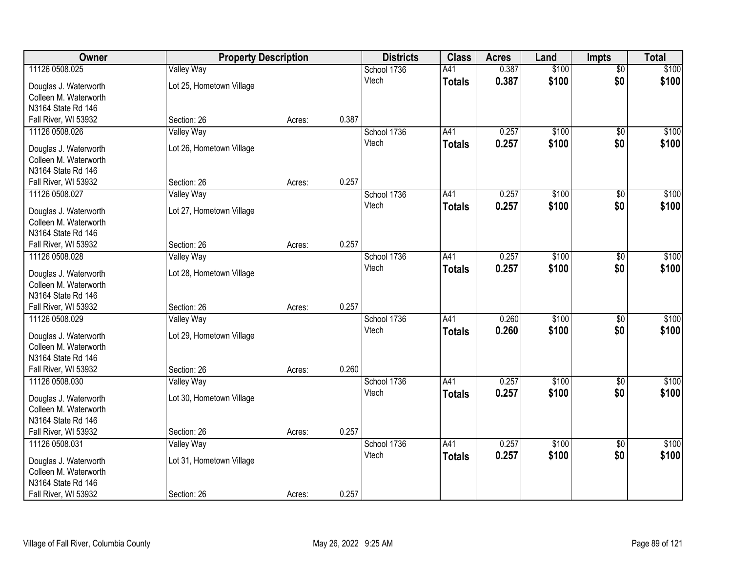| Owner                 | <b>Property Description</b> |        |       | <b>Districts</b>     | <b>Class</b>  | <b>Acres</b> | Land  | <b>Impts</b>    | <b>Total</b> |
|-----------------------|-----------------------------|--------|-------|----------------------|---------------|--------------|-------|-----------------|--------------|
| 11126 0508.025        | <b>Valley Way</b>           |        |       | School 1736          | A41           | 0.387        | \$100 | $\overline{50}$ | \$100        |
| Douglas J. Waterworth | Lot 25, Hometown Village    |        |       | Vtech                | <b>Totals</b> | 0.387        | \$100 | \$0             | \$100        |
| Colleen M. Waterworth |                             |        |       |                      |               |              |       |                 |              |
| N3164 State Rd 146    |                             |        |       |                      |               |              |       |                 |              |
| Fall River, WI 53932  | Section: 26                 | Acres: | 0.387 |                      |               |              |       |                 |              |
| 11126 0508.026        | <b>Valley Way</b>           |        |       | School 1736          | A41           | 0.257        | \$100 | \$0             | \$100        |
| Douglas J. Waterworth | Lot 26, Hometown Village    |        |       | Vtech                | <b>Totals</b> | 0.257        | \$100 | \$0             | \$100        |
| Colleen M. Waterworth |                             |        |       |                      |               |              |       |                 |              |
| N3164 State Rd 146    |                             |        |       |                      |               |              |       |                 |              |
| Fall River, WI 53932  | Section: 26                 | Acres: | 0.257 |                      |               |              |       |                 |              |
| 11126 0508.027        | <b>Valley Way</b>           |        |       | School 1736          | A41           | 0.257        | \$100 | \$0             | \$100        |
|                       |                             |        |       | Vtech                | <b>Totals</b> | 0.257        | \$100 | \$0             | \$100        |
| Douglas J. Waterworth | Lot 27, Hometown Village    |        |       |                      |               |              |       |                 |              |
| Colleen M. Waterworth |                             |        |       |                      |               |              |       |                 |              |
| N3164 State Rd 146    |                             |        |       |                      |               |              |       |                 |              |
| Fall River, WI 53932  | Section: 26                 | Acres: | 0.257 |                      |               |              |       |                 |              |
| 11126 0508.028        | <b>Valley Way</b>           |        |       | School 1736<br>Vtech | A41           | 0.257        | \$100 | $\sqrt[6]{3}$   | \$100        |
| Douglas J. Waterworth | Lot 28, Hometown Village    |        |       |                      | <b>Totals</b> | 0.257        | \$100 | \$0             | \$100        |
| Colleen M. Waterworth |                             |        |       |                      |               |              |       |                 |              |
| N3164 State Rd 146    |                             |        |       |                      |               |              |       |                 |              |
| Fall River, WI 53932  | Section: 26                 | Acres: | 0.257 |                      |               |              |       |                 |              |
| 11126 0508.029        | <b>Valley Way</b>           |        |       | School 1736          | A41           | 0.260        | \$100 | $\overline{50}$ | \$100        |
| Douglas J. Waterworth | Lot 29, Hometown Village    |        |       | Vtech                | <b>Totals</b> | 0.260        | \$100 | \$0             | \$100        |
| Colleen M. Waterworth |                             |        |       |                      |               |              |       |                 |              |
| N3164 State Rd 146    |                             |        |       |                      |               |              |       |                 |              |
| Fall River, WI 53932  | Section: 26                 | Acres: | 0.260 |                      |               |              |       |                 |              |
| 11126 0508.030        | <b>Valley Way</b>           |        |       | School 1736          | A41           | 0.257        | \$100 | \$0             | \$100        |
| Douglas J. Waterworth | Lot 30, Hometown Village    |        |       | Vtech                | <b>Totals</b> | 0.257        | \$100 | \$0             | \$100        |
| Colleen M. Waterworth |                             |        |       |                      |               |              |       |                 |              |
| N3164 State Rd 146    |                             |        |       |                      |               |              |       |                 |              |
| Fall River, WI 53932  | Section: 26                 | Acres: | 0.257 |                      |               |              |       |                 |              |
| 11126 0508.031        | <b>Valley Way</b>           |        |       | School 1736          | A41           | 0.257        | \$100 | $\overline{50}$ | \$100        |
|                       |                             |        |       | Vtech                | <b>Totals</b> | 0.257        | \$100 | \$0             | \$100        |
| Douglas J. Waterworth | Lot 31, Hometown Village    |        |       |                      |               |              |       |                 |              |
| Colleen M. Waterworth |                             |        |       |                      |               |              |       |                 |              |
| N3164 State Rd 146    |                             |        | 0.257 |                      |               |              |       |                 |              |
| Fall River, WI 53932  | Section: 26                 | Acres: |       |                      |               |              |       |                 |              |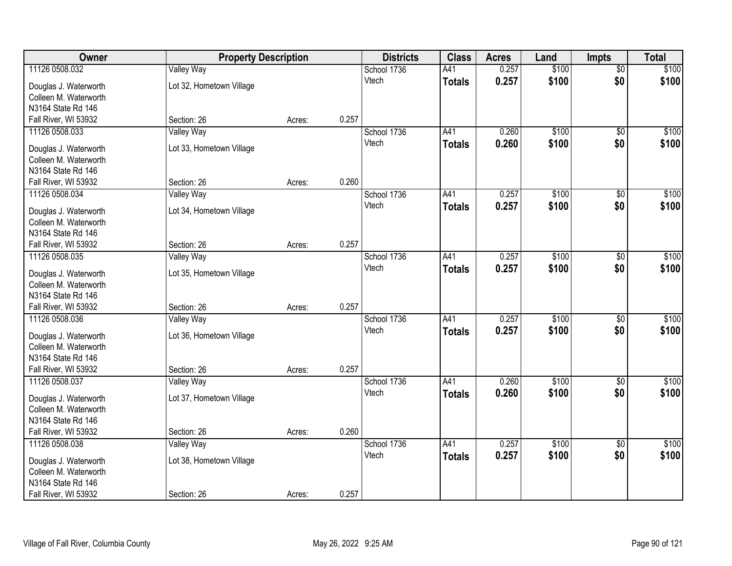| Owner                                          | <b>Property Description</b> |        |       | <b>Districts</b>     | <b>Class</b>  | <b>Acres</b> | Land  | <b>Impts</b>           | <b>Total</b> |
|------------------------------------------------|-----------------------------|--------|-------|----------------------|---------------|--------------|-------|------------------------|--------------|
| 11126 0508.032                                 | <b>Valley Way</b>           |        |       | School 1736          | A41           | 0.257        | \$100 | \$0                    | \$100        |
| Douglas J. Waterworth                          | Lot 32, Hometown Village    |        |       | Vtech                | <b>Totals</b> | 0.257        | \$100 | \$0                    | \$100        |
| Colleen M. Waterworth                          |                             |        |       |                      |               |              |       |                        |              |
| N3164 State Rd 146                             |                             |        |       |                      |               |              |       |                        |              |
| Fall River, WI 53932                           | Section: 26                 | Acres: | 0.257 |                      |               |              |       |                        |              |
| 11126 0508.033                                 | <b>Valley Way</b>           |        |       | School 1736          | A41           | 0.260        | \$100 | \$0                    | \$100        |
| Douglas J. Waterworth                          | Lot 33, Hometown Village    |        |       | Vtech                | <b>Totals</b> | 0.260        | \$100 | \$0                    | \$100        |
| Colleen M. Waterworth                          |                             |        |       |                      |               |              |       |                        |              |
| N3164 State Rd 146                             |                             |        |       |                      |               |              |       |                        |              |
| Fall River, WI 53932                           | Section: 26                 | Acres: | 0.260 |                      |               |              |       |                        |              |
| 11126 0508.034                                 | <b>Valley Way</b>           |        |       | School 1736          | A41           | 0.257        | \$100 | \$0                    | \$100        |
| Douglas J. Waterworth                          | Lot 34, Hometown Village    |        |       | Vtech                | <b>Totals</b> | 0.257        | \$100 | \$0                    | \$100        |
| Colleen M. Waterworth                          |                             |        |       |                      |               |              |       |                        |              |
| N3164 State Rd 146                             |                             |        |       |                      |               |              |       |                        |              |
| Fall River, WI 53932                           | Section: 26                 | Acres: | 0.257 |                      |               |              |       |                        |              |
| 11126 0508.035                                 | <b>Valley Way</b>           |        |       | School 1736          | A41           | 0.257        | \$100 | $\sqrt{6}$             | \$100        |
|                                                |                             |        |       | Vtech                | <b>Totals</b> | 0.257        | \$100 | \$0                    | \$100        |
| Douglas J. Waterworth<br>Colleen M. Waterworth | Lot 35, Hometown Village    |        |       |                      |               |              |       |                        |              |
| N3164 State Rd 146                             |                             |        |       |                      |               |              |       |                        |              |
| Fall River, WI 53932                           | Section: 26                 | Acres: | 0.257 |                      |               |              |       |                        |              |
| 11126 0508.036                                 | <b>Valley Way</b>           |        |       | School 1736          | A41           | 0.257        | \$100 | $\overline{50}$        | \$100        |
|                                                |                             |        |       | Vtech                | <b>Totals</b> | 0.257        | \$100 | \$0                    | \$100        |
| Douglas J. Waterworth                          | Lot 36, Hometown Village    |        |       |                      |               |              |       |                        |              |
| Colleen M. Waterworth                          |                             |        |       |                      |               |              |       |                        |              |
| N3164 State Rd 146<br>Fall River, WI 53932     | Section: 26                 | Acres: | 0.257 |                      |               |              |       |                        |              |
| 11126 0508.037                                 | Valley Way                  |        |       | School 1736          | A41           | 0.260        | \$100 | $\overline{50}$        | \$100        |
|                                                |                             |        |       | Vtech                | <b>Totals</b> | 0.260        | \$100 | \$0                    | \$100        |
| Douglas J. Waterworth                          | Lot 37, Hometown Village    |        |       |                      |               |              |       |                        |              |
| Colleen M. Waterworth                          |                             |        |       |                      |               |              |       |                        |              |
| N3164 State Rd 146                             |                             |        | 0.260 |                      |               |              |       |                        |              |
| Fall River, WI 53932<br>11126 0508.038         | Section: 26                 | Acres: |       |                      | A41           | 0.257        | \$100 |                        |              |
|                                                | <b>Valley Way</b>           |        |       | School 1736<br>Vtech |               | 0.257        |       | $\overline{50}$<br>\$0 | \$100        |
| Douglas J. Waterworth                          | Lot 38, Hometown Village    |        |       |                      | <b>Totals</b> |              | \$100 |                        | \$100        |
| Colleen M. Waterworth                          |                             |        |       |                      |               |              |       |                        |              |
| N3164 State Rd 146                             |                             |        |       |                      |               |              |       |                        |              |
| Fall River, WI 53932                           | Section: 26                 | Acres: | 0.257 |                      |               |              |       |                        |              |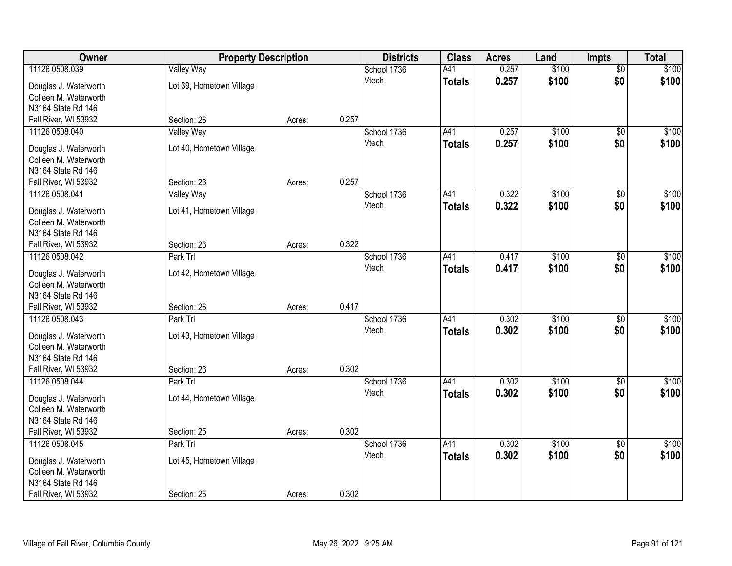| Owner                                          | <b>Property Description</b> |        |       | <b>Districts</b> | <b>Class</b>  | <b>Acres</b> | Land  | <b>Impts</b>    | <b>Total</b> |
|------------------------------------------------|-----------------------------|--------|-------|------------------|---------------|--------------|-------|-----------------|--------------|
| 11126 0508.039                                 | <b>Valley Way</b>           |        |       | School 1736      | A41           | 0.257        | \$100 | \$0             | \$100        |
| Douglas J. Waterworth                          | Lot 39, Hometown Village    |        |       | Vtech            | <b>Totals</b> | 0.257        | \$100 | \$0             | \$100        |
| Colleen M. Waterworth                          |                             |        |       |                  |               |              |       |                 |              |
| N3164 State Rd 146                             |                             |        |       |                  |               |              |       |                 |              |
| Fall River, WI 53932                           | Section: 26                 | Acres: | 0.257 |                  |               |              |       |                 |              |
| 11126 0508.040                                 | <b>Valley Way</b>           |        |       | School 1736      | A41           | 0.257        | \$100 | \$0             | \$100        |
| Douglas J. Waterworth                          | Lot 40, Hometown Village    |        |       | Vtech            | <b>Totals</b> | 0.257        | \$100 | \$0             | \$100        |
| Colleen M. Waterworth                          |                             |        |       |                  |               |              |       |                 |              |
| N3164 State Rd 146                             |                             |        |       |                  |               |              |       |                 |              |
| Fall River, WI 53932                           | Section: 26                 | Acres: | 0.257 |                  |               |              |       |                 |              |
| 11126 0508.041                                 | <b>Valley Way</b>           |        |       | School 1736      | A41           | 0.322        | \$100 | \$0             | \$100        |
|                                                |                             |        |       | Vtech            | <b>Totals</b> | 0.322        | \$100 | \$0             | \$100        |
| Douglas J. Waterworth                          | Lot 41, Hometown Village    |        |       |                  |               |              |       |                 |              |
| Colleen M. Waterworth                          |                             |        |       |                  |               |              |       |                 |              |
| N3164 State Rd 146                             | Section: 26                 |        | 0.322 |                  |               |              |       |                 |              |
| Fall River, WI 53932<br>11126 0508.042         | Park Trl                    | Acres: |       | School 1736      | A41           | 0.417        | \$100 | $\sqrt[6]{3}$   | \$100        |
|                                                |                             |        |       | Vtech            |               | 0.417        | \$100 | \$0             | \$100        |
| Douglas J. Waterworth                          | Lot 42, Hometown Village    |        |       |                  | <b>Totals</b> |              |       |                 |              |
| Colleen M. Waterworth                          |                             |        |       |                  |               |              |       |                 |              |
| N3164 State Rd 146                             |                             |        |       |                  |               |              |       |                 |              |
| Fall River, WI 53932                           | Section: 26                 | Acres: | 0.417 |                  |               |              |       |                 |              |
| 11126 0508.043                                 | Park Trl                    |        |       | School 1736      | A41           | 0.302        | \$100 | \$0             | \$100        |
| Douglas J. Waterworth                          | Lot 43, Hometown Village    |        |       | Vtech            | <b>Totals</b> | 0.302        | \$100 | \$0             | \$100        |
| Colleen M. Waterworth                          |                             |        |       |                  |               |              |       |                 |              |
| N3164 State Rd 146                             |                             |        |       |                  |               |              |       |                 |              |
| Fall River, WI 53932                           | Section: 26                 | Acres: | 0.302 |                  |               |              |       |                 |              |
| 11126 0508.044                                 | Park Trl                    |        |       | School 1736      | A41           | 0.302        | \$100 | \$0             | \$100        |
| Douglas J. Waterworth                          | Lot 44, Hometown Village    |        |       | Vtech            | <b>Totals</b> | 0.302        | \$100 | \$0             | \$100        |
| Colleen M. Waterworth                          |                             |        |       |                  |               |              |       |                 |              |
| N3164 State Rd 146                             |                             |        |       |                  |               |              |       |                 |              |
| Fall River, WI 53932                           | Section: 25                 | Acres: | 0.302 |                  |               |              |       |                 |              |
| 11126 0508.045                                 | Park Trl                    |        |       | School 1736      | A41           | 0.302        | \$100 | $\overline{50}$ | \$100        |
|                                                |                             |        |       | Vtech            | <b>Totals</b> | 0.302        | \$100 | \$0             | \$100        |
| Douglas J. Waterworth<br>Colleen M. Waterworth | Lot 45, Hometown Village    |        |       |                  |               |              |       |                 |              |
| N3164 State Rd 146                             |                             |        |       |                  |               |              |       |                 |              |
| Fall River, WI 53932                           | Section: 25                 | Acres: | 0.302 |                  |               |              |       |                 |              |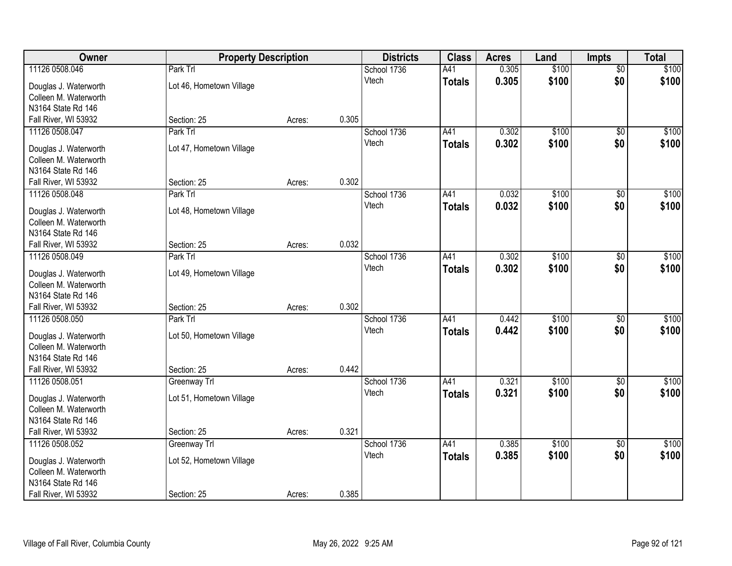| 11126 0508.046<br>Park Trl<br>0.305<br>\$100<br>School 1736<br>A41<br>$\overline{50}$                | \$100 |
|------------------------------------------------------------------------------------------------------|-------|
| \$0<br>0.305<br>\$100<br>Vtech<br><b>Totals</b><br>Lot 46, Hometown Village<br>Douglas J. Waterworth | \$100 |
| Colleen M. Waterworth                                                                                |       |
| N3164 State Rd 146                                                                                   |       |
| 0.305<br>Fall River, WI 53932<br>Section: 25<br>Acres:                                               |       |
| Park Trl<br>A41<br>0.302<br>\$100<br>11126 0508.047<br>School 1736<br>\$0                            | \$100 |
| 0.302<br>\$100<br>\$0<br>Vtech<br><b>Totals</b><br>Lot 47, Hometown Village<br>Douglas J. Waterworth | \$100 |
| Colleen M. Waterworth                                                                                |       |
| N3164 State Rd 146                                                                                   |       |
| 0.302<br>Fall River, WI 53932<br>Section: 25<br>Acres:                                               |       |
| \$100<br>School 1736<br>A41<br>0.032<br>11126 0508.048<br>Park Trl<br>\$0                            | \$100 |
| \$0<br>Vtech<br>0.032<br>\$100<br><b>Totals</b>                                                      | \$100 |
| Lot 48, Hometown Village<br>Douglas J. Waterworth                                                    |       |
| Colleen M. Waterworth                                                                                |       |
| N3164 State Rd 146<br>0.032<br>Fall River, WI 53932<br>Section: 25<br>Acres:                         |       |
| \$100<br>11126 0508.049<br>Park Trl<br>School 1736<br>A41<br>0.302<br>$\sqrt[6]{3}$                  | \$100 |
| \$0<br>Vtech<br>0.302<br>\$100                                                                       | \$100 |
| <b>Totals</b><br>Lot 49, Hometown Village<br>Douglas J. Waterworth                                   |       |
| Colleen M. Waterworth                                                                                |       |
| N3164 State Rd 146                                                                                   |       |
| 0.302<br>Fall River, WI 53932<br>Section: 25<br>Acres:                                               |       |
| A41<br>\$100<br>0.442<br>$\overline{50}$<br>11126 0508.050<br>Park Trl<br>School 1736                | \$100 |
| 0.442<br>\$100<br>\$0<br>Vtech<br><b>Totals</b><br>Douglas J. Waterworth<br>Lot 50, Hometown Village | \$100 |
| Colleen M. Waterworth                                                                                |       |
| N3164 State Rd 146                                                                                   |       |
| 0.442<br>Fall River, WI 53932<br>Section: 25<br>Acres:                                               |       |
| A41<br>\$100<br>11126 0508.051<br>School 1736<br>0.321<br>Greenway Trl<br>\$0                        | \$100 |
| \$100<br>\$0<br>0.321<br>Vtech<br><b>Totals</b><br>Douglas J. Waterworth<br>Lot 51, Hometown Village | \$100 |
| Colleen M. Waterworth                                                                                |       |
| N3164 State Rd 146                                                                                   |       |
| 0.321<br>Fall River, WI 53932<br>Section: 25<br>Acres:                                               |       |
| School 1736<br>\$100<br>11126 0508.052<br>Greenway Trl<br>A41<br>0.385<br>$\overline{50}$            | \$100 |
| \$0<br>0.385<br>\$100<br>Vtech<br><b>Totals</b>                                                      | \$100 |
| Lot 52, Hometown Village<br>Douglas J. Waterworth<br>Colleen M. Waterworth                           |       |
| N3164 State Rd 146                                                                                   |       |
| 0.385<br>Fall River, WI 53932<br>Section: 25<br>Acres:                                               |       |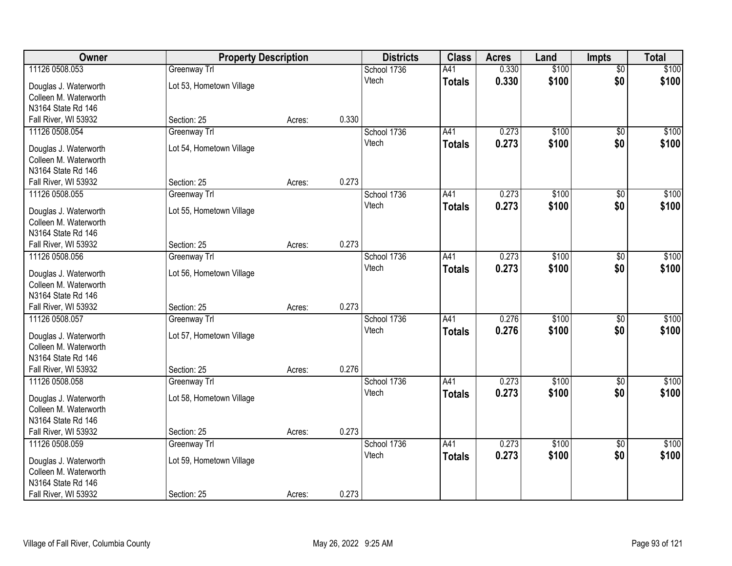| Owner                                          | <b>Property Description</b> |        |       | <b>Districts</b> | <b>Class</b>  | <b>Acres</b> | Land  | <b>Impts</b>    | <b>Total</b> |
|------------------------------------------------|-----------------------------|--------|-------|------------------|---------------|--------------|-------|-----------------|--------------|
| 11126 0508.053                                 | Greenway Trl                |        |       | School 1736      | A41           | 0.330        | \$100 | \$0             | \$100        |
| Douglas J. Waterworth                          | Lot 53, Hometown Village    |        |       | Vtech            | <b>Totals</b> | 0.330        | \$100 | \$0             | \$100        |
| Colleen M. Waterworth                          |                             |        |       |                  |               |              |       |                 |              |
| N3164 State Rd 146                             |                             |        |       |                  |               |              |       |                 |              |
| Fall River, WI 53932                           | Section: 25                 | Acres: | 0.330 |                  |               |              |       |                 |              |
| 11126 0508.054                                 | Greenway Trl                |        |       | School 1736      | A41           | 0.273        | \$100 | $\overline{50}$ | \$100        |
| Douglas J. Waterworth                          | Lot 54, Hometown Village    |        |       | Vtech            | <b>Totals</b> | 0.273        | \$100 | \$0             | \$100        |
| Colleen M. Waterworth                          |                             |        |       |                  |               |              |       |                 |              |
| N3164 State Rd 146                             |                             |        |       |                  |               |              |       |                 |              |
| Fall River, WI 53932                           | Section: 25                 | Acres: | 0.273 |                  |               |              |       |                 |              |
| 11126 0508.055                                 | Greenway Trl                |        |       | School 1736      | A41           | 0.273        | \$100 | \$0             | \$100        |
|                                                |                             |        |       | Vtech            | <b>Totals</b> | 0.273        | \$100 | \$0             | \$100        |
| Douglas J. Waterworth<br>Colleen M. Waterworth | Lot 55, Hometown Village    |        |       |                  |               |              |       |                 |              |
| N3164 State Rd 146                             |                             |        |       |                  |               |              |       |                 |              |
| Fall River, WI 53932                           | Section: 25                 | Acres: | 0.273 |                  |               |              |       |                 |              |
| 11126 0508.056                                 | Greenway Trl                |        |       | School 1736      | A41           | 0.273        | \$100 | $\sqrt{6}$      | \$100        |
|                                                |                             |        |       | Vtech            | <b>Totals</b> | 0.273        | \$100 | \$0             | \$100        |
| Douglas J. Waterworth                          | Lot 56, Hometown Village    |        |       |                  |               |              |       |                 |              |
| Colleen M. Waterworth                          |                             |        |       |                  |               |              |       |                 |              |
| N3164 State Rd 146<br>Fall River, WI 53932     | Section: 25                 |        | 0.273 |                  |               |              |       |                 |              |
| 11126 0508.057                                 | Greenway Trl                | Acres: |       | School 1736      | A41           | 0.276        | \$100 | $\overline{50}$ | \$100        |
|                                                |                             |        |       | Vtech            | <b>Totals</b> | 0.276        | \$100 | \$0             | \$100        |
| Douglas J. Waterworth                          | Lot 57, Hometown Village    |        |       |                  |               |              |       |                 |              |
| Colleen M. Waterworth                          |                             |        |       |                  |               |              |       |                 |              |
| N3164 State Rd 146                             |                             |        |       |                  |               |              |       |                 |              |
| Fall River, WI 53932                           | Section: 25                 | Acres: | 0.276 |                  |               |              |       |                 |              |
| 11126 0508.058                                 | Greenway Trl                |        |       | School 1736      | A41           | 0.273        | \$100 | $\overline{50}$ | \$100        |
| Douglas J. Waterworth                          | Lot 58, Hometown Village    |        |       | Vtech            | <b>Totals</b> | 0.273        | \$100 | \$0             | \$100        |
| Colleen M. Waterworth                          |                             |        |       |                  |               |              |       |                 |              |
| N3164 State Rd 146                             |                             |        |       |                  |               |              |       |                 |              |
| Fall River, WI 53932                           | Section: 25                 | Acres: | 0.273 |                  |               |              |       |                 |              |
| 11126 0508.059                                 | Greenway Trl                |        |       | School 1736      | A41           | 0.273        | \$100 | $\overline{50}$ | \$100        |
| Douglas J. Waterworth                          | Lot 59, Hometown Village    |        |       | Vtech            | <b>Totals</b> | 0.273        | \$100 | \$0             | \$100        |
| Colleen M. Waterworth                          |                             |        |       |                  |               |              |       |                 |              |
| N3164 State Rd 146                             |                             |        |       |                  |               |              |       |                 |              |
| Fall River, WI 53932                           | Section: 25                 | Acres: | 0.273 |                  |               |              |       |                 |              |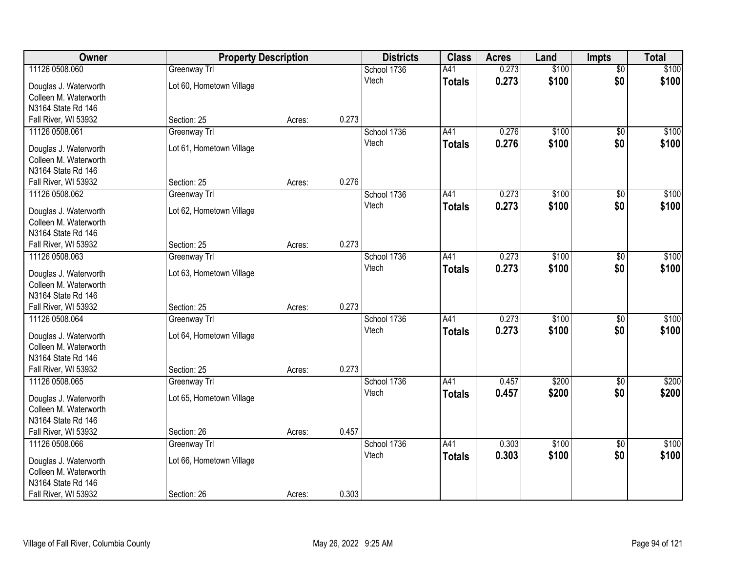| Owner                                          | <b>Property Description</b> |        |       | <b>Districts</b> | <b>Class</b>  | <b>Acres</b> | Land  | <b>Impts</b>    | <b>Total</b> |
|------------------------------------------------|-----------------------------|--------|-------|------------------|---------------|--------------|-------|-----------------|--------------|
| 11126 0508.060                                 | Greenway Trl                |        |       | School 1736      | A41           | 0.273        | \$100 | \$0             | \$100        |
| Douglas J. Waterworth                          | Lot 60, Hometown Village    |        |       | Vtech            | <b>Totals</b> | 0.273        | \$100 | \$0             | \$100        |
| Colleen M. Waterworth                          |                             |        |       |                  |               |              |       |                 |              |
| N3164 State Rd 146                             |                             |        |       |                  |               |              |       |                 |              |
| Fall River, WI 53932                           | Section: 25                 | Acres: | 0.273 |                  |               |              |       |                 |              |
| 11126 0508.061                                 | Greenway Trl                |        |       | School 1736      | A41           | 0.276        | \$100 | $\overline{50}$ | \$100        |
| Douglas J. Waterworth                          | Lot 61, Hometown Village    |        |       | Vtech            | <b>Totals</b> | 0.276        | \$100 | \$0             | \$100        |
| Colleen M. Waterworth                          |                             |        |       |                  |               |              |       |                 |              |
| N3164 State Rd 146                             |                             |        |       |                  |               |              |       |                 |              |
| Fall River, WI 53932                           | Section: 25                 | Acres: | 0.276 |                  |               |              |       |                 |              |
| 11126 0508.062                                 | Greenway Trl                |        |       | School 1736      | A41           | 0.273        | \$100 | \$0             | \$100        |
|                                                |                             |        |       | Vtech            | <b>Totals</b> | 0.273        | \$100 | \$0             | \$100        |
| Douglas J. Waterworth<br>Colleen M. Waterworth | Lot 62, Hometown Village    |        |       |                  |               |              |       |                 |              |
| N3164 State Rd 146                             |                             |        |       |                  |               |              |       |                 |              |
| Fall River, WI 53932                           | Section: 25                 | Acres: | 0.273 |                  |               |              |       |                 |              |
| 11126 0508.063                                 | Greenway Trl                |        |       | School 1736      | A41           | 0.273        | \$100 | $\sqrt{6}$      | \$100        |
|                                                |                             |        |       | Vtech            | <b>Totals</b> | 0.273        | \$100 | \$0             | \$100        |
| Douglas J. Waterworth                          | Lot 63, Hometown Village    |        |       |                  |               |              |       |                 |              |
| Colleen M. Waterworth                          |                             |        |       |                  |               |              |       |                 |              |
| N3164 State Rd 146<br>Fall River, WI 53932     | Section: 25                 |        | 0.273 |                  |               |              |       |                 |              |
| 11126 0508.064                                 | Greenway Trl                | Acres: |       | School 1736      | A41           | 0.273        | \$100 | $\overline{50}$ | \$100        |
|                                                |                             |        |       | Vtech            | <b>Totals</b> | 0.273        | \$100 | \$0             | \$100        |
| Douglas J. Waterworth                          | Lot 64, Hometown Village    |        |       |                  |               |              |       |                 |              |
| Colleen M. Waterworth                          |                             |        |       |                  |               |              |       |                 |              |
| N3164 State Rd 146                             |                             |        |       |                  |               |              |       |                 |              |
| Fall River, WI 53932                           | Section: 25                 | Acres: | 0.273 |                  |               |              |       |                 |              |
| 11126 0508.065                                 | Greenway Trl                |        |       | School 1736      | A41           | 0.457        | \$200 | $\overline{50}$ | \$200        |
| Douglas J. Waterworth                          | Lot 65, Hometown Village    |        |       | Vtech            | <b>Totals</b> | 0.457        | \$200 | \$0             | \$200        |
| Colleen M. Waterworth                          |                             |        |       |                  |               |              |       |                 |              |
| N3164 State Rd 146                             |                             |        |       |                  |               |              |       |                 |              |
| Fall River, WI 53932                           | Section: 26                 | Acres: | 0.457 |                  |               |              |       |                 |              |
| 11126 0508.066                                 | Greenway Trl                |        |       | School 1736      | A41           | 0.303        | \$100 | $\overline{50}$ | \$100        |
| Douglas J. Waterworth                          | Lot 66, Hometown Village    |        |       | Vtech            | <b>Totals</b> | 0.303        | \$100 | \$0             | \$100        |
| Colleen M. Waterworth                          |                             |        |       |                  |               |              |       |                 |              |
| N3164 State Rd 146                             |                             |        |       |                  |               |              |       |                 |              |
| Fall River, WI 53932                           | Section: 26                 | Acres: | 0.303 |                  |               |              |       |                 |              |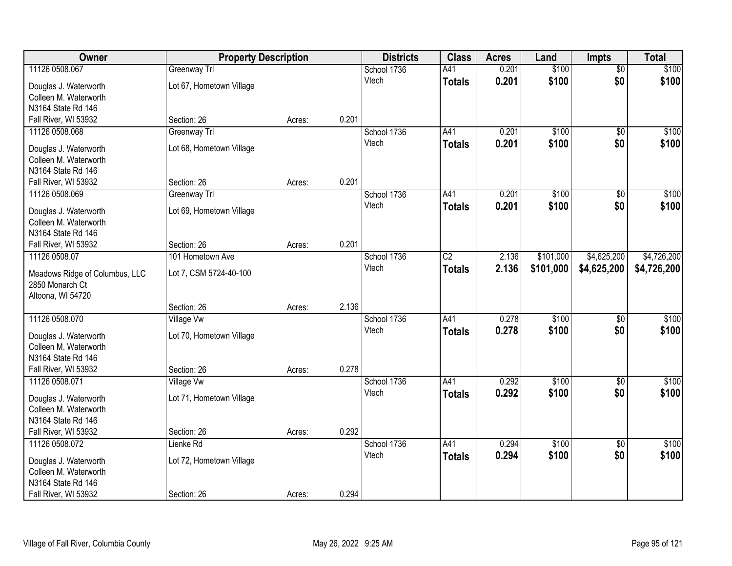| Owner                                          | <b>Property Description</b> |        |       | <b>Districts</b>     | <b>Class</b>  | <b>Acres</b> | Land      | <b>Impts</b>    | <b>Total</b> |
|------------------------------------------------|-----------------------------|--------|-------|----------------------|---------------|--------------|-----------|-----------------|--------------|
| 11126 0508.067                                 | Greenway Trl                |        |       | School 1736          | A41           | 0.201        | \$100     | $\overline{50}$ | \$100        |
| Douglas J. Waterworth                          | Lot 67, Hometown Village    |        |       | Vtech                | <b>Totals</b> | 0.201        | \$100     | \$0             | \$100        |
| Colleen M. Waterworth                          |                             |        |       |                      |               |              |           |                 |              |
| N3164 State Rd 146                             |                             |        |       |                      |               |              |           |                 |              |
| Fall River, WI 53932                           | Section: 26                 | Acres: | 0.201 |                      |               |              |           |                 |              |
| 11126 0508.068                                 | Greenway Trl                |        |       | School 1736          | A41           | 0.201        | \$100     | \$0             | \$100        |
| Douglas J. Waterworth                          | Lot 68, Hometown Village    |        |       | Vtech                | <b>Totals</b> | 0.201        | \$100     | \$0             | \$100        |
| Colleen M. Waterworth                          |                             |        |       |                      |               |              |           |                 |              |
| N3164 State Rd 146                             |                             |        |       |                      |               |              |           |                 |              |
| Fall River, WI 53932                           | Section: 26                 | Acres: | 0.201 |                      |               |              |           |                 |              |
| 11126 0508.069                                 | Greenway Trl                |        |       | School 1736          | A41           | 0.201        | \$100     | \$0             | \$100        |
|                                                |                             |        |       | Vtech                | <b>Totals</b> | 0.201        | \$100     | \$0             | \$100        |
| Douglas J. Waterworth<br>Colleen M. Waterworth | Lot 69, Hometown Village    |        |       |                      |               |              |           |                 |              |
| N3164 State Rd 146                             |                             |        |       |                      |               |              |           |                 |              |
| Fall River, WI 53932                           | Section: 26                 | Acres: | 0.201 |                      |               |              |           |                 |              |
| 11126 0508.07                                  | 101 Hometown Ave            |        |       | School 1736          | C2            | 2.136        | \$101,000 | \$4,625,200     | \$4,726,200  |
|                                                |                             |        |       | Vtech                | <b>Totals</b> | 2.136        | \$101,000 | \$4,625,200     | \$4,726,200  |
| Meadows Ridge of Columbus, LLC                 | Lot 7, CSM 5724-40-100      |        |       |                      |               |              |           |                 |              |
| 2850 Monarch Ct                                |                             |        |       |                      |               |              |           |                 |              |
| Altoona, WI 54720                              |                             |        | 2.136 |                      |               |              |           |                 |              |
| 11126 0508.070                                 | Section: 26                 | Acres: |       |                      | A41           | 0.278        | \$100     | \$0             | \$100        |
|                                                | <b>Village Vw</b>           |        |       | School 1736<br>Vtech |               | 0.278        |           |                 |              |
| Douglas J. Waterworth                          | Lot 70, Hometown Village    |        |       |                      | <b>Totals</b> |              | \$100     | \$0             | \$100        |
| Colleen M. Waterworth                          |                             |        |       |                      |               |              |           |                 |              |
| N3164 State Rd 146                             |                             |        |       |                      |               |              |           |                 |              |
| Fall River, WI 53932                           | Section: 26                 | Acres: | 0.278 |                      |               |              |           |                 |              |
| 11126 0508.071                                 | Village Vw                  |        |       | School 1736          | A41           | 0.292        | \$100     | \$0             | \$100        |
| Douglas J. Waterworth                          | Lot 71, Hometown Village    |        |       | Vtech                | <b>Totals</b> | 0.292        | \$100     | \$0             | \$100        |
| Colleen M. Waterworth                          |                             |        |       |                      |               |              |           |                 |              |
| N3164 State Rd 146                             |                             |        |       |                      |               |              |           |                 |              |
| Fall River, WI 53932                           | Section: 26                 | Acres: | 0.292 |                      |               |              |           |                 |              |
| 11126 0508.072                                 | Lienke Rd                   |        |       | School 1736          | A41           | 0.294        | \$100     | $\overline{50}$ | \$100        |
| Douglas J. Waterworth                          | Lot 72, Hometown Village    |        |       | Vtech                | <b>Totals</b> | 0.294        | \$100     | \$0             | \$100        |
| Colleen M. Waterworth                          |                             |        |       |                      |               |              |           |                 |              |
| N3164 State Rd 146                             |                             |        |       |                      |               |              |           |                 |              |
| Fall River, WI 53932                           | Section: 26                 | Acres: | 0.294 |                      |               |              |           |                 |              |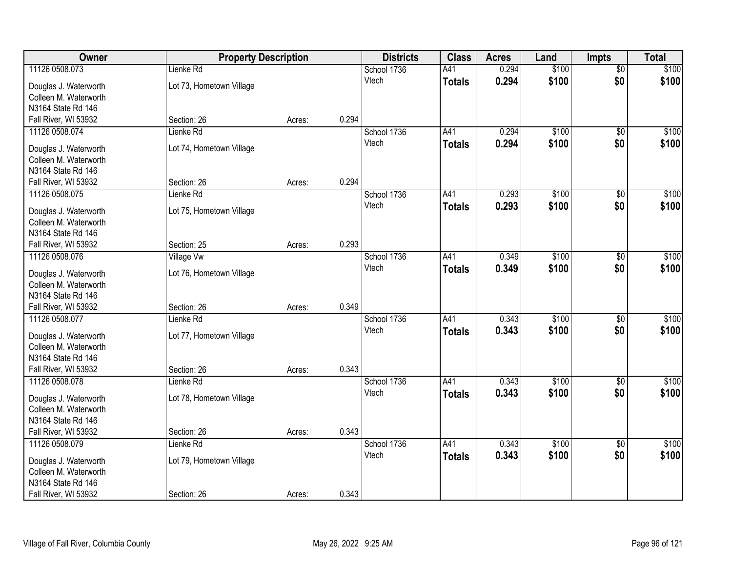| Owner                                       | <b>Property Description</b> |        | <b>Districts</b> | <b>Class</b> | <b>Acres</b>  | Land  | <b>Impts</b> | <b>Total</b>    |       |
|---------------------------------------------|-----------------------------|--------|------------------|--------------|---------------|-------|--------------|-----------------|-------|
| 11126 0508.073                              | Lienke Rd                   |        |                  | School 1736  | A41           | 0.294 | \$100        | $\overline{50}$ | \$100 |
| Douglas J. Waterworth                       | Lot 73, Hometown Village    |        |                  | Vtech        | <b>Totals</b> | 0.294 | \$100        | \$0             | \$100 |
| Colleen M. Waterworth                       |                             |        |                  |              |               |       |              |                 |       |
| N3164 State Rd 146                          |                             |        |                  |              |               |       |              |                 |       |
| Fall River, WI 53932                        | Section: 26                 | Acres: | 0.294            |              |               |       |              |                 |       |
| 11126 0508.074                              | Lienke Rd                   |        |                  | School 1736  | A41           | 0.294 | \$100        | \$0             | \$100 |
| Douglas J. Waterworth                       | Lot 74, Hometown Village    |        |                  | Vtech        | <b>Totals</b> | 0.294 | \$100        | \$0             | \$100 |
| Colleen M. Waterworth                       |                             |        |                  |              |               |       |              |                 |       |
| N3164 State Rd 146                          |                             |        |                  |              |               |       |              |                 |       |
| Fall River, WI 53932                        | Section: 26                 | Acres: | 0.294            |              |               |       |              |                 |       |
| 11126 0508.075                              | Lienke Rd                   |        |                  | School 1736  | A41           | 0.293 | \$100        | \$0             | \$100 |
|                                             |                             |        |                  | Vtech        | <b>Totals</b> | 0.293 | \$100        | \$0             | \$100 |
| Douglas J. Waterworth                       | Lot 75, Hometown Village    |        |                  |              |               |       |              |                 |       |
| Colleen M. Waterworth<br>N3164 State Rd 146 |                             |        |                  |              |               |       |              |                 |       |
| Fall River, WI 53932                        | Section: 25                 | Acres: | 0.293            |              |               |       |              |                 |       |
| 11126 0508.076                              | <b>Village Vw</b>           |        |                  | School 1736  | A41           | 0.349 | \$100        | $\sqrt[6]{3}$   | \$100 |
|                                             |                             |        |                  | Vtech        | <b>Totals</b> | 0.349 | \$100        | \$0             | \$100 |
| Douglas J. Waterworth                       | Lot 76, Hometown Village    |        |                  |              |               |       |              |                 |       |
| Colleen M. Waterworth                       |                             |        |                  |              |               |       |              |                 |       |
| N3164 State Rd 146                          |                             |        |                  |              |               |       |              |                 |       |
| Fall River, WI 53932                        | Section: 26                 | Acres: | 0.349            |              |               |       |              |                 |       |
| 11126 0508.077                              | Lienke Rd                   |        |                  | School 1736  | A41           | 0.343 | \$100        | $\overline{50}$ | \$100 |
| Douglas J. Waterworth                       | Lot 77, Hometown Village    |        |                  | Vtech        | <b>Totals</b> | 0.343 | \$100        | \$0             | \$100 |
| Colleen M. Waterworth                       |                             |        |                  |              |               |       |              |                 |       |
| N3164 State Rd 146                          |                             |        |                  |              |               |       |              |                 |       |
| Fall River, WI 53932                        | Section: 26                 | Acres: | 0.343            |              |               |       |              |                 |       |
| 11126 0508.078                              | Lienke Rd                   |        |                  | School 1736  | A41           | 0.343 | \$100        | \$0             | \$100 |
| Douglas J. Waterworth                       | Lot 78, Hometown Village    |        |                  | Vtech        | <b>Totals</b> | 0.343 | \$100        | \$0             | \$100 |
| Colleen M. Waterworth                       |                             |        |                  |              |               |       |              |                 |       |
| N3164 State Rd 146                          |                             |        |                  |              |               |       |              |                 |       |
| Fall River, WI 53932                        | Section: 26                 | Acres: | 0.343            |              |               |       |              |                 |       |
| 11126 0508.079                              | Lienke Rd                   |        |                  | School 1736  | A41           | 0.343 | \$100        | $\overline{50}$ | \$100 |
| Douglas J. Waterworth                       | Lot 79, Hometown Village    |        |                  | Vtech        | <b>Totals</b> | 0.343 | \$100        | \$0             | \$100 |
| Colleen M. Waterworth                       |                             |        |                  |              |               |       |              |                 |       |
| N3164 State Rd 146                          |                             |        |                  |              |               |       |              |                 |       |
| Fall River, WI 53932                        | Section: 26                 | Acres: | 0.343            |              |               |       |              |                 |       |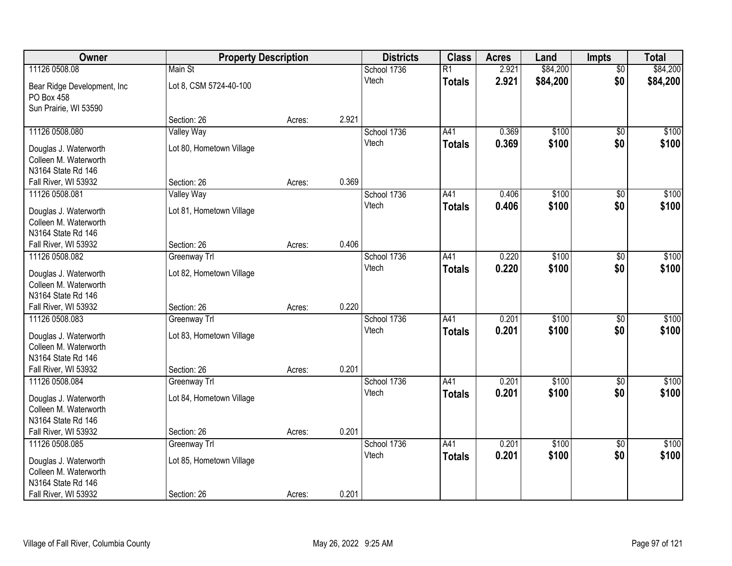| Owner                                          | <b>Property Description</b> |        |       | <b>Districts</b> | <b>Class</b>    | <b>Acres</b> | Land     | <b>Impts</b>    | <b>Total</b> |
|------------------------------------------------|-----------------------------|--------|-------|------------------|-----------------|--------------|----------|-----------------|--------------|
| 11126 0508.08                                  | Main St                     |        |       | School 1736      | $\overline{R1}$ | 2.921        | \$84,200 | $\overline{50}$ | \$84,200     |
| Bear Ridge Development, Inc.                   | Lot 8, CSM 5724-40-100      |        |       | Vtech            | <b>Totals</b>   | 2.921        | \$84,200 | \$0             | \$84,200     |
| PO Box 458                                     |                             |        |       |                  |                 |              |          |                 |              |
| Sun Prairie, WI 53590                          |                             |        |       |                  |                 |              |          |                 |              |
|                                                | Section: 26                 | Acres: | 2.921 |                  |                 |              |          |                 |              |
| 11126 0508.080                                 | Valley Way                  |        |       | School 1736      | A41             | 0.369        | \$100    | \$0             | \$100        |
| Douglas J. Waterworth                          | Lot 80, Hometown Village    |        |       | Vtech            | <b>Totals</b>   | 0.369        | \$100    | \$0             | \$100        |
| Colleen M. Waterworth                          |                             |        |       |                  |                 |              |          |                 |              |
| N3164 State Rd 146                             |                             |        |       |                  |                 |              |          |                 |              |
| Fall River, WI 53932                           | Section: 26                 | Acres: | 0.369 |                  |                 |              |          |                 |              |
| 11126 0508.081                                 | Valley Way                  |        |       | School 1736      | A41             | 0.406        | \$100    | \$0             | \$100        |
| Douglas J. Waterworth                          | Lot 81, Hometown Village    |        |       | Vtech            | <b>Totals</b>   | 0.406        | \$100    | \$0             | \$100        |
| Colleen M. Waterworth                          |                             |        |       |                  |                 |              |          |                 |              |
| N3164 State Rd 146                             |                             |        |       |                  |                 |              |          |                 |              |
| Fall River, WI 53932                           | Section: 26                 | Acres: | 0.406 |                  |                 |              |          |                 |              |
| 11126 0508.082                                 | Greenway Trl                |        |       | School 1736      | A41             | 0.220        | \$100    | $\frac{1}{20}$  | \$100        |
| Douglas J. Waterworth                          | Lot 82, Hometown Village    |        |       | Vtech            | <b>Totals</b>   | 0.220        | \$100    | \$0             | \$100        |
| Colleen M. Waterworth                          |                             |        |       |                  |                 |              |          |                 |              |
| N3164 State Rd 146                             |                             |        |       |                  |                 |              |          |                 |              |
| Fall River, WI 53932                           | Section: 26                 | Acres: | 0.220 |                  |                 |              |          |                 |              |
| 11126 0508.083                                 | Greenway Trl                |        |       | School 1736      | A41             | 0.201        | \$100    | $\overline{50}$ | \$100        |
| Douglas J. Waterworth                          | Lot 83, Hometown Village    |        |       | Vtech            | <b>Totals</b>   | 0.201        | \$100    | \$0             | \$100        |
| Colleen M. Waterworth                          |                             |        |       |                  |                 |              |          |                 |              |
| N3164 State Rd 146                             |                             |        |       |                  |                 |              |          |                 |              |
| Fall River, WI 53932                           | Section: 26                 | Acres: | 0.201 |                  |                 |              |          |                 |              |
| 11126 0508.084                                 | Greenway Trl                |        |       | School 1736      | A41             | 0.201        | \$100    | \$0             | \$100        |
|                                                |                             |        |       | Vtech            | <b>Totals</b>   | 0.201        | \$100    | \$0             | \$100        |
| Douglas J. Waterworth<br>Colleen M. Waterworth | Lot 84, Hometown Village    |        |       |                  |                 |              |          |                 |              |
| N3164 State Rd 146                             |                             |        |       |                  |                 |              |          |                 |              |
| Fall River, WI 53932                           | Section: 26                 | Acres: | 0.201 |                  |                 |              |          |                 |              |
| 11126 0508.085                                 | Greenway Trl                |        |       | School 1736      | A41             | 0.201        | \$100    | $\overline{50}$ | \$100        |
|                                                |                             |        |       | Vtech            | <b>Totals</b>   | 0.201        | \$100    | \$0             | \$100        |
| Douglas J. Waterworth<br>Colleen M. Waterworth | Lot 85, Hometown Village    |        |       |                  |                 |              |          |                 |              |
| N3164 State Rd 146                             |                             |        |       |                  |                 |              |          |                 |              |
| Fall River, WI 53932                           | Section: 26                 | Acres: | 0.201 |                  |                 |              |          |                 |              |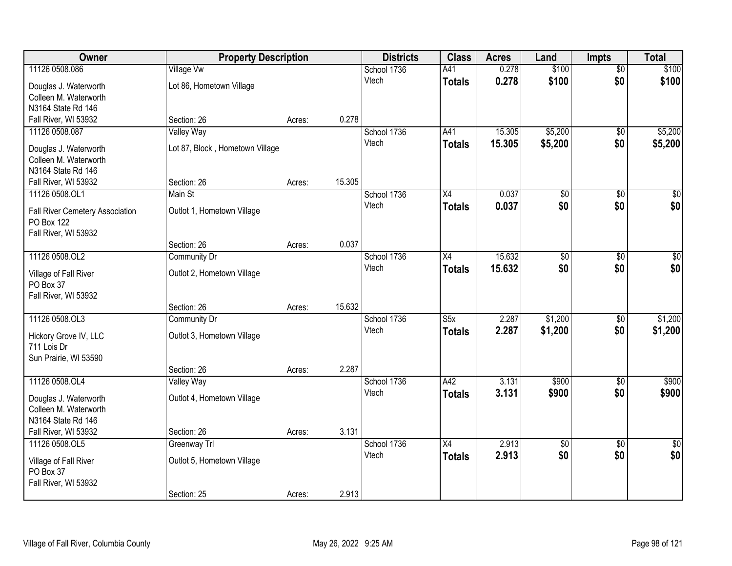| Owner                           | <b>Property Description</b>     |        |        | <b>Districts</b> | <b>Class</b>            | <b>Acres</b> | Land            | <b>Impts</b>    | <b>Total</b>    |
|---------------------------------|---------------------------------|--------|--------|------------------|-------------------------|--------------|-----------------|-----------------|-----------------|
| 11126 0508.086                  | <b>Village Vw</b>               |        |        | School 1736      | A41                     | 0.278        | \$100           | $\overline{50}$ | \$100           |
| Douglas J. Waterworth           | Lot 86, Hometown Village        |        |        | Vtech            | <b>Totals</b>           | 0.278        | \$100           | \$0             | \$100           |
| Colleen M. Waterworth           |                                 |        |        |                  |                         |              |                 |                 |                 |
| N3164 State Rd 146              |                                 |        |        |                  |                         |              |                 |                 |                 |
| Fall River, WI 53932            | Section: 26                     | Acres: | 0.278  |                  |                         |              |                 |                 |                 |
| 11126 0508.087                  | <b>Valley Way</b>               |        |        | School 1736      | A41                     | 15.305       | \$5,200         | \$0             | \$5,200         |
| Douglas J. Waterworth           | Lot 87, Block, Hometown Village |        |        | Vtech            | <b>Totals</b>           | 15.305       | \$5,200         | \$0             | \$5,200         |
| Colleen M. Waterworth           |                                 |        |        |                  |                         |              |                 |                 |                 |
| N3164 State Rd 146              |                                 |        |        |                  |                         |              |                 |                 |                 |
| Fall River, WI 53932            | Section: 26                     | Acres: | 15.305 |                  |                         |              |                 |                 |                 |
| 11126 0508.OL1                  | Main St                         |        |        | School 1736      | X4                      | 0.037        | \$0             | \$0             | $\overline{50}$ |
| Fall River Cemetery Association | Outlot 1, Hometown Village      |        |        | Vtech            | <b>Totals</b>           | 0.037        | \$0             | \$0             | \$0             |
| PO Box 122                      |                                 |        |        |                  |                         |              |                 |                 |                 |
| Fall River, WI 53932            |                                 |        |        |                  |                         |              |                 |                 |                 |
|                                 | Section: 26                     | Acres: | 0.037  |                  |                         |              |                 |                 |                 |
| 11126 0508.OL2                  | <b>Community Dr</b>             |        |        | School 1736      | X4                      | 15.632       | \$0             | $\sqrt[6]{3}$   | $\sqrt{50}$     |
| Village of Fall River           | Outlot 2, Hometown Village      |        |        | Vtech            | <b>Totals</b>           | 15.632       | \$0             | \$0             | \$0             |
| PO Box 37                       |                                 |        |        |                  |                         |              |                 |                 |                 |
| Fall River, WI 53932            |                                 |        |        |                  |                         |              |                 |                 |                 |
|                                 | Section: 26                     | Acres: | 15.632 |                  |                         |              |                 |                 |                 |
| 11126 0508.OL3                  | <b>Community Dr</b>             |        |        | School 1736      | $\overline{\text{S5x}}$ | 2.287        | \$1,200         | \$0             | \$1,200         |
| Hickory Grove IV, LLC           | Outlot 3, Hometown Village      |        |        | Vtech            | <b>Totals</b>           | 2.287        | \$1,200         | \$0             | \$1,200         |
| 711 Lois Dr                     |                                 |        |        |                  |                         |              |                 |                 |                 |
| Sun Prairie, WI 53590           |                                 |        |        |                  |                         |              |                 |                 |                 |
|                                 | Section: 26                     | Acres: | 2.287  |                  |                         |              |                 |                 |                 |
| 11126 0508.OL4                  | Valley Way                      |        |        | School 1736      | A42                     | 3.131        | \$900           | $\overline{30}$ | \$900           |
| Douglas J. Waterworth           | Outlot 4, Hometown Village      |        |        | Vtech            | <b>Totals</b>           | 3.131        | \$900           | \$0             | \$900           |
| Colleen M. Waterworth           |                                 |        |        |                  |                         |              |                 |                 |                 |
| N3164 State Rd 146              |                                 |        |        |                  |                         |              |                 |                 |                 |
| Fall River, WI 53932            | Section: 26                     | Acres: | 3.131  |                  |                         |              |                 |                 |                 |
| 11126 0508.OL5                  | Greenway Trl                    |        |        | School 1736      | X4                      | 2.913        | $\overline{50}$ | $\overline{50}$ | $\overline{50}$ |
| Village of Fall River           | Outlot 5, Hometown Village      |        |        | Vtech            | <b>Totals</b>           | 2.913        | \$0             | \$0             | \$0             |
| PO Box 37                       |                                 |        |        |                  |                         |              |                 |                 |                 |
| Fall River, WI 53932            |                                 |        |        |                  |                         |              |                 |                 |                 |
|                                 | Section: 25                     | Acres: | 2.913  |                  |                         |              |                 |                 |                 |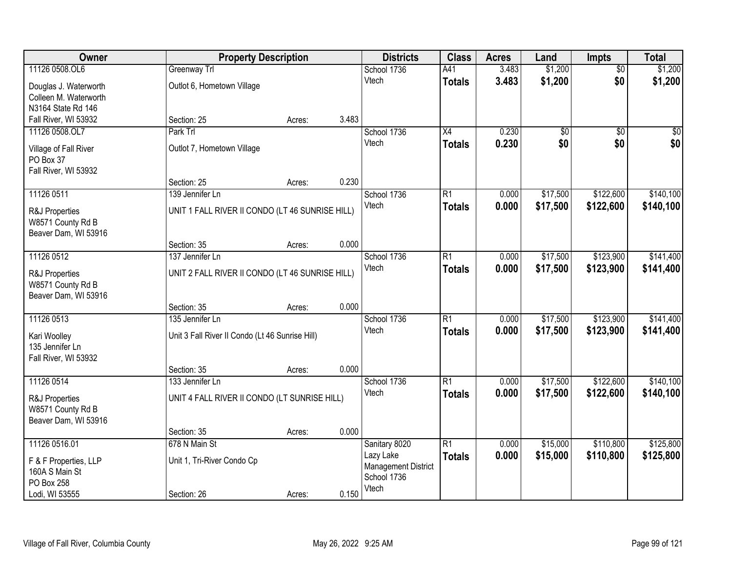| Owner                 | <b>Property Description</b>                     |        |       | <b>Districts</b>           | <b>Class</b>    | <b>Acres</b> | Land     | <b>Impts</b>    | <b>Total</b> |
|-----------------------|-------------------------------------------------|--------|-------|----------------------------|-----------------|--------------|----------|-----------------|--------------|
| 11126 0508.OL6        | Greenway Trl                                    |        |       | School 1736                | A41             | 3.483        | \$1,200  | $\overline{50}$ | \$1,200      |
| Douglas J. Waterworth | Outlot 6, Hometown Village                      |        |       | Vtech                      | <b>Totals</b>   | 3.483        | \$1,200  | \$0             | \$1,200      |
| Colleen M. Waterworth |                                                 |        |       |                            |                 |              |          |                 |              |
| N3164 State Rd 146    |                                                 |        | 3.483 |                            |                 |              |          |                 |              |
| Fall River, WI 53932  | Section: 25                                     | Acres: |       |                            |                 |              |          |                 |              |
| 11126 0508.OL7        | Park Trl                                        |        |       | School 1736                | $\overline{X4}$ | 0.230        | \$0      | $\overline{50}$ | \$0          |
| Village of Fall River | Outlot 7, Hometown Village                      |        |       | Vtech                      | <b>Totals</b>   | 0.230        | \$0      | \$0             | \$0          |
| PO Box 37             |                                                 |        |       |                            |                 |              |          |                 |              |
| Fall River, WI 53932  |                                                 |        |       |                            |                 |              |          |                 |              |
|                       | Section: 25                                     | Acres: | 0.230 |                            |                 |              |          |                 |              |
| 11126 0511            | 139 Jennifer Ln                                 |        |       | School 1736                | $\overline{R1}$ | 0.000        | \$17,500 | \$122,600       | \$140,100    |
| R&J Properties        | UNIT 1 FALL RIVER II CONDO (LT 46 SUNRISE HILL) |        |       | Vtech                      | <b>Totals</b>   | 0.000        | \$17,500 | \$122,600       | \$140,100    |
| W8571 County Rd B     |                                                 |        |       |                            |                 |              |          |                 |              |
| Beaver Dam, WI 53916  |                                                 |        |       |                            |                 |              |          |                 |              |
|                       | Section: 35                                     | Acres: | 0.000 |                            |                 |              |          |                 |              |
| 11126 0512            | 137 Jennifer Ln                                 |        |       | School 1736                | $\overline{R1}$ | 0.000        | \$17,500 | \$123,900       | \$141,400    |
| R&J Properties        | UNIT 2 FALL RIVER II CONDO (LT 46 SUNRISE HILL) |        |       | Vtech                      | <b>Totals</b>   | 0.000        | \$17,500 | \$123,900       | \$141,400    |
| W8571 County Rd B     |                                                 |        |       |                            |                 |              |          |                 |              |
| Beaver Dam, WI 53916  |                                                 |        |       |                            |                 |              |          |                 |              |
|                       | Section: 35                                     | Acres: | 0.000 |                            |                 |              |          |                 |              |
| 11126 0513            | 135 Jennifer Ln                                 |        |       | School 1736                | $\overline{R1}$ | 0.000        | \$17,500 | \$123,900       | \$141,400    |
|                       |                                                 |        |       | Vtech                      | <b>Totals</b>   | 0.000        | \$17,500 | \$123,900       | \$141,400    |
| Kari Woolley          | Unit 3 Fall River II Condo (Lt 46 Sunrise Hill) |        |       |                            |                 |              |          |                 |              |
| 135 Jennifer Ln       |                                                 |        |       |                            |                 |              |          |                 |              |
| Fall River, WI 53932  |                                                 |        | 0.000 |                            |                 |              |          |                 |              |
| 11126 0514            | Section: 35<br>133 Jennifer Ln                  | Acres: |       | School 1736                | $\overline{R1}$ | 0.000        | \$17,500 | \$122,600       | \$140,100    |
|                       |                                                 |        |       | Vtech                      |                 | 0.000        | \$17,500 | \$122,600       | \$140,100    |
| R&J Properties        | UNIT 4 FALL RIVER II CONDO (LT SUNRISE HILL)    |        |       |                            | <b>Totals</b>   |              |          |                 |              |
| W8571 County Rd B     |                                                 |        |       |                            |                 |              |          |                 |              |
| Beaver Dam, WI 53916  |                                                 |        |       |                            |                 |              |          |                 |              |
|                       | Section: 35                                     | Acres: | 0.000 |                            |                 |              |          |                 |              |
| 11126 0516.01         | 678 N Main St                                   |        |       | Sanitary 8020              | $\overline{R1}$ | 0.000        | \$15,000 | \$110,800       | \$125,800    |
| F & F Properties, LLP | Unit 1, Tri-River Condo Cp                      |        |       | Lazy Lake                  | <b>Totals</b>   | 0.000        | \$15,000 | \$110,800       | \$125,800    |
| 160A S Main St        |                                                 |        |       | <b>Management District</b> |                 |              |          |                 |              |
| PO Box 258            |                                                 |        |       | School 1736                |                 |              |          |                 |              |
| Lodi, WI 53555        | Section: 26                                     | Acres: | 0.150 | Vtech                      |                 |              |          |                 |              |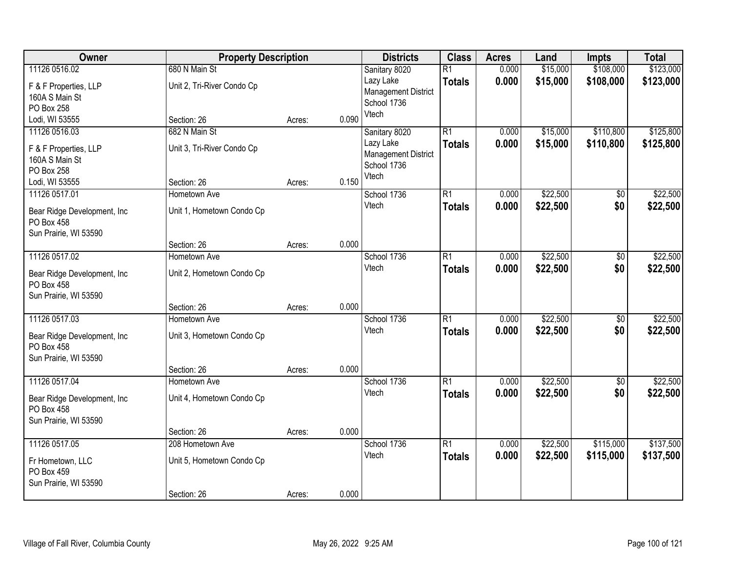| Owner                                      | <b>Property Description</b> |        |       | <b>Districts</b>           | <b>Class</b>    | <b>Acres</b> | Land     | <b>Impts</b> | <b>Total</b> |
|--------------------------------------------|-----------------------------|--------|-------|----------------------------|-----------------|--------------|----------|--------------|--------------|
| 11126 0516.02                              | 680 N Main St               |        |       | Sanitary 8020              | $\overline{R1}$ | 0.000        | \$15,000 | \$108,000    | \$123,000    |
| F & F Properties, LLP                      | Unit 2, Tri-River Condo Cp  |        |       | Lazy Lake                  | <b>Totals</b>   | 0.000        | \$15,000 | \$108,000    | \$123,000    |
| 160A S Main St                             |                             |        |       | <b>Management District</b> |                 |              |          |              |              |
| PO Box 258                                 |                             |        |       | School 1736<br>Vtech       |                 |              |          |              |              |
| Lodi, WI 53555                             | Section: 26                 | Acres: | 0.090 |                            |                 |              |          |              |              |
| 11126 0516.03                              | 682 N Main St               |        |       | Sanitary 8020              | $\overline{R1}$ | 0.000        | \$15,000 | \$110,800    | \$125,800    |
| F & F Properties, LLP                      | Unit 3, Tri-River Condo Cp  |        |       | Lazy Lake                  | <b>Totals</b>   | 0.000        | \$15,000 | \$110,800    | \$125,800    |
| 160A S Main St                             |                             |        |       | <b>Management District</b> |                 |              |          |              |              |
| PO Box 258                                 |                             |        |       | School 1736                |                 |              |          |              |              |
| Lodi, WI 53555                             | Section: 26                 | Acres: | 0.150 | Vtech                      |                 |              |          |              |              |
| 11126 0517.01                              | Hometown Ave                |        |       | School 1736                | $\overline{R1}$ | 0.000        | \$22,500 | \$0          | \$22,500     |
| Bear Ridge Development, Inc.               | Unit 1, Hometown Condo Cp   |        |       | Vtech                      | <b>Totals</b>   | 0.000        | \$22,500 | \$0          | \$22,500     |
| PO Box 458                                 |                             |        |       |                            |                 |              |          |              |              |
| Sun Prairie, WI 53590                      |                             |        |       |                            |                 |              |          |              |              |
|                                            | Section: 26                 | Acres: | 0.000 |                            |                 |              |          |              |              |
| 11126 0517.02                              | Hometown Ave                |        |       | School 1736                | $\overline{R1}$ | 0.000        | \$22,500 | \$0          | \$22,500     |
| Bear Ridge Development, Inc                | Unit 2, Hometown Condo Cp   |        |       | Vtech                      | <b>Totals</b>   | 0.000        | \$22,500 | \$0          | \$22,500     |
| PO Box 458                                 |                             |        |       |                            |                 |              |          |              |              |
| Sun Prairie, WI 53590                      |                             |        |       |                            |                 |              |          |              |              |
|                                            | Section: 26                 | Acres: | 0.000 |                            |                 |              |          |              |              |
| 11126 0517.03                              | Hometown Ave                |        |       | School 1736                | $\overline{R1}$ | 0.000        | \$22,500 | \$0          | \$22,500     |
| Bear Ridge Development, Inc.               | Unit 3, Hometown Condo Cp   |        |       | Vtech                      | <b>Totals</b>   | 0.000        | \$22,500 | \$0          | \$22,500     |
| PO Box 458                                 |                             |        |       |                            |                 |              |          |              |              |
| Sun Prairie, WI 53590                      |                             |        |       |                            |                 |              |          |              |              |
|                                            | Section: 26                 | Acres: | 0.000 |                            |                 |              |          |              |              |
| 11126 0517.04                              | Hometown Ave                |        |       | School 1736                | $\overline{R1}$ | 0.000        | \$22,500 | $\sqrt{6}$   | \$22,500     |
|                                            |                             |        |       | Vtech                      | <b>Totals</b>   | 0.000        | \$22,500 | \$0          | \$22,500     |
| Bear Ridge Development, Inc.<br>PO Box 458 | Unit 4, Hometown Condo Cp   |        |       |                            |                 |              |          |              |              |
| Sun Prairie, WI 53590                      |                             |        |       |                            |                 |              |          |              |              |
|                                            | Section: 26                 | Acres: | 0.000 |                            |                 |              |          |              |              |
| 11126 0517.05                              | 208 Hometown Ave            |        |       | School 1736                | $\overline{R1}$ | 0.000        | \$22,500 | \$115,000    | \$137,500    |
|                                            |                             |        |       | Vtech                      | <b>Totals</b>   | 0.000        | \$22,500 | \$115,000    | \$137,500    |
| Fr Hometown, LLC<br>PO Box 459             | Unit 5, Hometown Condo Cp   |        |       |                            |                 |              |          |              |              |
| Sun Prairie, WI 53590                      |                             |        |       |                            |                 |              |          |              |              |
|                                            | Section: 26                 | Acres: | 0.000 |                            |                 |              |          |              |              |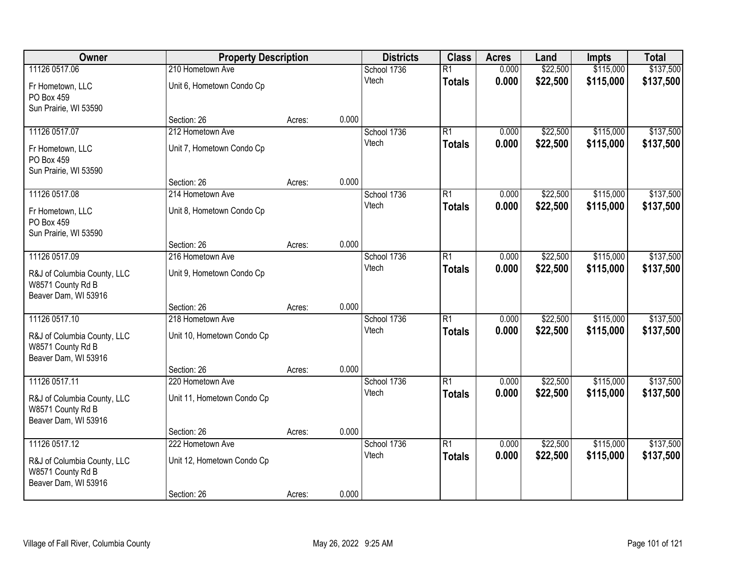| Owner                                                                    | <b>Property Description</b> |        |       | <b>Districts</b>     | <b>Class</b>                     | <b>Acres</b>   | Land                 | <b>Impts</b>           | <b>Total</b>           |
|--------------------------------------------------------------------------|-----------------------------|--------|-------|----------------------|----------------------------------|----------------|----------------------|------------------------|------------------------|
| 11126 0517.06                                                            | 210 Hometown Ave            |        |       | School 1736          | $\overline{R1}$                  | 0.000          | \$22,500             | \$115,000              | \$137,500              |
| Fr Hometown, LLC<br>PO Box 459<br>Sun Prairie, WI 53590                  | Unit 6, Hometown Condo Cp   |        |       | Vtech                | <b>Totals</b>                    | 0.000          | \$22,500             | \$115,000              | \$137,500              |
|                                                                          | Section: 26                 | Acres: | 0.000 |                      |                                  |                |                      |                        |                        |
| 11126 0517.07                                                            | 212 Hometown Ave            |        |       | School 1736<br>Vtech | $\overline{R1}$<br><b>Totals</b> | 0.000<br>0.000 | \$22,500<br>\$22,500 | \$115,000<br>\$115,000 | \$137,500<br>\$137,500 |
| Fr Hometown, LLC<br>PO Box 459<br>Sun Prairie, WI 53590                  | Unit 7, Hometown Condo Cp   |        |       |                      |                                  |                |                      |                        |                        |
|                                                                          | Section: 26                 | Acres: | 0.000 |                      |                                  |                |                      |                        |                        |
| 11126 0517.08                                                            | 214 Hometown Ave            |        |       | School 1736          | $\overline{R1}$                  | 0.000          | \$22,500             | \$115,000              | \$137,500              |
| Fr Hometown, LLC<br>PO Box 459<br>Sun Prairie, WI 53590                  | Unit 8, Hometown Condo Cp   |        |       | Vtech                | <b>Totals</b>                    | 0.000          | \$22,500             | \$115,000              | \$137,500              |
|                                                                          | Section: 26                 | Acres: | 0.000 |                      |                                  |                |                      |                        |                        |
| 11126 0517.09                                                            | 216 Hometown Ave            |        |       | School 1736          | $\overline{R1}$                  | 0.000          | \$22,500             | \$115,000              | \$137,500              |
| R&J of Columbia County, LLC<br>W8571 County Rd B<br>Beaver Dam, WI 53916 | Unit 9, Hometown Condo Cp   |        |       | Vtech                | <b>Totals</b>                    | 0.000          | \$22,500             | \$115,000              | \$137,500              |
|                                                                          | Section: 26                 | Acres: | 0.000 |                      |                                  |                |                      |                        |                        |
| 11126 0517.10                                                            | 218 Hometown Ave            |        |       | School 1736          | $\overline{R1}$                  | 0.000          | \$22,500             | \$115,000              | \$137,500              |
| R&J of Columbia County, LLC<br>W8571 County Rd B<br>Beaver Dam, WI 53916 | Unit 10, Hometown Condo Cp  |        |       | Vtech                | <b>Totals</b>                    | 0.000          | \$22,500             | \$115,000              | \$137,500              |
|                                                                          | Section: 26                 | Acres: | 0.000 |                      |                                  |                |                      |                        |                        |
| 11126 0517.11                                                            | 220 Hometown Ave            |        |       | School 1736          | $\overline{R1}$                  | 0.000          | \$22,500             | \$115,000              | \$137,500              |
| R&J of Columbia County, LLC<br>W8571 County Rd B<br>Beaver Dam, WI 53916 | Unit 11, Hometown Condo Cp  |        |       | Vtech                | <b>Totals</b>                    | 0.000          | \$22,500             | \$115,000              | \$137,500              |
|                                                                          | Section: 26                 | Acres: | 0.000 |                      |                                  |                |                      |                        |                        |
| 11126 0517.12                                                            | 222 Hometown Ave            |        |       | School 1736          | $\overline{R1}$                  | 0.000          | \$22,500             | \$115,000              | \$137,500              |
| R&J of Columbia County, LLC<br>W8571 County Rd B<br>Beaver Dam, WI 53916 | Unit 12, Hometown Condo Cp  |        |       | Vtech                | <b>Totals</b>                    | 0.000          | \$22,500             | \$115,000              | \$137,500              |
|                                                                          | Section: 26                 | Acres: | 0.000 |                      |                                  |                |                      |                        |                        |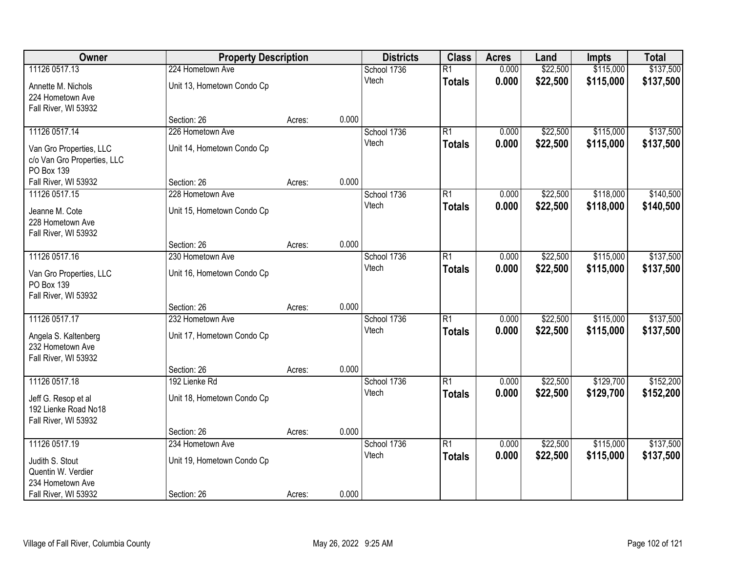| Owner                                                                | <b>Property Description</b> |        |       | <b>Districts</b>     | <b>Class</b>                     | <b>Acres</b>   | Land                 | <b>Impts</b>           | <b>Total</b>           |
|----------------------------------------------------------------------|-----------------------------|--------|-------|----------------------|----------------------------------|----------------|----------------------|------------------------|------------------------|
| 11126 0517.13                                                        | 224 Hometown Ave            |        |       | School 1736          | $\overline{R1}$                  | 0.000          | \$22,500             | \$115,000              | \$137,500              |
| Annette M. Nichols<br>224 Hometown Ave<br>Fall River, WI 53932       | Unit 13, Hometown Condo Cp  |        |       | Vtech                | <b>Totals</b>                    | 0.000          | \$22,500             | \$115,000              | \$137,500              |
|                                                                      | Section: 26                 | Acres: | 0.000 |                      |                                  |                |                      |                        |                        |
| 11126 0517.14                                                        | 226 Hometown Ave            |        |       | School 1736<br>Vtech | $\overline{R1}$<br><b>Totals</b> | 0.000<br>0.000 | \$22,500<br>\$22,500 | \$115,000<br>\$115,000 | \$137,500<br>\$137,500 |
| Van Gro Properties, LLC<br>c/o Van Gro Properties, LLC<br>PO Box 139 | Unit 14, Hometown Condo Cp  |        |       |                      |                                  |                |                      |                        |                        |
| Fall River, WI 53932                                                 | Section: 26                 | Acres: | 0.000 |                      |                                  |                |                      |                        |                        |
| 11126 0517.15                                                        | 228 Hometown Ave            |        |       | School 1736          | $\overline{R1}$                  | 0.000          | \$22,500             | \$118,000              | \$140,500              |
| Jeanne M. Cote<br>228 Hometown Ave<br>Fall River, WI 53932           | Unit 15, Hometown Condo Cp  |        |       | Vtech                | <b>Totals</b>                    | 0.000          | \$22,500             | \$118,000              | \$140,500              |
|                                                                      | Section: 26                 | Acres: | 0.000 |                      |                                  |                |                      |                        |                        |
| 11126 0517.16                                                        | 230 Hometown Ave            |        |       | School 1736          | $\overline{R1}$                  | 0.000          | \$22,500             | \$115,000              | \$137,500              |
| Van Gro Properties, LLC<br>PO Box 139<br>Fall River, WI 53932        | Unit 16, Hometown Condo Cp  |        |       | Vtech                | <b>Totals</b>                    | 0.000          | \$22,500             | \$115,000              | \$137,500              |
|                                                                      | Section: 26                 | Acres: | 0.000 |                      |                                  |                |                      |                        |                        |
| 11126 0517.17                                                        | 232 Hometown Ave            |        |       | School 1736          | $\overline{R1}$                  | 0.000          | \$22,500             | \$115,000              | \$137,500              |
| Angela S. Kaltenberg<br>232 Hometown Ave<br>Fall River, WI 53932     | Unit 17, Hometown Condo Cp  |        |       | Vtech                | <b>Totals</b>                    | 0.000          | \$22,500             | \$115,000              | \$137,500              |
|                                                                      | Section: 26                 | Acres: | 0.000 |                      |                                  |                |                      |                        |                        |
| 11126 0517.18                                                        | 192 Lienke Rd               |        |       | School 1736          | $\overline{R1}$                  | 0.000          | \$22,500             | \$129,700              | \$152,200              |
| Jeff G. Resop et al<br>192 Lienke Road No18<br>Fall River, WI 53932  | Unit 18, Hometown Condo Cp  |        |       | Vtech                | <b>Totals</b>                    | 0.000          | \$22,500             | \$129,700              | \$152,200              |
|                                                                      | Section: 26                 | Acres: | 0.000 |                      |                                  |                |                      |                        |                        |
| 11126 0517.19                                                        | 234 Hometown Ave            |        |       | School 1736          | $\overline{R1}$                  | 0.000          | \$22,500             | \$115,000              | \$137,500              |
| Judith S. Stout<br>Quentin W. Verdier<br>234 Hometown Ave            | Unit 19, Hometown Condo Cp  |        |       | Vtech                | <b>Totals</b>                    | 0.000          | \$22,500             | \$115,000              | \$137,500              |
| Fall River, WI 53932                                                 | Section: 26                 | Acres: | 0.000 |                      |                                  |                |                      |                        |                        |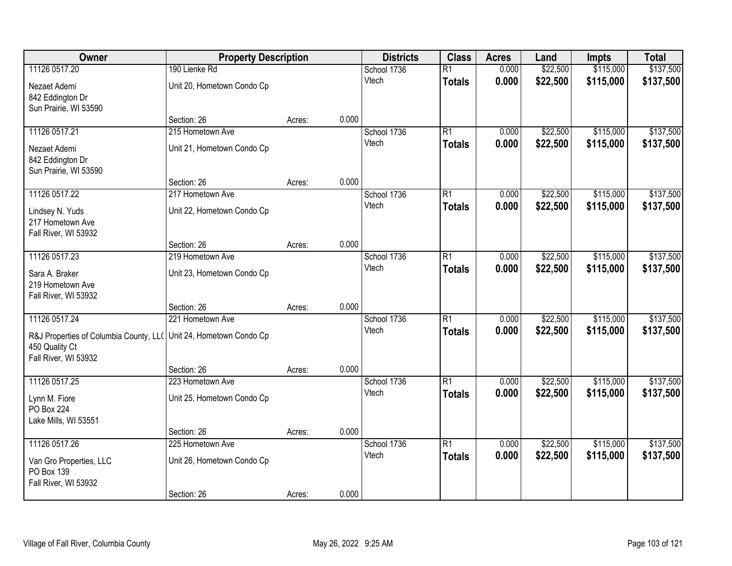| Owner<br><b>Property Description</b>                              | <b>Districts</b>                | <b>Class</b> | <b>Acres</b> | Land                 | <b>Impts</b>    | <b>Total</b> |          |           |           |
|-------------------------------------------------------------------|---------------------------------|--------------|--------------|----------------------|-----------------|--------------|----------|-----------|-----------|
| 11126 0517.20                                                     | 190 Lienke Rd                   |              |              | School 1736          | $\overline{R1}$ | 0.000        | \$22,500 | \$115,000 | \$137,500 |
| Nezaet Ademi                                                      | Unit 20, Hometown Condo Cp      |              |              | Vtech                | <b>Totals</b>   | 0.000        | \$22,500 | \$115,000 | \$137,500 |
| 842 Eddington Dr                                                  |                                 |              |              |                      |                 |              |          |           |           |
| Sun Prairie, WI 53590                                             |                                 |              |              |                      |                 |              |          |           |           |
|                                                                   | Section: 26                     | Acres:       | 0.000        |                      |                 |              |          |           |           |
| 11126 0517.21                                                     | 215 Hometown Ave                |              |              | School 1736          | $\overline{R1}$ | 0.000        | \$22,500 | \$115,000 | \$137,500 |
| Nezaet Ademi                                                      | Unit 21, Hometown Condo Cp      |              |              | Vtech                | <b>Totals</b>   | 0.000        | \$22,500 | \$115,000 | \$137,500 |
| 842 Eddington Dr                                                  |                                 |              |              |                      |                 |              |          |           |           |
| Sun Prairie, WI 53590                                             |                                 |              |              |                      |                 |              |          |           |           |
|                                                                   | Section: 26                     | Acres:       | 0.000        |                      |                 |              |          |           |           |
| 11126 0517.22                                                     | 217 Hometown Ave                |              |              | School 1736          | $\overline{R1}$ | 0.000        | \$22,500 | \$115,000 | \$137,500 |
| Lindsey N. Yuds                                                   | Unit 22, Hometown Condo Cp      |              |              | Vtech                | <b>Totals</b>   | 0.000        | \$22,500 | \$115,000 | \$137,500 |
| 217 Hometown Ave                                                  |                                 |              |              |                      |                 |              |          |           |           |
| Fall River, WI 53932                                              |                                 |              |              |                      |                 |              |          |           |           |
|                                                                   | Section: 26                     | Acres:       | 0.000        |                      |                 |              |          |           |           |
| 11126 0517.23                                                     | 219 Hometown Ave                |              |              | School 1736<br>Vtech | $\overline{R1}$ | 0.000        | \$22,500 | \$115,000 | \$137,500 |
| Sara A. Braker                                                    | Unit 23, Hometown Condo Cp      |              |              |                      | <b>Totals</b>   | 0.000        | \$22,500 | \$115,000 | \$137,500 |
| 219 Hometown Ave                                                  |                                 |              |              |                      |                 |              |          |           |           |
| Fall River, WI 53932                                              |                                 |              | 0.000        |                      |                 |              |          |           |           |
| 11126 0517.24                                                     | Section: 26<br>221 Hometown Ave | Acres:       |              |                      | $\overline{R1}$ | 0.000        | \$22,500 | \$115,000 | \$137,500 |
|                                                                   |                                 |              |              | School 1736<br>Vtech | <b>Totals</b>   | 0.000        | \$22,500 | \$115,000 | \$137,500 |
| R&J Properties of Columbia County, LL( Unit 24, Hometown Condo Cp |                                 |              |              |                      |                 |              |          |           |           |
| 450 Quality Ct                                                    |                                 |              |              |                      |                 |              |          |           |           |
| Fall River, WI 53932                                              |                                 |              | 0.000        |                      |                 |              |          |           |           |
| 11126 0517.25                                                     | Section: 26<br>223 Hometown Ave | Acres:       |              | School 1736          | $\overline{R1}$ | 0.000        | \$22,500 | \$115,000 | \$137,500 |
|                                                                   |                                 |              |              | Vtech                | <b>Totals</b>   | 0.000        | \$22,500 | \$115,000 | \$137,500 |
| Lynn M. Fiore                                                     | Unit 25, Hometown Condo Cp      |              |              |                      |                 |              |          |           |           |
| <b>PO Box 224</b>                                                 |                                 |              |              |                      |                 |              |          |           |           |
| Lake Mills, WI 53551                                              | Section: 26                     | Acres:       | 0.000        |                      |                 |              |          |           |           |
| 11126 0517.26                                                     | 225 Hometown Ave                |              |              | School 1736          | $\overline{R1}$ | 0.000        | \$22,500 | \$115,000 | \$137,500 |
|                                                                   |                                 |              |              | Vtech                | <b>Totals</b>   | 0.000        | \$22,500 | \$115,000 | \$137,500 |
| Van Gro Properties, LLC                                           | Unit 26, Hometown Condo Cp      |              |              |                      |                 |              |          |           |           |
| PO Box 139<br>Fall River, WI 53932                                |                                 |              |              |                      |                 |              |          |           |           |
|                                                                   | Section: 26                     | Acres:       | 0.000        |                      |                 |              |          |           |           |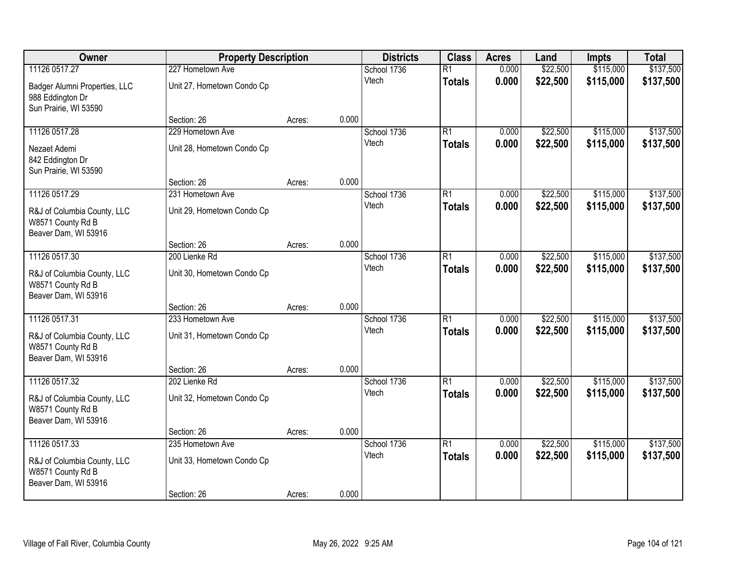| Owner                                                                      | <b>Property Description</b> |        |       | <b>Districts</b> | <b>Class</b>    | <b>Acres</b> | Land     | <b>Impts</b> | <b>Total</b> |
|----------------------------------------------------------------------------|-----------------------------|--------|-------|------------------|-----------------|--------------|----------|--------------|--------------|
| 11126 0517.27                                                              | 227 Hometown Ave            |        |       | School 1736      | $\overline{R1}$ | 0.000        | \$22,500 | \$115,000    | \$137,500    |
| Badger Alumni Properties, LLC<br>988 Eddington Dr<br>Sun Prairie, WI 53590 | Unit 27, Hometown Condo Cp  |        |       | Vtech            | <b>Totals</b>   | 0.000        | \$22,500 | \$115,000    | \$137,500    |
|                                                                            | Section: 26                 | Acres: | 0.000 |                  |                 |              |          |              |              |
| 11126 0517.28                                                              | 229 Hometown Ave            |        |       | School 1736      | $\overline{R1}$ | 0.000        | \$22,500 | \$115,000    | \$137,500    |
| Nezaet Ademi<br>842 Eddington Dr<br>Sun Prairie, WI 53590                  | Unit 28, Hometown Condo Cp  |        |       | Vtech            | <b>Totals</b>   | 0.000        | \$22,500 | \$115,000    | \$137,500    |
|                                                                            | Section: 26                 | Acres: | 0.000 |                  |                 |              |          |              |              |
| 11126 0517.29                                                              | 231 Hometown Ave            |        |       | School 1736      | $\overline{R1}$ | 0.000        | \$22,500 | \$115,000    | \$137,500    |
| R&J of Columbia County, LLC<br>W8571 County Rd B<br>Beaver Dam, WI 53916   | Unit 29, Hometown Condo Cp  |        |       | Vtech            | <b>Totals</b>   | 0.000        | \$22,500 | \$115,000    | \$137,500    |
|                                                                            | Section: 26                 | Acres: | 0.000 |                  |                 |              |          |              |              |
| 11126 0517.30                                                              | 200 Lienke Rd               |        |       | School 1736      | $\overline{R1}$ | 0.000        | \$22,500 | \$115,000    | \$137,500    |
| R&J of Columbia County, LLC<br>W8571 County Rd B<br>Beaver Dam, WI 53916   | Unit 30, Hometown Condo Cp  |        |       | Vtech            | <b>Totals</b>   | 0.000        | \$22,500 | \$115,000    | \$137,500    |
|                                                                            | Section: 26                 | Acres: | 0.000 |                  |                 |              |          |              |              |
| 11126 0517.31                                                              | 233 Hometown Ave            |        |       | School 1736      | $\overline{R1}$ | 0.000        | \$22,500 | \$115,000    | \$137,500    |
| R&J of Columbia County, LLC<br>W8571 County Rd B<br>Beaver Dam, WI 53916   | Unit 31, Hometown Condo Cp  |        |       | Vtech            | <b>Totals</b>   | 0.000        | \$22,500 | \$115,000    | \$137,500    |
|                                                                            | Section: 26                 | Acres: | 0.000 |                  |                 |              |          |              |              |
| 11126 0517.32                                                              | 202 Lienke Rd               |        |       | School 1736      | $\overline{R1}$ | 0.000        | \$22,500 | \$115,000    | \$137,500    |
| R&J of Columbia County, LLC<br>W8571 County Rd B<br>Beaver Dam, WI 53916   | Unit 32, Hometown Condo Cp  |        |       | Vtech            | <b>Totals</b>   | 0.000        | \$22,500 | \$115,000    | \$137,500    |
|                                                                            | Section: 26                 | Acres: | 0.000 |                  |                 |              |          |              |              |
| 11126 0517.33                                                              | 235 Hometown Ave            |        |       | School 1736      | $\overline{R1}$ | 0.000        | \$22,500 | \$115,000    | \$137,500    |
| R&J of Columbia County, LLC<br>W8571 County Rd B<br>Beaver Dam, WI 53916   | Unit 33, Hometown Condo Cp  |        |       | Vtech            | <b>Totals</b>   | 0.000        | \$22,500 | \$115,000    | \$137,500    |
|                                                                            | Section: 26                 | Acres: | 0.000 |                  |                 |              |          |              |              |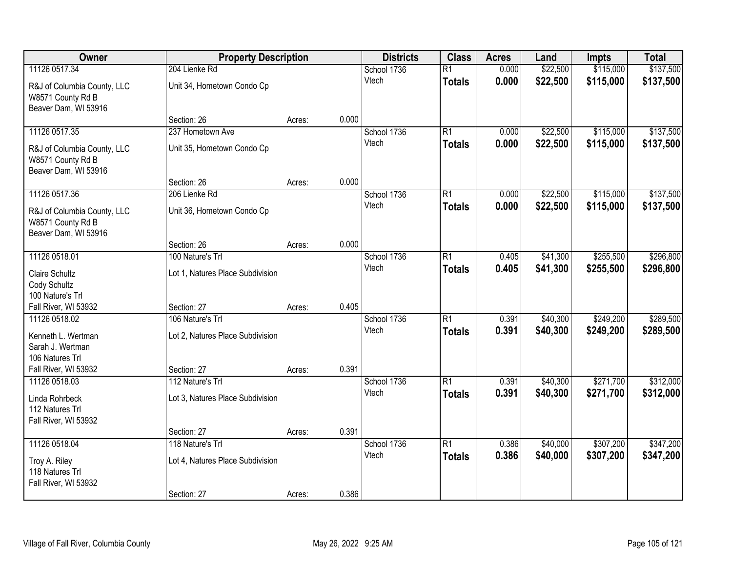| <b>Owner</b>                                                                              | <b>Property Description</b>                                         |        |       | <b>Districts</b>     | <b>Class</b>                     | <b>Acres</b>   | Land                 | <b>Impts</b>           | <b>Total</b>           |
|-------------------------------------------------------------------------------------------|---------------------------------------------------------------------|--------|-------|----------------------|----------------------------------|----------------|----------------------|------------------------|------------------------|
| 11126 0517.34<br>R&J of Columbia County, LLC<br>W8571 County Rd B                         | 204 Lienke Rd<br>Unit 34, Hometown Condo Cp                         |        |       | School 1736<br>Vtech | $\overline{R1}$<br><b>Totals</b> | 0.000<br>0.000 | \$22,500<br>\$22,500 | \$115,000<br>\$115,000 | \$137,500<br>\$137,500 |
| Beaver Dam, WI 53916                                                                      | Section: 26                                                         | Acres: | 0.000 |                      |                                  |                |                      |                        |                        |
| 11126 0517.35<br>R&J of Columbia County, LLC<br>W8571 County Rd B<br>Beaver Dam, WI 53916 | 237 Hometown Ave<br>Unit 35, Hometown Condo Cp                      |        |       | School 1736<br>Vtech | $\overline{R1}$<br><b>Totals</b> | 0.000<br>0.000 | \$22,500<br>\$22,500 | \$115,000<br>\$115,000 | \$137,500<br>\$137,500 |
| 11126 0517.36                                                                             | Section: 26<br>206 Lienke Rd                                        | Acres: | 0.000 | School 1736          | $\overline{R1}$                  | 0.000          | \$22,500             | \$115,000              | \$137,500              |
| R&J of Columbia County, LLC<br>W8571 County Rd B<br>Beaver Dam, WI 53916                  | Unit 36, Hometown Condo Cp                                          |        |       | Vtech                | <b>Totals</b>                    | 0.000          | \$22,500             | \$115,000              | \$137,500              |
|                                                                                           | Section: 26                                                         | Acres: | 0.000 |                      |                                  |                |                      |                        |                        |
| 11126 0518.01<br><b>Claire Schultz</b><br>Cody Schultz<br>100 Nature's Trl                | 100 Nature's Trl<br>Lot 1, Natures Place Subdivision                |        |       | School 1736<br>Vtech | $\overline{R1}$<br><b>Totals</b> | 0.405<br>0.405 | \$41,300<br>\$41,300 | \$255,500<br>\$255,500 | \$296,800<br>\$296,800 |
| Fall River, WI 53932                                                                      | Section: 27                                                         | Acres: | 0.405 |                      |                                  |                |                      |                        |                        |
| 11126 0518.02<br>Kenneth L. Wertman<br>Sarah J. Wertman<br>106 Natures Trl                | 106 Nature's Trl<br>Lot 2, Natures Place Subdivision                |        |       | School 1736<br>Vtech | $\overline{R1}$<br><b>Totals</b> | 0.391<br>0.391 | \$40,300<br>\$40,300 | \$249,200<br>\$249,200 | \$289,500<br>\$289,500 |
| Fall River, WI 53932<br>11126 0518.03                                                     | Section: 27<br>112 Nature's Trl                                     | Acres: | 0.391 | School 1736          | $\overline{R1}$                  | 0.391          | \$40,300             | \$271,700              | \$312,000              |
| Linda Rohrbeck<br>112 Natures Trl<br>Fall River, WI 53932                                 | Lot 3, Natures Place Subdivision                                    |        |       | Vtech                | <b>Totals</b>                    | 0.391          | \$40,300             | \$271,700              | \$312,000              |
|                                                                                           | Section: 27                                                         | Acres: | 0.391 |                      |                                  |                |                      |                        |                        |
| 11126 0518.04<br>Troy A. Riley<br>118 Natures Trl<br>Fall River, WI 53932                 | 118 Nature's Trl<br>Lot 4, Natures Place Subdivision<br>Section: 27 | Acres: | 0.386 | School 1736<br>Vtech | $\overline{R1}$<br><b>Totals</b> | 0.386<br>0.386 | \$40,000<br>\$40,000 | \$307,200<br>\$307,200 | \$347,200<br>\$347,200 |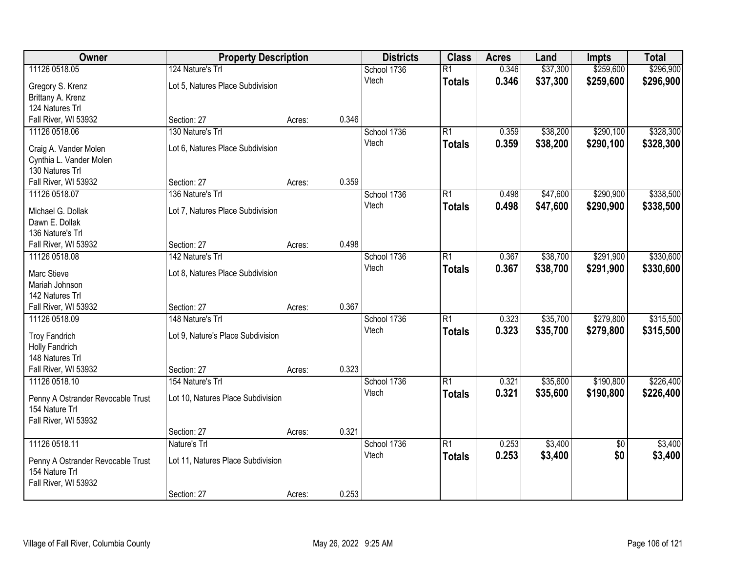| Owner                                   | <b>Property Description</b>       |        |       | <b>Districts</b> | <b>Class</b>    | <b>Acres</b> | Land     | <b>Impts</b>    | <b>Total</b> |
|-----------------------------------------|-----------------------------------|--------|-------|------------------|-----------------|--------------|----------|-----------------|--------------|
| 11126 0518.05                           | 124 Nature's Trl                  |        |       | School 1736      | $\overline{R1}$ | 0.346        | \$37,300 | \$259,600       | \$296,900    |
| Gregory S. Krenz                        | Lot 5, Natures Place Subdivision  |        |       | Vtech            | <b>Totals</b>   | 0.346        | \$37,300 | \$259,600       | \$296,900    |
| Brittany A. Krenz                       |                                   |        |       |                  |                 |              |          |                 |              |
| 124 Natures Trl                         |                                   |        |       |                  |                 |              |          |                 |              |
| Fall River, WI 53932                    | Section: 27                       | Acres: | 0.346 |                  |                 |              |          |                 |              |
| 11126 0518.06                           | 130 Nature's Trl                  |        |       | School 1736      | $\overline{R1}$ | 0.359        | \$38,200 | \$290,100       | \$328,300    |
| Craig A. Vander Molen                   | Lot 6, Natures Place Subdivision  |        |       | Vtech            | <b>Totals</b>   | 0.359        | \$38,200 | \$290,100       | \$328,300    |
| Cynthia L. Vander Molen                 |                                   |        |       |                  |                 |              |          |                 |              |
| 130 Natures Trl                         |                                   |        |       |                  |                 |              |          |                 |              |
| Fall River, WI 53932                    | Section: 27                       | Acres: | 0.359 |                  |                 |              |          |                 |              |
| 11126 0518.07                           | 136 Nature's Trl                  |        |       | School 1736      | $\overline{R1}$ | 0.498        | \$47,600 | \$290,900       | \$338,500    |
| Michael G. Dollak                       | Lot 7, Natures Place Subdivision  |        |       | Vtech            | <b>Totals</b>   | 0.498        | \$47,600 | \$290,900       | \$338,500    |
| Dawn E. Dollak                          |                                   |        |       |                  |                 |              |          |                 |              |
| 136 Nature's Trl                        |                                   |        |       |                  |                 |              |          |                 |              |
| Fall River, WI 53932                    | Section: 27                       | Acres: | 0.498 |                  |                 |              |          |                 |              |
| 11126 0518.08                           | 142 Nature's Trl                  |        |       | School 1736      | $\overline{R1}$ | 0.367        | \$38,700 | \$291,900       | \$330,600    |
|                                         |                                   |        |       | Vtech            | <b>Totals</b>   | 0.367        | \$38,700 | \$291,900       | \$330,600    |
| Marc Stieve<br>Mariah Johnson           | Lot 8, Natures Place Subdivision  |        |       |                  |                 |              |          |                 |              |
| 142 Natures Trl                         |                                   |        |       |                  |                 |              |          |                 |              |
| Fall River, WI 53932                    | Section: 27                       | Acres: | 0.367 |                  |                 |              |          |                 |              |
| 11126 0518.09                           | 148 Nature's Trl                  |        |       | School 1736      | $\overline{R1}$ | 0.323        | \$35,700 | \$279,800       | \$315,500    |
|                                         |                                   |        |       | Vtech            | <b>Totals</b>   | 0.323        | \$35,700 | \$279,800       | \$315,500    |
| <b>Troy Fandrich</b>                    | Lot 9, Nature's Place Subdivision |        |       |                  |                 |              |          |                 |              |
| Holly Fandrich                          |                                   |        |       |                  |                 |              |          |                 |              |
| 148 Natures Trl<br>Fall River, WI 53932 | Section: 27                       | Acres: | 0.323 |                  |                 |              |          |                 |              |
| 11126 0518.10                           | 154 Nature's Trl                  |        |       | School 1736      | $\overline{R1}$ | 0.321        | \$35,600 | \$190,800       | \$226,400    |
|                                         |                                   |        |       | Vtech            | <b>Totals</b>   | 0.321        | \$35,600 | \$190,800       | \$226,400    |
| Penny A Ostrander Revocable Trust       | Lot 10, Natures Place Subdivision |        |       |                  |                 |              |          |                 |              |
| 154 Nature Trl                          |                                   |        |       |                  |                 |              |          |                 |              |
| Fall River, WI 53932                    |                                   |        |       |                  |                 |              |          |                 |              |
| 11126 0518.11                           | Section: 27<br>Nature's Trl       | Acres: | 0.321 | School 1736      | $\overline{R1}$ | 0.253        | \$3,400  |                 | \$3,400      |
|                                         |                                   |        |       | Vtech            |                 | 0.253        |          | $\overline{50}$ |              |
| Penny A Ostrander Revocable Trust       | Lot 11, Natures Place Subdivision |        |       |                  | <b>Totals</b>   |              | \$3,400  | \$0             | \$3,400      |
| 154 Nature Trl                          |                                   |        |       |                  |                 |              |          |                 |              |
| Fall River, WI 53932                    |                                   |        |       |                  |                 |              |          |                 |              |
|                                         | Section: 27                       | Acres: | 0.253 |                  |                 |              |          |                 |              |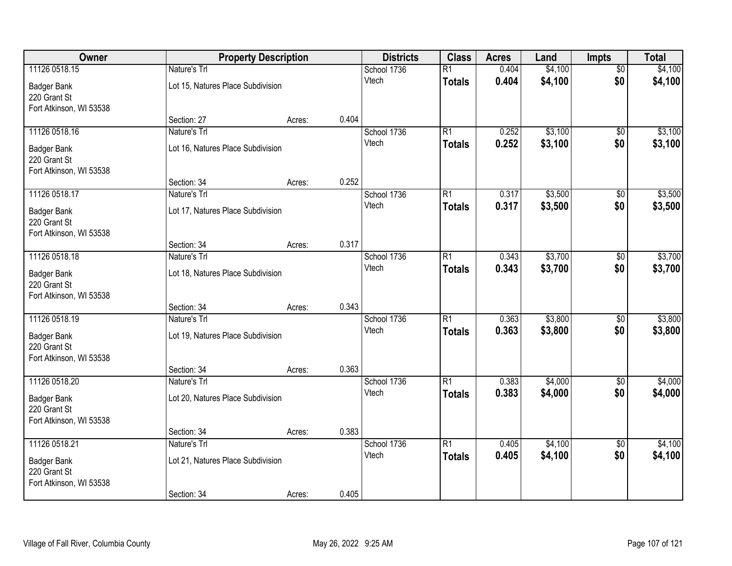| Owner                                                         |                                                   | <b>Property Description</b> |       | <b>Districts</b>     | <b>Class</b>                     | <b>Acres</b>   | Land               | <b>Impts</b>           | <b>Total</b>       |
|---------------------------------------------------------------|---------------------------------------------------|-----------------------------|-------|----------------------|----------------------------------|----------------|--------------------|------------------------|--------------------|
| 11126 0518.15<br><b>Badger Bank</b>                           | Nature's Trl<br>Lot 15, Natures Place Subdivision |                             |       | School 1736<br>Vtech | $\overline{R1}$<br><b>Totals</b> | 0.404<br>0.404 | \$4,100<br>\$4,100 | $\overline{50}$<br>\$0 | \$4,100<br>\$4,100 |
| 220 Grant St<br>Fort Atkinson, WI 53538                       |                                                   |                             |       |                      |                                  |                |                    |                        |                    |
|                                                               | Section: 27                                       | Acres:                      | 0.404 |                      |                                  |                |                    |                        |                    |
| 11126 0518.16                                                 | Nature's Trl                                      |                             |       | School 1736          | $\overline{R1}$                  | 0.252          | \$3,100            | \$0                    | \$3,100            |
| <b>Badger Bank</b><br>220 Grant St<br>Fort Atkinson, WI 53538 | Lot 16, Natures Place Subdivision                 |                             |       | Vtech                | <b>Totals</b>                    | 0.252          | \$3,100            | \$0                    | \$3,100            |
|                                                               | Section: 34                                       | Acres:                      | 0.252 |                      |                                  |                |                    |                        |                    |
| 11126 0518.17                                                 | Nature's Trl                                      |                             |       | School 1736          | $\overline{R1}$                  | 0.317          | \$3,500            | \$0                    | \$3,500            |
| <b>Badger Bank</b><br>220 Grant St<br>Fort Atkinson, WI 53538 | Lot 17, Natures Place Subdivision                 |                             |       | Vtech                | <b>Totals</b>                    | 0.317          | \$3,500            | \$0                    | \$3,500            |
|                                                               | Section: 34                                       | Acres:                      | 0.317 |                      |                                  |                |                    |                        |                    |
| 11126 0518.18                                                 | Nature's Trl                                      |                             |       | School 1736          | $\overline{R1}$                  | 0.343          | \$3,700            | \$0                    | \$3,700            |
| <b>Badger Bank</b><br>220 Grant St<br>Fort Atkinson, WI 53538 | Lot 18, Natures Place Subdivision                 |                             |       | Vtech                | <b>Totals</b>                    | 0.343          | \$3,700            | \$0                    | \$3,700            |
|                                                               | Section: 34                                       | Acres:                      | 0.343 |                      |                                  |                |                    |                        |                    |
| 11126 0518.19                                                 | Nature's Trl                                      |                             |       | School 1736<br>Vtech | $\overline{R1}$<br><b>Totals</b> | 0.363<br>0.363 | \$3,800<br>\$3,800 | \$0<br>\$0             | \$3,800<br>\$3,800 |
| <b>Badger Bank</b><br>220 Grant St                            | Lot 19, Natures Place Subdivision                 |                             |       |                      |                                  |                |                    |                        |                    |
| Fort Atkinson, WI 53538                                       |                                                   |                             |       |                      |                                  |                |                    |                        |                    |
|                                                               | Section: 34                                       | Acres:                      | 0.363 |                      |                                  |                |                    |                        |                    |
| 11126 0518.20                                                 | Nature's Trl                                      |                             |       | School 1736          | $\overline{R1}$                  | 0.383          | \$4,000            | $\sqrt{6}$             | \$4,000            |
| <b>Badger Bank</b><br>220 Grant St                            | Lot 20, Natures Place Subdivision                 |                             |       | Vtech                | <b>Totals</b>                    | 0.383          | \$4,000            | \$0                    | \$4,000            |
| Fort Atkinson, WI 53538                                       | Section: 34                                       | Acres:                      | 0.383 |                      |                                  |                |                    |                        |                    |
| 11126 0518.21                                                 | Nature's Trl                                      |                             |       | School 1736          | $\overline{R1}$                  | 0.405          | \$4,100            | $\overline{50}$        | \$4,100            |
| <b>Badger Bank</b><br>220 Grant St                            | Lot 21, Natures Place Subdivision                 |                             |       | Vtech                | <b>Totals</b>                    | 0.405          | \$4,100            | \$0                    | \$4,100            |
| Fort Atkinson, WI 53538                                       | Section: 34                                       | Acres:                      | 0.405 |                      |                                  |                |                    |                        |                    |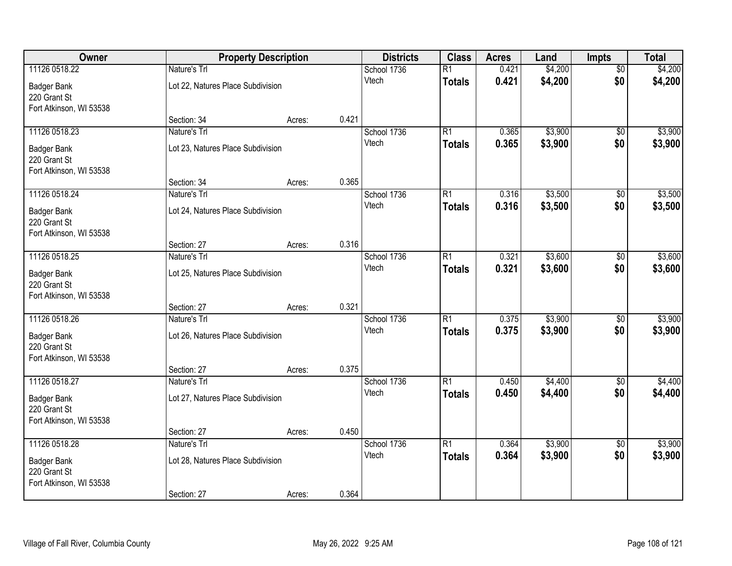| Owner                              |                                   | <b>Property Description</b> |       | <b>Districts</b>     | <b>Class</b>    | <b>Acres</b> | Land    | <b>Impts</b>    | <b>Total</b> |
|------------------------------------|-----------------------------------|-----------------------------|-------|----------------------|-----------------|--------------|---------|-----------------|--------------|
| 11126 0518.22                      | Nature's Trl                      |                             |       | School 1736          | $\overline{R1}$ | 0.421        | \$4,200 | $\overline{50}$ | \$4,200      |
| <b>Badger Bank</b>                 | Lot 22, Natures Place Subdivision |                             |       | Vtech                | <b>Totals</b>   | 0.421        | \$4,200 | \$0             | \$4,200      |
| 220 Grant St                       |                                   |                             |       |                      |                 |              |         |                 |              |
| Fort Atkinson, WI 53538            |                                   |                             |       |                      |                 |              |         |                 |              |
|                                    | Section: 34                       | Acres:                      | 0.421 |                      |                 |              |         |                 |              |
| 11126 0518.23                      | Nature's Trl                      |                             |       | School 1736          | $\overline{R1}$ | 0.365        | \$3,900 | \$0             | \$3,900      |
| <b>Badger Bank</b>                 | Lot 23, Natures Place Subdivision |                             |       | Vtech                | <b>Totals</b>   | 0.365        | \$3,900 | \$0             | \$3,900      |
| 220 Grant St                       |                                   |                             |       |                      |                 |              |         |                 |              |
| Fort Atkinson, WI 53538            |                                   |                             |       |                      |                 |              |         |                 |              |
| 11126 0518.24                      | Section: 34                       | Acres:                      | 0.365 |                      |                 | 0.316        | \$3,500 |                 |              |
|                                    | Nature's Trl                      |                             |       | School 1736<br>Vtech | $\overline{R1}$ |              |         | \$0<br>\$0      | \$3,500      |
| Badger Bank                        | Lot 24, Natures Place Subdivision |                             |       |                      | <b>Totals</b>   | 0.316        | \$3,500 |                 | \$3,500      |
| 220 Grant St                       |                                   |                             |       |                      |                 |              |         |                 |              |
| Fort Atkinson, WI 53538            | Section: 27                       |                             | 0.316 |                      |                 |              |         |                 |              |
| 11126 0518.25                      | Nature's Trl                      | Acres:                      |       | School 1736          | $\overline{R1}$ | 0.321        | \$3,600 | \$0             | \$3,600      |
|                                    |                                   |                             |       | Vtech                | <b>Totals</b>   | 0.321        | \$3,600 | \$0             | \$3,600      |
| <b>Badger Bank</b>                 | Lot 25, Natures Place Subdivision |                             |       |                      |                 |              |         |                 |              |
| 220 Grant St                       |                                   |                             |       |                      |                 |              |         |                 |              |
| Fort Atkinson, WI 53538            | Section: 27                       | Acres:                      | 0.321 |                      |                 |              |         |                 |              |
| 11126 0518.26                      | Nature's Trl                      |                             |       | School 1736          | $\overline{R1}$ | 0.375        | \$3,900 | \$0             | \$3,900      |
|                                    |                                   |                             |       | Vtech                | <b>Totals</b>   | 0.375        | \$3,900 | \$0             | \$3,900      |
| <b>Badger Bank</b><br>220 Grant St | Lot 26, Natures Place Subdivision |                             |       |                      |                 |              |         |                 |              |
| Fort Atkinson, WI 53538            |                                   |                             |       |                      |                 |              |         |                 |              |
|                                    | Section: 27                       | Acres:                      | 0.375 |                      |                 |              |         |                 |              |
| 11126 0518.27                      | Nature's Trl                      |                             |       | School 1736          | $\overline{R1}$ | 0.450        | \$4,400 | $\sqrt{6}$      | \$4,400      |
| <b>Badger Bank</b>                 | Lot 27, Natures Place Subdivision |                             |       | Vtech                | <b>Totals</b>   | 0.450        | \$4,400 | \$0             | \$4,400      |
| 220 Grant St                       |                                   |                             |       |                      |                 |              |         |                 |              |
| Fort Atkinson, WI 53538            |                                   |                             |       |                      |                 |              |         |                 |              |
|                                    | Section: 27                       | Acres:                      | 0.450 |                      |                 |              |         |                 |              |
| 11126 0518.28                      | Nature's Trl                      |                             |       | School 1736          | $\overline{R1}$ | 0.364        | \$3,900 | $\overline{50}$ | \$3,900      |
| <b>Badger Bank</b>                 | Lot 28, Natures Place Subdivision |                             |       | Vtech                | <b>Totals</b>   | 0.364        | \$3,900 | \$0             | \$3,900      |
| 220 Grant St                       |                                   |                             |       |                      |                 |              |         |                 |              |
| Fort Atkinson, WI 53538            |                                   |                             |       |                      |                 |              |         |                 |              |
|                                    | Section: 27                       | Acres:                      | 0.364 |                      |                 |              |         |                 |              |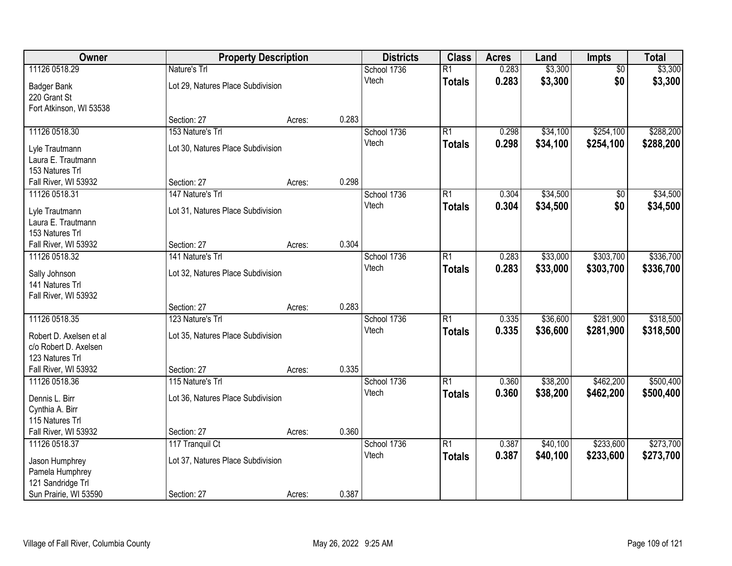| Owner                   |                                   | <b>Property Description</b> |       | <b>Districts</b> | <b>Class</b>    | <b>Acres</b> | Land     | Impts           | <b>Total</b> |
|-------------------------|-----------------------------------|-----------------------------|-------|------------------|-----------------|--------------|----------|-----------------|--------------|
| 11126 0518.29           | Nature's Trl                      |                             |       | School 1736      | $\overline{R1}$ | 0.283        | \$3,300  | $\overline{50}$ | \$3,300      |
| <b>Badger Bank</b>      | Lot 29, Natures Place Subdivision |                             |       | Vtech            | <b>Totals</b>   | 0.283        | \$3,300  | \$0             | \$3,300      |
| 220 Grant St            |                                   |                             |       |                  |                 |              |          |                 |              |
| Fort Atkinson, WI 53538 |                                   |                             |       |                  |                 |              |          |                 |              |
|                         | Section: 27                       | Acres:                      | 0.283 |                  |                 |              |          |                 |              |
| 11126 0518.30           | 153 Nature's Trl                  |                             |       | School 1736      | $\overline{R1}$ | 0.298        | \$34,100 | \$254,100       | \$288,200    |
| Lyle Trautmann          | Lot 30, Natures Place Subdivision |                             |       | Vtech            | <b>Totals</b>   | 0.298        | \$34,100 | \$254,100       | \$288,200    |
| Laura E. Trautmann      |                                   |                             |       |                  |                 |              |          |                 |              |
| 153 Natures Trl         |                                   |                             |       |                  |                 |              |          |                 |              |
| Fall River, WI 53932    | Section: 27                       | Acres:                      | 0.298 |                  |                 |              |          |                 |              |
| 11126 0518.31           | 147 Nature's Trl                  |                             |       | School 1736      | $\overline{R1}$ | 0.304        | \$34,500 | \$0             | \$34,500     |
| Lyle Trautmann          | Lot 31, Natures Place Subdivision |                             |       | Vtech            | <b>Totals</b>   | 0.304        | \$34,500 | \$0             | \$34,500     |
| Laura E. Trautmann      |                                   |                             |       |                  |                 |              |          |                 |              |
| 153 Natures Trl         |                                   |                             |       |                  |                 |              |          |                 |              |
| Fall River, WI 53932    | Section: 27                       | Acres:                      | 0.304 |                  |                 |              |          |                 |              |
| 11126 0518.32           | 141 Nature's Trl                  |                             |       | School 1736      | $\overline{R1}$ | 0.283        | \$33,000 | \$303,700       | \$336,700    |
| Sally Johnson           | Lot 32, Natures Place Subdivision |                             |       | Vtech            | <b>Totals</b>   | 0.283        | \$33,000 | \$303,700       | \$336,700    |
| 141 Natures Trl         |                                   |                             |       |                  |                 |              |          |                 |              |
| Fall River, WI 53932    |                                   |                             |       |                  |                 |              |          |                 |              |
|                         | Section: 27                       | Acres:                      | 0.283 |                  |                 |              |          |                 |              |
| 11126 0518.35           | 123 Nature's Trl                  |                             |       | School 1736      | $\overline{R1}$ | 0.335        | \$36,600 | \$281,900       | \$318,500    |
| Robert D. Axelsen et al | Lot 35, Natures Place Subdivision |                             |       | Vtech            | <b>Totals</b>   | 0.335        | \$36,600 | \$281,900       | \$318,500    |
| c/o Robert D. Axelsen   |                                   |                             |       |                  |                 |              |          |                 |              |
| 123 Natures Trl         |                                   |                             |       |                  |                 |              |          |                 |              |
| Fall River, WI 53932    | Section: 27                       | Acres:                      | 0.335 |                  |                 |              |          |                 |              |
| 11126 0518.36           | 115 Nature's Trl                  |                             |       | School 1736      | $\overline{R1}$ | 0.360        | \$38,200 | \$462,200       | \$500,400    |
| Dennis L. Birr          | Lot 36, Natures Place Subdivision |                             |       | Vtech            | <b>Totals</b>   | 0.360        | \$38,200 | \$462,200       | \$500,400    |
| Cynthia A. Birr         |                                   |                             |       |                  |                 |              |          |                 |              |
| 115 Natures Trl         |                                   |                             |       |                  |                 |              |          |                 |              |
| Fall River, WI 53932    | Section: 27                       | Acres:                      | 0.360 |                  |                 |              |          |                 |              |
| 11126 0518.37           | 117 Tranquil Ct                   |                             |       | School 1736      | $\overline{R1}$ | 0.387        | \$40,100 | \$233,600       | \$273,700    |
| Jason Humphrey          | Lot 37, Natures Place Subdivision |                             |       | Vtech            | <b>Totals</b>   | 0.387        | \$40,100 | \$233,600       | \$273,700    |
| Pamela Humphrey         |                                   |                             |       |                  |                 |              |          |                 |              |
| 121 Sandridge Trl       |                                   |                             |       |                  |                 |              |          |                 |              |
| Sun Prairie, WI 53590   | Section: 27                       | Acres:                      | 0.387 |                  |                 |              |          |                 |              |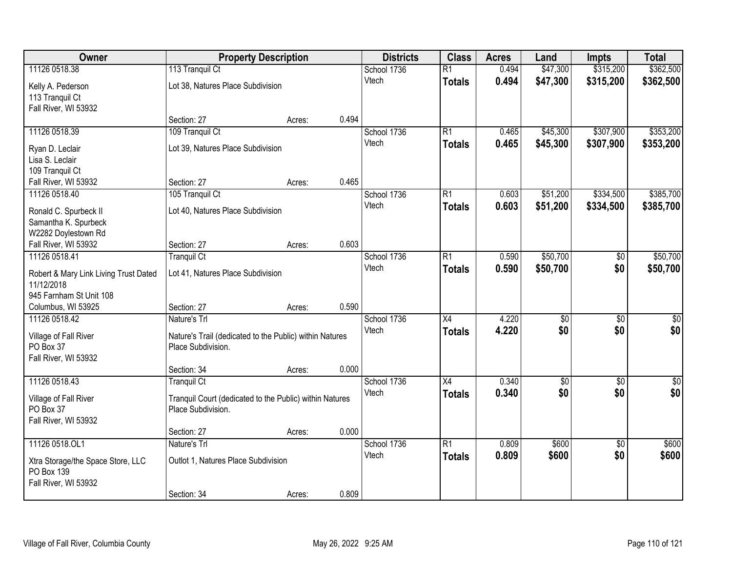| Owner                                 | <b>Property Description</b>                                                   |                 | <b>Districts</b> | <b>Class</b>    | <b>Acres</b> | Land            | <b>Impts</b>    | <b>Total</b>    |
|---------------------------------------|-------------------------------------------------------------------------------|-----------------|------------------|-----------------|--------------|-----------------|-----------------|-----------------|
| 11126 0518.38                         | 113 Tranquil Ct                                                               |                 | School 1736      | $\overline{R1}$ | 0.494        | \$47,300        | \$315,200       | \$362,500       |
| Kelly A. Pederson                     | Lot 38, Natures Place Subdivision                                             |                 | Vtech            | <b>Totals</b>   | 0.494        | \$47,300        | \$315,200       | \$362,500       |
| 113 Tranquil Ct                       |                                                                               |                 |                  |                 |              |                 |                 |                 |
| Fall River, WI 53932                  |                                                                               |                 |                  |                 |              |                 |                 |                 |
|                                       | Section: 27                                                                   | 0.494<br>Acres: |                  |                 |              |                 |                 |                 |
| 11126 0518.39                         | 109 Tranquil Ct                                                               |                 | School 1736      | $\overline{R1}$ | 0.465        | \$45,300        | \$307,900       | \$353,200       |
| Ryan D. Leclair                       | Lot 39, Natures Place Subdivision                                             |                 | Vtech            | <b>Totals</b>   | 0.465        | \$45,300        | \$307,900       | \$353,200       |
| Lisa S. Leclair                       |                                                                               |                 |                  |                 |              |                 |                 |                 |
| 109 Tranquil Ct                       |                                                                               |                 |                  |                 |              |                 |                 |                 |
| Fall River, WI 53932                  | Section: 27                                                                   | 0.465<br>Acres: |                  |                 |              |                 |                 |                 |
| 11126 0518.40                         | 105 Tranquil Ct                                                               |                 | School 1736      | $\overline{R1}$ | 0.603        | \$51,200        | \$334,500       | \$385,700       |
| Ronald C. Spurbeck II                 | Lot 40, Natures Place Subdivision                                             |                 | Vtech            | <b>Totals</b>   | 0.603        | \$51,200        | \$334,500       | \$385,700       |
| Samantha K. Spurbeck                  |                                                                               |                 |                  |                 |              |                 |                 |                 |
| W2282 Doylestown Rd                   |                                                                               |                 |                  |                 |              |                 |                 |                 |
| Fall River, WI 53932                  | Section: 27                                                                   | 0.603<br>Acres: |                  |                 |              |                 |                 |                 |
| 11126 0518.41                         | <b>Tranquil Ct</b>                                                            |                 | School 1736      | $\overline{R1}$ | 0.590        | \$50,700        | $\sqrt[6]{}$    | \$50,700        |
| Robert & Mary Link Living Trust Dated | Lot 41, Natures Place Subdivision                                             |                 | Vtech            | <b>Totals</b>   | 0.590        | \$50,700        | \$0             | \$50,700        |
| 11/12/2018                            |                                                                               |                 |                  |                 |              |                 |                 |                 |
| 945 Farnham St Unit 108               |                                                                               |                 |                  |                 |              |                 |                 |                 |
| Columbus, WI 53925                    | Section: 27                                                                   | 0.590<br>Acres: |                  |                 |              |                 |                 |                 |
| 11126 0518.42                         | Nature's Trl                                                                  |                 | School 1736      | $\overline{X4}$ | 4.220        | $\overline{50}$ | $\overline{50}$ | $\overline{50}$ |
|                                       |                                                                               |                 | Vtech            | <b>Totals</b>   | 4.220        | \$0             | \$0             | \$0             |
| Village of Fall River<br>PO Box 37    | Nature's Trail (dedicated to the Public) within Natures<br>Place Subdivision. |                 |                  |                 |              |                 |                 |                 |
| Fall River, WI 53932                  |                                                                               |                 |                  |                 |              |                 |                 |                 |
|                                       | Section: 34                                                                   | 0.000<br>Acres: |                  |                 |              |                 |                 |                 |
| 11126 0518.43                         | <b>Tranquil Ct</b>                                                            |                 | School 1736      | $\overline{X4}$ | 0.340        | $\overline{50}$ | $\overline{50}$ | $\overline{50}$ |
|                                       |                                                                               |                 | Vtech            | <b>Totals</b>   | 0.340        | \$0             | \$0             | \$0             |
| Village of Fall River                 | Tranquil Court (dedicated to the Public) within Natures                       |                 |                  |                 |              |                 |                 |                 |
| PO Box 37<br>Fall River, WI 53932     | Place Subdivision.                                                            |                 |                  |                 |              |                 |                 |                 |
|                                       | Section: 27                                                                   | 0.000<br>Acres: |                  |                 |              |                 |                 |                 |
| 11126 0518.OL1                        | Nature's Trl                                                                  |                 | School 1736      | $\overline{R1}$ | 0.809        | \$600           | $\overline{50}$ | \$600           |
|                                       |                                                                               |                 | Vtech            | <b>Totals</b>   | 0.809        | \$600           | \$0             | \$600           |
| Xtra Storage/the Space Store, LLC     | Outlot 1, Natures Place Subdivision                                           |                 |                  |                 |              |                 |                 |                 |
| PO Box 139                            |                                                                               |                 |                  |                 |              |                 |                 |                 |
| Fall River, WI 53932                  | Section: 34                                                                   | 0.809<br>Acres: |                  |                 |              |                 |                 |                 |
|                                       |                                                                               |                 |                  |                 |              |                 |                 |                 |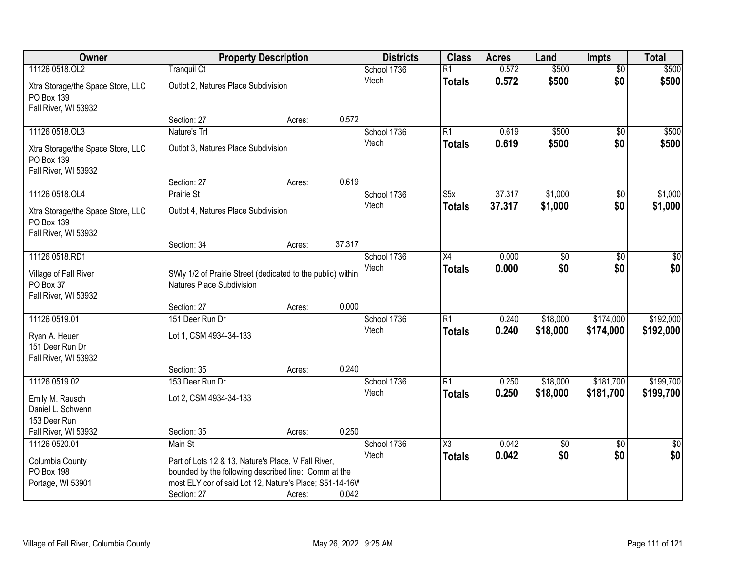| Owner                                                                   | <b>Property Description</b>                                 |        |        | <b>Districts</b>     | <b>Class</b>                     | <b>Acres</b>   | Land            | <b>Impts</b>           | <b>Total</b>   |
|-------------------------------------------------------------------------|-------------------------------------------------------------|--------|--------|----------------------|----------------------------------|----------------|-----------------|------------------------|----------------|
| 11126 0518.OL2                                                          | <b>Tranquil Ct</b>                                          |        |        | School 1736          | $\overline{R1}$                  | 0.572          | \$500           | $\overline{50}$        | \$500          |
| Xtra Storage/the Space Store, LLC<br>PO Box 139<br>Fall River, WI 53932 | Outlot 2, Natures Place Subdivision                         |        |        | Vtech                | <b>Totals</b>                    | 0.572          | \$500           | \$0                    | \$500          |
|                                                                         | Section: 27                                                 | Acres: | 0.572  |                      |                                  |                |                 |                        |                |
| 11126 0518.OL3<br>Xtra Storage/the Space Store, LLC                     | Nature's Trl<br>Outlot 3, Natures Place Subdivision         |        |        | School 1736<br>Vtech | $\overline{R1}$<br><b>Totals</b> | 0.619<br>0.619 | \$500<br>\$500  | $\overline{50}$<br>\$0 | \$500<br>\$500 |
| PO Box 139<br>Fall River, WI 53932                                      | Section: 27                                                 | Acres: | 0.619  |                      |                                  |                |                 |                        |                |
| 11126 0518.OL4                                                          | Prairie St                                                  |        |        | School 1736          | S5x                              | 37.317         | \$1,000         | \$0                    | \$1,000        |
| Xtra Storage/the Space Store, LLC<br>PO Box 139<br>Fall River, WI 53932 | Outlot 4, Natures Place Subdivision                         |        |        | Vtech                | <b>Totals</b>                    | 37.317         | \$1,000         | \$0                    | \$1,000        |
|                                                                         | Section: 34                                                 | Acres: | 37.317 |                      |                                  |                |                 |                        |                |
| 11126 0518.RD1<br>Village of Fall River                                 | SWly 1/2 of Prairie Street (dedicated to the public) within |        |        | School 1736<br>Vtech | X4<br><b>Totals</b>              | 0.000<br>0.000 | \$0<br>\$0      | $\sqrt{6}$<br>\$0      | \$0<br>\$0     |
| PO Box 37<br>Fall River, WI 53932                                       | Natures Place Subdivision                                   |        |        |                      |                                  |                |                 |                        |                |
|                                                                         | Section: 27                                                 | Acres: | 0.000  |                      |                                  |                |                 |                        |                |
| 11126 0519.01                                                           | 151 Deer Run Dr                                             |        |        | School 1736          | $\overline{R1}$                  | 0.240          | \$18,000        | \$174,000              | \$192,000      |
| Ryan A. Heuer<br>151 Deer Run Dr                                        | Lot 1, CSM 4934-34-133                                      |        |        | Vtech                | <b>Totals</b>                    | 0.240          | \$18,000        | \$174,000              | \$192,000      |
| Fall River, WI 53932                                                    |                                                             |        | 0.240  |                      |                                  |                |                 |                        |                |
| 11126 0519.02                                                           | Section: 35<br>153 Deer Run Dr                              | Acres: |        | School 1736          | R1                               | 0.250          | \$18,000        | \$181,700              | \$199,700      |
| Emily M. Rausch<br>Daniel L. Schwenn                                    | Lot 2, CSM 4934-34-133                                      |        |        | Vtech                | <b>Totals</b>                    | 0.250          | \$18,000        | \$181,700              | \$199,700      |
| 153 Deer Run                                                            |                                                             |        |        |                      |                                  |                |                 |                        |                |
| Fall River, WI 53932                                                    | Section: 35                                                 | Acres: | 0.250  |                      |                                  |                |                 |                        |                |
| 11126 0520.01                                                           | Main St                                                     |        |        | School 1736          | X3                               | 0.042          | $\overline{50}$ | $\overline{30}$        | $\frac{1}{30}$ |
| Columbia County                                                         | Part of Lots 12 & 13, Nature's Place, V Fall River,         |        |        | Vtech                | <b>Totals</b>                    | 0.042          | \$0             | \$0                    | \$0            |
| <b>PO Box 198</b>                                                       | bounded by the following described line: Comm at the        |        |        |                      |                                  |                |                 |                        |                |
| Portage, WI 53901                                                       | most ELY cor of said Lot 12, Nature's Place; S51-14-16W     |        |        |                      |                                  |                |                 |                        |                |
|                                                                         | Section: 27                                                 | Acres: | 0.042  |                      |                                  |                |                 |                        |                |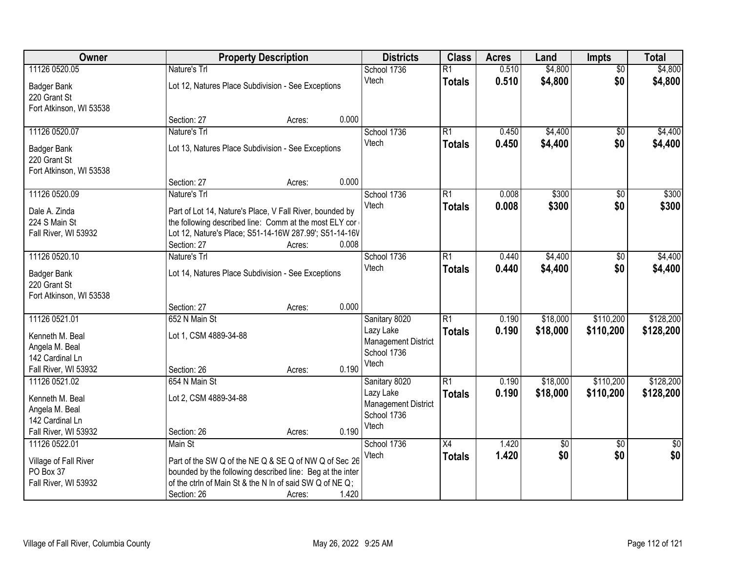| Owner                   |                                                                                                                    | <b>Property Description</b> |       | <b>Districts</b>           | <b>Class</b>    | <b>Acres</b> | Land            | Impts           | <b>Total</b> |
|-------------------------|--------------------------------------------------------------------------------------------------------------------|-----------------------------|-------|----------------------------|-----------------|--------------|-----------------|-----------------|--------------|
| 11126 0520.05           | Nature's Trl                                                                                                       |                             |       | School 1736                | $\overline{R1}$ | 0.510        | \$4,800         | $\overline{50}$ | \$4,800      |
| <b>Badger Bank</b>      | Lot 12, Natures Place Subdivision - See Exceptions                                                                 |                             |       | Vtech                      | <b>Totals</b>   | 0.510        | \$4,800         | \$0             | \$4,800      |
| 220 Grant St            |                                                                                                                    |                             |       |                            |                 |              |                 |                 |              |
| Fort Atkinson, WI 53538 |                                                                                                                    |                             |       |                            |                 |              |                 |                 |              |
|                         | Section: 27                                                                                                        | Acres:                      | 0.000 |                            |                 |              |                 |                 |              |
| 11126 0520.07           | Nature's Trl                                                                                                       |                             |       | School 1736                | $\overline{R1}$ | 0.450        | \$4,400         | $\overline{50}$ | \$4,400      |
| <b>Badger Bank</b>      | Lot 13, Natures Place Subdivision - See Exceptions                                                                 |                             |       | Vtech                      | <b>Totals</b>   | 0.450        | \$4,400         | \$0             | \$4,400      |
| 220 Grant St            |                                                                                                                    |                             |       |                            |                 |              |                 |                 |              |
| Fort Atkinson, WI 53538 |                                                                                                                    |                             |       |                            |                 |              |                 |                 |              |
|                         | Section: 27                                                                                                        | Acres:                      | 0.000 |                            |                 |              |                 |                 |              |
| 11126 0520.09           | Nature's Trl                                                                                                       |                             |       | School 1736                | $\overline{R1}$ | 0.008        | \$300           | $\overline{50}$ | \$300        |
| Dale A. Zinda           |                                                                                                                    |                             |       | Vtech                      | <b>Totals</b>   | 0.008        | \$300           | \$0             | \$300        |
| 224 S Main St           | Part of Lot 14, Nature's Place, V Fall River, bounded by<br>the following described line: Comm at the most ELY cor |                             |       |                            |                 |              |                 |                 |              |
| Fall River, WI 53932    | Lot 12, Nature's Place; S51-14-16W 287.99'; S51-14-16V                                                             |                             |       |                            |                 |              |                 |                 |              |
|                         | Section: 27                                                                                                        | Acres:                      | 0.008 |                            |                 |              |                 |                 |              |
| 11126 0520.10           | Nature's Trl                                                                                                       |                             |       | School 1736                | $\overline{R1}$ | 0.440        | \$4,400         | \$0             | \$4,400      |
|                         |                                                                                                                    |                             |       | Vtech                      | <b>Totals</b>   | 0.440        | \$4,400         | \$0             | \$4,400      |
| <b>Badger Bank</b>      | Lot 14, Natures Place Subdivision - See Exceptions                                                                 |                             |       |                            |                 |              |                 |                 |              |
| 220 Grant St            |                                                                                                                    |                             |       |                            |                 |              |                 |                 |              |
| Fort Atkinson, WI 53538 | Section: 27                                                                                                        | Acres:                      | 0.000 |                            |                 |              |                 |                 |              |
| 11126 0521.01           | 652 N Main St                                                                                                      |                             |       | Sanitary 8020              | $\overline{R1}$ | 0.190        | \$18,000        | \$110,200       | \$128,200    |
|                         |                                                                                                                    |                             |       | Lazy Lake                  |                 | 0.190        | \$18,000        | \$110,200       | \$128,200    |
| Kenneth M. Beal         | Lot 1, CSM 4889-34-88                                                                                              |                             |       | <b>Management District</b> | <b>Totals</b>   |              |                 |                 |              |
| Angela M. Beal          |                                                                                                                    |                             |       | School 1736                |                 |              |                 |                 |              |
| 142 Cardinal Ln         |                                                                                                                    |                             |       | Vtech                      |                 |              |                 |                 |              |
| Fall River, WI 53932    | Section: 26                                                                                                        | Acres:                      | 0.190 |                            |                 |              |                 |                 |              |
| 11126 0521.02           | 654 N Main St                                                                                                      |                             |       | Sanitary 8020              | $\overline{R1}$ | 0.190        | \$18,000        | \$110,200       | \$128,200    |
| Kenneth M. Beal         | Lot 2, CSM 4889-34-88                                                                                              |                             |       | Lazy Lake                  | <b>Totals</b>   | 0.190        | \$18,000        | \$110,200       | \$128,200    |
| Angela M. Beal          |                                                                                                                    |                             |       | <b>Management District</b> |                 |              |                 |                 |              |
| 142 Cardinal Ln         |                                                                                                                    |                             |       | School 1736<br>Vtech       |                 |              |                 |                 |              |
| Fall River, WI 53932    | Section: 26                                                                                                        | Acres:                      | 0.190 |                            |                 |              |                 |                 |              |
| 11126 0522.01           | Main St                                                                                                            |                             |       | School 1736                | $\overline{X4}$ | 1.420        | $\overline{50}$ | $\overline{50}$ | $\sqrt{50}$  |
| Village of Fall River   | Part of the SW Q of the NE Q & SE Q of NW Q of Sec 26                                                              |                             |       | Vtech                      | <b>Totals</b>   | 1.420        | \$0             | \$0             | \$0          |
| PO Box 37               | bounded by the following described line: Beg at the inter                                                          |                             |       |                            |                 |              |                 |                 |              |
| Fall River, WI 53932    | of the ctrln of Main St & the N In of said SW Q of NE Q;                                                           |                             |       |                            |                 |              |                 |                 |              |
|                         | Section: 26                                                                                                        | Acres:                      | 1.420 |                            |                 |              |                 |                 |              |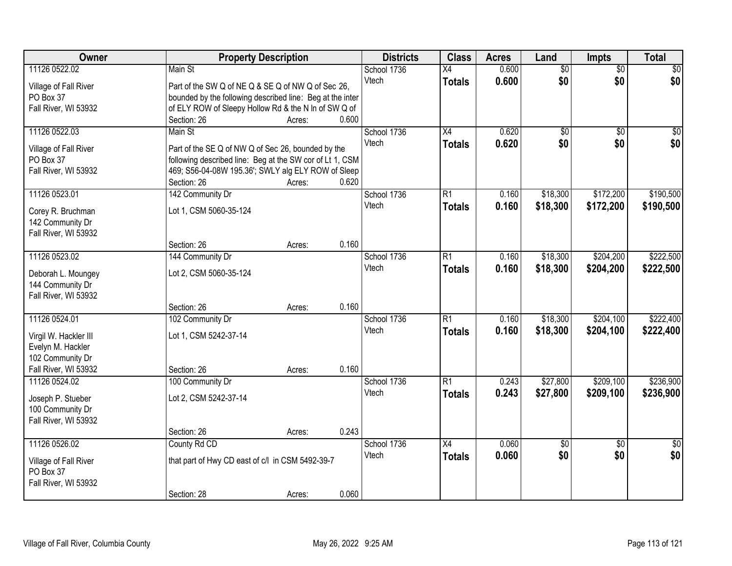| 11126 0522.02<br>0.600<br>$\overline{50}$<br>$\overline{50}$<br>\$0<br>Main St<br>School 1736<br>$\overline{X4}$<br>\$0<br>0.600<br>\$0<br>\$0<br>Vtech<br><b>Totals</b><br>Village of Fall River<br>Part of the SW Q of NE Q & SE Q of NW Q of Sec 26,<br>PO Box 37<br>bounded by the following described line: Beg at the inter<br>Fall River, WI 53932<br>of ELY ROW of Sleepy Hollow Rd & the N In of SW Q of<br>0.600<br>Section: 26<br>Acres:<br>11126 0522.03<br>Main St<br>School 1736<br>$\overline{X4}$<br>0.620<br>\$0<br>$\overline{50}$<br>0.620<br>\$0<br>\$0<br>Vtech<br><b>Totals</b><br>Village of Fall River<br>Part of the SE Q of NW Q of Sec 26, bounded by the<br>PO Box 37<br>following described line: Beg at the SW cor of Lt 1, CSM<br>469; S56-04-08W 195.36'; SWLY alg ELY ROW of Sleep<br>Fall River, WI 53932<br>0.620<br>Section: 26<br>Acres:<br>\$172,200<br>11126 0523.01<br>142 Community Dr<br>School 1736<br>$\overline{R1}$<br>0.160<br>\$18,300<br>Vtech<br>0.160<br>\$18,300<br>\$172,200<br><b>Totals</b><br>Lot 1, CSM 5060-35-124<br>Corey R. Bruchman<br>142 Community Dr<br>Fall River, WI 53932<br>0.160<br>Section: 26<br>Acres:<br>11126 0523.02<br>$\overline{R1}$<br>\$18,300<br>\$204,200<br>144 Community Dr<br>School 1736<br>0.160<br>Vtech<br>0.160<br>\$18,300<br>\$204,200<br><b>Totals</b><br>Lot 2, CSM 5060-35-124<br>Deborah L. Moungey<br>144 Community Dr<br>Fall River, WI 53932<br>0.160<br>Section: 26<br>Acres:<br>11126 0524.01<br>\$204,100<br>102 Community Dr<br>$\overline{R1}$<br>0.160<br>\$18,300<br>School 1736<br>0.160<br>\$18,300<br>\$204,100<br>Vtech<br><b>Totals</b><br>Lot 1, CSM 5242-37-14<br>Virgil W. Hackler III<br>Evelyn M. Hackler<br>102 Community Dr<br>Fall River, WI 53932<br>0.160<br>Section: 26<br>Acres:<br>11126 0524.02<br>$\overline{R1}$<br>\$27,800<br>\$209,100<br>100 Community Dr<br>School 1736<br>0.243<br>\$27,800<br>Vtech<br>0.243<br>\$209,100<br><b>Totals</b><br>Joseph P. Stueber<br>Lot 2, CSM 5242-37-14<br>100 Community Dr<br>Fall River, WI 53932<br>0.243<br>Section: 26<br>Acres:<br>11126 0526.02<br>0.060<br>County Rd CD<br>School 1736<br>$\overline{X4}$<br>$\sqrt{6}$<br>$\overline{50}$<br>$\overline{50}$<br>\$0<br>0.060<br>\$0<br>\$0<br>Vtech<br><b>Totals</b><br>that part of Hwy CD east of c/l in CSM 5492-39-7<br>Village of Fall River<br>PO Box 37<br>Fall River, WI 53932 | <b>Owner</b> | <b>Property Description</b> |  | <b>Districts</b> | <b>Class</b> | <b>Acres</b> | Land | Impts | <b>Total</b> |
|-------------------------------------------------------------------------------------------------------------------------------------------------------------------------------------------------------------------------------------------------------------------------------------------------------------------------------------------------------------------------------------------------------------------------------------------------------------------------------------------------------------------------------------------------------------------------------------------------------------------------------------------------------------------------------------------------------------------------------------------------------------------------------------------------------------------------------------------------------------------------------------------------------------------------------------------------------------------------------------------------------------------------------------------------------------------------------------------------------------------------------------------------------------------------------------------------------------------------------------------------------------------------------------------------------------------------------------------------------------------------------------------------------------------------------------------------------------------------------------------------------------------------------------------------------------------------------------------------------------------------------------------------------------------------------------------------------------------------------------------------------------------------------------------------------------------------------------------------------------------------------------------------------------------------------------------------------------------------------------------------------------------------------------------------------------------------------------------------------------------------------------------------------------------------------------------------------------------------------------------------------------------------------------------------------------------------------------------------------------------------------------------------------------------------|--------------|-----------------------------|--|------------------|--------------|--------------|------|-------|--------------|
|                                                                                                                                                                                                                                                                                                                                                                                                                                                                                                                                                                                                                                                                                                                                                                                                                                                                                                                                                                                                                                                                                                                                                                                                                                                                                                                                                                                                                                                                                                                                                                                                                                                                                                                                                                                                                                                                                                                                                                                                                                                                                                                                                                                                                                                                                                                                                                                                                         |              |                             |  |                  |              |              |      |       |              |
|                                                                                                                                                                                                                                                                                                                                                                                                                                                                                                                                                                                                                                                                                                                                                                                                                                                                                                                                                                                                                                                                                                                                                                                                                                                                                                                                                                                                                                                                                                                                                                                                                                                                                                                                                                                                                                                                                                                                                                                                                                                                                                                                                                                                                                                                                                                                                                                                                         |              |                             |  |                  |              |              |      |       |              |
| \$0<br>\$0<br>\$190,500<br>\$190,500<br>\$222,500<br>\$222,500<br>\$222,400<br>\$222,400<br>\$236,900<br>\$236,900                                                                                                                                                                                                                                                                                                                                                                                                                                                                                                                                                                                                                                                                                                                                                                                                                                                                                                                                                                                                                                                                                                                                                                                                                                                                                                                                                                                                                                                                                                                                                                                                                                                                                                                                                                                                                                                                                                                                                                                                                                                                                                                                                                                                                                                                                                      |              |                             |  |                  |              |              |      |       |              |
|                                                                                                                                                                                                                                                                                                                                                                                                                                                                                                                                                                                                                                                                                                                                                                                                                                                                                                                                                                                                                                                                                                                                                                                                                                                                                                                                                                                                                                                                                                                                                                                                                                                                                                                                                                                                                                                                                                                                                                                                                                                                                                                                                                                                                                                                                                                                                                                                                         |              |                             |  |                  |              |              |      |       |              |
|                                                                                                                                                                                                                                                                                                                                                                                                                                                                                                                                                                                                                                                                                                                                                                                                                                                                                                                                                                                                                                                                                                                                                                                                                                                                                                                                                                                                                                                                                                                                                                                                                                                                                                                                                                                                                                                                                                                                                                                                                                                                                                                                                                                                                                                                                                                                                                                                                         |              |                             |  |                  |              |              |      |       |              |
|                                                                                                                                                                                                                                                                                                                                                                                                                                                                                                                                                                                                                                                                                                                                                                                                                                                                                                                                                                                                                                                                                                                                                                                                                                                                                                                                                                                                                                                                                                                                                                                                                                                                                                                                                                                                                                                                                                                                                                                                                                                                                                                                                                                                                                                                                                                                                                                                                         |              |                             |  |                  |              |              |      |       |              |
|                                                                                                                                                                                                                                                                                                                                                                                                                                                                                                                                                                                                                                                                                                                                                                                                                                                                                                                                                                                                                                                                                                                                                                                                                                                                                                                                                                                                                                                                                                                                                                                                                                                                                                                                                                                                                                                                                                                                                                                                                                                                                                                                                                                                                                                                                                                                                                                                                         |              |                             |  |                  |              |              |      |       |              |
|                                                                                                                                                                                                                                                                                                                                                                                                                                                                                                                                                                                                                                                                                                                                                                                                                                                                                                                                                                                                                                                                                                                                                                                                                                                                                                                                                                                                                                                                                                                                                                                                                                                                                                                                                                                                                                                                                                                                                                                                                                                                                                                                                                                                                                                                                                                                                                                                                         |              |                             |  |                  |              |              |      |       |              |
|                                                                                                                                                                                                                                                                                                                                                                                                                                                                                                                                                                                                                                                                                                                                                                                                                                                                                                                                                                                                                                                                                                                                                                                                                                                                                                                                                                                                                                                                                                                                                                                                                                                                                                                                                                                                                                                                                                                                                                                                                                                                                                                                                                                                                                                                                                                                                                                                                         |              |                             |  |                  |              |              |      |       |              |
|                                                                                                                                                                                                                                                                                                                                                                                                                                                                                                                                                                                                                                                                                                                                                                                                                                                                                                                                                                                                                                                                                                                                                                                                                                                                                                                                                                                                                                                                                                                                                                                                                                                                                                                                                                                                                                                                                                                                                                                                                                                                                                                                                                                                                                                                                                                                                                                                                         |              |                             |  |                  |              |              |      |       |              |
|                                                                                                                                                                                                                                                                                                                                                                                                                                                                                                                                                                                                                                                                                                                                                                                                                                                                                                                                                                                                                                                                                                                                                                                                                                                                                                                                                                                                                                                                                                                                                                                                                                                                                                                                                                                                                                                                                                                                                                                                                                                                                                                                                                                                                                                                                                                                                                                                                         |              |                             |  |                  |              |              |      |       |              |
|                                                                                                                                                                                                                                                                                                                                                                                                                                                                                                                                                                                                                                                                                                                                                                                                                                                                                                                                                                                                                                                                                                                                                                                                                                                                                                                                                                                                                                                                                                                                                                                                                                                                                                                                                                                                                                                                                                                                                                                                                                                                                                                                                                                                                                                                                                                                                                                                                         |              |                             |  |                  |              |              |      |       |              |
|                                                                                                                                                                                                                                                                                                                                                                                                                                                                                                                                                                                                                                                                                                                                                                                                                                                                                                                                                                                                                                                                                                                                                                                                                                                                                                                                                                                                                                                                                                                                                                                                                                                                                                                                                                                                                                                                                                                                                                                                                                                                                                                                                                                                                                                                                                                                                                                                                         |              |                             |  |                  |              |              |      |       |              |
|                                                                                                                                                                                                                                                                                                                                                                                                                                                                                                                                                                                                                                                                                                                                                                                                                                                                                                                                                                                                                                                                                                                                                                                                                                                                                                                                                                                                                                                                                                                                                                                                                                                                                                                                                                                                                                                                                                                                                                                                                                                                                                                                                                                                                                                                                                                                                                                                                         |              |                             |  |                  |              |              |      |       |              |
|                                                                                                                                                                                                                                                                                                                                                                                                                                                                                                                                                                                                                                                                                                                                                                                                                                                                                                                                                                                                                                                                                                                                                                                                                                                                                                                                                                                                                                                                                                                                                                                                                                                                                                                                                                                                                                                                                                                                                                                                                                                                                                                                                                                                                                                                                                                                                                                                                         |              |                             |  |                  |              |              |      |       |              |
|                                                                                                                                                                                                                                                                                                                                                                                                                                                                                                                                                                                                                                                                                                                                                                                                                                                                                                                                                                                                                                                                                                                                                                                                                                                                                                                                                                                                                                                                                                                                                                                                                                                                                                                                                                                                                                                                                                                                                                                                                                                                                                                                                                                                                                                                                                                                                                                                                         |              |                             |  |                  |              |              |      |       |              |
|                                                                                                                                                                                                                                                                                                                                                                                                                                                                                                                                                                                                                                                                                                                                                                                                                                                                                                                                                                                                                                                                                                                                                                                                                                                                                                                                                                                                                                                                                                                                                                                                                                                                                                                                                                                                                                                                                                                                                                                                                                                                                                                                                                                                                                                                                                                                                                                                                         |              |                             |  |                  |              |              |      |       |              |
|                                                                                                                                                                                                                                                                                                                                                                                                                                                                                                                                                                                                                                                                                                                                                                                                                                                                                                                                                                                                                                                                                                                                                                                                                                                                                                                                                                                                                                                                                                                                                                                                                                                                                                                                                                                                                                                                                                                                                                                                                                                                                                                                                                                                                                                                                                                                                                                                                         |              |                             |  |                  |              |              |      |       |              |
|                                                                                                                                                                                                                                                                                                                                                                                                                                                                                                                                                                                                                                                                                                                                                                                                                                                                                                                                                                                                                                                                                                                                                                                                                                                                                                                                                                                                                                                                                                                                                                                                                                                                                                                                                                                                                                                                                                                                                                                                                                                                                                                                                                                                                                                                                                                                                                                                                         |              |                             |  |                  |              |              |      |       |              |
|                                                                                                                                                                                                                                                                                                                                                                                                                                                                                                                                                                                                                                                                                                                                                                                                                                                                                                                                                                                                                                                                                                                                                                                                                                                                                                                                                                                                                                                                                                                                                                                                                                                                                                                                                                                                                                                                                                                                                                                                                                                                                                                                                                                                                                                                                                                                                                                                                         |              |                             |  |                  |              |              |      |       |              |
|                                                                                                                                                                                                                                                                                                                                                                                                                                                                                                                                                                                                                                                                                                                                                                                                                                                                                                                                                                                                                                                                                                                                                                                                                                                                                                                                                                                                                                                                                                                                                                                                                                                                                                                                                                                                                                                                                                                                                                                                                                                                                                                                                                                                                                                                                                                                                                                                                         |              |                             |  |                  |              |              |      |       |              |
|                                                                                                                                                                                                                                                                                                                                                                                                                                                                                                                                                                                                                                                                                                                                                                                                                                                                                                                                                                                                                                                                                                                                                                                                                                                                                                                                                                                                                                                                                                                                                                                                                                                                                                                                                                                                                                                                                                                                                                                                                                                                                                                                                                                                                                                                                                                                                                                                                         |              |                             |  |                  |              |              |      |       |              |
|                                                                                                                                                                                                                                                                                                                                                                                                                                                                                                                                                                                                                                                                                                                                                                                                                                                                                                                                                                                                                                                                                                                                                                                                                                                                                                                                                                                                                                                                                                                                                                                                                                                                                                                                                                                                                                                                                                                                                                                                                                                                                                                                                                                                                                                                                                                                                                                                                         |              |                             |  |                  |              |              |      |       |              |
|                                                                                                                                                                                                                                                                                                                                                                                                                                                                                                                                                                                                                                                                                                                                                                                                                                                                                                                                                                                                                                                                                                                                                                                                                                                                                                                                                                                                                                                                                                                                                                                                                                                                                                                                                                                                                                                                                                                                                                                                                                                                                                                                                                                                                                                                                                                                                                                                                         |              |                             |  |                  |              |              |      |       |              |
|                                                                                                                                                                                                                                                                                                                                                                                                                                                                                                                                                                                                                                                                                                                                                                                                                                                                                                                                                                                                                                                                                                                                                                                                                                                                                                                                                                                                                                                                                                                                                                                                                                                                                                                                                                                                                                                                                                                                                                                                                                                                                                                                                                                                                                                                                                                                                                                                                         |              |                             |  |                  |              |              |      |       |              |
|                                                                                                                                                                                                                                                                                                                                                                                                                                                                                                                                                                                                                                                                                                                                                                                                                                                                                                                                                                                                                                                                                                                                                                                                                                                                                                                                                                                                                                                                                                                                                                                                                                                                                                                                                                                                                                                                                                                                                                                                                                                                                                                                                                                                                                                                                                                                                                                                                         |              |                             |  |                  |              |              |      |       |              |
|                                                                                                                                                                                                                                                                                                                                                                                                                                                                                                                                                                                                                                                                                                                                                                                                                                                                                                                                                                                                                                                                                                                                                                                                                                                                                                                                                                                                                                                                                                                                                                                                                                                                                                                                                                                                                                                                                                                                                                                                                                                                                                                                                                                                                                                                                                                                                                                                                         |              |                             |  |                  |              |              |      |       |              |
|                                                                                                                                                                                                                                                                                                                                                                                                                                                                                                                                                                                                                                                                                                                                                                                                                                                                                                                                                                                                                                                                                                                                                                                                                                                                                                                                                                                                                                                                                                                                                                                                                                                                                                                                                                                                                                                                                                                                                                                                                                                                                                                                                                                                                                                                                                                                                                                                                         |              |                             |  |                  |              |              |      |       |              |
|                                                                                                                                                                                                                                                                                                                                                                                                                                                                                                                                                                                                                                                                                                                                                                                                                                                                                                                                                                                                                                                                                                                                                                                                                                                                                                                                                                                                                                                                                                                                                                                                                                                                                                                                                                                                                                                                                                                                                                                                                                                                                                                                                                                                                                                                                                                                                                                                                         |              |                             |  |                  |              |              |      |       |              |
|                                                                                                                                                                                                                                                                                                                                                                                                                                                                                                                                                                                                                                                                                                                                                                                                                                                                                                                                                                                                                                                                                                                                                                                                                                                                                                                                                                                                                                                                                                                                                                                                                                                                                                                                                                                                                                                                                                                                                                                                                                                                                                                                                                                                                                                                                                                                                                                                                         |              |                             |  |                  |              |              |      |       |              |
|                                                                                                                                                                                                                                                                                                                                                                                                                                                                                                                                                                                                                                                                                                                                                                                                                                                                                                                                                                                                                                                                                                                                                                                                                                                                                                                                                                                                                                                                                                                                                                                                                                                                                                                                                                                                                                                                                                                                                                                                                                                                                                                                                                                                                                                                                                                                                                                                                         |              |                             |  |                  |              |              |      |       |              |
|                                                                                                                                                                                                                                                                                                                                                                                                                                                                                                                                                                                                                                                                                                                                                                                                                                                                                                                                                                                                                                                                                                                                                                                                                                                                                                                                                                                                                                                                                                                                                                                                                                                                                                                                                                                                                                                                                                                                                                                                                                                                                                                                                                                                                                                                                                                                                                                                                         |              |                             |  |                  |              |              |      |       |              |
|                                                                                                                                                                                                                                                                                                                                                                                                                                                                                                                                                                                                                                                                                                                                                                                                                                                                                                                                                                                                                                                                                                                                                                                                                                                                                                                                                                                                                                                                                                                                                                                                                                                                                                                                                                                                                                                                                                                                                                                                                                                                                                                                                                                                                                                                                                                                                                                                                         |              |                             |  |                  |              |              |      |       |              |
|                                                                                                                                                                                                                                                                                                                                                                                                                                                                                                                                                                                                                                                                                                                                                                                                                                                                                                                                                                                                                                                                                                                                                                                                                                                                                                                                                                                                                                                                                                                                                                                                                                                                                                                                                                                                                                                                                                                                                                                                                                                                                                                                                                                                                                                                                                                                                                                                                         |              |                             |  |                  |              |              |      |       |              |
|                                                                                                                                                                                                                                                                                                                                                                                                                                                                                                                                                                                                                                                                                                                                                                                                                                                                                                                                                                                                                                                                                                                                                                                                                                                                                                                                                                                                                                                                                                                                                                                                                                                                                                                                                                                                                                                                                                                                                                                                                                                                                                                                                                                                                                                                                                                                                                                                                         |              |                             |  |                  |              |              |      |       |              |
|                                                                                                                                                                                                                                                                                                                                                                                                                                                                                                                                                                                                                                                                                                                                                                                                                                                                                                                                                                                                                                                                                                                                                                                                                                                                                                                                                                                                                                                                                                                                                                                                                                                                                                                                                                                                                                                                                                                                                                                                                                                                                                                                                                                                                                                                                                                                                                                                                         |              |                             |  |                  |              |              |      |       |              |
| 0.060<br>Section: 28<br>Acres:                                                                                                                                                                                                                                                                                                                                                                                                                                                                                                                                                                                                                                                                                                                                                                                                                                                                                                                                                                                                                                                                                                                                                                                                                                                                                                                                                                                                                                                                                                                                                                                                                                                                                                                                                                                                                                                                                                                                                                                                                                                                                                                                                                                                                                                                                                                                                                                          |              |                             |  |                  |              |              |      |       |              |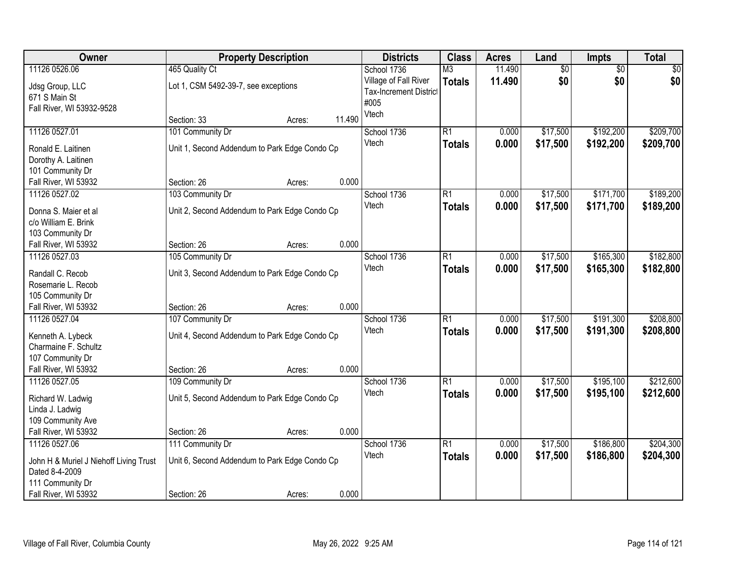| Owner                                                         |                                               | <b>Property Description</b> |        | <b>Districts</b>                                               | <b>Class</b>           | <b>Acres</b> | Land            | Impts           | <b>Total</b> |
|---------------------------------------------------------------|-----------------------------------------------|-----------------------------|--------|----------------------------------------------------------------|------------------------|--------------|-----------------|-----------------|--------------|
| 11126 0526.06                                                 | 465 Quality Ct                                |                             |        | School 1736                                                    | $\overline{\text{M3}}$ | 11.490       | $\overline{60}$ | $\overline{50}$ | \$0          |
| Jdsg Group, LLC<br>671 S Main St<br>Fall River, WI 53932-9528 | Lot 1, CSM 5492-39-7, see exceptions          |                             |        | Village of Fall River<br><b>Tax-Increment District</b><br>#005 | <b>Totals</b>          | 11.490       | \$0             | \$0             | \$0          |
|                                                               | Section: 33                                   | Acres:                      | 11.490 | Vtech                                                          |                        |              |                 |                 |              |
| 11126 0527.01                                                 | 101 Community Dr                              |                             |        | School 1736                                                    | $\overline{R1}$        | 0.000        | \$17,500        | \$192,200       | \$209,700    |
| Ronald E. Laitinen                                            | Unit 1, Second Addendum to Park Edge Condo Cp |                             |        | Vtech                                                          | <b>Totals</b>          | 0.000        | \$17,500        | \$192,200       | \$209,700    |
| Dorothy A. Laitinen                                           |                                               |                             |        |                                                                |                        |              |                 |                 |              |
| 101 Community Dr                                              |                                               |                             |        |                                                                |                        |              |                 |                 |              |
| Fall River, WI 53932                                          | Section: 26                                   | Acres:                      | 0.000  |                                                                |                        |              |                 |                 |              |
| 11126 0527.02                                                 | 103 Community Dr                              |                             |        | School 1736                                                    | $\overline{R1}$        | 0.000        | \$17,500        | \$171,700       | \$189,200    |
| Donna S. Maier et al                                          | Unit 2, Second Addendum to Park Edge Condo Cp |                             |        | Vtech                                                          | <b>Totals</b>          | 0.000        | \$17,500        | \$171,700       | \$189,200    |
| c/o William E. Brink                                          |                                               |                             |        |                                                                |                        |              |                 |                 |              |
| 103 Community Dr                                              |                                               |                             |        |                                                                |                        |              |                 |                 |              |
| Fall River, WI 53932                                          | Section: 26                                   | Acres:                      | 0.000  |                                                                |                        |              |                 |                 |              |
| 11126 0527.03                                                 | 105 Community Dr                              |                             |        | School 1736                                                    | $\overline{R1}$        | 0.000        | \$17,500        | \$165,300       | \$182,800    |
| Randall C. Recob                                              | Unit 3, Second Addendum to Park Edge Condo Cp |                             |        | Vtech                                                          | <b>Totals</b>          | 0.000        | \$17,500        | \$165,300       | \$182,800    |
| Rosemarie L. Recob                                            |                                               |                             |        |                                                                |                        |              |                 |                 |              |
| 105 Community Dr                                              |                                               |                             |        |                                                                |                        |              |                 |                 |              |
| Fall River, WI 53932                                          | Section: 26                                   | Acres:                      | 0.000  |                                                                |                        |              |                 |                 |              |
| 11126 0527.04                                                 | 107 Community Dr                              |                             |        | School 1736                                                    | $\overline{R1}$        | 0.000        | \$17,500        | \$191,300       | \$208,800    |
| Kenneth A. Lybeck                                             | Unit 4, Second Addendum to Park Edge Condo Cp |                             |        | Vtech                                                          | <b>Totals</b>          | 0.000        | \$17,500        | \$191,300       | \$208,800    |
| Charmaine F. Schultz                                          |                                               |                             |        |                                                                |                        |              |                 |                 |              |
| 107 Community Dr                                              |                                               |                             |        |                                                                |                        |              |                 |                 |              |
| Fall River, WI 53932                                          | Section: 26                                   | Acres:                      | 0.000  |                                                                |                        |              |                 |                 |              |
| 11126 0527.05                                                 | 109 Community Dr                              |                             |        | School 1736                                                    | R1                     | 0.000        | \$17,500        | \$195,100       | \$212,600    |
| Richard W. Ladwig                                             | Unit 5, Second Addendum to Park Edge Condo Cp |                             |        | Vtech                                                          | <b>Totals</b>          | 0.000        | \$17,500        | \$195,100       | \$212,600    |
| Linda J. Ladwig                                               |                                               |                             |        |                                                                |                        |              |                 |                 |              |
| 109 Community Ave                                             |                                               |                             |        |                                                                |                        |              |                 |                 |              |
| Fall River, WI 53932                                          | Section: 26                                   | Acres:                      | 0.000  |                                                                |                        |              |                 |                 |              |
| 11126 0527.06                                                 | 111 Community Dr                              |                             |        | School 1736                                                    | $\overline{R1}$        | 0.000        | \$17,500        | \$186,800       | \$204,300    |
| John H & Muriel J Niehoff Living Trust                        | Unit 6, Second Addendum to Park Edge Condo Cp |                             |        | Vtech                                                          | <b>Totals</b>          | 0.000        | \$17,500        | \$186,800       | \$204,300    |
| Dated 8-4-2009                                                |                                               |                             |        |                                                                |                        |              |                 |                 |              |
| 111 Community Dr                                              |                                               |                             |        |                                                                |                        |              |                 |                 |              |
| Fall River, WI 53932                                          | Section: 26                                   | Acres:                      | 0.000  |                                                                |                        |              |                 |                 |              |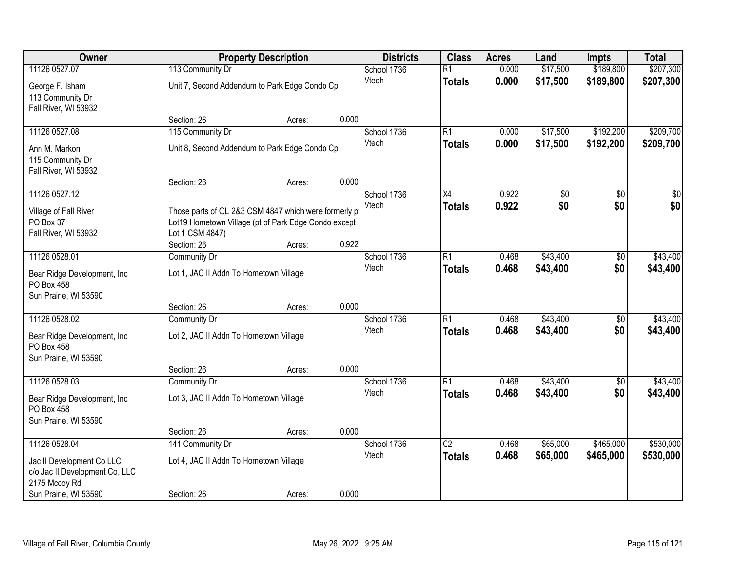| Owner                                                                                         |                                                                                                                                 | <b>Property Description</b> |       | <b>Districts</b>     | <b>Class</b>                     | <b>Acres</b>   | Land                 | <b>Impts</b>           | <b>Total</b>           |
|-----------------------------------------------------------------------------------------------|---------------------------------------------------------------------------------------------------------------------------------|-----------------------------|-------|----------------------|----------------------------------|----------------|----------------------|------------------------|------------------------|
| 11126 0527.07                                                                                 | 113 Community Dr                                                                                                                |                             |       | School 1736          | $\overline{R1}$                  | 0.000          | \$17,500             | \$189,800              | \$207,300              |
| George F. Isham<br>113 Community Dr<br>Fall River, WI 53932                                   | Unit 7, Second Addendum to Park Edge Condo Cp                                                                                   |                             |       | Vtech                | <b>Totals</b>                    | 0.000          | \$17,500             | \$189,800              | \$207,300              |
|                                                                                               | Section: 26                                                                                                                     | Acres:                      | 0.000 |                      |                                  |                |                      |                        |                        |
| 11126 0527.08                                                                                 | 115 Community Dr                                                                                                                |                             |       | School 1736          | R1                               | 0.000          | \$17,500             | \$192,200              | \$209,700              |
| Ann M. Markon<br>115 Community Dr                                                             | Unit 8, Second Addendum to Park Edge Condo Cp                                                                                   |                             |       | Vtech                | Totals                           | 0.000          | \$17,500             | \$192,200              | \$209,700              |
| Fall River, WI 53932                                                                          | Section: 26                                                                                                                     | Acres:                      | 0.000 |                      |                                  |                |                      |                        |                        |
| 11126 0527.12                                                                                 |                                                                                                                                 |                             |       | School 1736          | X4                               | 0.922          | \$0                  | \$0                    | \$0                    |
| Village of Fall River<br>PO Box 37<br>Fall River, WI 53932                                    | Those parts of OL 2&3 CSM 4847 which were formerly p<br>Lot19 Hometown Village (pt of Park Edge Condo except<br>Lot 1 CSM 4847) |                             |       | Vtech                | <b>Totals</b>                    | 0.922          | \$0                  | \$0                    | \$0                    |
|                                                                                               | Section: 26                                                                                                                     | Acres:                      | 0.922 |                      |                                  |                |                      |                        |                        |
| 11126 0528.01<br>Bear Ridge Development, Inc.<br>PO Box 458                                   | <b>Community Dr</b><br>Lot 1, JAC II Addn To Hometown Village                                                                   |                             |       | School 1736<br>Vtech | $\overline{R1}$<br><b>Totals</b> | 0.468<br>0.468 | \$43,400<br>\$43,400 | \$0<br>\$0             | \$43,400<br>\$43,400   |
| Sun Prairie, WI 53590                                                                         | Section: 26                                                                                                                     | Acres:                      | 0.000 |                      |                                  |                |                      |                        |                        |
| 11126 0528.02<br>Bear Ridge Development, Inc<br><b>PO Box 458</b>                             | <b>Community Dr</b><br>Lot 2, JAC II Addn To Hometown Village                                                                   |                             |       | School 1736<br>Vtech | $\overline{R1}$<br><b>Totals</b> | 0.468<br>0.468 | \$43,400<br>\$43,400 | \$0<br>\$0             | \$43,400<br>\$43,400   |
| Sun Prairie, WI 53590                                                                         | Section: 26                                                                                                                     | Acres:                      | 0.000 |                      |                                  |                |                      |                        |                        |
| 11126 0528.03                                                                                 | Community Dr                                                                                                                    |                             |       | School 1736          | $\overline{R1}$                  | 0.468          | \$43,400             | $\overline{60}$        | \$43,400               |
| Bear Ridge Development, Inc.<br>PO Box 458<br>Sun Prairie, WI 53590                           | Lot 3, JAC II Addn To Hometown Village                                                                                          |                             |       | Vtech                | <b>Totals</b>                    | 0.468          | \$43,400             | \$0                    | \$43,400               |
|                                                                                               | Section: 26                                                                                                                     | Acres:                      | 0.000 |                      |                                  |                |                      |                        |                        |
| 11126 0528.04<br>Jac II Development Co LLC<br>c/o Jac II Development Co, LLC<br>2175 Mccoy Rd | 141 Community Dr<br>Lot 4, JAC II Addn To Hometown Village                                                                      |                             |       | School 1736<br>Vtech | $\overline{C2}$<br><b>Totals</b> | 0.468<br>0.468 | \$65,000<br>\$65,000 | \$465,000<br>\$465,000 | \$530,000<br>\$530,000 |
| Sun Prairie, WI 53590                                                                         | Section: 26                                                                                                                     | Acres:                      | 0.000 |                      |                                  |                |                      |                        |                        |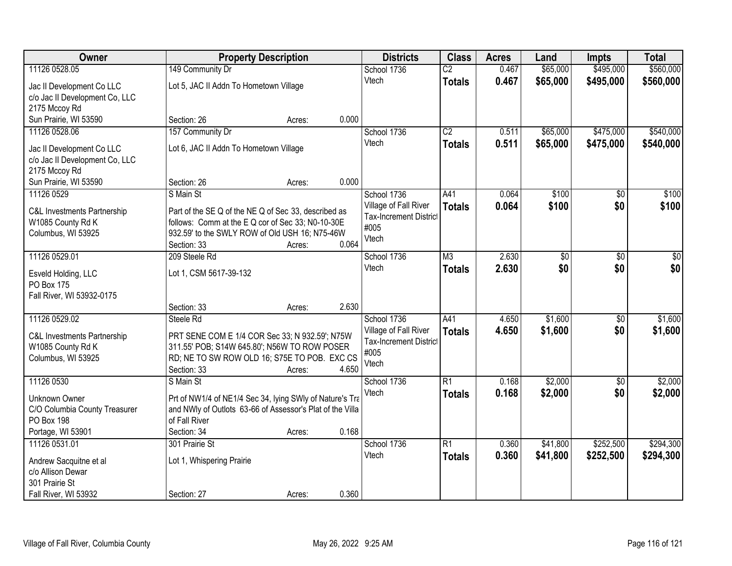| Owner                                                                                                  |                                                                                                                                                                                         | <b>Property Description</b> |       | <b>Districts</b>                                                                       | <b>Class</b>                     | <b>Acres</b>   | Land                   | <b>Impts</b>           | <b>Total</b>           |
|--------------------------------------------------------------------------------------------------------|-----------------------------------------------------------------------------------------------------------------------------------------------------------------------------------------|-----------------------------|-------|----------------------------------------------------------------------------------------|----------------------------------|----------------|------------------------|------------------------|------------------------|
| 11126 0528.05                                                                                          | 149 Community Dr                                                                                                                                                                        |                             |       | School 1736                                                                            | $\overline{C2}$                  | 0.467          | \$65,000               | \$495,000              | \$560,000              |
| Jac II Development Co LLC<br>c/o Jac II Development Co, LLC<br>2175 Mccoy Rd                           | Lot 5, JAC II Addn To Hometown Village                                                                                                                                                  |                             |       | Vtech                                                                                  | <b>Totals</b>                    | 0.467          | \$65,000               | \$495,000              | \$560,000              |
| Sun Prairie, WI 53590                                                                                  | Section: 26                                                                                                                                                                             | Acres:                      | 0.000 |                                                                                        |                                  |                |                        |                        |                        |
| 11126 0528.06<br>Jac II Development Co LLC<br>c/o Jac II Development Co, LLC                           | 157 Community Dr<br>Lot 6, JAC II Addn To Hometown Village                                                                                                                              |                             |       | School 1736<br>Vtech                                                                   | $\overline{C2}$<br><b>Totals</b> | 0.511<br>0.511 | \$65,000<br>\$65,000   | \$475,000<br>\$475,000 | \$540,000<br>\$540,000 |
| 2175 Mccoy Rd<br>Sun Prairie, WI 53590                                                                 | Section: 26                                                                                                                                                                             | Acres:                      | 0.000 |                                                                                        |                                  |                |                        |                        |                        |
| 11126 0529<br>C&L Investments Partnership<br>W1085 County Rd K<br>Columbus, WI 53925                   | S Main St<br>Part of the SE Q of the NE Q of Sec 33, described as<br>follows: Comm at the E Q cor of Sec 33; N0-10-30E<br>932.59' to the SWLY ROW of Old USH 16; N75-46W<br>Section: 33 | Acres:                      | 0.064 | School 1736<br>Village of Fall River<br><b>Tax-Increment District</b><br>#005<br>Vtech | A41<br><b>Totals</b>             | 0.064<br>0.064 | \$100<br>\$100         | \$0<br>\$0             | \$100<br>\$100         |
| 11126 0529.01<br>Esveld Holding, LLC<br>PO Box 175<br>Fall River, WI 53932-0175                        | 209 Steele Rd<br>Lot 1, CSM 5617-39-132<br>Section: 33                                                                                                                                  | Acres:                      | 2.630 | School 1736<br>Vtech                                                                   | M3<br><b>Totals</b>              | 2.630<br>2.630 | $\overline{50}$<br>\$0 | \$0<br>\$0             | \$0<br>\$0             |
| 11126 0529.02<br><b>C&amp;L Investments Partnership</b><br>W1085 County Rd K<br>Columbus, WI 53925     | Steele Rd<br>PRT SENE COM E 1/4 COR Sec 33; N 932.59'; N75W<br>311.55' POB; S14W 645.80'; N56W TO ROW POSER<br>RD; NE TO SW ROW OLD 16; S75E TO POB. EXC CS<br>Section: 33              | Acres:                      | 4.650 | School 1736<br>Village of Fall River<br><b>Tax-Increment District</b><br>#005<br>Vtech | A41<br><b>Totals</b>             | 4.650<br>4.650 | \$1,600<br>\$1,600     | \$0<br>\$0             | \$1,600<br>\$1,600     |
| 11126 0530<br>Unknown Owner<br>C/O Columbia County Treasurer<br><b>PO Box 198</b><br>Portage, WI 53901 | S Main St<br>Prt of NW1/4 of NE1/4 Sec 34, lying SWly of Nature's Tra<br>and NWIy of Outlots 63-66 of Assessor's Plat of the Villa<br>of Fall River<br>Section: 34                      | Acres:                      | 0.168 | School 1736<br>Vtech                                                                   | R1<br><b>Totals</b>              | 0.168<br>0.168 | \$2,000<br>\$2,000     | \$0<br>\$0             | \$2,000<br>\$2,000     |
| 11126 0531.01<br>Andrew Sacquitne et al<br>c/o Allison Dewar<br>301 Prairie St<br>Fall River, WI 53932 | 301 Prairie St<br>Lot 1, Whispering Prairie<br>Section: 27                                                                                                                              | Acres:                      | 0.360 | School 1736<br>Vtech                                                                   | $\overline{R1}$<br><b>Totals</b> | 0.360<br>0.360 | \$41,800<br>\$41,800   | \$252,500<br>\$252,500 | \$294,300<br>\$294,300 |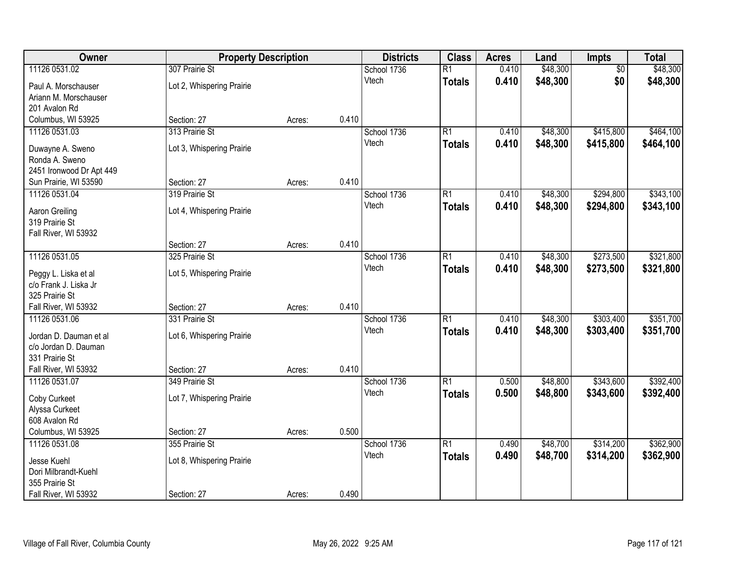| Owner                                  | <b>Property Description</b> |        |       | <b>Districts</b> | <b>Class</b>    | <b>Acres</b> | Land     | Impts           | <b>Total</b> |
|----------------------------------------|-----------------------------|--------|-------|------------------|-----------------|--------------|----------|-----------------|--------------|
| 11126 0531.02                          | 307 Prairie St              |        |       | School 1736      | $\overline{R1}$ | 0.410        | \$48,300 | $\overline{50}$ | \$48,300     |
| Paul A. Morschauser                    | Lot 2, Whispering Prairie   |        |       | Vtech            | <b>Totals</b>   | 0.410        | \$48,300 | \$0             | \$48,300     |
| Ariann M. Morschauser                  |                             |        |       |                  |                 |              |          |                 |              |
| 201 Avalon Rd                          |                             |        |       |                  |                 |              |          |                 |              |
| Columbus, WI 53925                     | Section: 27                 | Acres: | 0.410 |                  |                 |              |          |                 |              |
| 11126 0531.03                          | 313 Prairie St              |        |       | School 1736      | $\overline{R1}$ | 0.410        | \$48,300 | \$415,800       | \$464,100    |
| Duwayne A. Sweno                       | Lot 3, Whispering Prairie   |        |       | Vtech            | <b>Totals</b>   | 0.410        | \$48,300 | \$415,800       | \$464,100    |
| Ronda A. Sweno                         |                             |        |       |                  |                 |              |          |                 |              |
| 2451 Ironwood Dr Apt 449               |                             |        |       |                  |                 |              |          |                 |              |
| Sun Prairie, WI 53590                  | Section: 27                 | Acres: | 0.410 |                  |                 |              |          |                 |              |
| 11126 0531.04                          | 319 Prairie St              |        |       | School 1736      | $\overline{R1}$ | 0.410        | \$48,300 | \$294,800       | \$343,100    |
| Aaron Greiling                         | Lot 4, Whispering Prairie   |        |       | Vtech            | <b>Totals</b>   | 0.410        | \$48,300 | \$294,800       | \$343,100    |
| 319 Prairie St                         |                             |        |       |                  |                 |              |          |                 |              |
| Fall River, WI 53932                   |                             |        |       |                  |                 |              |          |                 |              |
|                                        | Section: 27                 | Acres: | 0.410 |                  |                 |              |          |                 |              |
| 11126 0531.05                          | 325 Prairie St              |        |       | School 1736      | $\overline{R1}$ | 0.410        | \$48,300 | \$273,500       | \$321,800    |
| Peggy L. Liska et al                   | Lot 5, Whispering Prairie   |        |       | Vtech            | <b>Totals</b>   | 0.410        | \$48,300 | \$273,500       | \$321,800    |
| c/o Frank J. Liska Jr                  |                             |        |       |                  |                 |              |          |                 |              |
| 325 Prairie St                         |                             |        |       |                  |                 |              |          |                 |              |
| Fall River, WI 53932                   | Section: 27                 | Acres: | 0.410 |                  |                 |              |          |                 |              |
| 11126 0531.06                          | 331 Prairie St              |        |       | School 1736      | $\overline{R1}$ | 0.410        | \$48,300 | \$303,400       | \$351,700    |
| Jordan D. Dauman et al                 | Lot 6, Whispering Prairie   |        |       | Vtech            | <b>Totals</b>   | 0.410        | \$48,300 | \$303,400       | \$351,700    |
| c/o Jordan D. Dauman                   |                             |        |       |                  |                 |              |          |                 |              |
| 331 Prairie St                         |                             |        |       |                  |                 |              |          |                 |              |
| Fall River, WI 53932                   | Section: 27                 | Acres: | 0.410 |                  |                 |              |          |                 |              |
| 11126 0531.07                          | 349 Prairie St              |        |       | School 1736      | $\overline{R1}$ | 0.500        | \$48,800 | \$343,600       | \$392,400    |
|                                        | Lot 7, Whispering Prairie   |        |       | Vtech            | <b>Totals</b>   | 0.500        | \$48,800 | \$343,600       | \$392,400    |
| Coby Curkeet<br>Alyssa Curkeet         |                             |        |       |                  |                 |              |          |                 |              |
| 608 Avalon Rd                          |                             |        |       |                  |                 |              |          |                 |              |
| Columbus, WI 53925                     | Section: 27                 | Acres: | 0.500 |                  |                 |              |          |                 |              |
| 11126 0531.08                          | 355 Prairie St              |        |       | School 1736      | $\overline{R1}$ | 0.490        | \$48,700 | \$314,200       | \$362,900    |
|                                        |                             |        |       | Vtech            | <b>Totals</b>   | 0.490        | \$48,700 | \$314,200       | \$362,900    |
| Jesse Kuehl                            | Lot 8, Whispering Prairie   |        |       |                  |                 |              |          |                 |              |
| Dori Milbrandt-Kuehl<br>355 Prairie St |                             |        |       |                  |                 |              |          |                 |              |
| Fall River, WI 53932                   | Section: 27                 | Acres: | 0.490 |                  |                 |              |          |                 |              |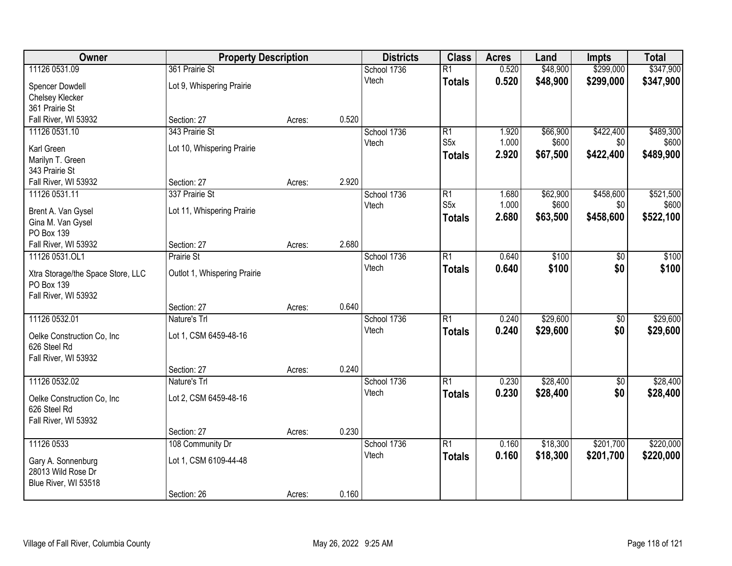| Owner                             | <b>Property Description</b>  |        |       | <b>Districts</b> | <b>Class</b>     | <b>Acres</b> | Land     | <b>Impts</b>    | <b>Total</b> |
|-----------------------------------|------------------------------|--------|-------|------------------|------------------|--------------|----------|-----------------|--------------|
| 11126 0531.09                     | 361 Prairie St               |        |       | School 1736      | $\overline{R1}$  | 0.520        | \$48,900 | \$299,000       | \$347,900    |
| Spencer Dowdell                   | Lot 9, Whispering Prairie    |        |       | Vtech            | <b>Totals</b>    | 0.520        | \$48,900 | \$299,000       | \$347,900    |
| Chelsey Klecker                   |                              |        |       |                  |                  |              |          |                 |              |
| 361 Prairie St                    |                              |        |       |                  |                  |              |          |                 |              |
| Fall River, WI 53932              | Section: 27                  | Acres: | 0.520 |                  |                  |              |          |                 |              |
| 11126 0531.10                     | 343 Prairie St               |        |       | School 1736      | $\overline{R1}$  | 1.920        | \$66,900 | \$422,400       | \$489,300    |
| Karl Green                        | Lot 10, Whispering Prairie   |        |       | Vtech            | S <sub>5</sub> x | 1.000        | \$600    | \$0             | \$600        |
| Marilyn T. Green                  |                              |        |       |                  | <b>Totals</b>    | 2.920        | \$67,500 | \$422,400       | \$489,900    |
| 343 Prairie St                    |                              |        |       |                  |                  |              |          |                 |              |
| Fall River, WI 53932              | Section: 27                  | Acres: | 2.920 |                  |                  |              |          |                 |              |
| 11126 0531.11                     | 337 Prairie St               |        |       | School 1736      | $\overline{R1}$  | 1.680        | \$62,900 | \$458,600       | \$521,500    |
| Brent A. Van Gysel                | Lot 11, Whispering Prairie   |        |       | Vtech            | S <sub>5</sub> x | 1.000        | \$600    | \$0             | \$600        |
| Gina M. Van Gysel                 |                              |        |       |                  | <b>Totals</b>    | 2.680        | \$63,500 | \$458,600       | \$522,100    |
| PO Box 139                        |                              |        |       |                  |                  |              |          |                 |              |
| Fall River, WI 53932              | Section: 27                  | Acres: | 2.680 |                  |                  |              |          |                 |              |
| 11126 0531.OL1                    | Prairie St                   |        |       | School 1736      | $\overline{R1}$  | 0.640        | \$100    | \$0             | \$100        |
| Xtra Storage/the Space Store, LLC | Outlot 1, Whispering Prairie |        |       | Vtech            | <b>Totals</b>    | 0.640        | \$100    | \$0             | \$100        |
| PO Box 139                        |                              |        |       |                  |                  |              |          |                 |              |
| Fall River, WI 53932              |                              |        |       |                  |                  |              |          |                 |              |
|                                   | Section: 27                  | Acres: | 0.640 |                  |                  |              |          |                 |              |
| 11126 0532.01                     | Nature's Trl                 |        |       | School 1736      | $\overline{R1}$  | 0.240        | \$29,600 | $\overline{30}$ | \$29,600     |
| Oelke Construction Co, Inc        | Lot 1, CSM 6459-48-16        |        |       | Vtech            | <b>Totals</b>    | 0.240        | \$29,600 | \$0             | \$29,600     |
| 626 Steel Rd                      |                              |        |       |                  |                  |              |          |                 |              |
| Fall River, WI 53932              |                              |        |       |                  |                  |              |          |                 |              |
|                                   | Section: 27                  | Acres: | 0.240 |                  |                  |              |          |                 |              |
| 11126 0532.02                     | Nature's Trl                 |        |       | School 1736      | $\overline{R1}$  | 0.230        | \$28,400 | $\sqrt{6}$      | \$28,400     |
| Oelke Construction Co, Inc        | Lot 2, CSM 6459-48-16        |        |       | Vtech            | <b>Totals</b>    | 0.230        | \$28,400 | \$0             | \$28,400     |
| 626 Steel Rd                      |                              |        |       |                  |                  |              |          |                 |              |
| Fall River, WI 53932              |                              |        |       |                  |                  |              |          |                 |              |
|                                   | Section: 27                  | Acres: | 0.230 |                  |                  |              |          |                 |              |
| 11126 0533                        | 108 Community Dr             |        |       | School 1736      | $\overline{R1}$  | 0.160        | \$18,300 | \$201,700       | \$220,000    |
| Gary A. Sonnenburg                | Lot 1, CSM 6109-44-48        |        |       | Vtech            | <b>Totals</b>    | 0.160        | \$18,300 | \$201,700       | \$220,000    |
| 28013 Wild Rose Dr                |                              |        |       |                  |                  |              |          |                 |              |
| Blue River, WI 53518              |                              |        |       |                  |                  |              |          |                 |              |
|                                   | Section: 26                  | Acres: | 0.160 |                  |                  |              |          |                 |              |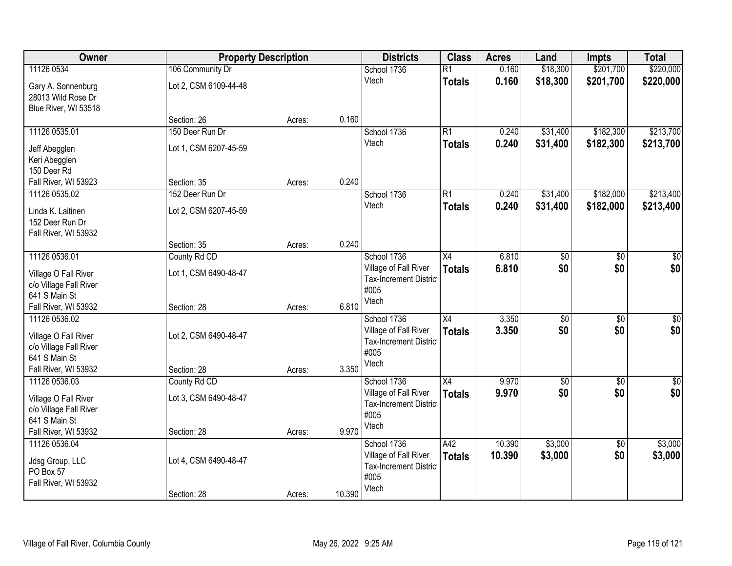| Owner                                                            | <b>Property Description</b> |        |        | <b>Districts</b>                                       | <b>Class</b>    | <b>Acres</b> | Land            | <b>Impts</b>    | <b>Total</b>     |
|------------------------------------------------------------------|-----------------------------|--------|--------|--------------------------------------------------------|-----------------|--------------|-----------------|-----------------|------------------|
| 11126 0534                                                       | 106 Community Dr            |        |        | School 1736                                            | $\overline{R1}$ | 0.160        | \$18,300        | \$201,700       | \$220,000        |
| Gary A. Sonnenburg<br>28013 Wild Rose Dr<br>Blue River, WI 53518 | Lot 2, CSM 6109-44-48       |        |        | Vtech                                                  | <b>Totals</b>   | 0.160        | \$18,300        | \$201,700       | \$220,000        |
|                                                                  | Section: 26                 | Acres: | 0.160  |                                                        |                 |              |                 |                 |                  |
| 11126 0535.01                                                    | 150 Deer Run Dr             |        |        | School 1736                                            | $\overline{R1}$ | 0.240        | \$31,400        | \$182,300       | \$213,700        |
| Jeff Abegglen                                                    | Lot 1, CSM 6207-45-59       |        |        | Vtech                                                  | <b>Totals</b>   | 0.240        | \$31,400        | \$182,300       | \$213,700        |
| Keri Abegglen                                                    |                             |        |        |                                                        |                 |              |                 |                 |                  |
| 150 Deer Rd                                                      |                             |        |        |                                                        |                 |              |                 |                 |                  |
| Fall River, WI 53923                                             | Section: 35                 | Acres: | 0.240  |                                                        |                 |              |                 |                 |                  |
| 11126 0535.02                                                    | 152 Deer Run Dr             |        |        | School 1736                                            | $\overline{R1}$ | 0.240        | \$31,400        | \$182,000       | \$213,400        |
| Linda K. Laitinen                                                | Lot 2, CSM 6207-45-59       |        |        | Vtech                                                  | <b>Totals</b>   | 0.240        | \$31,400        | \$182,000       | \$213,400        |
| 152 Deer Run Dr                                                  |                             |        |        |                                                        |                 |              |                 |                 |                  |
| Fall River, WI 53932                                             |                             |        |        |                                                        |                 |              |                 |                 |                  |
|                                                                  | Section: 35                 | Acres: | 0.240  |                                                        |                 |              |                 |                 |                  |
| 11126 0536.01                                                    | County Rd CD                |        |        | School 1736                                            | X4              | 6.810        | \$0             | \$0             | \$0              |
| Village O Fall River                                             | Lot 1, CSM 6490-48-47       |        |        | Village of Fall River                                  | <b>Totals</b>   | 6.810        | \$0             | \$0             | \$0              |
| c/o Village Fall River                                           |                             |        |        | <b>Tax-Increment District</b><br>#005                  |                 |              |                 |                 |                  |
| 641 S Main St                                                    |                             |        |        | Vtech                                                  |                 |              |                 |                 |                  |
| Fall River, WI 53932                                             | Section: 28                 | Acres: | 6.810  |                                                        |                 |              |                 |                 |                  |
| 11126 0536.02                                                    |                             |        |        | School 1736                                            | $\overline{X4}$ | 3.350        | $\overline{50}$ | $\overline{50}$ | $\overline{\$0}$ |
| Village O Fall River                                             | Lot 2, CSM 6490-48-47       |        |        | Village of Fall River                                  | <b>Totals</b>   | 3.350        | \$0             | \$0             | \$0              |
| c/o Village Fall River                                           |                             |        |        | <b>Tax-Increment District</b><br>#005                  |                 |              |                 |                 |                  |
| 641 S Main St                                                    |                             |        |        | Vtech                                                  |                 |              |                 |                 |                  |
| Fall River, WI 53932                                             | Section: 28                 | Acres: | 3.350  |                                                        |                 |              |                 |                 |                  |
| 11126 0536.03                                                    | County Rd CD                |        |        | School 1736                                            | X4              | 9.970        | $\sqrt[6]{30}$  | $\sqrt{6}$      | \$0              |
| Village O Fall River                                             | Lot 3, CSM 6490-48-47       |        |        | Village of Fall River<br><b>Tax-Increment District</b> | <b>Totals</b>   | 9.970        | \$0             | \$0             | \$0              |
| c/o Village Fall River                                           |                             |        |        | #005                                                   |                 |              |                 |                 |                  |
| 641 S Main St                                                    |                             |        |        | Vtech                                                  |                 |              |                 |                 |                  |
| Fall River, WI 53932                                             | Section: 28                 | Acres: | 9.970  |                                                        |                 |              |                 |                 |                  |
| 11126 0536.04                                                    |                             |        |        | School 1736                                            | A42             | 10.390       | \$3,000         | $\overline{50}$ | \$3,000          |
| Jdsg Group, LLC                                                  | Lot 4, CSM 6490-48-47       |        |        | Village of Fall River<br><b>Tax-Increment District</b> | <b>Totals</b>   | 10.390       | \$3,000         | \$0             | \$3,000          |
| PO Box 57                                                        |                             |        |        | #005                                                   |                 |              |                 |                 |                  |
| Fall River, WI 53932                                             |                             |        |        | Vtech                                                  |                 |              |                 |                 |                  |
|                                                                  | Section: 28                 | Acres: | 10.390 |                                                        |                 |              |                 |                 |                  |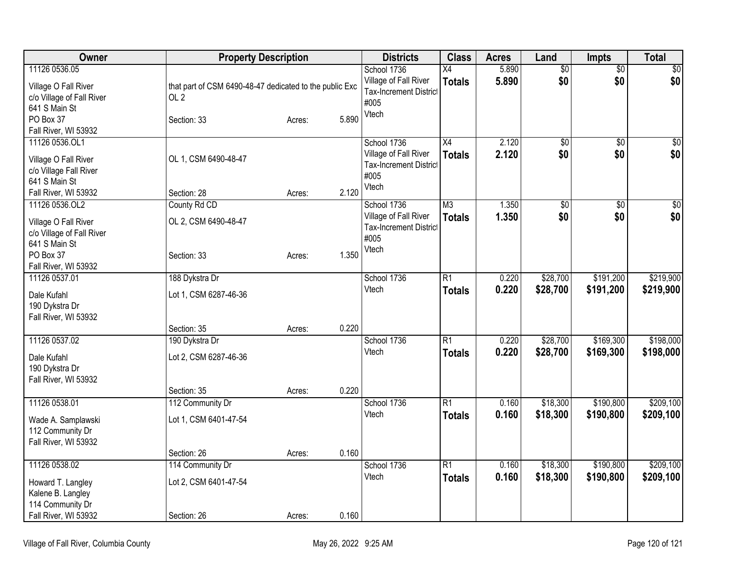| Owner                                                                                                                     | <b>Property Description</b>                                                               |                  |                | <b>Districts</b>                                                                       | <b>Class</b>                     | <b>Acres</b>   | Land                   | <b>Impts</b>           | <b>Total</b>           |
|---------------------------------------------------------------------------------------------------------------------------|-------------------------------------------------------------------------------------------|------------------|----------------|----------------------------------------------------------------------------------------|----------------------------------|----------------|------------------------|------------------------|------------------------|
| 11126 0536.05<br>Village O Fall River<br>c/o Village of Fall River<br>641 S Main St<br>PO Box 37<br>Fall River, WI 53932  | that part of CSM 6490-48-47 dedicated to the public Exc<br>OL <sub>2</sub><br>Section: 33 | Acres:           | 5.890          | School 1736<br>Village of Fall River<br><b>Tax-Increment District</b><br>#005<br>Vtech | X4<br><b>Totals</b>              | 5.890<br>5.890 | $\overline{50}$<br>\$0 | $\overline{50}$<br>\$0 | $\sqrt{50}$<br>\$0     |
| 11126 0536.OL1<br>Village O Fall River<br>c/o Village Fall River<br>641 S Main St<br>Fall River, WI 53932                 | OL 1, CSM 6490-48-47<br>Section: 28                                                       | Acres:           | 2.120          | School 1736<br>Village of Fall River<br><b>Tax-Increment District</b><br>#005<br>Vtech | $\overline{X4}$<br><b>Totals</b> | 2.120<br>2.120 | $\overline{50}$<br>\$0 | $\overline{50}$<br>\$0 | \$0<br>\$0             |
| 11126 0536.OL2<br>Village O Fall River<br>c/o Village of Fall River<br>641 S Main St<br>PO Box 37<br>Fall River, WI 53932 | County Rd CD<br>OL 2, CSM 6490-48-47<br>Section: 33                                       | Acres:           | 1.350          | School 1736<br>Village of Fall River<br><b>Tax-Increment District</b><br>#005<br>Vtech | M <sub>3</sub><br><b>Totals</b>  | 1.350<br>1.350 | $\overline{50}$<br>\$0 | $\overline{50}$<br>\$0 | $\overline{30}$<br>\$0 |
| 11126 0537.01<br>Dale Kufahl<br>190 Dykstra Dr<br>Fall River, WI 53932                                                    | 188 Dykstra Dr<br>Lot 1, CSM 6287-46-36                                                   |                  |                | School 1736<br>Vtech                                                                   | R1<br><b>Totals</b>              | 0.220<br>0.220 | \$28,700<br>\$28,700   | \$191,200<br>\$191,200 | \$219,900<br>\$219,900 |
| 11126 0537.02<br>Dale Kufahl<br>190 Dykstra Dr<br>Fall River, WI 53932                                                    | Section: 35<br>190 Dykstra Dr<br>Lot 2, CSM 6287-46-36<br>Section: 35                     | Acres:<br>Acres: | 0.220<br>0.220 | School 1736<br>Vtech                                                                   | R1<br><b>Totals</b>              | 0.220<br>0.220 | \$28,700<br>\$28,700   | \$169,300<br>\$169,300 | \$198,000<br>\$198,000 |
| 11126 0538.01<br>Wade A. Samplawski<br>112 Community Dr<br>Fall River, WI 53932                                           | 112 Community Dr<br>Lot 1, CSM 6401-47-54<br>Section: 26                                  | Acres:           | 0.160          | School 1736<br>Vtech                                                                   | $\overline{R1}$<br><b>Totals</b> | 0.160<br>0.160 | \$18,300<br>\$18,300   | \$190,800<br>\$190,800 | \$209,100<br>\$209,100 |
| 11126 0538.02<br>Howard T. Langley<br>Kalene B. Langley<br>114 Community Dr<br>Fall River, WI 53932                       | 114 Community Dr<br>Lot 2, CSM 6401-47-54<br>Section: 26                                  | Acres:           | 0.160          | School 1736<br>Vtech                                                                   | R1<br><b>Totals</b>              | 0.160<br>0.160 | \$18,300<br>\$18,300   | \$190,800<br>\$190,800 | \$209,100<br>\$209,100 |